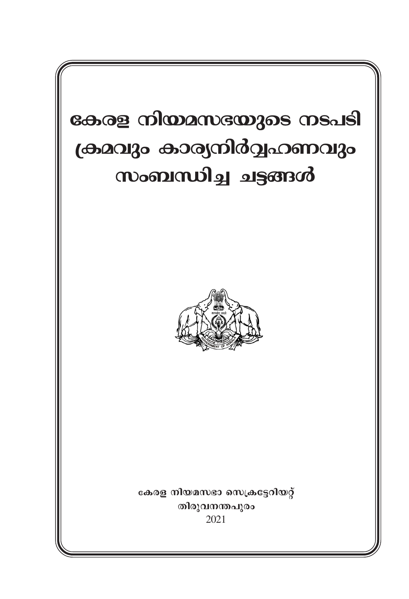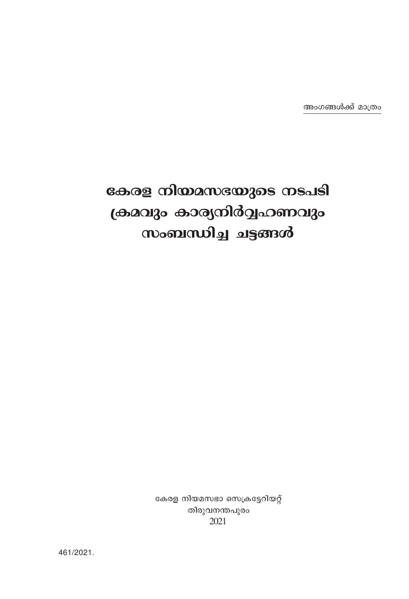## കേരള നിയമസഭയുടെ നടപടി ക്രമവും കാര്യനിർവ്വഹണവും സംബന്ധിച്ച ചട്ടങ്ങൾ

കേരള നിയമസഭാ സെക്രട്ടേറിയറ്റ് തിരുവനന്തപുരം 2021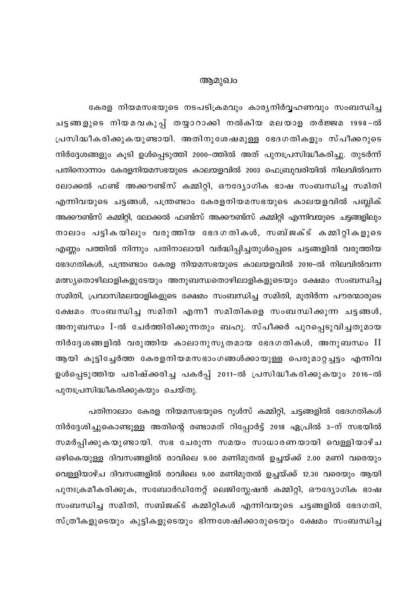### ആമുഖം

കേരള നിയമസഭയുടെ നടപടിക്രമവും കാര്യനിർവ്വഹണവും സംബന്ധിച്ച ചട്ടങ്ങളുടെ നിയമവകുപ്പ് തയ്യാറാക്കി നൽകിയ മലയാള തർജ്ജമ 1998-ൽ പ്രസിദ്ധീകരിക്കുകയുണ്ടായി. അതിനുശേഷമുള്ള ഭേദഗതികളും സ്പീക്കറുടെ നിർദ്ദേശങ്ങളും കൂടി ഉൾപ്പെടുത്തി 2000–ത്തിൽ അത് പുനഃപ്രസിദ്ധീകരിച്ചു. തുടർന്ന് പതിനൊന്നാം കേരളനിയമസഭയുടെ കാലയളവിൽ 2003 ഫെബ്രുവരിയിൽ നിലവിൽവന്ന ലോക്കൽ ഫണ്ട് അക്കൗണ്ട്സ് കമ്മിറ്റി, ഔദ്യോഗിക ഭാഷ സംബന്ധിച്ച സമിതി എന്നിവയുടെ ചട്ടങ്ങൾ, പന്ത്രണ്ടാം കേരളനിയമസഭയുടെ കാലയളവിൽ പബ്ലിക് അക്കൗണ്ട്സ് കമ്മിറ്റി, ലോക്കൽ ഫണ്ട്സ് അക്കൗണ്ട്സ് കമ്മിറ്റി എന്നിവയുടെ ചട്ടങ്ങളിലും നാലാം പട്ടികയിലും വരുത്തിയ ഭേദഗതികൾ, സബ്ജക്ട് കമ്മിറ്റികളുടെ എണ്ണം പത്തിൽ നിന്നും പതിനാലായി വർദ്ധിപ്പിച്ചതുൾപ്പെടെ ചട്ടങ്ങളിൽ വരുത്തിയ ഭേദഗതികൾ, പന്ത്രണ്ടാം കേരള നിയമസഭയുടെ കാലയളവിൽ 2010-ൽ നിലവിൽവന്ന മത്സ്യതൊഴിലാളികളുടേയും അനുബന്ധതൊഴിലാളികളുടെയും ക്ഷേമം സംബന്ധിച്ച സമിതി, പ്രവാസിമലയാളികളുടെ ക്ഷേമം സംബന്ധിച്ച സമിതി, മുതിർന്ന പൗരന്മാരുടെ ക്ഷേമം സംബന്ധിച്ച സമിതി എന്നീ സമിതികളെ സംബന്ധിക്കുന്ന ചട്ടങ്ങൾ, അനുബന്ധം I-ൽ ചേർത്തിരിക്കുന്നതും ബഹു. സ്പീക്കർ പുറപ്പെടുവിച്ചതുമായ നിർദ്ദേശങ്ങളിൽ വരുത്തിയ കാലാനുസൃതമായ ഭേദഗതികൾ, അനുബന്ധം  $\rm{II}$ ആയി കൂട്ടിച്ചേർത്ത കേരളനിയമസഭാംഗങ്ങൾക്കായുള്ള പെരുമാറ്റച്ചട്ടം എന്നിവ ഉൾപ്പെടുത്തിയ പരിഷ്ക്കരിച്ച പകർപ്പ് 2011-ൽ പ്രസിദ്ധീകരിക്കുകയും 2016-ൽ പുനഃപ്രസിദ്ധീകരിക്കുകയും ചെയ്തു.

പതിനാലാം കേരള നിയമസഭയുടെ റൂൾസ് കമ്മിറ്റി, ചട്ടങ്ങളിൽ ഭേദഗതികൾ നിർദ്ദേശിച്ചുകൊണ്ടുള്ള അതിന്റെ രണ്ടാമത് റിപ്പോർട്ട് 2018 ഏപ്രിൽ 3-ന് സഭയിൽ സമർപ്പിക്കുകയുണ്ടായി. സഭ ചേരുന്ന സമയം സാധാരണയായി വെള്ളിയാഴ്ച ഒഴികെയുള്ള ദിവസങ്ങളിൽ രാവിലെ 9.00 മണിമുതൽ ഉച്ചയ്ക്ക് 2.00 മണി വരെയും വെള്ളിയാഴ്ച ദിവസങ്ങളിൽ രാവിലെ 9.00 മണിമുതൽ ഉച്ചയ്ക്ക് 12.30 വരെയും ആയി പുനഃക്രമീകരിക്കുക, സബോർഡിനേറ്റ് ലെജിസ്ലേഷൻ കമ്മിറ്റി, ഔദ്യോഗിക ഭാഷ സംബന്ധിച്ച സമിതി, സബ്ജക്ട് കമ്മിറ്റികൾ എന്നിവയുടെ ചട്ടങ്ങളിൽ ഭേദഗതി, സ്ത്രീകളുടെയും കുട്ടികളുടെയും ഭിന്നശേഷിക്കാരുടെയും ക്ഷേമം സംബന്ധിച്ച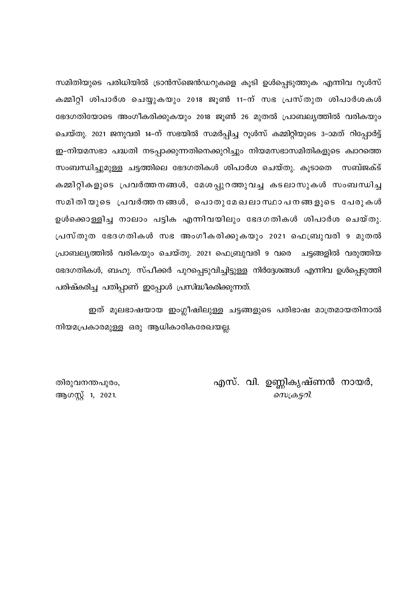സമിതിയുടെ പരിധിയിൽ ട്രാൻസ്ജെൻഡറുകളെ കുടി ഉൾപെടുത്തുക എന്നിവ റുൾസ് കമ്മിറ്റി ശിപാർശ ചെയ്യുകയും 2018 ജൂൺ 11-ന് സഭ പ്രസ്തുത ശിപാർശകൾ ഭേദഗതിയോടെ അംഗീകരിക്കുകയും 2018 ജൂൺ 26 മുതൽ പ്രാബല്യത്തിൽ വരികയും ചെയ്തു. 2021 ജനുവരി 14-ന് സഭയിൽ സമർപ്പിച്ച റൂൾസ് കമ്മിറ്റിയുടെ 3–ാമത് റിപ്പോർട്ട് ഇ-നിയമസഭാ പദ്ധതി നടപ്പാക്കുന്നതിനെക്കുറിച്ചും നിയമസഭാസമിതികളുടെ ക്വാത്തെ സംബന്ധിച്ചുമുള്ള ചട്ടത്തിലെ ഭേദഗതികൾ ശിപാർശ ചെയ്തു. കുടാതെ സബ്ജക്ട് കമ്മിറ്റികളുടെ പ്രവർത്തനങ്ങൾ, മേശപ്പുറത്തുവച്ച കടലാസുകൾ സംബന്ധിച്ച സമിതിയുടെ പ്രവർത്തനങ്ങൾ, പൊതുമേഖലാസ്ഥാപനങ്ങളുടെ പേരുകൾ ഉൾക്കൊള്ളിച്ച നാലാം പട്ടിക എന്നിവയിലും ഭേദഗതികൾ ശിപാർശ ചെയ്തു. പ്രസ്തുത ഭേദഗതികൾ സഭ അംഗീകരിക്കുകയും 2021 ഫെബ്രുവരി 9 മുതൽ പ്രാബല്യത്തിൽ വരികയും ചെയ്തു. 2021 ഫെബ്രുവരി 9 വരെ ചടങ്ങളിൽ വരുത്തിയ ഭേദഗതികൾ, ബഹു. സ്പീക്കർ പുറപ്പെടുവിച്ചിട്ടുള്ള നിർദ്ദേശങ്ങൾ എന്നിവ ഉൾപ്പെടുത്തി പരിഷ്കരിച്ച പതിപ്പാണ് ഇപ്പോൾ പ്രസിദ്ധീകരിക്കുന്നത്.

ഇത് മൂലഭാഷയായ ഇംഗ്ലീഷിലുള്ള ചട്ടങ്ങളുടെ പരിഭാഷ മാത്രമായതിനാൽ നിയമപ്രകാരമുള്ള ഒരു ആധികാരികരേഖയല്ല.

> എസ്. വി. ഉണ്ണികൃഷ്ണൻ നായർ, സെക്രട്ടറി.

തിരുവനന്തപുരം, ആഗസ്റ്റ് 1, 2021.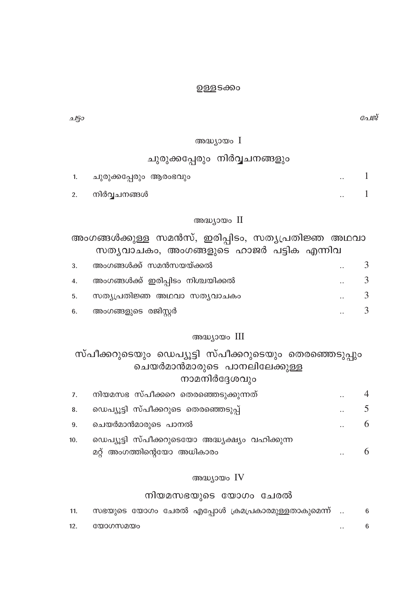#### ഉള്ളടക്കം

പേജ്

 $\sim$  1  $\ddotsc$ 

ചട്ടാ

#### അദ്ധ്യായം I

### ചുരുക്കപ്പേരും നിർവ്വചനങ്ങളും

| ചുരുക്കപ്പേരും ആരംഭവും |  |  |
|------------------------|--|--|
|                        |  |  |

 $2.$ നിർവ്വചനങ്ങൾ

#### അദ്ധ്യായം II

അംഗങ്ങൾക്കുള്ള സമൻസ്, ഇരിപ്പിടം, സത്യപ്രതിജ്ഞ അഥവാ സത്യവാചകം, അംഗങ്ങളുടെ ഹാജർ പട്ടിക എന്നിവ

| 3. | അംഗങ്ങൾക്ക് സമൻസയയ്ക്കൽ              | $\cdot$ .            |   |
|----|--------------------------------------|----------------------|---|
|    | 4. അംഗങ്ങൾക്ക് ഇരിപ്പിടം നിശ്ചയിക്കൽ | $\ddot{\phantom{a}}$ | 3 |
| 5. | സത്യപ്രതിജ്ഞ അഥവാ സത്യവാചകം          | $\cdot$ .            | 3 |
|    | 6. അംഗങ്ങളുടെ രജിസ്റ്റർ              | $\ddot{\phantom{a}}$ | 3 |

#### അദ്ധ്യായം III

സ്പീക്കറുടെയും ഡെപ്യൂട്ടി സ്പീക്കറുടെയും തെരഞ്ഞെടുപ്പും ചെയർമാൻമാരുടെ പാനലിലേക്കുള്ള നാമനിർദ്ദേശവും നിയമസഭ സ്പീക്കറെ തെരഞ്ഞെടുക്കുന്നത്  $\overline{4}$  $\overline{z}$ 

|     | AND READ OF A DIE ROOM ON ONONCOURDING TO DISPOSE |           |  |
|-----|---------------------------------------------------|-----------|--|
| 8.  | ഡെപ്യൂട്ടി സ്പീക്കറുടെ തെരഞ്ഞെടുപ്പ്              | $\cdot$ . |  |
| 9.  | ചെയർമാൻമാരുടെ പാനൽ                                | $\cdot$ . |  |
| 10. | ഡെപ്യൂട്ടി സ്പീക്കറുടെയോ അദ്ധ്യക്ഷ്യം വഹിക്കുന്ന  |           |  |
|     | മറ്റ് അംഗത്തിന്റെയോ അധികാരം                       | $\cdot$ . |  |

### അദ്ധ്യായം IV

### നിയമസഭയുടെ യോഗം ചേരൽ

| 11. |         |  | സഭയുടെ യോഗം ചേരൽ എപ്പോൾ ക്രമപ്രകാരമുള്ളതാകുമെന്ന് |           |  |
|-----|---------|--|---------------------------------------------------|-----------|--|
| 12. | യോഗസമയം |  |                                                   | $\cdot$ . |  |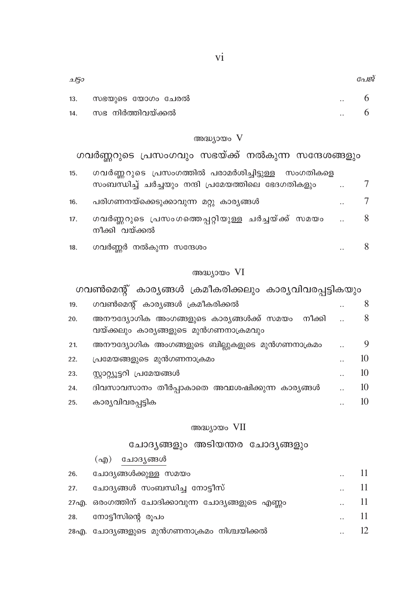|     | ചോദൃങ്ങൾ<br>$\left( \alpha \right)$              |                      |  |
|-----|--------------------------------------------------|----------------------|--|
| 26. | ചോദ്യങ്ങൾക്കുള്ള സമയം                            | $\ddot{\phantom{a}}$ |  |
| 27. | ചോദ്യങ്ങൾ സംബന്ധിച്ച നോട്ടീസ്                    | $\ddot{\phantom{a}}$ |  |
|     | 27എ. ഒരംഗത്തിന് ചോദിക്കാവുന്ന ചോദ്യങ്ങളുടെ എണ്ണം | $\ddot{\phantom{a}}$ |  |
| 28. | നോട്ടീസിന്റെ രൂപം                                | $\cdot$ .            |  |
|     | 28എ. ചോദ്യങ്ങളുടെ മുൻഗണനാക്രമം നിശ്ചയിക്കൽ       |                      |  |

അദ്ധ്യായം VII ചോദ്യങ്ങളും അടിയന്തര ചോദ്യങ്ങളും

#### 8 അനൗദ്യോഗിക അംഗങ്ങളുടെ കാര്യങ്ങൾക്ക് സമയം നീക്കി 20. വയ്ക്കലും കാര്യങ്ങളുടെ മുൻഗണനാക്രമവും അനൗദ്യോഗിക അംഗങ്ങളുടെ ബില്ലുകളുടെ മുൻഗണനാക്രമം  $\mathbf Q$  $21.$ 10 പ്രമേയങ്ങളുടെ മുൻഗണനാക്രമം 22. സ്റ്റാറ്റ്യൂട്ടറി പ്രമേയങ്ങൾ 10 23.  $\ddotsc$ ദിവസാവസാനം തീർപ്പാകാതെ അവശേഷിക്കുന്ന കാര്യങ്ങൾ  $10$ 24.  $\ddot{\phantom{a}}$ കാര്യവിവരപ്പട്ടിക  $10$ 25.

### അദ്ധ്യായം VI ഗവൺമെന്റ് കാര്യങ്ങൾ ക്രമീകരിക്കലും കാര്യവിവരപ്പട്ടികയും

ഗവൺമെന്റ് കാര്യങ്ങൾ ക്രമീകരിക്കൽ

നീക്കി വയ്ക്കൽ 8  $18.$ ഗവർണ്ണർ നൽകുന്ന സന്ദേശം  $\ddot{\phantom{a}}$ 

പരിഗണനയ്ക്കെടുക്കാവുന്ന മറ്റു കാര്യങ്ങൾ  $\overline{7}$ 16. ഗവർണ്ണറുടെ പ്രസംഗത്തെപ്പറ്റിയുള്ള ചർച്ചയ്ക്ക് സമയം 8  $17.$ 

- ഗവർണ്ണറുടെ പ്രസംഗത്തിൽ പരാമർശിച്ചിട്ടുള്ള സംഗതികളെ  $15.$ സംബന്ധിച്ച് ചർച്ചയും നന്ദി പ്രമേയത്തിലെ ഭേദഗതികളും  $\overline{7}$  $\ddot{\phantom{a}}$
- അദ്ധ്യായം V ഗവർണ്ണറുടെ പ്രസംഗവും സഭയ്ക്ക് നൽകുന്ന സന്ദേശങ്ങളും

| 9150 |                       |               | പേജ് |
|------|-----------------------|---------------|------|
| 13.  | സഭയുടെ യോഗം ചേരൽ      | $\cdot$ .     |      |
|      | 14. സഭ നിർത്തിവയ്ക്കൽ | $\sim$ $\sim$ |      |

19.

8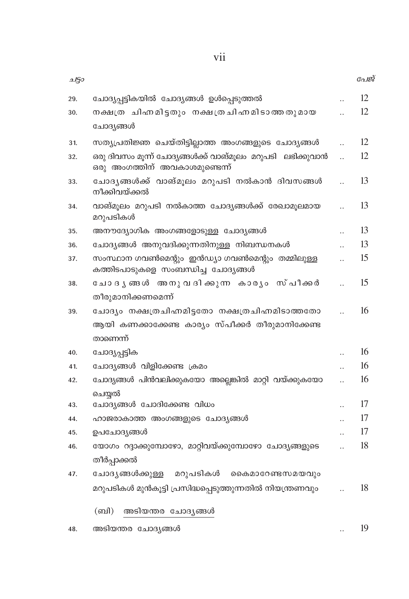vii

| ചട്ടാ |                                                                                            |                      | പേജ് |
|-------|--------------------------------------------------------------------------------------------|----------------------|------|
| 29.   | ചോദ്യപ്പട്ടികയിൽ ചോദ്യങ്ങൾ ഉൾപ്പെടുത്തൽ                                                    |                      | 12   |
| 30.   | നക്ഷത്ര ചിഹാമിട്ടതും നക്ഷത്രചിഹാമിടാത്തതുമായ<br>ചോദ്യങ്ങൾ                                  |                      | 12   |
| 31.   | സത്യപ്രതിജ്ഞ ചെയ്തിട്ടില്ലാത്ത അംഗങ്ങളുടെ ചോദ്യങ്ങൾ                                        |                      | 12   |
| 32.   | ഒരു ദിവസം മൂന്ന് ചോദ്യങ്ങൾക്ക് വാങ്മൂലം മറുപടി ലഭിക്കുവാൻ<br>ഒരു അംഗത്തിന് അവകാശമുണ്ടെന്ന് |                      | 12   |
| 33.   | ചോദൃങ്ങൾക്ക് വാങ്മൂലം മറുപടി നൽകാൻ ദിവസങ്ങൾ<br>നീക്കിവയ്ക്കൽ                               |                      | 13   |
| 34.   | വാങ്മൂലം മറുപടി നൽകാത്ത ചോദ്യങ്ങൾക്ക് രേഖാമൂലമായ<br>മറുപടികൾ                               |                      | 13   |
| 35.   | അനൗദ്യോഗിക അംഗങ്ങളോടുള്ള ചോദ്യങ്ങൾ                                                         |                      | 13   |
| 36.   | ചോദ്യങ്ങൾ അനുവദിക്കുന്നതിനുള്ള നിബന്ധനകൾ                                                   |                      | 13   |
| 37.   | സംസ്ഥാന ഗവൺമെന്റും ഇൻഡ്യാ ഗവൺമെന്റും തമ്മിലുള്ള<br>കത്തിടപാടുകളെ സംബന്ധിച്ച ചോദ്യങ്ങൾ      |                      | 15   |
| 38.   | ചോദൃങ്ങൾ അനുവദിക്കുന്ന കാരൃം സ്പീക്കർ                                                      |                      | 15   |
|       | തീരുമാനിക്കണമെന്ന്                                                                         |                      |      |
| 39.   | ചോദ്യം നക്ഷത്രചിഹ്നമിട്ടതോ നക്ഷത്രചിഹ്നമിടാത്തതോ                                           |                      | 16   |
|       | ആയി കണക്കാക്കേണ്ട കാര്യം സ്പീക്കർ തീരുമാനിക്കേണ്ട                                          |                      |      |
|       | താണെന്ന്                                                                                   |                      |      |
| 40.   | ചോദ്യപ്പട്ടിക                                                                              |                      | 16   |
| 41.   | ചോദ്യങ്ങൾ വിളിക്കേണ്ട ക്രമം                                                                |                      | 16   |
| 42.   | ചോദ്യങ്ങൾ പിൻവലിക്കുകയോ അല്ലെങ്കിൽ മാറ്റി വയ്ക്കുകയോ                                       | $\ddot{\phantom{a}}$ | 16   |
|       | ചെയ്യൽ                                                                                     |                      |      |
| 43.   | ചോദ്യങ്ങൾ ചോദിക്കേണ്ട വിധം                                                                 | $\ddot{\phantom{a}}$ | 17   |
| 44.   | ഹാജരാകാത്ത അംഗങ്ങളുടെ ചോദ്യങ്ങൾ                                                            |                      | 17   |
| 45.   | ഉപചോദ്യങ്ങൾ                                                                                |                      | 17   |
| 46.   | യോഗം റദ്ദാക്കുമ്പോഴോ, മാറ്റിവയ്ക്കുമ്പോഴോ ചോദ്യങ്ങളുടെ                                     |                      | 18   |
|       | തീർപ്പാക്കൽ                                                                                |                      |      |
| 47.   | മറുപടികൾ<br>ചോദൃങ്ങൾക്കുള്ള<br>കൈമാറേണ്ടസമയവും                                             |                      |      |
|       | മറുപടികൾ മുൻകൂട്ടി പ്രസിദ്ധപ്പെടുത്തുന്നതിൽ നിയന്ത്രണവും                                   |                      | 18   |
|       | (ബി)<br>അടിയന്തര ചോദ്യങ്ങൾ                                                                 |                      |      |
| 48.   | അടിയന്തര ചോദ്യങ്ങൾ                                                                         | $\ddot{\phantom{a}}$ | 19   |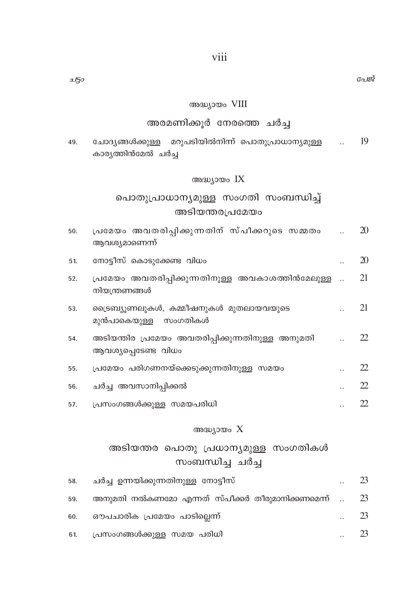#### അദ്ധ്യായം VIII

### അരമണിക്കൂർ നേരത്തെ ചർച്ച

ചോദ്യങ്ങൾക്കുള്ള മറുപടിയിൽനിന്ന് പൊതുപ്രാധാന്യമുള്ള  $\therefore$  19 49. കാര്യത്തിൻമേൽ ചർച്ച

### അദ്ധ്യായം IX

### പൊതുപ്രാധാന്യമുള്ള സംഗതി സംബന്ധിച്ച് അടിയന്തരപ്രമേയം

| 50. | പ്രമേയം അവതരിപ്പിക്കുന്നതിന് സ്പീക്കറുടെ സമ്മതം<br>ആവശ്യമാണെന്ന്        | 20 |
|-----|-------------------------------------------------------------------------|----|
| 51. | നോട്ടീസ് കൊടുക്കേണ്ട വിധം                                               | 20 |
| 52. | പ്രമേയം അവതരിപ്പിക്കുന്നതിനുള്ള അവകാശത്തിൻമേലുള്ള<br>നിയന്ത്രണങ്ങൾ      | 21 |
| 53. | ട്രൈബ്യൂണലുകൾ, കമ്മീഷനുകൾ മുതലായവയുടെ<br>മുൻപാകെയുള്ള സംഗതികൾ           | 21 |
| 54. | അടിയന്തിര പ്രമേയം അവതരിപ്പിക്കുന്നതിനുള്ള അനുമതി<br>ആവശ്യപ്പെടേണ്ട വിധം | 22 |
| 55. | പ്രമേയം പരിഗണനയ്ക്കെടുക്കുന്നതിനുള്ള സമയം                               | 22 |
| 56. | ചർച്ച അവസാനിപ്പിക്കൽ                                                    | 22 |
| 57. | പ്രസംഗങ്ങൾക്കുള്ള സമയപരിധി                                              | 22 |
|     | അദ്ധ്യായം $X$                                                           |    |

### അടിയന്തര പൊതു പ്രധാന്യമുള്ള സംഗതികൾ സംബന്ധിച്ച ചർച്ച

| 58. | ചർച്ച ഉന്നയിക്കുന്നതിനുള്ള നോട്ടീസ്                    | 23 |
|-----|--------------------------------------------------------|----|
| 59. | അനുമതി നൽകണമോ എന്നത് സ്പീക്കർ തീരുമാനിക്കണമെന്ന്    23 |    |
| 60. | ഔപചാരിക പ്രമേയം പാടില്ലെന്ന്                           | 23 |
|     | 61. പ്രസംഗങ്ങൾക്കുള്ള സമയ പരിധി                        | 23 |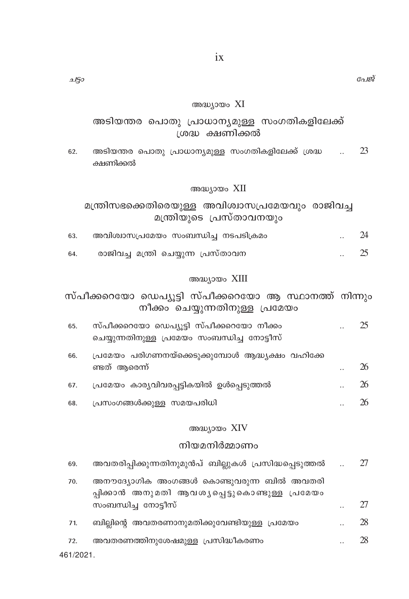#### അദ്ധ്യായം XI

### അടിയന്തര പൊതു പ്രാധാന്യമുള്ള സംഗതികളിലേക്ക് ശ്രദ്ധ ക്ഷണിക്കൽ

അടിയന്തര പൊതു പ്രാധാന്യമുള്ള സംഗതികളിലേക്ക് ശ്രദ്ധ 23 62. ക്ഷണിക്കൽ

#### അദ്ധ്യായം XII

### മന്ത്രിസഭക്കെതിരെയുള്ള അവിശ്വാസപ്രമേയവും രാജിവച്ച മന്ത്രിയുടെ പ്രസ്താവനയും

| 63. | അവിശ്വാസപ്രമേയം സംബന്ധിച്ച നടപടിക്രമം | $\cdot$ . | 24 |
|-----|---------------------------------------|-----------|----|
| 64. | രാജിവച്ച മന്ത്രി ചെയ്യുന്ന പ്രസ്താവന  | $\cdot$ . |    |

### അദ്ധ്യായം XIII

### സ്പീക്കറെയോ ഡെപ്യൂട്ടി സ്പീക്കറെയോ ആ സ്ഥാനത്ത് നിന്നും നീക്കം ചെയ്യുന്നതിനുള്ള പ്രമേയം

| 65. | സ്പീക്കറെയോ ഡെപ്യൂട്ടി സ്പീക്കറെയോ നീക്കം<br>ചെയ്യുന്നതിനുള്ള പ്രമേയം സംബന്ധിച്ച നോട്ടീസ് | 25 |
|-----|-------------------------------------------------------------------------------------------|----|
| 66. | പ്രമേയം പരിഗണനയ്ക്കെടുക്കുമ്പോൾ ആദ്ധ്യക്ഷം വഹിക്കേ<br>ണ്ടത് ആരെന്ന്                       | 26 |
| 67. | പ്രമേയം കാര്യവിവരപ്പട്ടികയിൽ ഉൾപ്പെടുത്തൽ                                                 | 26 |
| 68. | പ്രസംഗങ്ങൾക്കുള്ള സമയപരിധി                                                                | 26 |
|     |                                                                                           |    |

#### അദ്ധ്യായം XIV

### നിയമനിർമ്മാണം

| 69.      | അവതരിപ്പിക്കുന്നതിനുമുൻപ് ബില്ലുകൾ പ്രസിദ്ധപ്പെടുത്തൽ                                       |                      | 27 |
|----------|---------------------------------------------------------------------------------------------|----------------------|----|
| 70.      | അനൗദ്യോഗിക അംഗങ്ങൾ കൊണ്ടുവരുന്ന ബിൽ അവതരി<br>പ്പിക്കാൻ അനുമതി ആവശൃപ്പെട്ടുകൊണ്ടുള്ള പ്രമേയം |                      |    |
|          | സംബന്ധിച്ച നോട്ടീസ്                                                                         |                      | 27 |
| 71.      | ബില്ലിന്റെ അവതരണാനുമതിക്കുവേണ്ടിയുള്ള പ്രമേയം                                               |                      | 28 |
| 72.      | അവതരണത്തിനുശേഷമുള്ള പ്രസിദ്ധീകരണം                                                           | $\ddot{\phantom{a}}$ | 28 |
| 461/2021 |                                                                                             |                      |    |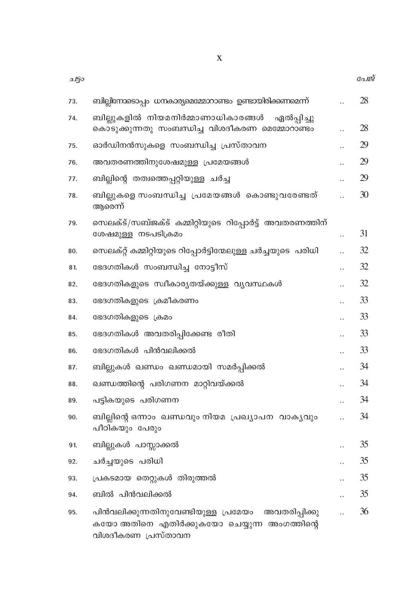| ചട്ടാ |                                                                                                                            |           | പേജ് |
|-------|----------------------------------------------------------------------------------------------------------------------------|-----------|------|
| 73.   | ബില്ലിനോടൊപ്പം ധനകാര്യമെമ്മോറാണ്ടം ഉണ്ടായിരിക്കണമെന്ന്                                                                     |           | 28   |
| 74.   | ബില്ലുകളിൽ നിയമനിർമ്മാണാധികാരങ്ങൾ<br>ഏൽപ്പിച്ചു<br>കൊടുക്കുന്നതു സംബന്ധിച്ച വിശദീകരണ മെമ്മോറാണ്ടം                          |           | 28   |
| 75.   | ഓർഡിനൻസുകളെ സംബന്ധിച്ച പ്രസ്താവന                                                                                           |           | 29   |
| 76.   | അവതരണത്തിനുശേഷമുള്ള പ്രമേയങ്ങൾ                                                                                             |           | 29   |
| 77.   | ബില്ലിന്റെ തത്വത്തെപ്പറ്റിയുള്ള ചർച്ച                                                                                      |           | 29   |
| 78.   | ബില്ലുകളെ സംബന്ധിച്ചു പ്രമേയങ്ങൾ കൊണ്ടുവരേണ്ടത്<br>ആരെന്ന്                                                                 |           | 30   |
| 79.   | സെലക്ട്/സബ്ജക്ട് കമ്മിറ്റിയുടെ റിപ്പോർട്ട് അവതരണത്തിന്<br>ശേഷമുള്ള നടപടിക്രമം                                              |           | 31   |
| 80.   | സെലക്റ്റ് കമ്മിറ്റിയുടെ റിപ്പോർട്ടിന്മേലുള്ള ചർച്ചയുടെ  പരിധി                                                              |           | 32   |
| 81.   | ഭേദഗതികൾ സംബന്ധിച്ച നോട്ടീസ്                                                                                               |           | 32   |
| 82.   | ഭേദഗതികളുടെ സ്വീകാര്യതയ്ക്കുള്ള വ്യവസ്ഥകൾ                                                                                  |           | 32   |
| 83.   | ഭേദഗതികളുടെ ക്രമീകരണം                                                                                                      |           | 33   |
| 84.   | ഭേദഗതികളുടെ ക്രമം                                                                                                          |           | 33   |
| 85.   | ഭേദഗതികൾ അവതരിപ്പിക്കേണ്ട രീതി                                                                                             |           | 33   |
| 86.   | ഭേദഗതികൾ പിൻവലിക്കൽ                                                                                                        |           | 33   |
| 87.   | ബില്ലുകൾ ഖണ്ഡം ഖണ്ഡമായി സമർപ്പിക്കൽ                                                                                        |           | 34   |
| 88.   | ഖണ്ഡത്തിന്റെ പരിഗണന മാറ്റിവയ്ക്കൽ                                                                                          | $\ddotsc$ | 34   |
| 89.   | പട്ടികയുടെ പരിഗണന                                                                                                          |           | 34   |
| 90.   | ബില്ലിന്റെ ഒന്നാം ഖണ്ഡവും നിയമ പ്രഖ്യാപന വാക്യവും<br>പീഠികയും പേരും                                                        |           | 34   |
| 91.   | ബില്ലുകൾ പാസ്സാക്കൽ                                                                                                        |           | 35   |
| 92.   | ചർച്ചയുടെ പരിധി                                                                                                            |           | 35   |
| 93.   | പ്രകടമായ തെറ്റുകൾ തിരുത്തൽ                                                                                                 |           | 35   |
| 94.   | ബിൽ പിൻവലിക്കൽ                                                                                                             |           | 35   |
| 95.   | പിൻവലിക്കുന്നതിനുവേണ്ടിയുള്ള പ്രമേയം<br>അവതരിപ്പിക്കു<br>കയോ അതിനെ എതിർക്കുകയോ ചെയ്യുന്ന അംഗത്തിന്റെ<br>വിശദീകരണ പ്രസ്താവന |           | 36   |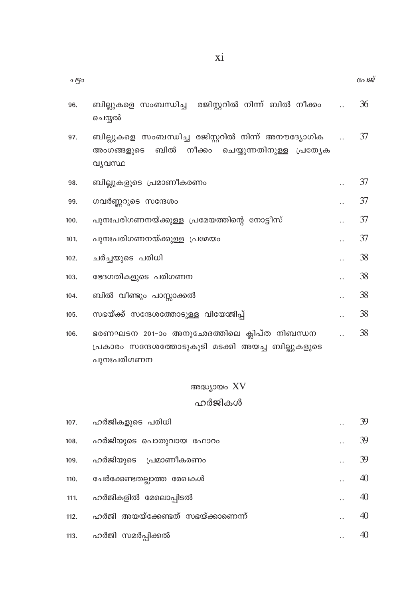| 250  |                                                                                                                        | പേജ് |
|------|------------------------------------------------------------------------------------------------------------------------|------|
| 96.  | ബില്ലുകളെ സംബന്ധിച്ച  രജിസ്റ്ററിൽ നിന്ന് ബിൽ നീക്കം<br>ചെയ്യൽ                                                          | 36   |
| 97.  | ബില്ലുകളെ സംബന്ധിച്ച രജിസ്റ്ററിൽ നിന്ന് അനൗദ്യോഗിക<br>ബിൽ നീക്കം<br>ചെയ്യുന്നതിനുള്ള പ്രത്യേക<br>അംഗങ്ങളുടെ<br>വ്യവസ്ഥ | 37   |
| 98.  | ബില്ലുകളുടെ പ്രമാണീകരണം                                                                                                | 37   |
| 99.  | ഗവർണ്ണറുടെ സന്ദേശം                                                                                                     | 37   |
| 100. | പുനഃപരിഗണനയ്ക്കുള്ള പ്രമേയത്തിന്റെ നോട്ടീസ്                                                                            | 37   |
| 101. | പുനഃപരിഗണനയ്ക്കുള്ള പ്രമേയം                                                                                            | 37   |
| 102. | ചർച്ചയുടെ പരിധി                                                                                                        | 38   |
| 103. | ഭേദഗതികളുടെ പരിഗണന                                                                                                     | 38   |
| 104. | ബിൽ വീണ്ടും പാസ്സാക്കൽ                                                                                                 | 38   |
| 105. | സഭയ്ക്ക് സന്ദേശത്തോടുള്ള വിയോജിപ്പ്                                                                                    | 38   |
| 106. | ഭരണഘടന 201-ാം അനുഛേദത്തിലെ ക്ലിപ്ത നിബന്ധന<br>പ്രകാരം സന്ദേശത്തോടുകൂടി മടക്കി അയച്ച ബില്ലുകളുടെ<br>പുനഃപരിഗണന          | 38   |

അദ്ധ്യായം XV

### ഹർജികൾ

ഹർജികളുടെ പരിധി 39  $107.$  $\ddotsc$ 39 ഹർജിയുടെ പൊതുവായ ഫോറം  $108.$  $\ddot{\phantom{a}}$ 39 ഹർജിയുടെ പ്രമാണീകരണം 109.  $\ddots$ ചേർക്കേണ്ടതല്ലാത്ത രേഖകൾ 40 110.  $\ddots$ ഹർജികളിൽ മേലൊപ്പിടൽ 40  $111.$  $\ddots$ ഹർജി അയയ്ക്കേണ്ടത് സഭയ്ക്കാണെന്ന്  $112.$ 40  $\dddot{\phantom{0}}$ 40 ഹർജി സമർപ്പിക്കൽ  $113.$  $\ddotsc$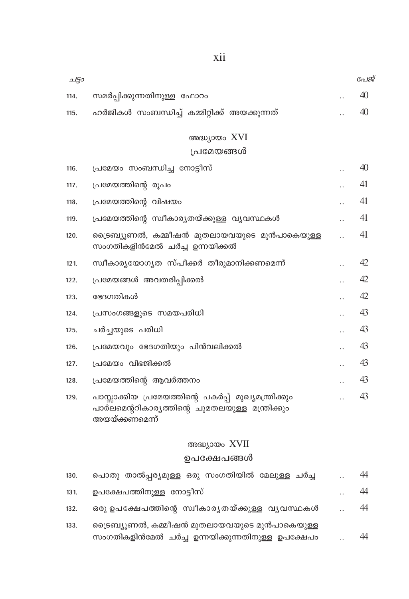| 2150 |                                                                                                                            |                      | പേജ് |
|------|----------------------------------------------------------------------------------------------------------------------------|----------------------|------|
| 114. | സമർപ്പിക്കുന്നതിനുള്ള ഫോറം                                                                                                 |                      | 40   |
| 115. | ഹർജികൾ സംബന്ധിച്ച് കമ്മിറ്റിക്ക് അയക്കുന്നത്                                                                               |                      | 40   |
|      | അദ്ധ്യായം XVI                                                                                                              |                      |      |
|      | പ്രമേയങ്ങൾ                                                                                                                 |                      |      |
| 116. | പ്രമേയം സംബന്ധിച്ച നോട്ടീസ്                                                                                                |                      | 40   |
|      |                                                                                                                            |                      | 41   |
| 117. | പ്രമേയത്തിന്റെ രൂപം                                                                                                        |                      |      |
| 118. | പ്രമേയത്തിന്റെ വിഷയം                                                                                                       |                      | 41   |
| 119. | പ്രമേയത്തിന്റെ സ്വീകാര്യതയ്ക്കുള്ള വ്യവസ്ഥകൾ                                                                               |                      | 41   |
| 120. | ട്രൈബ്യൂണൽ, കമ്മീഷൻ മുതലായവയുടെ മുൻപാകെയുള്ള<br>സംഗതികളിൻമേൽ ചർച്ച ഉന്നയിക്കൽ                                              |                      | 41   |
| 121. | സ്ഥീകാര്യയോഗൃത സ്പീക്കർ തീരുമാനിക്കണമെന്ന്                                                                                 |                      | 42   |
| 122. | പ്രമേയങ്ങൾ അവതരിപ്പിക്കൽ                                                                                                   |                      | 42   |
| 123. | ഭേദഗതികൾ                                                                                                                   |                      | 42   |
| 124. | പ്രസംഗങ്ങളുടെ സമയപരിധി                                                                                                     |                      | 43   |
| 125. | ചർച്ചയുടെ പരിധി                                                                                                            |                      | 43   |
| 126. | പ്രമേയവും ഭേദഗതിയും പിൻവലിക്കൽ                                                                                             | $\ddot{\phantom{0}}$ | 43   |
| 127. | പ്രമേയം വിഭജിക്കൽ                                                                                                          |                      | 43   |
| 128. | പ്രമേയത്തിന്റെ ആവർത്തനം                                                                                                    |                      | 43   |
| 129. | പാസ്സാക്കിയ പ്രമേയത്തിന്റെ പകർപ്പ് മുഖ്യമന്ത്രിക്കും<br>പാർലമെന്ററികാര്യത്തിന്റെ ചുമതലയുള്ള മന്ത്രിക്കും<br>അയയ്ക്കണമെന്ന് |                      | 43   |

### അദ്ധ്യായം XVII

### ഉപക്ഷേപങ്ങൾ

| 130. | പൊതു താൽപ്പര്യമുള്ള ഒരു സംഗതിയിൽ മേലുള്ള ചർച്ച                                                   | $\ddotsc$            | 44 |
|------|--------------------------------------------------------------------------------------------------|----------------------|----|
| 131. | ഉപക്ഷേപത്തിനുള്ള നോട്ടീസ്                                                                        | $\cdot$ .            | 44 |
| 132. | ഒരു ഉപക്ഷേപത്തിന്റെ സ്വീകാരൃതയ്ക്കുള്ള വൃവസ്ഥകൾ                                                  | $\ddot{\phantom{a}}$ | 44 |
| 133. | ട്രൈബ്യൂണൽ, കമ്മീഷൻ മുതലായവയുടെ മുൻപാകെയുള്ള<br>സംഗതികളിൻമേൽ ചർച്ച ഉന്നയിക്കുന്നതിനുള്ള ഉപക്ഷേപം |                      | 44 |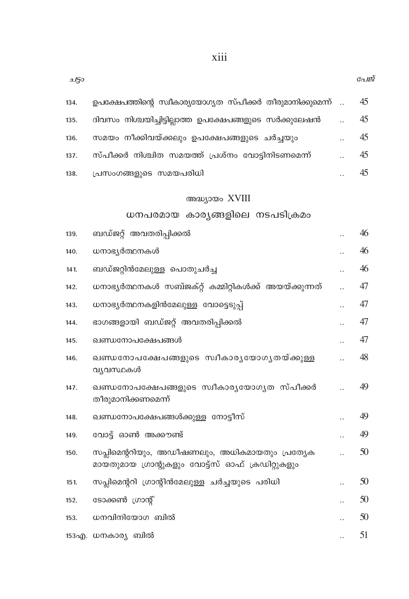| 250  |                                                                                                    |                      | പേ |
|------|----------------------------------------------------------------------------------------------------|----------------------|----|
| 134. | ഉപക്ഷേപത്തിന്റെ സ്ഥകാര്യയോഗ്യത സ്പീക്കർ തീരുമാനിക്കുമെന്ന്                                         | $\ddotsc$            | 45 |
| 135. | ദിവസം നിശ്ചയിച്ചിട്ടില്ലാത്ത ഉപക്ഷേപങ്ങളുടെ സർക്കുലേഷൻ                                             |                      | 45 |
| 136. | സമയം നീക്കിവയ്ക്കലും ഉപക്ഷേപങ്ങളുടെ ചർച്ചയും                                                       |                      | 45 |
| 137. | സ്പീക്കർ നിശ്ചിത സമയത്ത് പ്രശ്നം വോട്ടിനിടണമെന്ന്                                                  |                      | 45 |
| 138. | പ്രസംഗങ്ങളുടെ സമയപരിധി                                                                             |                      | 45 |
|      | അദ്ധ്യായം XVIII                                                                                    |                      |    |
|      | ധനപരമായ കാര്യങ്ങളിലെ നടപടിക്രമം                                                                    |                      |    |
| 139. | ബഡ്ജറ്റ് അവതരിപ്പിക്കൽ                                                                             |                      | 46 |
| 140. | ധനാഭൃർത്ഥനകൾ                                                                                       |                      | 46 |
| 141. | ബഡ്ജറ്റിൻമേലുള്ള പൊതുചർച്ച                                                                         |                      | 46 |
| 142. | ധനാഭ്യർത്ഥനകൾ സബ്ജക്റ്റ് കമ്മിറ്റികൾക്ക് അയയ്ക്കുന്നത്                                             |                      | 47 |
| 143. | ധനാഭൃർത്ഥനകളിൻമേലുള്ള വോട്ടെടുപ്പ്                                                                 |                      | 47 |
| 144. | ഭാഗങ്ങളായി ബഡ്ജറ്റ് അവതരിപ്പിക്കൽ                                                                  | $\ddot{\phantom{a}}$ | 47 |
| 145. | ഖണ്ഡനോപക്ഷേപങ്ങൾ                                                                                   |                      | 47 |
| 146. | ഖണ്ഡനോപക്ഷേപങ്ങളുടെ സ്വീകാരൃയോഗൃതയ്ക്കുള്ള<br>വ്യവസ്ഥകൾ                                            |                      | 48 |
| 147. | ഖണ്ഡനോപക്ഷേപങ്ങളുടെ സ്വീകാരൃയോഗൃത സ്പീക്കർ<br>തീരുമാനിക്കണമെന്ന്                                   |                      | 49 |
| 148. | ഖണ്ഡനോപക്ഷേപങ്ങൾക്കുള്ള നോട്ടീസ്                                                                   |                      | 49 |
| 149. | വോട്ട് ഓൺ അക്കൗണ്ട്                                                                                |                      | 49 |
| 150. | സപ്ലിമെന്ററിയും, അഡീഷണലും, അധികമായതും പ്രത്യേക<br>മായതുമായ ഗ്രാന്റുകളും വോട്ട്സ് ഓഫ് ക്രഡിറ്റുകളും |                      | 50 |
| 151. | സപ്ലിമെന്ററി ഗ്രാന്റിൻമേലുള്ള ചർച്ചയുടെ പരിധി                                                      |                      | 50 |
| 152. | ടോക്കൺ ഗ്രാന്റ്                                                                                    |                      | 50 |
| 153. | ധനവിനിയോഗ ബിൽ                                                                                      |                      | 50 |
|      | 153എ. ധനകാര്യ ബിൽ                                                                                  |                      | 51 |

หู้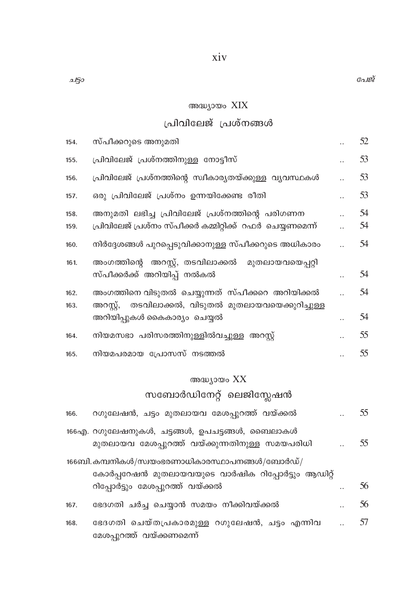### അദ്ധ്യായം XIX

### പ്രിവിലേജ് പ്രശ്നങ്ങൾ

| 154.         | സ്പീക്കറുടെ അനുമതി                                                                                           | 52       |
|--------------|--------------------------------------------------------------------------------------------------------------|----------|
| 155.         | പ്രിവിലേജ് പ്രശ്നത്തിനുള്ള നോട്ടീസ്                                                                          | 53       |
| 156.         | പ്രിവിലേജ് പ്രശ്നത്തിന്റെ സ്വീകാര്യതയ്ക്കുള്ള വ്യവസ്ഥകൾ                                                      | 53       |
| 157.         | ഒരു പ്രിവിലേജ് പ്രശ്നം ഉന്നയിക്കേണ്ട രീതി                                                                    | 53       |
| 158.<br>159. | അനുമതി ലഭിച്ച പ്രിവിലേജ് പ്രശ്നത്തിന്റെ പരിഗണന<br>പ്രിവിലേജ് പ്രശ്നം സ്പീക്കർ കമ്മിറ്റിക്ക് റഫർ ചെയ്യണമെന്ന് | 54<br>54 |
| 160.         | നിർദ്ദേശങ്ങൾ പുറപ്പെടുവിക്കാനുള്ള സ്പീക്കറുടെ അധികാരം                                                        | 54       |
| 161.         | അംഗത്തിന്റെ അറസ്റ്റ്, തടവിലാക്കൽ<br>മുതലായവയെപ്പറ്റി<br>സ്പീക്കർക്ക് അറിയിപ്പ് നൽകൽ                          | 54       |
| 162.         | അംഗത്തിനെ വിടുതൽ ചെയ്യുന്നത് സ്പീക്കറെ അറിയിക്കൽ                                                             | 54       |
| 163.         | തടവിലാക്കൽ, വിടുതൽ മുതലായവയെക്കുറിച്ചുള്ള<br>അറസ്റ്റ്,<br>അറിയിപ്പുകൾ കൈകാര്യം ചെയ്യൽ                        | 54       |
| 164.         | നിയമസഭാ പരിസരത്തിനുള്ളിൽവച്ചുള്ള അറസ്റ്റ്                                                                    | 55       |
| 165.         | നിയമപരമായ പ്രോസസ് നടത്തൽ                                                                                     | 55       |
|              | അദ്ധ്യായം XX                                                                                                 |          |
|              | സബോർഡിനേറ്റ് ലെജിസ്ലേഷൻ                                                                                      |          |
| 166.         | റഗുലേഷൻ, ചട്ടം മുതലായവ മേശപ്പുറത്ത് വയ്ക്കൽ                                                                  | 55       |
|              | 166എ. റഗുലേഷനുകൾ, ചട്ടങ്ങൾ, ഉപചട്ടങ്ങൾ, ബൈലാകൾ<br>മുതലായവ മേശപ്പുറത്ത് വയ്ക്കുന്നതിനുള്ള സമയപരിധി            | 55       |
|              | $166$ ബി. കമ്പനികൾ/സ്വയംഭരണാധികാരസ്ഥാപനങ്ങൾ/ബോർഡ്/<br>കോർപ്പറേഷൻ മുതലായവയുടെ വാർഷിക റിപ്പോർട്ടും ആഡിറ്റ്     |          |
|              | റിപ്പോർട്ടും മേശപ്പുറത്ത് വയ്ക്കൽ                                                                            | 56       |
| 167.         | ഭേദഗതി ചർച്ച ചെയ്യാൻ സമയം നീക്കിവയ്ക്കൽ                                                                      | 56       |
|              |                                                                                                              |          |

ഭേദഗതി ചെയ്തപ്രകാരമുള്ള റഗുലേഷൻ, ചട്ടം എന്നിവ .. 57 168. മേശപ്പുറത്ത് വയ്ക്കണമെന്ന്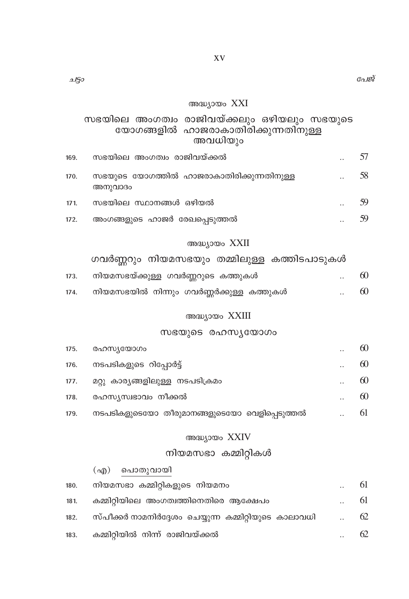### അദ്ധ്യായം XXI

സഭയിലെ അംഗത്വം രാജിവയ്ക്കലും ഒഴിയലും സഭയുടെ യോഗങ്ങളിൽ ഹാജരാകാതിരിക്കുന്നതിനുള്ള അവധിയും

| 169. | സഭയിലെ അംഗത്വം രാജിവയ്ക്കൽ                           |                      |    |
|------|------------------------------------------------------|----------------------|----|
| 170. | സഭയുടെ യോഗത്തിൽ ഹാജരാകാതിരിക്കുന്നതിനുള്ള<br>അനുവാദം | $\ddot{\phantom{a}}$ | 58 |
| 171. | സഭയിലെ സ്ഥാനങ്ങൾ ഒഴിയൽ                               |                      | 59 |
| 172. | അംഗങ്ങളുടെ ഹാജർ രേഖപ്പെടുത്തൽ                        |                      |    |

### അദ്ധ്യായം XXII

ഗവർണ്ണറും നിയമസഭയും തമ്മിലുള്ള കത്തിടപാടുകൾ

| 173. | നിയമസഭയ്ക്കുള്ള ഗവർണ്ണറുടെ കത്തുകൾ       | $\cdot$ . | 60 |
|------|------------------------------------------|-----------|----|
| 174. | നിയമസഭയിൽ നിന്നും ഗവർണ്ണർക്കുള്ള കത്തുകൾ |           | 60 |

#### അദ്ധ്യായം XXIII

### $m$ ഭയുടെ രഹസ്യയോഗം

| 175. | രഹസ്യയോഗം                                    | <br>60 |
|------|----------------------------------------------|--------|
| 176. | നടപടികളുടെ റിപ്പോർട്ട്                       | 60     |
| 177. | മറ്റു കാര്യങ്ങളിലുള്ള നടപടിക്രമം             | 60     |
| 178. | രഹസ്യസ്വഭാവം നീക്കൽ                          | 60     |
| 179. | നടപടികളുടെയോ തീരുമാനങ്ങളുടെയോ വെളിപ്പെടുത്തൽ | <br>61 |

### അദ്ധ്യായം XXIV

### നിയമസഭാ കമ്മിറ്റികൾ

|      | (എ) പൊതുവായി                                          |    |
|------|-------------------------------------------------------|----|
| 180. | നിയമസഭാ കമ്മിറ്റികളുടെ നിയമനം                         | 61 |
| 181. | കമ്മിറ്റിയിലെ അംഗത്വത്തിനെതിരെ ആക്ഷേപം                | 61 |
| 182. | സ്പീക്കർ നാമനിർദ്ദേശം ചെയ്യുന്ന കമ്മിറ്റിയുടെ കാലാവധി | 62 |
| 183. | കമ്മിറ്റിയിൽ നിന്ന് രാജിവയ്ക്കൽ                       | 62 |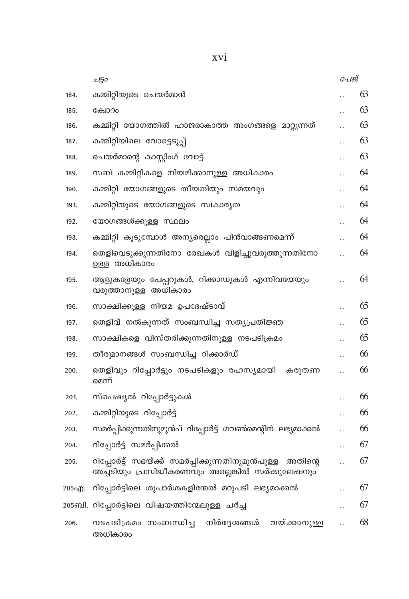|       | ച50                                                                                                           | പേജ്                 |    |
|-------|---------------------------------------------------------------------------------------------------------------|----------------------|----|
| 184.  | കമ്മിറ്റിയുടെ ചെയർമാൻ                                                                                         |                      | 63 |
| 185.  | ക്രോറം                                                                                                        |                      | 63 |
| 186.  | കമ്മിറ്റി യോഗത്തിൽ ഹാജരാകാത്ത അംഗങ്ങളെ മാറ്റുന്നത്                                                            |                      | 63 |
| 187.  | കമ്മിറ്റിയിലെ വോട്ടെടുപ്പ്                                                                                    | $\ddot{\phantom{a}}$ | 63 |
| 188.  | ചെയർമാന്റെ കാസ്റ്റിംഗ് വോട്ട്                                                                                 |                      | 63 |
| 189.  | സബ് കമ്മിറ്റികളെ നിയമിക്കാനുള്ള അധികാരം                                                                       |                      | 64 |
| 190.  | കമ്മിറ്റി യോഗങ്ങളുടെ തീയതിയും സമയവും                                                                          |                      | 64 |
| 191.  | കമ്മിറ്റിയുടെ യോഗങ്ങളുടെ സ്വകാര്യത                                                                            |                      | 64 |
| 192.  | യോഗങ്ങൾക്കുള്ള സ്ഥലം                                                                                          | $\ddot{\phantom{0}}$ | 64 |
| 193.  | കമ്മിറ്റി കൂടുമ്പോൾ അന്യരെല്ലാം പിൻവാങ്ങണമെന്ന്                                                               |                      | 64 |
| 194.  | തെളിവെടുക്കുന്നതിനോ രേഖകൾ വിളിച്ചുവരുത്തുന്നതിനോ<br>ഉള്ള അധികാരം                                              | $\ddot{\phantom{a}}$ | 64 |
| 195.  | ആളുകളേയും പേപ്പറുകൾ, റിക്കാഡുകൾ എന്നിവയേയും<br>വരുത്താനുള്ള അധികാരം                                           | $\ddot{\phantom{a}}$ | 64 |
| 196.  | സാക്ഷിക്കുള്ള നിയമ ഉപദേഷ്ടാവ്                                                                                 |                      | 65 |
| 197.  | തെളിവ് നൽകുന്നത് സംബന്ധിച്ച സത്യപ്രതിജ്ഞ                                                                      |                      | 65 |
| 198.  | സാക്ഷികളെ വിസ്തരിക്കുന്നതിനുള്ള നടപടിക്രമം                                                                    |                      | 65 |
| 199.  | തീരുമാനങ്ങൾ സംബന്ധിച്ച റിക്കാർഡ്                                                                              |                      | 66 |
| 200.  | തെളിവും റിപ്പോർട്ടും നടപടികളും രഹസ്യമായി കരുതണ<br>മെന്ന്                                                      | $\ddot{\phantom{a}}$ | 66 |
| 201.  | സ്പെഷ്യൽ റിപ്പോർട്ടുകൾ                                                                                        |                      | 66 |
| 202.  | കമ്മിറ്റിയുടെ റിപ്പോർട്ട്                                                                                     |                      | 66 |
| 203.  | സമർപ്പിക്കുന്നതിനുമുൻപ് റിപ്പോർട്ട് ഗവൺമെന്റിന് ലഭ്യമാക്കൽ                                                    | $\ddot{\phantom{a}}$ | 66 |
| 204.  | റിപ്പോർട്ട് സമർപ്പിക്കൽ                                                                                       |                      | 67 |
| 205.  | റിപ്പോർട്ട് സഭയ്ക്ക് സമർപ്പിക്കുന്നതിനുമുൻപുള്ള<br>അതിനെ<br>അച്ചടിയും പ്രസിദ്ധീകരണവും അല്ലെങ്കിൽ സർക്കുലേഷനും | $\ddot{\phantom{a}}$ | 67 |
| 205എ. | റിപ്പോർട്ടിലെ ശുപാർശകളിന്മേൽ മറുപടി ലഭ്യമാക്കൽ                                                                |                      | 67 |
|       | 205ബി. റിപ്പോർട്ടിലെ വിഷയത്തിന്മേലുള്ള ചർച്ച                                                                  |                      | 67 |
| 206.  | നടപടിക്രമം സംബന്ധിച്ച നിർദ്ദേശങ്ങൾ വയ്ക്കാനുള്ള<br>അധികാരം                                                    |                      | 68 |

xvi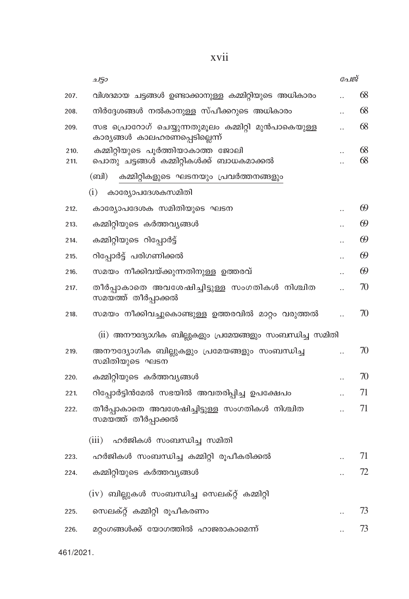xvii

|      | ചട്ടാ                                                                                | പേജ്                 |    |
|------|--------------------------------------------------------------------------------------|----------------------|----|
| 207. | വിശദമായ ചട്ടങ്ങൾ ഉണ്ടാക്കാനുള്ള കമ്മിറ്റിയുടെ അധികാരം                                |                      | 68 |
| 208. | നിർദ്ദേശങ്ങൾ നൽകാനുള്ള സ്പീക്കറുടെ അധികാരം                                           |                      | 68 |
| 209. | സഭ പ്രൊറോഗ് ചെയ്യുന്നതുമൂലം കമ്മിറ്റി മുൻപാകെയുള്ള<br>കാര്യങ്ങൾ കാലഹരണപ്പെടില്ലെന്ന് |                      | 68 |
| 210. | കമ്മിറ്റിയുടെ പൂർത്തിയാകാത്ത ജോലി                                                    |                      | 68 |
| 211. | പൊതു ചട്ടങ്ങൾ കമ്മിറ്റികൾക്ക് ബാധകമാക്കൽ                                             | $\ddot{\phantom{a}}$ | 68 |
|      | (ബി)<br>കമ്മിറ്റികളുടെ ഘടനയും പ്രവർത്തനങ്ങളും                                        |                      |    |
|      | (i)<br>കാര്യോപദേശകസമിതി                                                              |                      |    |
| 212. | കാര്യോപദേശക സമിതിയുടെ ഘടന                                                            |                      | 69 |
| 213. | കമ്മിറ്റിയുടെ കർത്തവ്യങ്ങൾ                                                           |                      | 69 |
| 214. | കമ്മിറ്റിയുടെ റിപ്പോർട്ട്                                                            |                      | 69 |
| 215. | റിപ്പോർട്ട് പരിഗണിക്കൽ                                                               |                      | 69 |
| 216. | സമയം നീക്കിവയ്ക്കുന്നതിനുള്ള ഉത്തരവ്                                                 |                      | 69 |
| 217. | തീർപ്പാകാതെ അവശേഷിച്ചിട്ടുള്ള സംഗതികൾ നിശ്ചിത<br>സമയ്ത്ത് തീർപ്പാക്കൽ                | $\ddot{\phantom{a}}$ | 70 |
| 218. | സമയം നീക്കിവച്ചുകൊണ്ടുള്ള ഉത്തരവിൽ മാറ്റം വരുത്തൽ                                    |                      | 70 |
|      | (ii) അനൗദ്യോഗിക ബില്ലുകളും പ്രമേയങ്ങളും സംബന്ധിച്ച സമിതി                             |                      |    |
| 219. | അനൗദ്യോഗിക ബില്ലുകളും പ്രമേയങ്ങളും സംബന്ധിച്ച<br>സമിതിയുടെ ഘടന                       | $\ddot{\phantom{0}}$ | 70 |
| 220. | കമ്മിറ്റിയുടെ കർത്തവ്യങ്ങൾ                                                           |                      | 70 |
| 221. | റിപ്പോർട്ടിൻമേൽ സഭയിൽ അവതരിപ്പിച്ച ഉപക്ഷേപം                                          |                      | 71 |
| 222. | തീർപ്പാകാതെ അവശേഷിച്ചിട്ടുള്ള സംഗതികൾ നിശ്ചിത<br>സമയത്ത് തീർപ്പാക്കൽ                 |                      | 71 |
|      | (iii)<br>ഹർജികൾ സംബന്ധിച്ച സമിതി                                                     |                      |    |
| 223. | ഹർജികൾ സംബന്ധിച്ച കമ്മിറ്റി രൂപീകരിക്കൽ                                              |                      | 71 |
| 224. | കമ്മിറ്റിയുടെ കർത്തവ്യങ്ങൾ                                                           |                      | 72 |
|      | (iv) ബില്ലുകൾ സംബന്ധിച്ച സെലക്റ്റ് കമ്മിറ്റി                                         |                      |    |
|      |                                                                                      |                      |    |
| 225. | സെലക്റ്റ് കമ്മിറ്റി രൂപീകരണം                                                         |                      | 73 |
| 226. | മറ്റംഗങ്ങൾക്ക് യോഗത്തിൽ ഹാജരാകാമെന്ന്                                                |                      | 73 |
|      |                                                                                      |                      |    |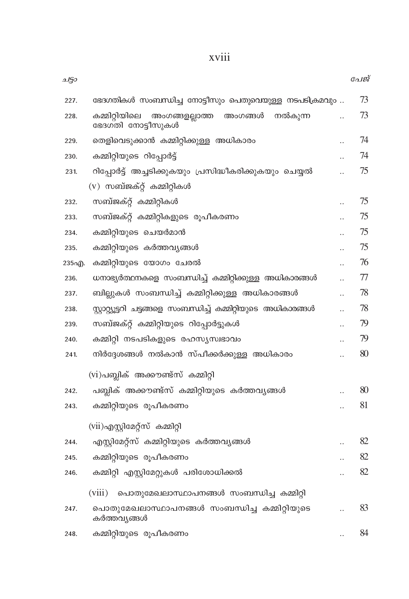| 227.  | ഭേദഗതികൾ സംബന്ധിച്ച നോട്ടീസും പെതുവെയുള്ള നടപടിക്രമവും                      | 73     |
|-------|-----------------------------------------------------------------------------|--------|
| 228.  | കമ്മിറ്റിയിലെ<br>നൽകുന്ന<br>അംഗങ്ങളല്ലാത്ത<br>അംഗങ്ങൾ<br>ഭേദഗ്തി നോട്ടീസുകൾ | 73     |
| 229.  | തെളിവെടുക്കാൻ കമ്മിറ്റിക്കുള്ള അധികാരം                                      | <br>74 |
| 230.  | കമ്മിറ്റിയുടെ റിപ്പോർട്ട്                                                   | 74     |
| 231.  | റിപ്പോർട്ട് അച്ചടിക്കുകയും പ്രസിദ്ധീകരിക്കുകയും ചെയ്യൽ                      | 75     |
|       | (v) സബ്ജക്റ്റ് കമ്മിറ്റികൾ                                                  |        |
| 232.  | സബ്ജക്റ്റ് കമ്മിറ്റികൾ                                                      | 75     |
| 233.  | സബ്ജക്റ്റ് കമ്മിറ്റികളുടെ രൂപീകരണം                                          | 75     |
| 234.  | കമ്മിറ്റിയുടെ ചെയർമാൻ                                                       | 75     |
| 235.  | കമ്മിറ്റിയുടെ കർത്തവ്യങ്ങൾ                                                  | 75     |
| 235എ. | കമ്മിറ്റിയുടെ യോഗം ചേരൽ                                                     | 76     |
| 236.  | ധനാഭ്യർത്ഥനകളെ സംബന്ധിച്ച് കമ്മിറ്റിക്കുള്ള അധികാരങ്ങൾ                      | 77     |
| 237.  | ബില്ലുകൾ സംബന്ധിച്ച് കമ്മിറ്റിക്കുള്ള അധികാരങ്ങൾ                            | 78     |
| 238.  | സ്റ്റാറ്റ്യൂട്ടറി ചട്ടങ്ങളെ സംബന്ധിച്ച് കമ്മിറ്റിയുടെ അധികാരങ്ങൾ            | 78     |
| 239.  | സബ്ജക്റ്റ് കമ്മിറ്റിയുടെ റിപ്പോർട്ടുകൾ                                      | 79     |
| 240.  | കമ്മിറ്റി നടപടികളുടെ രഹസ്യസ്വഭാവം                                           | 79     |
| 241.  | നിർദ്ദേശങ്ങൾ നൽകാൻ സ്പീക്കർക്കുള്ള അധികാരം                                  | 80     |
|       | (vi)പബ്ലിക് അക്കൗണ്ട്സ് കമ്മിറ്റി                                           |        |
| 242.  | പബ്ലിക് അക്കൗണ്ട്സ് കമ്മിറ്റിയുടെ കർത്തവൃങ്ങൾ                               | 80     |
| 243.  | കമ്മിറ്റിയുടെ രൂപീകരണം                                                      | 81     |
|       | (vii)എസ്റ്റിമേറ്റ്സ് കമ്മിറ്റി                                              |        |
| 244.  | എസ്റ്റിമേറ്റ്സ് കമ്മിറ്റിയുടെ കർത്തവ്യങ്ങൾ                                  | 82     |
| 245.  | കമ്മിറ്റിയുടെ രൂപീകരണം                                                      | 82     |
| 246.  | കമ്മിറ്റി എസ്റ്റിമേറ്റുകൾ പരിശോധിക്കൽ                                       | 82     |
|       | (viii)<br>പൊതുമേഖലാസ്ഥാപനങ്ങൾ സംബന്ധിച്ച കമ്മിറ്റി                          |        |
| 247.  | പൊതുമേഖലാസ്ഥാപനങ്ങൾ സംബന്ധിച്ച കമ്മിറ്റിയുടെ<br>കർത്തവ്യങ്ങൾ                | 83     |
| 248.  | കമ്മിറ്റിയുടെ രൂപീകരണം                                                      | 84     |

### xviii

ചട്ടാ

പേജ്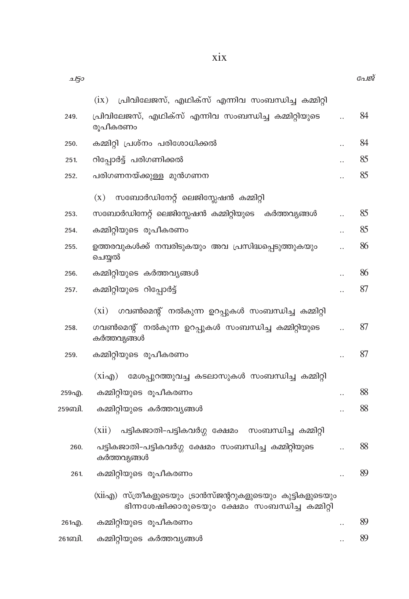| 2150   |                                                                                                                |                      | $\mathcal{C}$ ali |
|--------|----------------------------------------------------------------------------------------------------------------|----------------------|-------------------|
|        | പ്രിവിലേജസ്, എഥിക്സ് എന്നിവ സംബന്ധിച്ച കമ്മിറ്റി<br>(ix)                                                       |                      |                   |
| 249.   | പ്രിവിലേജസ്, എഥിക്സ് എന്നിവ സംബന്ധിച്ച കമ്മിറ്റിയുടെ<br>രൂപീകരണം                                               | $\ddotsc$            | 84                |
| 250.   | കമ്മിറ്റി പ്രശ്നം പരിശോധിക്കൽ                                                                                  |                      | 84                |
| 251.   | റിപ്പോർട്ട് പരിഗണിക്കൽ                                                                                         |                      | 85                |
| 252.   | പരിഗണനയ്ക്കുള്ള മുൻഗണന                                                                                         |                      | 85                |
|        | സബോർഡിനേറ്റ് ലെജിസ്ലേഷൻ കമ്മിറ്റി<br>(X)                                                                       |                      |                   |
| 253.   | സബോർഡിനേറ്റ് ലെജിസ്സേഷൻ കമ്മിറ്റിയുടെ<br>കർത്തവ്യങ്ങൾ                                                          |                      | 85                |
| 254.   | കമ്മിറ്റിയുടെ രൂപീകരണം                                                                                         |                      | 85                |
| 255.   | ഉത്തരവുകൾക്ക് നമ്പരിടുകയും അവ പ്രസിദ്ധപ്പെടുത്തുകയും<br>ചെയ്യൽ                                                 |                      | 86                |
| 256.   | കമ്മിറ്റിയുടെ കർത്തവ്യങ്ങൾ                                                                                     |                      | 86                |
| 257.   | കമ്മിറ്റിയുടെ റിപ്പോർട്ട്                                                                                      |                      | 87                |
|        | ഗവൺമെന്റ് നൽകുന്ന ഉറപ്പുകൾ സംബന്ധിച്ച കമ്മിറ്റി<br>$(x_i)$                                                     |                      |                   |
| 258.   | ഗവൺമെന്റ് നൽകുന്ന ഉറപ്പുകൾ സംബന്ധിച്ച കമ്മിറ്റിയുടെ<br>കർത്തവ്യങ്ങൾ                                            | $\ddot{\phantom{a}}$ | 87                |
| 259.   | കമ്മിറ്റിയുടെ രൂപീകരണം                                                                                         |                      | 87                |
|        | മേശപ്പുറത്തുവച്ച കടലാസുകൾ സംബന്ധിച്ച കമ്മിറ്റി<br>$(xi \nightharpoonup \mathfrak{g})$                          |                      |                   |
| 259എ.  | കമ്മിറ്റിയുടെ രൂപീകരണം                                                                                         |                      | 88                |
| 259ബി. | കമ്മിറ്റിയുടെ കർത്തവ്യങ്ങൾ                                                                                     |                      | 88                |
|        | (xii)<br>പട്ടികജാതി-പട്ടികവർഗ്ഗ ക്ഷേമം<br>സംബന്ധിച്ച കമ്മിറ്റി                                                 |                      |                   |
| 260.   | പട്ടികജാതി-പട്ടികവർഗ്ഗ ക്ഷേമം സംബന്ധിച്ച കമ്മിറ്റിയുടെ<br>കർത്തവ്യങ്ങൾ                                         |                      | 88                |
| 261.   | കമ്മിറ്റിയുടെ രൂപീകരണം                                                                                         |                      | 89                |
|        | (xiiഎ) സ്ത്രീകളുടെയും ട്രാൻസ്ജന്ററുകളുടെയും കുട്ടികളുടെയും<br>ഭിന്നശേഷിക്കാരുടെയും ക്ഷേമം സംബന്ധിച്ച കമ്മിറ്റി |                      |                   |
| 261എ). | കമ്മിറ്റിയുടെ രൂപീകരണം                                                                                         |                      | 89                |
| 261ബി. | കമ്മിറ്റിയുടെ കർത്തവ്യങ്ങൾ                                                                                     |                      | 89                |

പേജ്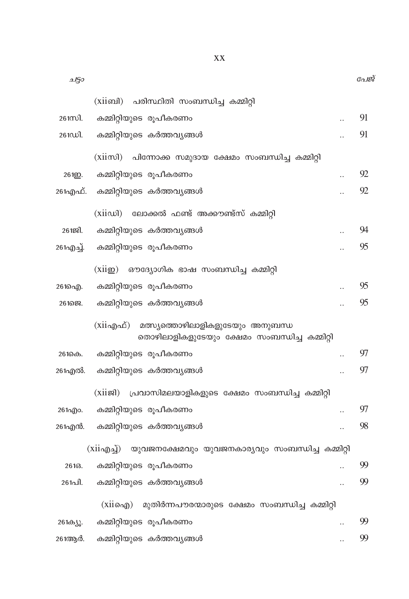| ചട്ടാ                                                                                           |                      | പേജ് |
|-------------------------------------------------------------------------------------------------|----------------------|------|
| (xiiബി) പരിസ്ഥിതി സംബന്ധിച്ച കമ്മിറ്റി                                                          |                      |      |
| കമ്മിറ്റിയുടെ രൂപീകരണം<br>$261$ m $\Omega$ .                                                    |                      | 91   |
| കമ്മിറ്റിയുടെ കർത്തവ്യങ്ങൾ<br>261ഡി.                                                            |                      | 91   |
| (xiiസി) പിന്നോക്ക സമുദായ ക്ഷേമം സംബന്ധിച്ച കമ്മിറ്റി                                            |                      |      |
| കമ്മിറ്റിയുടെ രൂപീകരണം<br>261 <u>p</u> .                                                        |                      | 92   |
| കമ്മിറ്റിയുടെ കർത്തവ്യങ്ങൾ<br>261എഫ്.                                                           |                      | 92   |
| (xiiഡി) ലോക്കൽ ഫണ്ട് അക്കൗണ്ട്സ് കമ്മിറ്റി                                                      |                      |      |
| കമ്മിറ്റിയുടെ കർത്തവ്യങ്ങൾ<br>$26129$ .                                                         |                      | 94   |
| കമ്മിറ്റിയുടെ രൂപീകരണം<br>261എച്ച്.                                                             |                      | 95   |
|                                                                                                 |                      |      |
| (xii@)<br>ഔദ്യോഗിക ഭാഷ സംബന്ധിച്ച കമ്മിറ്റി                                                     |                      |      |
| കമ്മിറ്റിയുടെ രൂപീകരണം<br>261ച്ചെ).                                                             |                      | 95   |
| കമ്മിറ്റിയുടെ കർത്തവ്യങ്ങൾ<br>26168.                                                            |                      | 95   |
| $(xii$ എഫ്)<br>മത്സ്യത്തൊഴിലാളികളുടേയും അനുബന്ധ<br>തൊഴിലാളികളുടേയും ക്ഷേമം സംബന്ധിച്ച കമ്മിറ്റി |                      |      |
| കമ്മിറ്റിയുടെ രൂപീകരണം<br>261കെ.                                                                |                      | 97   |
| കമ്മിറ്റിയുടെ കർത്തവ്യങ്ങൾ<br>261എൽ.                                                            | $\ddot{\phantom{a}}$ | 97   |
| പ്രവാസിമലയാളികളുടെ ക്ഷേമം സംബന്ധിച്ച കമ്മിറ്റി<br>$(xii \mathfrak{B})$                          |                      |      |
| കമ്മിറ്റിയുടെ രൂപീകരണം<br>261ago.                                                               |                      | 97   |
| കമ്മിറ്റിയുടെ കർത്തവ്യങ്ങൾ<br>261എൻ.                                                            |                      | 98   |
| (xiiഎച്ച്) യുവജനക്ഷേമവും യുവജനകാര്യവും സംബന്ധിച്ച കമ്മിറ്റി                                     |                      |      |
| കമ്മിറ്റിയുടെ രൂപീകരണം<br>26163.                                                                | $\ddot{\phantom{a}}$ | 99   |
| കമ്മിറ്റിയുടെ കർത്തവ്യങ്ങൾ<br>261പി.                                                            |                      | 99   |
| മുതിർന്നപൗരന്മാരുടെ ക്ഷേമം സംബന്ധിച്ച കമ്മിറ്റി<br>(X110 <sub>0</sub> )                         |                      |      |
| കമ്മിറ്റിയുടെ രൂപീകരണം<br>261ക്യു.                                                              |                      | 99   |
| കമ്മിറ്റിയുടെ കർത്തവ്യങ്ങൾ<br>261ആർ.                                                            |                      | 99   |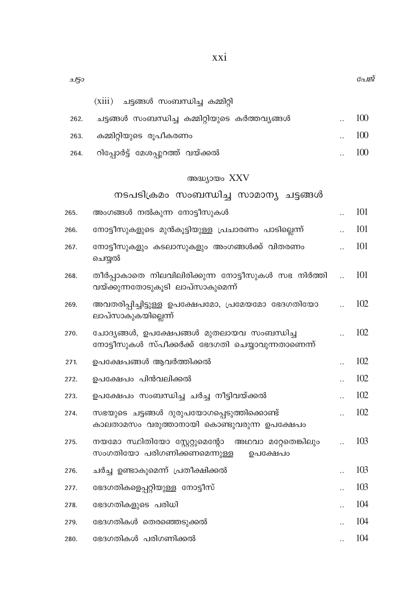| (xiii) | ചട്ടങ്ങൾ സംബന്ധിച്ച കമ്മിറ്റി |  |
|--------|-------------------------------|--|
|--------|-------------------------------|--|

2150

| 262. | ചട്ടങ്ങൾ സംബന്ധിച്ച കമ്മിറ്റിയുടെ കർത്തവൃങ്ങൾ | 100              |
|------|-----------------------------------------------|------------------|
| 263. | കമ്മിറ്റിയുടെ രൂപീകരണം                        | $\therefore$ 100 |
|      | 264. റിപ്പോർട്ട് മേശപ്പുറത്ത് വയ്ക്കൽ         | 100              |

### അദ്ധ്യായം XXV

### നടപടിക്രമം സംബന്ധിച്ച സാമാന്യ ചട്ടങ്ങൾ

| 265. | അംഗങ്ങൾ നൽകുന്ന നോട്ടീസുകൾ                                                                       | 101 |
|------|--------------------------------------------------------------------------------------------------|-----|
| 266. | നോട്ടീസുകളുടെ മുൻകൂട്ടിയുള്ള പ്രചാരണം പാടില്ലെന്ന്                                               | 101 |
| 267. | നോട്ടീസുകളും കടലാസുകളും അംഗങ്ങൾക്ക് വിതരണം<br>ചെയ്യൽ                                             | 101 |
| 268. | തീർപ്പാകാതെ നിലവിലിരിക്കുന്ന നോട്ടീസുകൾ സഭ നിർത്തി<br>വയ്ക്കുന്നതോടുകൂടി ലാപ്സാകുമെന്ന്          | 101 |
| 269. | അവതരിപ്പിച്ചിട്ടുള്ള ഉപക്ഷേപമോ, പ്രമേയമോ ഭേദഗതിയോ<br>ലാപ്സാകുകയില്ലെന്ന്                         | 102 |
| 270. | ചോദ്യങ്ങൾ, ഉപക്ഷേപങ്ങൾ മുതലായവ സംബന്ധിച്ച<br>നോട്ടീസുകൾ സ്പീക്കർക്ക് ഭേദഗതി ചെയ്യാവുന്നതാണെന്ന്  | 102 |
| 271. | ഉപക്ഷേപങ്ങൾ ആവർത്തിക്കൽ                                                                          | 102 |
| 272. | ഉപക്ഷേപം പിൻവലിക്കൽ                                                                              | 102 |
| 273. | ഉപക്ഷേപം സംബന്ധിച്ച ചർച്ച നീട്ടിവയ്ക്കൽ                                                          | 102 |
| 274. | സഭയുടെ ചട്ടങ്ങൾ ദുരുപയോഗപ്പെടുത്തിക്കൊണ്ട്<br>കാലതാമസം വരുത്താനായി കൊണ്ടുവരുന്ന ഉപക്ഷേപം         | 102 |
| 275. | നയമോ സ്ഥിതിയോ സ്റ്റേറ്റുമെന്റോ<br>അഥവാ മറ്റേതെങ്കിലും<br>സംഗതിയോ പരിഗണിക്കണമെന്നുള്ള<br>ഉപക്ഷേപം | 103 |
| 276. | ചർച്ച ഉണ്ടാകുമെന്ന് പ്രതീക്ഷിക്കൽ                                                                | 103 |
| 277. | ഭേദഗതികളെപ്പറ്റിയുള്ള നോട്ടീസ്                                                                   | 103 |
| 278. | ഭേദഗതികളുടെ പരിധി                                                                                | 104 |
| 279. | ഭേദഗതികൾ തെരഞ്ഞെടുക്കൽ                                                                           | 104 |
| 280. | ഭേദഗതികൾ പരിഗണിക്കൽ                                                                              | 104 |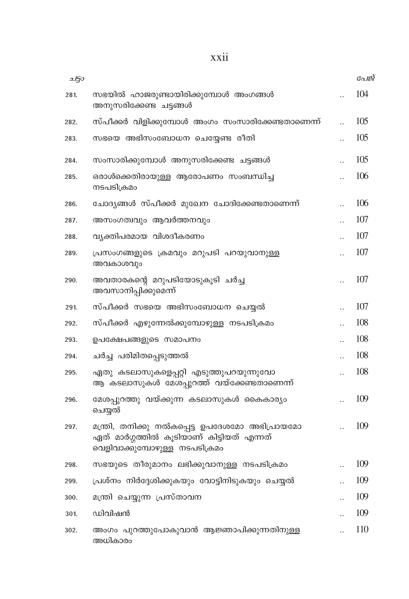| 2150 |                                                                                                                               |                      | പേജ് |
|------|-------------------------------------------------------------------------------------------------------------------------------|----------------------|------|
| 281. | സഭയിൽ ഹാജരുണ്ടായിരിക്കുമ്പോൾ അംഗങ്ങൾ<br>അനുസരിക്കേണ്ട ചട്ടങ്ങൾ                                                                |                      | 104  |
| 282. | സ്പീക്കർ വിളിക്കുമ്പോൾ അംഗം സംസാരിക്കേണ്ടതാണെന്ന്                                                                             |                      | 105  |
| 283. | സഭയെ അഭിസംബോധന ചെയ്യേണ്ട രീതി                                                                                                 |                      | 105  |
| 284. | സംസാരിക്കുമ്പോൾ അനുസരിക്കേണ്ട ചട്ടങ്ങൾ                                                                                        |                      | 105  |
| 285. | ഒരാൾക്കെതിരായുള്ള ആരോപണം സംബന്ധിച്ച<br>നടപടിക്രമം                                                                             |                      | 106  |
| 286. | ചോദ്യങ്ങൾ സ്പീക്കർ മുഖേന ചോദിക്കേണ്ടതാണെന്ന്                                                                                  | $\ddot{\phantom{a}}$ | 106  |
| 287. | അസംഗത്വവും ആവർത്തനവും                                                                                                         |                      | 107  |
| 288. | വ്യക്തിപരമായ വിശദീകരണം                                                                                                        |                      | 107  |
| 289. | പ്രസംഗങ്ങളുടെ ക്രമവും മറുപടി പറയുവാനുള്ള<br>അവകാശവും                                                                          |                      | 107  |
| 290. | അവതാരകന്റെ മറുപടിയോടുകൂടി ചർച്ച<br>അവസാനിപ്പിക്കുമെന്ന്                                                                       |                      | 107  |
| 291. | സ്പീക്കർ സഭയെ അഭിസംബോധന ചെയ്യൽ                                                                                                | $\ddot{\phantom{a}}$ | 107  |
| 292. | സ്പീക്കർ എഴുന്നേൽക്കുമ്പോഴുള്ള നടപടിക്രമം                                                                                     | $\ddot{\phantom{a}}$ | 108  |
| 293. | ഉപക്ഷേപങ്ങളുടെ സമാപനം                                                                                                         |                      | 108  |
| 294. | ചർച്ച പരിമിതപ്പെടുത്തൽ                                                                                                        |                      | 108  |
| 295. | ഏതു കടലാസുകളെപ്പറ്റി എടുത്തുപറയുന്നുവോ<br>ആ കടലാസുകൾ മേശപ്പുറത്ത് വയ്ക്കേണ്ടതാണെന്ന്                                          |                      | 108  |
| 296. | മേശപ്പുറത്തു വയ്ക്കുന്ന കടലാസുകൾ കൈകാര്യം<br>ചെയ്യൽ                                                                           |                      | 109  |
| 297. | മന്ത്രി, തനിക്കു നൽകപ്പെട്ട ഉപദേശമോ അഭിപ്രായമോ<br>ഏത് മാർഗ്ഗത്തിൽ കൂടിയാണ് കിട്ടിയത് എന്നത്<br>വെളിവാക്കുമ്പോഴുള്ള നടപടിക്രമം |                      | 109  |
| 298. | സഭയുടെ തീരുമാനം ലഭിക്കുവാനുള്ള നടപടിക്രമം                                                                                     |                      | 109  |
| 299. | പ്രശ്നം നിർദ്ദേശിക്കുകയും വോട്ടിനിടുകയും ചെയ്യൽ                                                                               | $\ddot{\phantom{a}}$ | 109  |
| 300. | മന്ത്രി ചെയ്യുന്ന പ്രസ്താവന                                                                                                   | $\ddot{\phantom{a}}$ | 109  |
| 301. | ഡിവിഷൻ                                                                                                                        |                      | 109  |
| 302. | അംഗം പുറത്തുപോകുവാൻ ആജ്ഞാപിക്കുന്നതിനുള്ള<br>അധികാരം                                                                          |                      | 110  |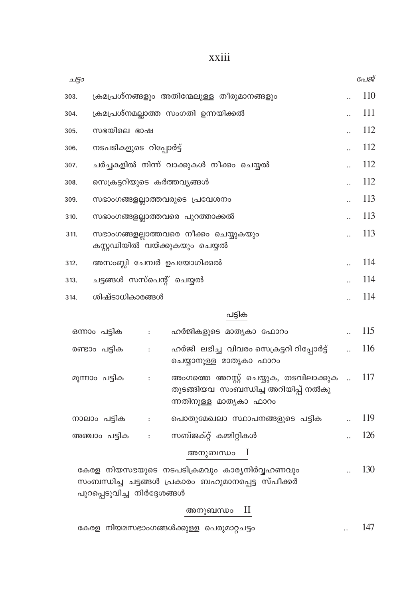| 250  |                                                                         | പേജ് |
|------|-------------------------------------------------------------------------|------|
| 303. | ക്രമപ്രശ്നങ്ങളും അതിന്മേലുള്ള തീരുമാനങ്ങളും                             | 110  |
| 304. | ക്രമപ്രശ്നമല്ലാത്ത സംഗതി ഉന്നയിക്കൽ                                     | 111  |
| 305. | സഭയിലെ ഭാഷ                                                              | 112  |
| 306. | നടപടികളുടെ റിപ്പോർട്ട്                                                  | 112  |
| 307. | ചർച്ചകളിൽ നിന്ന് വാക്കുകൾ നീക്കം ചെയ്യൽ                                 | 112  |
| 308. | സെക്രട്ടറിയുടെ കർത്തവ്യങ്ങൾ                                             | 112  |
| 309. | സഭാംഗങ്ങളല്ലാത്തവരുടെ പ്രവേശനം                                          | 113  |
| 310. | സഭാംഗങ്ങളല്ലാത്തവരെ പുറത്താക്കൽ                                         | 113  |
| 311. | സഭാംഗങ്ങളല്ലാത്തവരെ നീക്കം ചെയ്യുകയും<br>കസ്റ്റഡിയിൽ വയ്ക്കുകയും ചെയ്യൽ | 113  |
| 312. | അസംബ്ലി ചേമ്പർ ഉപയോഗിക്കൽ                                               | 114  |
| 313. | ചട്ടങ്ങൾ സസ്പെന്റ് ചെയ്യൽ                                               | 114  |
| 314. | ശിഷ്ടാധികാരങ്ങൾ                                                         | 114  |
|      | പട്ടിക                                                                  |      |
|      | ഹർജികളുടെ മാതൃകാ ഫോറം<br>ഒന്നാം പട്ടിക<br>:                             | 115  |

| $0.11700 \pm 0.001$ | And concertains and conference of the con-                                                               |     |
|---------------------|----------------------------------------------------------------------------------------------------------|-----|
| രണ്ടാം പട്ടിക       | ഹർജി ലഭിച്ച വിവരം സെക്രട്ടറി റിപ്പോർട്ട്<br>ചെയ്യാനുള്ള മാതൃകാ ഫാറം                                      | 116 |
| മുന്നാം പട്ടിക      | അംഗത്തെ അറസ്റ്റ് ചെയ്യുക, തടവിലാക്കുക …<br>തുടങ്ങിയവ സംബന്ധിച്ച അറിയിപ്പ് നൽകു<br>ന്നതിനുള്ള മാതൃകാ ഫാറം | 117 |
| നാലാം പട്ടിക        | പൊതുമേഖലാ സ്ഥാപനങ്ങളുടെ പട്ടിക                                                                           | 119 |
| അഞ്ചാം പട്ടിക       | സബ്ജക്റ്റ് കമ്മിറ്റികൾ                                                                                   | 126 |
|                     |                                                                                                          |     |

### അനുബന്ധം I

 $\therefore$  130 കേരള നിയസഭയുടെ നടപടിക്രമവും കാര്യനിർവ്വഹണവും സംബന്ധിച്ച ചട്ടങ്ങൾ പ്രകാരം ബഹുമാനപ്പെട്ട സ്പീക്കർ പുറപ്പെടുവിച്ച നിർദ്ദേശങ്ങൾ

### അനുബന്ധം II

|  | കേരള നിയമസഭാംഗങ്ങൾക്കുള്ള പെരുമാറ്റചട്ടം |  |  |  |  |  |
|--|------------------------------------------|--|--|--|--|--|
|--|------------------------------------------|--|--|--|--|--|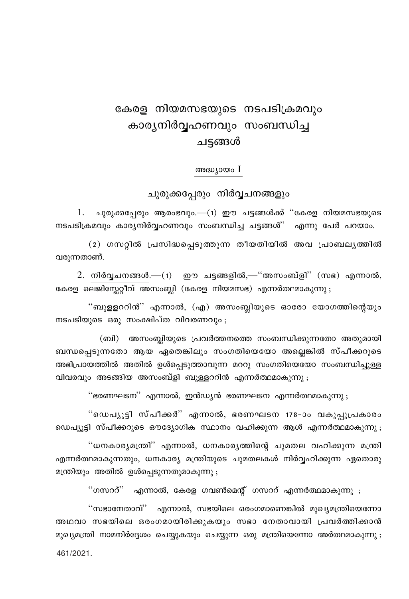## കേരള നിയമസഭയുടെ നടപടിക്രമവും കാര്യനിർവ്വഹണവും സംബന്ധിച്ച ചട്ടങ്ങൾ

അദ്ധ്യായം I

ചുരുക്കപ്പേരും നിർവ്വചനങ്ങളും

1. ചുരുക്കപ്പേരും ആരംഭവും.—(1) ഈ ചട്ടങ്ങൾക്ക് "കേരള നിയമസഭയുടെ നടപടിക്രമവും കാര്യനിർവ്വഹണവും സംബന്ധിച്ച ചട്ടങ്ങൾ'' എന്നു പേർ പറയാം.

(2) ഗസറ്റിൽ പ്രസിദ്ധപ്പെടുത്തുന്ന തീയതിയിൽ അവ പ്രാബല്യത്തിൽ വരുന്നതാണ്.

2. നിർവ്വചനങ്ങൾ.—(1) ഈ ചട്ടങ്ങളിൽ,—"അസംബ്ളി" (സഭ) എന്നാൽ, കേരള ലെജിസ്റ്റേറ്റീവ് അസംബ്ലി (കേരള നിയമസഭ) എന്നർത്ഥമാകുന്നു ;

"ബുളളററിൻ" എന്നാൽ, (എ) അസംബ്ലിയുടെ ഓരോ യോഗത്തിന്റെയും നടപടിയുടെ ഒരു സംക്ഷിപ്ത വിവരണവും;

(ബി) അസംബ്ലിയുടെ പ്രവർത്തനത്തെ സംബന്ധിക്കുന്നതോ അതുമായി ബന്ധപ്പെടുന്നതോ ആയ ഏതെങ്കിലും സംഗതിയെയോ അല്ലെങ്കിൽ സ്പീക്കറുടെ അഭിപ്രായത്തിൽ അതിൽ ഉൾപ്പെടുത്താവുന്ന മററു സംഗതിയെയോ സംബന്ധിച്ചുള്ള വിവരവും അടങ്ങിയ അസംബ്ളി ബുള്ളററിൻ എന്നർത്ഥമാകുന്നു ;

''ഭരണഘടന'' എന്നാൽ, ഇൻഡ്യൻ ഭരണഘടന എന്നർത്ഥമാകുന്നു ;

"ഡെപ്യൂട്ടി സ്പീക്കർ" എന്നാൽ, ഭരണഘടന 178-ാം വകുപ്പുപ്രകാരം ഡെപ്യൂട്ടി സ്പീക്കറുടെ ഔദ്യോഗിക സ്ഥാനം വഹിക്കുന്ന ആൾ എന്നർത്ഥമാകുന്നു ;

"ധനകാര്യമന്ത്രി" എന്നാൽ, ധനകാര്യത്തിന്റെ ചുമതല വഹിക്കുന്ന മന്ത്രി എന്നർത്ഥമാകുന്നതും, ധനകാര്യ മന്ത്രിയുടെ ചുമതലകൾ നിർവ്വഹിക്കുന്ന ഏതൊരു മന്ത്രിയും അതിൽ ഉൾപ്പെടുന്നതുമാകുന്നു ;

"ഗസററ്" എന്നാൽ, കേരള ഗവൺമെന്റ് ഗസററ് എന്നർത്ഥമാകുന്നു ;

"സഭാനേതാവ്" എന്നാൽ, സഭയിലെ ഒരംഗമാണെങ്കിൽ മുഖ്യമന്ത്രിയെന്നോ അഥവാ സഭയിലെ ഒരംഗമായിരിക്കുകയും സഭാ നേതാവായി പ്രവർത്തിക്കാൻ മുഖ്യമന്ത്രി നാമനിർദ്ദേശം ചെയ്യുകയും ചെയ്യുന്ന ഒരു മന്ത്രിയെന്നോ അർത്ഥമാകുന്നു : 461/2021.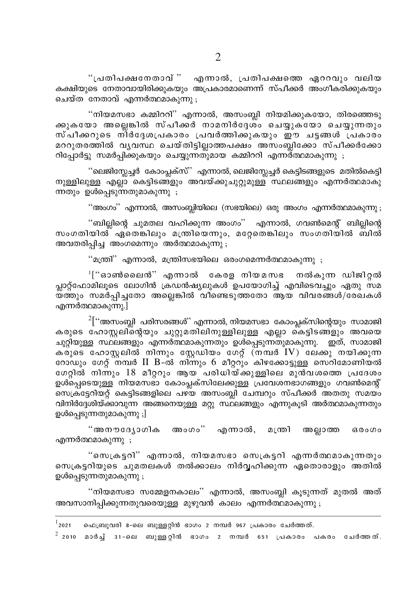"പ്രതിപക്ഷനേതാവ് " എന്നാൽ, പ്രതിപക്ഷത്തെ ഏററവും വലിയ കക്ഷിയുടെ നേതാവായിരിക്കുകയും അപ്രകാരമാണെന്ന് സ്പീക്കർ അംഗീകരിക്കുകയും ചെയ്ത<sup>്</sup>നേതാവ് എന്നർത്ഥമാകുന്നു .

"നിയമസഭാ കമ്മിററി" എന്നാൽ, അസംബ്ലി നിയമിക്കുകയോ, തിരഞ്ഞെടു .<br>കുകയോ അലെങ്കിൽ സ്പീക്കർ നാമനിർദേശ്ം ചെയ്യുക്യോ ചെയ്യുന്നതും സ്പീക്കറുടെ നിർദേശപ്രകാരം പ്രവർത്തിക്കുകയും ഈ ചട്ടങ്ങൾ പ്രകാരം മററുതരത്തിൽ വൃവസ്ഥ ചെയ്തിട്ടില്ലാത്തപക്ഷം അസംബ്ലിക്കോ സ്പീക്കർക്കോ റിപ്പോർട്ടു സമർപ്പിക്കുകയും ചെയ്യുന്നതുമായ കമ്മിററി എന്നര്ത്ഥമാകുന്നു .

''ലെജിസ്ലേച്ചർ കോംപ്ലക്സ്' എന്നാൽ, ലെജിസ്ലേച്ചർ കെട്ടിടങ്ങളുടെ മതിൽകെട്ടി നുള്ളിലുള്ള എല്ലാ കെട്ടിടങ്ങളും അവയ്ക്കുചുറ്റുമുള്ള സ്ഥലങ്ങളും എന്നർത്ഥമാകു ന്നതും ഉൾപ്പെടുന്നതുമാകുന്നു ;

"അംഗം" എന്നാൽ, അസംബ്ലിയിലെ (സഭയിലെ) ഒരു അംഗം എന്നർത്ഥമാകുന്നു ;

''ബില്ലിന്റെ ചുമതല വഹിക്കുന്ന അംഗം'' എന്നാൽ, ഗവൺമെന്റ് ബില്ലിന്റെ സംഗതിയിൽ് ഏതെങ്കിലും മന്ത്രിയെന്നും, മറ്റേതെങ്കിലും സംഗതിയിൽ ബിൽ് അവതരിപ്പിച്ച അംഗമെന്നും അർത്ഥമാകുന്നു ;

"മന്ത്രി" എന്നാൽ, മന്ത്രിസഭയിലെ ഒരംഗമെന്നർത്ഥമാകുന്നു ;

 $\mathsf{H}^{\mathsf{H}}$ ്ഓൺലൈൻ $^{\mathsf{H}}$  എന്നാൽ കേരള നിയമസഭ നൽകുന്ന ഡിജിറ്റൽ പ്ലാറ്റ്ഫോമിലൂടെ ലോഗിൻ ക്രഡൻഷ്യലുകൾ ഉപയോഗിച്ച് എവിടെവച്ചും ഏതു സമ .<br>യ്ത്തും സമർപ്പിച്ചതോ അല്ലെങ്കിൽ വീണ്ടെടുത്തതോ ആയ് വിവരങ്ങൾ/രേഖകൾ എന്നർത്ഥമാകുന്നു.]

 $2\lceil$ ''അസംബ്ലി പരിസരങ്ങൾ'' എന്നാൽ, നിയമസഭാ കോംപ്ലക്സിന്റെയും സാമാജി കരുടെ ഹോസ്റ്റലിന്റെയും ചുറ്റുമതിലിനുള്ളിലുള്ള എല്ലാ കെട്ടിടങ്ങളും അവയെ ചുറ്റിയുള്ള സ്ഥലങ്ങളും എന്നർത്ഥമാകുന്നതും ഉൾപ്പെടുന്നതുമാകുന്നു. ഇത്, സാമാജി ക്രുടെ ഹോസ്റ്റലിൽ നിന്നും സ്റ്റേഡിയം ഗേറ്റ് (നമ്പർ IV) ലേക്കു നയിക്കുന്ന റോഡും ഗേറ്റ് നമ്പർ II B-ൽ നിന്നും 6 മീറ്ററും കിഴക്കോട്ടുള്ള സെറിമോണിയൽ ഗേറ്റിൽ നിന്നും 18 മീറ്ററും ആയ പരിധിയ്ക്കുള്ളിലെ മുൻവശത്തെ പ്രദേശം ഉശ്പ്പെടെയുള്ള് നിയമസഭാ കോംപ്ലക്സിലേക്കുള്ള പ്രവേശനഭാഗങ്ങളും ഗവൺമെന്റ് സെക്രട്ടേറിയറ്റ് കെട്ടിടങ്ങളിലെ പഴയ അസംബ്ലി ചേമ്പറും സ്പീക്കർ അതതു സമയം വിനിർദ്ദേശിയ്ക്കാവുന്ന അങ്ങനെയുള്ള മറ്റു സ്ഥലങ്ങളും എന്നുകൂടി അർത്ഥമാകുന്നതും ഉൾപ്പെടുന്നതുമാകുന്നു ;]

"അനൗദ്യോഗിക അംഗം" എന്നാൽ, മന്ത്രി അല്ലാത്ത ഒരംഗം എന്നർത്ഥമാകുന്നു ;

"സെക്രട്ടറി" എന്നാൽ, നിയമസഭാ സെക്രട്ടറി എന്നർത്ഥമാകുന്നതും സെക്രട്ടറിയുടെ ചുമതലകൾ തൽക്കാലം നിർവ്വഹിക്കുന്ന ഏതൊരാളും അതിൽ ഉൾപ്പെടുന്നതുമാകുന്നു ;

"നിയമസഭാ സമ്മേളനകാലം" എന്നാൽ, അസംബ്ലി കൂടുന്നത് മുതൽ അത് അവസാനിപ്പിക്കുന്നതുവരെയുള്ള മുഴുവൻ കാലം എന്നർത്ഥമാകുന്നു ;

 $1$ 2021 ഫെബ്രുവരി 8-ലെ ബുള്ളറ്റിൻ ഭാഗം 2 നമ്പർ 967 പ്രകാരം ചേർത്തത്.

 $^2$  2010 മാർച്ച് 31-ലെ ബുള്ളറ്റിൻ ഭാഗം 2 നമ്പർ 651 പ്രകാരം പകരം ചേർത്തത്.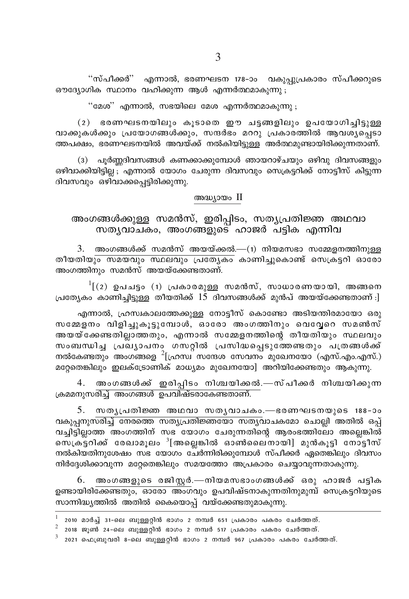"സ്പീക്കർ" എന്നാൽ, ഭരണഘടന 178-ാം വകുപ്പുപ്രകാരം സ്പീക്കറുടെ ഔദ്യോഗിക സ്ഥാനം വഹിക്കുന്ന ആൾ എന്നർത്ഥമാകുന്നു ;

"മേശ" എന്നാൽ, സഭയിലെ മേശ എന്നർത്ഥമാകുന്നു ;

 $(2)$  ഭരണഘടനയിലും കൂടാതെ ഈ ചട്ടങ്ങളിലും ഉപയോഗിച്ചിട്ടുള്ള വാക്കുകൾക്കും പ്രയോഗങ്ങൾക്കും, സന്ദർഭം മററു പ്രകാരത്തിൽ ആവശ്യപെടാ ത്തപക്ഷം. ഭരണഘടനയിൽ അവയ്ക്ക് നൽകിയിട്ടാള് അർത്ഥമ്പണ്ടായിരിക്കുന്നതാണ്.

(3) പൂർണ്ണദിവസങ്ങൾ കണക്കാക്കുമ്പോൾ ഞായറാഴ്ചയും ഒഴിവു ദിവസങ്ങളും ഒഴിവാക്കിയിട്ടില്ല എന്നാൽ യോഗം ചേരുന്ന ദിവസവും സെക്രട്ടറിക്ക് നോട്ടീസ് കിട്ടുന്ന ദിവസവും ഒഴിവാക്കപ്പെട്ടിരിക്കുന്നു.

#### അദ്ധ്യായം II

അംഗങ്ങൾക്കുള്ള സമൻസ്, ഇരിപ്പിടം, സത്യപ്രതിജ്ഞ അഥവാ സത്യവാചകം, അംഗങ്ങളുടെ ഹാജർ പട്ടിക എന്നിവ

അംഗങ്ങൾക്ക് സമൻസ് അയയ്ക്കൽ.—(1) നിയമസഭാ സമ്മേളനത്തിനുള്ള 3. തീയതിയ<mark>ും സമയവും സ്ഥലവും പ്രത്യേകം</mark> കാണിച്ചുകൊണ്ട് സെക്രട്ടറി ഓരോ അംഗത്തിനും സമൻസ് അയയ്ക്കേണ്ടതാണ്.

 $\frac{1}{2}$  (2) ഉപചട്ടം (1) പ്രകാരമുള്ള സമൻസ്, സാധാരണയായി, അങ്ങനെ പ്രത്യേകം കാണിച്ചിട്ടുള്ള തീയതിക്ക് 15 ദിവസങ്ങൾക്ക് മുൻപ് അയയ്ക്കേണ്ടതാണ് :]

എന്നാൽ, ഹ്രസ്വകാലത്തേക്കുള്ള നോട്ടീസ് കൊണ്ടോ അടിയന്തിരമായോ ഒരു സമ്മേളനം വിളിച്ചുകൂട്ടുമ്പോൾ, ഓരോ അംഗത്തിനും വെവ്വേറെ സമൺസ് അയയ്ക്കേണ്ടതില്ലാത്തതും, എന്നാൽ സമ്മേളനത്തിന്റെ തീയതിയും സ്ഥലവും സംബന്ധിച്ച പ്രഖ്യാപനം ഗസറ്റിൽ പ്രസിദ്ധപ്പെടുത്തേണ്ടതും പത്രങ്ങൾക്ക് നൽകേണ്ടതും അംഗങ്ങളെ  $^2$ [ഹ്രസ്ഥ സന്ദേശ സേവനം മുഖേനയോ (എസ്.എം.എസ്.) മറ്റേതെങ്കിലും ഇലക്ട്രോണിക് മാധ്യമം മുഖേനയോ] അറിയിക്കേണ്ടതും ആകുന്നു.

4. അംഗങ്ങൾക്ക് ഇരിപ്പിടം നിശ്ചയിക്കൽ.—സ്പീക്കർ നിശ്ചയിക്കുന്ന ക്രമമനുസരിച്ച് അംഗങ്ങൾ ഉപവിഷ്ടരാകേണ്ടതാണ്.

5. സതൃപ്രതിജ്ഞ അഥവാ സതൃവാചകം.—ഭരണഘടനയുടെ 188-ാം <u>വകുപ്പനുസരിച്ച് നേരത്തെ സത്യപ്രതിജ്ഞയോ സത്യവാചകമോ ചൊല്ലി അതിൽ ഒപ്പ്</u> വച്ചിട്ടില്ലാത്ത അംഗത്തിന് സഭ യോഗം ചേരുന്നതിന്റെ ആരംഭത്തിലോ അല്ലെങ്കിൽ സെക്രട്ടറിക്ക് രേഖാമൂലം <sup>3</sup>[അല്ലെങ്കിൽ ഓൺലൈനായി] മുൻകൂട്ടി നോട്ടീസ് നൽകിയതിനുശേഷം സഭ യോഗം ചേർന്നിരിക്കുമ്പോൾ സ്പീക്കർ ഏതെങ്കിലും ദിവസം നിർദ്ദേശിക്കാവുന്ന മറ്റേതെങ്കിലും സമയത്തോ അപ്രകാരം ചെയ്യാവുന്നതാകുന്നു.

6. അംഗങ്ങളുടെ രജിസ്റ്റർ.—നിയമസഭാംഗങ്ങൾക്ക് ഒരു ഹാജർ പട്ടിക ഉണ്ടായിരിക്കേണ്ടതും, ഓരോ അംഗവും ഉപവിഷ്ടനാകുന്നതിനുമുമ്പ് സെക്രട്ടറിയുടെ സാന്നിദ്ധ്യത്തിൽ അതിൽ കൈയൊപ്പ് വയ്ക്കേണ്ടതുമാകുന്നു.

<sup>2010</sup> മാർച്ച് 31-ലെ ബുള്ളറ്റിൻ ഭാഗം 2 നമ്പർ 651 പ്രകാരം പകരം ചേർത്തത്.

 $\overline{a}$  2018 ജൂൺ 24-ലെ ബുള്ളറ്റിൻ ഭാഗം 2 നമ്പർ 517 പ്രകാരം പകരം ചേർത്തത്.

<sup>2021</sup> ഫെബ്രുവരി 8-ലെ ബുള്ളറ്റിൻ ഭാഗം 2 നമ്പർ 967 പ്രകാരം പകരം ചേർത്തത്.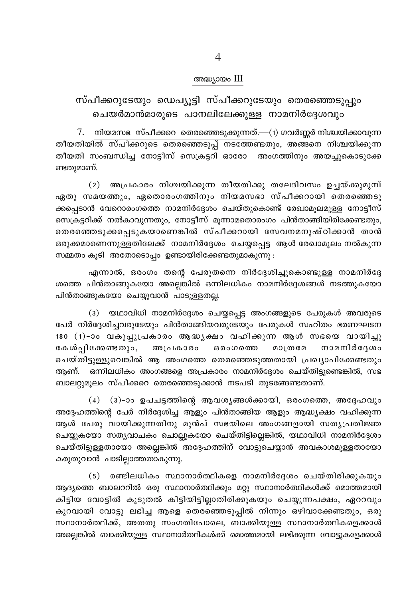#### അദ്ധ്യായം III

### സ്പീക്കറുടേയും ഡെപ്യൂട്ടി സ്പീക്കറുടേയും തെരഞ്ഞെടുപ്പും ചെയർമാൻമാരുടെ പാനലിലേക്കുള്ള നാമനിർദ്ദേശവും

 $7.$  നിയമസഭ സ്പീക്കറെ തെരഞ്ഞെടുക്കുന്നത്.—(1) ഗവർണ്ണർ നിശ്ചയിക്കാവുന്ന തീയതിയിൽ സ്പീക്കറുടെ തെരഞ്ഞെടുപ്പ് നടത്തേണ്ടതും, അങ്ങനെ നിശ്ചയിക്കുന്ന തീയതി സംബന്ധിച്ച നോട്ടീസ് സെക്രട്ടറി ഓരോ അംഗത്തിനും അയച്ചുകൊടുക്കേ ണ്ടതുമാണ്.

(2) അപ്രകാരം നിശ്ചയിക്കുന്ന തീയതിക്കു തലേദിവസം ഉച്ചയ്ക്കുമുമ്പ് ഏതു സമയത്തും, ഏതൊരംഗത്തിനും നിയമസഭാ സ്പീക്കറായി തെരഞ്ഞെടു ക്കപ്പെടാൻ വേറൊരംഗത്തെ നാമനിർദ്ദേശം ചെയ്തുകൊണ്ട് രേഖാമൂലമുള്ള നോട്ടീസ് സെക്രട്ടറിക്ക് നൽകാവുന്നതും, നോട്ടീസ് മൂന്നാമതൊരംഗം പിൻതാങ്ങിയിരിക്കേണ്ടതും, തെരഞ്ഞെടുക്കപ്പെടുകയാണെങ്കിൽ സ്പീക്കറായി സേവനമനുഷ്ഠിക്കാൻ താൻ ഒരുക്കമാണെന്നുള്ളതിലേക്ക് നാമനിർദ്ദേശം ചെയ്യപ്പെട്ട ആൾ രേഖാമൂലം നൽകുന്ന സമ്മതം കൂടി അതോടൊപ്പം ഉണ്ടായിരിക്കേണ്ടതുമാകുന്നു :

എന്നാൽ, ഒരംഗം തന്റെ പേരുതന്നെ നിർദ്ദേശിച്ചുകൊണ്ടുള്ള നാമനിർദ്ദേ ശത്തെ പിൻതാങ്ങുകയോ അല്ലെങ്കിൽ ഒന്നിലധികം നാമനിർദേശങ്ങൾ നടത്തുകയോ പിൻതാങ്ങുകയോ ചെയ്യുവാൻ പാടുള്ളതല്ല.

(3) യഥാവിധി നാമനിർദ്ദേശം ചെയ്യപ്പെട്ട അംഗങ്ങളുടെ പേരുകൾ അവരുടെ പേർ നിർദ്ദേശിച്ചവരുടേയും പിൻതാങ്ങിയവരുടേയും പേരുകൾ സഹിതം ഭരണഘടന 180 (1)-ാം വകുപ്പുപ്രകാരം ആദ്ധ്യക്ഷം വഹിക്കുന്ന ആൾ സഭയെ വായിച്ചു നാമനിർദ്ദേശം കേൾപ്പിക്കേണ്ടതും, അപ്രകാരം ഒരംഗത്തെ **200002** ചെയ്തിട്ടുള്ളുവെങ്കിൽ ആ അംഗത്തെ തെരഞ്ഞെടുത്തതായി പ്രഖ്യാപിക്കേണ്ടതും ആണ്. ഒന്നിലധികം അംഗങ്ങളെ അപ്രകാരം നാമനിർദ്ദേശം ചെയ്തിട്ടുണ്ടെങ്കിൽ, സഭ ബാലറ്റുമൂലം സ്പീക്കറെ തെരഞ്ഞെടുക്കാൻ നടപടി തുടങ്ങേണ്ടതാണ്.

(4) (3)-ാം ഉപചട്ടത്തിന്റെ ആവശ്യങ്ങൾക്കായി, ഒരംഗത്തെ, അദ്ദേഹവും അദ്ദേഹത്തിന്റെ പേർ നിർദ്ദേശിച്ച ആളും പിൻതാങ്ങിയ ആളും ആദ്ധ്യക്ഷം വഹിക്കുന്ന ആൾ പേരു വായിക്കുന്നതിനു മുൻപ് സഭയിലെ അംഗങ്ങളായി സതൃപ്രതിജ്ഞ ചെയ്യുകയോ സത്യവാചകം ചൊല്ലുകയോ ചെയ്തിട്ടില്ലെങ്കിൽ, യഥാവിധി നാമനിർദ്ദേശം ചെയ്തിട്ടുള്ളതായോ അല്ലെങ്കിൽ അദ്ദേഹത്തിന് വോട്ടുചെയ്യാൻ അവകാശമുള്ളതായോ കരുതുവാൻ പാടില്ലാത്തതാകുന്നു.

(5) രണ്ടിലധികം സ്ഥാനാർത്ഥികളെ നാമനിർദ്ദേശം ചെയ്തിരിക്കുകയും ആദ്യത്തെ ബാലററിൽ ഒരു സ്ഥാനാർത്ഥിക്കും മറ്റു സ്ഥാനാർത്ഥികൾക്ക് മൊത്തമായി കിട്ടിയ വോട്ടിൽ കൂടുതൽ കിട്ടിയിട്ടില്ലാതിരിക്കുകയും ചെയ്യുന്നപക്ഷം, ഏററവും കുറവായി വോട്ടു ലഭിച്ച ആളെ തെരഞ്ഞെടുപ്പിൽ നിന്നും ഒഴിവാക്കേണ്ടതും, ഒരു സ്ഥാനാർത്ഥിക്ക്, അതതു സംഗതിപോലെ, ബാക്കിയുള്ള സ്ഥാനാർത്ഥികളെക്കാൾ അല്ലെങ്കിൽ ബാക്കിയുള്ള സ്ഥാനാർത്ഥികൾക്ക് മൊത്തമായി ലഭിക്കുന്ന വോട്ടുകളേക്കാൾ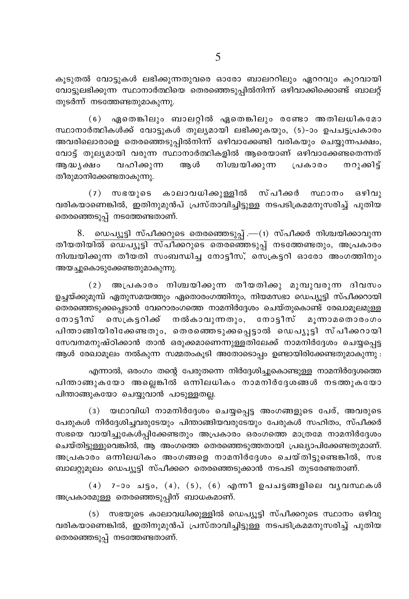കൂടുതൽ വോട്ടുകൾ ലഭിക്കുന്നതുവരെ ഓരോ ബാലററിലും ഏററവും കുറവായി വോട്ടുലഭിക്കുന്ന സ്ഥാനാർത്ഥിയെ തെരഞ്ഞെടുപ്പിൽനിന്ന് ഒഴിവാക്കിക്കൊണ്ട് ബാലറ്റ് തുടർന്ന് നടത്തേണ്ടതുമാകുന്നു.

(6) ഏതെങ്കിലും ബാലറ്റിൽ ഏതെങ്കിലും രണ്ടോ അതിലധികമോ സ്ഥാനാർത്ഥികൾക്ക് വോട്ടുകൾ തുല്യമായി ലഭിക്കുകയും, (5)-ാം ഉപചട്ടപ്രകാരം അവരിലൊരാളെ തെരഞ്ഞെടുപ്പിൽനിന്ന് ഒഴിവാക്കേണ്ടി വരികയും ചെയ്യുന്നപക്ഷം, വോട്ട് തുല്യമായി വരുന്ന സ്ഥാനാർത്ഥികളിൽ ആരെയാണ് ഒഴിവാക്കേണ്ടതെന്നത് അന്ധ്യക്ഷം വഹിക്കുന്ന അം ൾ നിശ്ചയിക്കുന്ന പ്രകാരം നറുക്കിട് തീരുമാനിക്കേണ്ടതാകുന്നു.

(7) സഭയുടെ കാലാവധിക്കുള്ളിൽ സ്പീക്കർ സ്ഥാനം ഒഴിവു വരികയാണെങ്കിൽ, ഇതിനുമുൻപ് പ്രസ്താവിച്ചിട്ടുള്ള നടപടിക്രമമനുസരിച്ച് പുതിയ തെരഞ്ഞെടുപ്പ് നടത്തേണ്ടതാണ്.

ഡെപ്യൂട്ടി സ്പീക്കറുടെ തെരഞ്ഞെടുപ്പ് .—(1) സ്പീക്കർ നിശ്ചയിക്കാവുന്ന 8. തീയതിയിൽ ഡെപ്യൂട്ടി സ്പീക്കറുടെ തെരഞ്ഞെടുപ്പ് നടത്തേണ്ടതും, അപ്രകാരം നിശ്ചയിക്കുന്ന തീയതി സംബന്ധിച്ച നോട്ടീസ്, സെക്രട്ടറി ഓരോ അംഗത്തിനും അയച്ചുകൊടുക്കേണ്ടതുമാകുന്നു.

(2) അപ്രകാരം നിശ്ചയിക്കുന്ന തീയതിക്കു മുമ്പുവരുന്ന ദിവസം ഉച്ചയ്ക്കുമുമ്പ് ഏതുസമയത്തും ഏതൊരംഗത്തിനും, നിയമസഭാ ഡെപ്യൂട്ടി സ്പീക്കറായി തെരഞ്ഞെടുക്കപ്പെടാൻ വേറൊരംഗത്തെ നാമനിർദ്ദേശം ചെയ്തുകൊണ്ട് രേഖാമുലമുള്ള നോട്ടീസ് സെക്രട്ടറിക്ക് നൽകാവുന്നതും, നോട്ടീസ് മൂന്നാമതൊരംഗം പിന്താങ്ങിയിരിക്കേണ്ടതും, തെരഞ്ഞെടുക്കപ്പെട്ടാൽ ഡെപ്യൂട്ടി സ്പീക്കറായി സേവനമനുഷ്ഠിക്കാൻ താൻ ഒരുക്കമാണെന്നുള്ളതിലേക്ക് നാമനിർദ്ദേശം ചെയ്യപ്പെട്ട ആൾ രേഖാമുലം നൽകുന്ന സമ്മതംകുടി അതോടൊപ്പം ഉണ്ടായിരിക്കേണ്ടതുമാകുന്നു :

എന്നാൽ, ഒരംഗം തന്റെ പേരുതന്നെ നിർദ്ദേശിച്ചുകൊണ്ടുള്ള നാമനിർദ്ദേശത്തെ പിന്താങ്ങുകയോ അല്ലെങ്കിൽ ഒന്നിലധികം നാമനിർദ്ദേശങ്ങൾ നടത്തുകയോ പിന്താങ്ങുകയോ ചെയ്യുവാൻ പാടുള്ളതല്ല.

(3) യഥാവിധി നാമനിർദ്ദേശം ചെയ്യപ്പെട്ട അംഗങ്ങളുടെ പേര്, അവരുടെ പേരുകൾ നിർദ്ദേശിച്ചവരുടേയും പിന്താങ്ങിയവരുടേയും പേരുകൾ സഹിതം, സ്പീക്കർ സഭയെ വായിച്ചുകേൾപ്പിക്കേണ്ടതും അപ്രകാരം ഒരംഗത്തെ മാത്രമേ നാമനിർദ്ദേശം ചെയ്തിട്ടുള്ളുവെങ്കിൽ, ആ അംഗത്തെ തെരഞ്ഞെടുത്തതായി പ്രഖ്യാപിക്കേണ്ടതുമാണ്. അപ്രകാരം ഒന്നിലധികം അംഗങ്ങളെ നാമനിർദ്ദേശം ചെയ്തിട്ടുണ്ടെങ്കിൽ, സഭ ബാലറ്റുമൂലം ഡെപ്യൂട്ടി സ്പീക്കറെ തെരഞ്ഞെടുക്കാൻ നടപടി തുടരേണ്ടതാണ്.

 $(4)$  7-ാം ചട്ടം,  $(4)$ ,  $(5)$ ,  $(6)$  എന്നീ ഉപചട്ടങ്ങളിലെ വൃവസ്ഥകൾ അപ്രകാരമുള്ള തെരഞ്ഞെടുപ്പിന് ബാധകമാണ്.

(5) സഭയുടെ കാലാവധിക്കുള്ളിൽ ഡെപ്യൂട്ടി സ്പീക്കറുടെ സ്ഥാനം ഒഴിവു വരികയാണെങ്കിൽ, ഇതിനുമുൻപ് പ്രസ്താവിച്ചിട്ടുള്ള നടപടിക്രമമനുസരിച്ച് പുതിയ തെരഞ്ഞെടുപ്പ് നടത്തേണ്ടതാണ്.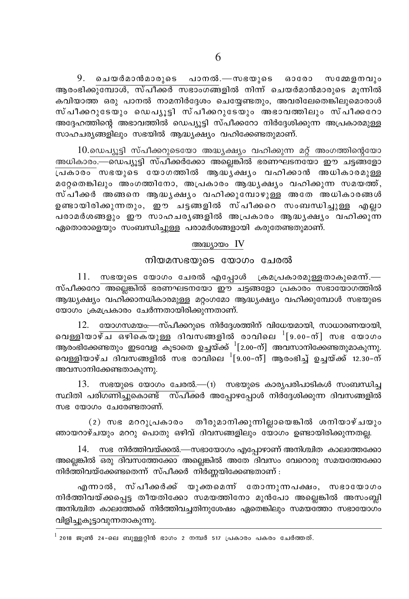9. ചെയർമാൻമാരുടെ പാനൽ.—സഭയുടെ ഓരോ സമ്മേളനവും ആരംഭിക്കുമ്പോൾ, സ്പീക്കർ സഭാംഗങ്ങളിൽ നിന്ന് ചെയർമാൻമാരുടെ മൂന്നിൽ കവിയാത്ത ഒരു പാനൽ നാമനിർദ്ദേശം ചെയ്യേണ്ടതും, അവരിലേതെങ്കിലുമൊരാൾ സ്പീക്കറുടേയും ഡെപ്യൂട്ടി സ്പീക്കറുടേയും അഭാവത്തിലും സ്പീക്കറോ അദ്ദേഹത്തിന്റെ അഭാവത്തിൽ ഡെപ്യൂട്ടി സ്പീക്കറോ നിർദ്ദേശിക്കുന്ന അപ്രകാരമുള്ള സാഹചര്യങ്ങളിലും സഭയിൽ ആദ്ധ്യക്ഷ്യം വഹിക്കേണ്ടതുമാണ്.

 $10.$ ഡെപ്യൂട്ടി സ്പീക്കറുടെയോ അദ്ധ്യക്ഷ്യം വഹിക്കുന്ന മറ്റ് അംഗത്തിന്റെയോ അധികാരം.—ഡെപ്യൂട്ടി സ്പീക്കർക്കോ അല്ലെങ്കിൽ ഭരണഘടനയോ ഈ ചട്ടങ്ങളോ .<br>പ്രകാരം സഭയുടെ യോഗത്തിൽ ആദ്ധൃക്ഷ്യം വഹിക്കാൻ അധികാരമുള്ള മറ്റേതെങ്കിലും അംഗത്തിനോ, അപ്രകാരം ആദ്ധൃക്ഷ്യം വഹിക്കുന്ന സമയത്ത്, സ്പീക്കർ അങ്ങനെ ആദ്ധ്യക്ഷ്യം വഹിക്കുമ്പോഴുള്ള അതേ അധികാരങ്ങൾ ഉണ്ടായിരിക്കുന്നതും, ഈ ചട്ടങ്ങളിൽ സ്പീക്കറെ സംബന്ധിച്ചുള്ള എല്ലാ പരാമർശങ്ങളും ഈ സാഹചര്യങ്ങളിൽ അപ്രകാരം ആദ്ധ്യക്ഷ്യം വഹിക്കുന്ന ഏതൊരാളെയും സംബന്ധിച്ചുള്ള പരാമർശങ്ങളായി കരുതേണ്ടതുമാണ്.

#### അദ്ധ്യായം IV

### നിയമസഭയുടെ യോഗം ചേരൽ

 $11.$  സഭയുടെ യോഗം ചേരൽ എപ്പോൾ ക്രമപ്രകാരമുള്ളതാകുമെന്ന്.— സ്പീക്കറോ അല്ലെങ്കിൽ ഭരണഘടനയോ ഈ ചട്ടങ്ങളോ പ്രകാരം സഭായോഗത്തിൽ ആദ്ധ്യക്ഷ്യം വഹിക്കാനധികാരമുള്ള മറ്റംഗമോ ആദ്ധ്യക്ഷ്യം വഹിക്കുമ്പോൾ സഭയുടെ യോഗം ക്രമപ്രകാരം ചേർന്നതായിരിക്കുന്നതാണ്.

12. യോഗസമയം—സ്പീക്കറുടെ നിർദ്ദേശത്തിന് വിധേയമായി, സാധാരണയായി, വെള്ളിയാഴ്ച ഒഴികെയുള്ള ദിവസങ്ങളിൽ രാവിലെ  $^{1}[9.00-$ ന് $]$  സഭ യോഗം ആരംഭിക്കേണ്ടതും ഇടവേള കൂടാതെ ഉച്ചയ്ക്ക്  $^1$ [2.00–ന്] അവസാനിക്കേണ്ടതുമാകുന്നു. വെള്ളിയാഴ്ച ദിവസങ്ങളിൽ സഭ രാവിലെ  $^1$ [9.00-ന്] ആരംഭിച്ച് ഉച്ചയ്ക്ക് 12.30-ന് അവസാനിക്കേണ്ടതാകുന്നു.

 $13.$  സഭയുടെ യോഗം ചേരൽ.— $(i)$  സഭയുടെ കാര്യപരിപാടികൾ സംബന്ധിച്ച സ്ഥിതി പരിഗണിച്ചുകൊണ്ട് സ്പീക്കർ അപ്പോഴപ്പോൾ നിർദ്ദേശിക്കുന്ന ദിവസങ്ങളിൽ സഭ യോഗം ചേരേണ്ടതാണ്.

(2) സഭ മററുപ്രകാരം തീരുമാനിക്കുന്നില്ലായെങ്കിൽ ശനിയാഴ്ചയും ഞായറാഴ്ചയും മററു പൊതു ഒഴിവ് ദിവസങ്ങളിലും യോഗം ഉണ്ടായിരിക്കുന്നതല്ല.

14. സഭ നിർത്തിവയ്ക്കൽ.—സഭായോഗം എപ്പോഴാണ് അനിശ്ചിത കാലത്തേക്കോ അല്ലെങ്കിൽ ഒരു ദിവസത്തേക്കോ അല്ലെങ്കിൽ അതേ ദിവസം വേറൊരു സമയത്തേക്കോ നിർത്തിവയ്ക്കേണ്ടതെന്ന് സ്പീക്കർ നിർണ്ണയിക്കേണ്ടതാണ് :

എന്നാൽ, സ്പീക്കർക്ക് യുക്തമെന്ന് തോന്നുന്നപക്ഷം, സഭായോഗം നിർത്തിവയ്ക്കപ്പെട്ട തീയതിക്കോ സമയത്തിനോ മുൻപോ അല്ലെങ്കിൽ അസംബ്ലി അനിശ്ചിത കാലത്തേക്ക് നിർത്തിവച്ചതിനുശേഷം ഏതെങ്കിലും സമയത്തോ സഭായോഗം വിളിച്ചുകൂട്ടാവുന്നതാകുന്നു.

 $^{\rm l}$  2018 ജൂൺ 24-ലെ ബുള്ളറ്റിൻ ഭാഗം 2 നമ്പർ 517 പ്രകാരം പകരം ചേർത്തത്.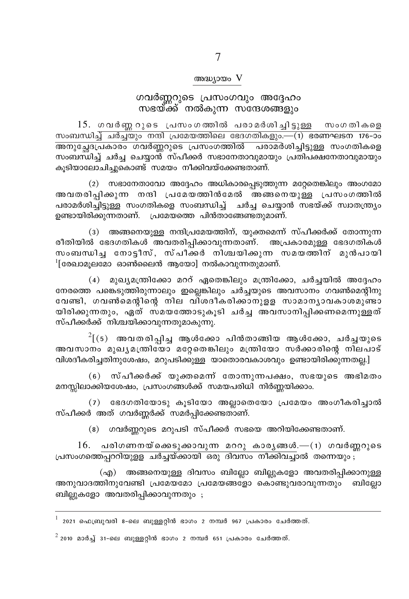#### അദ്ധ്യായം V

# ഗവർണ്ണറുടെ പ്രസംഗവും അദ്ദേഹം<br>സഭയ്ക്ക് നൽകുന്ന സന്ദേശങ്ങളും

15. ഗവർണ്ണറുടെ പ്രസംഗത്തിൽ പരാമർശിച്ചിട്ടുള്ള സംഗതികളെ സംബന്ധിച്ച് ചർച്ചയും നന്ദി പ്രമേയത്തിലെ ഭേദഗതികളും.—(1) ഭരണഘടന 176-ാം അനുച്ഛേപ്രകാരം ഗവർണ്ണറുടെ പ്രസംഗത്തിൽ പരാമർശിച്ചിട്ടുള്ള സംഗതികളെ സംബന്ധിച്ച് ചർച്ച ചെയ്യാന്മ് സ്പീക്കർ സഭാനേതാവുമായും പ്രതിപക്ഷനേതാവുമായും കുടിയാലോചിച്ചുകൊണ്ട് സമയം നീക്കിവയ്ക്കേണ്ടതാണ്.

(2) സഭാനേതാവോ അദ്ദേഹം അധികാരപ്പെടുത്തുന്ന മറ്റേതെങ്കിലും അംഗമോ അവതരിപിക്കുന്ന നന്ദി പ്രമേയത്തിൻമേൽ അങ്ങനെയുള്ള പ്രസംഗത്തിൽ പരാമർശിച്ചിട്ടുള്ള സംഗതികളെ സംബന്ധിച്ച് ചർച്ച ചെയ്യാൻ സഭയ്ക്ക് സ്വാതന്ത്ര്യം ഉണ്ടായിരിക്കുന്നതാണ്. പ്രമേയത്തെ പിൻതാങ്ങേണ്ടതുമാണ്.

(3) അങ്ങനെയുള്ള നന്ദിപ്രമേയത്തിന്, യുക്തമെന്ന് സ്പീക്കർക്ക് തോന്നുന്ന രീതിയിൽ ഭേദഗതികൾ അവതരിപ്പിക്കാവുന്നതാണ്. അപ്രകാരമുള്ള ഭേദഗതികൾ സംബന്ധിച്ച നോട്ടീസ്, സ്പീക്കർ നിശ്ചയിക്കുന്ന സമയത്തിന് മുൻപായി  $\frac{1}{2}$ [രേഖാമുലമോ ഓൺലൈൻ ആയോ] നൽകാവുന്നതുമാണ്.

(4) മുഖ്യമന്ത്രിക്കോ മററ് ഏതെങ്കിലും മന്ത്രിക്കോ, ചർച്ചയിൽ അദ്ദേഹം നേരത്തെ പങ്കെടുത്തിരുന്നാലും ഇല്ലെങ്കിലും ചർച്ചയുടെ അവസാനം ഗവൺമെന്റിനു വേണ്ടി, ഗവൺമെന്റിന്റെ നില വി്ശദീകരിക്കാനുളള സാമാനൃാവകാശമുണ്ടാ യിരിക്കുന്നതും, ഏത് സമയത്തോടുകൂടി ചർച്ച അവസാനിപ്പിക്കണമെന്നുള്ളത് സ്പീക്കർക്ക് നിശ്ചയിക്കാവുന്നതുമാകുന്നു.

 $2[(5)$  അവതരിപ്പിച്ച ആൾക്കോ പിൻതാങ്ങിയ ആൾക്കോ, ചർച്ചയുടെ അവസാനം മുഖൃമന്ത്രിയോ മറ്റേതെങ്കിലും മന്ത്രിയോ സർക്കാരിന്റെ നിലപാട് വിശദീകരിച്ചതിനുശേഷം, മറുപടിക്കുള്ള യാതൊരവകാശവും ഉണ്ടായിരിക്കുന്നതല്ല.]

(6) സ്പീക്കർക്ക് യുക്തമെന്ന് തോന്നുന്നപക്ഷം, സഭയുടെ അഭിമതം മനസ്സിലാക്കിയശേഷം, പ്രസംഗങ്ങൾക്ക് സമയപരിധി നിർണ്ണയിക്കാം.

 $(7)$  ഭേദഗതിയോടു കൂടിയോ അല്ലാതെയോ പ്രമേയം അംഗീകരിച്ചാൽ സ്പീക്കർ അത് ഗവർണ്ണർക്ക് സമർപ്പിക്കേണ്ടതാണ്.

(8) ഗവർണ്ണറുടെ മറുപടി സ്പീക്കർ സഭയെ അറിയിക്കേണ്ടതാണ്.

 $16.$  പരിഗണനയ്ക്കെടുക്കാവുന്ന മററു കാരൃങ്ങൾ.— $(1)$  ഗവർണ്ണറുടെ പ്രസംഗത്തെപ്പററിയുളള ചർച്ചയ്ക്കായി ഒരു ദിവസം നീക്കിവച്ചാൽ തന്നെയും;

(എ) അങ്ങനെയുള്ള ദിവസം ബില്ലോ ബില്ലുകളോ അവതരിപ്പിക്കാനുള്ള അനുവാദത്തിനുവേണ്ടി പ്രമേയമോ പ്രമേയങ്ങളോ കൊണ്ടുവരാവുന്നതും ബില്ലോ ബില്ലുകളോ അവതരിപ്പിക്കാവുന്നതും ;

 $^{\rm 1}$  2021 ഫെബ്രുവരി 8-ലെ ബുള്ളറ്റിൻ ഭാഗം 2 നമ്പർ 967 പ്രകാരം ചേർത്തത്.

 $^2$  2010 മാർച്ച് 31-ലെ ബുള്ളറ്റിൻ ഭാഗം 2 നമ്പർ 651 പ്രകാരം ചേർത്തത്.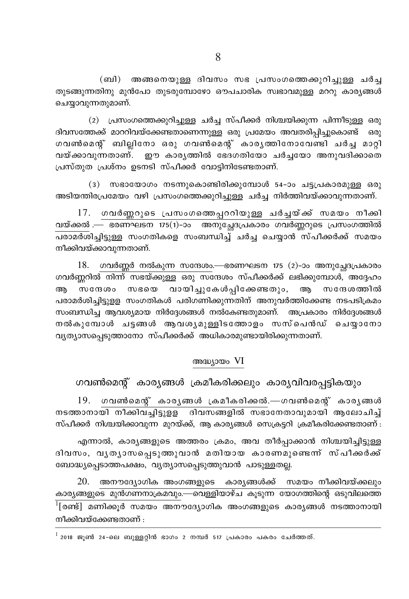(ബി) അങ്ങനെയുള്ള ദിവസം സഭ പ്രസംഗത്തെക്കുറിച്ചുള്ള ചർച്ച തുടങ്ങുന്നതിനു മുൻപോ തുടരുമ്പോഴോ ഔപചാരിക സ്വഭാവമുള്ള മററു കാര്യങ്ങൾ ചെയ്യാവുന്നതുമാണ്.

(2) പ്രസംഗത്തെക്കുറിച്ചുള്ള ചർച്ച സ്പീക്കർ നിശ്ചയിക്കുന്ന പിന്നീടുള്ള ഒരു ദിവസത്തേക്ക് മാററിവയ്ക്കേണ്ടതാണെന്നുള്ള ഒരു പ്രമേയം അവതരിപ്പിച്ചുകൊണ്ട് ഒരു ഗവൺമെന്റ് ബില്ലിനോ ഒരു ഗവൺമെന്റ് കാരൃത്തിനോവേണ്ടി ചർച്ച മാറ്റി വയ്ക്കാവുന്നതാണ്. ഈ കാരൃത്തിൽ ഭേദഗതിയോ ചർച്ചയോ അനുവദിക്കാതെ പ്രസ്തുത പ്രശ്നം ഉടനടി സ്പീക്കർ വോട്ടിനിടേണ്ടതാണ്.

(3) സഭായോഗം നടന്നുകൊണ്ടിരിക്കുമ്പോൾ 54-ാം ചട്ടപ്രകാരമുള്ള ഒരു അടിയന്തിരപ്രമേയം വഴി പ്രസംഗത്തെക്കുറിച്ചുള്ള ചർച്ച നിർത്തിവയ്ക്കാവുന്നതാണ്.

17. ഗവർണ്ണറുടെ പ്രസംഗത്തെപ്പററിയുള്ള ചർച്ചയ്ക്ക് സമയം നീക്കി വയ്ക്കൽ — ഭരണഘടന 175(1)-ാം അനുച്ചേദപ്രകാരം ഗവർണ്ണറുടെ പ്രസംഗത്തിൽ നീക്കിവയ്ക്കാവുന്നതാണ്.

 $18.$  ഗവർണ്ണർ നൽകുന്ന സന്ദേശം.—ഭരണഘടന 175 (2)-ാം അനുച്ചേദപ്രകാരം <u>ഗവർണ്ണറിൽ നിന്ന് സഭയ്ക്കുള്ള ഒരു സന്ദേശം സ്പീക്കർക്ക് ലഭിക്കുമ്പോൾ, അദ്ദേഹം </u> ...<br>സന്ദേശം സഭയെ വായിച്ചുകേൾപ്പിക്കേണ്ടതും, ആ സന്ദേശത്തിൽ അ പരാമർശിചിട്ടുള്ള സംഗതികൾ പരിഗണിക്കുന്നതിന് അനുവർത്തിക്കേണ്ട നടപടിക്രമം സംബന്ധിച്ച ആവശ്യമായ നിർദ്ദേശങ്ങൾ നൽകേണ്ടതുമാണ്. അപ്രകാരം നിർദ്ദേശങ്ങൾ നൽകുമ്പോൾ ചട്ടങ്ങൾ ആവശ്യമുള്ളിടത്തോളം സസ്പെൻഡ് ചെയാനോ വൃത്യാസപ്പെടുത്താനോ സ്പീക്കർക്ക് അധികാരമുണ്ടായിരിക്കുന്നതാണ്.

#### അദ്ധ്യായം VI

ഗവൺമെന്റ് കാര്യങ്ങൾ ക്രമീകരിക്കലും കാര്യവിവരപ്പട്ടികയും

 $19.$  ഗവൺമെന്റ് കാര്യങ്ങൾ ക്രമീകരിക്കൽ.—ഗവൺമെന്റ് കാര്യങ്ങൾ <u>നടത്താനായി നീക്കിവചിട്ടുള്ള ദിവസങ്ങളിൽ സഭാനേതാവുമായി അലോചിച്</u> സ്പീക്കർ നിശ്ചയിക്കാവുന്ന മുറയ്ക്ക്, ആ കാര്യങ്ങൾ സെക്രട്ടറി ക്രമീകരിക്കേണ്ടതാണ് :

എന്നാൽ, കാര്യങ്ങളുടെ അത്തരം ക്രമം, അവ തീർപ്പാക്കാൻ നിശ്ചയിച്ചിട്ടുള്ള ദിവസം, വൃതൃാസപ്പെടുത്തുവാൻ മതിയായ കാരണമുണ്ടെന്ന് സ്പീക്കർക്ക് ബോദ്ധ്യപ്പെടാത്തപക്ഷം, വ്യത്യാസപ്പെടുത്തുവാൻ പാടുള്ളതല്ല.

20. അനൗദ്യോഗിക അംഗങ്ങളുടെ കാര്യങ്ങൾക്ക് സമയം നീക്കിവയ്ക്കലും കാര്യങ്ങളുടെ മുൻഗണനാക്രമവും.—വെള്ളിയാഴ്ച കൂടുന്ന യോഗത്തിന്റെ ഒടുവിലത്തെ നീക്കിവയ്ക്കേണ്ടതാണ് :

 $^{\rm l}$  2018 ജൂൺ 24-ലെ ബുള്ളറ്റിൻ ഭാഗം 2 നമ്പർ 517 പ്രകാരം പകരം ചേർത്തത്.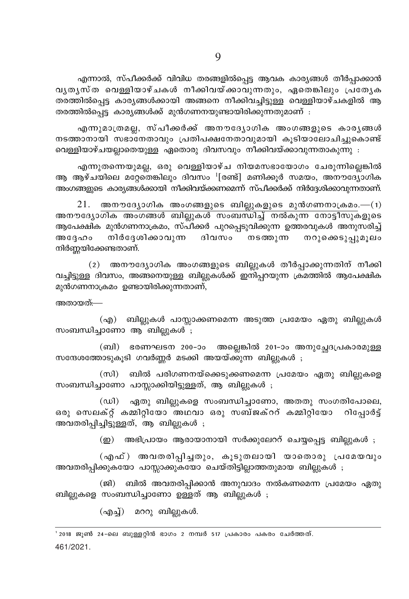എന്നാൽ, സ്പീക്കർക്ക് വിവിധ തരങ്ങളിൽപ്പെട്ട ആവക കാര്യങ്ങൾ തീർപ്പാക്കാൻ വൃതൃസ്ത വെള്ളിയാഴ്ചകൾ നീക്കിവയ്ക്കാവുന്നതും, ഏതെങ്കിലും പ്രത്യേക തരത്തിൽപെട്ട കാര്യങ്ങൾക്കായി അങ്ങനെ നീക്കിവച്ചിട്ടുള്ള വെള്ളിയാഴ്ചകളിൽ ആ തരത്തിൽപ്പെട്ട കാര്യങ്ങൾക്ക് മുൻഗണനയുണ്ടായിരിക്കുന്നതുമാണ് :

എന്നുമാത്രമല്ല, സ്പീക്കർക്ക് അനൗദ്യോഗിക അംഗങ്ങളുടെ കാരൃങ്ങൾ നടത്താനായി സഭാനേതാവും പ്രതിപക്ഷനേതാവുമായി കുടിയാലോചിച്ചുകൊണ്ട് വെള്ളിയാഴ്ചയല്ലാതെയുള്ള ഏതൊരു ദിവസവും നീക്കിവയ്ക്കാവുന്നതാകുന്നു .

എന്നുതന്നെയുമല്ല, ഒരു വെള്ളിയാഴ്ച നിയമസഭായോഗം ചേരുന്നില്ലെങ്കിൽ ആ ആഴ്ചയിലെ മറ്റേതെങ്കിലും ദിവസം <sup>1</sup>[രണ്ട്] മണിക്കൂർ സമയം, അനൗദ്യോഗിക അംഗങ്ങളുടെ കാര്യങ്ങൾക്കായി നീക്കിവയ്ക്കണമെന്ന് സ്പീക്കർക്ക് നിർദ്ദേശിക്കാവുന്നതാണ്.

 $21.$  അനൗദ്യോഗിക അംഗങ്ങളുടെ ബില്ലുകളുടെ മുൻഗണനാക്രമം.— $(1)$ <u>അനൗദ്യോഗിക അംഗങ്ങൾ ബില്ലുകൾ സംബന്ധിച്ച് നൽകുന്ന നോട്ടീസുകളുടെ</u> ആപേക്ഷിക മുൻഗണനാക്രമം, സ്പീക്കർ പുറപ്പെടുവിക്കുന്ന ഉത്തരവുകൾ അനുസരിച്ച് നിർദേശിക്കാവുന്ന ദിവസം നടത്തുന്ന നറുക്കെടുപ്പുമൂലം അദ്ദേഹം നിർണ്ണയിക്കേണ്ടതാണ്.

(2) അനൗദ്യോഗിക അംഗങ്ങളുടെ ബില്ലുകൾ തീർപ്പാക്കുന്നതിന് നീക്കി വച്ചിട്ടുള്ള ദിവസം, അങ്ങനെയുള്ള ബില്ലുകൾക്ക് ഇനിപ്പറയുന്ന ക്രമത്തിൽ ആപേക്ഷിക മുൻഗണനാക്രമം ഉണ്ടായിരിക്കുന്നതാണ്,

അതായത്:—

(എ) ബില്ലുകൾ പാസ്സാക്കണമെന്ന അടുത്ത പ്രമേയം ഏതു ബില്ലുകൾ സംബന്ധിച്ചാണോ ആ ബില്ലുകൾ ;

(ബി) ഭരണഘടന 200-ാം അല്ലെങ്കിൽ 201-ാം അനുച്ചേദപ്രകാരമുള്ള സന്ദേശത്തോടുകൂടി ഗവർണ്ണർ മടക്കി അയയ്ക്കുന്ന ബില്ലുകൾ ;

(സി) ബിൽ പരിഗണനയ്ക്കെടുക്കണമെന്ന പ്രമേയം ഏതു ബില്ലുകളെ സംബന്ധിച്ചാണോ പാസ്സാക്കിയിട്ടുള്ളത്, ആ ബില്ലുകൾ ;

ഏതു ബില്ലുകളെ സംബന്ധിച്ചാണോ, അതതു സംഗതിപോലെ,  $(\omega$ ി) ഒരു സെലക്റ്റ് കമ്മിറ്റിയോ അഥവാ ഒരു സബ്ജക്ററ് കമ്മിറ്റിയോ റിപ്പോർട്ട് അവതരിപ്പിച്ചിട്ടുള്ളത്, ആ ബില്ലുകൾ ;

> അഭിപ്രായം ആരായാനായി സർക്കുലേററ് ചെയ്യപ്പെട്ട ബില്ലുകൾ ;  $\circled{m}$

(എഫ്) അവതരിപ്പിച്ചതും, കൂടുതലായി യാതൊരു പ്രമേയവും അവതരിപ്പിക്കുകയോ പാസ്സാക്കുകയോ ചെയ്തിട്ടില്ലാത്തതുമായ ബില്ലുകൾ ;

(ജി) ബിൽ അവതരിപ്പിക്കാൻ അനുവാദം നൽകണമെന്ന പ്രമേയം ഏതു ബില്ലുകളെ സംബന്ധിച്ചാണോ ഉള്ളത് ആ ബില്ലുകൾ ;

(എച്ച്) മററു ബില്ലുകൾ.

461/2021.

<sup>&#</sup>x27; 2018 ജൂൺ 24-ലെ ബുള്ളറ്റിൻ ഭാഗം 2 നമ്പർ 517 പ്രകാരം പകരം ചേർത്തത്.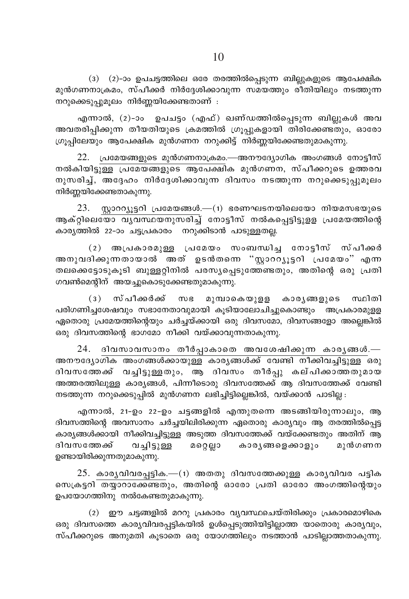(3) (2)-ാം ഉപചട്ടത്തിലെ ഒരേ തരത്തിൽപ്പെടുന്ന ബില്ലുകളുടെ ആപേക്ഷിക മുൻഗണനാക്രമം, സ്പീക്കർ നിർദ്ദേശിക്കാവുന്ന സമയത്തും രീതിയിലും നടത്തുന്ന നറുക്കെടുപ്പുമുലം നിർണ്ണയിക്കേണ്ടതാണ് :

എന്നാൽ, (2)-ാം ഉപചട്ടം (എഫ്) ഖണ്ഡത്തിൽപ്പെടുന്ന ബില്ലുകൾ അവ .<br>അവതരിപ്പിക്കുന്ന തീയതിയുടെ ക്രമത്തിൽ ഗ്രൂപ്പുകളായി തിരിക്കേണ്ടതും, ഓരോ ഗ്രൂപ്പിലേയും ആപേക്ഷിക മുൻഗണന നറുക്കിട്ട് നിർണ്ണയിക്കേണ്ടതുമാകുന്നു.

22. പ്രമേയങ്ങളുടെ മുൻഗണനാക്രമം.—അനൗദ്യോഗിക അംഗങ്ങൾ നോട്ടീസ് നൽകിയിട്ടുള്ള പ്രമേയങ്ങളുടെ ആപേക്ഷിക മുൻഗണന, സ്പീക്കറുടെ ഉത്തരവ നുസരിച്ച്, അദ്ദേഹം നിർദ്ദേശിക്കാവുന്ന ദിവസം നടത്തുന്ന നറുക്കെടുപ്പുമുലം നിർണ്ണയിക്കേണ്ടതാകുന്നു.

 $23.$  സ്റ്റാററ്റ്യൂട്ടറി പ്രമേയങ്ങൾ.— $(1)$  ഭരണഘടനയിലെയോ നിയമസഭയുടെ ആക്റ്റിലെയോ വൃവസ്ഥയനുസരിച്ച് നോട്ടീസ് നൽകപ്പെട്ടിട്ടുളള പ്രമേയത്തിന്റെ കാര്യത്തിൽ 22-ാം ചട്ടപ്രകാരം നറുക്കിടാൻ പാടുള്ളതല്ല.

(2) അപ്രകാരമുള്ള പ്രമേയം സംബന്ധിച്ച നോട്ടീസ് സ്പീക്കർ അനുവദിക്കുന്നതായാൽ അത് ഉടൻതന്നെ "സ്ലാററ്യൂട്ടറി പ്രമേയം" എന്ന തലക്കെട്ടോടുകൂടി ബുള്ളറ്റിനിൽ പരസ്യപ്പെടുത്തേണ്ടതും, അതിന്റെ ഒരു പ്രതി ഗവൺമെന്റിന് അയച്ചുകൊടുക്കേണ്ടതുമാകുന്നു.

(3) സ്പീക്കർക്ക് സഭ മുമ്പാകെയുളള കാരൃങ്ങളുടെ സ്ഥിതി പരിഗണിച്ചശേഷവും സഭാനേതാവുമായി കൂടിയാലോചിച്ചുകൊണ്ടും അപ്രകാരമുളള ഏതൊരു പ്രമേയത്തിന്റെയും ചർച്ചയ്ക്കായി ഒരു ദിവസമോ, ദിവസങ്ങളോ അല്ലെങ്കിൽ ഒരു ദിവസത്തിന്റെ ഭാഗമോ നീക്കി വയ്ക്കാവുന്നതാകുന്നു.

24. ദിവസാവസാനം തീർപ്പാകാതെ അവശേഷിക്കുന്ന കാരൃങ്ങൾ.— അനൗദ്യോഗിക അംഗങ്ങൾക്കായുള്ള കാര്യങ്ങൾക്ക് വേണ്ടി നീക്കിവച്ചിട്ടുള്ള ഒരു ദിവസത്തേക്ക് വച്ചിട്ടുള്ളതും, ആ ദിവസം തീർപ്പു കല്പിക്കാത്തതുമായ അത്തരത്തിലുള്ള കാര്യങ്ങൾ, പിന്നീടൊരു ദിവസത്തേക്ക് ആ ദിവസത്തേക്ക് വേണ്ടി നടത്തുന്ന നറുക്കെടുപ്പിൽ മുൻഗണന ലഭിച്ചിട്ടില്ലെങ്കിൽ, വയ്ക്കാൻ പാടില്ല :

എന്നാൽ, 21-ഉം 22-ഉം ചട്ടങ്ങളിൽ എന്തുതന്നെ അടങ്ങിയിരുന്നാലും, ആ ദിവസത്തിന്റെ അവസാനം ചർച്ചയിലിരിക്കുന്ന ഏതൊരു കാര്യവും ആ തരത്തിൽപ്പെട്ട കാര്യങ്ങൾക്കായി നീക്കിവച്ചിട്ടുള്ള അടുത്ത ദിവസത്തേക്ക് വയ്ക്കേണ്ടതും അതിന് ആ ദിവസത്തേക്ക് വച്ചിട്ടുള്ള മറ്റെല്ലാ കാരൃങ്ങളെക്കാളും മുൻഗണന ഉണ്ടായിരിക്കുന്നതുമാകുന്നു.

 $25.$  കാരൃവിവരപ്പട്ടിക.— $(1)$  അതതു ദിവസത്തേക്കുള്ള കാരൃവിവര പട്ടിക സെക്രട്ടറി തയ്യാറാക്കേണ്ടതും, അതിന്റെ ഓരോ പ്രതി ഓരോ അംഗത്തിന്റെയും ഉപയോഗത്തിനു നൽകേണ്ടതുമാകുന്നു.

(2) ഈ ചട്ടങ്ങളിൽ മററു പ്രകാരം വൃവസ്ഥചെയ്തിരിക്കും പ്രകാരമൊഴികെ ഒരു ദിവസത്തെ കാര്യവിവരപ്പട്ടികയിൽ ഉൾപ്പെടുത്തിയിട്ടില്ലാത്ത യാതൊരു കാര്യവും, സ്പീക്കറുടെ അനുമതി കൂടാതെ ഒരു യോഗത്തിലും നടത്താൻ പാടില്ലാത്തതാകുന്നു.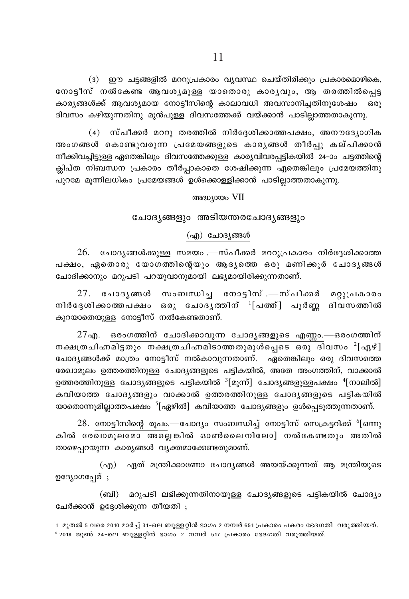(3) ഈ ചട്ടങ്ങളിൽ മററുപ്രകാരം വ്യവസ്ഥ ചെയ്തിരിക്കും പ്രകാരമൊഴികെ, നോട്ടീസ് നൽകേണ്ട ആവശ്യമുള്ള യാതൊരു കാര്യവും, ആ തരത്തിൽപ്പെട്ട കാര്യങ്ങൾക്ക് ആവശ്യമായ നോട്ടീസിന്റെ കാലാവധി അവസാനിച്ചതിനുശേഷം ഒരു ദിവസം കഴിയുന്നതിനു മുൻപുള്ള ദിവസത്തേക്ക് വയ്ക്കാൻ പാടില്ലാത്തതാകുന്നു.

(4) സ്പീക്കർ മററു തരത്തിൽ നിർദ്ദേശിക്കാത്തപക്ഷം, അനൗദ്യോഗിക അംഗങ്ങൾ കൊണ്ടുവരുന്ന പ്രമേയങ്ങളുടെ കാര്യങ്ങൾ തീർപു കല്പിക്കാൻ നീക്കിവച്ചിട്ടുള്ള ഏതെങ്കിലും ദിവസത്തേക്കുള്ള കാര്യവിവരപ്പട്ടികയിൽ 24–ാം ചട്ടത്തിന്റെ ക്ലിപ്ത നിബന്ധന പ്രകാരം തീർപ്പാകാതെ ശേഷിക്കുന്ന ഏതെങ്കിലും പ്രമേയത്തിനു പുറമേ മുന്നിലധികം പ്രമേയങ്ങൾ ഉൾക്കൊള്ളിക്കാൻ പാടില്ലാത്തതാകുന്നു.

#### അദ്ധ്യായം VII

#### ചോദ്യങ്ങളും അടിയന്തരചോദ്യങ്ങളും

#### (എ) ചോദ്യങ്ങൾ

26. ചോദൃങ്ങൾക്കുള്ള സമയം .—സ്പീക്കർ മററുപ്രകാരം നിർദ്ദേശിക്കാത്ത പക്ഷം, ഏതൊരു യോഗത്തിന്റെയും ആദ്യത്തെ ഒരു മണിക്കൂർ ചോദ്യങ്ങൾ ചോദിക്കാനും മറുപടി പറയുവാനുമായി ലഭ്യമായിരിക്കുന്നതാണ്.

27. ചോദൃങ്ങൾ സംബന്ധിച്ച നോട്ടീസ്.—സ്പീക്കർ മറ്റുപ്രകാരം നിർദ്ദേശിക്കാത്തപക്ഷം ഒരു ചോദൃത്തിന് <sup>1</sup>[പത്ത്] പൂർണ്ണ ദിവസത്തിൽ കുറയാതെയുള്ള നോട്ടീസ് നൽകേണ്ടതാണ്.

 $27$ എ. ഒരംഗത്തിന് ചോദിക്കാവുന്ന ചോദൃങ്ങളുടെ എണ്ണം.—ഒരംഗത്തിന് നക്ഷത്രചിഹ്നമിട്ടതും നക്ഷത്രചിഹ്നമിടാത്തതുമുൾപ്പെടെ ഒരു ദിവസം <sup>2</sup>[ഏഴ്] ചോദ്യങ്ങൾക്ക് മാത്രം നോട്ടീസ് നൽകാവുന്നതാണ്. ഏതെങ്കിലും ഒരു ദിവസത്തെ രേഖാമൂലം ഉത്തരത്തിനുള്ള ചോദ്യങ്ങളുടെ പട്ടികയിൽ, അതേ അംഗത്തിന്, വാക്കാൽ ഉത്തരത്തിനുള്ള ചോദ്യങ്ങളുടെ പട്ടികയിൽ  $^3$ [മുന്ന്] ചോദ്യങ്ങളുള്ളപക്ഷം  $^4$ [നാലിൽ] കവിയാത്ത ചോദൃങ്ങളും വാക്കാൽ ഉത്തരത്തിനുള്ള ചോദൃങ്ങളുടെ പട്ടികയിൽ യാതൊന്നുമില്ലാത്തപക്ഷം  $^{5}$ [ഏഴിൽ] കവിയാത്ത ചോദ്യങ്ങളും ഉൾപ്പെടുത്തുന്നതാണ്.

 $28.$  നോട്ടീസിന്റെ രൂപം.—ചോദ്യം സംബന്ധിച്ച് നോട്ടീസ് സെക്രട്ടറിക്ക്  $6$ [ഒന്നു കിൽ രേഖാമൂലമോ അല്ലെങ്കിൽ ഓൺലൈനിലോ] നൽകേണ്ടതും അതിൽ താഴെപ്പറയുന്ന കാര്യങ്ങൾ വ്യക്തമാക്കേണ്ടതുമാണ്.

(എ) ഏത് മന്ത്രിക്കാണോ ചോദ്യങ്ങൾ അയയ്ക്കുന്നത് ആ മന്ത്രിയുടെ ഉദ്യോഗപ്പേര് ;

(ബി) മറുപടി ലഭിക്കുന്നതിനായുള്ള ചോദ്യങ്ങളുടെ പട്ടികയിൽ ചോദ്യം ചേർക്കാൻ ഉദ്ദേശിക്കുന്ന തീയതി ;

1 മുതൽ 5 വരെ 2010 മാർച്ച് 31-ലെ ബുള്ളറ്റിൻ ഭാഗം 2 നമ്പർ 651 പ്രകാരം പകരം ഭേദഗതി വരുത്തിയത്.  $^{\circ}$  2018 ജൂൺ 24-ലെ ബുള്ളറിൻ ഭാഗം 2 നമ്പർ 517 പ്രകാരം ഭേദഗതി വരുത്തിയത്.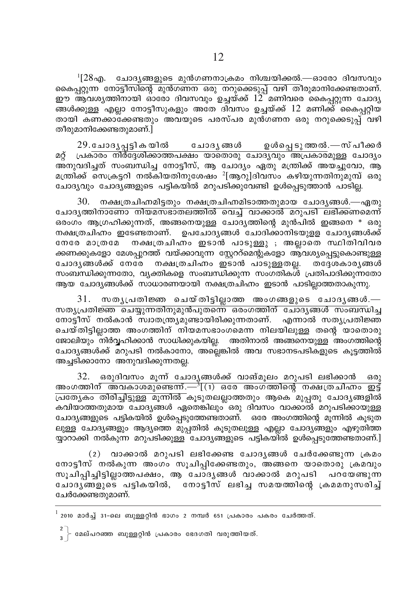$^{1}[28$ എ. ചോദ്യങ്ങളുടെ മുൻഗണനാക്രമം നിശ്ചയിക്കൽ.—ഓരോ ദിവസവും <u>കൈപ്റുന്ന് നോട്ടീസിന്റെ മുൻഗണന ഒരു നറുക്കെടുപ്പ് വഴി തീരുമാനിക്കേണ്ടതാണ്.</u> ഈ ആവശ്യത്തിനായി ഓരോ ദിവസവും ഉച്ചയ്ക്ക് 12 മണിവരെ കൈപ്പറ്റുന്ന ചോദ്യ ങ്ങൾക്കുള്ള എല്ലാ നോട്ടീസുകളും അതേ ദിവസം ഉച്ചയ്ക്ക് 12 മണിക്ക് കൈപ്പറ്റിയ തായി കണക്കാക്കേണ്ടതും അവയുടെ പരസ്പര മുൻഗണന ഒരു നറുക്കെടുപ്പ് വഴി തീരുമാനിക്കേണ്ടതുമാണ്.]

29.ചോദൃപ്പട്ടികയിൽ ചോദൃങ്ങൾ ഉൾപെടു ത്തൽ.—സ് പീക്കർ പ്രകാരം നിർദേശിക്കാത്തപക്ഷം യാതൊരു ചോദ്യവും അപ്രകാരമുള്ള ചോദ്യം മറ് അനുവദിച്ചത് സംബന്ധിച്ച നോട്ടീസ്, ആ ചോദ്യം ഏതു മന്ത്രിക്ക് അയചൂവോ, ആ മന്ത്രിക്ക് സെക്രട്ടറി നൽകിയതിനുശേഷം  $^{2}$ [ആറു]ദിവസം കഴിയുന്നതിനുമുമ്പ് ഒരു ചോദ്യവും ചോദ്യങ്ങളുടെ പട്ടികയിൽ മറുപടിക്കുവേണ്ടി ഉൾപ്പെടുത്താൻ പാടില്ല.

 $30.$  നക്ഷത്രചിഹ്നമിട്ടതും നക്ഷത്രചിഹ്നമിടാത്തതുമായ ചോദ്യങ്ങൾ.—ഏതു ചോദൃത്തിനാണോ നിയമസഭാതലത്തിൽ വെച്ച് വാക്കാൽ മറുപടി ലഭിക്കണമെന്ന് ഒരംഗം ആഗ്രഹിക്കുന്നത്, അങ്ങനെയുള്ള ചോദ്യത്തിന്റെ മുൻപിൽ ഇങ്ങനെ \* ഒരു നക്ഷത്രചിഹ്നം ഇടേണ്ടതാണ്. ഉപചോദ്യങ്ങൾ ചോദിക്കാനിടയുള്ള ചോദ്യങ്ങൾക്ക് നേരേ മാത്രമേ നക്ഷത്രചിഹ്രം ഇടാൻ പാടുള്ളു ; അല്ലാതെ സ്ഥിതിവിവര ക്കണക്കുകളോ മേശപ്പുറത്ത് വയ്ക്കാവുന്ന സ്റ്റേററ്മെന്റുകളോ ആവശ്യപ്പെട്ടുകൊണ്ടുള്ള ചോദൃങ്ങൾക്ക് നേര്േ നക്ഷത്രചിഹ്രം ഇടാൻ പാടുള്ളതല്ല. തദേശകാര്യങ്ങൾ സംബന്ധിക്കുന്നതോ, വ്യക്തികളെ സംബന്ധിക്കുന്ന സംഗതികൾ പ്രതിപാദിക്കുന്നതോ ആയ ചോദ്യങ്ങൾക്ക് സാധാരണയായി നക്ഷത്രചിഹ്നം ഇടാൻ പാടില്ലാത്തതാകുന്നു.

 $31.$  സതൃപ്രതിജ്ഞ ചെയ്തിട്ടില്ലാത്ത അംഗങ്ങളുടെ ചോദൃങ്ങൾ.— <u>സതൃപ്രതിജ്ഞ ചെയ്യുന്നതിനുമുൻപുതന്നെ ഒരംഗത്തിന് ചോദൃങ്ങൾ സംബന്ധിച്ച</u> നോട്ടീസ് നൽകാൻ സ്വാതന്ത്ര്യമുണ്ടായിരിക്കുന്നതാണ്. എന്നാൽ സത്യപ്രതിജ്ഞ ചെയ്തിട്ടില്ലാത്ത അംഗത്തിന് നിയമസഭാംഗമെന്ന നിലയിലുള്ള തന്റെ യാതൊരു ജോലിയും നിർവ്വഹിക്കാൻ സാധിക്കുകയില്ല. അതിനാൽ അങ്ങനെയുള്ള അംഗത്തിന്റെ ചോദൃങ്ങൾക്ക് മറുപടി നൽകാനോ, അല്ലെങ്കിൽ അവ സഭാനടപടികളുടെ കൂട്ടത്തിൽ് അച്ചടിക്കാനോ അനുവദിക്കുന്നതല്ല.

32. ഒരുദിവസം മുന്ന് ചോദൃങ്ങൾക്ക് വാങ്മൂലം മറുപടി ലഭിക്കാൻ  $6301$ <u>അംഗത്തിന് അവകാശമുണ്ടെന്ന്.—് $\frac{3}{1}$ (1) ഒരേ അംഗത്തിന്റെ നക്ഷത്രചിഹ്നം ഇട്ട്</u> പ്രത്യേകം തിരിച്ചിട്ടുള്ള മുന്നിൽ കുടുതലല്ലാത്തതും ആകെ മുപ്പതു ചോദ്യങ്ങളിൽ കവിയാത്തതുമായ ചോദ്യങ്ങൾ ഏതെങ്കിലും ഒരു ദിവസം വാക്കാൽ മറുപടിക്കായുള്ള ചോദ്യങ്ങളുടെ പട്ടികയിൽ ഉൾപ്പെടുത്തേണ്ടതാണ്. ഒരേ അംഗത്തിന്റെ മുന്നിൽ കുടുത ലുള്ള ചോദ്യങ്ങളും ആദ്യത്തെ മുപ്പതിൽ കൂടുതലുള്ള എല്ലാ ചോദ്യങ്ങളും എഴുതിത്ത യ്യാറാക്കി നൽകുന്ന മറുപടിക്കുള്ള ചോദ്യങ്ങളുടെ പട്ടികയിൽ ഉൾപ്പെടുത്തേണ്ടതാണ്.]

 $(2)$  വാക്കാൽ മറുപടി ലഭിക്കേണ്ട ചോദൃങ്ങൾ ചേർക്കേണ്ടുന്ന ക്രമം നോട്ടീസ് നൽകുന്ന അംഗം സൂചിപ്പിക്കേണ്ടതും, അങ്ങനെ യാതൊരു ക്രമവും സൂചിപ്പിച്ചിട്ടില്ലാത്തപക്ഷം, ആ ചോദൃങ്ങൾ വാക്കാൽ മറുപടി പറയേണ്ടുന്ന ചോദൃങ്ങളുടെ പട്ടികയിൽ, നോട്ടീസ് ലഭിച്ച സമയത്തിന്റെ ക്രമമനുസരിച്ച് ചേർക്കേണ്ടതുമാണ്.

 $^{\rm l}$  2010 മാർച്ച് 31-ലെ ബുള്ളറ്റിൻ ഭാഗം 2 നമ്പർ 651 പ്രകാരം പകരം ചേർത്തത്.

 $\frac{2}{3}$  | മേല്പറഞ്ഞ ബുള്ളറ്റിൻ പ്രകാരം ഭേദഗതി വരുത്തിയത്.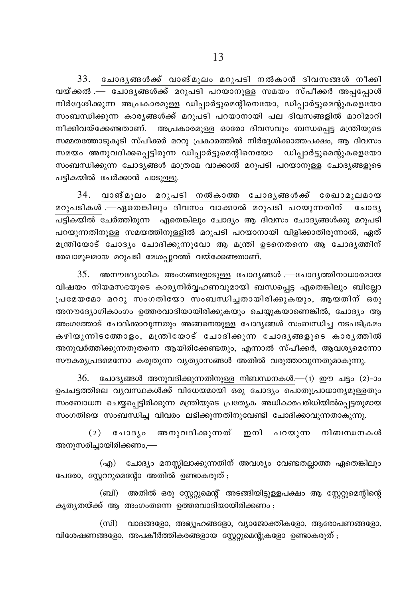$33.$  ചോദൃങ്ങൾക്ക് വാങ്മൂലം മറുപടി നൽകാൻ ദിവസങ്ങൾ നീക്കി വയ്ക്കൽ .— ചോദൃങ്ങൾക്ക് മറുപടി പറയാനുള്ള സമയം സ്പീക്കർ അപ്പപ്പോൾ \n¿t±in°p∂ A{]Imcap≈ Un∏m¿´psa'ns\tbm, Un∏m¿´psa'pIsftbm സംബന്ധിക്കുന്ന കാരൃങ്ങൾക്ക് മറുപടി പറയാനായി പല ദിവസങ്ങളിൽ മാറിമാറി നീക്കിവയ്ക്കേണ്ടതാണ്. അപ്രകാരമുള്ള ഓരോ ദിവസവും ബന്ധപ്പെട്ട മന്ത്രിയുടെ സമ്മതത്തോടുകൂടി സ്പീക്കർ മററു പ്രകാരത്തിൽ നിർദ്ദേശിക്കാത്തപക്ഷം, ആ ദിവസം സമയം അനുവദിക്കപ്പെട്ടിരുന്ന ഡിപ്പാർട്ടുമെന്റിനെയോ ഡിപ്പാർട്ടുമെന്റുകളെയോ സംബന്ധിക്കുന്ന ചോദ്യങ്ങൾ മാത്രമേ വാക്കാൽ മറുപടി പറയാനുള്ള ചോദ്യങ്ങളുടെ പട്ടികയിൽ ചേർക്കാൻ പാടുള്ളൂ.

 $34.$  വാങ്മുലം മറുപടി നൽകാത്ത ചോദൃങ്ങൾക്ക് രേഖാമുലമായ മറുപടികൾ $\overline{\phantom{a}}$ .—ഏതെങ്കിലും ദിവസം വാക്കാൽ മറുപടി പറയുന്നതിന് ചോദൃ പട്ടികയിൽ ചേർത്തിരുന്ന ഏതെങ്കിലും ചോദ്യം ആ ദിവസം ചോദ്യങ്ങൾക്കു മറുപടി പറയുന്നതിനുള്ള സമയത്തിനുള്ളിൽ മറുപടി പറയാനായി വിളിക്കാതിരുന്നാൽ, ഏത് മന്ത്രിയോട് ചോദ്യം ചോദിക്കുന്നുവോ ആ മന്ത്രി ഉടനെതന്നെ ആ ചോദൃത്തിന് രേഖാമുലമായ മറുപടി മേശപ്പുറത്ത് വയ്ക്കേണ്ടതാണ്.

 $35.$  അനൗദ്യോഗിക അംഗങ്ങളോടുള്ള ചോദൃങ്ങൾ .—ചോദൃത്തിനാധാരമായ വിഷയം നിയമസഭയുടെ കാര്യനിർവ്വഹണവുമായി ബന്ധപ്പെട്ട ഏതെങ്കിലും ബില്ലോ  ${u}$ മേയമോ മററു സംഗതിയോ സംബന്ധിച്ചതായിരിക്കുകയും, ആയതിന് ഒരു അനൗദ്യോഗികാംഗം ഉത്തരവാദിയായിരിക്കുകയും ചെയ്യുകയാണെങ്കിൽ, ചോദ്യം ആ അംഗത്തോട് ചോദിക്കാവുന്നതും അങ്ങനെയുള്ള ചോദ്യങ്ങൾ സംബന്ധിച്ച നടപടിക്രമ<del>ം</del> കഴിയുന്നിടത്തോളം, മന്ത്രിയോട് ചോദിക്കുന്ന ചോദൃങ്ങളുടെ കാരൃത്തിൽ അനുവർത്തിക്കുന്നതുതന്നെ ആയിരിക്കേണ്ടതും, എന്നാൽ സ്പീക്കർ, ആവശ്യമെന്നോ സൗകര്യ്യപ്രദമെന്നോ കരുതുന്ന വ്യത്യാസങ്ങൾ അതിൽ വരുത്താവുന്നതുമാകുന്നു.

 $36.$  ചോദ്യങ്ങൾ അനുവദിക്കുന്നതിനുള്ള നിബന്ധനകൾ.— $(1)$  ഈ ചട്ടം  $(2)$ -ാം ഉപചട്ടത്തിലെ വൃവസ്ഥകൾക്ക് വിധേയമായി ഒരു ചോദ്യം പൊതുപ്രാധാനൃമുള്ളതും സംബോധന ചെയ്യപ്പെട്ടിരിക്കുന്ന മന്ത്രിയുടെ പ്രത്യേക അധികാരപരിധിയിൽപ്പെട്ടതുമായ സംഗതിയെ സംബന്ധിച്ച വിവരം ലഭിക്കുന്നതിനുവേണ്ടി ചോദിക്കാവുന്നതാകുന്നു.

(2) ചോദ്യം അനുവദിക്കുന്നത് ഇനി പറയുന്ന നിബന്ധനകൾ അനുസരിച്ചായിരിക്കണം,—

(എ) ചോദ്യം മനസ്സിലാക്കുന്നതിന് അവശ്യം വേണ്ടതല്ലാത്ത ഏതെങ്കിലും പേരോ, സ്കേററുമെന്റോ അതിൽ ഉണ്ടാകരുത് ;

(ബി) അതിൽ ഒരു സ്റ്റേറ്റുമെന്റ് അടങ്ങിയിട്ടുള്ളപക്ഷം ആ സ്റ്റേറ്റുമെന്റിന്റെ കൃതൃതയ്ക്ക് ആ അംഗംതന്നെ ഉത്തരവാദിയായിരിക്കണം ;

(സി) വാദങ്ങളോ, അഭ്യൂഹങ്ങളോ, വ്യാജോക്തികളോ, ആരോപണങ്ങളോ, വിശേഷണങ്ങളോ, അപകീർത്തികരങ്ങളായ സ്റ്റേറ്റുമെന്റുകളോ ഉണ്ടാകരുത് $;$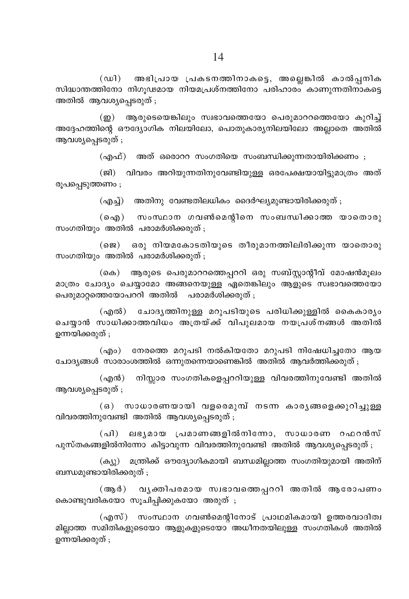(ഡി) അഭിപ്രായ പ്രകടനത്തിനാകട്ടെ, അല്ലെങ്കിൽ കാൽപ്പനിക സിദ്ധാന്തത്തിനോ നിഗുഢമായ നിയമപ്രശ്നത്തിനോ പരിഹാരം കാണുന്നതിനാകട്ടെ അതിൽ ആവശ്യപ്പെടരുത് ;

(ഇ) ആരുടെയെങ്കിലും സ്വഭാവത്തെയോ പെരുമാററത്തെയോ കുറിച്ച് അദ്ദേഹത്തിന്റെ ഔദ്യോഗിക നിലയിലോ, പൊതുകാര്യനിലയിലോ അല്ലാതെ അതിൽ ആവശ്യപെടരുത് ;

(എഫ്) അത് ഒരൊററ സംഗതിയെ സംബന്ധിക്കുന്നതായിരിക്കണം ;

(ജി) വിവരം അറിയുന്നതിനുവേണ്ടിയുള്ള ഒരപേക്ഷയായിട്ടുമാത്രം അത് രൂപപ്പെടുത്തണം ;

(എച്ച്) അതിനു വേണ്ടതിലധികം ദൈർഘ്യമുണ്ടായിരിക്കരുത് ;

(ഐ) സംസ്ഥാന ഗവൺമെന്റിനെ സംബന്ധിക്കാത്ത യാതൊരു സംഗതിയും അതിൽ പരാമർശിക്കരുത് ;

 $($ ജെ) ഒരു നിയമകോടതിയുടെ തീരുമാനത്തിലിരിക്കുന്ന യാതൊരു സംഗതിയും അതിൽ പരാമർശിക്കരുത് ;

(കെ) ആരുടെ പെരുമാററത്തെപ്പററി ഒരു സബ്സ്റ്റാന്റീവ് മോഷൻമൂലം മാത്രം ചോദ്യം ചെയ്യാമോ അങ്ങനെയുള്ള ഏതെങ്കിലും ആളുടെ സ്വഭാവത്തെയോ പെരുമാറത്തെയോപററി അതിൽ പരാമർശിക്കരുത് :

ചോദൃത്തിനുള്ള മറുപടിയുടെ പരിധിക്കുള്ളിൽ കൈകാരൃം (എൽ) ചെയ്യാൻ സാധിക്കാത്തവിധം അത്രയ്ക്ക് വിപുലമായ നയപ്രശ്നങ്ങൾ അതിൽ ഉന്നയിക്കരുത് ;

(എം) നേരത്തെ മറുപടി നൽകിയതോ മറുപടി നിഷേധിച്ചതോ ആയ ചോദ്യങ്ങൾ സാരാംശത്തിൽ ഒന്നുതന്നെയാണെങ്കിൽ അതിൽ ആവർത്തിക്കരുത് ;

 $(\text{m} \mathfrak{m})$ നിസ്സാര സംഗതികളെപ്പററിയുള്ള വിവരത്തിനുവേണ്ടി അതിൽ ആവശ്യപ്പെടരുത് ;

(ഒ) സാധാരണയായി വളരെമുമ്പ് നടന്ന കാരൃങ്ങളെക്കുറിച്ചുള്ള വിവരത്തിനുവേണ്ടി അതിൽ ആവശ്യപ്പെടരുത് ;

(പി) ലഭ്യമായ പ്രമാണങ്ങളിൽനിന്നോ, സാധാരണ റഫറൻസ് പുസ്തകങ്ങളിൽനിന്നോ കിട്ടാവുന്ന വിവരത്തിനുവേണ്ടി അതിൽ ആവശ്യപ്പെടരുത് ;

(ക്യു) മന്ത്രിക്ക് ഔദ്യോഗികമായി ബന്ധമില്ലാത്ത സംഗതിയുമായി അതിന് ബന്ധമുണ്ടായിരിക്കരുത് ;

 $(\mathbb{a} \mathbb{a})$ വൃക്തിപരമായ സ്വഭാവത്തെപ്പററി അതിൽ ആരോപണം കൊണ്ടുവരികയോ സൂചിപ്പിക്കുകയോ അരുത് ;

(എസ്) സംസ്ഥാന ഗവൺമെന്റിനോട് പ്രാഥമികമായി ഉത്തരവാദിത്വ മില്ലാത്ത സമിതികളുടെയോ ആളുകളുടെയോ അധീനതയിലുള്ള സംഗതികൾ അതിൽ ഉന്നയിക്കരുത് ;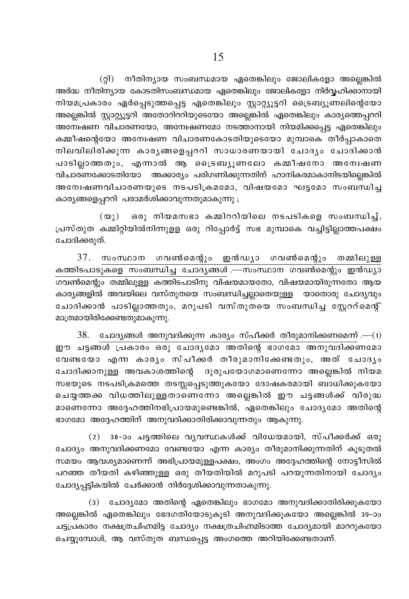(റ്റി) നീതിന്യായ സംബന്ധമായ ഏതെങ്കിലും ജോലികളോ അല്ലെങ്കിൽ അർദ്ധ നീതിന്യായ കോടതിസംബന്ധമായ ഏതെങ്കിലും ജോലികളോ നിർവ്വഹിക്കാനായി നിയമപ്രകാരം ഏർപ്പെടുത്തപ്പെട്ട ഏതെങ്കിലും സ്റ്റാറ്റ്യൂട്ടറി ട്രൈബ്യൂണലിന്റെയോ അല്ലെങ്കിൽ സ്റ്റാറ്റ്യൂട്ടറി അതോറിററിയുടെയോ അല്ലെങ്കിൽ ഏതെങ്കിലും കാര്യത്തെപ്പററി അന്വേഷണ വിചാരണയോ, അന്വേഷണമോ നടത്താനായി നിയമിക്കപ്പെട്ട ഏതെങ്കിലും കമ്മീഷന്റെയോ അന്വേഷണ വിചാരണകോടതിയുടെയോ മുമ്പാകെ തീർപ്പാകാതെ നിലവിലിരിക്കുന്ന കാരൃങ്ങളെപ്പററി സാധാരണയായി ചോദൃം ചോദിക്കാൻ പാടില്ലാത്തതും, എന്നാൽ ആ ട്രൈബ്യൂണലോ കമ്മീഷനോ അന്വേഷണ വിചാരണക്കോടതിയോ അക്കാര്യം പരിഗണിക്കുന്നതിന് ഹാനികരമാകാനിടയില്ലെങ്കിൽ അന്വേഷണവിചാരണയുടെ നടപടിക്രമമോ, വിഷയമോ ഘട്ടമോ സംബന്ധിച്ച കാര്യങ്ങളെപ്പററി പരാമർശിക്കാവുന്നതുമാകുന്നു ;

ഒരു നിയമസഭാ കമ്മിററിയിലെ നടപടികളെ സംബന്ധിച്ച്,  $(\omega_1)$ പ്രസ്തുത കമ്മിറ്റിയിൽനിന്നുളള ഒരു റിപ്പോർട്ട് സഭ മുമ്പാകെ വച്ചിട്ടില്ലാത്തപക്ഷം ചോദിക്കരുത്.

37. സംസ്ഥാന ഗവൺമെന്റും ഇൻഡ്യാ ഗവൺമെന്റും തമ്മിലുള്ള കത്തിടപാടുകളെ സംബന്ധിച്ച ചോദ്യങ്ങൾ .—സംസ്ഥാന ഗവൺമെന്റും ഇൻഡ്യാ ഗവൺമെന്റും തമ്മിലുള്ള കത്തിടപാടിനു വിഷയമായതോ, വിഷയമായിരുന്നതോ ആയ കാര്യങ്ങളിൽ അവയിലെ വസ്തുതയെ സംബന്ധിച്ചല്ലാതെയുള്ള യാതൊരു ചോദ്യവും ചോദിക്കാൻ പാടില്ലാത്തതും, മറുപടി വസ്തുതയെ സംബന്ധിച്ച സ്റ്റേറ്മെന്റ് മാത്രമായിരിക്കേണ്ടതുമാകുന്നു.

 $38.$  ചോദൃങ്ങൾ അനുവദിക്കുന്ന കാര്യം സ്പീക്കർ തീരുമാനിക്കണമെന്ന് .— $(i)$ ഈ ചട്ടങ്ങൾ പ്രകാരം ഒരു ചോദൃമോ അതിന്റെ ഭാഗമോ അനുവദിക്കണമോ വേണ്ടയോ എന്ന കാര്യം സ്പീക്കർ തീരുമാനിക്കേണ്ടതും, അത് ചോദ്യം ചോദിക്കാനുള്ള അവകാശത്തിന്റെ ദുരുപയോഗമാണെന്നോ അല്ലെങ്കിൽ നിയമ സഭയുടെ നടപടിക്രമത്തെ തടസ്സപ്പെടുത്തുകയോ ദോഷകരമായി ബാധിക്കുകയോ ചെയ്യത്തക്ക വിധത്തിലുള്ളതാണെന്നോ അല്ലെങ്കിൽ ഈ ചട്ടങ്ങൾക്ക് വിരുദ്ധ മാണെന്നോ അദ്ദേഹത്തിനഭിപ്രായമുണ്ടെങ്കിൽ, ഏതെങ്കിലും ചോദൃമോ അതിന്റെ ഭാഗമോ അദ്ദേഹത്തിന് അനുവദിക്കാതിരിക്കാവുന്നതും ആകുന്നു.

(2) 38-ാം ചട്ടത്തിലെ വൃവസ്ഥകൾക്ക് വിധേയമായി, സ്പീക്കർക്ക് ഒരു ചോദ്യം അനുവദിക്കണമോ വേണ്ടയോ എന്ന കാര്യം തീരുമാനിക്കുന്നതിന് കൂടുതൽ സമയം ആവശ്യമാണെന്ന് അഭിപ്രായമുള്ളപക്ഷം, അംഗം അദ്ദേഹത്തിന്റെ നോട്ടീസിൽ പറഞ്ഞ തീയതി കഴിഞ്ഞുള്ള ഒരു തീയതിയിൽ മറുപടി പറയുന്നതിനായി ചോദ്യം ചോദ്യപ്പട്ടികയിൽ ചേർക്കാൻ നിർദ്ദേശിക്കാവുന്നതാകുന്നു.

(3) ചോദ്യമോ അതിന്റെ ഏതെങ്കിലും ഭാഗമോ അനുവദിക്കാതിരിക്കുകയോ അല്ലെങ്കിൽ ഏതെങ്കിലും ഭേദഗതിയോടുകൂടി അനുവദിക്കുകയോ അല്ലെങ്കിൽ 39–ാം ചട്ടപ്രകാരം നക്ഷത്രചിഹ്നമിട്ട ചോദ്യം നക്ഷത്രചിഹ്നമിടാത്ത ചോദ്യമായി മാററുകയോ ചെയ്യുമ്പോൾ, ആ വസ്തുത ബന്ധപ്പെട്ട അംഗത്തെ അറിയിക്കേണ്ടതാണ്.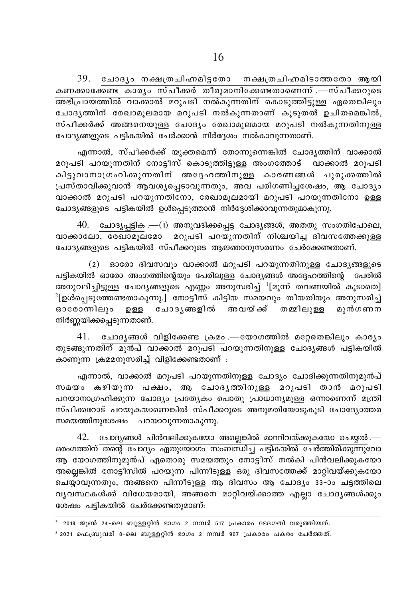39. ചോദ്യം നക്ഷത്രചിഹ്നമിട്ടതോ നക്ഷത്രചിഹ്നമിടാത്തതോ ആയി കണക്കാക്കേണ്ട കാര്യം സ്പീക്കർ തീരുമാനിക്കേണ്ടതാണെന്ന് .—സ്പീക്കറുടെ A`n{]mbØn¬ hm°m¬ adp]Sn \¬Ip∂Xn\v sImSpØn´p≈ GsX¶nepw ചോദ്യത്തിന് രേഖാമുലമായ മറുപടി നൽകുന്നതാണ് കൂടുതൽ ഉചിതമെങ്കിൽ, സ്പീക്കർക്ക് അങ്ങനെയുള്ള ചോദൃം രേഖാമൂലമായ മറുപടി നൽകുന്നതിനുള്ള ചോദ്യങ്ങളുടെ പട്ടികയിൽ ചേർക്കാൻ നിർദ്ദേശം നൽകാവുന്നതാണ്.

എന്നാൽ, സ്പീക്കർക്ക് യുക്തമെന്ന് തോന്നുന്നെങ്കിൽ ചോദ്യത്തിന് വാക്കാൽ മറുപടി പറയുന്നതിന് നോട്ടീസ് കൊടുത്തി<u>ടുള്ള</u> അംഗത്തോട് വാക്കാൽ മറുപടി കിട്ടുവാനാഗ്രഹിക്കുന്നതിന് അദ്ദേഹത്തിനുള്ള കാരണങ്ങൾ ചുരുക്കത്തിൽ  ${Lum}$ താവിക്കുവാൻ ആവശ്യപ്പെടാവുന്നതും, അവ പരിഗണിച്ചശേഷം, ആ ചോദ്യം വാക്കാൽ മറുപടി പറയുന്നതിനോ, രേഖാമുലമായി മറുപടി പറയുന്നതിനോ ഉള്ള ചോദ്യങ്ങളുടെ പട്ടികയിൽ ഉൾപ്പെടുത്താൻ നിർദ്ദേശിക്കാവുന്നതുമാകുന്നു.

 $40.$  ചോദ്യപ്പട്ടിക .—(1) അനുവദിക്കപ്പെട്ട ചോദ്യങ്ങൾ, അതതു സംഗതിപോലെ, വാക്കാലോ, ബോമുലമോ മറുപടി പറയുന്നതിന് നിശ്ചയിച്ച ദിവസത്തേക്കുള്ള ചോദ്യങ്ങളുടെ പട്ടികയിൽ സ്പീക്കറുടെ ആജ്ഞാനുസരണം ചേർക്കേണ്ടതാണ്.

 $(2)$  ഓരോ ദിവസവും വാക്കാൽ മറുപടി പറയുന്നതിനുള്ള ചോദ്യങ്ങളുടെ പട്ടികയിൽ ഓരോ അംഗത്തിന്റെയും പേരിലുള്ള ചോദ്യങ്ങൾ അദ്ദേഹത്തിന്റെ പേരിൽ അനുവദിച്ചിട്ടുള്ള ചോദ്യങ്ങളുടെ എണ്ണം അനുസരിച്ച് <sup>1</sup>[മൂന്ന് തവണയിൽ കൂടാതെ]  $^2$ [ഉൾപ്പെടുത്തേണ്ടതാകുന്നു.] നോട്ടീസ് കിട്ടിയ സമയവും തീയതിയും അനുസരിച്ച് ഓരോന്നിലും ഉള്ള ചോദൃങ്ങളിൽ അവയ്ക്ക് തമ്മിലുള്ള മുൻഗണന നിർണ്ണയിക്കപ്പെടുന്നതാണ്.

 $41.$  ചോദ്യങ്ങൾ വിളിക്കേണ്ട ക്രമം —യോഗത്തിൽ മറ്റേതെങ്കിലും കാര്യം തുടങ്ങുന്നതിന് മുൻപ് വാക്കാൽ മറുപടി പറയുന്നതിനുള്ള ചോദൃങ്ങൾ പട്ടികയിൽ കാണുന്ന ക്രമമനുസരിച്ച് വിളിക്കേണ്ടതാണ് :

എന്നാൽ, വാക്കാൽ മറുപടി പറയുന്നതിനുള്ള ചോദ്യം ചോദിക്കുന്നതിനുമുൻപ് സമയം കഴിയുന്ന പക്ഷം, ആ ചോദൃത്തിനുള്ള മറുപടി താൻ മറുപടി പറയാനാഗ്രഹിക്കുന്ന ചോദ്യം പ്രത്യേകം പൊതു പ്രാധാന്യമുള്ള ഒന്നാണെന്ന് മന്ത്രി സ്പീക്കറോട് പറയുകയാണെങ്കിൽ സ്പീക്കറുടെ അനുമതിയോടുകൂടി ചോദ്യോത്തര സമയത്തിനുശേഷം പറയാവുന്നതാകുന്നു.

 $42.$  ചോദ്യങ്ങൾ പിൻവലിക്കുകയോ അല്ലെങ്കിൽ മാററിവയ്ക്കുകയോ ചെയ്യൽ .— കരംഗത്തിന് തന്റെ ചോദ്യം ഏതുയോഗം സംബന്ധിച്ച പട്ടികയിൽ ചേർത്തിരിക്കുന്നുവോ ആ യോഗത്തിനുമുൻപ് ഏതൊരു സമയത്തും നോട്ടീസ് നൽകി പിൻവലിക്കുകയോ അല്ലെങ്കിൽ നോട്ടീസിൽ പറയുന്ന പിന്നീടുള്ള ഒരു ദിവസത്തേക്ക് മാറ്റിവയ്ക്കുകയോ ചെയ്യാവുന്നതും, അങ്ങനെ പിന്നീടുള്ള ആ ദിവസം ആ ചോദ്യം 33−ാം ചട്ടത്തിലെ വൃവസ്ഥകൾക്ക് വിധേയമായി, അങ്ങനെ മാറ്റിവയ്ക്കാത്ത എല്ലാ ചോദൃങ്ങൾക്കും ശേഷം പട്ടികയിൽ ചേർക്കേണ്ടതുമാണ്:

- ' 2018 ജൂൺ 24-ലെ ബുള്ളറ്റിൻ ഭാഗം 2 നമ്പർ 517 പ്രകാരം ഭേദഗതി വരുത്തിയത്.
- $^2$  2021 ഫെബ്രുവരി 8-ലെ ബുള്ളറ്റിൻ ഭാഗം 2 നമ്പർ 967 പ്രകാരം പകരം ചേർത്തത്.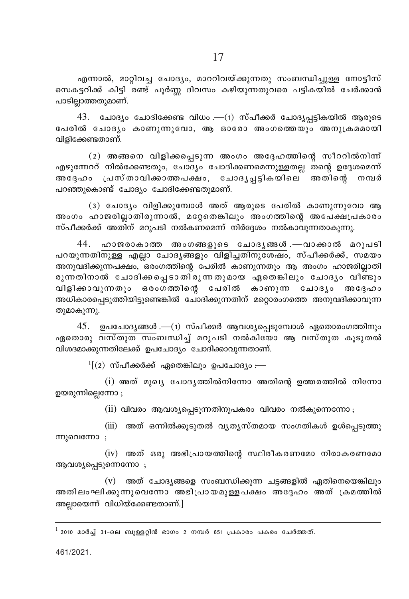എന്നാൽ, മാറ്റിവച്ച ചോദ്യം, മാററിവയ്ക്കുന്നതു സംബന്ധിച്ചുള്ള നോട്ടീസ് സെകട്ടറിക്ക് കിട്ടി രണ്ട് പൂർണ്ണ ദിവസം കഴിയുന്നതുവരെ പട്ടികയിൽ ചേർക്കാൻ പാടില്ലാത്തതുമാണ്.

 $43.$  ചോദ്യം ചോദിക്കേണ്ട വിധം .—(1) സ്പീക്കർ ചോദ്യപട്ടികയിൽ ആരുടെ പേരിൽ ചോദ്യം കാണുന്നുവോ, ആ ഓരോ അംഗത്തെയും അനുക്രമമായി വിളിക്കേണ്ടതാണ്.

(2) അങ്ങനെ വിളിക്കപ്പെടുന്ന അംഗം അദ്ദേഹത്തിന്റെ സീററിൽനിന്ന് എഴുന്നേററ് നിൽക്കേണ്ടതും, ചോദ്യം ചോദിക്കണമെന്നുള്ളതല്ല തന്റെ ഉദ്ദേശമെന്ന് അദ്ദേഹം പ്രസ്താവിക്കാത്തപക്ഷം, ചോദൃപ്പട്ടികയിലെ അതിന്റെ നമ്പർ പറഞ്ഞുകൊണ്ട് ചോദ്യം ചോദിക്കേണ്ടതുമാണ്.

(3) ചോദ്യം വിളിക്കുമ്പോൾ അത് ആരുടെ പേരിൽ കാണുന്നുവോ ആ അംഗം ഹാജരില്ലാതിരുന്നാൽ, മറ്റേതെങ്കിലും അംഗത്തിന്റെ അപേക്ഷപ്രകാരം സ്പീക്കർക്ക് അതിന് മറുപടി നൽകണമെന്ന് നിർദ്ദേശം നൽകാവുന്നതാകുന്നു.

44. ഹാജരാകാത്ത അംഗങ്ങളുടെ ചോദൃങ്ങൾ.—വാക്കാൽ മറുപടി പറയുന്നതിനുള്ള എല്ലാ ചോദ്യങ്ങളും വിളിച്ചതിനുശേഷം, സ്പീക്കർക്ക്, സമയം അനുവദിക്കുന്നപക്ഷം, ഒരംഗത്തിന്റെ പേരിൽ കാണുന്നതും ആ അംഗം ഹാജരില്ലാതി രുന്നതിനാൽ ചോദിക്കപ്പെടാതി്രുന്നതുമായ ഏതെങ്കിലും ചോദ്യം വീണ്ടും വിളിക്കാവുന്നതും ഒരംഗത്തിന്റെ പേരിൽ കാണുന്ന ചോദൃം അദ്ദേഹം അധികാരപ്പെടുത്തിയിട്ടുണ്ടെങ്കിൽ ചോദിക്കുന്നതിന് മറ്റൊരംഗത്തെ അനുവദിക്കാവുന്ന ത്വമാകുന്നു.

45. ഉപചോദൃങ്ങൾ .—(1) സ്പീക്കർ ആവശ്യപ്പെടുമ്പോൾ ഏതൊരംഗത്തിനും ഏതൊരു <del>വസ്തുത സ</del>ംബന്ധിച്ച് മറുപടി നൽകിയോ ആ വസ്തുത കൂടുതൽ വിശദമാക്കുന്നതിലേക്ക് ഉപചോദ്യം ചോദിക്കാവുന്നതാണ്.

 $\frac{1}{2}$  $(2)$  സ്പീക്കർക്ക് ഏതെങ്കിലും ഉപചോദ്യം :—

 $(i)$  അത് മുഖ്യ ചോദ്യത്തിൽനിന്നോ അതിന്റെ ഉത്തരത്തിൽ നിന്നോ ഉയരുന്നില്ലെന്നോ ;

(ii) വിവരം ആവശ്യപ്പെടുന്നതിനുപകരം വിവരം നൽകുന്നെന്നോ<sub>;</sub>

(iii) അത് ഒന്നിൽക്കൂടുതൽ വൃതൃസ്തമായ സംഗതികൾ ഉൾപ്പെടുത്തു ന്നുവെന്നോ;

 $(iv)$  അത് ഒരു അഭിപ്രായത്തിന്റെ സ്ഥിരീകരണമോ നിരാകരണമോ ആവശ്യപ്പെടുന്നെന്നോ;

 $(v)$  അത് ചോദ്യങ്ങളെ സംബന്ധിക്കുന്ന ചട്ടങ്ങളിൽ ഏതിനെയെങ്കിലും അതിലംഘിക്കുന്നുവെന്നോ അഭിപ്രായമുള്ള പക്ഷം അദ്ദേഹം അത് ക്രമത്തിൽ അലായെന്ന് വിധിയ്ക്കേണ്ടതാണ്.]

 $^{\rm 1}$  2010 മാർച്ച് 31-ലെ ബുള്ളറ്റിൻ ഭാഗം 2 നമ്പർ 651 പ്രകാരം പകരം ചേർത്തത്.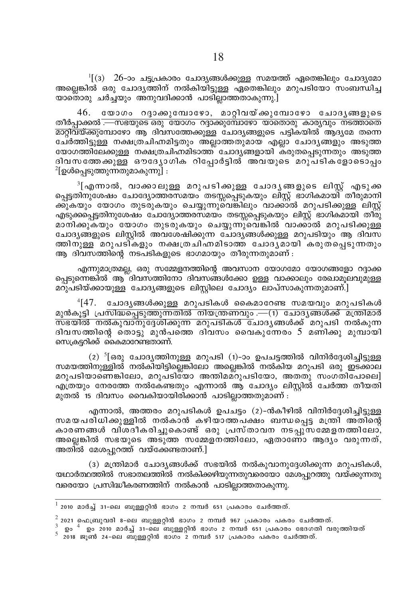$\frac{1}{1}(3)$  26-ാം ചട്ടപ്രകാരം ചോദ്യങ്ങൾക്കുള്ള സമയത്ത് ഏതെങ്കിലും ചോദ്യമോ അല്ലെങ്കിൽ ഒരു ചോദൃത്തിന് നൽകിയിട്ടുള്ള ഏതെങ്കിലും മറുപടിയോ സംബന്ധിച്ച യാതൊരു ചർചയും അനുവദിക്കാൻ പാടിലാത്തതാകുന്നു.]

യോഗം റദാക്കുമ്പോഴോ, മാറിവയ്ക്കുമ്പോഴോ ചോദൃങ്ങളുടെ 46. തീർപാക്കൽ <del>. സഭയുടെ ഒ</del>രു യോഗം റദ്ദാക്കുമ്പോഴോ യാതൊരു കാര്യവും നടത്താതെ മാറ്റിവയ്ക്കുമ്പോഴോ ആ ദിവസത്തേക്കുള്ള ചോദ്യങ്ങളുടെ പട്ടികയിൽ ആദ്യമേ തന്നെ ചേർത്തിട്ടുള്ള നക്ഷത്രചിഹ്നമിട്ടതും അല്ലാത്തതുമായ എല്ലാ ചോദ്യങ്ങളും അടുത്ത യോഗത്തിലേക്കുള്ള നക്ഷത്രചിഹ്നമിടാത്ത് ചോദ്യങ്ങളായി കരുതപ്പെടുന്നതും അടുത്ത ദിവസത്തേക്കുള്ള ഔദ്യോഗിക റിപ്പോർട്ടിൽ അവയുടെ മറുപടികളോടൊപ്പം  $^{2}$ [ഉൾപെടുത്തുന്നതുമാകുന്നു] :

്[എന്നാൽ, വാക്കാലുള്ള മറുപടിക്കുള്ള ചോദൃങ്ങളുടെ ലിസ്റ്റ് എടുക്ക പ്പെട്ടതിനുശേഷം ചോദ്യോത്തരസമയം തടസ്സപ്പെടുകയും ലിസ്റ്റ് ഭാഗികമായി തീരുമാനി ക്കുകയും യോഗം തുടരുകയും ചെയ്യുന്നുവെങ്കിലും വാക്കാൽ മറുപടിക്കുള്ള ലിസ്റ്റ് എടുക്കപ്പെട്ടതിനുശേഷം ചോദ്യോത്തരസമയം തടസ്സപ്പെടുകയും ലിസ്റ്റ് ഭാഗികമായി തീരു മാനിക്കുകയും യോഗം തുടരുകയും ചെയ്യുന്നുവെങ്കിൽ വാക്കാൽ മറുപടിക്കുള്ള ചോദ്യങ്ങളുടെ ലിസ്റ്റിൽ അവശേഷിക്കുന്ന ചോദ്യങ്ങൾക്കുള്ള മറുപടിയും ആ ദിവസ ത്തിനുള്ള മറുപടികളും നക്ഷത്രചിഹ്നമിടാത്ത ചോദൃമായി കരുതപ്പെടുന്നതും ആ ദിവസത്തിന്റെ നടപടികളുടെ ഭാഗമായും തീരുന്നതുമാണ് :

എന്നുമാത്രമല്ല, ഒരു സമ്മേളനത്തിന്റെ അവസാന യോഗമോ യോഗങ്ങളോ റദ്ദാക്ക പെടുന്നെങ്കിൽ ആ ദിവസത്തിനോ ദിവസങ്ങൾക്കോ ഉള്ള വാക്കാലും രേഖാമുലവുമുള്ള മറുപടിയ്ക്കായുള്ള ചോദ്യങ്ങളുടെ ലിസ്റ്റിലെ ചോദ്യം ലാപ്സാകുന്നതുമാണ്.]

 $^{4}[47.$  ചോദൃങ്ങൾക്കുള്ള മറുപടികൾ കൈമാറേണ്ട സമയവും മറുപടികൾ മുൻകുട്ടി പ്രസിദ്ധപ്പെടുത്തുന്നതിൽ നിയന്ത്രണവും .—(1) ചോദ്യങ്ങൾക്ക് മന്ത്രിമാർ <u>സ്ഭയിൽ നൽകുവാനുദേശിക്കുന്ന മറുപടികൾ ചോദൃങ്ങൾക്ക് മറുപടി നൽകുന്ന</u> ദിവസത്തിന്റെ തൊട്ടു മുൻപത്തെ ദിവസം വൈകുന്നേരം 5 മണിക്കു മുമ്പായി സെക്രട്ടറിക്ക് കൈമാറേണ്ടതാണ്.

(2)  $5$ [ഒരു ചോദൃത്തിനുള്ള മറുപടി (1)-ാം ഉപചട്ടത്തിൽ വിനിർദ്ദേശിച്ചിട്ടുള്ള സമയത്തിനുള്ളിൽ നൽകിയിട്ടില്ലെങ്കിലോ അല്ലെങ്കിൽ നൽകിയ മറുപടി ഒരു ഇടക്കാല മറുപടിയാണെങ്കിലോ, മറുപടിയോ അന്തിമമറുപടിയോ, അതതു സംഗതിപോലെ] എത്രയും നേരത്തേ നൽകേണ്ടതും എന്നാൽ ആ ചോദ്യം ലിസ്റ്റിൽ ചേർത്ത തീയതി മുതൽ 15 ദിവസം വൈകിയായിരിക്കാൻ പാടില്ലാത്തതുമാണ് :

എന്നാൽ, അത്തരം മറുപടികൾ ഉപചട്ടം (2)-ൻകീഴിൽ വിനിർദ്ദേശിച്ചിട്ടുള്ള സമയപരിധിക്കുള്ളിൽ നൽകാൻ കഴിയാത്തപക്ഷം ബന്ധപെട്ട മന്ത്രി അതിന്റെ കാരണങ്ങൾ വിശദീകരിച്ചുകൊണ്ട് ഒരു പ്രസ്താവന നടപ്പ്സമ്മേളനത്തിലോ, അല്ലെങ്കിൽ സഭയുടെ അടുത്ത സമ്മേളനത്തിലോ, ഏതാണോ ആദ്യം വരുന്നത്, അതിൽ മേശപ്പുറത്ത് വയ്ക്കേണ്ടതാണ്.]

(3) മന്ത്രിമാർ ചോദ്യങ്ങൾക്ക് സഭയിൽ നൽകുവാനുദ്ദേശിക്കുന്ന മറുപടികൾ, യഥാർത്ഥത്തിൽ സഭാതലത്തിൽ നൽകിക്കഴിയുന്നതുവരെയോ മേശപ്പുറത്തു വയ്ക്കുന്നതു വരെയോ പ്രസിദ്ധീകരണത്തിന് നൽകാൻ പാടില്ലാത്തതാകുന്നു.

 $^{-1}$  2010 മാർച്ച് 31-ലെ ബുള്ളറ്റിൻ ഭാഗം 2 നമ്പർ 651 പ്രകാരം ചേർത്തത്.

 $^{-2}$  2021 ഫെബ്രുവരി 8-ലെ ബുള്ളറ്റിൻ ഭാഗം 2 നമ്പർ 967 പ്രകാരം പകരം ചേർത്തത്.

 $\frac{3}{2}$  ഉം  $\frac{4}{2}$  ഈ 2010 മാർച്ച് 31-ലെ ബുള്ളറ്റിൻ ഭാഗം 2 നമ്പർ 651 പ്രകാരം ഭേദഗതി വരുത്തിയത്<br>5 2018 ജൂൺ 24-ലെ ബുള്ളറ്റിൻ ഭാഗം 2 നമ്പർ 517 പ്രകാരം പകരം ചേർത്തത്.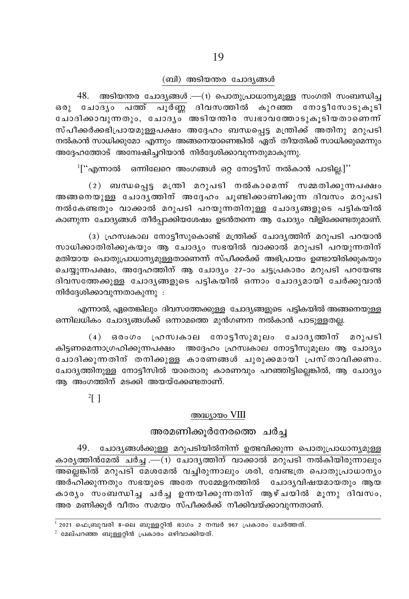#### (ബി) അടിയന്തര ചോദ്യങ്ങൾ

 $48.$  അടിയന്തര ചോദ്യങ്ങൾ .—(1) പൊതുപ്രാധാന്യമുള്ള സംഗതി സംബന്ധിച്ച ഒരു ചോദൃം പത്ത് പൂർണ്ണ ദിവസത്തിൽ കുറഞ്ഞ നോട്ടീസോടുകൂടി ചോദിക്കാവുന്നതും, ചോദ്യം അടിയതിര സ്വഭാവത്തോടുകൂടിയതാണെന്ന് സ്പീക്കർക്കഭിപ്രായമുള്ളപക്ഷം അദ്ദേഹം ബന്ധപ്പെട്ട മന്ത്രിക്ക് അതിനു മറുപടി നൽകാൻ സാധിക്കുമോ എന്നും അങ്ങനെയാണെങ്കിൽ ഏത് തീയതിക്ക് സാധിക്കുമെന്നും അദ്ദേഹത്തോട് അമ്പേഷിച്ചറിയാൻ നിർദ്ദേശിക്കാവുന്നതുമാകുന്നു.

 $1$ ["എന്നാൽ ഒന്നിലേറെ അംഗങ്ങൾ ഒറ്റ നോട്ടീസ് നൽകാൻ പാടില്ല.]''

(2) ബന്ധപ്പെട്ട മന്ത്രി മറുപടി നൽകാമെന്ന് സമ്മതിക്കുന്നപക്ഷം അങ്ങനെയുള്ള ചോദൃത്തിന് അദ്ദേഹം ചൂണ്ടിക്കാണിക്കുന്ന ദിവസം മറുപടി നൽകേണ്ടതും വാക്കാൽ മറുപടി പറയുന്നതിനുള്ള ചോദൃങ്ങളുടെ പട്ടികയിൽ കാണുന്ന ചോദ്യങ്ങൾ തീർപ്പാക്കിയശേഷം ഉടൻതന്നെ ആ ചോദ്യം വിളിക്കേണ്ടതുമാണ്.

(3) ഫ്രസ്വകാല നോട്ടീസുകൊണ്ട് മന്ത്രിക്ക് ചോദ്യത്തിന് മറുപടി പറയാൻ സാധിക്കാതിരിക്കുകയും ആ ചോദ്യം സഭയിൽ വാക്കാൽ മറുപടി പറയുന്നതിന് മതിയായ പൊതുപ്രാധാന്യമുള്ളതാണെന്ന് സ്പീക്കർക്ക് അഭിപ്രായം ഉണ്ടായിരിക്കുകയും ചെയ്യുന്നപക്ഷം, അദ്ദേഹത്തിന് ആ ചോദ്യം 27-ാം ചട്ടപ്രകാരം മറുപടി പറയേണ്ട ദിവസത്തേക്കുള്ള ചോദ്യങ്ങളുടെ പട്ടികയിൽ ഒന്നാം ചോദ്യമായി ചേർക്കുവാൻ നിർദ്ദേശിക്കാവുന്നതാകുന്നു :

എന്നാൽ, ഏതെങ്കിലും ദിവസത്തേക്കുള്ള ചോദ്യങ്ങളുടെ പട്ടികയിൽ അങ്ങനെയുള്ള ഒന്നിലധികം ചോദ്യങ്ങൾക്ക് ഒന്നാമത്തെ മുൻഗണന നൽകാൻ പാടുള്ളതല്ല.

(4) ഒരാഗം ഹ്രസ്വകാല നോട്ടീസുമൂലം ചോദൃത്തിന് മറുപടി കിട്ടണമെന്നാഗ്രഹിക്കുന്നപക്ഷം അദ്ദേഹം ഹ്രസ്വകാല നോട്ടീസുമൂലം ആ ചോദ്യം ചോദിക്കുന്നതിന് തനിക്കുള്ള കാരണങ്ങൾ ചുരുക്കമായി പ്രസ്താവിക്കണം. ചോദ്യത്തിനുള്ള നോട്ടീസിൽ യാതൊരു കാരണവും പറഞ്ഞിട്ടില്ലെങ്കിൽ, ആ ചോദ്യം ആ അംഗത്തിന് മടക്കി അയയ്ക്കേണ്ടതാണ്.

 $2[$ ]

#### അദ്ധ്യായം VIII

# അരമണിക്കൂർനേരത്തെ ചർച്ച

49. ചോദ്യങ്ങൾക്കുള്ള മറുപടിയിൽനിന്ന് ഉത്ഭവിക്കുന്ന പൊതുപ്രാധാന്യമുള്ള കാരൃത്തിൻമേൽ ചർച്ച .—(1) ചോദൃത്തിന് വാക്കാൽ മറുപടി നൽകിയിരുന്നാലും അല്ലെങ്കിൽ മറുപടി മേശമേൽ വച്ചിരുന്നാലും ശരി, വേണ്ടത്ര പൊതുപ്രാധാന്യം അർഹിക്കുന്നതും സഭയുടെ അതേ സമ്മേളനത്തിൽ ചോദൃവിഷയമായതും ആയ കാര്യം സംബന്ധിച്ച ചർച്ച ഉന്നയിക്കുന്നതിന് ആഴ്ചയിൽ മുന്നു ദിവസം, അര മണിക്കൂർ വീതം സമയം സ്പീക്കർക്ക് നീക്കിവയ്ക്കാവുന്നതാണ്.

 $^{-1}$  2021 ഫെബ്രുവരി 8-ലെ ബുള്ളറിൻ ഭാഗം 2 നമ്പർ 967 പ്രകാരം ചേർത്തത്.

 $2$  മേല്പറഞ്ഞ ബുള്ളറ്റിൻ പ്രകാരം ഒഴിവാക്കിയത്.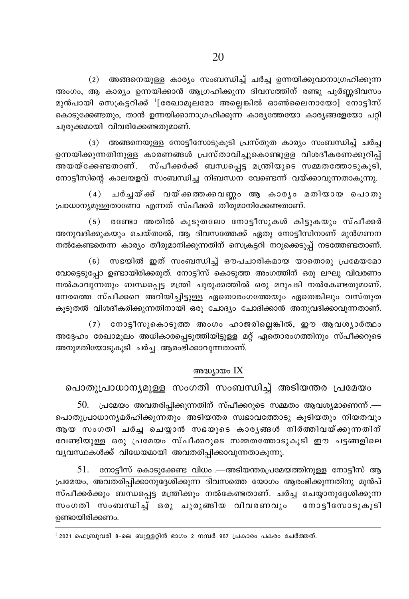(2) അങ്ങനെയുള്ള കാര്യം സംബന്ധിച്ച് ചർച്ച ഉന്നയിക്കുവാനാഗ്രഹിക്കുന്ന അംഗം, ആ കാര്യം ഉന്നയിക്കാൻ ആഗ്രഹിക്കുന്ന ദിവസത്തിന് രണ്ടു പൂർണ്ണദിവസം മുൻപായി സെക്രട്ടറിക്ക്  $^{1}$ [രേഖാമൂലമോ അല്ലെങ്കിൽ ഓൺലൈനായോ] നോട്ടീസ് കൊടുക്കേണ്ടതും, താൻ ഉന്നയിക്കാനാഗ്രഹിക്കുന്ന കാര്യത്തേയോ കാര്യങ്ങളേയോ പറ്റി ചുരുക്കമായി വിവരിക്കേണ്ടതുമാണ്.

(3) അങ്ങനെയുള്ള നോട്ടീസോടുകൂടി പ്രസ്തുത കാര്യം സംബന്ധിച്ച് ചർച്ച ഉന്നയിക്കുന്നതിനുള്ള കാരണങ്ങൾ പ്രസ്താവിച്ചുകൊണ്ടുളള വിശദീകരണക്കുറിപ്പ് അയയ്ക്കേണ്ടതാണ്. സ്പീക്കർക്ക് ബന്ധപ്പെട്ട മന്ത്രിയുടെ സമ്മതത്തോടുകൂടി, നോട്ടീസിന്റെ കാലയളവ് സംബന്ധിച്ച നിബന്ധന വേണ്ടെന്ന് വയ്ക്കാവുന്നതാകുന്നു.

(4) ചർച്ചയ്ക്ക് വയ്ക്കത്തക്കവണ്ണം ആ കാര്യം മതിയായ പൊതു പ്രാധാന്യമുള്ളതാണോ എന്നത് സ്പീക്കർ തീരുമാനിക്കേണ്ടതാണ്.

(5) രണ്ടോ അതിൽ കൂടുതലോ നോട്ടീസുകൾ കിട്ടുകയും സ്പീക്കർ അനുവദിക്കുകയും ചെയ്താൽ, ആ ദിവസത്തേക്ക് ഏതു നോട്ടീസിനാണ് മുൻഗണന നൽകേണ്ടതെന്ന കാര്യം തീരുമാനിക്കുന്നതിന് സെക്രട്ടറി നറുക്കെടുപ്പ് നടത്തേണ്ടതാണ്.

(6) സഭയിൽ ഇത് സംബന്ധിച് ഔപചാരികമായ യാതൊരു പ്രമേയമോ വോട്ടെടുപ്പോ ഉണ്ടായിരിക്കരുത്. നോട്ടീസ് കൊടുത്ത അംഗത്തിന് ഒരു ലഘു വിവരണം നൽകാവുന്നതും ബന്ധപ്പെട്ട മന്ത്രി ചുരുക്കത്തിൽ ഒരു മറുപടി നൽകേണ്ടതുമാണ്. നേരത്തെ സ്പീക്കറെ അറിയിച്ചിട്ടുള്ള ഏതൊരംഗത്തേയും ഏതെങ്കിലും വസ്തുത കൂടുതൽ വിശദീകരിക്കുന്നതിനായി ഒരു ചോദ്യം ചോദിക്കാൻ അനുവദിക്കാവുന്നതാണ്.

(7) നോട്ടീസുകൊടുത്ത അംഗം ഹാജരില്ലെങ്കിൽ, ഈ ആവശ്യാർത്ഥം അദ്ദേഹം രേഖാമൂലം അധികാരപ്പെടുത്തിയിട്ടുള്ള മറ്റ് ഏതൊരംഗത്തിനും സ്പീക്കറുടെ അനുമതിയോടുകൂടി ചർച്ച ആരംഭിക്കാവുന്നതാണ്.

### അദ്ധ്യായം IX

പൊതുപ്രാധാന്യമുള്ള സംഗതി സംബന്ധിച്ച് അടിയന്തര പ്രമേയം

 $50.$  പ്രമേയം അവതരിപ്പിക്കുന്നതിന് സ്പീക്കറുടെ സമ്മതം ആവശ്യമാണെന്ന്.— പൊതുപ്രാധാന്യമർഹിക്കുന്നതും അടിയന്തര സ്വഭാവത്തോടു കൂടിയതും നിയതവും ആയ സംഗതി ചർച്ച ചെയ്യാൻ സഭയുടെ കാരൃങ്ങൾ നിർത്തിവയ്ക്കുന്നതിന് വേണ്ടിയുള്ള ഒരു പ്രമേയം സ്പീക്കറുടെ സമ്മതത്തോടുകൂടി ഈ ചട്ടങ്ങളിലെ വ്യവസ്ഥകൾക്ക് വിധേയമായി അവതരിപ്പിക്കാവുന്നതാകുന്നു.

51. നോട്ടീസ് കൊടുക്കേണ്ട വിധം .—അടിയന്തരപ്രമേയത്തിനുള്ള നോട്ടീസ് ആ പ്രമേയം, അവതരിപ്പിക്കാനുദ്ദേശിക്കുന്ന ദിവസത്തെ യോഗം ആരംഭിക്കുന്നതിനു മുൻപ് സ്പീക്കർക്കും ബന്ധപ്പെട്ട മന്ത്രിക്കും നൽകേണ്ടതാണ്. ചർച്ച ചെയ്യാനുദ്ദേശിക്കുന്ന സംഗതി സംബന്ധിച്ച് ഒരു ചുരുങ്ങിയ വിവരണവും നോട്ടീസോടുകൂടി ഉണ്ടായിരിക്കണം.

 $^{-1}$  2021 ഫെബ്രുവരി 8-ലെ ബുള്ളറ്റിൻ ഭാഗം 2 നമ്പർ 967 പ്രകാരം പകരം ചേർത്തത്.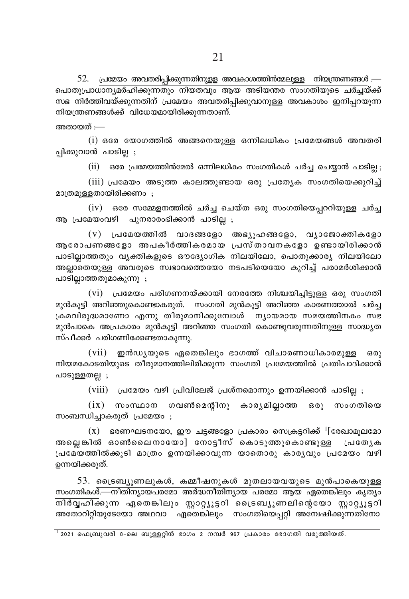$52.$  പ്രമേയം അവതരിപ്പിക്കുന്നതിനുള്ള അവകാശത്തിൻമേലുള്ള നിയന്ത്രണങ്ങൾ.— പൊതുപ്രാധാന്യമർഹിക്കുന്നതും നിയതവും ആയ അടിയന്തര സംഗതിയുടെ ചർച്ചയ്ക്ക് സഭ നിർത്തിവയ്ക്കുന്നതിന് പ്രമേയം അവതരിപ്പിക്കുവാനുള്ള അവകാശം ഇനിപ്പറയുന്ന നിയന്ത്രണങ്ങൾക്ക് വിധേയമായിരിക്കുന്നതാണ്.

അതായത് —

 $(i)$  ഒരേ യോഗത്തിൽ അങ്ങനെയുള്ള ഒന്നിലധികം പ്രമേയങ്ങൾ അവതരി പ്പിക്കുവാൻ പാടില്ല ;

(ii) ഒരേ പ്രമേയത്തിൻമേൽ ഒന്നിലധികം സംഗതികൾ ചർച്ച ചെയാൻ പാടില<sub>:</sub>

(iii) പ്രമേയം അടുത്ത കാലത്തുണ്ടായ ഒരു പ്രത്യേക സംഗതിയെക്കുറിച്ച് മാത്രമുള്ളതായിരിക്കണം;

 $(iv)$  ഒരേ സമ്മേളനത്തിൽ ചർച്ച ചെയ്ത ഒരു സംഗതിയെപ്പററിയുള്ള ചർച്ച ആ പ്രമേയംവഴി പുനരാരംഭിക്കാൻ പാടില്ല ;

 $(v)$  പ്രമേയത്തിൽ വാദങ്ങളോ അഭ്യൂഹങ്ങളോ, വ്യാജോക്തികളോ അരോപണങ്ങളോ അപകീർത്തികരമായ പ്രസ്താവനകളോ ഉണ്ടായിരിക്കാൻ പാടില്ലാത്തതും വ്യക്തികളുടെ ഔദ്യോഗിക നിലയിലോ, പൊതുക്കാര്യ നിലയിലോ അല്ലാതെയുള്ള അവരുടെ സ്വഭാവത്തെയോ നടപടിയെയോ കുറിച്ച് പരാമർശിക്കാൻ പാടില്ലാത്തതുമാകുന്നു ;

(vi) പ്രമേയം പരിഗണനയ്ക്കായി നേരത്തേ നിശ്ചയിച്ചിട്ടുള്ള ഒരു സംഗതി മുൻകൂട്ടി അറിഞ്ഞുകൊണ്ടാകരുത്. സംഗതി മുൻകൂട്ടി അറിഞ്ഞ കാരണത്താൽ ചർച്ച ക്രമവിരുദ്ധമാണോ എന്നു തീരുമാനിക്കുമ്പോൾ ന്യായമായ സമയത്തിനകം സഭ മുൻപാകെ അപ്രകാരം മുൻകൂട്ടി അറിഞ്ഞ സംഗതി കൊണ്ടുവരുന്നതിനുള്ള സാദ്ധ്യത സ്പീക്കർ പരിഗണിക്കേണ്ടതാകുന്നു.

 $(vii)$ ഇൻഡ്യയുടെ ഏതെങ്കിലും ഭാഗത്ത് വിചാരണാധികാരമുള്ള  $63(0)$ നിയമകോടതിയുടെ തീരുമാനത്തിലിരിക്കുന്ന സംഗതി പ്രമേയത്തിൽ പ്രതിപാദിക്കാൻ പാടുള്ളതല്ല ;

(viii) പ്രമേയം വഴി പ്രിവിലേജ് പ്രശ്നമൊന്നും ഉന്നയിക്കാൻ പാടില്ല ;

 $(ix)$  സംസ്ഥാന ഗവൺമെന്റിനു കാരൃമില്ലാത്ത ഒരു സംഗതിയെ സംബന്ധിച്ചാകരുത് പ്രമേയം ;

 $(x)$  ഭരണഘടനയോ, ഈ ചട്ടങ്ങളോ പ്രകാരം സെക്രട്ടറിക്ക്  $\frac{1}{2}$ രേഖാമൂലമോ അല്ലെങ്കിൽ ഓൺലൈനായോ] നോട്ടീസ് കൊടുത്തുകൊണ്ടുള്ള പ്രത്യേക പ്രമേയത്തിൽക്കുടി മാത്രം ഉന്നയിക്കാവുന്ന യാതൊരു കാര്യവും പ്രമേയം വഴി ഉന്നയിക്കരുത്.

53. ട്രൈബ്യൂണലുകൾ, കമ്മീഷനുകൾ മുതലായവയുടെ മുൻപാകെയുള്ള സംഗതികൾ—നീതിന്യായപരമോ അർദ്ധനീതിന്യായ പരമോ ആയ ഏതെങ്കിലും കൃത്യം നിർവ്വഹിക്കുന്ന ഏതെങ്കിലും സ്റ്റാറ്റ്യൂട്ടറി ട്രൈബ്യൂണലിന്റെയോ സ്റ്റാറ്റ്യൂട്ടറി അതോറിറ്റിയുടേയോ അഥവാ ഏതെങ്കിലും സംഗതിയെപ്പറ്റി അന്വേഷിക്കുന്നതിനോ

 $^{-1}$  2021 ഫെബ്രുവരി 8-ലെ ബുള്ളറ്റിൻ ഭാഗം 2 നമ്പർ 967 പ്രകാരം ഭേദഗതി വരുത്തിയത്.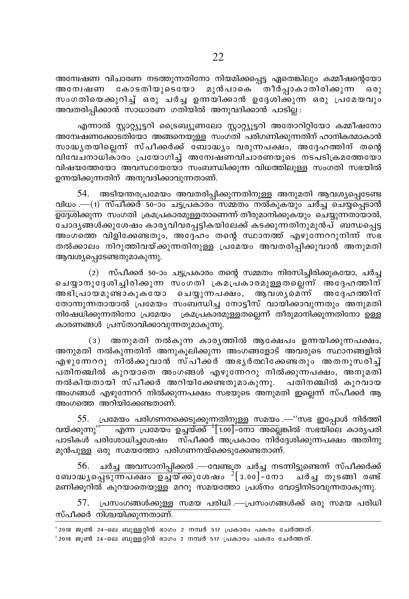അന്വേഷണ വിചാരണ നടത്തുന്നതിനോ നിയമിക്കപ്പെട്ട ഏതെങ്കിലും കമ്മീഷന്റെയോ അന്വേഷണ കോടതിയുടെയോ മുൻപാകെ തീർപ്പാകാതിരിക്കുന്ന  $6301$ സംഗതിയെക്കുറിച്ച ഒരു ചർച്ച ഉന്നയിക്കാൻ ഉദേശിക്കുന്ന ഒരു പ്രമേയവും അവതരിപിക്കാൻ സാധാരണ ഗതിയിൽ അനുവദിക്കാൻ പാടില :

എന്നാൽ സ്റ്റാറ്റ്യൂട്ടറി ട്രൈബ്യൂണലോ സ്റ്റാറ്റ്യൂട്ടറി അതോറിറ്റിയോ കമ്മീഷനോ അന്വേഷണക്കോട്തിയോ അങ്ങനെയുള്ള സംഗ്തി പരിഗണിക്കുന്നതിന് ഹാനികരമാകാൻ സാദ്ധ്യതയില്ലെന്ന് സ്പീക്കർക്ക് ബോദ്ധ്യം വരുന്നപക്ഷം, അദ്ദേഹത്തിന് തന്റെ വിവേചനാധിക്ാരം പ്രയോഗിച്ച് അന്വേഷണവിചാരണയുടെ നടപടിക്രമത്തേയോ വിഷയത്തേയോ അവസ്ഥയേയോ സംബന്ധിക്കുന്ന വിധത്തിലുള്ള സംഗതി സഭയിൽ ഉന്നയിക്കുന്നതിന് അനുവദിക്കാവുന്നതാണ്.

54. അടിയന്തരപ്രമേയം അവതരിപ്പിക്കുന്നതിനുള്ള അനുമതി ആവശ്യപ്പെടേണ്ട വിധം .—(1) സ്പീക്കർ 50–ാാ ചട്ടപ്രകാരം സമ്മതം നൽകുകയും ചർച്ച ചെയ്പ്പെടാൻ ചോദൃങ്ങൾക്കുശേഷം കാരൃവിവരപ്പട്ടികയിലേക്ക് കടക്കുന്നതിനുമുൻപ് ബന്ധപ്പെട്ട അംഗത്തെ വിളിക്കേണ്ടതും, അദ്ദേഹം തന്റെ സ്ഥാനത്ത് എഴുന്നേററുനിന്ന് സഭ തൽക്കാലം നിറുത്തിവയ്ക്കുന്നതിനുള്ള പ്രമേയം അവതരിപ്പിക്കുവാൻ അനുമതി ആവശ്യപ്പെടേണ്ടതുമാകുന്നു.

(2) സ്പീക്കർ 50–ാം ചട്ടപ്രകാരം തന്റെ സമ്മതം നിരസിച്ചിരിക്കുകയോ, ചർച്ച ചെയ്യാനുദേശിച്ചിരിക്കുന്ന സംഗതി ക്രമപ്രകാരമുള്ളതല്ലെന്ന് അദേഹത്തിന് അഭിപ്രായമുണ്ടാകുകയോ ചെയ്യുന്നപക്ഷം, ആവശ്യമെന്ന് അദ്ദേഹത്തിന് തോന്നുന്നതായാൽ പ്രമേയം സംബന്ധിച്ച നോട്ടീസ് വായിക്കാവുന്നതും അനുമതി നിഷേധിക്കുന്നതിനോ പ്രമേയം ക്രമപ്രകാരമുള്ളതല്ലെന്ന് തീരുമാനിക്കുന്നതിനോ ഉള്ള കാരണങ്ങൾ പ്രസ്താവിക്കാവുന്നതുമാകുന്നു.

(3) അനുമതി നൽകുന്ന കാരൃത്തിൽ ആക്ഷേപം ഉന്നയിക്കുന്നപക്ഷം, അനുമതി നൽകുന്നതിന് അനുകൂലിക്കുന്ന അംഗങ്ങളോട് അവരുടെ സ്ഥാനങ്ങളിൽ എഴുന്നേററു നിൽക്കുവാൻ സ്പീക്കർ അഭൃർത്ഥിക്കേണ്ടതും അതനുസരിച് പതിനഞ്ചിൽ കുറയാതെ അംഗങ്ങൾ എഴുന്നേററു നിൽക്കുന്നപക്ഷം, അനുമതി നൽകിയതായി സ്പീക്കർ അറിയിക്കേണ്ടതുമാകുന്നു. പതിനഞ്ചിൽ കുറവായ അംഗങ്ങൾ എഴുന്നേററ് നിൽക്കുന്നപക്ഷം സഭയുടെ അനുമതി ഇല്ലെന്ന് സ്പീക്കർ ആ അംഗത്തെ അറിയിക്കേണ്ടതാണ്.

55. പ്രമേയം പരിഗണനക്കെടുക്കുന്നതിനുള്ള സമയം .— "സഭ ഇപ്പോൾ നിർത്തി വയ്ക്കുന്നു<sup>, "</sup> എന്ന പ്രമേയം ഉച്ചയ്ക്ക് <sup>1</sup> [1.00]–നോ അല്ലെങ്കിൽ സഭയിലെ കാര്യപരി പാടികൾ പരിശോധിച്ചശേഷം സ്പീക്കർ അപ്രകാരം നിർദ്ദേശിക്കുന്നപക്ഷം അതിനു മുൻപൂള്ള ഒരു സമയത്തോ പരിഗണനയ്ക്കെടുക്കേണ്ടതാണ്.

56. ചർച്ച അവസാനിപ്പിക്കൽ .—വേണ്ടത്ര ചർച്ച നടന്നിട്ടുണ്ടെന്ന് സ്പീക്കർക്ക് ബോദ്ധ്യപ്പെടുന്നപക്ഷം ഉച്ചയ്ക്കുശേഷം  $^{2}[3.00]$ –്നോ ചർച്ച തുടങ്ങി രണ്ട് മണിക്കുറിൽ കുറയാതെയുള്ള മററു സമയത്തോ പ്രശ്നം വോട്ടിനിടാവുന്നതാകുന്നു.

57. പ്രസംഗങ്ങൾക്കുള്ള സമയ പരിധി .—പ്രസംഗങ്ങൾക്ക് ഒരു സമയ പരിധി സ്പീക്കർ നിശ്ചയിക്കുന്നതാണ്.

' 2018 ജൂൺ 24-ലെ ബുള്ളറ്റിൻ ഭാഗം 2 നമ്പർ 517 പ്രകാരം പകരം ചേർത്തത്.  $2018$  ജൂൺ 24-ലെ ബുള്ളറ്റിൻ ഭാഗം 2 നമ്പർ 517 പ്രകാരം പകരം ചേർത്തത്.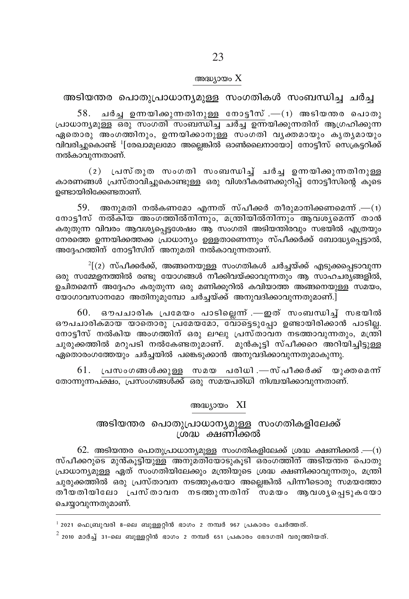#### അദ്ധ്യായം  $\rm X$

അടിയന്തര പൊതുപ്രാധാന്യമുള്ള സംഗതികൾ സംബന്ധിച്ച ചർച്ച

് ചർച്ച ഉന്നയിക്കുന്നതിനുള്ള നോട്ടീസ് .—(1) അടിയന്തര പൊതു പ്രാധാന്യമുള്ള ഒരു സംഗതി സംബന്ധിച്ച ചർച്ച് ഉന്നയിക്കുന്നതിന് ആഗ്രഹിക്കുന്ന ഏതൊരു അംഗത്തിനും, ഉന്നയിക്കാനുള്ള സംഗതി വൃക്തമായും കൃതൃമായും വിവരിച്ചകൊണ്ട് <sup>1</sup>[രേഖാമുലമോ അല്ലെങ്കിൽ ഓൺലൈനായോ] നോട്ടീസ് സെക്രട്ടറിക്ക് നൽകാവുന്നതാണ്.

(2) പ്രസ്തുത സംഗതി സംബന്ധിച്ച് ചർച്ച ഉന്നയിക്കുന്നതിനുള്ള കാരണങ്ങൾ പ്രസ്താവിച്ചുകൊണ്ടുള്ള ഒരു വിശദീകരണക്കുറിപ്പ് നോട്ടീസിന്റെ കൂടെ ഉണ്ടായിരിക്കേണ്ടതാണ്.

 $59.$  അനുമതി നൽകണമോ എന്നത് സ്പീക്കർ തീരുമാനിക്കണമെന്ന് .— $(1)$ നോട്ടീസ് നൽകിയ അംഗത്തിൽനിന്നും, മന്ത്രിയിൽനിന്നും ആവശ്യമെന്ന് താൻ കരുതുന്ന വിവരം ആവശ്യപ്പെട്ടശേഷം ആ സംഗതി അടിയന്തിരവും സഭയിൽ എത്രയും നേരത്തെ ഉന്നയിക്കത്തക്ക പ്രാധാന്യം ഉള്ളതാണെന്നും സ്പീക്കർക്ക് ബോദ്ധ്യപ്പെട്ടാൽ, അദ്ദേഹത്തിന് നോട്ടീസിന് അനുമതി നൽകാവുന്നതാണ്.

 $^{2}$ [(2) സ്പീക്കർക്ക്, അങ്ങനെയുളള സംഗതികൾ ചർച്ചയ്ക്ക് എടുക്കപ്പെടാവുന്ന ഒരു സമ്മേളനത്തിൽ രണ്ടു യോഗങ്ങൾ നീക്കിവയ്ക്കാവുന്നതും ആ സാഹചര്യങ്ങളിൽ, ഉചിതമെന്ന് അദ്ദേഹം കരുതുന്ന ഒരു മണിക്കുറിൽ കവിയാത്ത അങ്ങനെയുള്ള സമയം. യോഗാവസാനമോ അതിനുമുമ്പോ ചർച്ചയ്ക്ക് അനുവദിക്കാവുന്നതുമാണ്.]

ഔപചാരിക പ്രമേയം പാടിലെന്ന് .—ഇത് സംബന്ധിച്ച് സഭയിൽ 60. <u>ഔപചാരികമായ യാതൊരു പ്രമേയമോ, വോട്ടെടുപ്പോ ഉണ്ടായിരിക്കാൻ പാടില്ല.</u> നോട്ടീസ് നൽകിയ അംഗത്തിന് ഒരു ലഘു പ്രസ്താവന നടത്താവുന്നതും, മന്ത്രി ചുരുക്കത്തിൽ മറുപടി നൽകേണ്ടതുമാണ്. മുൻകുട്ടി സ്പീക്കറെ അറിയിച്ചിട്ടുള്ള ഏതൊരംഗത്തേയും ചർച്ചയിൽ പങ്കെടുക്കാൻ അനുവദിക്കാവുന്നതുമാകുന്നു.

പ്രസംഗങ്ങൾക്കുള്ള സമയ പരിധി.—സ്പീക്കർക്ക് യുക്തമെന്ന് 61. തോന്നുന്നപക്ഷം, പ്രസംഗങ്ങൾക്ക് ഒരു സമയപരിധി നിശ്ചയിക്കാവുന്നതാണ്.

#### അദ്ധ്യായം XI

# അടിയന്തര പൊതുപ്രാധാന്യമുള്ള സംഗതികളിലേക്ക്<br>ശ്രദ്ധ ക്ഷണിക്കൽ

 $62.$  അടിയന്തര പൊതുപ്രാധാന്യമുള്ള സംഗതികളിലേക്ക് ശ്രദ്ധ ക്ഷണിക്കൽ.—(1) സ്പീക്കറുടെ മുൻകൂട്ടിയുള്ള അനുമതിയോടുകൂടി ഒരംഗത്തിന് അടിയന്തര പൊതു പ്രാധാന്യമുള്ള ഏത് സംഗതിയിലേക്കും മന്ത്രിയുടെ ശ്രദ്ധ ക്ഷണിക്കാവുന്നതും, മന്ത്രി ചൂരുക്കത്തിൽ ഒരു പ്രസ്താവന നടത്തുകയോ അല്ലെങ്കിൽ പിന്നീടൊരു സമയത്തോ തീയതിയിലോ പ്രസ്താവന നടത്തുന്നതിന് സമയം ആവശ്യപ്പെടുകയോ ചെയ്യാവുന്നതുമാണ്.

 $^1$  2021 ഫെബ്രുവരി 8-ലെ ബുള്ളറ്റിൻ ഭാഗം 2 നമ്പർ 967 പ്രകാരം ചേർത്തത്.

 $^2$  2010 മാർച്ച് 31-ലെ ബുള്ളറ്റിൻ ഭാഗം 2 നമ്പർ 651 പ്രകാരം ഭേദഗതി വരുത്തിയത്.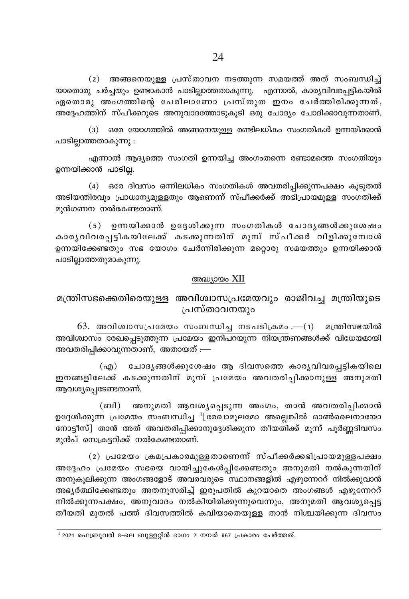(2) അങ്ങനെയുള്ള പ്രസ്താവന നടത്തുന്ന സമയത്ത് അത് സംബന്ധിച്ച് യാതൊരു ചർച്ചയും ഉണ്ടാകാൻ പാടില്ലാത്തതാകുന്നു. എന്നാൽ, കാര്യവിവരപ്പട്ടികയിൽ ഏതൊരു അംഗത്തിന്റെ പേരിലാണോ പ്രസ്തുത ഇനം ചേർത്തിരിക്കുന്നത്, അദേഹത്തിന് സ്പീക്കറുടെ അനുവാദത്തോടുകൂടി ഒരു ചോദ്യം ചോദിക്കാവുന്നതാണ്.

(3) ഒരേ യോഗത്തിൽ അങ്ങനെയുള്ള രണ്ടിലധികം സംഗതികൾ ഉന്നയിക്കാൻ പാടില്ലാത്തതാകുന്നു :

എന്നാൽ ആദ്യത്തെ സംഗതി ഉന്നയിച്ച അംഗംതന്നെ രണ്ടാമത്തെ സംഗതിയും ഉന്നയിക്കാൻ പാടില.

(4) ഒരേ ദിവസം ഒന്നിലധികം സംഗതികൾ അവതരിപ്പിക്കുന്നപക്ഷം കുടുതൽ അടിയന്തിരവും പ്രാധാന്യമുള്ളതും ആണെന്ന് സ്പീക്കർക്ക് അഭിപ്രായമുള്ള സംഗതിക്ക് മുൻഗണന നൽകേണ്ടതാണ്.

(5) ഉന്നയിക്കാൻ ഉദ്ദേശിക്കുന്ന സംഗതികൾ ചോദൃങ്ങൾക്കുശേഷം കാരൃവിവരപ്പട്ടികയിലേക്ക് കടക്കുന്നതിന് മുമ്പ് സ്പീക്കർ വിളിക്കുമ്പോൾ ഉന്നയിക്കേണ്ടതും സഭ യോഗം ചേർന്നിരിക്കുന്ന മറ്റൊരു സമയത്തും ഉന്നയിക്കാൻ പാടില്ലാത്തതുമാകുന്നു.

#### അദ്ധ്യായം XII

# മന്ത്രിസഭക്കെതിരെയുള്ള അവിശ്വാസപ്രമേയവും രാജിവച്ച മന്ത്രിയുടെ പ്രസ്താവനയും

 $63.$  അവിശ്വാസപ്രമേയം സംബന്ധിച്ച നടപടിക്രമം. $-(1)$  മന്ത്രിസഭയിൽ അവിശ്വാസം രേഖപ്പെടുത്തുന്ന പ്രമേയം ഇനിപറയുന്ന നിയന്ത്രണങ്ങൾക്ക് വിധേയമായി അവതരിപ്പിക്കാവുന്നതാണ്, അതായത് :—

(എ) ചോദൃങ്ങൾക്കുശേഷം ആ ദിവസത്തെ കാരൃവിവരപ്പട്ടികയിലെ ഇനങ്ങളിലേക്ക് കടക്കുന്നതിന് മുമ്പ് പ്രമേയം അവതരിപ്പിക്കാനുള്ള അനുമതി ആവശ്യപ്പെടേണ്ടതാണ്.

(ബി) അനുമതി ആവശ്യപ്പെടുന്ന അംഗം, താൻ അവതരിപ്പിക്കാൻ ഉദ്ദേശിക്കുന്ന പ്രമേയം സംബന്ധിച്ച <sup>1</sup>[രേഖാമുലമോ അല്ലെങ്കിൽ ഓൺലൈനായോ നോട്ടീസ്] താൻ അത് അവതരിപ്പിക്കാനുദ്ദേശിക്കുന്ന തീയതിക്ക് മൂന്ന് പൂർണ്ണദിവസം മുൻപ് സെക്രട്ടറിക്ക് നൽകേണ്ടതാണ്.

(2) പ്രമേയം ക്രമപ്രകാരമുള്ളതാണെന്ന് സ്പീക്കർക്കഭിപ്രായമുള്ളപക്ഷം അദ്ദേഹം പ്രമേയം സഭയെ വായിച്ചുകേൾപ്പിക്കേണ്ടതും അനുമതി നൽകുന്നതിന് അനുകൂലിക്കുന്ന അംഗങ്ങളോട് അവരവരുടെ സ്ഥാനങ്ങളിൽ എഴുന്നേററ് നിൽക്കുവാൻ അഭ്യർത്ഥിക്കേണ്ടതും അതനുസരിച്ച് ഇരുപതിൽ കുറയാതെ അംഗങ്ങൾ എഴുന്നേററ് നിൽക്കുന്നപക്ഷം, അനുവാദം നൽകിയിരിക്കുന്നുവെന്നും, അനുമതി ആവശ്യപ്പെട്ട തീയതി മുതൽ പത്ത് ദിവസത്തിൽ കവിയാതെയുള്ള താൻ നിശ്ചയിക്കുന്ന ദിവസം

 $^{-1}$  2021 ഫെബ്രുവരി 8-ലെ ബുള്ളറ്റിൻ ഭാഗം 2 നമ്പർ 967 പ്രകാരം ചേർത്തത്.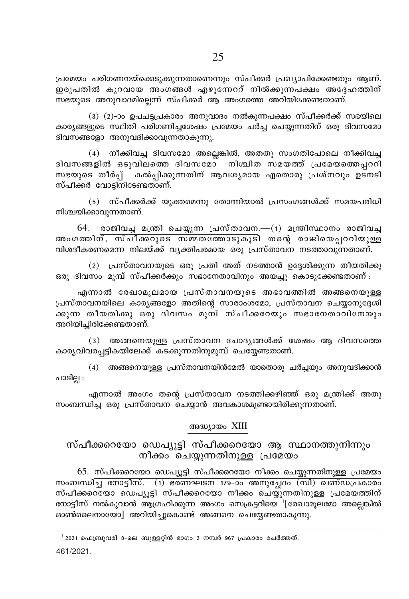പ്രമേയം പരിഗണനയ്ക്കെടുക്കുന്നതാണെന്നും സ്പീക്കർ പ്രഖ്യാപിക്കേണ്ടതും ആണ്. ഇരുപതിൽ കുറവായ അംഗങ്ങൾ എഴുന്നേററ് നിൽക്കുന്നപക്ഷം അദ്ദേഹത്തിന് സഭയുടെ അനുവാദമില്ലെന്ന് സ്പീക്കർ ആ അംഗത്തെ അറിയിക്കേണ്ടതാണ്.

(3) (2)-ാം ഉപചട്ടപ്രകാരം അനുവാദം നൽകുന്നപക്ഷം സ്പീക്കർക്ക് സഭയിലെ കാര്യങ്ങളുടെ സ്ഥിതി പരിഗണിച്ചശേഷം പ്രമേയം ചർച്ച ചെയ്യുന്നതിന് ഒരു ദിവസമോ ദിവസങ്ങളോ അനുവദിക്കാവുന്നതാകുന്നു.

(4) നീക്കിവച്ച ദിവസമോ അല്ലെങ്കിൽ, അതതു സംഗതിപോലെ നീക്കിവച്ച ദിവസങ്ങളിൽ ഒടുവിലത്തെ ദിവസമോ നിശ്ചിത സമയത്ത് പ്രമേയത്തെപ്പററി സഭയുടെ തീർപ് കൽപ്പിക്കുന്നതിന് ആവശ്യമായ ഏതൊരു പ്രശ്നവും ഉടനടി സ്പീക്കർ വോടിനിടേണ്ടതാണ്.

(5) സ്പീക്കർക്ക് യുക്തമെന്നു തോന്നിയാൽ പ്രസംഗങ്ങൾക്ക് സമയപരിധി നിശ്ചയിക്കാവുന്നതാണ്.

 $64.$  രാജിവച്ച മന്ത്രി ചെയ്യുന്ന പ്രസ്താവന.— $(1)$  മന്ത്രിസ്ഥാനം രാജിവച്ച അംഗത്തിന്, സ്പീക്കറുടെ സ്മ്മതത്തോടുകൂടി തന്റെ രാജിയെപ്പററിയുള്ള വിശദീകരണമെന്ന നിലയ്ക്ക് വ്യക്തിപരമായ ഒരു പ്രസ്താവന നടത്താവുന്നതാണ്.

(2) പ്രസ്താവനയുടെ ഒരു പ്രതി അത് നടത്താൻ ഉദ്ദേശിക്കുന്ന തീയതിക്കു ഒരു ദിവസം മുമ്പ് സ്പീക്കർക്കും സഭാനേതാവിനും അയച്ചു കൊടുക്കേണ്ടതാണ് :

എന്നാൽ രേഖാമുലമായ പ്രസ്താവനയുടെ അഭാവത്തിൽ അങ്ങനെയുള്ള പ്രസ്താവനയിലെ കാര്യങ്ങളോ അതിന്റെ സാരാംശമോ, പ്രസ്താവന ചെയ്യാനുദ്ദേശി ക്കുന്ന തീയതിക്കു ഒരു ദിവസം മുമ്പ് സ്പീക്കറേയും സഭാനേതാവിനേയും അറിയിച്ചിരിക്കേണ്ടതാണ്.

(3) അങ്ങനെയുള്ള പ്രസ്താവന ചോദൃങ്ങൾക്ക് ശേഷം ആ ദിവസത്തെ കാര്യവിവരപട്ടികയിലേക്ക് കടക്കുന്നതിനുമുമ്പ് ചെയ്യേണ്ടതാണ്.

(4) അങ്ങനെയുള്ള പ്രസ്താവനയിൻമേൽ യാതൊരു ചർചയും അനുവദിക്കാൻ പാടില്ല :

എന്നാൽ അംഗം തന്റെ പ്രസ്താവന നടത്തിക്കഴിഞ്ഞ് ഒരു മന്ത്രിക്ക് അതു സംബന്ധിച്ച ഒരു പ്രസ്താവന ചെയ്യാൻ അവകാശമുണ്ടായിരിക്കുന്നതാണ്.

## അദ്ധ്യായം XIII

# സ്പീക്കറെയോ ഡെപ്യൂട്ടി സ്പീക്കറെയോ ആ സ്ഥാനത്തുനിന്നും നീക്കം ചെയ്യുന്നതിനുള്ള പ്രമേയം

65. സ്പീക്കറെയോ ഡെപ്യൂട്ടി സ്പീക്കറെയോ നീക്കം ചെയ്യുന്നതിനുള്ള പ്രമേയം സംബന്ധിച്ച നോട്ടീസ്.—(1) ഭരണഘടന 179-ാം അനുച്ചേദം (സി) ഖണ്ഡപ്രകാരം നോട്ടീസ് നൽകുവാൻ ആഗ്രഹിക്കുന്ന അംഗം സെക്രട്ടറിയെ  $^1$ [രേഖാമുലമോ അല്ലെങ്കിൽ ഓൺലൈനായോ] അറിയിച്ചുകൊണ്ട് അങ്ങനെ ചെയ്യേണ്ടതാകുന്നു.

461/2021.

 $^{-1}$  2021 ഫെബ്രുവരി 8–ലെ ബുള്ളറ്റിൻ ഭാഗം 2 നമ്പർ 967 പ്രകാരം ചേർത്തത്.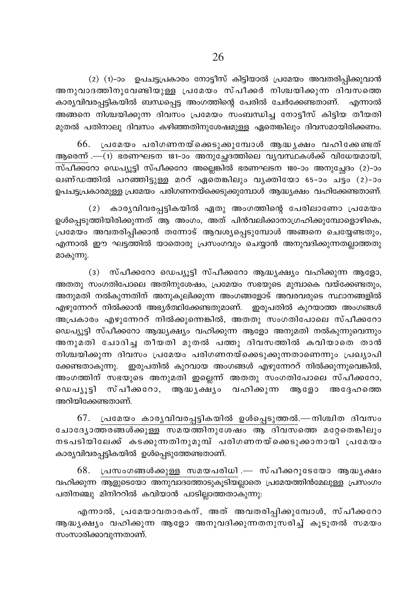(2) (1)-ാം ഉപചട്ടപ്രകാരം നോട്ടീസ് കിട്ടിയാൽ പ്രമേയം അവതരിപ്പിക്കുവാൻ അനുവാദത്തിനുവേണ്ടിയുള്ള പ്രമേയം സ്പീക്കർ നിശ്ചയിക്കുന്ന ദിവസത്തെ കാര്യവിവരപ്പട്ടികയിൽ ബന്ധപ്പെട്ട അംഗത്തിന്റെ പേരിൽ ചേർക്കേണ്ടതാണ്. എന്നാൽ അങ്ങനെ നിശ്ചയിക്കുന്ന ദിവസം പ്രമേയം സംബന്ധിച്ച നോട്ടീസ് കിട്ടിയ തീയതി മുതൽ പതിനാലു ദിവസം കഴിഞ്ഞതിനുശേഷമുള്ള ഏതെങ്കിലും ദിവസമായിരിക്കണം.

66. പ്രമേയം പരിഗണനയ്ക്കെടുക്കുമ്പോൾ അദ്ധ്യക്ഷം വഹിക്കേണ്ടത് ആരെന്ന് .—(1) ഭരണഘടന 181-ാം അനുച്ചേദത്തിലെ വൃവസ്ഥകൾക്ക് വിധേയമായി,  $\overline{\text{m\'al}}$ ക്കറോ ഡെപ്യൂട്ടി സ്പീക്കറോ അല്ലെങ്കിൽ ഭരണഘടന 180–ാം അനുച്ചേദം (2)–ാം ഖണ്ഡത്തിൽ പറഞ്ഞിട്ടുള്ള മററ് ഏതെങ്കിലും വൃക്തിയോ 65-ാം ച്ടം (2)-ാം ഉപചട്ടപ്രകാരമുള്ള പ്രമേയം പരിഗണനയ്ക്കെടുക്കുമ്പോൾ ആദ്ധ്യക്ഷം വഹിക്കേണ്ടതാണ്.

(2) കാര്യവിവരപ്പട്ടികയിൽ ഏതു അംഗത്തിന്റെ പേരിലാണോ പ്രമേയം ഉൾപെട്ടുത്തിയിരിക്കുന്നത് ആ അംഗം, അത് പിൻവലിക്കാനാഗ്രഹിക്കുമ്പോളൊഴികെ, പ്രമേയം അവതരിപ്പിക്കാൻ തന്നോട് ആവശ്യപ്പെടുമ്പോൾ അങ്ങനെ ചെയ്യേണ്ടതും, എന്നാൽ ഈ ഘട്ടത്തിൽ യാതൊരു പ്രസംഗവും ചെയ്യാൻ അനുവദിക്കുന്നതല്ലാത്തതു മാകുന്നു.

(3) സ്പീക്കറോ ഡെപ്യൂട്ടി സ്പീക്കറോ ആദ്ധ്യക്ഷ്യം വഹിക്കുന്ന ആളോ, അതതു സംഗതിപോലെ അതിനുശേഷം, പ്രമേയം സഭയുടെ മുമ്പാകെ വയ്ക്കേണ്ടതും, അനുമതി നൽകുന്നതിന് അനുകൂലിക്കുന്ന അംഗങ്ങളോട് അവരവരുടെ സ്ഥാനങ്ങളിൽ എഴുന്നേററ് നിൽക്കാൻ അഭ്യർത്ഥിക്കേണ്ടതുമാണ്. ഇരുപതിൽ കുറയാത്ത അംഗങ്ങൾ അപ്രകാരം എഴുന്നേററ് നിൽക്കുന്നെങ്കിൽ, അതതു സംഗതിപോലെ സ്പീക്കറോ ഡെപ്യൂട്ടി സ്പീക്കറോ ആദ്ധ്യക്ഷ്യം വഹിക്കുന്ന ആളോ അനുമതി നൽകുന്നുവെന്നും അനുമതി ചോദിച്ച തീയതി മുതൽ പത്തു ദിവസത്തിൽ കവിയാതെ താൻ നിശ്ചയിക്കുന്ന ദിവസം പ്രമേയം പരിഗണനയ്ക്കെടുക്കുന്നതാണെന്നും പ്രഖ്യാപി ക്കേണ്ടതാകുന്നു. ഇരുപതിൽ കുറവായ അംഗങ്ങൾ എഴുന്നേററ് നിൽക്കുന്നുവെങ്കിൽ, അംഗത്തിന് സഭയുടെ അനുമതി ഇല്ലെന്ന് അതതു സംഗതിപോലെ സ്പീക്കറോ, ഡെപൃൂട്ടി സ്പീക്കറോ, ആദ്ധൃക്ഷ്യം വഹിക്കുന്ന ആളോ അദ്ദേഹത്തെ അറിയിക്കേണ്ടതാണ്.

67. പ്രമേയം കാരൃവിവരപ്പട്ടികയിൽ ഉൾപ്പെടുത്തൽ.—നിശ്ചിത ദിവസം ചോദ്യോത്തരങ്ങൾക്കുള്ള സമയത്തിനുശേഷം ആ ദിവസത്തെ മറ്റേതെങ്കിലും നടപടിയിലേക്ക് കടക്കുന്നതിനുമുമ്പ് പരിഗണനയ്ക്കെടുക്കാനായി പ്രമേയം കാര്യവിവരപ്പട്ടികയിൽ ഉൾപ്പെടുത്തേണ്ടതാണ്.

68. പ്രസംഗങ്ങൾക്കുള്ള സമയപരിധി.— സ്പീക്കറുടേയോ ആദ്ധൃക്ഷം വഹിക്കുന്ന ആളുടെയോ അനുവാദത്തോടുകൂടിയല്ലാതെ പ്രമേയത്തിൻമേലുള്ള പ്രസംഗം പതിനഞ്ചു മിനിററിൽ കവിയാൻ പാടില്ലാത്തതാകുന്നു:

എന്നാൽ, പ്രമേയാവതാരകന്, അത് അവതരിപ്പിക്കുമ്പോൾ, സ്പീക്കറോ ആദ്ധൃക്ഷ്യം വഹിക്കുന്ന ആളോ അനുവദിക്കുന്നതനുസരിച്ച് കൂടുതൽ സമയം സംസാരിക്കാവുന്നതാണ്.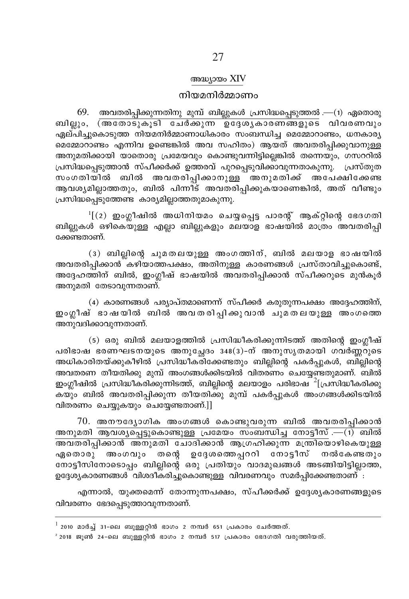#### അദ്ധ്യായം XIV

#### നിയമനിർമ്മാണം

 $69.$  അവതരിപ്പിക്കുന്നതിനു മുമ്പ് ബില്ലുകൾ പ്രസിദ്ധപ്പെടുത്തൽ — $(1)$  ഏതൊരു ബില്ലും, (അതോടുകൂടി ചേർക്കുന്ന ഉദ്ദേശൃകാരണങ്ങളുടെ വിവരണവും ഏല്പിച്ചുകൊടുത്ത നിയമനിർമ്മാണാധികാരം സംബന്ധിച്ച മെമ്മോറാണ്ടം, ധനകാര്യ മെമ്മോറാണ്ടം എന്നിവ ഉണ്ടെങ്കിൽ അവ സഹിതം) ആയത് അവതരിപ്പിക്കുവാനുള്ള അനുമതിക്കായി യാതൊരു പ്രമേയവും കൊണ്ടുവന്നിട്ടില്ലെങ്കിൽ തന്നെയും, ഗസററിൽ പ്രസിദ്ധപ്പെടുത്താൻ സ്പീക്കർക്ക് ഉത്തരവ് പുറപ്പെടുവിക്കാവുന്നതാകുന്നു. പ്രസ്തുത സംഗതിയിൽ ബിൽ അവതരിപ്പിക്കാനുള്ള അനുമതിക്ക് അപേക്ഷിക്കേണ്ട ആവശ്യമില്ലാത്തതും, ബിൽ പിന്നിട് അവതരിപ്പിക്കുകയാണെങ്കിൽ, അത് വീണ്ടും പ്രസിദ്ധപ്പെടുത്തേണ്ട കാര്യമില്ലാത്തതുമാകുന്നു.

 $\frac{1}{2}$  (2) ഇംഗ്ലീഷിൽ അധിനിയമം ചെയ്യപ്പെട്ട പാരന്റ് ആക്റ്റിന്റെ ഭേദഗതി ബില്ലുകൾ ഒഴികെയുള്ള എല്ലാ ബില്ലുകളും മലയാള ഭാഷയിൽ മാത്രം അവതരിപ്പി ക്കേണ്ടതാണ്.

(3) ബില്ലിന്റെ ചുമതലയുള്ള അംഗത്തിന്, ബിൽ മലയാള ഭാഷയിൽ അവതരിപ്പിക്കാൻ കഴിയാത്തപക്ഷം, അതിനുള്ള കാരണങ്ങൾ പ്രസ്താവിച്ചുകൊണ്ട്, അദ്ദേഹത്തിന് ബിൽ, ഇംഗ്ലീഷ് ഭാഷയിൽ അവതരിപ്പിക്കാൻ സ്പീക്കറുടെ മുൻകുർ അനുമതി തേടാവുന്നതാണ്.

(4) കാരണങ്ങൾ പര്യാപ്തമാണെന്ന് സ്പീക്കർ കരുതുന്നപക്ഷം അദ്ദേഹത്തിന്, ഇംഗ്ലീഷ് ഭാഷയിൽ ബിൽ അവതരിപ്പിക്കുവാൻ ചുമതലയുള്ള അംഗത്തെ അനുവദിക്കാവുന്നതാണ്.

(5) ഒരു ബിൽ മലയാളത്തിൽ പ്രസിദ്ധീകരിക്കുന്നിടത്ത് അതിന്റെ ഇംഗ്ലീഷ് പരിഭാഷ ഭരണഘടനയുടെ അനുചേദം 348(3)-ന് അനുസൃതമായി ഗവർണ്ണറുടെ അധികാരിതയ്ക്കുകീഴിൽ പ്രസിദ്ധീകരിക്കേണ്ടതും ബില്ലിന്റെ പകർപ്പുകൾ, ബില്ലിന്റെ അവതരണ തീയതിക്കു മുമ്പ് അംഗങ്ങൾക്കിടയിൽ വിതരണം ചെയ്യേണ്ടതുമാണ്. ബിൽ ഇംഗ്ലീഷിൽ പ്രസിദ്ധീകരിക്കുന്നിടത്ത്, ബില്ലിന്റെ മലയാളം പരിഭാഷ $^{-2}$ [പ്രസിദ്ധീകരിക്കു കയും ബിൽ അവതരിപ്പിക്കുന്ന തീയതിക്കു മുമ്പ് പകർപ്പുകൾ അംഗങ്ങൾക്കിടയിൽ വിതരണം ചെയ്യുകയും ചെയ്യേണ്ടതാണ്.]]

 $70.$  അനൗദ്യോഗിക അംഗങ്ങൾ കൊണ്ടുവരുന്ന ബിൽ അവതരിപ്പിക്കാൻ അനുമതി ആവശ്യപ്പെട്ടുകൊണ്ടുള്ള പ്രമേയം സംബന്ധിച്ച നോട്ടീസ് .—(1) ബിൽ ഏതൊരു അംഗവും തന്റെ ഉദ്ദേശത്തെപ്പററി നോട്ടീസ് നൽകേണ്ടതും നോട്ടീസിനോടൊപ്പം ബില്ലിന്റെ ഒരു പ്രതിയും വാദമുഖങ്ങൾ അടങ്ങിയിട്ടില്ലാത്ത, ഉദ്ദേശ്യകാരണങ്ങൾ വിശദീകരിച്ചുകൊണ്ടുള്ള വിവരണവും സമർപ്പിക്കേണ്ടതാണ് :

എന്നാൽ, യുക്തമെന്ന് തോന്നുന്നപക്ഷം, സ്പീക്കർക്ക് ഉദ്ദേശൃകാരണങ്ങളുടെ വിവരണം ഭേദപ്പെടുത്താവുന്നതാണ്.

 $^{\rm l}$  2010 മാർച്ച് 31-ലെ ബുള്ളറ്റിൻ ഭാഗം 2 നമ്പർ 651 പ്രകാരം ചേർത്തത്.

 $2018$  ജൂൺ 24-ലെ ബുള്ളറ്റിൻ ഭാഗം 2 നമ്പർ 517 പ്രകാരം ഭേദഗതി വരുത്തിയത്.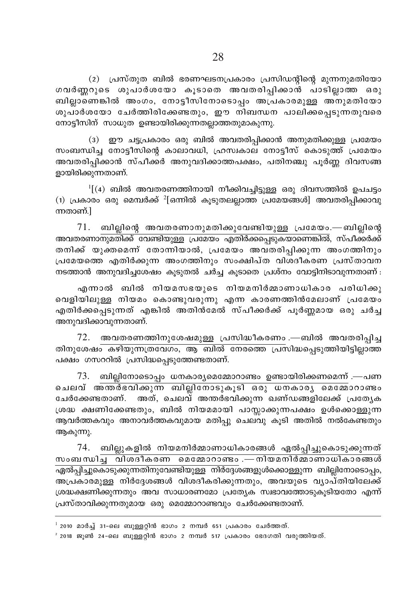(2) പ്രസ്തുത ബിൽ ഭരണഘടനപ്രകാരം പ്രസിഡന്റിന്റെ മുന്നനുമതിയോ ഗവർണ്ണറുടെ ശുപാർശയോ കൂടാതെ അവതരിപ്പിക്കാൻ പാടില്ലാത്ത ഒരു .<br>ബില്ലാണെങ്കിൽ അംഗം, നോട്ടീസിനോടൊപ്പം അപ്രകാരമുള്ള അനുമതിയോ ശുപാർശയോ ചേർത്തിരിക്കേണ്ടതും, ഈ നിബന്ധന പാലിക്കപ്പെടുന്നതുവരെ നോട്ടീസിന് സാധുത ഉണ്ടായിരിക്കുന്നതല്ലാത്തതുമാകുന്നു.

 $(3)$  ഈ ചട്ടപ്രകാരം ഒരു ബിൽ അവതരിപ്പിക്കാൻ അനുമതിക്കുള്ള പ്രമേയം സംബന്ധിച്ച നോട്ടീസിന്റെ കാലാവധി, ഹ്രസ്വകാല നോട്ടീസ് കൊടുത്ത് പ്രമേയം അവതരിപിക്കാൻ സ്പീക്കർ അനുവദിക്കാത്തപക്ഷം, പതിനഞ്ചു പൂർണ്ണ ദിവസങ്ങ ളായിരിക്കുന്നതാണ്.

 $^1$ [(4) ബിൽ അവതരണത്തിനായി നീക്കിവച്ചിട്ടുള്ള ഒരു ദിവസത്തിൽ ഉപചട്ടം  $(1)$  പ്രകാരം ഒരു മെമ്പർക്ക്  ${}^{2}$ [ഒന്നിൽ കൂടുതലല്ലാത്ത പ്രമേയങ്ങൾ] അവതരിപ്പിക്കാവു ന്നതാണ്. $\mathsf{l}$ 

 $71.$  ബില്ലിന്റെ അവതരണാനുമതിക്കുവേണ്ടിയുള്ള പ്രമേയം.—ബില്ലിന്റെ .<br>അവതരണാനുമതിക്ക് വേണ്ടിയുള്ള പ്രമേയം എതിർക്കപ്പെടുകയാണെങ്കിൽ, സ്പീക്കർക്ക് തനിക്ക് യുക്തമെന്ന് തോന്നിയാൽ, പ്രമേയം അവതരിപ്പിക്കുന്ന അംഗത്തിനും പ്രമേയത്തെ എതിർക്കുന്ന അംഗത്തിനും സംക്ഷിപ്ത വിശദീകരണ പ്രസ്താവന  $\Omega$ ടത്താൻ അനുവദിച്ചശേഷം കൂടുതൽ ചർച്ച കൂടാതെ പ്രശ്നം വോട്ടിനിടാവുന്നതാണ് $\Omega$ :

എന്നാൽ ബിൽ നിയമസഭയുടെ നിയമനിർമ്മാണാധികാര പരിധിക്കു പെളിയിലുള്ള നിയമം കൊണ്ടുവരുന്നു എന്ന കാരണത്തിൻമേലാണ് <sub>l</sub>പമേയം എതിർക്കപ്പെടുന്നത് എങ്കിൽ അതിൻമേൽ സ്പീക്കർക്ക് പൂർണ്ണമായ ഒരു ചർച്ച അനുവദിക്കാവുന്നതാണ്.

 $72.$  അവതരണത്തിനുശേഷമുള്ള പ്രസിദ്ധീകരണം .—ബിൽ അവതരിപ്പിച്ച തിനുശേഷം കഴിയുന്നത്രവേഗം, ആ ബിൽ നേരത്തെ പ്രസിദ്ധപ്പെടുത്തിയിട്ടില്ലാത്ത പക്ഷം ഗസററിൽ പ്രസിദ്ധപ്പെടുത്തേണ്ടതാണ്.

 $73.$  ബില്ലിനോടൊപ്പം ധനകാര്യമെമ്മോറാണ്ടം ഉണ്ടായിരിക്കണമെന്ന് .—പണ ചെലവ് അത്ത്ഭവിക്കുന്ന ബില്ലിനോടുകൂടി ഒരു ധനകാരൃ മെമ്മോറാണ്ടം ചേർക്കേണ്ടതാണ്. അത്, ചെലവ് അന്തർഭവിക്കുന്ന ഖണ്ഡങ്ങളിലേക്ക് പ്രത്യേക ്രശദ്ധ ക്ഷണിക്കേണ്ടതും, ബിൽ നിയമമായി പാസ്സാക്കുന്നപക്ഷം ഉൾക്കൊള്ളുന്ന ആവർത്തകവും അനാവർത്തകവുമായ മതിപ്പു ചെലവു കൂടി അതിൽ നൽകേണ്ടതും ആകുന്നു.

74. ബില്ലുകളിൽ നിയമനിർമ്മാണാധികാരങ്ങൾ ഏൽപ്പിച്ചുകൊടുക്കുന്നത് സംബന്ധിച്ച വിശദീകരണ മെമ്മോറാണ്ടം .—നിയമനിർമ്മാണാധികാരങ്ങൾ  $\overline{\rm{q}}$ ഏൽപ്പിച്ചുകൊടുക്കുന്നതിനുവേണ്ടിയുള്ള നിർദ്ദേശങ്ങളുൾക്കൊള്ളുന്ന ബില്ലിനോടൊപ്പം, അപ്രകാരമുള്ള` നിർദേശങ്ങൾ വിശദീകരിക്കുന്നതും, അവയുടെ വ്യാപ്തിയിലേക്ക് ്രശദ്ധക്ഷണിക്കുന്നതും അവ സാധാരണമോ പ്രത്യേക സ്വഭാവത്തോടുകൂടിയതോ എന്ന്  ${[k]}$ സ്താവിക്കുന്നതുമായ ഒരു മെമ്മോറാണ്ടവും ചേർക്കേണ്ടതാണ്.

- $^{\rm 1}$  2010 മാർച്ച് 31-ലെ ബുള്ളറ്റിൻ ഭാഗം 2 നമ്പർ 651 പ്രകാരം ചേർത്തത്.
- $2$  2018 ജൂൺ 24-ലെ ബുള്ളറ്റിൻ ഭാഗം 2 നമ്പർ 517 പ്രകാരം ഭേദഗതി വരുത്തിയത്.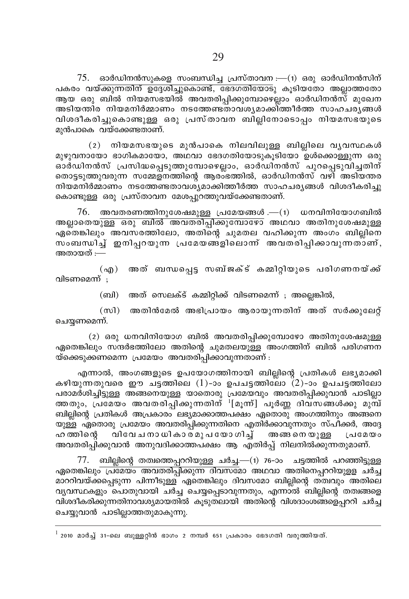$75.$  ഓർഡിനൻസുകളെ സംബന്ധിച്ച പ്രസ്താവന $:=(1)$  ഒരു ഓർഡിനൻസിന് പകരം വയ്ക്കുന്നതിന് ഉദ്ദേശിച്ചുകൊണ്ട്, ഭേദഗതിയോടു കൂടിയതോ അല്ലാത്തതോ ആയ ഒരു ബിൽ നിയമസഭയിൽ അവതരിപ്പിക്കുമ്പോഴെല്ലാം ഓർഡിനൻസ് മുഖേന അടിയന്തിര നിയമനിർമ്മാണം നടത്തേണ്ടതാവശ്യമാക്കി്ത്തീർത്ത സാഹചര്യങ്ങൾ വിശദീകരിച്ചുകൊണ്ടുള്ള ഒരു പ്രസ്താവന ബില്ലിനോടൊപ്പം നിയമസഭയുടെ മുൻപാകെ വയ്ക്കേണ്ടതാണ്.

 $(2)$  നിയമസഭയുടെ മുൻപാകെ നിലവിലുള്ള ബില്ലിലെ വൃവസ്ഥകൾ മുഴുവനായോ ഭാഗികമായോ, അഥവാ ഭേദഗതിയോടുകൂടിയോ ഉൾക്കൊള്ളുന്ന ഒരു ഓർഡിനൻസ് പ്രസിദ്ധപ്പെടുത്തുമ്പോഴെല്ലാം, ഓർഡിനൻസ് പുറപ്പെടുവിച്ചതിന് തൊട്ടടുത്തുവരുന്ന സമ്മേളനത്തിന്റെ ആരംഭത്തിൽ, ഓർഡിനൻസ് വഴി അടിയന്തര നിയമനിർമ്മാണം നടത്തേണ്ടതാവശ്യമാക്കിത്തീർത്ത സാഹചര്യങ്ങൾ വിശദീകരിച്ചു കൊണ്ടുള്ള ഒരു പ്രസ്താവന മേശപ്പറത്തുവയ്ക്കേണ്ടതാണ്.

76. അവതരണത്തിനുശേഷമുള്ള പ്രമേയങ്ങൾ . $-(1)$  ധനവിനിയോഗബിൽ <u>അല്ലാതെയുള്ള ഒരു ബിൽ അവതരിപ്പിക്കുമ്പോഴോ</u> അഥവാ അതിനുശേഷമുള്ള ഏതെങ്കിലും അവസരത്തിലോ, അതിന്റെ ചുമതല വഹിക്കുന്ന അംഗം ബില്ലിനെ സംബന്ധിച്ച് ഇനിപ്പറയുന്ന പ്രമേയങ്ങളിലൊന്ന് അവതരിപ്പിക്കാവുന്നതാണ്, അതായത് :—

(എ) അത് ബന്ധപ്പെട്ട സബ്ജക്ട് കമ്മിറ്റിയുടെ പരിഗണനയ്ക്ക് വിടണമെന്ന് :

(ബി) അത് സെലക്ട് കമ്മിറ്റിക്ക് വിടണമെന്ന് ; അല്ലെങ്കിൽ,

(സി) അതിൻമേൽ അഭിപ്രായം ആരായുന്നതിന് അത് സർക്കുലേറ്റ് ചെയ്യണമെന്ന്.

(2) ഒരു ധനവിനിയോഗ ബിൽ അവതരിപ്പിക്കുമ്പോഴോ അതിനുശേഷമുള്ള ഏതെങ്കിലും സന്ദർഭത്തിലോ അതിന്റെ ചുമതലയുള്ള അംഗത്തിന് ബിൽ പരിഗണന യ്ക്കെടുക്കണമെന്ന പ്രമേയം അവതരിപ്പിക്കാവുന്നതാണ് :

എന്നാൽ, അംഗങ്ങളുടെ ഉപയോഗത്തിനായി ബില്ലിന്റെ പ്രതികൾ ലഭ്യമാക്കി കഴിയുന്നതുവരെ ഈ ചട്ടത്തിലെ (1)-ാം ഉപചട്ടത്തിലോ  $(2)$ -ാം ഉപചട്ടത്തിലോ പരാമർശിച്ചിട്ടുള്ള അങ്ങനെയുള്ള യാതൊരു പ്രമേയവും അവതരിപ്പിക്കുവാൻ പാടില്ലാ ത്തതും, പ്രമേയം അവതരിപ്പിക്കുന്നതിന് <sup>1</sup>[മൂന്ന്] പൂർണ്ണ ദിവസങ്ങൾക്കു മുമ്പ് ബില്ലിന്റെ പ്രതികൾ അപ്രകാരം ലഭ്യമാക്കാത്തപക്ഷം ഏതൊരു അംഗത്തിനും അങ്ങനെ യുള്ള ഏതൊരു പ്രമേയം അവതരിപ്പിക്കുന്നതിനെ എതിർക്കാവുന്നതും സ്പീക്കർ, അദ്ദേ ഹത്തിന്റെ വിവേചനാധികാരമുപയോഗിച്ച് അങ്ങനെയുള്ള പ്രമേയം അവതരിപ്പിക്കുവാൻ അനുവദിക്കാത്തപക്ഷം ആ എതിർപ്പ് നിലനിൽക്കുന്നതുമാണ്.

77. ബില്ലിന്റെ തത്വത്തെപ്പററിയുള്ള ചർച്ച.—(1) 76-ാം ചട്ടത്തിൽ പറഞ്ഞിട്ടുള്ള ഏതെങ്കിലു<del>ം പ്രമേയം അവതരിപ്പിക്കുന്ന ദിവസ</del>മോ അഥവാ അതിനെപ്പററിയുളള ചർച്ച മാററിവയ്ക്കപ്പെടുന്ന പിന്നീടുള്ള ഏതെങ്കിലും ദിവസമോ ബില്ലിന്റെ തത്വവും അതിലെ വ്യവസ്ഥകളും ചൊതുവായി ചർച്ച ചെയ്യപ്പെടാവുന്നതും, എന്നാൽ ബില്ലിന്റെ തത്വങ്ങളെ വിശദീകരിക്കുന്നതിനാവശ്യമായതിൽ കൂടുതലായി അതിന്റെ വിശദാംശങ്ങളെപ്പററി ചർച്ച ചെയ്യുവാൻ പാടില്ലാത്തതുമാകുന്നു.

 $^{\rm 1}$  2010 മാർച്ച് 31-ലെ ബുള്ളറ്റിൻ ഭാഗം 2 നമ്പർ 651 പ്രകാരം ഭേദഗതി വരുത്തിയത്.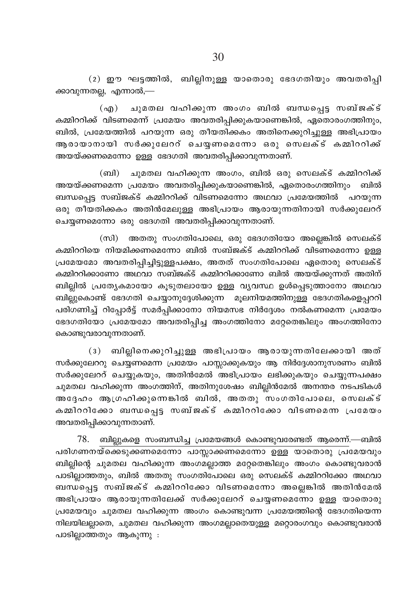$(2)$  ഈ ഘട്ടത്തിൽ, ബില്ലിനുള്ള യാതൊരു ഭേദഗതിയും അവതരിപ്പി ക്കാവുന്നതല്ല, എന്നാൽ,—

ചുമതല വഹിക്കുന്ന അംഗം ബിൽ ബന്ധപ്പെട്ട സബ്ജക്ട്  $(\Omega)$ കമ്മിററിക്ക് വിടണമെന്ന് പ്രമേയം അവതരിപ്പിക്കുകയാണെങ്കിൽ, ഏതൊരംഗത്തിനും, ബിൽ, പ്രമേയത്തിൽ പറയുന്ന ഒരു തീയതിക്കകം അതിനെക്കുറിച്ചുള്ള അഭിപ്രായം ആരായാനായി സർക്കുലേററ് ചെയ്യണമെന്നോ ഒരു സെലക്ട് കമ്മിററിക്ക് അയയ്ക്കണമെന്നോ ഉള്ള ഭേദഗതി അവതരിപ്പിക്കാവുന്നതാണ്.

(ബി) ചുമതല വഹിക്കുന്ന അംഗം, ബിൽ ഒരു സെലക്ട് കമ്മിററിക്ക് അയയ്ക്കണമെന്ന പ്രമേയം അവതരിപ്പിക്കുകയാണെങ്കിൽ, ഏതൊരംഗത്തിനും ബിൽ ബന്ധപെട സബ്ജക്ട് കമ്മിററിക്ക് വിടണമെന്നോ അഥവാ പ്രമേയത്തിൽ പറയുന്ന ഒരു തീയതിക്കകം അതിൻമേലുള്ള അഭിപ്രായം ആരായുന്നതിനായി സർക്കുലേററ് ചെയ്യണമെന്നോ ഒരു ഭേദഗതി അവതരിപ്പിക്കാവുന്നതാണ്.

(സി) അതതു സംഗതിപോലെ, ഒരു ഭേദഗതിയോ അല്ലെങ്കിൽ സെലക്ട് .<br>കമ്മിററിയെ നിയമിക്കണമെന്നോ ബിൽ സബ്ജക്ട് കമ്മിററിക്ക് വിടണമെന്നോ ഉള്ള പ്രമേയമോ അവതരിപ്പിച്ചിട്ടുള്ളപക്ഷം, അതത് സംഗതിപോലെ ഏതൊരു സെലക്ട് കമ്മിററിക്കാണോ അഥവാ സബ്ജക്ട് കമ്മിററിക്കാണോ ബിൽ അയയ്ക്കുന്നത് അതിന് ബില്ലിൽ പ്രത്യേകമായോ കൂടുതലായോ ഉള്ള വ്യവസ്ഥ ഉൾപ്പെടുത്താനോ അഥവാ ബില്ലുകൊണ്ട് ഭേദഗതി ചെയ്യാനുദ്ദേശിക്കുന്ന മുലനിയമത്തിനുള്ള ഭേദഗതികളെപ്പററി പരിഗണിച്ച് റിപ്പോർട്ട് സമർപ്പിക്കാനോ നിയമസഭ നിർദ്ദേശം നൽകണമെന്ന പ്രമേയം ഭേദഗതിയോ പ്രമേയമോ അവതരിപ്പിച്ച അംഗത്തിനോ മറ്റേതെങ്കിലും അംഗത്തിനോ കൊണ്ടുവരാവുന്നതാണ്.

(3) ബില്ലിനെക്കുറിച്ചുള്ള അഭിപ്രായം ആരായുന്നതിലേക്കായി അത് സർക്കുലേററു ചെയ്യണമെന്ന പ്രമേയം പാസ്സാക്കുകയും ആ നിർദ്ദേശാനുസരണം ബിൽ സർക്കുലേററ് ചെയ്യുകയും, അതിൻമേൽ അഭിപ്രായം ലഭിക്കുകയും ചെയ്യുന്നപക്ഷം ചുമതല വഹിക്കുന്ന അംഗത്തിന്, അതിനുശേഷം ബില്ലിൻമേൽ അനന്തര നടപടികൾ അദ്ദേഹം ആഗ്രഹിക്കുന്നെങ്കിൽ ബിൽ, അതതു സംഗതിപോലെ, സെലക്ട് കമ്മിററിക്കോ ബന്ധപ്പെട്ട സബ്ജക്ട് കമ്മിററിക്കോ വിടണമെന്ന പ്രമേയം അവതരിപ്പിക്കാവുന്നതാണ്.

78. ബില്ലുകളെ സംബന്ധിച്ച പ്രമേയങ്ങൾ കൊണ്ടുവരേണ്ടത് ആരെന്ന്.—ബിൽ പരിഗണനയ്ക്കെടുക്കണമെന്നോ പാസ്സാക്കണമെന്നോ ഉള്ള യാതൊരു പ്രമേയവും ബില്ലിന്റെ ചുമതല വഹിക്കുന്ന അംഗമല്ലാത്ത മറ്റേതെങ്കിലും അംഗം കൊണ്ടുവരാൻ പാടില്ലാത്തതും, ബിൽ അതതു സംഗതിപോലെ ഒരു സെലക്ട് കമ്മിററിക്കോ അഥവാ ബന്ധപ്പെട്ട സബ്ജക്ട് കമ്മിററിക്കോ വിടണമെന്നോ അല്ലെങ്കിൽ അതിൻമേൽ അഭിപ്രായം ആരായുന്നതിലേക്ക് സർക്കുലേററ് ചെയ്യണമെന്നോ ഉള്ള യാതൊരു പ്രമേയവും ചുമതല വഹിക്കുന്ന അംഗം കൊണ്ടുവന്ന പ്രമേയത്തിന്റെ ഭേദഗതിയെന്ന നിലയിലല്ലാതെ, ചുമതല വഹിക്കുന്ന അംഗമല്ലാതെയുള്ള മറ്റൊരംഗവും കൊണ്ടുവരാൻ പാടില്ലാത്തതും ആകുന്നു :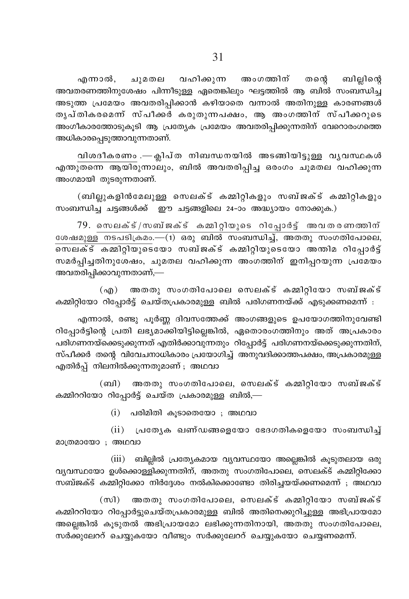എന്നാൽ, ചുമതല വഹിക്കുന്ന അംഗത്തിന് തന്റെ ബില്ലിന്റെ അവതരണത്തിനുശേഷം പിന്നീടുള്ള ഏതെങ്കിലും ഘട്ടത്തിൽ ആ ബിൽ സംബന്ധിച്ച അടുത്ത പ്രമേയം അവതരിപ്പിക്കാൻ കഴിയാതെ വന്നാൽ അതിനുള്ള കാരണങ്ങൾ തൃപ്തികരമെന്ന് സ്പീക്കർ കരുതുന്നപക്ഷം, ആ അംഗത്തിന് സ്പീക്കറുടെ അംഗീകാരത്തോടുകൂടി ആ പ്രത്യേക പ്രമേയം അവതരിപ്പിക്കുന്നതിന് വേറൊരംഗത്തെ അധികാരപ്പെടുത്താവുന്നതാണ്.

വിശദീകരണം .— ക്ലിപ്ത നിബന്ധനയിൽ അടങ്ങിയിട്ടുള്ള വൃവസ്ഥകൾ എന്തുതന്നെ ആയിരുന്നാലും, ബിൽ അവതരിപ്പിച്ച ഒരംഗം ചുമതല വഹിക്കുന്ന അംഗമായി തുടരുന്നതാണ്.

(ബില്ലുകളിൻമേലുള്ള സെലക്ട് കമ്മിറ്റികളും സബ്ജക്ട് കമ്മിറ്റികളും സംബന്ധിച്ച ചട്ടങ്ങൾക്ക് ഈ ചട്ടങ്ങളിലെ 24-ാം അദ്ധ്യായം നോക്കുക.)

 $79.$  സെലക്ട്/സബ്ജക്ട് കമ്മിറ്റിയുടെ റിപ്പോർട്ട് അവതരണത്തിന് ശേഷമുള്ള നടപടിക്രമം.—(1) ഒരു ബിൽ സംബന്ധിച്ച്, അതതു സംഗതിപോലെ, സമർപ്പിച്ചതിനുശേഷം, ചുമതല വഹിക്കുന്ന അംഗത്തിന് ഇനിപ്പറയുന്ന പ്രമേയം അവതരിപ്പിക്കാവുന്നതാണ്,—

(എ) അതതു സംഗതിപോലെ സെലക്ട് കമ്മിറ്റിയോ സബ്ജക്ട് കമ്മിറ്റിയോ റിപ്പോർട്ട് ചെയ്തപ്രകാരമുള്ള ബിൽ പരിഗണനയ്ക്ക് എടുക്കണമെന്ന് :

എന്നാൽ, രണ്ടു പൂർണ്ണ ദിവസത്തേക്ക് അംഗങ്ങളുടെ ഉപയോഗത്തിനുവേണ്ടി റിപ്പോർട്ടിന്റെ പ്രതി ലഭ്യമാക്കിയിട്ടില്ലെങ്കിൽ, ഏതൊരംഗത്തിനും അത് അപ്രകാരം പരിഗണനയ്ക്കെടുക്കുന്നത് എതിർക്കാവുന്നതും റിപ്പോർട്ട് പരിഗണനയ്ക്കെടുക്കുന്നതിന്, സ്പീക്കർ തന്റെ വിവേചനാധികാരം പ്രയോഗിച്ച് അനുവദിക്കാത്തപക്ഷം, അപ്രകാരമുള്ള എതിർപ്പ് നിലനിൽക്കുന്നതുമാണ് ; അഥവാ

(ബി) അതതു സംഗതിപോലെ, സെലക്ട് കമ്മിറ്റിയോ സബ്ജക്ട് കമ്മിററിയോ റിപ്പോർട്ട് ചെയ്ത പ്രകാരമുള്ള ബിൽ,—

 $(i)$  പരിമിതി കൂടാതെയോ ; അഥവാ

 $(ii)$  പ്രത്യേക ഖണ്ഡങ്ങളെയോ ഭേദഗതികളെയോ സംബന്ധിച്ച് മാത്രമായോ; അഥവാ

(iii) ബില്ലിൽ പ്രത്യേകമായ വ്യവസ്ഥയോ അല്ലെങ്കിൽ കൂടുതലായ ഒരു വ്യവസ്ഥയോ ഉൾക്കൊള്ളിക്കുന്നതിന്, അതതു സംഗതിപോലെ, സെലക്ട് കമ്മിറ്റിക്കോ സബ്ജക്ട് കമ്മിറ്റിക്കോ നിർദ്ദേശം നൽകിക്കൊണ്ടോ തിരിച്ചയയ്ക്കണമെന്ന് ; അഥവാ

 $(m)$ അതതു സംഗതിപോലെ, സെലക്ട് കമ്മിറ്റിയോ സബ്ജക്ട് കമ്മിററിയോ റിപ്പോർട്ടുചെയ്തപ്രകാരമുള്ള ബിൽ അതിനെക്കുറിച്ചുള്ള അഭിപ്രായമോ അല്ലെങ്കിൽ കുടുതൽ അഭിപ്രായമോ ലഭിക്കുന്നതിനായി, അതതു സംഗതിപോലെ, സർക്കുലേററ് ചെയ്യുകയോ വീണ്ടും സർക്കുലേററ് ചെയ്യുകയോ ചെയ്യണമെന്ന്.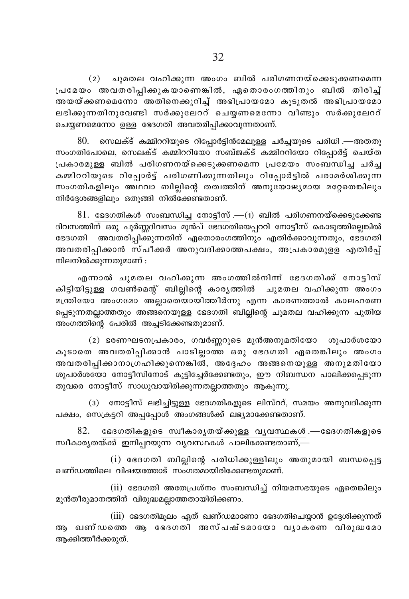(2) ചുമതല വഹിക്കുന്ന അംഗം ബിൽ പരിഗണനയ്ക്കെടുക്കണമെന്ന പ്രമേയം അവതരിപ്പിക്കുകയാണെങ്കിൽ, ഏതൊരംഗത്തിനും ബിൽ തിരിച്ച് അയയ്ക്കണമെന്നോ അതിനെക്കുറിച്ച് അഭിപ്രായമോ കൂടുതൽ അഭിപ്രായമോ ലഭിക്കുന്നതിനുവേണ്ടി സർക്കുലേററ് ചെയ്യണമെന്നോ വീണ്ടും സർക്കുലേററ് ചെയ്യണമെന്നോ ഉള്ള ഭേദഗതി അവതരിപ്പിക്കാവുന്നതാണ്.

 $80.$  സെലക്ട് കമ്മിററിയുടെ റിപ്പോർട്ടിൻമേലുള്ള ചർച്ചയുടെ പരിധി .—അതതു സംഗതിപോലെ, സെലക്ട് കമ്മിററിയോ സബ്ജക്ട് കമ്മിററിയോ റിപോർട്ട് ചെയ്ത പ്രകാരമുള്ള ബിൽ പരിഗണനയ്ക്കെടുക്കണമെന്ന പ്രമേയം സംബന്ധിച്ച ചർച്ച കമ്മിററിയുടെ റിപ്പോർട്ട് പരിഗണിക്കുന്നതിലും റിപ്പോർട്ടിൽ പരാമർശിക്കുന്ന സംഗതികളിലും അഥവാ ബില്ലിന്റെ തത്വത്തിന് അനുയോജ്യമായ മറ്റേതെങ്കിലും നിർദ്ദേശങ്ങളിലും ഒതുങ്ങി നിൽക്കേണ്ടതാണ്.

 $81.$  ഭേദഗതികൾ സംബന്ധിച്ച നോട്ടീസ് .— $(1)$  ബിൽ പരിഗണനയ്ക്കെടുക്കേണ്ട ദിവസത്തിന് ഒരു പൂർണ്ണദിവസം മുൻപ് ഭേദഗതിയെപ്പററി നോട്ടീസ് കൊടുത്തില്ലെങ്കിൽ ഭേദഗതി അവതരിപ്പിക്കുന്നതിന് ഏതൊരംഗത്തിനും എതിർക്കാവുന്നതും, ഭേദഗതി അവതരിപ്പിക്കാൻ സ്പീക്കർ അനുവദിക്കാത്തപക്ഷം, അപ്രകാരമുളള എതിർപ്പ് നിലനിൽക്കുന്നതുമാണ് :

എന്നാൽ ചുമതല വഹിക്കുന്ന അംഗത്തിൽനിന്ന് ഭേദഗതിക്ക് നോട്ടീസ് കിട്ടിയിട്ടുള്ള ഗവൺമെന്റ് ബില്ലിന്റെ കാര്യത്തിൽ ചുമതല വഹിക്കുന്ന അംഗം മന്ത്രിയോ അംഗമോ അല്ലാതെയായിത്തീർന്നു എന്ന കാരണത്താൽ കാലഹരണ പ്പെടുന്നതല്ലാത്തതും അങ്ങനെയുള്ള ഭേദഗതി ബില്ലിന്റെ ചുമതല വഹിക്കുന്ന പുതിയ അംഗത്തിന്റെ പേരിൽ അച്ചടിക്കേണ്ടതുമാണ്.

(2) ഭരണഘടനപ്രകാരം, ഗവർണ്ണറുടെ മുൻഅനുമതിയോ ശുപാർശയോ കൂടാതെ അവതരിപ്പിക്കാൻ പാടില്ലാത്ത ഒരു ഭേദഗതി ഏതെങ്കിലും അംഗം അവതരിപ്പിക്കാനാഗ്രഹിക്കുന്നെങ്കിൽ, അദ്ദേഹം അങ്ങനെയുള്ള അനുമതിയോ ശുപാർശയോ നോട്ടീസിനോട് കുട്ടിച്ചേർക്കേണ്ടതും, ഈ നിബന്ധന പാലിക്കപ്പെടുന്ന തുവരെ നോട്ടീസ് സാധുവായിരിക്കുന്നതല്ലാത്തതും ആകുന്നു.

(3) നോട്ടീസ് ലഭിച്ചിട്ടുള്ള ഭേദഗതികളുടെ ലിസ്ററ്, സമയം അനുവദിക്കുന്ന പക്ഷം, സെക്രട്ടറി അപ്പപ്പോൾ അംഗങ്ങൾക്ക് ലഭ്യമാക്കേണ്ടതാണ്.

82. ഭേദഗതികളുടെ സ്വീകാരൃതയ്ക്കുള്ള വൃവസ്ഥകൾ .—ഭേദഗതികളുടെ സ്ഥീകാരൃതയ്ക്ക് ഇനിപ്പറയുന്ന വൃവസ്ഥകൾ പാലിക്കേണ്ടതാണ്,—

 $(i)$  ഭേദഗതി ബില്ലിന്റെ പരിധിക്കുള്ളിലും അതുമായി ബന്ധപ്പെട്ട ഖണ്ഡത്തിലെ വിഷയത്തോട് സംഗതമായിരിക്കേണ്ടതുമാണ്.

(ii) ഭേദഗതി അതേപ്രശ്നം സംബന്ധിച്ച് നിയമസഭയുടെ ഏതെങ്കിലും മുൻതീരുമാനത്തിന് വിരുദ്ധമല്ലാത്തതായിരിക്കണം.

(iii) ഭേദഗതിമുലം ഏത് ഖണ്ഡമാണോ ഭേദഗതിചെയ്യാൻ ഉദ്ദേശിക്കുന്നത് ആ ഖണ്ഡത്തെ ആ ഭേദഗതി അസ്പഷ്ടമായോ വൃാകരണ വിരുദ്ധമോ ആക്കിത്തീർക്കരുത്.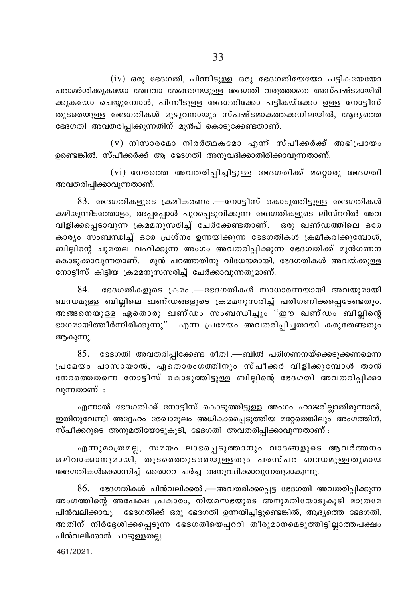$(iv)$  ഒരു ഭേദഗതി, പിന്നീടുള്ള ഒരു ഭേദഗതിയേയോ പട്ടികയേയോ പരാമർശിക്കുകയോ അഥവാ അങ്ങനെയുള്ള ഭേദഗതി വരുത്താതെ അസ്പഷ്ടമായിരി ക്കുകയോ ചെയ്യുമ്പോൾ, പിന്നീടുളള ഭേദഗതിക്കോ പട്ടികയ്ക്കോ ഉള്ള നോട്ടീസ് തുടരെയുള്ള ഭേദഗതികൾ മുഴുവനായും സ്പഷ്ടമാകത്തക്കനിലയിൽ, ആദ്യത്തെ ഭേദഗതി അവതരിപിക്കുന്നതിന് മുൻപ് കൊടുക്കേണ്ടതാണ്.

 $(v)$  നിസാരമോ നിരർത്ഥകമോ എന്ന് സ്പീക്കർക്ക് അഭിപ്രായം ഉണ്ടെങ്കിൽ, സ്പീക്കർക്ക് ആ ഭേദഗതി അനുവദിക്കാതിരിക്കാവുന്നതാണ്.

 $(vi)$  നേരത്തെ അവതരിപ്പിച്ചിട്ടുള്ള ഭേദഗതിക്ക് മറ്റൊരു ഭേദഗതി അവതരിപ്പിക്കാവുന്നതാണ്.

 $83.$  ഭേദഗതികളുടെ ക്രമീകരണം .—നോട്ടീസ് കൊടുത്തിട്ടുള്ള ഭേദഗതികൾ കഴിയുന്നിടത്തോളം, അപ്പപ്പോൾ പുറപ്പെടുവിക്കുന്ന ഭേദഗതികളുടെ ലിസ്ററിൽ അവ വിളിക്കപ്പെടാവുന്ന ക്രമമനുസരിച്ച് ചേർക്കേണ്ടതാണ്. ഒരു ഖണ്ഡത്തിലെ ഒരേ കാര്യം സംബന്ധിച്ച് ഒരേ പ്രശ്നം ഉന്നയിക്കുന്ന ഭേദഗതികൾ ക്രമീകരിക്കുമ്പോൾ, ബില്ലിന്റെ ചുമതല വഹിക്കുന്ന അംഗം അവതരിപ്പിക്കുന്ന ഭേദഗതിക്ക് മുൻഗണന കൊടുക്കാവുന്നതാണ്. മുൻ പറഞ്ഞതിനു വിധേയമായി, ഭേദഗതികൾ അവയ്ക്കുള്ള നോട്ടീസ് കിട്ടിയ ക്രമമനുസസരിച്ച് ചേർക്കാവുന്നതുമാണ്.

84. ഭേദഗതികളുടെ ക്രമം .— ഭേദഗതികൾ സാധാരണയായി അവയുമായി ബന്ധമുള്ള ബില്ലിലെ ഖണ്ഡങ്ങളുടെ ക്രമമനുസരിച്ച് പരിഗണിക്കപ്പെടേണ്ടതും, അങ്ങനെയുള്ള ഏതൊരു ഖണ്ഡം സംബന്ധിച്ചും ''ഈ ഖണ്ഡം ബില്ലിന്റെ ഭാഗമായിത്തീർന്നിരിക്കുന്നു'' എന്ന പ്രമേയം അവതരിപ്പിച്ചതായി കരുതേണ്ടതും ആകുന്നു.

85. ഭേദഗതി അവതരിപ്പിക്കേണ്ട രീതി .—ബിൽ പരിഗണനയ്ക്കെടുക്കണമെന്ന പ്രമേയം പാസായാൽ, ഏതൊരംഗത്തിനും സ്പീക്കർ വിളിക്കുമ്പോൾ താൻ നേരത്തെതന്നെ നോട്ടീസ് കൊടുത്തിട്ടുള്ള ബില്ലിന്റെ ഭേദഗതി അവതരിപ്പിക്കാ വുന്നതാണ് :

എന്നാൽ ഭേദഗതിക്ക് നോട്ടീസ് കൊടുത്തിട്ടുള്ള അംഗം ഹാജരില്ലാതിരുന്നാൽ, ഇതിനുവേണ്ടി അദ്ദേഹം രേഖാമൂലം അധികാരപ്പെടുത്തിയ മറ്റേതെങ്കിലും അംഗത്തിന്, സ്പീക്കറുടെ അനുമതിയോടുകൂടി, ഭേദഗതി അവതരിപ്പിക്കാവുന്നതാണ് :

എന്നുമാത്രമല്ല, സമയം ലാഭപ്പെടുത്താനും വാദങ്ങളുടെ ആവർത്തനം ഒഴിവാക്കാനുമായി, തുടരെത്തുടരെയുള്ളതും പരസ്പര ബന്ധമുള്ളതുമായ ഭേദഗതികൾക്കൊന്നിച്ച് ഒരൊററ ചർച്ച അനുവദിക്കാവുന്നതുമാകുന്നു.

 $86.$  ഭേദഗതികൾ പിൻവലിക്കൽ .—അവതരിക്കപ്പെട്ട ഭേദഗതി അവതരിപ്പിക്കുന്ന അംഗത്തിന്റെ അപേക്ഷ പ്രകാരം, നിയമസഭയുടെ അനുമതിയോടുകൂടി മാത്രമേ പിൻവലിക്കാവൂ. ഭേദഗതിക്ക് ഒരു ഭേദഗതി ഉന്നയിച്ചിട്ടുണ്ടെങ്കിൽ, ആദ്യത്തെ ഭേദഗതി, അതിന് നിർദ്ദേശിക്കപ്പെടുന്ന ഭേദഗതിയെപ്പററി തീരുമാനമെടുത്തിട്ടില്ലാത്തപക്ഷം പിൻവലിക്കാൻ പാടുള്ളതല്ല.

461/2021.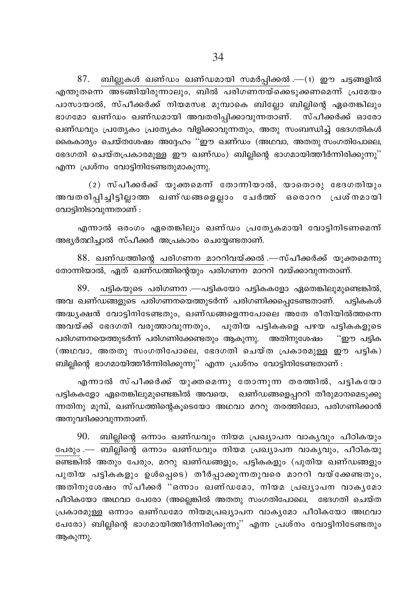$87.$  ബില്ലുകൾ ഖണ്ഡം ഖണ്ഡമായി സമർപ്പിക്കൽ .—(1) ഈ ചട്ടങ്ങളിൽ എന്തുതന്നെ അടങ്ങിയിരുന്നാലും, ബിൽ പരിഗണനയ്ക്കെടുക്കണമെന്ന് പ്രമേയം പാസായാൽ, സ്പീക്കർക്ക് നിയമസഭ മുമ്പാകെ ബില്ലോ ബില്പിന്റെ ഏതെങ്കിലും ഭാഗമോ ഖണ്ഡം ഖണ്ഡമായി അവതരിപ്പിക്കാവുന്നതാണ്. സ്പീക്കർക്ക് ഓരോ ഖണ്ഡവും പ്രത്യേകം പ്രത്യേകം വിളിക്കാവുന്നതും, അതു സംബന്ധിച്ച് ഭേദഗതികൾ കൈകാര്യം ചെയ്തശേഷം അദ്ദേഹം ''ഈ ഖണ്ഡം (അഥവാ, അതതു സംഗതിപോലെ, ഭേദഗതി ചെയ്തപ്രകാരമുള്ള ഈ ഖണ്ഡം) ബില്ലിന്റെ ഭാഗമായിത്തീർന്നിരിക്കുന്നു'' എന്ന പ്രശ്നം വോട്ടിനിടേണ്ടതുമാകുന്നു.

(2) സ്പീക്കർക്ക് യുക്തമെന്ന് തോന്നിയാൽ, യാതൊരു ഭേദഗതിയും അവതരിപ്പിച്ചിട്ടില്ലാത്ത ഖണ്ഡങ്ങളെല്ലാം ചേർത്ത് ഒരൊററ പ്രശ്നമായി വോട്ടിനിടാവുന്നതാണ് :

എന്നാൽ ഒരംഗം ഏതെങ്കിലും ഖണ്ഡം പ്രത്യേകമായി വോട്ടിനിടണമെന്ന് അഭ്യർത്ഥിച്ചാൽ സ്പീക്കർ അപ്രകാരം ചെയ്യേണ്ടതാണ്.

88. ഖണ്ഡത്തിന്റെ പരിഗണന മാററിവയ്ക്കൽ .—സ്പീക്കർക്ക് യുക്തമെന്നു തോന്നിയാൽ, ഏത് ഖണ്ഡത്തിന്റെയും പരിഗണന മാററി വയ്ക്കാവുന്നതാണ്.

 $89.$  പട്ടികയുടെ പരിഗണന $-$ പട്ടികയോ പട്ടികകളോ ഏതെങ്കിലുമുണ്ടെങ്കിൽ, അവ ഖണ്ഡങ്ങളുടെ പരിഗണനയെത്തുടർന്ന് പരിഗണിക്കപ്പെടേണ്ടതാണ്. പട്ടികകൾ അദ്ധ്യക്ഷൻ വോട്ടിനിടേണ്ടതും, ഖണ്ഡങ്ങളെന്നപോലെ അതേ രീതിയിൽത്തന്നെ അവയ്ക്ക് ഭേദഗതി വരുത്താവുന്നതും, പുതിയ പട്ടികകളെ പഴയ പട്ടികകളുടെ പരിഗണനയെത്തുടർന്ന് പരിഗണിക്കേണ്ടതും ആകുന്നു. അതിനുശേഷം ''ഈ പട്ടിക (അഥവാ, അതതു സംഗതിപോലെ, ഭേദഗതി ചെയ്ത പ്രകാരമുള്ള ഈ പട്ടിക) ബില്ലിന്റെ ഭാഗമായിത്തീർന്നിരിക്കുന്നു'' എന്ന പ്രശ്നം വോട്ടിനിടേണ്ടതാണ് :

എന്നാൽ സ്പീക്കർക്ക് യുക്തമെന്നു തോന്നുന്ന തരത്തിൽ, പട്ടികയോ പട്ടികകളോ ഏതെങ്കിലുമുണ്ടെങ്കിൽ അവയെ, ഖണ്ഡങ്ങളെപ്പററി തീരുമാനമെടുക്കു ന്നതിനു മുമ്പ്, ഖണ്ഡത്തിന്റെകുടെയോ അഥവാ മററു തരത്തിലോ, പരിഗണിക്കാൻ അനുവദിക്കാവുന്നതാണ്.

90. ബില്ലിന്റെ ഒന്നാം ഖണ്ഡവും നിയമ പ്രഖ്യാപന വാക്യവും പീഠികയും പേരും .— ബില്ലിന്റെ ഒന്നാം ഖണ്ഡവും നിയമ പ്രഖ്യാപന വാകൃവും, പീഠികയു ണ്ടെങ്കിൽ അതും പേരും, മററു ഖണ്ഡങ്ങളും, പട്ടികകളും (പുതിയ ഖണ്ഡങ്ങളും പുതിയ പട്ടികകളും ഉൾപ്പെടെ) തീർപ്പാക്കുന്നതുവരെ മാററി വയ്ക്കേണ്ടതും, അതിനുശേഷം സ്പീക്കർ "ഒന്നാം ഖണ്ഡമോ, നിയമ പ്രഖ്യാപന വാകൃമോ പീഠികയോ അഥവാ പേരോ (അല്ലെങ്കിൽ അതതു സംഗതിപോലെ, ഭേദഗതി ചെയ്ത പ്രകാരമുള്ള ഒന്നാം ഖണ്ഡമോ നിയമപ്രഖ്യാപന വാകൃമോ പീഠികയോ അഥവാ പേരോ) ബില്ലിന്റെ ഭാഗമായിത്തീർന്നിരിക്കുന്നു" എന്ന പ്രശ്നം വോട്ടിനിടേണ്ടതും ആകുന്നു.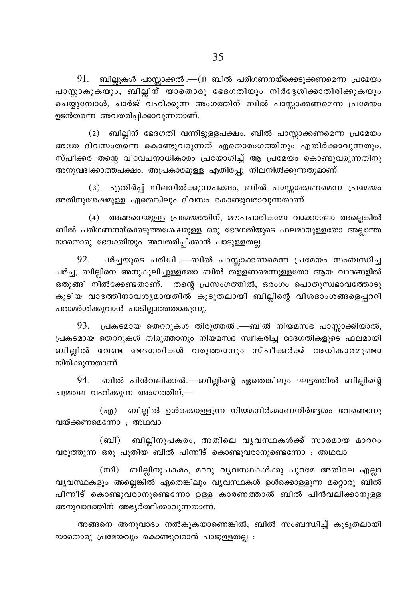$91.$  ബില്ലുകൾ പാസ്ലാക്കൽ.—(1) ബിൽ പരിഗണനയ്ക്കെടുക്കണമെന്ന പ്രമേയം പാസ്സാകുകയും, ബില്ലിന് യാതൊരു ഭേദഗതിയും നിർദ്ദേശിക്കാതിരിക്കുകയും ചെയ്യുമ്പോൾ, ചാർജ് വഹിക്കുന്ന അംഗത്തിന് ബിൽ പാസ്ലാക്കണമെന്ന പ്രമേയം ഉടൻതന്നെ അവതരിപ്പിക്കാവുന്നതാണ്.

(2) ബില്ലിന് ഭേദഗതി വന്നിട്ടുള്ളപക്ഷം, ബിൽ പാസ്സാക്കണമെന്ന പ്രമേയം അതേ ദിവസംതന്നെ കൊണ്ടുവരുന്നത് ഏതൊരംഗത്തിനും എതിർക്കാവുന്നതും, സ്പീക്കർ തന്റെ വിവേചനാധികാരം പ്രയോഗിച്ച് ആ പ്രമേയം കൊണ്ടുവരുന്നതിനു അനുവദിക്കാത്തപക്ഷം, അപ്രകാരമുള്ള എതിർപു നിലനിൽക്കുന്നതുമാണ്.

(3) എതിർപ്പ് നിലനിൽക്കുന്നപക്ഷം, ബിൽ പാസ്സാക്കണമെന്ന പ്രമേയം അതിനുശേഷമുള്ള ഏതെങ്കിലും ദിവസം കൊണ്ടുവരാവുന്നതാണ്.

(4) അങ്ങനെയുള്ള പ്രമേയത്തിന്, ഔപചാരികമോ വാക്കാലോ അല്ലെങ്കിൽ ബിൽ പരിഗണനയ്ക്കെടുത്തശേഷമുള്ള ഒരു ഭേദഗതിയുടെ ഫലമായുള്ളതോ അല്ലാത്ത യാതൊരു ഭേദഗതിയും അവതരിപ്പിക്കാൻ പാടുള്ളതല്ല.

92. ചർച്ചയുടെ പരിധി .—ബിൽ പാസ്ലാക്കണമെന്ന പ്രമേയം സംബന്ധിച്ച ചർച്ച, ബില്ലിനെ അനുകൂലിച്ചുള്ളതോ ബിൽ തളളണമെന്നുള്ളതോ ആയ വാദങ്ങളിൽ ഒതുങ്ങി നിൽക്കേണ്ടതാണ്. തന്റെ പ്രസംഗത്തിൽ, ഒരംഗം പൊതുസ്വഭാവത്തോടു കൂടിയ വാദത്തിനാവശ്യമായതിൽ കൂടുതലായി ബില്ലിന്റെ വിശദാംശങ്ങളെപ്പററി പരാമർശിക്കുവാൻ പാടില്ലാത്തതാകുന്നു.

93. പ്രകടമായ തെററുകൾ തിരുത്തൽ .—ബിൽ നിയമസഭ പാസ്സാക്കിയാൽ, പ്രകടമായ തെററുകൾ തിരുത്താനും നിയമസഭ സ്ഥീകരിച്ച ഭേദഗതികളുടെ ഫലമായി ബില്ലിൽ വേണ്ട ഭേദഗതികൾ വരുത്താനും സ്പീക്കർക്ക് അധികാരമുണ്ടാ യിരിക്കുന്നതാണ്.

94. ബിൽ പിൻവലിക്കൽ.—ബില്ലിന്റെ ഏതെങ്കിലും ഘട്ടത്തിൽ ബില്ലിന്റെ ചുമതല വഹിക്കുന്ന അംഗത്തിന്,—

(എ) ബില്ലിൽ ഉൾക്കൊള്ളുന്ന നിയമനിർമ്മാണനിർദ്ദേശം വേണ്ടെന്നു വയ്ക്കണമെന്നോ ; അഥവാ

(ബി) ബില്ലിനുപകരം, അതിലെ വൃവസ്ഥകൾക്ക് സാരമായ മാററം വരുത്തുന്ന ഒരു പുതിയ ബിൽ പിന്നീട് കൊണ്ടുവരാനുണ്ടെന്നോ ; അഥവാ

(സി) ബില്ലിനുപകരം, മററു വൃവസ്ഥകൾക്കു പുറമേ അതിലെ എല്ലാ വ്യവസ്ഥകളും അല്ലെങ്കിൽ ഏതെങ്കിലും വ്യവസ്ഥകൾ ഉൾക്കൊള്ളുന്ന മറ്റൊരു ബിൽ പിന്നീട് കൊണ്ടുവരാനുണ്ടെന്നോ ഉള്ള കാരണത്താൽ ബിൽ പിൻവലിക്കാനുള്ള അനുവാദത്തിന് അഭ്യർത്ഥിക്കാവുന്നതാണ്.

അങ്ങനെ അനുവാദം നൽകുകയാണെങ്കിൽ, ബിൽ സംബന്ധിച്ച് കൂടുതലായി യാതൊരു പ്രമേയവും കൊണ്ടുവരാൻ പാടുള്ളതല്ല :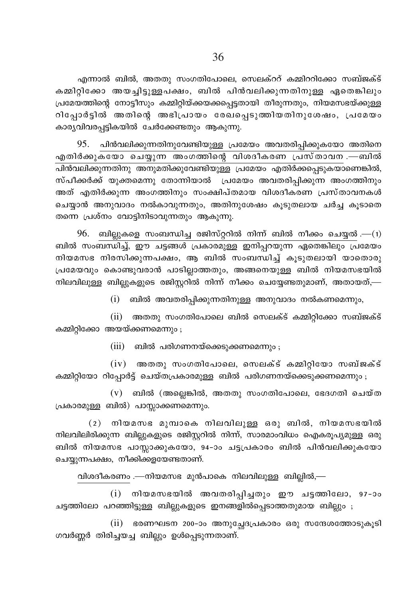എന്നാൽ ബിൽ, അതതു സംഗതിപോലെ, സെലക്ററ് കമ്മിററിക്കോ സബ്ജക്ട് കമ്മിറ്റിക്കോ അയച്ചിട്ടുള്ളപക്ഷം, ബിൽ പിൻവലിക്കുന്നതിനുള്ള ഏതെങ്കിലും പ്രമേയത്തിന്റെ നോട്ടീസും കമ്മിറ്റിയ്ക്കയക്കപ്പെട്ടതായി തീരുന്നതും, നിയമസഭയ്ക്കുള്ള റിപ്പോർട്ടിൽ അതിന്റെ അഭിപ്രായം രേഖപ്പെടുത്തിയതിനുശേഷം, പ്രമേയം കാര്യവിവരപ്പട്ടികയിൽ ചേർക്കേണ്ടതും ആകുന്നു.

95. പിൻവലിക്കുന്നതിനുവേണ്ടിയുള്ള പ്രമേയം അവതരിപ്പിക്കുകയോ അതിനെ എതിർക്കുകയോ ചെയ്യുന്ന അംഗത്തിന്റെ വിശദീകരണ പ്രസ്താവന .—ബിൽ .<br>പിൻവലിക്കുന്നതിനു അനുമതിക്കുവേണ്ടിയുള്ള പ്രമേയം എതിർക്കപ്പെടുകയാണെങ്കിൽ, സ്പീക്കർക്ക് യൂക്തമെന്നു തോന്നിയാൽ പ്രമേയം അവതരിപ്പിക്കുന്ന അംഗത്തിനും അത് എതിർക്കുന്ന അംഗത്തിനും സംക്ഷിപ്തമായ വിശദീകരണ പ്രസ്താവനകൾ ചെയ്യാൻ അനുവാദം നൽകാവുന്നതും, അതിനുശേഷം കൂടുതലായ ചർച്ച കൂടാതെ തന്നെ പ്രശ്നം വോട്ടിനിടാവുന്നതും ആകുന്നു.

 $96.$  ബില്ലുകളെ സംബന്ധിച്ച രജിസ്റ്ററിൽ നിന്ന് ബിൽ നീക്കം ചെയ്യൽ.—(1) ബിൽ സംബന്ധിച്ച്, ഈ ചട്ടങ്ങൾ പ്രകാരമുള്ള ഇനിപ്പറയുന്ന ഏതെങ്കിലും പ്രമേയം നിയമസഭ നിരസിക്കുന്നപക്ഷം, ആ ബിൽ സംബന്ധിച്ച് കൂടുതലായി യാതൊരു പ്രമേയവും കൊണ്ടുവരാൻ പാടില്ലാത്തതും, അങ്ങനെയുള്ള ബിൽ നിയമസഭയിൽ നിലവിലുള്ള ബില്ലുകളുടെ രജിസ്റ്ററിൽ നിന്ന് നീക്കം ചെയ്യേണ്ടതുമാണ്, അതായത്,—

 $(i)$  ബിൽ അവതരിപ്പിക്കുന്നതിനുള്ള അനുവാദം നൽകണമെന്നും,

(ii) അതതു സംഗതിപോലെ ബിൽ സെലക്ട് കമ്മിറ്റിക്കോ സബ്ജക്ട് കമ്മിറ്റിക്കോ അയയ്ക്കണമെന്നും ;

 $(iii)$  ബിൽ പരിഗണനയ്ക്കെടുക്കണമെന്നും;

 $(iv)$  അതതു സംഗതിപോലെ, സെലക്ട് കമ്മിറ്റിയോ സബ്ജക്ട് കമ്മിറ്റിയോ റിപ്പോർട്ട് ചെയ്തപ്രകാരമുള്ള ബിൽ പരിഗണനയ്ക്കെടുക്കണമെന്നും ;

 $(v)$  ബിൽ (അല്ലെങ്കിൽ, അതതു സംഗതിപോലെ, ഭേദഗതി ചെയ്ത പ്രകാരമുള്ള ബിൽ) പാസ്സാക്കണമെന്നും.

 $(2)$  നിയമസഭ മുമ്പാകെ നിലവിലുള്ള ഒരു ബിൽ, നിയമസഭയിൽ നിലവിലിരിക്കുന്ന ബില്ലുകളുടെ രജിസ്റ്ററിൽ നിന്ന്, സാരമാംവിധം ഐകരുപ്യമുള്ള ഒരു ബിൽ നിയമസഭ പാസ്സാക്കുകയോ, 94-ാം ചട്ടപ്രകാരം ബിൽ പിൻവലിക്കുകയോ ചെയ്യുന്നപക്ഷം, നീക്കിക്കളയേണ്ടതാണ്.

വിശദീകരണം .—നിയമസഭ മുൻപാകെ നിലവിലുള്ള ബില്ലിൽ,—

(i) നിയമസഭയിൽ അവതരിപ്പിച്ചതും ഈ ചട്ടത്തിലോ, 97-ാം ചട്ടത്തിലോ പറഞ്ഞിട്ടുള്ള ബില്ലുകളുടെ ഇനങ്ങളിൽപ്പെടാത്തതുമായ ബില്ലും ;

(ii) ഭരണഘടന 200-ാം അനുച്ചേദപ്രകാരം ഒരു സന്ദേശത്തോടുകൂടി ഗവർണ്ണർ തിരിച്ചയച്ച ബില്ലും ഉൾപ്പെടുന്നതാണ്.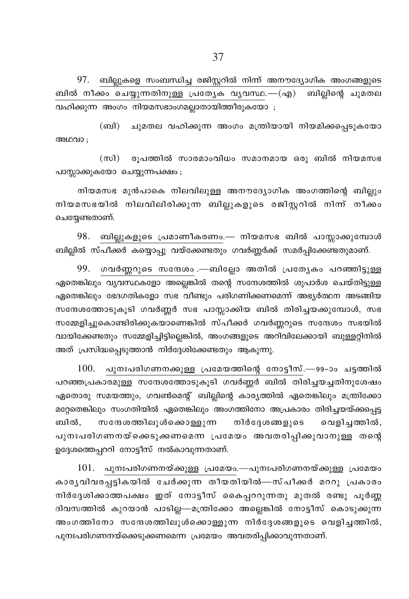97. ബില്ലുകളെ സംബന്ധിച്ച രജിസ്റ്ററിൽ നിന്ന് അനൗദ്യോഗിക അംഗങ്ങളുടെ ബിൽ നീക്കം ചെയ്യുന്നതിനുള്ള പ്രത്യേക വ്യവസ്ഥ.—(എ) ബില്ലിന്റെ ചുമതല വഹിക്കുന്ന അംഗം നിയമസഭാംഗമലാതായിത്തീരുകയോ :

(ബി) ചുമതല വഹിക്കുന്ന അംഗം മന്ത്രിയായി നിയമിക്കപ്പെടുകയോ അഥവാ ;

(സി) രൂപത്തിൽ സാരമാംവിധം സമാനമായ ഒരു ബിൽ നിയമസഭ പാസ്സാക്കുകയോ ചെയ്യുന്നപക്ഷം;

നിയമസഭ മുൻപാകെ നിലവിലുള്ള അനൗദ്യോഗിക അംഗത്തിന്റെ ബില്ലും നിയമസഭയിൽ നിലവിലിരിക്കുന്ന ബില്ലുകളുടെ രജിസ്റ്ററിൽ നിന്ന് നീക്കം ചെയ്യേണ്ടതാണ്.

98. ബില്ലുകളുടെ പ്രമാണീകരണം.— നിയമസഭ ബിൽ പാസ്സാക്കുമ്പോൾ ബില്ലിൽ സ്പീക്കർ കയ്യൊപ്പു വയ്ക്കേണ്ടതും ഗവർണ്ണർക്ക് സമർപ്പിക്കേണ്ടതുമാണ്.

99. ഗവർണ്ണറുടെ സന്ദേശം .—ബില്ലോ അതിൽ പ്രത്യേകം പറഞ്ഞിട്ടുള്ള ഏതെങ്കിലും വ്യവസ്ഥകളോ അല്ലെങ്കിൽ തന്റെ സന്ദേശത്തിൽ ശുപാർശ ചെയ്തിട്ടുള്ള ഏതെങ്കിലും ഭേദഗതികളോ സഭ വീണ്ടും പരിഗണിക്കണമെന്ന് അഭ്യർത്ഥന അടങ്ങിയ സന്ദേശത്തോടുകുടി ഗവർണ്ണർ സഭ പാസ്സാക്കിയ ബിൽ തിരിച്ചയക്കുമ്പോൾ, സഭ സമ്മേളിച്ചുകൊണ്ടിരിക്കുകയാണെങ്കിൽ സ്പീക്കർ ഗവർണ്ണറുടെ സന്ദേശം സഭയിൽ വായിക്കേണ്ടതും സമ്മേളിച്ചിട്ടില്ലെങ്കിൽ, അംഗങ്ങളുടെ അറിവിലേക്കായി ബുള്ളറ്റിനിൽ അത് പ്രസിദ്ധപ്പെടുത്താൻ നിർദ്ദേശിക്കേണ്ടതും ആകുന്നു.

 $100.$  പുനഃപരിഗണനക്കുള്ള പ്രമേയത്തിന്റെ നോട്ടീസ്.—99-ാം ചടത്തിൽ പറഞ്ഞപ്രകാരമുള്ള സന്ദേശത്തോടുകൂടി ഗവർണ്ണർ ബിൽ തിരിച്ചയച്ചതിനുശേഷം ഏതൊരു സമയത്തും, ഗവൺമെന്റ് ബില്ലിന്റെ കാര്യത്തിൽ ഏതെങ്കിലും മന്ത്രിക്കോ മറ്റേതെങ്കിലും സംഗതിയിൽ ഏതെങ്കിലും അംഗത്തിനോ അപ്രകാരം തിരിച്ചയയ്ക്കപ്പെട്ട ബിൽ. സന്ദേശത്തിലുൾക്കൊള്ളുന്ന നിർദ്ദേശങ്ങളുടെ വെളിചത്തിൽ, പുനഃപരിഗണനയ്ക്കെടുക്കണമെന്ന പ്രമേയം അവതരിപ്പിക്കുവാനുള്ള തന്റെ ഉദ്ദേശത്തെപ്പററി നോട്ടീസ് നൽകാവുന്നതാണ്.

 $101.$  പുനഃപരിഗണനയ്ക്കുള്ള പ്രമേയം.—പുനഃപരിഗണനയ്ക്കുള്ള പ്രമേയം കാര്യവിവരപ്പട്ടികയിൽ ചേർക്കുന്ന തീയതിയിൽ—സ്പീക്കർ മററു പ്രകാരം നിർദ്ദേശിക്കാത്തപക്ഷം ഇത് നോട്ടീസ് കൈപ്പററുന്നതു മുതൽ രണ്ടു പൂർണ്ണ ദിവസത്തിൽ കുറയാൻ പാടില്ല—മന്ത്രിക്കോ അല്ലെങ്കിൽ നോട്ടീസ് കൊടുക്കുന്ന അംഗത്തിനോ സന്ദേശത്തിലുൾക്കൊള്ളുന്ന നിർദ്ദേശങ്ങളുടെ വെളിച്ചത്തിൽ, പുനഃപരിഗണനയ്ക്കെടുക്കണമെന്ന പ്രമേയം അവതരിപ്പിക്കാവുന്നതാണ്.

37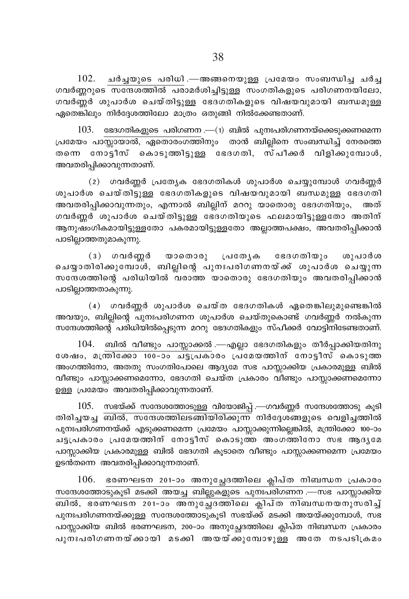$102$ . ചർച്ചയുടെ പരിധി .—അങ്ങനെയുള്ള പ്രമേയം സംബന്ധിച്ച ചർച്ച  $\overline{\text{M}}$  .  $\overline{\text{M}}$  . The  $\overline{\text{M}}$  model  $\overline{\text{M}}$  and  $\overline{\text{M}}$  and  $\overline{\text{M}}$  and  $\overline{\text{M}}$  and  $\overline{\text{M}}$  and  $\overline{\text{M}}$  and  $\overline{\text{M}}$ ഗവർണ്ണർ ശുപാർശ ചെയ്തി<u>ട്ടുള്ള</u> ഭേദഗതികളുടെ വിഷയവുമായി ബന്ധമുള്ള  $\alpha$ ദ്രതെങ്കിലും നിർദ്ദേശത്തിലോ മാത്രം ഒതുങ്ങി നിൽക്കേണ്ടതാണ്.

 $103.$  ഭേദഗതികളുടെ പരിഗണന $.$ — $(1)$  ബിൽ പുനഃപരിഗണനയ്ക്കെടുക്കണമെന്ന <u>പ്രമേയം പാസ്സായാൽ, ഏതൊരംഗത്തി</u>നും താൻ ബില്ലിനെ സംബന്ധിച്ച് നേരത്തെ തന്നെ നോട്ടീസ് കൊടുത്തിട്ടുള്ള ഭേദഗതി, സ്പീക്കർ വിളിക്കുമ്പോൾ, അവതരിപ്പിക്കാവുന്നതാണ്.

 $(2)$  ഗവർണ്ണർ പ്രത്യേക ഭേദഗതികൾ ശുപാർശ ചെയ്യുമ്പോൾ ഗവർണ്ണർ  $\omega$ ൂപാർശ ചെയ്തിട്ടുള്ള ഭേദഗതികളുടെ വിഷയവുമായി ബന്ധമുള്ള ഭേദഗതി അവതരിപ്പിക്കാവുന്നതും, എന്നാൽ ബില്ലിന് മററു യാതൊരു ഭേദഗതിയും, അത് ഗവർണ്ണർ ശുപാർശ ചെയ്തിട്ടുള്ള ഭേദഗതിയുടെ ഫലമായിട്ടുള്ളതോ അതിന് ആനുഷംഗികമായിട്ടുള്ളതോ പകരമായിട്ടുള്ളതോ അല്ലാത്തപക്ഷം, അവതരിപ്പിക്കാൻ പാടില്ലാത്തതുമാകുന്നു.

 $(3)$  ഗവർണ്ണർ യാതൊരു പ്രത്യേക ഭേദഗതിയും ശുപാർശ ചെയ്യാതിരിക്കുമ്പോ്ൾ, ബില്ലിന്റെ പുനഃപരിഗണനയ്ക്ക് ശുപാർശ ചെയ്യുന്ന  $m$ നേശത്തിന്റെ പരിധിയിൽ വരാത്ത യാതൊരു ഭേദഗതിയും അവതരിപ്പിക്കാൻ പാടില്ലാത്തതാകുന്നു.

 $(4)$  ഗവർണ്ണർ ശുപാർശ ചെയ്ത ഭേദഗതികൾ ഏതെങ്കിലുമുണ്ടെങ്കിൽ അവയും, ബില്ലിന്റെ പുനഃപരിഗണന ശുപാർശ ചെയ്തുകൊണ്ട് ഗവർണ്ണർ നൽകുന്ന സന്ദേശത്തിന്റെ പരിധിയിൽപ്പെടുന്ന മററു ഭേദഗതികളും സ്പീക്കർ വോട്ടിനിടേണ്ടതാണ്.

 $104.$  ബിൽ വീണ്ടും പാസ്സാക്കൽ .—എല്ലാ ഭേദഗതികളും തീർപ്പാക്കിയതിനു ശേഷം, മന്ത്രിക്കോ <del>100-ാം ച്ട്ടപ്രകാ</del>രം പ്രമേയത്തിന് നോട്ടീസ് കൊടുത്ത അംഗത്തിനോ, അതതു സംഗതിപോലെ ആദ്യമേ സഭ പാസ്സാക്കിയ പ്രകാരമുള്ള ബിൽ വീണ്ടും പാസ്സാക്കണമെന്നോ, ഭേദഗതി ചെയ്ത പ്രകാരം വീണ്ടും പാസ്സാക്കണമെന്നോ ഉള്ള പ്രമേയം അവതരിപ്പിക്കാവുന്നതാണ്.

 $105$ . സഭയ്ക്ക് സന്ദേശത്തോടുള്ള വിയോജിപ്പ് .—ഗവർണ്ണർ സന്ദേശത്തോടു കൂടി തിരിച്ചയച്ച $\overline{\phantom{a}}$ ബിൽ, സന്ദേശത്തിലടങ്ങിയിരിക്കുന്ന $\overline{\phantom{a}}$  നിർദ്ദേശങ്ങളുടെ വെളിച്ചത്തിൽ പുനഃപരിഗണനയ്ക്ക് എടുക്കണമെന്ന പ്രമേയം പാസ്സാക്കുന്നില്ലെങ്കിൽ, മന്ത്രിക്കോ 100−ാം ചട്ടപ്രകാരം പ്രമേയത്തിന് നോട്ടീസ് കൊടുത്ത അംഗത്തിനോ സഭ ആദൃമേ പാസ്സാക്കിയ പ്രകാരമുള്ള ബിൽ ഭേദഗതി കുടാതെ വീണ്ടും പാസ്സാക്കണമെന്ന പ്രമേയം ഉടൻതന്നെ അവതരിപ്പിക്കാവുന്നതാണ്.

 $106.$  ഭരണഘടന 201–ാം അനുച്ചേദത്തിലെ ക്ലിപ്ത നിബന്ധന പ്രകാരം  $m$ ന്ദേശത്തോടുകൂടി മടക്കി അയച്ച ബില്ലുകളുടെ പുനഃപരിഗണന $\bm{\cdot}$ —സഭ പാസ്സാക്കിയ \_n¬, `cWLS\ 201˛mw A\pt—ZØnse ¢n]vX \n\_'\b\pkcn®v പുനഃപരിഗണനയ്ക്കുള്ള സന്ദേശത്തോടുകൂടി സഭയ്ക്ക് മടക്കി അയയ്ക്കുമ്പോൾ, സഭ പാസ്സാക്കിയ ബിൽ ഭരണഘടന, 200–ാം അനുച്ചേദത്തിലെ ക്ലിപ്ത നിബന്ധന പ്രകാരം  $\overline{\text{m}}$ ംപരിഗണനയ്ക്കായി മടക്കി അയയ്ക്കുമ്പോഴുള്ള അതേ നടപടിക്രമം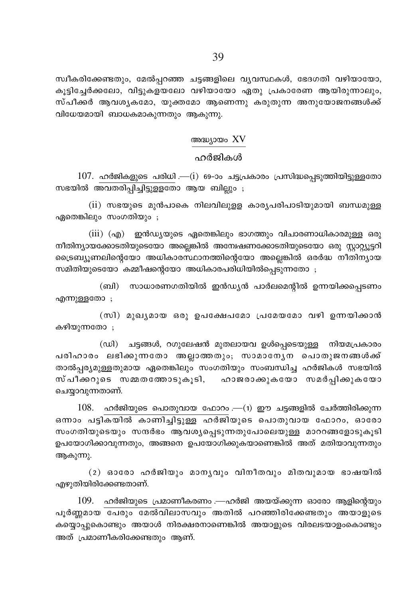സ്വീകരിക്കേണ്ടതും, മേൽപ്പറഞ്ഞ ചട്ടങ്ങളിലെ വൃവസ്ഥകൾ, ഭേദഗതി വഴിയായോ, കൂട്ടിച്ചേർക്കലോ, വിട്ടുകളയലോ വഴിയായോ ഏതു പ്രകാരേണ ആയിരുന്നാലും, സ്പീക്കർ ആവശൃകമോ, യുക്തമോ ആണെന്നു കരുതുന്ന അനുയോജനങ്ങൾക്ക് വിധേയമായി ബാധകമാകുന്നതും ആകുന്നു.

# അദ്ധ്യായം XV

# ഹർജികൾ

 $107.$  ഹർജികളുടെ പരിധി .— $(i)$  69-ാം ചട്ടപ്രകാരം പ്രസിദ്ധപ്പെടുത്തിയിട്ടുള്ളതോ സഭയിൽ അവതരിപ്പിച്ചിട്ടുള്ളതോ ആയ ബില്ലും ;

(ii) സഭയുടെ മുൻപാകെ നിലവിലുളള കാരൃപരിപാടിയുമായി ബന്ധമുള്ള ഏതെങ്കിലും സംഗതിയും ;

 $(iii)$   $(aq)$  ഇൻഡ്യയുടെ ഏതെങ്കിലും ഭാഗത്തും വിചാരണാധികാരമുള്ള ഒരു നീതിന്യായക്കോടതിയുടെയോ അല്ലെങ്കിൽ അന്വേഷണക്കോടതിയുടെയോ ഒരു സ്റ്റാറ്റ്യൂട്ടറി ്രൈബ്യുണലിന്റെയോ അധികാരസ്ഥാനത്തിന്റെയോ അല്ലെങ്കിൽ ഒരർദ്ധ നീതിന്യായ സമിതിയുടെയോ കമ്മീഷന്റെയോ അധികാരപരിധിയിൽപെടുന്നതോ :

(ബി) സാധാരണഗതിയിൽ ഇൻഡ്യൻ പാർലമെന്റിൽ ഉന്നയിക്കപ്പെടണം എന്നുള്ളതോ;

(സി) മുഖ്യമായ ഒരു ഉപക്ഷേപമോ പ്രമേയമോ വഴി ഉന്നയിക്കാൻ കഴിയുന്നതോ :

(ഡി) ചട്ടങ്ങൾ, റഗുലേഷൻ മുതലായവ ഉൾപ്പെടെയുള്ള നിയമപ്രകാരം പരിഹാരം ലഭിക്കുന്നതോ അല്ലാത്തതും; സാമാന്യേന പൊതുജനങ്ങൾക്ക് താൽപ്പര്യമുള്ളതുമായ ഏതെങ്കിലും സംഗതിയും സംബന്ധിച്ച ഹർജികൾ സഭയിൽ സ്പീക്കറുടെ സമ്മതത്തോടുകൂടി, ഹാജരാക്കുകയോ സമർപ്പിക്കുകയോ ചെയ്യാവുന്നതാണ്.

ഹർജിയുടെ പൊതുവായ ഫോറം .—(1) ഈ ചട്ടങ്ങളിൽ ചേർത്തിരിക്കുന്ന 108. ഒന്നാം പട്ടികയിൽ കാണിച്ചിട്ടുള്ള ഹർജിയുടെ പൊതുവായ ഫോറം, ഓരോ സംഗതിയുടെയും സന്ദർഭം ആവശ്യപ്പെടുന്നതുപോലെയുള്ള മാററങ്ങളോടുകൂടി ഉപയോഗിക്കാവുന്നതും, അങ്ങനെ ഉപയോഗിക്കുകയാണെങ്കിൽ അത് മതിയാവുന്നതും ആകുന്നു.

 $(2)$  ഓരോ ഹർജിയും മാനൃവും വിനീതവും മിതവുമായ ഭാഷയിൽ എഴുതിയിരിക്കേണ്ടതാണ്.

 $109.$  ഹർജിയുടെ പ്രമാണീകരണം .—ഹർജി അയയ്ക്കുന്ന ഓരോ ആളിന്റെയും പൂർണ്ണമായ പേരും മേൽവിലാസവും അതിൽ പറഞ്ഞിരിക്കേണ്ടതും അയാളുടെ കയ്യൊപ്പുകൊണ്ടും അയാൾ നിരക്ഷരനാണെങ്കിൽ അയാളുടെ വിരലടയാളംകൊണ്ടും അത് പ്രമാണീകരിക്കേണ്ടതും ആണ്.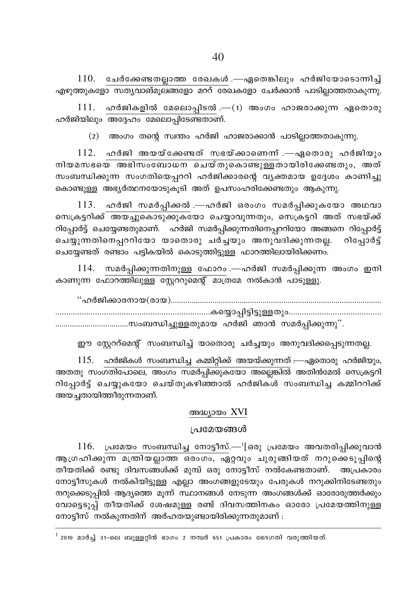$110.$  ചേർക്കേണ്ടതല്ലാത്ത രേഖകൾ .—ഏതെങ്കിലും ഹർജിയോടൊന്നിച്ച് എഴുത്തുകളോ സത്യവാങ്മുലങ്ങളോ മററ് രേഖകളോ ചേർക്കാൻ പാടില്ലാത്തതാകുന്നു.

 $111.$  ഹർജികളിൽ മേലൊപ്പിടൽ .— $(1)$  അംഗം ഹാജരാക്കുന്ന ഏതൊരു ഹർജിയിലും അദ്ദേഹം മേലൊപ്പിടേണ്ടതാണ്.

(2) അംഗം തന്റെ സ്വന്തം ഹർജി ഹാജരാക്കാൻ പാടില്ലാത്തതാകുന്നു.

 $112.$  ഹർജി അയയ്ക്കേണ്ടത് സഭയ്ക്കാണെന്ന് .—ഏതൊരു ഹർജിയും നിയമസഭയെ അഭിസംബോധന ചെയ്തുകൊണ്ടുള്ളതായിരിക്കേണ്ടതും, അത് സംബന്ധിക്കുന്ന സംഗതിയെപ്പററി ഹർജിക്കാരന്റെ വൃക്തമായ ഉദ്ദേശം കാണിച്ചു കൊണ്ടുള്ള അഭ്യർത്ഥനയോടുകൂടി അത് ഉപസംഹരിക്കേണ്ടതും ആകുന്നു.

113. ഹർജി സമർപ്പിക്കൽ .—ഹർജി ഒരംഗം സമർപ്പിക്കുകയോ അഥവാ സെക്രട്ടറിക്ക് അയച്ചുകൊടുക്കുകയോ ചെയ്യാവുന്നതും, സെക്രട്ടറി അത് സഭയ്ക്ക് റിപ്പോർട്ട് ചെയ്യേണ്ടതുമാണ്. ഹർജി സമർപ്പിക്കുന്നതിനെപ്പററിയോ അങ്ങനെ റിപ്പോർട്ട് ചെയ്യുന്നതിനെപ്പററിയോ യാതൊരു ചർച്ചയും അനുവദിക്കുന്നതല്ല. റിപ്പോർട്ട് ചെയ്യേണ്ടത് രണ്ടാം പട്ടികയിൽ കൊടുത്തിട്ടുള്ള ഫാറത്തിലായിരിക്കണം.

114. സമർപ്പിക്കുന്നതിനുള്ള ഫോറം .—ഹർജി സമർപ്പിക്കുന്ന അംഗം ഇനി കാണുന്ന ഫോറത്തിലുള്ള സ്റ്റേററുമെന്റ് മാത്രമേ നൽകാൻ പാടുള്ളു.

"ഹർജിക്കാരനായ(രായ)…………………………………………………………………………………………… 

ഈ സ്റ്റേററ്മെന്റ് സംബന്ധിച്ച് യാതൊരു ചർച്ചയും അനുവദിക്കപ്പെടുന്നതല്ല.

 $115.$  ഹർജികൾ സംബന്ധിച്ച കമ്മിറ്റിക്ക് അയയ്ക്കുന്നത് :—ഏതൊരു ഹർജിയും, അതതു സംഗതിപോലെ, അംഗം സമർപ്പിക്കുകയോ അല്ലെങ്കിൽ അതിൻമേൽ സെക്രട്ടറി റിപ്പോർട്ട് ചെയ്യുകയോ ചെയ്തുകഴിഞ്ഞാൽ ഹർജികൾ സംബന്ധിച്ച കമ്മിററിക്ക് അയച്ചതായിത്തീരുന്നതാണ്.

#### അദ്ധ്യായം XVI

#### പ്രമേയങ്ങൾ

 $116.$  പ്രമേയം സംബന്ധിച്ച നോട്ടീസ്.— $\frac{1}{2}$ ഒരു പ്രമേയം അവതരിപ്പിക്കുവാൻ ആഗ്രഹിക്കുന്ന മന്ത്രിയല്ലാത്ത ഒരംഗം, ഏറ്റവും ചുരുങ്ങിയത് നറുക്കെടുപ്പിന്റെ തീയതിക്ക് രണ്ടു ദിവസങ്ങൾക്ക് മുമ്പ് ഒരു നോട്ടീസ് നൽകേണ്ടതാണ്. അപ്രകാരം നോട്ടീസുകൾ നൽകിയിട്ടുള്ള എല്ലാ അംഗങ്ങളുടേയും പേരുകൾ നറുക്കിനിടേണ്ടതും നറുക്കെടുപ്പിൽ ആദ്യത്തെ മൂന്ന് സ്ഥാനങ്ങൾ നേടുന്ന അംഗങ്ങൾക്ക് ഓരോരുത്തർക്കും വോട്ടെടുപ്പ് തീയതിക്ക് ശേഷമുള്ള രണ്ട് ദിവസത്തിനകം ഓരോ പ്രമേയത്തിനുള്ള നോട്ടീസ് നൽകുന്നതിന് അർഹതയുണ്ടായിരിക്കുന്നതുമാണ് :

 $^{\rm 1}$  2010 മാർച്ച് 31-ലെ ബുള്ളറ്റിൻ ഭാഗം 2 നമ്പർ 651 പ്രകാരം ഭേദഗതി വരുത്തിയത്.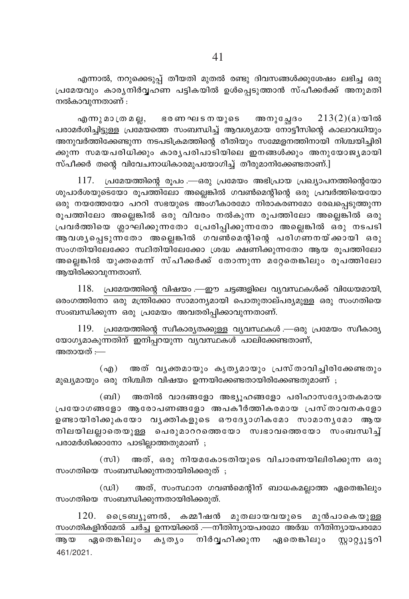എന്നാൽ, നറുക്കെടുപ്പ് തീയതി മുതൽ രണ്ടു ദിവസങ്ങൾക്കുശേഷം ലഭിച്ച ഒരു പ്രമേയവും കാര്യനിർവഹണ പട്ടികയിൽ ഉൾപ്പെടുത്താൻ സ്പീക്കർക്ക് അനുമതി നൽകാവുന്നതാണ് :

എന്നുമാത്രമല്ല, ഭരണഘടനയുടെ അനുച്ചേദം  $213(2)(a)$ യിൽ പരാമർശിച്ചിട്ടുള്ള പ്രമേയത്തെ സംബന്ധിച്ച് ആവശ്യമായ നോട്ടീസിന്റെ കാലാവധിയും അനുവർത്തിക്കേണ്ടുന്ന നടപടിക്രമത്തിന്റെ രീതിയും സമ്മേളനത്തിനായി നിശ്ചയിച്ചിരി ക്കുന്ന സമയപരിധിക്കും കാരൃപരിപാടിയിലെ ഇനങ്ങൾക്കും അനുയോജൃമായി സ്പീക്കർ തന്റെ വിവേചനാധികാരമുപയോഗിച്ച് തീരുമാനിക്കേണ്ടതാണ്.]

117. പ്രമേയത്തിന്റെ രൂപം .—ഒരു പ്രമേയം അഭിപ്രായ പ്രഖ്യാപനത്തിന്റെയോ ശുപാർശയുടെയോ രൂപത്തിലോ അല്ലെങ്കിൽ ഗവൺമെന്റിന്റെ ഒരു പ്രവർത്തിയെയോ ഒരു നയത്തേയോ പററി സഭയുടെ അംഗീകാരമോ നിരാകരണമോ രേഖപെടുത്തുന്ന രുപത്തിലോ അല്ലെങ്കിൽ ഒരു വിവരം നൽകുന്ന രുപത്തിലോ അല്ലെങ്കിൽ ഒരു പ്രവർത്തിയെ ശ്ലാഘിക്കുന്നതോ പ്രേരിപ്പിക്കുന്നതോ അല്ലെങ്കിൽ ഒരു നടപടി ആവശ്യപ്പെടുന്നതോ അല്ലെങ്കിൽ ഗവൺമെന്റിന്റെ പരിഗണനയ്ക്കായി ഒരു സംഗതിയിലേക്കോ സ്ഥിതിയിലേക്കോ ശ്രദ്ധ ക്ഷണിക്കുന്നതോ ആയ രൂപത്തിലോ അല്ലെങ്കിൽ യുക്തമെന്ന് സ്പീക്കർക്ക് തോന്നുന്ന മറ്റേതെങ്കിലും രൂപത്തിലോ ആയിരിക്കാവുന്നതാണ്.

118. പ്രമേയത്തിന്റെ വിഷയം .—ഈ ചട്ടങ്ങളിലെ വ്യവസ്ഥകൾക്ക് വിധേയമായി, ഒരംഗത്തിനോ ഒരു മന്ത്രിക്കോ സാമാന്യമായി പൊതുതാല്പര്യമുള്ള ഒരു സംഗതിയെ സംബന്ധിക്കുന്ന ഒരു പ്രമേയം അവതരിപ്പിക്കാവുന്നതാണ്.

119. പ്രമേയത്തിന്റെ സ്വീകാര്യതക്കുള്ള വ്യവസ്ഥകൾ —ഒരു പ്രമേയം സ്വീകാര്യ യോഗ്യമാകുന്നതിന് ഇനിപ്പറയുന്ന വ്യവസ്ഥകൾ പാലിക്കേണ്ടതാണ്, അതായത് :—

(എ) അത് വൃക്തമായും കൃതൃമായും പ്രസ്താവിച്ചിരിക്കേണ്ടതും മുഖ്യമായും ഒരു നിശ്ചിത വിഷയം ഉന്നയിക്കേണ്ടതായിരിക്കേണ്ടതുമാണ് ;

(ബി) അതിൽ വാദങ്ങളോ അഭ്യൂഹങ്ങളോ പരിഹാസദ്യോതകമായ പ്രയോഗങ്ങളോ ആരോപണങ്ങളോ അപകീർത്തികരമായ പ്രസ്താവനകളോ ഉണ്ടായിരിക്കുകയോ വൃക്തികളുടെ ഔദ്യോഗികമോ സാമാനൃമോ ആയ നിലയിലല്ലാതെയുള്ള പെരുമാററത്തെയോ സ്വഭാവത്തെയോ സംബന്ധിച്ച് പരാമർശിക്കാനോ പാടില്ലാത്തതുമാണ്;

(സി) അത്, ഒരു നിയമകോടതിയുടെ വിചാരണയിലിരിക്കുന്ന ഒരു സംഗതിയെ സംബന്ധിക്കുന്നതായിരിക്കരുത് ;

 $(\omega)$ അത്, സംസ്ഥാന ഗവൺമെന്റിന് ബാധകമല്ലാത്ത ഏതെങ്കിലും സംഗതിയെ സംബന്ധിക്കുന്നതായിരിക്കരുത്.

 $120.$  പ്രൈടബ്യുണൽ, കമ്മീഷൻ മുതലായവയുടെ മുൻപാകെയുള്ള സംഗതികളിൻമേൽ ചർച്ച ഉന്നയിക്കൽ .—നീതിന്യായപരമോ അർദ്ധ നീതിന്യായപരമോ ആയ ഏതെങ്കിലും കൃതൃം നിർവ്വഹിക്കുന്ന ഏതെങ്കിലും സ്റ്റാറ്റ്യൂട്ടറി 461/2021.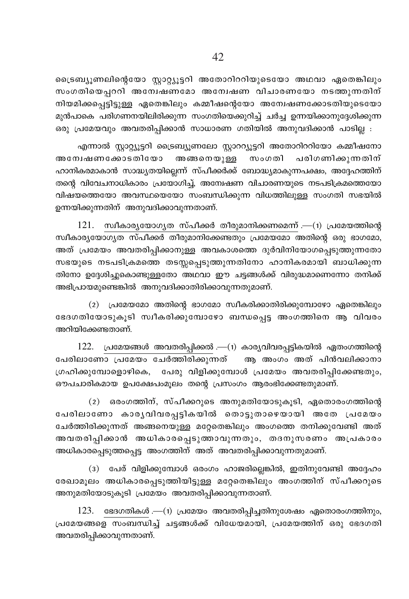ട്രൈബ്യൂണലിന്റെയോ സ്റ്റാറ്റ്യൂട്ടറി അതോറിററിയുടെയോ അഥവാ ഏതെങ്കിലും സംഗതിയെപ്പററി അന്വേഷണമോ അന്വേഷണ വിചാരണയോ നടത്തുന്നതിന് നിയമിക്കപ്പെട്ടിട്ടുള്ള ഏതെങ്കിലും കമ്മീഷന്റെയോ അന്വേഷണക്കോടതിയുടെയോ മുൻപാകെ പരിഗണനയിലിരിക്കുന്ന സംഗതിയെക്കുറിച്ച് ചർച്ച ഉന്നയിക്കാനുദ്ദേശിക്കുന്ന ഒരു പ്രമേയവും അവതരിപ്പിക്കാൻ സാധാരണ ഗതിയിൽ അനുവദിക്കാൻ പാടില്ല :

എന്നാൽ സ്റ്റാറ്റ്യൂട്ടറി ട്രൈബ്യൂണലോ സ്റ്റാററ്യൂട്ടറി അതോറിററിയോ കമ്മീഷനോ അന്വേഷണക്കോടതിയോ അങ്ങനെയുള്ള സംഗതി പരിഗണിക്കുന്നതിന് ഹാനികരമാകാൻ സാദ്ധ്യതയില്ലെന്ന് സ്പീക്കർക്ക് ബോദ്ധ്യമാകുന്നപക്ഷം, അദ്ദേഹത്തിന് തന്റെ വിവേചനാധികാരം പ്രയോഗിച്ച്, അന്വേഷണ വിചാരണയുടെ നടപടിക്രമത്തെയോ വിഷയത്തെയോ അവസ്ഥയെയോ സംബന്ധിക്കുന്ന വിധത്തിലുള്ള സംഗതി സഭയിൽ ഉന്നയിക്കുന്നതിന് അനുവദിക്കാവുന്നതാണ്.

 $121.$  സ്ഥീകാര്യയോഗ്യത സ്പീക്കർ തീരുമാനിക്കണമെന്ന് .—(1) പ്രമേയത്തിന്റെ സ്വീകാര്യയോഗ്യത സ്പീക്കർ തീരുമാനിക്കേണ്ടതും പ്രമേയമോ അതിന്റെ ഒരു ഭാഗമോ, അത് പ്രമേയം അവതരിപ്പിക്കാനുള്ള അവകാശത്തെ ദുർവിനിയോഗപ്പെടുത്തുന്നതോ സഭയുടെ നടപടിക്രമത്തെ തടസ്സപ്പെടുത്തുന്നതിനോ ഹാനികരമായി ബാധിക്കുന്ന തിനോ ഉദ്ദേശിച്ചുകൊണ്ടുള്ളതോ അഥവാ ഈ ചട്ടങ്ങൾക്ക് വിരുദ്ധമാണെന്നോ തനിക്ക് അഭിപ്രായമുണ്ടെങ്കിൽ അനുവദിക്കാതിരിക്കാവുന്നതുമാണ്.

(2) പ്രമേയമോ അതിന്റെ ഭാഗമോ സ്വീകരിക്കാതിരിക്കുമ്പോഴോ ഏതെങ്കിലും ഭേദഗതിയോടുകൂടി സ്വീകരിക്കുമ്പോഴോ ബന്ധപ്പെട്ട അംഗത്തിനെ ആ വിവരം അറിയിക്കേണ്ടതാണ്.

 $122.$  പ്രമേയങ്ങൾ അവതരിപ്പിക്കൽ .—(1) കാര്യവിവരപ്പട്ടികയിൽ ഏതംഗത്തിന്റെ പേരിലാണോ പ്രമേയം ചേർത്തിരിക്കുന്നത് അ അംഗം അത് പിൻവലിക്കാനാ ഗ്രഹിക്കുമ്പോളൊഴികെ, പേരു വിളിക്കുമ്പോൾ പ്രമേയം അവതരിപ്പിക്കേണ്ടതും, ഔപചാരികമായ ഉപക്ഷേപംമൂലം തന്റെ പ്രസംഗം ആരംഭിക്കേണ്ടതുമാണ്.

(2) ഒരംഗത്തിന്, സ്പീക്കറുടെ അനുമതിയോടുകൂടി, ഏതൊരംഗത്തിന്റെ പേരിലാണോ കാര്യവിവരപ്പട്ടികയിൽ തൊട്ടുതാഴെയായി അതേ പ്രമേയം ചേർത്തിരിക്കുന്നത് അങ്ങനെയുള്ള മറ്റേതെങ്കിലും അംഗത്തെ തനിക്കുവേണ്ടി അത് അവതരിപ്പിക്കാൻ അധികാരപ്പെടുത്താവുന്നതും, തദനുസരണം അപ്രകാരം അധികാരപ്പെടുത്തപ്പെട്ട അംഗത്തിന് അത് അവതരിപ്പിക്കാവുന്നതുമാണ്.

(3) പേര് വിളിക്കുമ്പോൾ ഒരംഗം ഹാജരില്ലെങ്കിൽ, ഇതിനുവേണ്ടി അദ്ദേഹം രേഖാമൂലം അധികാരപ്പെടുത്തിയിട്ടുള്ള മറ്റേതെങ്കിലും അംഗത്തിന് സ്പീക്കറുടെ അനുമതിയോടുകൂടി പ്രമേയം അവതരിപ്പിക്കാവുന്നതാണ്.

 $123.$  ഭേദഗതികൾ .—(1) പ്രമേയം അവതരിപ്പിച്ചതിനുശേഷം ഏതൊരംഗത്തിനും, പ്രമേയങ്ങളെ സംബന്ധിച്ച് ചട്ടങ്ങൾക്ക് വിധേയമായി, പ്രമേയത്തിന് ഒരു ഭേദഗതി അവതരിപ്പിക്കാവുന്നതാണ്.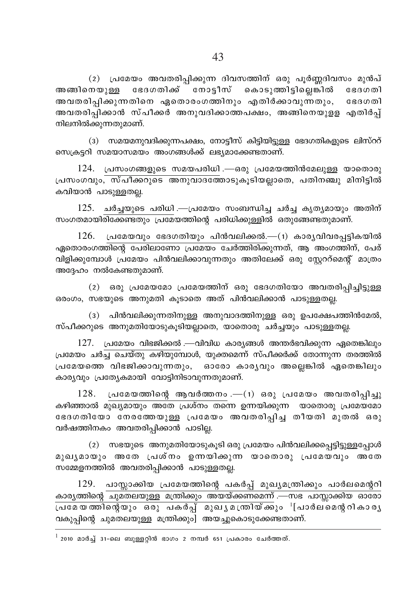(2) പ്രമേയം അവതരിപ്പിക്കുന്ന ദിവസത്തിന് ഒരു പൂർണ്ണദിവസം മുൻപ് അങ്ങിനെയുള്ള ഭേദഗതിക്ക് നോട്ടീസ് കൊടുത്തിട്ടില്ലെങ്കിൽ ഭേദഗതി അവതരിപ്പിക്കുന്നതിനെ ഏതൊരംഗത്തിനും എതിർക്കാവുന്നതും, ഭേദഗതി അവതരിപ്പിക്കാൻ സ്പീക്കർ അനുവദിക്കാത്തപക്ഷം, അങ്ങിനെയുളള എതിർപ്പ് നിലനിൽക്കുന്നതുമാണ്.

(3) സമയമനുവദിക്കുന്നപക്ഷം, നോട്ടീസ് കിട്ടിയിട്ടുള്ള ഭേദഗതികളുടെ ലിസ്ററ് സെക്രട്ടറി സമയാസമയം അംഗങ്ങൾക്ക് ലഭ്യമാക്കേണ്ടതാണ്.

124. പ്രസംഗങ്ങളുടെ സമയപരിധി .—ഒരു പ്രമേയത്തിൻമേലുള്ള യാതൊരു പ്രസംഗവും, സ്പീക്കറുടെ അനുവാദത്തോടുകൂടിയല്ലാതെ, പതിനഞ്ചു മിനിട്ടിൽ കവിയാൻ പാടുള്ളതല്ല.

 $125.$  ചർച്ചയുടെ പരിധി .—പ്രമേയം സംബന്ധിച്ച ചർച്ച കൃത്യമായും അതിന് സംഗതമായിരിക്കേണ്ടതും പ്രമേയത്തിന്റെ പരിധിക്കുള്ളിൽ ഒതുങ്ങേണ്ടതുമാണ്.

 $126.$  പ്രമേയവും ഭേദഗതിയും പിൻവലിക്കൽ.— $(1)$  കാര്യവിവരപ്പട്ടികയിൽ ഏതൊരംഗത്തിന്റെ പേരിലാണോ പ്രമേയം ചേർത്തിരിക്കുന്നത്, ആ അംഗത്തിന്, പേര് വിളിക്കുമ്പോൾ പ്രമേയം പിൻവലിക്കാവുന്നതും അതിലേക്ക് ഒരു സ്ലേററ്മെന്റ് മാത്രം അദ്ദേഹം നൽകേണ്ടതുമാണ്.

(2) ഒരു പ്രമേയമോ പ്രമേയത്തിന് ഒരു ഭേദഗതിയോ അവതരിപ്പിച്ചിട്ടുള്ള ഒരംഗം, സഭയുടെ അനുമതി കൂടാതെ അത് പിൻവലിക്കാൻ പാടുള്ളതല്ല.

(3) പിൻവലിക്കുന്നതിനുള്ള അനുവാദത്തിനുള്ള ഒരു ഉപക്ഷേപത്തിൻമേൽ, സ്പീക്കറുടെ അനുമതിയോടുകൂടിയല്ലാതെ, യാതൊരു ചർച്ചയും പാടുള്ളതല്ല.

 $127.$  പ്രമേയം വിഭജിക്കൽ .—വിവിധ കാര്യങ്ങൾ അന്തർഭവിക്കുന്ന ഏതെങ്കിലും പ്രമേയം ചർച്ച ചെയ്തു കഴിയുമ്പോൾ, യുക്തമെന്ന് സ്പീക്കർക്ക് തോന്നുന്ന തരത്തിൽ പ്രമേയത്തെ വിഭജിക്കാവുന്നതും, ഓരോ കാര്യവും അല്ലെങ്കിൽ ഏതെങ്കിലും കാര്യവും പ്രത്യേകമായി വോട്ടിനിടാവുന്നതുമാണ്.

128. പ്രമേയത്തിന്റെ ആവർത്തനം .—(1) ഒരു പ്രമേയം അവതരിപ്പിച്ചു കഴിഞ്ഞാൽ മുഖ്യമായും അതേ പ്രശ്നം തന്നെ ഉന്നയിക്കുന്ന യാതൊരു പ്രമേയമോ ഭേദഗതിയോ നേരത്തേയുള്ള പ്രമേയം അവതരിപ്പിച്ച തീയതി മുതൽ ഒരു വർഷത്തിനകം അവതരിപ്പിക്കാൻ പാടില്ല.

(2) സഭയുടെ അനുമതിയോടുകൂടി ഒരു പ്രമേയം പിൻവലിക്കപ്പെട്ടിട്ടുള്ളപ്പോൾ മുഖ്യമായും അതേ പ്രശ്നം ഉന്നയിക്കുന്ന യാതൊരു പ്രമേയവും അതേ സമ്മേളനത്തിൽ അവതരിപ്പിക്കാൻ പാടുള്ളതല്ല.

129. പാസ്സാക്കിയ പ്രമേയത്തിന്റെ പകർപ്പ് മുഖ്യമന്ത്രിക്കും പാർലമെന്ററി കാരൃത്തിന്റെ ചുമതലയുള്ള മന്ത്രിക്കും അയയ്ക്കണമെന്ന് .—സഭ പാസ്സാക്കിയ ഓരോ വകുപ്പിന്റെ ചുമതലയുള്ള മന്ത്രിക്കും] അയച്ചുകൊടുക്കേണ്ടതാണ്.

 $^{\rm l}$  2010 മാർച്ച് 31-ലെ ബുള്ളറ്റിൻ ഭാഗം 2 നമ്പർ 651 പ്രകാരം ചേർത്തത്.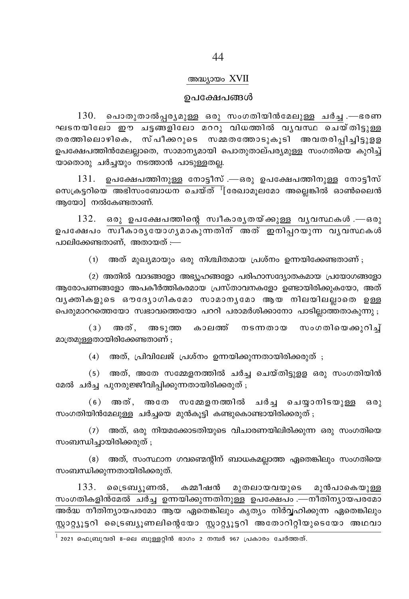#### അദ്ധ്യായം XVII

#### ഉപക്ഷേപങ്ങൾ

 $130.$  പൊതുതാൽപ്പര്യമുള്ള ഒരു സംഗതിയിൻമേലുള്ള ചർച്ച .—ഭരണ ഘടനയിലോ ഈ ചട്ടങ്ങളിലോ മററു വിധത്തിൽ വൃവസ്ഥ ചെയ്തിട്ടുള്ള തരത്തിലൊഴികെ, സ്പീക്കറുടെ സമ്മതതോടുകൂടി അവതരിപ്പിച്ചിട്ടുളള ഉപക്ഷേപത്തിൻമേലല്ലാതെ, സാമാന്യമായി പൊതുതാല്പര്യമുള്ള സംഗതിയെ കുറിച്ച് യാതൊരു ചർച്ചയും നടത്താൻ പാടുള്ളതല്ല.

ഉപക്ഷേപത്തിനുള്ള നോട്ടീസ് .—ഒരു ഉപക്ഷേപത്തിനുള്ള നോട്ടീസ് 131. സെക്രട്ടറിയെ അഭിസംബോധന ചെയ്ത്  $\frac{1}{2}$ രേഖാമൂലമോ അല്ലെങ്കിൽ ഓൺലൈൻ ആയോ] നൽകേണ്ടതാണ്.

 $132.$  ഒരു ഉപക്ഷേപത്തിന്റെ സ്ഥീകാരൃതയ്ക്കുള്ള വൃവസ്ഥകൾ.—ഒരു ഉപക്ഷേപം സ്ഥീകാരൃയോഗൃമാകുന്നതിന് അത് ഇനിപ്പറയുന്ന വൃവസ്ഥകൾ പാലിക്കേണ്ടതാണ്. അതായത് :—

> അത് മുഖ്യമായും ഒരു നിശ്ചിതമായ പ്രശ്നം ഉന്നയിക്കേണ്ടതാണ് ;  $(1)$

(2) അതിൽ വാദങ്ങളോ അഭ്യൂഹങ്ങളോ പരിഹാസദ്യോതകമായ പ്രയോഗങ്ങളോ ആരോപണങ്ങളോ അപകീർത്തികരമായ പ്രസ്താവനകളോ ഉണ്ടായിരിക്കുകയോ, അത് വൃക്തികളുടെ ഔദ്യോഗികമോ സാമാനൃമോ ആയ നിലയിലല്ലാതെ ഉള്ള പെരുമാററത്തെയോ സ്വഭാവത്തെയോ പററി പരാമർശിക്കാനോ പാടില്ലാത്തതാകുന്നു ;

 $(3)$ അത്, അടുത്ത കാലത്ത് നടന്നതായ സംഗതിയെക്കുറിച് മാത്രമുള്ളതായിരിക്കേണ്ടതാണ് ;

 $(4)$  അത്, പ്രിവിലേജ് പ്രശ്നം ഉന്നയിക്കുന്നതായിരിക്കരുത് $;$ 

(5) അത്, അതേ സമ്മേളനത്തിൽ ചർച്ച ചെയ്തിട്ടുളള ഒരു സംഗതിയിൻ മേൽ ചർച്ച പുനരുജ്ജീവിപ്പിക്കുന്നതായിരിക്കരുത് ;

(6) അത്, അതേ സമ്മേളനത്തിൽ ചർച്ച ചെയ്യാനിടയുള്ള ഒരു സംഗതിയിൻമേലുള്ള ചർച്ചയെ മുൻകൂട്ടി കണ്ടുകൊണ്ടായിരിക്കരുത് ;

(7) അത്, ഒരു നിയമക്കോടതിയുടെ വിചാരണയിലിരിക്കുന്ന ഒരു സംഗതിയെ സംബന്ധിച്ചായിരിക്കരുത് ;

(8) അത്, സംസ്ഥാന ഗവണ്മെന്റിന് ബാധകമല്ലാത്ത ഏതെങ്കിലും സംഗതിയെ സംബന്ധിക്കുന്നതായിരിക്കരുത്.

133. ട്രൈബ്യൂണൽ, കമ്മീഷൻ മുതലായവയുടെ മുൻപാകെയുള്ള സംഗതികളിൻമേൽ ചർച്ച ഉന്നയിക്കുന്നതിനുള്ള ഉപക്ഷേപം .—നീതിന്യായപരമോ അർദ്ധ നീതിന്യായപരമോ ആയ ഏതെങ്കിലും കൃത്യം നിർവ്വഹിക്കുന്ന ഏതെങ്കിലും സ്റ്റാറ്റ്യൂട്ടറി ട്രൈബ്യൂണലിന്റെയോ സ്റ്റാറ്റ്യൂട്ടറി അതോറിറ്റിയുടെയോ അഥവാ

 $^{\rm 1}$  2021 ഫെബ്രുവരി 8-ലെ ബുള്ളറ്റിൻ ഭാഗം 2 നമ്പർ 967 പ്രകാരം ചേർത്തത്.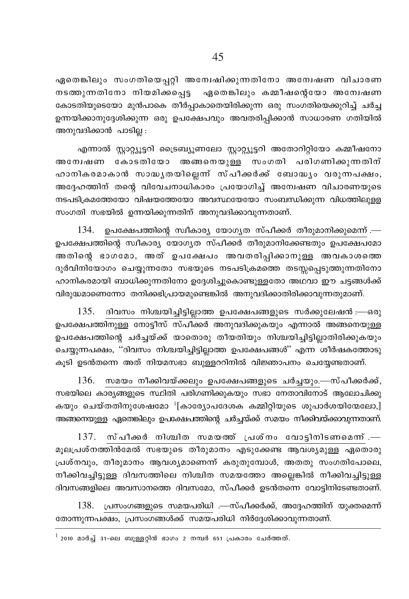ഏതെങ്കിലും സംഗതിയെപ്പറ്റി അന്വേഷിക്കുന്നതിനോ അന്വേഷണ വിചാരണ നടത്തുന്നതിനോ നിയമിക്കപെട്ട ഏതെങ്കിലും കമ്മീഷന്റെയോ അന്വേഷണ കോടതിയുടെയോ മുൻപാകെ തീർപ്പാകാതെയിരിക്കുന്ന ഒരു സംഗതിയെക്കുറിച്ച് ചർച്ച ഉന്നയിക്കാനുദ്ദേശിക്കുന്ന ഒരു ഉപക്ഷേപവും അവതരിപ്പിക്കാൻ സാധാരണ ഗതിയിൽ അനുവദിക്കാൻ പാടില്ല :

എന്നാൽ സ്ലാറ്റ്യൂട്ടറി ട്രൈബ്യുണലോ സ്ലാറ്റ്യൂട്ടറി അതോറിറ്റിയോ കമ്മീഷനോ അന്വേഷണ കോടതിയോ അങ്ങനെയുള്ള സംഗതി പരിഗണിക്കുന്നതിന് ഹാനികരമാകാൻ സാദ്ധൃതയില്ലെന്ന് സ്പീക്കർക്ക് ബോദ്ധ്യം വരുന്നപക്ഷം, അദ്ദേഹത്തിന് തന്റെ വിവേചനാധികാരം പ്രയോഗിച്ച് അന്വേഷണ വിചാരണയുടെ നടപടിക്രമത്തേയോ വിഷയത്തേയോ അവസ്ഥയേയോ സംബന്ധിക്കുന്ന വിധത്തിലുള്ള സംഗതി സഭയിൽ ഉന്നയിക്കുന്നതിന് അനുവദിക്കാവുന്നതാണ്.

 $134.$  ഉപക്ഷേപത്തിന്റെ സ്ഥീകാര്യ യോഗ്യത സ്പീക്കർ തീരുമാനിക്കുമെന്ന്.— ഉപക്ഷേപത്തിന്റെ സ്വീകാര്യ യോഗ്യത സ്പീക്കർ തീരുമാനിക്കേണ്ടതും ഉപക്ഷേപമോ അതിന്റെ ഭാഗമോ, അത് ഉപക്ഷേപം അവതരിപ്പിക്കാനുള്ള അവകാശത്തെ ദുർവിനിയോഗം ചെയ്യുന്നതോ സഭയുടെ നടപടിക്രമത്തെ തടസ്സപ്പെടുത്തുന്നതിനോ ഹാനികരമായി ബാധിക്കുന്നതിനോ ഉദ്ദേശിച്ചുകൊണ്ടുള്ളതോ അഥവാ ഈ ചട്ടങ്ങൾക്ക് വിരുദ്ധമാണെന്നോ തനിക്കഭിപ്രായമുണ്ടെങ്കിൽ അനുവദിക്കാതിരിക്കാവുന്നതുമാണ്.

135. ദിവസം നിശ്ചയിച്ചിട്ടില്ലാത്ത ഉപക്ഷേപങ്ങളുടെ സർക്കുലേഷൻ :—ഒരു ഉപക്ഷേപത്തിനുള്ള നോട്ടീസ് സ്പീക്കർ അനുവദിക്കുകയും എന്നാൽ അങ്ങനെയുള്ള ഉപക്ഷേപത്തിന്റെ ചർച്ചയ്ക്ക് യാതൊരു തീയതിയും നിശ്ചയിച്ചിട്ടില്ലാതിരിക്കുകയും ചെയ്യുന്നപക്ഷം, ''ദിവസം നിശ്ചയിച്ചിട്ടില്ലാത്ത ഉപക്ഷേപങ്ങൾ'' എന്ന ശീർഷകത്തോടു കൂടി ഉടൻതന്നെ അത് നിയമസഭാ ബുള്ളററിനിൽ വിജ്ഞാപനം ചെയ്യേണ്ടതാണ്.

136. സമയം നീക്കിവയ്ക്കലും ഉപക്ഷേപങ്ങളുടെ ചർച്ചയും.—സ്പീക്കർക്ക്, സഭയിലെ കാര്യങ്ങളുടെ സ്ഥിതി പരിഗണിക്കുകയും സഭാ നേതാവിനോട് ആലോചിക്കു കയും ചെയ്തതിനുശേഷമോ $^{-1}$ [കാര്യോപദേശക കമ്മിറ്റിയുടെ ശുപാർശയിന്മേലോ,] അങ്ങനെയുള്ള ഏതെങ്കിലും ഉപക്ഷേപത്തിന്റെ ചർച്ചയ്ക്ക് സമയം നീക്കിവയ്ക്കാവുന്നതാണ്.

 $137.$  സ്പീക്കർ നിശ്ചിത സമയത്ത് പ്രശ്നം വോട്ടിനിടണമെന്ന്. മുലപ്രശ്നത്തിൻമേൽ സഭയുടെ തീരുമാനം എടുക്കേണ്ട ആവശ്യമുള്ള ഏതൊരു പ്രശ്നവും, തീരുമാനം ആവശ്യമാണെന്ന് കരുതുമ്പോൾ, അതതു സംഗതിപോലെ, നീക്കിവച്ചിട്ടുള്ള ദിവസത്തിലെ നിശ്ചിത സമയത്തോ അല്ലെങ്കിൽ നീക്കിവച്ചിട്ടുള്ള ദിവസങ്ങളിലെ അവസാനത്തെ ദിവസമോ, സ്പീക്കർ ഉടൻതന്നെ വോട്ടിനിടേണ്ടതാണ്.

138. പ്രസംഗങ്ങളുടെ സമയപരിധി .—സ്പീക്കർക്ക്, അദ്ദേഹത്തിന് യൂക്തമെന്ന് തോന്നുന്നപക്ഷം, പ്രസംഗങ്ങൾക്ക് സമയപരിധി നിർദ്ദേശിക്കാവുന്നതാണ്.

 $^{\rm 1}$  2010 മാർച്ച് 31-ലെ ബുള്ളറ്റിൻ ഭാഗം 2 നമ്പർ 651 പ്രകാരം ചേർത്തത്.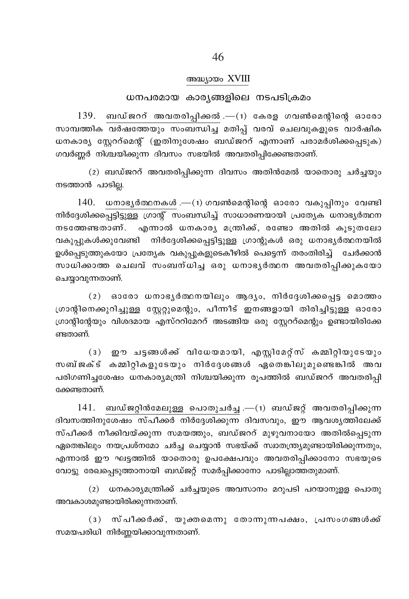#### അദ്ധ്യായം XVIII

#### ധനപരമായ കാര്യങ്ങളിലെ നടപടിക്രമം

 $139.$  ബഡ്ജററ് അവതരിപ്പിക്കൽ . $-(1)$  കേരള ഗവൺമെന്റിന്റെ ഓരോ സാമ്പത്തിക <u>വർഷത്തേയും സംബന്ധിച്ച</u> മതിപ്പ് വരവ് ചെലവുകളുടെ വാർഷിക ധനകാര്യ സ്റ്റേററ്മെന്റ് (ഇതിനുശേഷം ബഡ്ജററ് എന്നാണ് പരാമർശിക്കപ്പെടുക) ഗവർണ്ണർ നിശ്ചയിക്കുന്ന ദിവസം സഭയിൽ അവതരിപ്പിക്കേണ്ടതാണ്.

(2) ബഡ്ജററ് അവതരിപ്പിക്കുന്ന ദിവസം അതിൻമേൽ യാതൊരു ചർച്ചയും നടത്താൻ പാടില്ല.

 $140.$  ധനാഭൃർത്ഥനകൾ . $-$ (1) ഗവൺമെന്റിന്റെ ഓരോ വകുപ്പിനും വേണ്ടി നിർദ്ദേശിക്കപ്പെട്ടിട്ടുള്ള ഗ്രാന്റ് സംബന്ധിച്ച് സാധാരണയായി പ്രത്യേക ധനാഭ്യർത്ഥന നടത്തേണ്ടതാണ്. എന്നാൽ ധനകാര്യ മന്ത്രിക്ക്, രണ്ടോ അതിൽ കൂടുതലോ വകുപ്പുകൾക്കുവേണ്ടി നിർദ്ദേശിക്കപ്പെട്ടിട്ടുള്ള ഗ്രാന്റുകൾ ഒരു ധനാഭ്യർത്ഥനയിൽ ഉൾപെടുത്തുകയോ പ്രത്യേക വകുപൂകളുടെകീഴിൽ പെട്ടെന്ന് തരംതിരിച്ച് ചേർക്കാൻ സാധിക്കാത്ത ചെലവ് സംബന്ധിച്ച ഒരു ധനാഭൃർത്ഥന അവതരിപ്പിക്കുകയോ ചെയ്യാവുന്നതാണ്.

 $(2)$  ഓരോ ധനാഭൃർത്ഥനയിലും ആദൃം, നിർദ്ദേശിക്കപ്പെട്ട മൊത്തം ഗ്രാന്റിനെക്കുറിച്ചുള്ള സ്റ്റേറ്റുമെന്റും, പീന്നീട് ഇനങ്ങളായി തിരിച്ചിട്ടുള്ള ഓരോ ഗ്രാന്റിന്റേയും വിശദമായ എസ്ററിമേററ് അടങ്ങിയ ഒരു സ്റ്റേററ്മെന്റും ഉണ്ടായിരിക്കേ ണ്ടതാണ്.

(3) ഈ ചട്ടങ്ങൾക്ക് വിധേയമായി, എസ്ലിമേറ്റസ് കമ്മിറ്റിയുടേയും സബ്ജക്ട് കമ്മിറികളുടേയും നിർദ്ദേശങ്ങൾ ഏതെങ്കിലുമുണ്ടെങ്കിൽ അവ പരിഗണിച്ചശേഷം ധനകാര്യമന്ത്രി നിശ്ചയിക്കുന്ന രൂപത്തിൽ ബഡ്ജററ് അവതരിപ്പി ക്കേണ്ടതാണ്.

 $141.$  ബഡ്ജറ്റിൻമേലുള്ള പൊതുചർച്ച .—(1) ബഡ്ജറ്റ് അവതരിപ്പിക്കുന്ന ദിവസത്തിനുശേഷം സ്പീക്കർ നിർദ്ദേശിക്കുന്ന ദിവസവും, ഈ ആവശ്യത്തിലേക്ക് സ്പീക്കർ നീക്കിവയ്ക്കുന്ന സമയത്തും, ബഡ്ജററ് മുഴുവനായോ അതിൽപ്പെടുന്ന ഏതെങ്കിലും നയപ്രശ്നമോ ചർച്ച ചെയ്യാൻ സഭയ്ക്ക് സ്വാതന്ത്ര്യമുണ്ടായിരിക്കുന്നതും, എന്നാൽ ഈ ഘട്ടത്തിൽ യാതൊരു ഉപക്ഷേപവും അവതരിപ്പിക്കാനോ സഭയുടെ വോട്ടു രേഖപ്പെടുത്താനായി ബഡ്ജറ്റ് സമർപ്പിക്കാനോ പാടില്ലാത്തതുമാണ്.

(2) ധനകാര്യമന്ത്രിക്ക് ചർച്ചയുടെ അവസാനം മറുപടി പറയാനുളള പൊതു അവകാശമുണ്ടായിരിക്കുന്നതാണ്.

(3) സ്പീക്കർക്ക്, യുക്തമെന്നു തോന്നുന്നപക്ഷം, പ്രസംഗങ്ങൾക്ക് സമയപരിധി നിർണ്ണയിക്കാവുന്നതാണ്.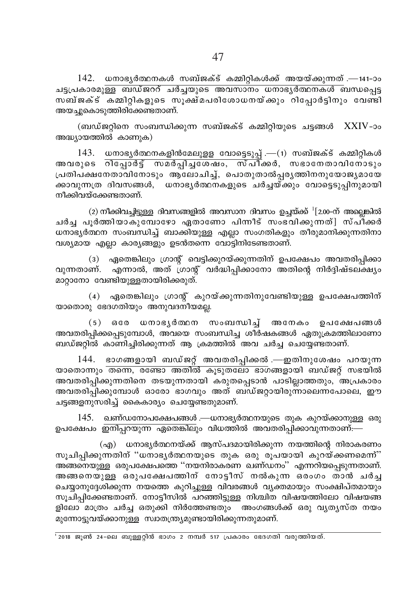142. ധനാഭൃർത്ഥനകൾ സബ്ജക്ട് കമ്മിറ്റികൾക്ക് അയയ്ക്കുന്നത് .—141-ാം <u>ചട്ടപ്രകാരമുള്ള ബഡ്ജററ് ചർച്ചയുടെ അവസാനം ധനാഭൃർത്ഥനകൾ ബന്ധപ്പെട്ട</u> സബ്ജക്ട് കമ്മിറ്റികളുടെ സൂക്ഷ്മപരിശോധനയ്ക്കും റിപ്പോർട്ടിനും വേണ്ടി അയച്ചുകൊടുത്തിരിക്കേണ്ടതാണ്.

(ബഡ്ജറ്റിനെ സംബന്ധിക്കുന്ന സബ്ജക്ട് കമ്മിറ്റിയുടെ ചട്ടങ്ങൾ XXIV-ാം അദ്ധ്യായത്തിൽ കാണുക)

 $143.$  ധനാഭൃർത്ഥനകളിൻമേലുളള വോട്ടെടുപ്പ് .— $(1)$  സബ്ജക്ട് കമ്മിറ്റികൾ അവരുടെ <del>റിപ്പോർട്ട് സമർപ്പിച്ചശേഷം, സ്പീ</del>ക്കർ, സഭാനേതാവിനോടും പ്രതിപക്ഷനേതാവിനോടും ആലോചിച്ച്, പൊതുതാൽപ്പര്യത്തിനനുയോജ്യമായേ ക്കാവുന്നത്ര ദിവസങ്ങൾ, ധനാഭ്യർത്ഥനകളുടെ ചർച്ചയ്ക്കും വോട്ടെടുപ്പിനുമായി നീക്കിവയ്ക്കേണ്ടതാണ്.

 $(2)$  നീക്കിവച്ചിട്ടുള്ള ദിവസങ്ങളിൽ അവസാന ദിവസം ഉച്ചയ്ക്ക്  $^{1}[2.00-$ ന് അല്ലെങ്കിൽ ചർച്ച പുർത്തിയാകുമ്പോഴോ ഏതാണോ പിന്നീട് സംഭവിക്കുന്നത്] സ്പീക്കർ ധനാഭ്യർത്ഥന സംബന്ധിച്ച് ബാക്കിയുള്ള എല്ലാ സംഗതികളും തീരുമാനിക്കുന്നതിനാ വശ്യമായ എല്ലാ കാര്യങ്ങളും ഉടൻതന്നെ വോട്ടിനിടേണ്ടതാണ്.

(3) ഏതെങ്കിലും ഗ്രാന്റ് വെട്ടിക്കുറയ്ക്കുന്നതിന് ഉപക്ഷേപം അവതരിപ്പിക്കാ വുന്നതാണ്. എന്നാൽ, അത് ഗ്രാന്റ് വർദ്ധിപ്പിക്കാനോ അതിന്റെ നിർദ്ദിഷ്ടലക്ഷ്യം മാറ്റാനോ വേണ്ടിയുള്ളതായിരിക്കരുത്.

(4) ഏതെങ്കിലും ഗ്രാന്റ് കുറയ്ക്കുന്നതിനുവേണ്ടിയുള്ള ഉപക്ഷേപത്തിന് യാതൊരു ഭേദഗതിയും അനുവദനീയമല്ല.

(5) ഒരേ ധനാഭൃർത്ഥന സംബന്ധിച്ച് അനേകം ഉപക്ഷേപങ്ങൾ അവതരിപ്പിക്കപ്പെടുമ്പോൾ, അവയെ സംബന്ധിച്ച ശീർഷകങ്ങൾ ഏതുക്രമത്തിലാണോ ബഡ്ജറ്റിൽ കാണിച്ചിരിക്കുന്നത് ആ ക്രമത്തിൽ അവ ചർച്ച ചെയ്യേണ്ടതാണ്.

144. ഭാഗങ്ങളായി ബഡ്ജറ്റ് അവതരിപ്പിക്കൽ .—ഇതിനുശേഷം പറയുന്ന യാതൊന്നും തന്നെ, രണ്ടോ അതിൽ കൂടുതലോ ഭാഗങ്ങളായി ബഡ്ജറ്റ് സഭയിൽ അവതരിപ്പിക്കുന്നതിനെ തടയുന്നതായി കരുതപ്പെടാൻ പാടില്ലാത്തതും, അപ്രകാരം അവതരിപ്പിക്കുമ്പോൾ ഓരോ ഭാഗവും അത് ബഡ്ജറ്റായിരുന്നാലെന്നപോലെ, ഈ ചട്ടങ്ങളനുസരിച്ച് കൈകാര്യം ചെയ്യേണ്ടതുമാണ്.

145. ഖണ്ഡനോപക്ഷേപങ്ങൾ .—ധനാഭ്യർത്ഥനയുടെ തുക കുറയ്ക്കാനുള്ള ഒരു ഉപക്ഷേപം ഇനിപ്പറയുന്ന ഏതെങ്കിലും വിധത്തിൽ അവതരിപ്പിക്കാവുന്നതാണ്:—

(എ) ധനാഭ്യർത്ഥനയ്ക്ക് ആസ്പദമായിരിക്കുന്ന നയത്തിന്റെ നിരാകരണം സൂചിപ്പിക്കുന്നതിന് ''ധനാഭൃർത്ഥനയുടെ തുക ഒരു രൂപയായി കുറയ്ക്കണമെന്ന്'' അങ്ങനെയുള്ള ഒരുപക്ഷേപത്തെ ''നയനിരാകരണ ഖണ്ഡനം'' എന്നറിയപ്പെടുന്നതാണ്. അങ്ങനെയുള്ള ഒരുപക്ഷേപത്തിന് നോട്ടീസ് നൽകുന്ന ഒരംഗം താൻ ചർച്ച ചെയ്യാനുദ്ദേശിക്കുന്ന നയത്തെ കുറിച്ചുള്ള വിവരങ്ങൾ വ്യക്തമായും സംക്ഷിപ്തമായും സുചിപ്പിക്കേണ്ടതാണ്. നോട്ടീസിൽ പറഞ്ഞിട്ടുള്ള നിശ്ചിത വിഷയത്തിലോ വിഷയങ്ങ ളിലോ മാത്രം ചർച്ച ഒതുക്കി നിർത്തേണ്ടതും അംഗങ്ങൾക്ക് ഒരു വൃതൃസ്ത നയം മുന്നോട്ടുവയ്ക്കാനുള്ള സ്വാതന്ത്ര്യമുണ്ടായിരിക്കുന്നതുമാണ്.

 $\frac{1}{1}$ 2018 ജൂൺ 24-ലെ ബുള്ളറ്റിൻ ഭാഗം 2 നമ്പർ 517 പ്രകാരം ഭേദഗതി വരുത്തിയത്.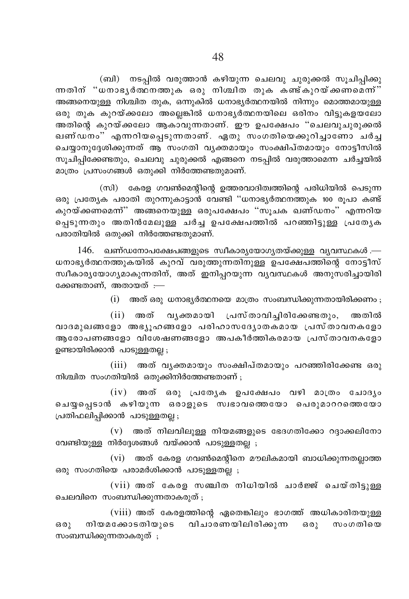(ബി) നടപ്പിൽ വരുത്താൻ കഴിയുന്ന ചെലവു ചുരുക്കൽ സൂചിപ്പിക്കു ന്നതിന് "ധനാഭൃർത്ഥനത്തുക ഒരു നിശ്ചിത തുക കണ്ട്കുറയ്ക്കണമെന്ന്" .<br>അങ്ങനെയുള്ള നിശ്ചിത തുക, ഒന്നുകിൽ ധനാഭ്യർത്ഥനയിൽ നിന്നും മൊത്തമായുള്ള ഒരു തുക കുറയ്ക്കലോ അല്ലെങ്കിൽ ധനാഭൃർത്ഥനയിലെ ഒരിനം വിട്ടുകളയലോ .<br>അതിന്റെ കുറയ്ക്കലോ ആകാവുന്നതാണ്. ഈ ഉപക്ഷേപം "ചെലവുചുരുക്കൽ ഖണ്ഡനം" എന്നറിയപ്പെടുന്നതാണ്. ഏതു സംഗതിയെക്കുറിച്ചാണോ ചർച്ച ചെയ്യാനുദ്ദേശിക്കുന്നത് ആ സംഗതി വൃക്തമായും സംക്ഷിപ്തമായും നോട്ടീസിൽ സൂചിപ്പിക്കേണ്ടതും, ചെലവു ചുരുക്കൽ എങ്ങനെ നടപ്പിൽ വരുത്താമെന്ന ചർച്ചയിൽ മാത്രം പ്രസംഗങ്ങൾ ഒതുക്കി നിർത്തേണ്ടതുമാണ്.

(സി) കേരള ഗവൺമെന്റിന്റെ ഉത്തരവാദിത്വത്തിന്റെ പരിധിയിൽ പെടുന്ന ഒരു പ്രത്യേക പരാതി തുറന്നുകാട്ടാൻ വേണ്ടി ''ധനാഭൃർത്ഥനത്തുക 100 രൂപാ കണ്ട് കുറയ്ക്കണമെന്ന്" അങ്ങനെയുള്ള ഒരുപക്ഷേപം "സൂചക ഖണ്ഡനം" എന്നറിയ പ്പെടുന്നതും അതിൻമേലുള്ള ചർച്ച ഉപക്ഷേപത്തിൽ പറഞ്ഞിട്ടുള്ള പ്രത്യേക പരാതിയിൽ ഒതുക്കി നിർത്തേണ്ടതുമാണ്.

146. ഖണ്ഡനോപക്ഷേപങ്ങളുടെ സ്വീകാര്യയോഗ്യതയ്ക്കുള്ള വ്യവസ്ഥകൾ .— ധനാഭൃർത്ഥനത്തുകയിൽ കുറവ് വരുത്തുന്നതിനുള്ള ഉപക്ഷേപത്തിന്റെ നോട്ടീസ് സ്ഥീകാര്യയോഗ്യമാകുന്നതിന്, അത് ഇനിപ്പറയുന്ന വ്യവസ്ഥകൾ അനുസരിച്ചായിരി ക്കേണ്ടതാണ്. അതായത് :—

 $(i)$  അത് ഒരു ധനാഭ്യർത്ഥനയെ മാത്രം സംബന്ധിക്കുന്നതായിരിക്കണം;

(ii) അത് വൃക്തമായി പ്രസ്താവിച്ചിരിക്കേണ്ടതും, അതിൽ വാദമുഖങ്ങളോ അഭ്യൂഹങ്ങളോ പരിഹാസദ്യോതകമായ പ്രസ്താവനകളോ ആരോപണങ്ങളോ വിശേഷണങ്ങളോ അപകീർത്തികരമായ പ്രസ്താവനകളോ ഉണ്ടായിരിക്കാൻ പാടുള്ളതല്ല;

(iii) അത് വൃക്തമായും സംക്ഷിപ്തമായും പറഞ്ഞിരിക്കേണ്ട ഒരു നിശ്ചിത സംഗതിയിൽ ഒതുക്കിനിർത്തേണ്ടതാണ് ;

 $(iv)$  അത് ഒരു പ്രത്യേക ഉപക്ഷേപം വഴി മാത്രം ചോദൃം ചെയ്യപ്പെടാൻ കഴിയുന്ന ഒരാളുടെ സ്വഭാവത്തെയോ പെരുമാററത്തെയോ പ്രതിഫലിപ്പിക്കാൻ പാടുള്ളതല്ല;

 $(v)$  അത് നിലവിലുള്ള നിയമങ്ങളുടെ ഭേദഗതിക്കോ റദ്ദാക്കലിനോ വേണ്ടിയുള്ള നിർദ്ദേശങ്ങൾ വയ്ക്കാൻ പാടുള്ളതല്ല ;

 $(vi)$  അത് കേരള ഗവൺമെന്റിനെ മൗലികമായി ബാധിക്കുന്നതല്ലാത്ത ഒരു സംഗതിയെ പരാമർശിക്കാൻ പാടുള്ളതല്ല ;

(vii) അത് കേരള സഞ്ചിത നിധിയിൽ ചാർജ്ജ് ചെയ്തിട്ടുള്ള ചെലവിനെ സംബന്ധിക്കുന്നതാകരുത് ;

(viii) അത് കേരളത്തിന്റെ ഏതെങ്കിലും ഭാഗത്ത് അധികാരിതയുള്ള നിയമക്കോടതിയുടെ വിചാരണയിലിരിക്കുന്ന ഒരു സംഗതിയെ  $6301$ സംബന്ധിക്കുന്നതാകരുത്;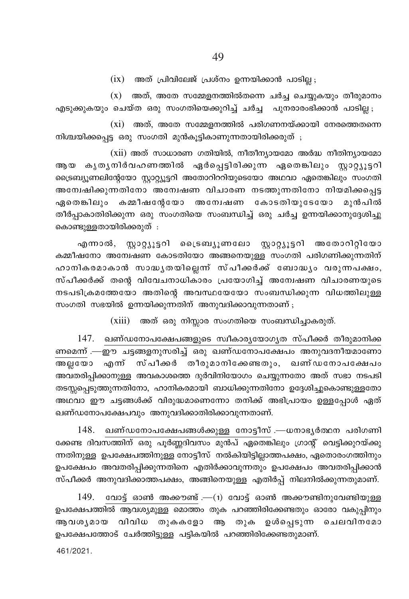$(ix)$  അത് പ്രിവിലേജ് പ്രശ്നം ഉന്നയിക്കാൻ പാടില്ല

 $(x)$  അത്, അതേ സമ്മേളനത്തിൽതന്നെ ചർച്ച ചെയ്യുകയും തീരുമാനം എടുക്കുകയും ചെയ്ത ഒരു സംഗതിയെക്കുറിച്ച് ചർച്ച പുനരാരംഭിക്കാൻ പാടില്ല ;

 $(xi)$  അത്, അതേ സമ്മേളനത്തിൽ പരിഗണനയ്ക്കായി നേരത്തെതന്നെ നിശ്ചയിക്കപ്പെട്ട ഒരു സംഗതി മുൻകൂട്ടികാണുന്നതായിരിക്കരുത് ;

(xii) അത് സാധാരണ ഗതിയിൽ, നീതീന്യായമോ അർദ്ധ നീതിന്യായമോ ആയ കൃതൃനിർവഹണത്തിൽ ഏർപ്പെട്ടിരിക്കുന്ന ഏതെങ്കിലും സ്റ്റാറ്റ്യൂട്ടറി ട്രൈബ്യൂണലിന്റേയോ സ്റ്റാറ്റ്യൂട്ടറി അതോറിററിയുടെയോ അഥവാ ഏതെങ്കിലും സംഗതി അന്വേഷിക്കുന്നതിനോ അന്വേഷണ വിചാരണ നടത്തുന്നതിനോ നിയമിക്കപ്പെട്ട ഏതെങ്കിലും കമ്മീഷന്റേയോ അന്വേഷണ കോടതിയുടേയോ മുൻപിൽ തീർപ്പാകാതിരിക്കുന്ന ഒരു സംഗതിയെ സംബന്ധിച്ച് ഒരു ചർച്ച ഉന്നയിക്കാനുദ്ദേശിച്ചു കൊണ്ടുള്ളതായിരിക്കരുത് :

എന്നാൽ, സ്റ്റാറ്റ്യൂട്ടറി ട്രൈബ്യൂണലോ സ്റ്റാറ്റ്യൂട്ടറി അതോറിറ്റിയോ കമ്മീഷനോ അന്വേഷണ കോടതിയോ അങ്ങനെയുള്ള സംഗതി പരിഗണിക്കുന്നതിന് ഹാനികരമാകാൻ സാദ്ധൃതയില്ലെന്ന് സ്പീക്കർക്ക് ബോദ്ധ്യം വരുന്നപക്ഷം, സ്പീക്കർക്ക് തന്റെ വിവേചനാധികാരം പ്രയോഗിച്ച് അന്വേഷണ വിചാരണയുടെ നടപടിക്രമത്തേയോ അതിന്റെ അവസ്ഥയേയോ സംബന്ധിക്കുന്ന വിധത്തിലുള്ള സംഗതി സഭയിൽ ഉന്നയിക്കുന്നതിന് അനുവദിക്കാവുന്നതാണ്;

 $(xiii)$  അത് ഒരു നിസ്സാര സംഗതിയെ സംബന്ധിച്ചാകരുത്.

147. ഖണ്ഡനോപക്ഷേപങ്ങളുടെ സ്വീകാര്യയോഗ്യത സ്പീക്കർ തീരുമാനിക്ക ണമെന്ന് .—ഈ ചട്ടങ്ങളനുസരിച്ച് ഒരു ഖണ്ഡനോപക്ഷേപം അനുവദനീയമാണോ .<br>അല്ലയോ എന്ന് സ്പീക്കർ തീരുമാനിക്കേണ്ടതും, ഖണ്ഡനോപക്ഷേപം അവതരിപ്പിക്കാനുള്ള അവകാശത്തെ ദുർവിനിയോഗം ചെയ്യുന്നതോ അത് സഭാ നടപടി തടസ്സപ്പെടുത്തുന്നതിനോ, ഹാനികരമായി ബാധിക്കുന്നതിനോ ഉദ്ദേശിച്ചുകൊണ്ടുള്ളതോ അഥവാ ഈ ചട്ടങ്ങൾക്ക് വിരുദ്ധമാണെന്നോ തനിക്ക് അഭിപ്രായം ഉള്ളപ്പോൾ ഏത് ഖണ്ഡനോപക്ഷേപവും അനുവദിക്കാതിരിക്കാവുന്നതാണ്.

148. ഖണ്ഡനോപക്ഷേപങ്ങൾക്കുള്ള നോട്ടീസ് .—ധനാഭൃർത്ഥന പരിഗണി ക്കേണ്ട ദിവസത്തിന് ഒരു പൂർണ്ണദിവസം മുൻപ് ഏതെങ്കിലും ഗ്രാന്റ് വെട്ടിക്കുറയ്ക്കു ന്നതിനുള്ള ഉപക്ഷേപത്തിനുള്ള നോട്ടീസ് നൽകിയിട്ടില്ലാത്തപക്ഷം, ഏതൊരംഗത്തിനും ഉപക്ഷേപം അവതരിപ്പിക്കുന്നതിനെ എതിർക്കാവുന്നതും ഉപക്ഷേപം അവതരിപ്പിക്കാൻ സ്പീക്കർ അനുവദിക്കാത്തപക്ഷം, അങ്ങിനെയുള്ള എതിർപ്പ് നിലനിൽക്കുന്നതുമാണ്.

 $149.$  വോട്ട് ഓൺ അക്കൗണ്ട് .— $(1)$  വോട്ട് ഓൺ അക്കൗണ്ടിനുവേണ്ടിയുള്ള ഉപക്ഷേപത്തിൽ ആവശ്യമുള്ള മൊത്തം തുക പറഞ്ഞിരിക്കേണ്ടതും ഓരോ വകുപ്പിനും ആവശൃമായ വിവിധ തുകകളോ ആ തുക ഉൾപ്പെടുന്ന ചെലവിനമോ ഉപക്ഷേപത്തോട് ചേർത്തിട്ടുള്ള പട്ടികയിൽ പറഞ്ഞിരിക്കേണ്ടതുമാണ്.

461/2021.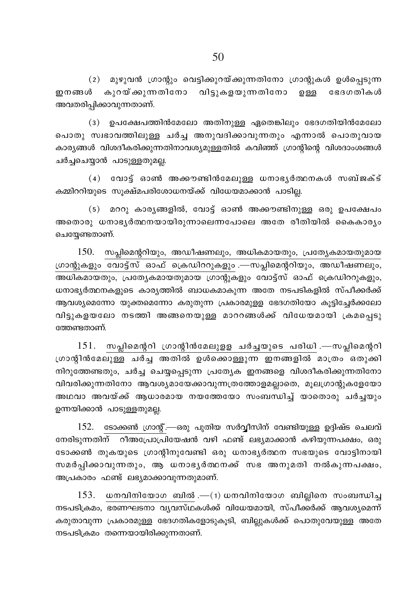(2) മുഴുവൻ ഗ്രാന്റും വെട്ടിക്കുറയ്ക്കുന്നതിനോ ഗ്രാന്റുകൾ ഉൾപ്പെടുന്ന ഇനങ്ങൾ കുറയ്ക്കുന്നതിനോ വിട്ടുകളയുന്നതിനോ ഉള്ള ഭേദഗതികൾ അവതരിപ്പിക്കാവുന്നതാണ്.

(3) ഉപക്ഷേപത്തിൻമേലോ അതിനുള്ള ഏതെങ്കിലും ഭേദഗതിയിൻമേലോ പൊതു സ്വഭാവത്തിലുള്ള ചർച്ച അനുവദിക്കാവുന്നതും എന്നാൽ പൊതുവായ കാര്യങ്ങൾ വിശദീകരിക്കുന്നതിനാവശ്യമുള്ളതിൽ കവിഞ്ഞ് ഗ്രാന്റിന്റെ വിശദാംശങ്ങൾ ചർച്ചചെയ്യാൻ പാടുള്ളതുമല്ല.

(4) വോട്ട് ഓൺ അക്കൗണ്ടിൻമേലുള്ള ധനാഭൃർത്ഥനകൾ സബ്ജക്ട് കമ്മിററിയുടെ സുക്ഷ്മപരിശോധനയ്ക്ക് വിധേയമാക്കാൻ പാടില്ല.

(5) മററു കാര്യങ്ങളിൽ, വോട്ട് ഓൺ അക്കൗണ്ടിനുള്ള ഒരു ഉപക്ഷേപം അതൊരു ധനാഭൃർത്ഥനയായിരുന്നാലെന്നപോലെ അതേ രീതിയിൽ കൈകാര്യം ചെയ്യേണ്ടതാണ്.

150. സപ്ലിമെന്ററിയും, അഡീഷണലും, അധികമായതും, പ്രത്യേകമായതുമായ ഗ്രാന്റുകളും വോട്ട്സ് ഓഫ് ക്രെഡിററുകളും .—സപ്ലിമെന്ററിയും, അഡീഷണലും, അധികമായതും, പ്രത്യേകമായതുമായ ഗ്രാന്റുകളും വോട്ട്സ് ഓഫ് ക്രെഡിററുകളും, ധനാഭ്യർത്ഥനകളുടെ കാര്യത്തിൽ ബാധകമാകുന്ന അതേ നടപടികളിൽ സ്പീക്കർക്ക് ആവശ്യമെന്നോ യുക്തമെന്നോ കരുതുന്ന പ്രകാരമുള്ള ഭേദഗതിയോ കുട്ടിച്ചേർക്കലോ വിട്ടുകളയലോ നടത്തി അങ്ങനെയുള്ള മാററങ്ങൾക്ക് വിധേയമായി ക്രമപ്പെടു ത്തേണ്ടതാണ്.

 $151.$  സപ്ലിമെന്ററി ഗ്രാന്റിൻമേലുളള ചർച്ചയുടെ പരിധി .—സപ്ലിമെന്ററി ഗ്രാന്റിൻമേലുള്ള ചർച്ച അതിൽ ഉൾക്കൊള്ളുന്ന ഇനങ്ങളിൽ മാത്രം ഒതുക്കി നിറുത്തേണ്ടതും, ചർച്ച ചെയ്യപ്പെടുന്ന പ്രത്യേക ഇനങ്ങളെ വിശദീകരിക്കുന്നതിനോ വിവരിക്കുന്നതിനോ ആവശ്യമായേക്കാവുന്നത്രത്തോളമല്ലാതെ, മൂലഗ്രാന്റുകളേയോ അഥവാ അവയ്ക്ക് ആധാരമായ നയത്തേയോ സംബന്ധിച്ച് യാതൊരു ചർച്ചയും ഉന്നയിക്കാൻ പാടുള്ളതുമല്ല.

152. ടോക്കൺ ഗ്രാന്റ്.—ഒരു പുതിയ സർവ്വീസിന് വേണ്ടിയുള്ള ഉദ്ദിഷ്ട ചെലവ് നേരിടുന്നതിന് റീഅപ്രോപ്രിയേഷൻ വഴി ഫണ്ട് ലഭ്യമാക്കാൻ കഴിയുന്നപക്ഷം, ഒരു ടോക്കൺ തുകയുടെ ഗ്രാന്റിനുവേണ്ടി ഒരു ധനാഭ്യർത്ഥന സഭയുടെ വോട്ടിനായി സമർപ്പിക്കാവുന്നതും, ആ ധനാഭൃർത്ഥനക്ക് സഭ അനുമതി നൽകുന്നപക്ഷം, അപ്രകാരം ഫണ്ട് ലഭ്യമാക്കാവുന്നതുമാണ്.

153. ധനവിനിയോഗ ബിൽ .—(1) ധനവിനിയോഗ ബില്ലിനെ സംബന്ധിച്ച നടപടിക്രമം, ഭരണഘടനാ വൃവസ്ഥകൾക്ക് വിധേയമായി, സ്പീക്കർക്ക് ആവശൃമെന്ന് കരുതാവുന്ന പ്രകാരമുള്ള ഭേദഗതികളോടുകൂടി, ബില്ലുകൾക്ക് പൊതുവേയുള്ള അതേ നടപടിക്രമം തന്നെയായിരിക്കുന്നതാണ്.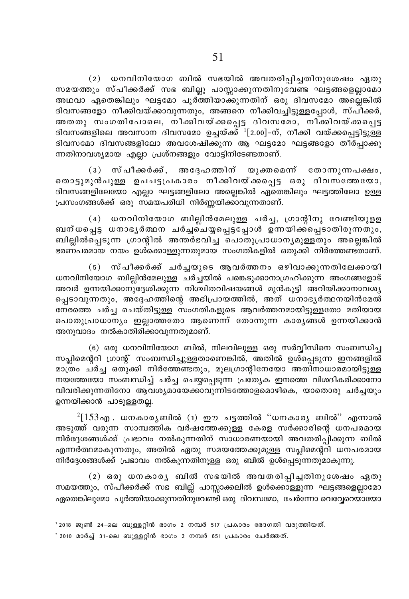(2)  $\mu$  won continue wors and where  $\lambda$  are alleast and any consequence  $\lambda$ സമയത്തും സ്പീക്കർക്ക് സഭ ബില്ലു പാസ്ലാക്കുന്നതിനുവേണ്ട ഘട്ടങ്ങളെല്ലാമോ അഥവാ ഏതെങ്കിലും ഘട്ടമോ പൂര്ത്തിയാക്കുന്നതിന് ഒരു ദിവസമോ അല്ലെങ്കിൽ ദിവസങ്ങളോ നീക്കിവയ്ക്കാവുന്നതും, അങ്ങനെ നീക്കിവച്ചിട്ടുള്ളപോൾ, സ്പീക്കർ, AXXp kwKXnt]mse, \o°nhbv°s∏´ Znhktam, \o°nhbv°s∏´ ദിവസങ്ങളിലെ അവസാന ദിവസമോ ഉച്ചയ്ക്ക് <sup>1</sup>[2.00]-ന്, നീക്കി വയ്ക്കപ്പെട്ടിട്ടുള്ള ിവസമോ ദിവസങ്ങളിലോ അവശേഷിക്കുന്ന ആ ഘട്ടമോ ഘട്ടങ്ങളോ തീർപ്പാക്കു ന്നതിനാവശ്യമായ എല്ലാ പ്രശ്നങ്ങളും വോട്ടിനിടേണ്ടതാണ്.

 $(3)$  സ്പീക്കർക്ക്, അദ്ദേഹത്തിന് യുക്തമെന്ന് തോന്നുന്നപക്ഷം, .<br>തൊട്ടുമുൻപുള്ള ഉപചട്ടപ്രകാരം നീക്കിവയ്ക്കപ്പെട്ട ഒരു ദിവസ്ത്തേയോ, <u>ദിവസങ്ങളിലേയോ എല്ലാ ഘട്ടങ്ങളിലോ അല്ലെങ്കിൽ ഏതെങ്കിലും ഘട്ടത്തിലോ ഉള്ള</u> പ്രസംഗങ്ങൾക്ക് ഒരു സമയപരിധി നിർണ്ണയിക്കാവുന്നതാണ്.

(4) wനവിനിയോഗ ബില്ലിൻമേലുള്ള ചർച്ച, ഗ്രാന്റിനു വേണ്ടിയുളള ബന്ധപ്പെട്ട ധനാഭൃർത്ഥന ചർച്ച്ച്യപ്പെട്ടപ്പോൾ ഉന്നയിക്ക്പെടാതിരുന്നതും,  $m\log n$ ത്പെടുന്ന ഗ്രാന്റിൽ അന്തർഭവിച്ച പൊതുപ്രാധാന്യമുള്ളതും അല്ലെങ്കിൽ \_coണപരമായ നയം ഉൾക്കൊള്ളുന്നതുമായ സംഗതികളിൽ ഒതുക്കി നിർത്തേണ്ടതാണ്.

(5) സ്പീക്കർക്ക് ചർച്ചയുടെ ആവർത്തനം ഒഴിവാക്കുന്നതിലേക്കായി  $\mu$ സ്നവിനിയോഗ ബില്ലിൻമേലുള്ള ചർച്ചയിൽ പങ്കെടുക്കാനാഗ്രഹിക്കുന്ന അംഗങ്ങളോട് അവർ ഉന്നയിക്കാനുദ്ദേശിക്കുന്ന നിശ്ചിതവിഷയങ്ങൾ മുൻകൂട്ടി അറിയിക്കാനാവശ്യ പ്പെടാവുന്നതും, അദ്ദേഹത്തിന്റെ അഭിപ്രായത്തിൽ, അത് ധനാഭൃർത്ഥനയിൻമേൽ  $\overline{\text{a}}$ തരത്തെ ചർച്ച ചെയ്തിട്ടുള്ള സംഗതികളുടെ ആവർത്തനമായിട്ടുള്ളതോ മതിയായ ചൊതുപ്രാധാന്യം ഇല്ലാത്തതോ ആണെന്ന് തോന്നുന്ന കാര്യങ്ങൾ ഉന്നയിക്കാൻ അനുവാദം നൽകാതിരിക്കാവുന്നതുമാണ്.

(6) ഒരു ധനവിനിയോഗ ബിൽ, നിലവിലുള്ള ഒരു സർവ്വീസിനെ സംബന്ധിച്ച .<br>സപ്ലിമെന്ററി ഗ്രാന്റ് സംബന്ധിച്ചുള്ളതാണെങ്കിൽ, അതിൽ ഉൾപ്പെടുന്ന ഇനങ്ങളിൽ മാത്രം ചർച്ച ഒതുക്കി നിർത്തേണ്ടതും, മൂലഗ്രാന്റിനേയോ അതിനാധാരമായിട്ടുള്ള  $\hbox{\tt m}$ യത്തേയോ സംബന്ധിച്ച് ചർച്ച ചെയ്യപ്പെടുന്ന പ്രത്യേക ഇനത്തെ വിശദീകരിക്കാനോ വിവരിക്കുന്നതിനോ ആവശ്യമായേക്കാവുന്നിടത്തോളമൊഴികെ, യാതൊരു ചർച്ചയും ഉന്നയിക്കാൻ പാടുള്ളത<u>ല</u>്ല.

 $^{2}[153\,$ എ . ധനകാര്യബിൽ (1) ഈ ചട്ടത്തിൽ ''ധനകാര്യ ബിൽ'' എന്നാൽ അടുത്ത് വരുന<del>്ന സാമ്പത്തിക വ</del>ർഷത്തേക്കുള്ള കേരള സർക്കാരിന്റെ ധനപരമായ നിർദ്ദേശങ്ങൾക്ക് പ്രഭാവം നൽകുന്നതിന് സാധാരണയായി അവതരിപ്പിക്കുന്ന ബിൽ എന്നർത്ഥമാകുന്നതും, അതിൽ ഏതു സമയത്തേക്കുമുള്ള സപ്ലിമെന്ററി ധനപരമായ  $\dot{\mathcal{O}}$ നിർദ്ദേശങ്ങൾക്ക് പ്രഭാവം നൽകുന്നതിനുള്ള ഒരു ബിൽ ഉൾപ്പെടുന്നതുമാകുന്നു.

 $(2)$  ഒരു ധനകാര്യ ബിൽ സഭയിൽ അവതരിപ്പിച്ചതിനുശേഷം ഏതു സമയത്തും, സ്പീക്കർക്ക് സഭ ബില്ല് പാസ്സാക്കലിൽ ഉൾക്കൊള്ളുന്ന ഘട്ടങ്ങളെല്ലാമോ ഏതെങ്കിലുമോ പൂർത്തിയാക്കുന്നതിനുവേണ്ടി ഒരു ദിവസമോ, ചേർന്നോ വെവ്വേറെയായോ

<sup>&#</sup>x27; 2018 ജൂൺ 24-ലെ ബുള്ളറ്റിൻ ഭാഗം 2 നമ്പർ 517 പ്രകാരം ഭേദഗതി വരുത്തിയത്.

 $^{\rm 2}$  2010 മാർച്ച് 31-ലെ ബുള്ളറ്റിൻ ഭാഗം 2 നമ്പർ 651 പ്രകാരം ചേർത്തത്.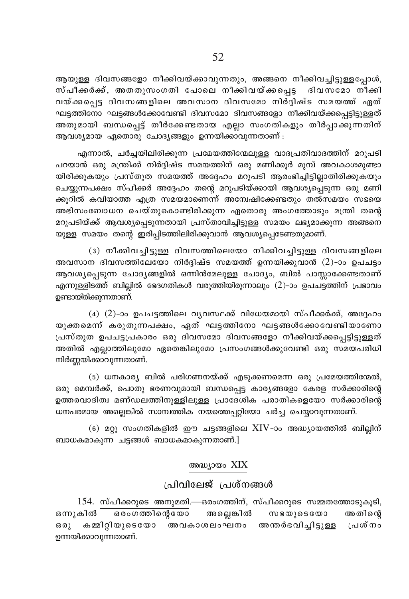ആയുള്ള ദിവസങ്ങളോ നീക്കിവയ്ക്കാവുന്നതും, അങ്ങനെ നീക്കിവച്ചിട്ടുള്ളപ്പോൾ, സ്പീക്കർക്ക്, അതതുസംഗതി പോലെ നീക്കിവയ്ക്കപ്പെട്ട ദിവസമോ നീക്കി വയ്ക്കപെട്ട ദിവസങ്ങളിലെ അവസാന ദിവസമോ നിർദിഷ്ട സമയത്ത് ഏത് ഘട്ടത്തിനോ ഘട്ടങ്ങൾക്കോവേണ്ടി ദിവസമോ ദിവസങ്ങളോ നീക്കിവയ്ക്കപെട്ടിട്ടുള്ളത് അതുമായി ബന്ധപെട്ട് തീർക്കേണ്ടതായ എല്ലാ സംഗതികളും തീർപാക്കുന്നതിന് ആവശ്യമായ ഏതൊരു ചോദ്യങ്ങളും ഉന്നയിക്കാവുന്നതാണ് :

എന്നാൽ, ചർച്ചയിലിരിക്കുന്ന പ്രമേയത്തിന്മേലുള്ള വാദപ്രതിവാദത്തിന് മറുപടി പറയാൻ ഒരു മന്ത്രിക്ക് നിർദ്ദിഷ്ട സമയത്തിന് ഒരു മണിക്കൂർ മുമ്പ് അവകാശമുണ്ടാ യിരിക്കുകയും പ്രസ്തുത സമയത്ത് അദ്ദേഹം മറുപടി ആരംഭിച്ചിട്ടില്ലാതിരിക്കുകയും ചെയ്യുന്നപക്ഷം സ്പീക്കർ അദ്ദേഹം തന്റെ മറുപടിയ്ക്കായി ആവശ്യപ്പെടുന്ന ഒരു മണി ക്കുറിൽ കവിയാത്ത എത്ര സമയമാണെന്ന് അന്വേഷിക്കേണ്ടതും തൽസമയം സഭയെ അഭിസംബോധന ചെയ്തുകൊണ്ടിരിക്കുന്ന ഏതൊരു അംഗത്തോടും മന്ത്രി തന്റെ മറുപടിയ്ക്ക് ആവശ്യപ്പെടുന്നതായി പ്രസ്താവിച്ചിട്ടുള്ള സമയം ലഭ്യമാക്കുന്ന അങ്ങനെ യുള്ള സമയം തന്റെ ഇരിപ്പിടത്തിലിരിക്കുവാൻ ആവശ്യപ്പെടേണ്ടതുമാണ്.

(3) നീക്കിവച്ചിട്ടുള്ള ദിവസത്തിലെയോ നീക്കിവച്ചിട്ടുള്ള ദിവസങ്ങളിലെ അവസാന ദിവസത്തിലേയോ നിർദ്ദിഷ്ട സമയത്ത് ഉന്നയിക്കുവാൻ (2)-ാം ഉപചട്ടം ആവശ്യപ്പെടുന്ന ചോദ്യങ്ങളിൽ ഒന്നിൻമേലുള്ള ചോദ്യം, ബിൽ പാസ്സാക്കേണ്ടതാണ് എന്നുള്ളിടത്ത് ബില്ലിൽ ഭേദഗതികൾ വരുത്തിയിരുന്നാലും (2)-ാം ഉപചട്ടത്തിന് പ്രഭാവം ഉണ്ടായിരിക്കുന്നതാണ്.

 $(4)$   $(2)$ -ാം ഉപചട്ടത്തിലെ വ്യവസ്ഥക്ക് വിധേയമായി സ്പീക്കർക്ക്, അദ്ദേഹം യുക്തമെന്ന് കരുതുന്നപക്ഷം, ഏത് ഘട്ടത്തിനോ ഘട്ടങ്ങൾക്കോവേണ്ടിയാണോ പ്രസ്തുത ഉപചട്ടപ്രകാരം ഒരു ദിവസമോ ദിവസങ്ങളോ നീക്കിവയ്ക്കപ്പെട്ടിട്ടുള്ളത് അതിൽ എല്ലാത്തിലുമോ ഏതെങ്കിലുമോ പ്രസംഗങ്ങൾക്കുവേണ്ടി ഒരു സമയപരിധി നിർണ്ണയിക്കാവുന്നതാണ്.

(5) ധനകാര്യ ബിൽ പരിഗണനയ്ക്ക് എടുക്കണമെന്ന ഒരു പ്രമേയത്തിന്മേൽ, ഒരു മെമ്പർക്ക്, പൊതു ഭരണവുമായി ബന്ധപ്പെട്ട കാര്യങ്ങളോ കേരള സർക്കാരിന്റെ ഉത്തരവാദിത്വ മണ്ഡലത്തിനുള്ളിലുള്ള പ്രാദേശിക പരാതികളെയോ സർക്കാരിന്റെ ധനപരമായ അല്ലെങ്കിൽ സാമ്പത്തിക നയത്തെപ്പറ്റിയോ ചർച്ച ചെയ്യാവുന്നതാണ്.

(6) മറ്റു സംഗതികളിൽ ഈ ചട്ടങ്ങളിലെ  ${\rm XIV}$ -ാം അദ്ധ്യായത്തിൽ ബില്ലിന് ബാധകമാകുന്ന ചട്ടങ്ങൾ ബാധകമാകുന്നതാണ്.]

## അദ്ധ്യായം XIX

# പ്രിവിലേജ് പ്രശ്നങ്ങൾ

154. സ്പീക്കറുടെ അനുമതി.—ഒരംഗത്തിന്, സ്പീക്കറുടെ സമ്മതത്തോടുകൂടി, സഭയുടെയോ ഒന്നുകിൽ ഒരംഗത്തിന്റെയോ അല്ലെങ്കിൽ അതിന്റെ  $60()$ കമ്മിറ്റിയുടെയോ അവകാശലംഘനം അന്തർഭവിച്ചിട്ടുള്ള പ്രശ്നം ഉന്നയിക്കാവുന്നതാണ്.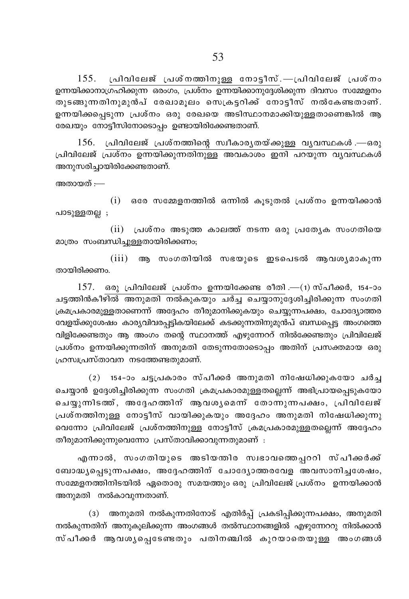പ്രിവിലേജ് പ്രശ്നത്തിനുള്ള നോട്ടീസ്.—പ്രിവിലേജ് പ്രശ്നം 155. ഉന്നയിക്കാനാഗ്രഹിക്കുന്ന ഒരാഗം, പ്രശ്നം ഉന്നയിക്കാനുദ്ദേശിക്കുന്ന ദിവസം സമ്മേളനം തുടങ്ങുന്നതിനുമുൻപ് രേഖാമൂലം സെക്രട്ടറിക്ക് നോട്ടീസ് നൽകേണ്ടതാണ്. ഉന്നയിക്കപ്പെടുന്ന പ്രശ്നം ഒരു രേഖയെ അടിസ്ഥാനമാക്കിയുള്ളതാണെങ്കിൽ ആ രേഖയും നോട്ടീസിനോടൊപ്പം ഉണ്ടായിരിക്കേണ്ടതാണ്.

156. പ്രിവിലേജ് പ്രശ്നത്തിന്റെ സ്വീകാര്യതയ്ക്കുള്ള വ്യവസ്ഥകൾ.—ഒരു പ്രിവിലേജ് പ്രശ്നം ഉന്നയിക്കുന്നതിനുള്ള അവകാശം ഇനി പറയുന്ന വ്യവസ്ഥകൾ അനുസരിച്ചായിരിക്കേണ്ടതാണ്.

അതായത് :—

 $(i)$  ഒരേ സമ്മേളനത്തിൽ ഒന്നിൽ കൂടുതൽ പ്രശ്നം ഉന്നയിക്കാൻ പാടുള്ളതല്ല ;

(ii) പ്രശ്നം അടുത്ത കാലത്ത് നടന്ന ഒരു പ്രത്യേക സംഗതിയെ മാത്രം സംബന്ധിച്ചുള്ളതായിരിക്കണം;

(iii) ആ സംഗതിയിൽ സഭയുടെ ഇടപെടൽ ആവശ്യമാകുന്ന തായിരിക്കണം.

 $157.$  ഒരു പ്രിവിലേജ് പ്രശ്നം ഉന്നയിക്കേണ്ട രീതി.—(1) സ്പീക്കർ, 154-ാം ചട്ടത്തിൻകീഴിൽ അനുമതി നൽകുകയും ചർച്ച ചെയ്യാനുദ്ദേശിച്ചിരിക്കുന്ന സംഗതി ക്രമപ്രകാരമുള്ളതാണെന്ന് അദ്ദേഹം തീരുമാനിക്കുകയും ചെയ്യുന്നപക്ഷം, ചോദ്യോത്തര വേളയ്ക്കുശേഷം കാര്യവിവരപ്പട്ടികയിലേക്ക് കടക്കുന്നതിനുമുൻപ് ബന്ധപ്പെട്ട അംഗത്തെ വിളിക്കേണ്ടതും ആ അംഗം തന്റെ സ്ഥാനത്ത് എഴുന്നേററ് നിൽക്കേണ്ടതും പ്രിവിലേജ് പ്രശ്നം ഉന്നയിക്കുന്നതിന് അനുമതി തേടുന്നതോടൊപ്പം അതിന് പ്രസക്തമായ ഒരു ഹ്രസ്വപ്രസ്താവന നടത്തേണ്ടതുമാണ്.

(2) 154-ാം ചട്ടപ്രകാരം സ്പീക്കർ അനുമതി നിഷേധിക്കുകയോ ചർച്ച ചെയ്യാൻ ഉദ്ദേശിച്ചിരിക്കുന്ന സംഗതി ക്രമപ്രകാരമുള്ളതല്ലെന്ന് അഭിപ്രായപ്പെടുകയോ ചെയ്യുന്നിടത്ത്, അദ്ദേഹത്തിന് ആവശൃമെന്ന് തോന്നുന്നപക്ഷം, പ്രിവിലേജ് പ്രശ്നത്തിനുള്ള നോട്ടീസ് വായിക്കുകയും അദ്ദേഹം അനുമതി നിഷേധിക്കുന്നു വെന്നോ പ്രിവിലേജ് പ്രശ്നത്തിനുള്ള നോട്ടീസ് ക്രമപ്രകാരമുള്ളതല്ലെന്ന് അദ്ദേഹം തീരുമാനിക്കുന്നുവെന്നോ പ്രസ്താവിക്കാവുന്നതുമാണ് :

എന്നാൽ, സംഗതിയുടെ അടിയത്തിര സ്വഭാവത്തെപ്പററി സ്പീക്കർക്ക് ബോദ്ധ്യപ്പെടുന്നപക്ഷം, അദ്ദേഹത്തിന് ചോദ്യോത്തരവേള അവസാനിച്ചശേഷം, സമ്മേളനത്തിനിടയിൽ ഏതൊരു സമയത്തും ഒരു പ്രിവിലേജ് പ്രശ്നം ഉന്നയിക്കാൻ അനുമതി നൽകാവുന്നതാണ്.

(3) അനുമതി നൽകുന്നതിനോട് എതിർപ്പ് പ്രകടിപ്പിക്കുന്നപക്ഷം, അനുമതി നൽകുന്നതിന് അനുകൂലിക്കുന്ന അംഗങ്ങൾ തൽസ്ഥാനങ്ങളിൽ എഴുന്നേററു നിൽക്കാൻ സ്പീക്കർ ആവശൃപ്പെടേണ്ടതും പതിനഞ്ചിൽ കുറയാതെയുള്ള അംഗങ്ങൾ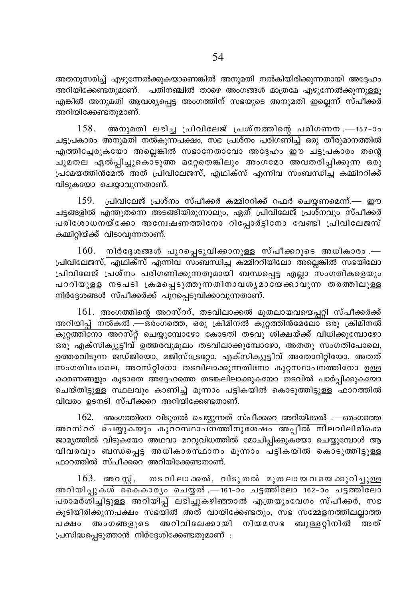അതനുസരിച്ച് എഴുന്നേൽക്കുകയാണെങ്കിൽ അനുമതി നൽകിയിരിക്കുന്നതായി അദ്ദേഹം അറിയിക്കേണ്ടതുമാണ്. പതിനഞ്ചിൽ താഴെ അംഗങ്ങൾ മാത്രമേ എഴുന്നേൽക്കുന്നുള്ളു എങ്കിൽ അനുമതി ആവശ്യപ്പെട്ട അംഗത്തിന് സഭയുടെ അനുമതി ഇല്ലെന്ന് സ്പീക്കർ അറിയിക്കേണ്ടതുമാണ്.

 $158.$  അനുമതി ലഭിച്ച പ്രിവിലേജ് പ്രശ്നത്തിന്റെ പരിഗണന $-$ 157-ാം ചട്ടപ്രകാരം അനുമതി നൽകുന്നപക്ഷം, സഭ പ്രശ്നം പരിഗണിച്ച് ഒരു തീരുമാനത്തിൽ എത്തിച്ചേരുകയോ അല്ലെങ്കിൽ സഭാനേതാവോ അദ്ദേഹം ഈ ചട്ടപ്രകാരം തന്റെ ചുമതല ഏൽപ്പിച്ചുകൊടുത്ത മറ്റേതെങ്കിലും അംഗമോ അവതരിപ്പിക്കുന്ന ഒരു പ്രമേയത്തിൻമേൽ അത് പ്രിവിലേജസ്, എഥിക്സ് എന്നിവ സംബന്ധിച്ച കമ്മിററിക്ക് വിടുകയോ ചെയ്യാവുന്നതാണ്.

 $159.$   $\mu$ വിവിലേജ് പ്രശ്നം സ്പീക്കർ കമ്മിററിക്ക് റഫർ ചെയണമെന്ന്.— ഈ ചട്ടങ്ങളിൽ എന്തുതന്നെ അടങ്ങിയിരുന്നാലും, ഏത് പ്രിവിലേജ് പ്രശ്നവും സ്പീക്കർ പരിശോധനയ്ക്കോ അന്വേഷണത്തിനോ റിപ്പോർട്ടിനോ വേണ്ടി പ്രിവിലേജസ് കമ്മിറ്റിയ്ക്ക് വിടാവുന്നതാണ്.

 $160.$  നിർദേശങ്ങൾ പുറപ്പെടുവിക്കാനുള്ള സ്പീക്കറുടെ അധികാരം .— ്പിവിലേജസ്, എഥിക്സ് എന്നിവ സംബന്ധിച്ച കമ്മിററിയിലോ അല്ലെങ്കിൽ സഭയിലോ ്പ്രിവിലേജ് പ്രശ്നം പരിഗണിക്കുന്നതുമായി ബന്ധപ്പെട്ട എല്ലാ സംഗതികളെയും പററിയുളള നടപടി ക്രമപ്പെടുത്തുന്നതിനാവശൃമായേക്കാവുന്ന തരത്തിലുള്ള നിർദ്ദേശങ്ങൾ സ്പീക്കർക്ക് പുറപ്പെടുവിക്കാവുന്നതാണ്.

 $161.$  അംഗത്തിന്റെ അറസ്ററ്, തടവിലാക്കൽ മുതലായവയെപ്പറ്റി സ്പീക്കർക്ക് അറിയിപ്പ് നൽകൽ .—ഒരംഗത്തെ, ഒരു ക്രിമിനൽ കുറ്റത്തിൻമേലോ ഒരു ക്രിമിനൽ  $\overline{\mathbb{A}}$ ുത്തിനോ അറസ്റ്റ് ചെയ്യുമ്പോഴോ കോടതി തടവു<sup>്</sup>ശിക്ഷയ്ക്ക് വിധിക്കുമ്പോഴോ ഒരു എക്സിക്യൂട്ടീവ് ഉത്തരവുമൂലം തടവിലാക്കുമ്പോഴോ, അതതു സംഗതിപോലെ, ഉത്തരവിടുന്ന ജഡ്ജിയോ, മജിസ്ട്രേറ്റോ, എക്സിക്യൂട്ടീവ് അതോറിറ്റിയോ, അതത് സംഗതിപോലെ, അറസ്റ്റിനോ തടവിലാക്കുന്നതിനോ കുറ്റസ്ഥാപനത്തിനോ ഉള്ള കാരണങ്ങളും കുടാതെ അദ്ദേഹത്തെ തടങ്കലിലാക്കുകയോ തടവിൽ പാർപ്പിക്കുകയോ ചെയ്തി<u>ടുള്ള</u> സ്ഥലവും കാണിച്ച് മൂന്നാം പട്ടികയിൽ കൊടുത്തിട്ടുള്ള<sup>്</sup>ഫാറത്തിൽ വിവരം ഉടനടി സ്പീക്കറെ അറിയിക്കേണ്ടതാണ്.

 $162.$  അംഗത്തിനെ വിടുതൽ ചെയ്യുന്നത് സ്പീക്കറെ അറിയിക്കൽ .—ഒരംഗത്തെ അറസ്ററ് ചെയ്യുകയും കുററസ്ഥാപനത്തിനുശേഷം അപ്പീൽ നിലവിലിരിക്കെ ജാമ്യത്തിൽ വിടുകയോ അഥവാ മററുവിധത്തിൽ മോചിപ്പിക്കുകയോ ചെയ്യുമ്പോൾ ആ വിവരവും ബന്ധപ്പെട്ട അധികാരസ്ഥാനം മൂന്നാം പട്ടികയിൽ കൊടുത്തിട്ടുള്ള  $\Delta$ മാറത്തിൽ സ്പീക്കറെ അറിയിക്കേണ്ടതാണ്.

 $163.$  അറസ്റ്റ്, തടവിലാക്കൽ, വിടുതൽ മുതലായവയെക്കുറിച്ചുള്ള Adn-bn-∏p-Iƒ ssIIm-cyw sNø¬ .—161˛mw N´Øntem 162˛mw N´Øntem  $\overline{\phantom{a}}$ പരാമർശിച്ചിട്ടുള്ള അറിയിപ്പ് ലഭിച്ചുകഴിഞ്ഞാൽ എത്രയുംവേഗം സ്പീക്കർ, സഭ കൂടിയിരിക്കുന്നപക്ഷം സഭയിൽ അത് വായിക്കേണ്ടതും, സഭ സമ്മേളനത്തിലല്ലാത്ത പക്ഷം അംഗങ്ങളുടെ അറിവിലേക്കായി നിയമസഭ ബുള്ളറ്റിനിൽ അത്  ${Lum}$ ിദ്ധപ്പെടുത്താൻ നിർദ്ദേശിക്കേണ്ടതുമാണ് :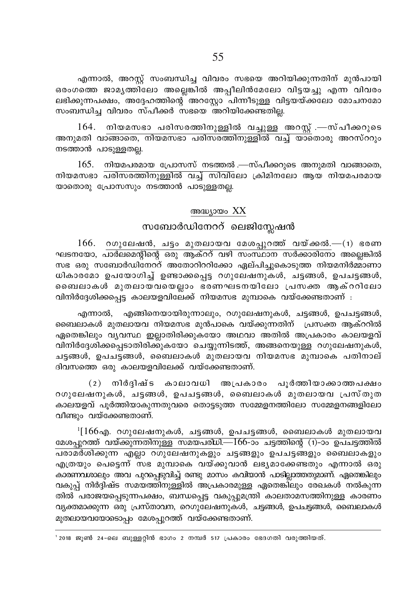എന്നാൽ, അറസ്പ് സംബന്ധിച്ച വിവരം സഭയെ അറിയിക്കുന്നതിന് മുൻപായി ഒരംഗത്തെ ജാമൃത്തിലോ അല്ലെങ്കിൽ അപ്പീലിൻമേലോ വിട്ടയച്ചു എന്ന വിവരം ലഭിക്കുന്നപക്ഷം, അദ്ദേഹത്തിന്റെ അറസ്റ്റോ പിന്നീടുള്ള വിട്ടയയ്ക്കലോ മോചനമോ സംബന്ധിച്ച വിവരം സ്പീക്കർ സഭയെ അറിയിക്കേണ്ടതില്ല.

164. നിയമസഭാ പരിസരത്തിനുള്ളിൽ വച്ചുള്ള അറസ്റ്റ് .—സ്പീക്കറുടെ അനുമതി വാങ്ങാതെ, നിയമസഭാ പരിസരത്തിനുള്ളിൽ വച്ച് യാതൊരു അറസ്ററും നടത്താൻ പാടുള്ളതല്ല.

 $165.$  നിയമപരമായ പ്രോസസ് നടത്തൽ —സ്പീക്കറുടെ അനുമതി വാങ്ങാതെ, .<br>നിയമസഭാ <mark>പരിസരത്തിനുള്ളിൽ വച്ച് സിവി</mark>ലോ ക്രിമിനലോ ആയ നിയമപരമായ യാതൊരു പ്രോസസും നടത്താൻ പാടുള്ളതല്ല.

## അദ്ധ്യായം XX

# സബോർഡിനേററ് ലെജിസ്ലേഷൻ

 $166.$  റഗുലേഷൻ, ചട്ടം മുതലായവ മേശപ്പുറത്ത് വയ്ക്കൽ.— $(1)$  ഭരണ ഘടനയോ, പാർലമെന്റിന്റെ ഒരു ആക്ററ് വഴി സംസ്ഥാന സർക്കാരിനോ അല്ലെങ്കിൽ സഭ ഒരു സബോർഡിനേറ്റ് അതോറിററിക്കോ ഏല്പിച്ചുകൊടുത്ത നിയമനിർമ്മാണാ ധികാരമോ ഉപയോഗിച്ച് ഉണ്ടാക്കപ്പെട്ട റഗുലേഷനുകൾ, ചട്ടങ്ങൾ, ഉപചട്ടങ്ങൾ, ബൈലാകൾ മുതലായവയെല്ലാം ഭരണഘടനയിലോ പ്രസക്ത ആക്ററിലോ വിനിർദ്ദേശിക്കപ്പെട്ട കാലയളവിലേക്ക് നിയമസഭ മുമ്പാകെ വയ്ക്കേണ്ടതാണ് :

എന്നാൽ, എങ്ങിനെയായിരുന്നാലും, റഗുലേഷനുകൾ, ചട്ടങ്ങൾ, ഉപചട്ടങ്ങൾ, ബൈലാകൾ മുതലായവ നിയമസഭ മുൻപാകെ വയ്ക്കുന്നതിന് പ്രസക്ത ആക്ററിൽ ഏതെങ്കിലും വ്യവസ്ഥ ഇല്ലാതിരിക്കുകയോ അഥവാ അതിൽ അപ്രകാരം കാലയളവ് വിനിർദ്ദേശിക്കപ്പെടാതിരിക്കുകയോ ചെയ്യുന്നിടത്ത്, അങ്ങനെയുള്ള റഗുലേഷനുകൾ, ചട്ടങ്ങൾ, ഉപചട്ടങ്ങൾ, ബൈലാകൾ മുതലായവ നിയമസഭ മുമ്പാകെ പതിനാല് ദിവസത്തെ ഒരു കാലയളവിലേക്ക് വയ്ക്കേണ്ടതാണ്.

(2) നിർദ്ദിഷ്ട കാലാവധി അപ്രകാരം പൂർത്തിയാക്കാത്തപക്ഷം റഗുലേഷനുകൾ, ചട്ടങ്ങൾ, ഉപചട്ടങ്ങൾ, ബൈലാകൾ മുതലായവ പ്രസ്തുത കാലയളവ് പൂർത്തിയാകുന്നതുവരെ തൊട്ടടുത്ത സമ്മേളനത്തിലോ സമ്മേളനങ്ങളിലോ വീണ്ടും വയ്ക്കേണ്ടതാണ്.

 $1[166]$ എ. റഗുലേഷനുകൾ, ചട്ടങ്ങൾ, ഉപചട്ടങ്ങൾ, ബൈലാകൾ മുതലായവ മേശപ്പുറത്ത് വയ്ക്കുന്നതിനുള്ള സമയപരിധി.—166-ാം ചട്ടത്തിന്റെ (1)-ാം ഉപചട്ടത്തിൽ പരാമർശിക്കുന്ന എല്ലാ റഗുലേഷനുകളും ചട്ടങ്ങളും ഉപചട്ടങ്ങളും ബൈലാകളും എത്രയും പെട്ടെന്ന് സഭ മുമ്പാകെ വയ്ക്കുവാൻ ലഭ്യമാക്കേണ്ടതും എന്നാൽ ഒരു കാരണവശാലും അവ പുറപ്പെടുവിച്ച് രണ്ടു മാസം കവിയാൻ പാടില്ലാത്തതുമാണ്. ഏതെങ്കിലും വകുപ്പ് നിർദ്ദിഷ്ട സമയത്തിനുള്ളിൽ അപ്രകാരമുള്ള ഏതെങ്കിലും രേഖകൾ നൽകുന്ന തിൽ പരാജയപ്പെടുന്നപക്ഷം, ബന്ധപ്പെട്ട വകുപ്പുമന്ത്രി കാലതാമസത്തിനുള്ള കാരണം വ്യക്തമാക്കുന്ന ഒരു പ്രസ്താവന, റെഗുലേഷനുകൾ, ചട്ടങ്ങൾ, ഉപചട്ടങ്ങൾ, ബൈലാകൾ മുതലായവയോടൊപ്പം മേശപ്പുറത്ത് വയ്ക്കേണ്ടതാണ്.

' 2018 ജൂൺ 24-ലെ ബുള്ളറ്റിൻ ഭാഗം 2 നമ്പർ 517 പ്രകാരം ഭേദഗതി വരുത്തിയത്.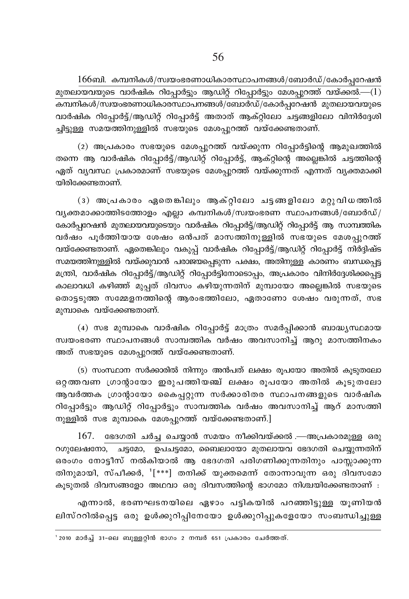$166$ ബി. കമ്പനികൾ/സ്വയംഭരണാധികാരസ്ഥാപനങ്ങൾ/ബോർഡ്/കോർപ്പറേഷൻ മുതലായവയുടെ വാർഷിക റിപ്പോർട്ടും ആഡിറ്റ് റിപ്പോർട്ടും മേശപ്പുറത്ത് വയ്ക്കൽ. $-(1)$ വാർഷിക റിപ്പോർട്ട്/ആഡിറ്റ് റിപ്പോർട്ട് അതാത് ആക്റ്റിലോ ചട്ടങ്ങളിലോ വിനിർദ്ദേശി ച്ചിട്ടുള്ള സമയത്തിനുള്ളിൽ സഭയുടെ മേശപ്പുറത്ത് വയ്ക്കേണ്ടതാണ്.

(2) അപ്രകാരം സഭയുടെ മേശപ്പുറത്ത് വയ്ക്കുന്ന റിപ്പോർട്ടിന്റെ ആമുഖത്തിൽ തന്നെ ആ വാർഷിക റിപ്പോർട്ട്/ആഡിറ്റ് റിപ്പോർട്ട്, ആക്റ്റിന്റെ അല്ലെങ്കിൽ ചട്ടത്തിന്റെ ഏത് വ്യവസ്ഥ പ്രകാരമാണ് സഭയുടെ മേശപ്പുറത്ത് വയ്ക്കുന്നത് എന്നത് വ്യക്തമാക്കി യിരിക്കേണ്ടതാണ്.

(3) അപ്രകാരം ഏതെങ്കിലും ആക്റ്റിലോ ചട്ടങ്ങളിലോ മറ്റുവിധത്തിൽ വൃക്തമാക്കാത്തിടത്തോളം എല്ലാ കമ്പനികൾ/സ്വയംഭരണ സ്ഥാപനങ്ങൾ/ബോർഡ്/ കോർപ്പറേഷൻ മുതലായവയുടെയും വാർഷിക റിപ്പോർട്ട്/ആഡിറ്റ് റിപ്പോർട്ട് ആ സാമ്പത്തിക വർഷം പൂർത്തിയായ ശേഷം ഒൻപത് മാസത്തിനുള്ളിൽ സഭയുടെ മേശപ്പുറത്ത് വയ്ക്കേണ്ടതാണ്. ഏതെങ്കിലും വകുപ്പ് വാർഷിക റിപ്പോർട്ട്/ആഡിറ്റ് റിപ്പോർട്ട് നിർദ്ദിഷ്ട സമയത്തിനുള്ളിൽ വയ്ക്കുവാൻ പരാജയപ്പെടുന്ന പക്ഷം, അതിനുള്ള കാരണം ബന്ധപ്പെട്ട മന്ത്രി, വാർഷിക റിപ്പോർട്ട്/ആഡിറ്റ് റിപ്പോർട്ടിനോടൊപ്പം, അപ്രകാരം വിനിർദ്ദേശിക്കപ്പെട്ട കാലാവധി കഴിഞ്ഞ് മുപ്പത് ദിവസം കഴിയുന്നതിന് മുമ്പായോ അല്ലെങ്കിൽ സഭയുടെ തൊട്ടടുത്ത സമ്മേളനത്തിന്റെ ആരംഭത്തിലോ, ഏതാണോ ശേഷം വരുന്നത്, സഭ മുമ്പാകെ വയ്ക്കേണ്ടതാണ്.

(4) സഭ മുമ്പാകെ വാർഷിക റിപ്പോർട്ട് മാത്രം സമർപ്പിക്കാൻ ബാദ്ധ്യസ്ഥമായ സ്വയംഭരണ സ്ഥാപനങ്ങൾ സാമ്പത്തിക വർഷം അവസാനിച്ച് ആറു മാസത്തിനകം അത് സഭയുടെ മേശപ്പുറത്ത് വയ്ക്കേണ്ടതാണ്.

(5) സംസ്ഥാന സർക്കാരിൽ നിന്നും അൻപത് ലക്ഷം രുപയോ അതിൽ കുടുതലോ ഒറ്റത്തവണ ഗ്രാന്റായോ ഇരുപത്തിയഞ്ച് ലക്ഷം രൂപയോ അതിൽ കൂടുതലോ ആവർത്തക ഗ്രാന്റായോ കൈപ്പറ്റുന്ന സർക്കാരിതര സ്ഥാപനങ്ങളുടെ വാർഷിക റിപ്പോർട്ടും ആഡിറ്റ് റിപ്പോർട്ടും സാമ്പത്തിക വർഷം അവസാനിച്ച് ആറ് മാസത്തി നുള്ളിൽ സഭ മുമ്പാകെ മേശപ്പുറത്ത് വയ്ക്കേണ്ടതാണ്.]

 $167.$  ഭേദഗതി ചർച്ച ചെയ്യാൻ സമയം നീക്കിവയ്ക്കൽ —അപ്രകാരമുള്ള ഒരു റഗുലേഷനോ, ചട്ടമോ, ഉപചട്ടമോ, ബൈലായോ മുതലായവ ഭേദഗതി ചെയ്യുന്നതിന് ഒരംഗം നോട്ടീസ് നൽകിയാൽ ആ ഭേദഗതി പരിഗണിക്കുന്നതിനും പാസ്സാക്കുന്ന തിനുമായി, സ്പീക്കർ, '[\*\*\*] തനിക്ക് യുക്തമെന്ന് തോന്നാവുന്ന ഒരു ദിവസമോ കൂടുതൽ ദിവസങ്ങളോ അഥവാ ഒരു ദിവസത്തിന്റെ ഭാഗമോ നിശ്ചയിക്കേണ്ടതാണ് :

എന്നാൽ, ഭരണഘടനയിലെ ഏഴാം പട്ടികയിൽ പറഞ്ഞിട്ടുള്ള യൂണിയൻ ലിസ്ററിൽപ്പെട്ട ഒരു ഉൾക്കുറിപ്പിനേയോ ഉൾക്കുറിപ്പുകളേയോ സംബന്ധിച്ചുള്ള

' 2010 മാർച്ച് 31-ലെ ബുള്ളറ്റിൻ ഭാഗം 2 നമ്പർ 651 പ്രകാരം ചേർത്തത്.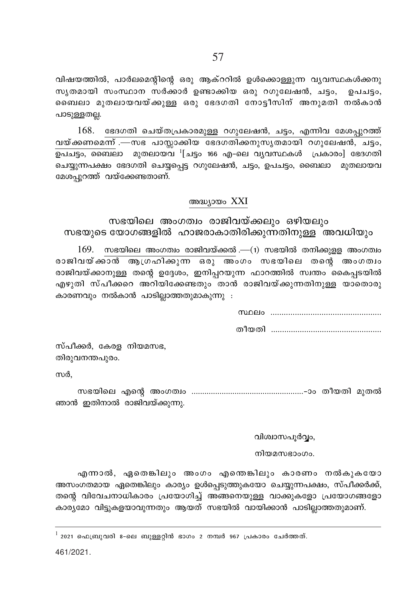വിഷയത്തിൽ, പാർലമെന്റിന്റെ ഒരു ആക്ററിൽ ഉൾക്കൊള്ളുന്ന വ്യവസ്ഥകൾക്കനു സൃതമായി സംസ്ഥാന സർക്കാർ ഉണ്ടാക്കിയ ഒരു റഗുലേഷൻ, ചട്ടം, ഉപചട്ടം, ബൈലാ മുതലായവയ്ക്കുള്ള ഒരു ഭേദഗതി നോട്ടീസിന് അനുമതി നൽകാൻ പാടുള്ളതല്ല.

168. ഭേദഗതി ചെയ്തപ്രകാരമുള്ള റഗുലേഷൻ, ചട്ടം, എന്നിവ മേശപ്പുറത്ത് <u>വയ്ക്കണമെന്ന് .—സഭ പാസ്സാക്കിയ ഭേദഗതിക്കനുസൃതമായി റഗുലേഷൻ, ചട്ടം, </u> ചെയ്യുന്നപക്ഷം ഭേദഗതി ചെയ്യപ്പെട്ട റഗുലേഷൻ, ചട്ടം, ഉപചട്ടം, ബൈലാ മുതലായവ മേശപ്പുറത്ത് വയ്ക്കേണ്ടതാണ്.

### അദ്ധ്യായം XXI

# സഭയിലെ അംഗത്വം രാജിവയ്ക്കലും ഒഴിയലും സഭയുടെ യോഗങ്ങളിൽ ഹാജരാകാതിരിക്കുന്നതിനുള്ള അവധിയും

 $169.$  സഭയിലെ അംഗത്വം രാജിവയ്ക്കൽ .— $(1)$  സഭയിൽ തനിക്കുള്ള അംഗത്വം രാജിവയ്ക്കാൻ ആഗ്രഹിക്കുന്ന ഒരു അംഗം സഭയിലെ തന്റെ അംഗത്വം രാജിവയ്ക്കാനുള്ള തന്റെ ഉദ്ദേശം, ഇനിപ്പറയുന്ന ഫാറത്തിൽ സ്വന്തം കൈപ്പടയിൽ .<br>എഴുതി സ്പീക്കറെ അറിയിക്കേണ്ടതും താൻ രാജിവയ്ക്കുന്നതിനുള്ള യാതൊരു കാരണവും നൽകാൻ പാടില്ലാത്തതുമാകുന്നു :

> $m$ )  $n$ elo

സ്പീക്കർ, കേരള നിയമസഭ, തിരുവനന്തപുരം.

സർ.

ഞാൻ ഇതിനാൽ രാജിവയ്ക്കുന്നു.

#### വിശ്വാസപൂർവ്വം,

നിയമസഭാംഗം.

എന്നാൽ, ഏതെങ്കിലും അംഗം എന്തെങ്കിലും കാരണം നൽകുകയോ അസംഗതമായ ഏതെങ്കിലും കാര്യം ഉൾപ്പെടുത്തുകയോ ചെയ്യുന്നപക്ഷം, സ്പീക്കർക്ക്, തന്റെ വിവേചനാധികാരം പ്രയോഗിച്ച് അങ്ങനെയുള്ള വാക്കുകളോ പ്രയോഗങ്ങളോ കാര്യമോ വിട്ടുകളയാവുന്നതും ആയത് സഭയിൽ വായിക്കാൻ പാടില്ലാത്തതുമാണ്.

 $^{\rm 1}$  2021 ഫെബ്രുവരി 8-ലെ ബുള്ളറ്റിൻ ഭാഗം 2 നമ്പർ 967 പ്രകാരം ചേർത്തത്.

461/2021.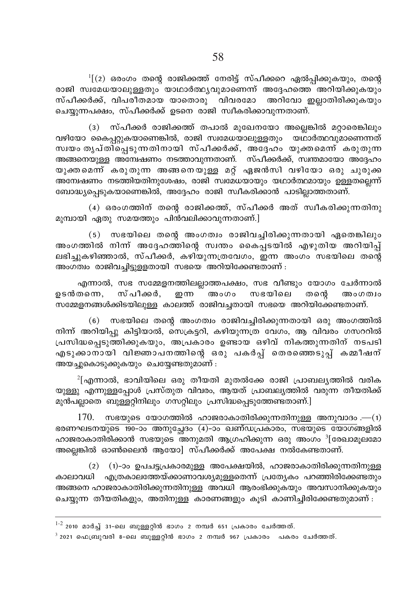$\mathbf{1}^{\text{I}}$ (2) ഒരംഗം തന്റെ രാജിക്കത്ത് നേരിട്ട് സ്പീക്കറെ ഏൽപ്പിക്കുകയും, തന്റെ രാജി സ്വമേധയാലുള്ളതും യാഥാർത്ഥൃവുമാണെന്ന് അദ്ദേഹത്തെ അറിയിക്കുകയും<br>സ്പീക്കർക്ക്, വിപരീതമായ യാതൊരു \_ വിവരമോ \_ അറിവോ ഇലാതിരിക്കുകയും സ്പീക്കർക്ക്, വിപരീതമായ യാതൊരു വിവരമോ ചെയ്യുന്നപക്ഷം, സ്പീക്കർക്ക് ഉടനെ രാജി സ്വീകരിക്കാവുന്നതാണ്.

(3) സ്പീക്കർ രാജിക്കത്ത് തപാൽ മുഖേനയോ അല്ലെങ്കിൽ മറ്റാരെങ്കിലും  $\alpha$ ഴിയോ കൈപറ്റുകയാണെങ്കിൽ, രാജി സ്വമേധയാലുള്ളതും യഥാർത്ഥവുമാണെന്നത് സ്വയം തൃപ്തിച്ചെടുന്നതിനായി സ്പീക്കർക്ക്, അദ്ദേഹം യുക്തമെന്ന് കരുതുന്ന അങ്ങനെയുള്ള അമ്പേഷണം നടത്താവുന്നതാണ്. സ്പീക്കർക്ക്, സ്ഥതമായോ അദ്ദേഹം യുകതമെന്ന് കരുതുന്ന അങ്ങനെയുള്ള മറ്റ് ഏജൻസി വഴിയോ ഒരു ചുരുക്ക .<br>അ്നേഷണം നടത്തിയതിനുശേഷം, രാജി സഭമധയായും യഥാർത്ഥമായും ഉള്ളതല്ലെന്ന് ബോദ്ധ്യപ്പെടുകയാണെങ്കിൽ, അദ്ദേഹം രാജി സ്വീകരിക്കാൻ പാടില്ലാത്തതാണ്.

(4) ഒരംഗത്തിന് തന്റെ രാജിക്കത്ത്, സ്പീക്കർ അത് സ്വീകരിക്കുന്നതിനു മുമ്പായി ഏതു സമയത്തും പിൻവലിക്കാവുന്നതാണ്.<u>]</u>

 $(5)$  സഭയിലെ തന്റെ അംഗത്വം രാജിവച്ചിരിക്കുന്നതായി ഏതെങ്കിലും അംഗത്തിൽ നിന്ന് അദ്ദേഹത്തിന്റെ സ്വന്തം കൈപ്പടയിൽ എഴുതിയ അറിയിപ്പ് ലഭിച്ചുകഴിഞ്ഞാൽ, സ്പീക്കർ, കഴിയുന്നത്രവേഗം, ഇന്ന അംഗം സഭയിലെ തന്റെ അംഗത്വം രാജിവച്ചിട്ടുളളതായി സഭയെ അറിയിക്കേണ്ടതാണ് :

എന്നാൽ, സഭ സമ്മേളനത്തിലല്ലാത്തപക്ഷം, സഭ വീണ്ടും യോഗം ചേർന്നാൽ<br>തന്നെ, സ്പീക്കർ, ഇന്ന അംഗം സഭയിലെ തന്റെ അംഗത്വം ഉടൻതന്നെ, സ്പീക്കർ, ഇന്ന അംഗം സഭയിലെ തന്റെ അംഗത⊔ം സമ്മേളനങ്ങൾക്കിടയിലുള്ള കാലത്ത് രാജിവച്ചതായി സഭയെ അറിയിക്കേണ്ടതാണ്.

 $(6)$  സഭയിലെ തന്റെ അംഗത്വം രാജിവച്ചിരിക്കുന്നതായി ഒരു അംഗത്തിൽ നിന്ന് അറിയിപ്പു കിട്ടിയാൽ, സെക്രട്ടറി, കഴിയുന്നത്ര വേഗം, ആ വിവരം ഗസററിൽ പ്രസിദ്ധപ്പെടുത്തിക്കുകയും, അപ്രകാരം ഉണ്ടായ ഒഴിവ് നികത്തുന്നതിന് നടപടി എടുക്കാനായി വിജ്ഞാപനത്തിന്റെ ഒരു പകർപ്പ് തെരഞ്ഞെടുപ്പ് കമ്മീഷന് അയച്ചുകൊടുക്കുകയും ചെയ്യേണ്ടതുമാണ് :

 $^2$ [എന്നാൽ, ഭാവിയിലെ ഒരു തീയതി മുതൽക്കേ രാജി പ്രാബല്യത്തിൽ വരിക യുള്ളു എന്നുള്ളപ്പോൾ പ്രസ്തുത വിവരം, ആയത് പ്രാബല്യത്തിൽ വരുന്ന തീയതിക്ക് മുൻപല്ലാതെ ബുള്ളറ്റിനിലും ഗസറ്റിലും പ്രസിദ്ധപ്പെടുത്തേണ്ടതാണ്.]

 $170.$  സഭയുടെ യോഗത്തിൽ ഹാജരാകാതിരിക്കുന്നതിനുള്ള അനുവാദം .—(1) ഭരണഘടനയുടെ 190–ാം അനുച്ചേദം (4)–ാം ഖണ്ഡപ്രകാരം, സഭയുടെ യോഗങ്ങളിൽ ഹാജരാകാതിരിക്കാൻ സഭയുടെ അനുമതി ആഗ്രഹിക്കുന്ന ഒരു അംഗം <sup>3</sup>[രേഖാമൂലഭമാ അല്ലെങ്കിൽ ഓൺലൈൻ ആയോ] സ്പീക്കർക്ക് അപേക്ഷ നൽകേണ്ടതാണ്.

 $(2)$   $(1)$ −ാം ഉപചട്ടപ്രകാരമുള്ള അപേക്ഷയിൽ, ഹാജരാകാതിരിക്കുന്നതിനുള്ള കാലാവധി എത്രകാലത്തേയ്ക്കാണാവശ്യമുള്ളതെന്ന് പ്രത്യേകം പറഞ്ഞിരിക്കേണ്ടതും അങ്ങനെ ഹാജരാകാതിരിക്കുന്നതിനുള്ള അവധി ആരംഭിക്കുകയും അവസാനിക്കുകയും ചെയ്യുന്ന തീയതികളും, അതിനുള്ള കാരണങ്ങളും കുടി കാണിച്ചിരിക്കേണ്ടതുമാണ് :

 $1-2$  2010 മാർച്ച് 31-ലെ ബുള്ളറ്റിൻ ഭാഗം 2 നമ്പർ 651 പ്രകാരം ചേർത്തത്.

 $3$  2021 ഫെബ്രുവരി 8-ലെ ബുള്ളറ്റിൻ ഭാഗം 2 നമ്പർ 967 പ്രകാരം പകരം ചേർത്തത്.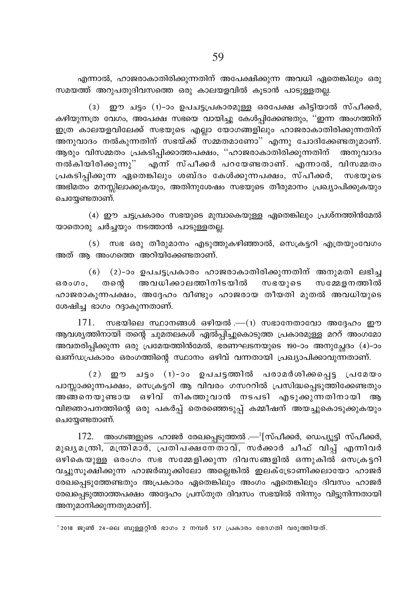എന്നാൽ, ഹാജരാകാതിരിക്കുന്നതിന് അപേക്ഷിക്കുന്ന അവധി ഏതെങ്കിലും ഒരു സമയത്ത് അറുപതുദിവസത്തെ ഒരു കാലയളവിൽ കൂടാൻ പാടുള്ളതല്ല.

(3) ഈ ചട്ടം (1)-ാം ഉപചട്ടപ്രകാരമുള്ള ഒരപേക്ഷ കിടിയാൽ സ്പീക്കർ, കഴിയുന്നത്ര വേഗം, അപേക്ഷ സഭയെ വായിച്ചു കേൾപ്പിക്കേണ്ടതും, ''ഇന്ന അംഗത്തിന് .<br>ഇത്ര കാലയളവിലേക്ക് സഭയുടെ എല്ലാ യോഗങ്ങളിലും ഹാജരാകാതിരിക്കുന്നതിന് \_\_<br>അനുവാദം നൽകുന്നതിന് സഭയ്ക്ക് സമ്മതമാണോ" എന്നു ചോദിക്കേണ്ടതുമാണ്. ആരും വിസമ്മതം പ്രകടിപ്പിക്കാത്തപക്ഷം, ''ഹാജരാകാതിരിക്കുന്നതിന് അനുവാദം നൽകിയിരിക്കുന്നു'' എന്ന് സ്പീക്കർ പറയേണ്ടതാണ്. എന്നാൽ, വിസമ്മതം ്രപകടിപ്പിക്കുന്ന ഏതെങ്കിലും ശബ്ദം കേൾക്കുന്നപക്ഷം, സ്**പീക്കർ, സഭയുടെ** അഭിമതം മനസ്സിലാക്കുകയും, അതിനുശേഷം സഭയുടെ തീരുമാനം പ്രഖ്യാപിക്കുകയും ചെയേണ്ടതാണ്.

 $(4)$  ഈ ചട്ടപ്രകാരം സഭയുടെ മുമ്പാകെയുള്ള ഏതെങ്കിലും പ്രശ്നത്തിൻമേൽ യാതൊരു ചർച്ചയും നടത്താൻ പാടുള്ളതല്ല.

 $(5)$  സഭ ഒരു തീരുമാനം എടുത്തുകഴിഞ്ഞാൽ, സെക്രട്ടറി എത്രയുംവേഗം അത് ആ അംഗത്തെ അറിയിക്കേണ്ടതാണ്.

 $(6)$   $(2)$ −ാം ഉപചട്ടപ്രകാരം ഹാജരാകാതിരിക്കുന്നതിന് അനുമതി ലഭിച്ച ഒരംഗം, തനെ അവധിക്കാലത്തിനിടയിൽ സഭയുടെ സമ്മേളനത്തിൽ ഹാജരാകുന്നപക്ഷം, അദ്ദേഹം വീണ്ടും ഹാജരായ തീയതി മുതൽ അവധിയുടെ ശേഷിച്ച ഭാഗം റദ്ദാകുന്നതാണ്.

 $171.$  സഭയിലെ സ്ഥാനങ്ങൾ ഒഴിയൽ .— $(1)$  സഭാനേതാവോ അദ്ദേഹം ഈ ആവശ്യത്തിനായി തന്റെ ചുമതലകൾ ഏൽപ്പിച്ചുകൊടുത്ത പ്രകാരമുള്ള മററ് അംഗമോ അവതരിപ്പിക്കുന്ന ഒരു പ്രമേയത്തിൻമേൽ, ഭരണഘടനയുടെ 190–ാം അനുച്ചേദം (4)–ാം ഖണ്ഡപ്രകാരം ഒരംഗത്തിന്റെ സ്ഥാനം ഒഴിവ് വന്നതായി പ്രഖ്യാപിക്കാവുന്നതാണ്.

 $(2)$  ഈ ചട്ടം  $(1)$ -ാം ഉപചട്ടത്തിൽ പരാമർശിക്കപ്പെട്ട പ്രമേയം പാസ്സാക്കുന്നപക്ഷം, സെക്രട്ടറി ആ വിവരം ഗസററിൽ പ്രസിദ്ധപ്പെടുത്തിക്കേണ്ടതും അങ്ങനെയുണ്ടായ ഒഴിവ് നികത്തുവാൻ നടപടി എടുക്കുന്നതിനായി ആ വിജ്ഞാപനത്തിന്റെ ഒരു പകർപ്പ് തെരഞ്ഞെടുപ്പ് കമ്മീഷന് അയച്ചുകൊടുക്കുകയും ചെയ്യേണ്ടതാണ്.

 $172$ . അംഗങ്ങളുടെ ഹാജർ രേഖപ്പെടുത്തൽ — $^1$ [സ്പീക്കർ, ഡെപ്യൂട്ടി സ്പീക്കർ, മുഖൃമന്ത്രി, മന്ത്രിമാർ, പ്രതിപക്ഷതേതാവ്, സർക്കാർ ചീഫ് വിപ്പ് എന്നിവർ ഒഴികെയുള്ള ഒരംഗം സഭ സമ്മേളിക്കുന്ന ദിവസങ്ങളിൽ ഒന്നുകിൽ സെക്രട്ടറി വച്ചുസൂക്ഷിക്കുന്ന ഹാജർബുക്കിലോ അല്ലെങ്കിൽ ഇലക്ട്രോണിക്കലായോ ഹാജർ രേഖപ്പെടുത്തേണ്ടതും അപ്രകാരം ഏതെങ്കിലും അംഗം ഏതെങ്കിലും ദിവസം ഹാജർ രേഖപ്പെടുത്താത്തപക്ഷം അദ്ദേഹം പ്രസ്തുത ദിവസം സഭയിൽ നിന്നും വിട്ടുനിന്നതായി അനുമാനിക്കുന്നതുമാണ്].

' 2018 ജൂൺ 24-ലെ ബുള്ളറ്റിൻ ഭാഗം 2 നമ്പർ 517 പ്രകാരം ഭേദഗതി വരുത്തിയത്.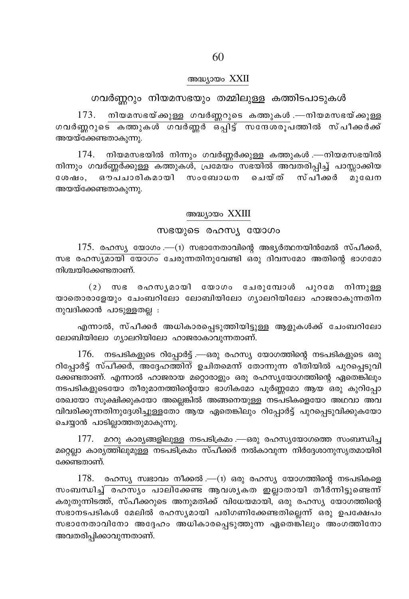#### അദ്ധ്യായം XXII

## ഗവർണ്ണറും നിയമസഭയും തമ്മിലുള്ള കത്തിടപാടുകൾ

 $173. \quad$  നിയമസഭയ്ക്കുള്ള ഗവർണ്ണറുടെ കത്തുകൾ .—നിയമസഭയ്ക്കുള്ള ഗവർണറുടെ കത്തുകൾ ഗവർണ്ണർ ഒപ്പിട്ട് സന്ദേശരൂപത്തിൽ സ്പീക്കർക്ക് അയയ്ക്കേണ്ടതാകുന്നു.

 $174.$  നിയമസഭയിൽ നിന്നും ഗവർണ്ണർക്കുള്ള കത്തുകൾ .—നിയമസഭയിൽ  $\mathfrak{m}$ നും ഗവർണ്ണർക്കുള്ള കത്തുകൾ, പ്രമേയം സഭയിൽ അവതരിപ്പിച്ച് പാസ്സാക്കിയ ശേഷം, ഔപചാരികമായി സംബോധന ചെയ്ത് സ്പീക്കർ മുഖേന അയയ്ക്കേണ്ടതാകുന്നു.

### അദ്ധ്യായം XXIII

## സഭയുടെ രഹസ്യ യോഗം

 $175.$  രഹസ്യ യോഗം .—(1) സഭാനേതാവിന്റെ അഭ്യർത്ഥനയിൻമേൽ സ്പീക്കർ, സഭ രഹസ്യമായി യോഗം ചേരുന്നതിനുവേണ്ടി ഒരു ദിവസമോ അതിന്റെ ഭാഗമോ നിശ്ചയിക്കേണ്ടതാണ്.

 $(2)$  സഭ രഹസൃമായി യോഗം ചേരുമ്പോൾ പുറമേ നിന്നുള്ള യാതൊരാളേയും ചേംബറിലോ ലോബിയിലോ ഗൃാലറിയിലോ ഹാജരാകുന്നതിന  $m<sub>λ</sub>$ വദിക്കാൻ പാടുള്ളതല്ല $n$  :

എന്നാൽ, സ്പീക്കർ അധികാരപ്പെടുത്തിയിട്ടുള്ള ആളുകൾക്ക് ചേംബറിലോ ലോബിയിലോ ഗ്യാലറിയിലോ ഹാജരാകാവുന്നതാണ്.

 $176$ . നടപടികളുടെ റിപ്പോർട്ട് .—ഒരു രഹസ്യ യോഗത്തിന്റെ നടപടികളുടെ ഒരു റിപ്പോർട്ട് സ്പീക്കർ, അദ്ദേഹത്തിന് ഉചിതമെന്ന് തോന്നുന്ന രീതിയിൽ പുറപ്പെടുവി ക്കേണ്ടതാണ്. എന്നാൽ ഹാജരായ മറ്റൊരാളും ഒരു രഹസ്യയോഗത്തിന്റെ ഏതെങ്കിലും നടപടികളുടെയോ തീരുമാനത്തിന്റെയോ ഭാഗികമോ പൂർണ്ണമോ ആയ ഒരു കുറിപ്പോ രേഖയോ സൂക്ഷിക്കുകയോ അല്ലെങ്കിൽ അങ്ങനെയുള്ള നടപടികളെയോ അഥവാ അവ വിവരിക്കുന്നതിനുദ്ദേശിച്ചുള്ളതോ<sup>്</sup> ആയ ഏതെങ്കിലും റിപ്പോർട്ട് പുറപ്പെടുവിക്കുകയോ ചെയ്യാൻ പാടില്ലാത്തതുമാകുന്നു.

 $177.$  മററു കാര്യങ്ങളിലുള്ള നടപടിക്രമം .—ഒരു രഹസ്യയോഗത്തെ സംബന്ധിച്ച മറ്റെല്ലാ കാരൃത്തിലുമുള്ള നടപടിക്രമം സ്പീക്കർ നൽകാവുന്ന നിർദ്ദേശാനുസൃതമായിരി ക്കേണ്ടതാണ്.

 $178.$  രഹസ്യ സ്വഭാവം നീക്കൽ .—(1) ഒരു രഹസ്യ യോഗത്തിന്റെ നടപടികളെ സംബന്ധിച്ച് രഹസ്യം പാലിക്കേണ്ട<sup>്</sup> ആവശ്യകത ഇല്ലാതായി തീർന്നിട്ടുണ്ടെന്ന് കരുതുന്നിടത്ത്, സ്പീക്കറുടെ അനുമതിക്ക് വിധേയമായി, ഒരു രഹസ്യ യോഗത്തിന്റെ സഭാനടപടികൾ മേലിൽ രഹസ്യമായി പരിഗണിക്കേണ്ടതില്ലെന്ന് ഒരു ഉപക്ഷേപ<mark>ം</mark>  ${\sf m}$ ഭാനേതാവിനോ അദ്ദേഹം അധികാരപെടുത്തുന്ന ഏതെങ്കിലും അംഗത്തിനോ അവതരിപ്പിക്കാവുന്നതാണ്.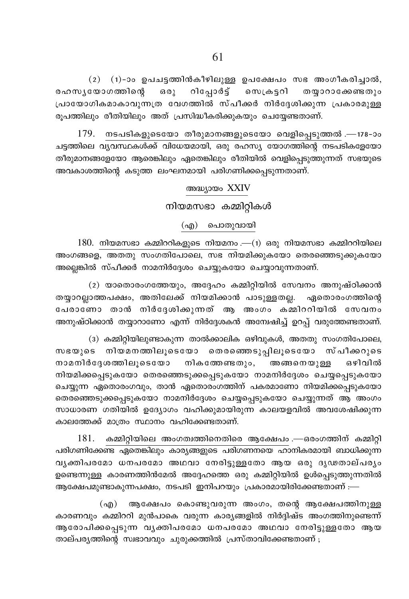$(2)$   $(1)$ -ാം ഉപചട്ടത്തിൻകീഴിലുള്ള ഉപക്ഷേപം സഭ അംഗീകരിച്ചാൽ, റിപ്പോർട്ട് രഹസ്യയോഗത്തിന്റെ  $6301$ സെക്രട്ടറി തയ്യാറാക്കേണ്ടതും പ്രായോഗികമാകാവുന്നത്ര വേഗത്തിൽ സ്പീക്കർ നിർദ്ദേശിക്കുന്ന പ്രകാരമുള്ള രൂപത്തിലും രീതിയിലും അത് പ്രസിദ്ധീകരിക്കുകയും ചെയ്യേണ്ടതാണ്.

 $179.$  നടപടികളുടെയോ തീരുമാനങ്ങളുടെയോ വെളിപ്പെടുത്തൽ .—178-ാം ചട്ടത്തിലെ വൃവസ്ഥകൾക്ക് വിധേയമായി, ഒരു രഹസ്യ യോഗത്തിന്റെ നടപടികളേയോ തീരുമാനങ്ങളേയോ ആരെങ്കിലും ഏതെങ്കിലും രീതിയിൽ വെളിപ്പെടുത്തുന്നത് സഭയുടെ അവകാശത്തിന്റെ കടുത്ത ലംഘനമായി പരിഗണിക്കപ്പെടുന്നതാണ്.

### അദ്ധ്യായം XXIV

നിയമസഭാ കമ്മിറ്റികൾ

(എ) പൊതുവായി

 $180.$  നിയമസഭാ കമ്മിററികളുടെ നിയമനം $-$ (1) ഒരു നിയമസഭാ കമ്മിററിയിലെ അംഗങ്ങളെ, അതതു സംഗതിപോലെ, സഭ നിയമിക്കുകയോ തെരഞ്ഞെടുക്കുകയോ അല്ലെങ്കിൽ സ്പീക്കർ നാമനിർദ്ദേശം ചെയ്യുകയോ ചെയ്യാവുന്നതാണ്.

(2) യാതൊരംഗത്തേയും, അദ്ദേഹം കമ്മിറ്റിയിൽ സേവനം അനുഷ്ഠിക്കാൻ തയ്യാറല്ലാത്തപക്ഷം, അതിലേക്ക് നിയമിക്കാൻ പാടുള്ളതല്ല. ഏതൊരംഗത്തിന്റെ പേരാണോ താൻ നിർദ്ദേശിക്കുന്നത് ആ അംഗം കമ്മിററിയിൽ സേവനം അനുഷ്ഠിക്കാൻ തയ്യാറാണോ എന്ന് നിർദ്ദേശകൻ അന്വേഷിച്ച് ഉറപ്പ് വരുത്തേണ്ടതാണ്.

(3) കമ്മിറ്റിയിലുണ്ടാകുന്ന താൽക്കാലിക ഒഴിവുകൾ, അതതു സംഗതിപോലെ, സഭയുടെ നിയമനത്തിലൂടെയോ തെരഞ്ഞെടുപ്പിലൂടെയോ സ്പീക്കറുടെ നാമനിർദേശത്തിലൂടെയോ നികത്തേണ്ടതും, അങ്ങനെയുള്ള ഒഴിവിൽ നിയമിക്കപ്പെടുകയോ തെരഞ്ഞെടുക്കപ്പെടുകയോ നാമനിർദ്ദേശം ചെയ്യപ്പെടുകയോ ചെയ്യുന്ന ഏതൊരംഗവും, താൻ ഏതൊരംഗത്തിന് പകരമാണോ നിയമിക്കപ്പെടുകയോ തെരഞ്ഞെടുക്കപ്പെടുകയോ നാമനിർദ്ദേശം ചെയ്യപ്പെടുകയോ ചെയ്യുന്നത് ആ അംഗം സാധാരണ ഗതിയിൽ ഉദ്യോഗം വഹിക്കുമായിരുന്ന കാലയളവിൽ അവശേഷിക്കുന്ന കാലത്തേക്ക് മാത്രം സ്ഥാനം വഹിക്കേണ്ടതാണ്.

 $181.$  കമ്മിറ്റിയിലെ അംഗത്വത്തിനെതിരെ ആക്ഷേപം .—ഒരംഗത്തിന് കമ്മിറ്റി പരിഗണിക്കേണ്ട ഏതെങ്കിലും കാര്യങ്ങളുടെ പരിഗണനയെ ഹാനികരമായി ബാധിക്കുന്ന വൃക്തിപരമോ ധനപരമോ അഥവാ നേരിട്ടുള്ളതോ ആയ ഒരു ദൃഢതാല്പരൃം ഉണ്ടെന്നുള്ള കാരണത്തിൻമേൽ അദ്ദേഹത്തെ ഒരു കമ്മിറ്റിയിൽ ഉൾപ്പെടുത്തുന്നതിൽ ആക്ഷേപമുണ്ടാകുന്നപക്ഷം, നടപടി ഇനിപറയും പ്രകാരമായിരിക്കേണ്ടതാണ് :—

(എ) ആക്ഷേപം കൊണ്ടുവരുന്ന അംഗം, തന്റെ ആക്ഷേപത്തിനുള്ള കാരണവും കമ്മിററി മുൻപാകെ വരുന്ന കാര്യങ്ങളിൽ നിർദ്ദിഷ്ട അംഗത്തിനുണ്ടെന്ന് ആരോപിക്കപ്പെടുന്ന വൃക്തിപരമോ ധനപരമോ അഥവാ നേരിട്ടുള്ളതോ ആയ താല്പര്യത്തിന്റെ സ്വഭാവവും ചുരുക്കത്തിൽ പ്രസ്താവിക്കേണ്ടതാണ് ;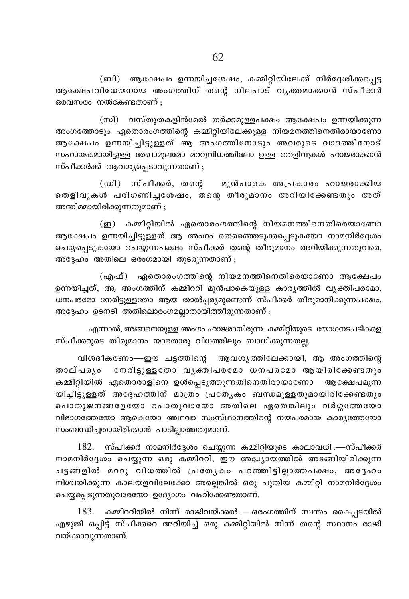(ബി) ആക്ഷേപം ഉന്നയിച്ചശേഷം, കമ്മിറ്റിയിലേക്ക് നിർദ്ദേശിക്കപ്പെട്ട ആക്ഷേപവിധേയനായ അംഗത്തിന് തന്റെ നിലപാട് വൃക്തമാക്കാൻ സ്പീക്കർ ഒരവസരം നൽകേണ്ടതാണ് :

(സി) വസ്തുതകളിൻമേൽ തർക്കമുള്ളപക്ഷം ആക്ഷേപം ഉന്നയിക്കുന്ന അംഗത്തോടും ഏതൊരംഗത്തിന്റെ കമ്മിറ്റിയിലേക്കുള്ള നിയമനത്തിനെതിരായാണോ ആക്ഷേപം ഉന്നയിച്ചിട്ടുള്ളത് ആ അംഗത്തിനോടും അവരുടെ വാദത്തിനോട് സഹായകമായിട്ടുള്ള രേഖാമുലമോ മററുവിധത്തിലോ ഉള്ള തെളിവുകൾ ഹാജരാക്കാൻ സ്പീക്കർക്ക് ആവശ്യപ്പെടാവുന്നതാണ്;

(ഡി) സ്പീക്കർ, തന്റെ മുൻപാകെ അപ്രകാരം ഹാജരാക്കിയ തെളിവുകൾ പരിഗണിച്ചശേഷം, തന്റെ തീരുമാനം അറിയിക്കേണ്ടതും അത് അന്തിമമായിരിക്കുന്നതുമാണ് ;

(ഇ) കമ്മിറ്റിയിൽ ഏതൊരംഗത്തിന്റെ നിയമനത്തിനെതിരെയാണോ ആക്ഷേപം ഉന്നയിച്ചിട്ടുള്ളത് ആ അംഗം തെരഞ്ഞെടുക്കപ്പെടുകയോ നാമനിർദ്ദേശം ചെയ്യപ്പെടുകയോ ചെയ്യുന്നപക്ഷം സ്പീക്കർ തന്റെ തീരുമാനം അറിയിക്കുന്നതുവരെ, അദ്ദേഹം അതിലെ ഒരംഗമായി തുടരുന്നതാണ് ;

(എഫ്) ഏതൊരംഗത്തിന്റെ നിയമനത്തിനെതിരെയാണോ ആക്ഷേപം ഉന്നയിച്ചത്, ആ അംഗത്തിന് കമ്മിററി മുൻപാകെയുള്ള കാര്യത്തിൽ വ്യക്തിപരമോ, ധനപരമോ നേരിട്ടുള്ളതോ ആയ താൽപ്പര്യമുണ്ടെന്ന് സ്പീക്കർ തീരുമാനിക്കുന്നപക്ഷം, അദ്ദേഹം ഉടനടി അതിലൊരംഗമലാതായിത്തീരുന്നതാണ് :

എന്നാൽ, അങ്ങനെയുള്ള അംഗം ഹാജരായിരുന്ന കമ്മിറ്റിയുടെ യോഗനടപടികളെ സ്പീക്കറുടെ തീരുമാനം യാതൊരു വിധത്തിലും ബാധിക്കുന്നതല്ല.

വിശദീകരണം—ഈ ചട്ടത്തിന്റെ ആവശ്യത്തിലേക്കായി, ആ അംഗത്തിന്റെ താല്പര്യം കമ്മിറ്റിയിൽ ഏതൊരാളിനെ ഉൾപ്പെടുത്തുന്നതിനെതിരായാണോ ആക്ഷേപമുന്ന യിച്ചിട്ടുള്ളത് അദ്ദേഹത്തിന് മാത്രം പ്രത്യേകം ബന്ധമുള്ളതുമായിരിക്കേണ്ടതും പൊതുജനങ്ങളേയോ പൊതുവായോ അതിലെ ഏതെങ്കിലും വർഗ്ഗത്തേയോ വിഭാഗത്തേയോ ആകെയോ അഥവാ സംസ്ഥാനത്തിന്റെ നയപരമായ കാര്യത്തേയോ സംബന്ധിച്ചതായിരിക്കാൻ പാടില്ലാത്തതുമാണ്.

182. സ്പീക്കർ നാമനിർദ്ദേശം ചെയ്യുന്ന കമ്മിറ്റിയുടെ കാലാവധി .—സ്പീക്കർ നാമനിർദ്ദേശം ചെയ്യുന്ന ഒരു കമ്മിററി, ഈ അദ്ധ്യായത്തിൽ അടങ്ങിയിരിക്കുന്ന ചട്ടങ്ങളിൽ മററു വിധത്തിൽ പ്രത്യേകം പറഞ്ഞിട്ടില്ലാത്തപക്ഷം, അദ്ദേഹം നിശ്ചയിക്കുന്ന കാലയളവിലേക്കോ അല്ലെങ്കിൽ ഒരു പുതിയ കമ്മിറ്റി നാമനിർദ്ദേശം ചെയ്യപ്പെടുന്നതുവരേയോ ഉദ്യോഗം വഹിക്കേണ്ടതാണ്.

183. കമ്മിററിയിൽ നിന്ന് രാജിവയ്ക്കൽ .—ഒരംഗത്തിന് സ്വന്തം കൈപ്പടയിൽ എഴുതി ഒപ്പിട്ട് സ്പീക്കറെ അറിയിച്ച് ഒരു കമ്മിറ്റിയിൽ നിന്ന് തന്റെ സ്ഥാനം രാജി വയ്ക്കാവുന്നതാണ്.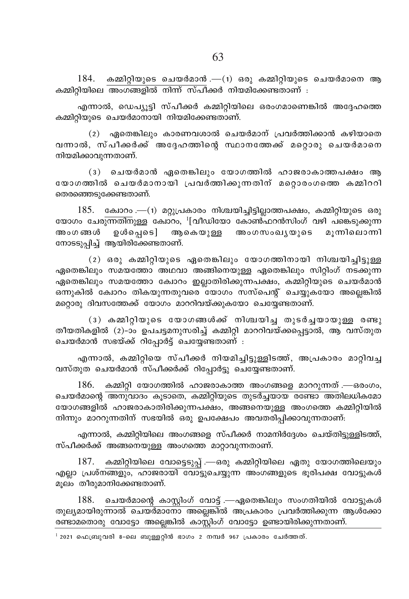$184$ . കമ്മിറ്റിയുടെ ചെയർമാൻ .— $(1)$  ഒരു കമ്മിറ്റിയുടെ ചെയർമാനെ ആ കമ്മിറിയിലെ അംഗങ്ങളിൽ നിന്ന് സ്പീക്കർ നിയമിക്കേണ്ടതാണ് :

എന്നാൽ, ഡെപ്യൂട്ടി സ്പീക്കർ കമ്മിറ്റിയിലെ ഒരംഗമാണെങ്കിൽ അദ്ദേഹത്തെ .<br>കമ്മിറ്റിയുടെ ചെയർമാനായി നിയമിക്കേണ്ടതാണ്.

 $(2)$  ഏതെങ്കിലും കാരണവശാൽ ചെയർമാന് പ്രവർത്തിക്കാൻ കഴിയാതെ വന്നാൽ, സ്പീക്കർക്ക് അദ്ദേഹത്തിന്റെ സ്ഥാനത്തേക്ക് മറ്റൊരു ചെയർമാനെ നിയമിക്കാവുന്നതാണ്.

 $(3)$  ചെയർമാൻ ഏതെങ്കിലും യോഗത്തിൽ ഹാജരാകാത്തപക്ഷം ആ യോഗത്തിൽ ചെയർമാനായി പ്രവർത്തിക്കുന്നതിന് മറ്റൊരംഗത്തെ കമ്മിററി തെരഞ്ഞെടുക്കേണ്ടതാണ്.

 $185.$  ക്വോറം .— $(i)$  മറ്റുപ്രകാരം നിശ്ചയിച്ചിട്ടില്ലാത്തപക്ഷം, കമ്മിറ്റിയുടെ ഒരു യോഗം ചേര<del>ുന്നതിന</del>ുള്ള കോറം, <sup>1</sup>[വീഡിയോ കോൺ്ഫറൻസിംഗ് വഴി പകെ്ടുക്കുന്ന അംഗങ്ങൾ ഉൾപ്പെട] ആകെയുള്ള അംഗസംഖൃയുടെ മൂന്നിലൊന്നി നോടടുപിച്ച് ആയിരിക്കേണ്ടതാണ്.

 $(2)$  ഒരു കമ്മിറ്റിയുടെ ഏതെങ്കിലും യോഗത്തിനായി നിശ്ചയിച്ചിട്ടുള്ള ഏതെങ്കിലും സമയത്തോ അഥവാ അങ്ങിനെയുള്ള ഏതെങ്കിലും സിറ്റിംഗ് നടക്കുന്ന ഏതെങ്കിലും സമയത്തോ ക്വോറം ഇല്ലാതിരിക്കുന്നപക്ഷം, കമ്മിറ്റിയുടെ ചെയർമാൻ ഒന്നുകിൽ ക്വോറം തികയുന്നതുവരെ യോഗം സസ്പെന്റ് ചെയ്യുകയോ അല്ലെങ്കിൽ മറ്റൊരു ദിവസത്തേക്ക് യോഗം മാററിവയ്ക്കുകയോ ചെയ്യേണ്ടതാണ്.

(3) കമ്മിറ്റിയുടെ യോഗങ്ങൾക്ക് നിശ്ചയിച്ച തുടർച്ചയായുള്ള രണ്ടു തീയതികളിൽ (2)-ാം ഉപചട്ടമനുസരിച്ച് കമ്മിറ്റി മാററിവയ്ക്കപ്പെട്ടാൽ, ആ വസ്തുത ചെയർമാൻ സഭയ്ക്ക് റിപ്പോർട്ട് ചെയ്യേണ്ടതാണ് :

എന്നാൽ, കമ്മിറ്റിയെ സ്പീക്കർ നിയമിച്ചിട്ടുള്ളിടത്ത്, അപ്രകാരം മാറ്റിവച്ച വസ്തുത ചെയർമാൻ സ്പീക്കർക്ക് റിപ്പോർട്ടു ചെയ്യേണ്ടതാണ്.

 $186.$  കമ്മിറ്റി യോഗത്തിൽ ഹാജരാകാത്ത അംഗങ്ങളെ മാററുന്നത് .—ഒരംഗം, <u>ചെയർമാന്റെ അനുവാദം കൂടാതെ, കമ്മിറ്റിയുടെ തുടർച്ചയായ രണ്ടോ അതിലധികമോ</u> യോഗങ്ങളിൽ ഹാജരാകാതിരിക്കുന്നപക്ഷം, അങ്ങനെയുള്ള അംഗത്തെ കമ്മിറ്റിയിൽ നിന്നും മാററുന്നതിന് സഭയിൽ ഒരു ഉപക്ഷേപം അവതരിപ്പിക്കാവുന്നതാണ്:

എന്നാൽ, കമ്മിറിയിലെ അംഗങ്ങളെ സ്പീക്കർ നാമനിർദ്ദേശം ചെയ്തിട്ടുള്ളിടത്ത്, സ്പീക്കർക്ക് അങ്ങനെയുള്ള അംഗത്തെ മാറ്റാവുന്നതാണ്.

 $187.$  കമ്മിറ്റിയിലെ വോട്ടെടുപ്പ് .—ഒരു കമ്മിറ്റിയിലെ ഏതു യോഗത്തിലെയും എല്ലാ പ്രശ്നങ്ങളും, ഹാജരായി വോട്ടുചെയ്യുന്ന അംഗങ്ങളുടെ ഭൂരിപക്ഷ വോട്ടുകൾ മൂലം തീരുമാനിക്കേണ്ടതാണ്.

 $188.$  ചെയർമാന്റെ കാസ്റ്റിംഗ് വോട്ട് .—ഏതെങ്കിലും സംഗതിയിൽ വോട്ടുകൾ തുലൃമായിരു<del>ന്നാൽ ചെയർമാനോ അല്ലെങ്കി</del>ൽ അപ്രകാരം പ്രവർത്തിക്കുന്ന ആൾക്കോ രണ്ടാമതൊരു വോട്ടോ അല്ലെങ്കിൽ കാസ്റ്റിംഗ് വോട്ടോ ഉണ്ടായിരിക്കുന്നതാണ്.

 $^{-1}$  2021 ഫെബ്രുവരി 8-ലെ ബുള്ളറ്റിൻ ഭാഗം 2 നമ്പർ 967 പ്രകാരം ചേർത്തത്.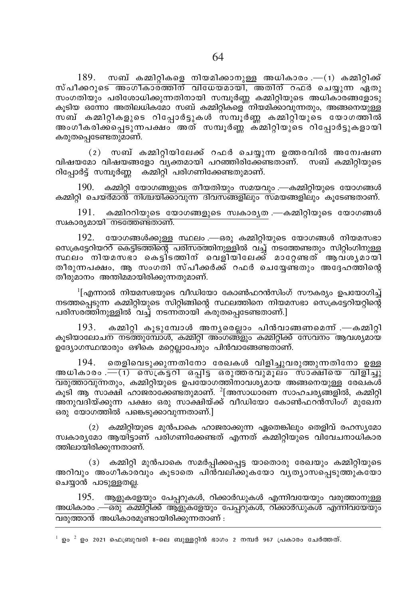$189.$  സബ് കമ്മിറ്റികളെ നിയമിക്കാനുള്ള അധികാരം . $-(1)$  കമ്മിറ്റിക്ക് സ്പീക്കറുടെ അംഗീകാര്ത്തിന് വിധേയമായി, അതിന് റഫർ ചെയ്യുന്ന ഏതു സംഗതിയും പരിശോധിക്കുന്നതിനായി സമ്പൂർണ്ണ കമ്മിറ്റിയുടെ അധികാരങ്ങളോടു കൂടിയ ഒന്നോ അതിലധികമോ സബ് കമ്മിറ്റികളെ"നിയമിക്കാവുന്നതും, അങ്ങനെയുള്ള<sup>്</sup> സബ് കമ്മിറ്റികളുടെ റിപോർട്ടുകൾ സമ്പൂർണ കമ്മിറ്റിയുടെ യോഗത്തിൽ അംഗീകരിക്കപ്പെടുന്നപക്ഷം അത് സമ്പൂർണ്ണ് ക്മ്മിറ്റിയുടെ റിപ്പോർട്ടുകളായി കരുതപ്പെടേണ്ടതുമാണ്.

(2) സബ് കമ്മിറ്റിയിലേക്ക് റഫർ ചെയ്യുന്ന ഉത്തരവിൽ അന്വേഷണ വിഷയമോ വിഷയങ്ങളോ വ്യക്തമായി പറഞ്ഞിരിക്കേണ്ടതാണ്. സബ് കമ്മിറ്റിയുടെ റിപ്പോർട്ട് സമ്പൂർണ്ണ കമ്മിറ്റി പരിഗണിക്കേണ്ടതുമാണ്.

190. കമ്മിറ്റി യോഗങ്ങളുടെ തീയതിയും സമയവും .—കമ്മിറ്റിയുടെ യോഗങ്ങൾ കമ്മിറ്റി ചെയ്ർമാൻ നിശ്ചയിക്കാവുന്ന ദിവസങ്ങളിലും സമയങ്ങളിലും കൂടേണ്ടതാണ്.

191. കമ്മിററിയുടെ യോഗങ്ങളുടെ സ്വകാര്യത .—കമ്മിറ്റിയുടെ യോഗങ്ങൾ സ്വകാര്യമായി നടത്തേണ്ടതാണ്.

192. യോഗങ്ങൾക്കുള്ള സ്ഥലം .—ഒരു കമ്മിറ്റിയുടെ യോഗങ്ങൾ നിയമസഭാ സെക്രട്ടേറിയററ് കെട്ടിടത്തിന്റെ പരിസരത്തിനുള്ളിൽ വച്ച് നടത്തേണ്ടതും സിറ്റിംഗിനുള്ള സ്ഥലം നിയമസഭാ കെട്ടിത്തിന് വെളിയിലേക്ക് മാറേണ്ടത് ആവശൃമായി തീരുന്നപക്ഷം, ആ സംഗതി സ്പീക്കർക്ക് റഫർ ചെയ്യേണ്ടതും അദ്ദേഹത്തിന്റെ തീരുമാനം അന്തിമമായിരിക്കുന്നതുമാണ്.

<sup>1</sup>[എന്നാൽ നിയമസഭയുടെ വീഡിയോ കോൺഫറൻസിംഗ് സൗകര്യം ഉപയോഗിച് നടത്തപ്പെടുന്ന കമ്മിറ്റിയുടെ സിറ്റിങ്ങിന്റെ സ്ഥലത്തിനെ നിയമസഭാ സെക്രട്ടേറിയറ്റിന്റെ പരിസരത്തിനുള്ളിൽ ്വച്ച് നടന്നതായി കരുതപ്പെടേണ്ടതാണ്.]

193. കമ്മിറ്റി കൂടുമ്പോൾ അന്യരെല്ലാം പിൻവാങ്ങണമെന്ന് .—കമ്മിറ്റി കൂടിയാലോച<mark>ന നടത്തുമ്പോൾ, കമ്മിറ്റി അംഗങ്ങ്ളും കമ്മിറ്റിക്ക് സേവനം ആവശ്യമായ</mark> ഉദ്യോഗസ്ഥന്മാരും ഒഴികെ മറ്റെല്ലാപേരും പിൻവാങ്ങേണ്ടതാണ്.

തെളിവെടുക്കുന്നതിനോ രേഖകൾ വിളിച്ചുവരുത്തുന്നതിനോ ഉള്ള 194. അധികാരം .— (1) സെ്ക്ടറി ഒപ്പിട്ട ഒരുത്തരവുമൂലം സാക്ഷിയെ വിളിച്ചു <u>വരുത്താവു</u>ന്നതും, കമ്മിറ്റിയുടെ ഉപയോഗത്തിനാവശ്യമായ അങ്ങനെയുള്ള രേഖകൾ കൂടി ആ സാക്ഷി ഹാജരാക്കേണ്ടതുമാണ്.  $^2$ [അസാധാരണ സാഹചര്യങ്ങളിൽ, കമ്മിറ്റി അനുവദിയ്ക്കുന്ന പക്ഷം ഒരു സാക്ഷിയ്ക്ക് വീഡിയോ കോൺഫറൻസിംഗ് മുഖേന ഒരു യോഗത്തിൽ പങ്കെടുക്കാവുന്നതാണ്.]

(2) കമ്മിറ്റിയുടെ മുൻപാകെ ഹാജരാക്കുന്ന ഏതെങ്കിലും തെളിവ് രഹസ്യമോ സ്വകാര്യമോ ആയിട്ടാണ് പരിഗണിക്കേണ്ടത് എന്നത് കമ്മിറ്റിയുടെ വിവേചനാധികാര ത്തിലായിരിക്കുന്നതാണ്.

(3) കമ്മിറ്റി മുൻപാകെ സമർപ്പിക്കപ്പെട്ട യാതൊരു രേഖയും കമ്മിറ്റിയുടെ അറിവും അംഗീകാരവും കൂടാതെ പിൻവലിക്കുകയോ വൃത്യാസപ്പെടുത്തുകയോ ചെയ്യാൻ പാടുള്ളതല്ല.

195. ആളുകളേയും പേപ്പറുകൾ, റിക്കാർഡുകൾ എന്നിവയേയും വരുത്താനുള്ള അധികാരം .—ഒരു കമ്മിറ്റിക്ക് ആളുകളേയും പേപ്പറുകൾ, റിക്കാർഡുകൾ എന്നിവയേയും വരുത്താൻ അധികാരമുണ്ടായിരിക്കുന്നതാണ് :

 $^1$  ഉം  $^2$  ഉം 2021 ഫെബ്രുവരി 8-ലെ ബുള്ളറ്റിൻ ഭാഗം 2 നമ്പർ 967 പ്രകാരം ചേർത്തത്.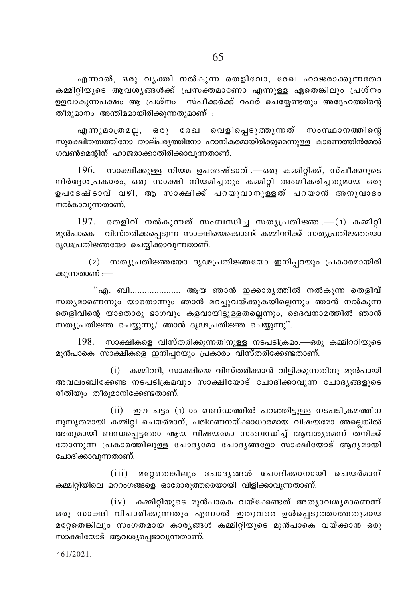എന്നാൽ, ഒരു വൃക്തി നൽകുന്ന തെളിവോ, രേഖ ഹാജരാക്കുന്നതോ കമ്മിറ്റിയുടെ ആവശ്യങ്ങൾക്ക് പ്രസക്തമാണോ എന്നുള്ള ഏതെങ്കിലും പ്രശ്നം ഉളവാകുന്നപക്ഷം ആ പ്രശ്നം സ്പീക്കർക്ക് റഫർ ചെയേണ്ടതും അദേഹത്തിന്റെ തീരുമാനം അന്തിമമായിരിക്കുന്നതുമാണ് :

എന്നുമാത്രമല്ല, ഒരു രേഖ വെളിപ്പെടുത്തുന്നത് സംസ്ഥാനത്തിന്റെ സുരക്ഷിതത്വത്തിനോ താല്പര്യത്തിനോ ഹാനികരമായിരിക്കുമെന്നുള്ള കാരണത്തിൻമേൽ ഗവൺമെന്റിന് ഹാജരാക്കാതിരിക്കാവുന്നതാണ്.

സാക്ഷിക്കുള്ള നിയമ ഉപദേഷ്ടാവ് .—ഒരു കമ്മിറ്റിക്ക്, സ്പീക്കറുടെ 196. നിർദ്ദേശപ്രകാരം, ഒരു സാക്ഷി നിയമിച്ചതും കമ്മിറ്റി അംഗീകരിച്ചതുമായ ഒരു ഉപദേഷ്ടാവ് വഴി, ആ സാക്ഷിക്ക് പറയുവാനുള്ളത് പറയാൻ അനുവാദം നൽകാവുന്നതാണ്.

197. തെളിവ് നൽകുന്നത് സംബന്ധിച്ച സതൃപ്രതിജ്ഞ .— $(1)$  കമ്മിറ്റി മുൻപാകെ വിസ്തരിക്കപ്പെടുന്ന സാക്ഷിയെക്കൊണ്ട് കമ്മിററിക്ക് സതൃപ്രതിജ്ഞയോ ദൃഢപ്രതിജ്ഞയോ ചെയ്യിക്കാവുന്നതാണ്.

(2) സത്യപ്രതിജ്ഞയോ ദൃഢപ്രതിജ്ഞയോ ഇനിപ്പറയും പ്രകാരമായിരി ക്കുന്നതാണ് :—

"എ. ബി.................... ആയ ഞാൻ ഇക്കാരൃത്തിൽ നൽകുന്ന തെളിവ് സത്യമാണെന്നും യാതൊന്നും ഞാൻ മറച്ചുവയ്ക്കുകയില്ലെന്നും ഞാൻ നൽകുന്ന തെളിവിന്റെ യാതൊരു ഭാഗവും കളവായിട്ടുള്ളതല്ലെന്നും, ദൈവനാമത്തിൽ ഞാൻ സത്യപ്രതിജ്ഞ ചെയ്യുന്നു/ ഞാൻ ദൃഢപ്രതിജ്ഞ ചെയ്യുന്നു".

198. സാക്ഷികളെ വിസ്തരിക്കുന്നതിനുള്ള നടപടിക്രമം.—ഒരു കമ്മിററിയുടെ മുൻപാകെ സാക്ഷികളെ ഇനിപ്പറയും പ്രകാരം വിസ്തരിക്കേണ്ടതാണ്.

(i) കമ്മിററി, സാക്ഷിയെ വിസ്തരിക്കാൻ വിളിക്കുന്നതിനു മുൻപായി അവലംബിക്കേണ്ട നടപടിക്രമവും സാക്ഷിയോട് ചോദിക്കാവുന്ന ചോദൃങ്ങളുടെ രീതിയും തീരുമാനിക്കേണ്ടതാണ്.

(ii) ഈ ചട്ടം (1)-ാം ഖണ്ഡത്തിൽ പറഞ്ഞിട്ടുള്ള നടപടിക്രമത്തിന നുസ്യതമായി കമ്മിറി ചെയർമാന്. പരിഗണനയ്ക്കാധാരമായ വിഷയമോ അലെങ്കിൽ അതുമായി ബന്ധപ്പെട്ടതോ ആയ വിഷയമോ സംബന്ധിച്ച് ആവശ്യമെന്ന് തനിക്ക് തോന്നുന്ന പ്രകാരത്തിലുള്ള ചോദൃമോ ചോദൃങ്ങളോ സാക്ഷിയോട് ആദ്യമായി ചോദിക്കാവുന്നതാണ്.

(iii) മറ്റേതെങ്കിലും ചോദൃങ്ങൾ ചോദിക്കാനായി ചെയർമാന് കമ്മിറ്റിയിലെ മററംഗങ്ങളെ ഓരോരുത്തരെയായി വിളിക്കാവുന്നതാണ്.

 $(iv)$  കമ്മിറ്റിയുടെ മുൻപാകെ വയ്ക്കേണ്ടത് അത്യാവശ്യമാണെന്ന് ഒരു സാക്ഷി വിചാരിക്കുന്നതും എന്നാൽ ഇതുവരെ ഉൾപ്പെടുത്താത്തതുമായ മറ്റേതെങ്കിലും സംഗതമായ കാര്യങ്ങൾ കമ്മിറ്റിയുടെ മുൻപാകെ വയ്ക്കാൻ ഒരു സാക്ഷിയോട് ആവശ്യപ്പെടാവുന്നതാണ്.

461/2021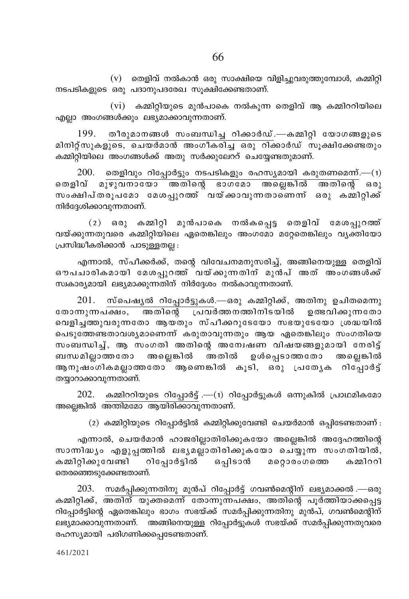$(v)$  തെളിവ് നൽകാൻ ഒരു സാക്ഷിയെ വിളിച്ചുവരുത്തുമ്പോൾ, കമ്മിറ്റി നടപടികളുടെ ഒരു പദാനുപദരേഖ സൂക്ഷിക്കേണ്ടതാണ്.

 $(vi)$  കമ്മിറ്റിയുടെ മുൻപാകെ നൽകുന്ന തെളിവ് ആ കമ്മിററിയിലെ എല്ലാ അംഗങ്ങൾക്കും ലഭ്യമാക്കാവുന്നതാണ്.

199. തീരുമാനങ്ങൾ സംബന്ധിച്ച റിക്കാർഡ്.—കമ്മിറ്റി യോഗങ്ങളുടെ മിനിറ്റ്സുകളുടെ, ചെയർമാൻ അംഗീകരിച്ച ഒരു റിക്കാർഡ് സൂക്ഷിക്കേണ്ടതും കമ്മിറ്റിയിലെ അംഗങ്ങൾക്ക് അതു സർക്കുലേററ് ചെയ്യേണ്ടതുമാണ്.

തെളിവും റിപ്പോർട്ടും നടപടികളും രഹസ്യമായി കരുതണമെന്ന്.— $(1)$ 200. തെളിവ് മുഴുവനായോ അതിന്റെ ഭാഗമോ അല്ലെങ്കിൽ അതിന്റെ ഒരു സംക്ഷിപ്തരൂപമോ മേശപ്പുറത്ത് വയ്ക്കാവുന്നതാണെന്ന് ഒരു കമ്മിറ്റിക്ക് നിർദേശിക്കാവുന്നതാണ്.

(2) ഒരു കമ്മിറ്റി മുൻപാകെ നൽകപ്പെട്ട തെളിവ് മേശപ്പുറത്ത് വയ്ക്കുന്നതുവരെ കമ്മിറ്റിയിലെ ഏതെങ്കിലും അംഗമോ മറ്റേതെങ്കിലും വ്യക്തിയോ പ്രസിദ്ധീകരിക്കാൻ പാടുള്ളതല്ല :

എന്നാൽ, സ്പീക്കർക്ക്, തന്റെ വിവേചനമനുസരിച്ച്, അങ്ങിനെയുള്ള തെളിവ് ഔപചാരികമായി മേശപ്പറത്ത് വയ്ക്കുന്നതിന് മുൻപ് അത് അംഗങ്ങൾക്ക് സ്വകാര്യമായി ലഭ്യമാക്കുന്നതിന് നിർദ്ദേശം നൽകാവുന്നതാണ്.

 $201.$  സ്പെഷൃൽ റിപ്പോർട്ടുകൾ.—ഒരു കമ്മിറ്റിക്ക്, അതിനു ഉചിതമെന്നു രോന്നുന്നപ്ഷം, അതിന്റെ പ്രവർത്തനത്തിനിടയിൽ ഉത്ഭവിക്കുന്നതോ വെളിച്ചത്തുവരുന്നതോ ആയതും സ്പീക്കറുടേയോ സഭയുടേയോ ശ്രദ്ധയിൽ പെടുത്തേണ്ടതാവശ്യമാണെന്ന് കരുതാവുന്നതും ആയ ഏതെങ്കിലും സംഗതിയെ സംബന്ധിച്ച്, ആ സംഗതി അതിന്റെ അന്വേഷണ വിഷയങ്ങളുമായി നേരിട്ട് .<br>ബന്ധമില്ലാത്തതോ അല്ലെങ്കിൽ അതിൽ ഉൾപ്പെടാത്തതോ അല്ലെങ്കിൽ ആ നുഷംഗികമല്ലാത്തതോ് ആണെങ്കിൽ കൂടി, ഒരു പ്രത്യേക റിപ്പോർട്ട് തയ്യാറാക്കാവുന്നതാണ്.

 $202.$  കമ്മിററിയുടെ റിപ്പോർട്ട് .—(1) റിപ്പോർട്ടുകൾ ഒന്നുകിൽ പ്രാഥമികമോ അല്ലെങ്കിൽ അന്തിമമോ ആയിരിക്കാവുന്നതാണ്.

 $(2)$  കമ്മിറ്റിയുടെ റിപ്പോർട്ടിൽ കമ്മിറ്റിക്കുവേണ്ടി ചെയർമാൻ ഒപ്പിടേണ്ടതാണ് :

എന്നാൽ, ചെയർമാൻ ഹാജരില്ലാതിരിക്കുകയോ അല്ലെങ്കിൽ അദ്ദേഹത്തിന്റെ സാന്നിദ്ധ്യം എളുപ്പത്തിൽ ലഭ്യമല്ലാതിരിക്കുകയോ ചെയ്യുന്ന സംഗതിയിൽ, കമ്മിറ്റിക്കുവേണ്ടി റിപ്പോർട്ടിൽ ഒപ്പിടാൻ മറ്റൊരംഗത്തെ കമ്മിററി തെരഞ്ഞെടുക്കേണ്ടതാണ്.

203. സമർപ്പിക്കുന്നതിനു മുൻപ് റിപ്പോർട്ട് ഗവൺമെന്റിന് ലഭ്യമാക്കൽ .—ഒരു കമ്മിറ്റിക്ക്, <mark>അതിന് യുക്തമെന്ന് തോന്നുന്നപക്ഷം, അതിന്റെ പൂർത്തിയാ</mark>ക്കപ്പെട്ട റിപ്പോർട്ടിന്റെ ഏതെങ്കിലും ഭാഗം സഭയ്ക്ക് സമർപ്പിക്കുന്നതിനു മുൻപ്, ഗവൺമെന്റിന് ലഭ്യമാക്കാവുന്നതാണ്. അങ്ങിനെയുള്ള റിപ്പോർട്ടുകൾ സഭയ്ക്ക് സമർപ്പിക്കുന്നതുവരെ രഹസ്യമായി പരിഗണിക്കപ്പെടേണ്ടതാണ്.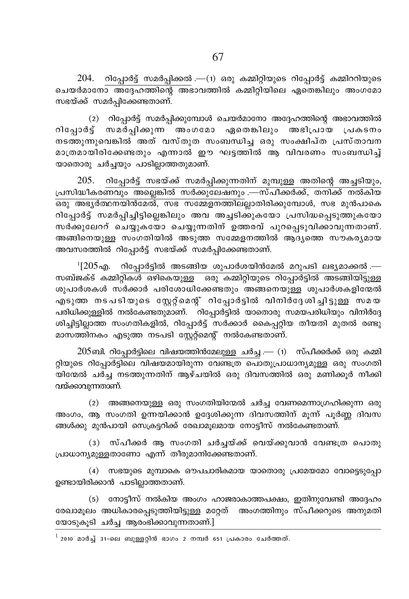$204$ . റിപ്പോർട്ട് സമർപ്പിക്കൽ .—(1) ഒരു കമ്മിറ്റിയുടെ റിപ്പോർട്ട് കമ്മിററിയുടെ <u>ചെയർമാനോ അദ്ദേഹത്തിന്റെ അഭാവത്തിൽ കമ്മിറ്റിയിലെ ഏതെങ്കിലും അംഗമോ</u> സഭയ്ക്ക് സമർപ്പിക്കേണ്ടതാണ്.

(2) റിപ്പോർട്ട് സമർപ്പിക്കുമ്പോൾ ചെയർമാനോ അദ്ദേഹത്തിന്റെ അഭാവത്തിൽ .<br>രിപോർട് സമർപിക്കുന്ന അംഗമോ ഏതെങ്കിലും അഭിപ്രായ പ്രകടനം നടത്തുന്നുവെങ്കിൽ അത് വസ്തുത സംബന്ധിച്ച ഒരു സംക്ഷിപ്ത പ്രസ്താവന മാത്രമായിരിക്കേണ്ടതും എന്നാൽ ഈ ഘട്ടത്തിൽ ആ വിവരണം സംബന്ധിച്ച് യാതൊരു ചർച്ചയും പാടില്ലാത്തതുമാണ്.

 $205$ . റിപ്പോർട്ട് സഭയ്ക്ക് സമർപ്പിക്കുന്നതിന് മുമ്പുള്ള അതിന്റെ അച്ചടിയും, പ്രസിദ്ധീകരണവും അല്ലെങ്കിൽ സർക്കുലേഷനും .—സ്പീക്കർക്ക്, തനിക്ക് നൽകിയ Hcp A`y¿∞\bn≥ta¬, k` ktΩf\Øne√mXncn°ptºmƒ, k` ap≥]msI റിപ്പോർട്ട് സമർപ്പിച്ചിട്ടില്ലെങ്കിലും അവ അച്ചടിക്കുകയോ പ്രസിദ്ധപ്പെടുത്തുകയോ സർക്കുലേററ് ചെയ്യുകയോ ചെയ്യുന്നതിന് ഉത്തരവ് പുറപ്പെടുവിക്കാവുന്നതാണ്. അങ്ങിനെയുള്ള സംഗതിയിൽ അടുത്ത സമ്മേളനത്തിൽ ആദ്യത്തെ സൗകര്യമായ അവസരത്തിൽ റിപ്പോർട്ട് സഭയ്ക്ക് സമർപ്പിക്കേണ്ടതാണ്.

 $^1$ [205എ. റിപ്പോർട്ടിൽ അടങ്ങിയ ശുപാർശയിൻമേൽ മറുപടി ലഭ്യമാക്കൽ.  $m$ ബ്ജക്ട് കമ്മിറ്റികൾ ഒഴികെയുള്ള ഒരു കമ്മിറ്റിയുടെ റിപ്പോർട്ടിൽ അടങ്ങിയിട്ടുള്ള ശുപാർശകൾ സർക്കാർ പരിശോധിക്കേണ്ടതും അങ്ങനെയുള്ള ശുപാർശകളിന്മേൽ എടുത്ത നടപടിയുടെ സ്റ്റേറ്റ്മെന്റ് റിപ്പോർട്ടിൽ വിനിർദ്ദേശിച്ചിട്ടുള്ള സമയ ്ച് പരിധിക്കുള്ളിൽ നൽകേണ്ടതുമാണ്. `റിപ്പോർട്ടിൽ യാതൊരു സമയപരിധിയും വിനിർദ്ദേ .<br>ശിച്ചിട്ടില്ലാത്ത സംഗതികളിൽ, റിപ്പോർട്ട് സർക്കാർ കൈപ്പറ്റിയ തീയതി മുതൽ രണ്ടു മാസത്തിനകം എടുത്ത നടപടി സ്കേറ്റ് നൽകേണ്ടതാണ്.

 $205$ ബി. റിപ്പോർട്ടിലെ വിഷയത്തിൻമേലുള്ള ചർച്ച .— (1) സ്പീക്കർക്ക് ഒരു കമ്മി റ്റിയുടെ റിപ്പോർട്ടിലെ വിഷയമായിരുന്ന വേണ്ടത്ര പൊതുപ്രാധാന്യമുള്ള ഒരു സംഗതി യിന്മേൽ ചർച്ച നടത്തുന്നതിന് ആഴ്ചയിൽ ഒരു ദിവസത്തിൽ ഒരു മണിക്കുർ നീക്കി വയ്ക്കാവുന്നതാണ്.

 $(2)$  അങ്ങനെയുള്ള ഒരു സംഗതിയിന്മേൽ ചർച്ച വേണമെന്നാഗ്രഹിക്കുന്ന ഒരു അംഗം, ആ സംഗതി ഉന്നയിക്കാൻ ഉദ്ദേശിക്കുന്ന ദിവസത്തിന് മൂന്ന് പൂർണ്ണ ദിവസ ങ്ങൾക്കു മുൻപായി സെക്രട്ടറിക്ക് രേഖാമുലമായ നോട്ടീസ് നൽകേണ്ടതാണ്.

(3) സ്പീക്കർ ആ സംഗതി ചർച്ചയ്ക്ക് വെയ്ക്കുവാൻ വേണ്ടത്ര പൊതു  ${1}$ പാധാന്യമുള്ളതാണോ എന്ന് തീരുമാനിക്കേണ്ടതാണ്.

 $(4)$  സഭയുടെ മുമ്പാകെ ഔപചാരികമായ യാതൊരു പ്രമേയമോ വോട്ടെടുപ്പോ ഉണ്ടായിരിക്കാൻ പാടില്ലാത്തതാണ്.

 $(5)$  നോട്ടീസ് നൽകിയ അംഗം ഹാജരാകാത്തപക്ഷം, ഇതിനുവേണ്ടി അദ്ദേഹം രേഖാമൂലം അധികാരപ്പെടുത്തിയിട്ടുള്ള മറ്റേത് അംഗത്തിനും സ്പീക്കറുടെ അനുമതി യോടുകൂടി ചർച്ച ആരംഭിക്കാവുന്നതാണ്.]

 $2010$  മാർച്ച് 31-ലെ ബുള്ളറ്റിൻ ഭാഗം 2 നമ്പർ 651 പ്രകാരം ചേർത്തത്.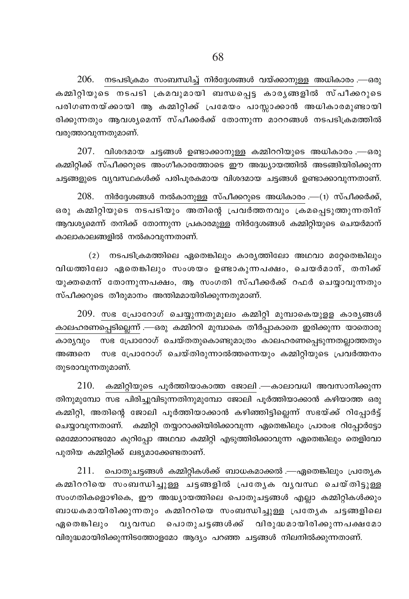$206. \quad$  നടപടിക്രമം സംബന്ധിച്ച് നിർദ്ദേശങ്ങൾ വയ്ക്കാനുള്ള അധികാരം .—ഒരു .<br>കമ്മിറിയുടെ നടപടി ക്രമവുമായി ബന്ധപ്പെട്ട കാരൃങ്ങളിൽ സ്പീക്കറുടെ പരിഗണനയ്ക്കായി ആ കമ്മിറ്റിക്ക് പ്രമേയം പാസ്സാക്കാൻ അധികാരമുണ്ടായി രിക്കുന്നതും ആവശൃമെന്ന് സ്പീക്കർക്ക് തോന്നുന്ന മാററങ്ങൾ നടപടിക്രമത്തിൽ വരുത്താവുന്നതുമാണ്.

 $207$ . വിശദമായ ചട്ടങ്ങൾ ഉണ്ടാക്കാനുള്ള കമ്മിററിയുടെ അധികാരം .—ഒരു കമ്മിറ്റിക്ക് സ്പീക്കറുടെ അംഗീകാരത്തോടെ ഈ അദ്ധ്യായത്തിൽ അടങ്ങിയിരിക്കുന്ന ചട്ടങ്ങളുടെ വ്യവസ്ഥകൾക്ക് പരിപൂരകമായ വിശദമായ ചട്ടങ്ങൾ ഉണ്ടാക്കാവുന്നതാണ്.

 $208. \quad$  നിർദ്ദേശങ്ങൾ നൽകാനുള്ള സ്പീക്കറുടെ അധികാരം .— $(1)$  സ്പീക്കർക്ക്, ഒരു കമ്മിറ്റിയുടെ നടപടിയും അതിന്റെ പ്രവർത്തനവും ക്രമപ്പെടുത്തുന്നതിന് ആവശ്യമെന്ന് തനിക്ക് തോന്നുന്ന പ്രകാരമുള്ള നിർദ്ദേശങ്ങൾ കമ്മിറ്റിയുടെ ചെയർമാന് കാലാകാലങ്ങളിൽ നൽകാവുന്നതാണ്.

 $(2)$  നടപടിക്രമത്തിലെ ഏതെങ്കിലും കാര്യത്തിലോ അഥവാ മറ്റേതെങ്കിലും വിധത്തിലോ ഏതെങ്കിലും സംശയം ഉണ്ടാകുന്നപക്ഷം, ചെയർമാന്, തനിക്ക് യുക്തമെന്ന് തോന്നുന്നപക്ഷം, ആ സംഗതി സ്പീക്കർക്ക് റഫർ ചെയ്യാവുന്നതും സ്പീക്കറുടെ തീരുമാനം അന്തിമമായിരിക്കുന്നതുമാണ്.

 $209$ . സഭ പ്രോറോഗ് ചെയ്യുന്നതുമൂലം കമ്മിറ്റി മുമ്പാകെയുളള കാരൃങ്ങൾ കാലഹരണപ്പെടില്ലെന്ന് .—ഒരു കമ്മിററി മുമ്പാകെ തീർപ്പാകാതെ ഇരിക്കുന്ന യാതൊരു കാര്യവും സഭ പ്രോറോഗ് ചെയ്തതുകൊണ്ടുമാത്രം കാലഹരണപ്പെടുന്നതല്ലാത്തതും അങ്ങനെ സഭ പ്രോറോഗ് ചെയ്തിരുന്നാൽത്തന്നെയും കമ്മിറ്റിയുടെ പ്രവർത്തനം തുടരാവുന്നതുമാണ്.

 $210$ . കമ്മിറ്റിയുടെ പൂർത്തിയാകാത്ത ജോലി .—കാലാവധി അവസാനിക്കുന്ന തിനുമുമ്പോ സഭ പിരിച്ചുവിടുന്നതിനുമുമ്പോ ജോലി പൂർത്തിയാക്കാൻ കഴിയാത്ത ഒരു കമ്മിറ്റി, അതിന്റെ ജോലി പൂർത്തിയാക്കാൻ കഴിഞ്ഞിട്ടില്ലെന്ന് സഭയ്ക്ക് റിപ്പോർട്ട് ചെയ്യാവുന്നതാണ്. കമ്മിറ്റി തയ്യാറാക്കിയിരിക്കാവുന്ന ഏതെങ്കിലും പ്രാരംഭ റിപ്പോർട്ടോ മെമ്മോറാണ്ടമോ കുറിപ്പോ അഥവാ കമ്മിറ്റി എടുത്തിരിക്കാവുന്ന ഏതെങ്കിലും തെളിവോ പുതിയ കമ്മിറ്റിക്ക് ലഭ്യമാക്കേണ്ടതാണ്.

 $211.$  പൊതുചട്ടങ്ങൾ കമ്മിറ്റികൾക്ക് ബാധകമാക്കൽ .—ഏതെങ്കിലും പ്രത്യേക കമ്മിററിയെ സംബന്ധിച്ചുള്ള ചട്ടങ്ങളിൽ പ്രത്യേക വൃവസ്ഥ ചെയ്തിട്ടുള്ള സംഗതികളൊഴികെ, ഈ അദ്ധ്യായത്തിലെ പൊതുചട്ടങ്ങൾ എല്ലാ കമ്മിറ്റികൾക്കും ബാധകമായിരിക്കുന്നതും കമ്മിററിയെ സംബന്ധിച്ചുള്ള പ്രത്യേക ചട്ടങ്ങളിലെ ഏതെങ്കിലും വൃവസ്ഥ പൊതുചട്ടങ്ങൾക്ക് വിരുദ്ധമായിരിക്കുന്നപക്ഷമോ വിരുദ്ധമായിരിക്കുന്നിടത്തോളമോ ആദ്യം പറഞ്ഞ ചട്ടങ്ങൾ നിലനിൽക്കുന്നതാണ്.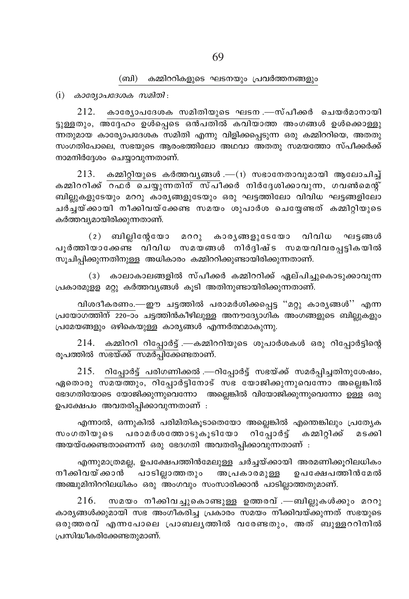#### (ബി) കമ്മിററികളുടെ ഘടനയും പ്രവർത്തനങ്ങളും

 $(i)$  കാര്യോപദേശക സമിതി:

 $212.$  കാര്യോപദേശക സമിതിയുടെ ഘടന $-$ സ്പീക്കർ ചെയർമാനായി ട്ടുള്ളതും, അദ്ദേഹം ഉൾപ്പെടെ ഒൻപതിൽ കവിയാത്ത അംഗങ്ങൾ ഉൾക്കൊള്ളു ന്നതുമായ കാര്യോപദേശക സമിതി എന്നു വിളിക്കപ്പെടുന്ന ഒരു കമ്മിററിയെ, അതതു സംഗതിപോലെ, സഭയുടെ ആരംഭത്തിലോ അഥവാ അതതു സമയത്തോ സ്പീക്കർക്ക് നാമനിർദ്ദേശം ചെയ്യാവുന്നതാണ്.

 $213.$  കമ്മിറ്റിയുടെ കർത്തവൃങ്ങൾ.—(1) സഭാനേതാവുമായി ആലോചിച് കമ്മിററിക്ക് റഫർ ചെയ്യുന്നതിന് സ്പീക്കർ നിർദ്ദേശിക്കാവുന്ന, ഗവൺമെന്റ് ബില്ലുകളുടേയും മററു കാര്യങ്ങളുടേയും ഒരു ഘട്ടത്തിലോ വിവിധ ഘട്ടങ്ങളിലോ ചർച്ചയ്ക്കായി നീക്കിവയ്ക്കേണ്ട സമയം ശുപാർശ ചെയ്യേണ്ടത് കമ്മിറ്റിയുടെ കർത്തവ്യമായിരിക്കുന്നതാണ്.

(2) ബില്ലിന്റേയോ മററു കാര്യങ്ങളുടേയോ വിവിധ ഘട്ടങ്ങൾ പൂർത്തിയാക്കേണ്ട വിവിധ സമയങ്ങൾ നിർദ്ദിഷ്ട സമയവിവരപ്പട്ടികയിൽ സുചിപ്പിക്കുന്നതിനുള്ള അധികാരം കമ്മിററിക്കുണ്ടായിരിക്കുന്നതാണ്.

(3) കാലാകാലങ്ങളിൽ സ്പീക്കർ കമ്മിററിക്ക് ഏല്പിച്ചുകൊടുക്കാവുന്ന പ്രകാരമുള്ള മറ്റു കർത്തവൃങ്ങൾ കൂടി അതിനുണ്ടായിരിക്കുന്നതാണ്.

വിശദീകരണം.—ഈ ചട്ടത്തിൽ പരാമർശിക്കപ്പെട്ട "മറ്റു കാരൃങ്ങൾ'' എന്ന പ്രയോഗത്തിന് 220-ാം ചട്ടത്തിൻകീഴിലുള്ള അനൗദ്യോഗിക അംഗങ്ങളുടെ ബില്ലുകളും പ്രമേയങ്ങളും ഒഴികെയുള്ള കാര്യങ്ങൾ എന്നർത്ഥമാകുന്നു.

 $214.$  കമ്മിററി റിപ്പോർട്ട് .—കമ്മിററിയുടെ ശുപാർശകൾ ഒരു റിപ്പോർട്ടിന്റെ രുപത്തിൽ സഭയ്ക്ക് സമർപ്പിക്കേണ്ടതാണ്.

215. റിപ്പോർട്ട് പരിഗണിക്കൽ .—റിപ്പോർട്ട് സഭയ്ക്ക് സമർപ്പിച്ചതിനുശേഷം, ഏതൊരു സമയത്തും, റിപ്പോർട്ടിനോട് സഭ യോജിക്കുന്നുവെന്നോ അല്ലെങ്കിൽ ഭേദഗതിയോടെ യോജിക്കുന്നുവെന്നോ അല്ലെങ്കിൽ വിയോജിക്കുന്നുവെന്നോ ഉള്ള ഒരു ഉപക്ഷേപം അവതരിപ്പിക്കാവുന്നതാണ് :

എന്നാൽ, ഒന്നുകിൽ പരിമിതികൂടാതെയോ അല്ലെങ്കിൽ എന്തെങ്കിലും പ്രത്യേക പരാമർശത്തോടുകൂടിയോ സംഗതിയുടെ റിപ്പോർട്ട് കമ്മിറ്റിക്ക് മടക്കി അയയ്ക്കേണ്ടതാണെന്ന് ഒരു ഭേദഗതി അവതരിപ്പിക്കാവുന്നതാണ് :

എന്നുമാത്രമല്ല, ഉപക്ഷേപത്തിൻമേലുള്ള ചർച്ചയ്ക്കായി അരമണിക്കൂറിലധികം നീക്കിവയ് **ക്കാൻ** പാടില്ലാത്തതും അപ്രകാരമുള്ള ഉപക്ഷേപത്തിൻമേൽ അഞ്ചുമിനിററിലധികം ഒരു അംഗവും സംസാരിക്കാൻ പാടില്ലാത്തതുമാണ്.

216. സമയം നീക്കിവച്ചുകൊണ്ടുള്ള ഉത്തരവ് .—ബില്ലുകൾക്കും മററു കാരൃങ്ങൾക്കുമായി സഭ അംഗീകരിച്ച പ്രകാരം സമയം നീക്കിവയ്ക്കുന്നത് സഭയുടെ ഒരുത്തരവ് എന്നപോലെ പ്രാബലൃത്തിൽ വരേണ്ടതും, അത് ബുള്ളററിനിൽ പ്രസിദ്ധീകരിക്കേണ്ടതുമാണ്.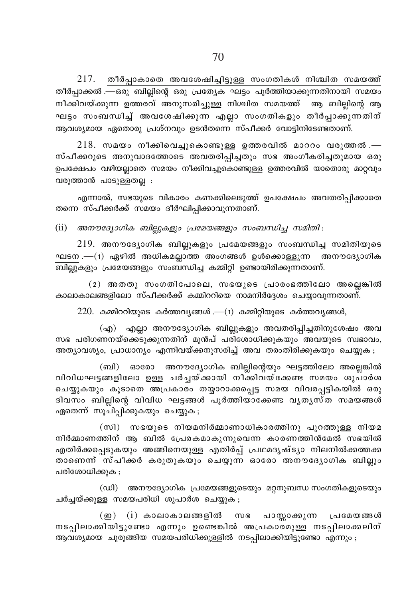$217.$  തീർപ്പാകാതെ അവശേഷിച്ചിട്ടുള്ള സംഗതികൾ നിശ്ചിത സമയത്ത് .<br>തീർപ്പാക്കൽ .—ഒരു ബില്ലിന്റെ ഒരു പ്രത്യേക ഘട്ടം പൂർത്തിയാക്കുന്നതിനായി സമയം \o°nhbv°p∂ DØchv A\pkcn®p≈ \n›nX kabØv B \_n√ns' B ഘട്ടം സംബന്ധിച്ച് അവശേഷിക്കുന്ന എല്ലാ സംഗതികളും തീർപ്പാക്കുന്നതിന് ആവശ്യമായ ഏതൊരു പ്രശ്നവും ഉടൻതന്നെ സ്പീക്കർ വോട്ടിനിടേണ്ടതാണ്.

 $218$ . സമയം നീക്കിവെച്ചുകൊണ്ടുള്ള ഉത്തരവിൽ മാററം വരുത്തൽ .— സ്പീക്കറുടെ അനുവാദത്തോടെ അവതരിപ്പിച്ചതും സഭ അംഗീകരിച്ചതുമായ ഒരു ഉപക്ഷേപം വഴിയല്ലാതെ സമയം നീക്കിവച്ചുകൊണ്ടുള്ള ഉത്തരവിൽ യാതൊരു മാറ്റവും വരുത്താൻ പാടുള്ളതല്ല $:$ 

എന്നാൽ, സഭയുടെ വികാരം കണക്കിലെടുത്ത് ഉപക്ഷേപം അവതരിപ്പിക്കാതെ തന്നെ സ്പീക്കർക്ക് സമയം ദീർഘിപ്പിക്കാവുന്നതാണ്.

(ii) *A\utZymKnI \_n√pIfpw {]tabßfpw kw\_'n® kanXn* :

 $219$ . അനൗദ്യോഗിക ബില്ലുകളും പ്രമേയങ്ങളും സംബന്ധിച്ച സമിതിയുടെ ഘടന .—(1) ഏഴിൽ അധികമല്ലാത്ത അംഗങ്ങൾ ഉൾക്കൊള്ളുന്ന അനൗദ്യോഗിക \_n√pIfpw {]tabßfpw kw\_'n® IΩn‰n D≠mbncn°p∂XmWv.

 $(2)$  അതതു സംഗതിപോലെ, സഭയുടെ പ്രാരംഭത്തിലോ അല്ലെങ്കിൽ കാലാകാലങ്ങളിലോ സ്പീക്കർക്ക് കമ്മിററിയെ നാമനിർദ്ദേശം ചെയ്യാവുന്നതാണ്.

 $220.$  കമ്മിററിയുടെ കർത്തവ്യങ്ങൾ .— $(1)$  കമ്മിറ്റിയുടെ കർത്തവ്യങ്ങൾ,

 $f(x)$  എല്ലാ അനൗദ്യോഗിക ബില്ലുകളും അവതരിപ്പിച്ചതിനുശേഷം അവ സഭ പരിഗണനയ്കെെ്ടുക്കുന്നതിന് മുൻപ് പരിശോധിക്കുകയും അവയുടെ സ്വഭാവം, അത്യാവശ്യം, പ്രാധാന്യം എന്നിവയ്ക്കനുസരിച്ച് അവ തരംതിരിക്കുകയും ചെയ്യുക .

(ബി) ഓരോ അനൗദ്യോഗിക ബില്ലിന്റെയും ഘട്ടത്തിലോ അല്ലെങ്കിൽ വിവിധഘട്ടങ്ങളിലോ ഉള്ള ചർച്ചയ്ക്കായി നീക്കിവയ്ക്കേണ്ട സമയം ശുപാർശ ചെയ്യുകയും കൂടാതെ അപ്രകാരം തയ്യാറാക്കപ്പെട്ട സമയ വിവരപ്പട്ടികയിൽ ഒരു ദിവസം ബില്ലിന്റെ വിവിധ ഘട്ടങ്ങൾ പൂർത്തിയാക്കേണ്ട വൃതൃസ്ത സമയങ്ങൾ  $q_0$ തെന്ന് സുചിപ്പിക്കുകയും ചെയ്യുക $q_0$ ;

 $(m)$  സഭയുടെ നിയമനിർമ്മാണാധികാരത്തിനു പുറത്തുള്ള നിയമ നിർമ്മാണത്തിന് ആ ബിൽ പ്രേരകമാകുന്നുവെന്ന കാരണത്തിൻമേൽ സഭയിൽ എതിർക്കപ്പെടുകയും അങ്ങിനെയുള്ള എതിർപ്പ് പ്രഥമദൃഷ്ട്യാ നിലനിൽക്കത്തക്ക താണെന്ന് സ്പീക്കർ കരുതുകയും ചെയ്യുന്ന ഓരോ അനൗദ്യോഗിക ബി<u>ല</u>്ലും പരിശോധിക്കുക;

 $(u)$  അനൗദ്യോഗിക പ്രമേയങ്ങളുടെയും മറ്റനുബന്ധ സംഗതികളുടെയും ചർച്ചയ്ക്കുള്ള സമയപരിധി ശുപാർശ ചെയ്യുക<sub>;</sub>

(ഇ) (i) കാലാകാലങ്ങളിൽ സഭ പാസ്സാക്കുന്ന പ്രമേയങ്ങൾ നടപ്പിലാക്കിയിട്ടുണ്ടോ എന്നും ഉണ്ടെങ്കിൽ അപ്രകാരമുള്ള നടപ്പിലാക്കലിന് ആവശ്യമായ ചുരുങ്ങിയ സമയപരിധിക്കുള്ളിൽ നടപ്പിലാക്കിയിട്ടുണ്ടോ എന്നും;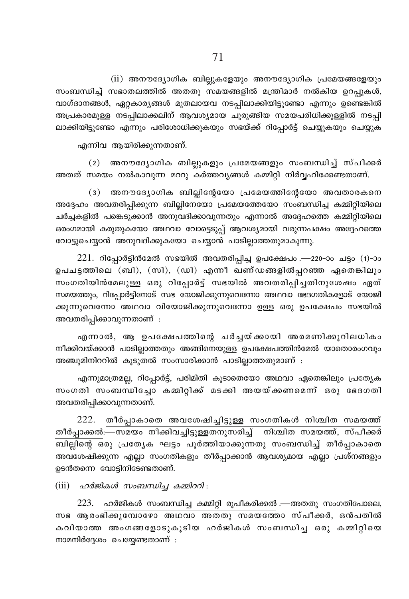$(ii)$  അനൗദ്യോഗിക ബില്ലുകളേയും അനൗദ്യോഗിക പ്രമേയങ്ങളേയും സംബന്ധിച്ച് സഭാതലത്തിൽ അതതു സമയങ്ങളിൽ മന്ത്രിമാർ നൽകിയ ഉറപ്പുകൾ, വാഗ്ദാനങ്ങൾ, ഏറ്റകാര്യങ്ങൾ മുതലായവ നടപ്പിലാക്കിയിട്ടുണ്ടോ എന്നും ഉണ്ടെങ്കിൽ അപ്രകാരമുള്ള നടപ്പിലാക്കലിന് ആവശ്യമായ ചുരുങ്ങിയ സമയപരിധിക്കുള്ളിൽ നടപ്പി ലാക്കിയിട്ടുണ്ടോ എന്നും പരിശോധിക്കുകയും സഭയ്ക്ക് റിപ്പോർട്ട് ചെയ്യുകയും ചെയ്യുക

എന്നിവ ആയിരിക്കുന്നതാണ്.

(2) അനൗദ്യോഗിക ബില്ലുകളും പ്രമേയങ്ങളും സംബന്ധിച്ച് സ്പീക്കർ അതത് സമയം നൽകാവുന്ന മററു കർത്തവൃങ്ങൾ കമ്മിറ്റി നിർവ്വഹിക്കേണ്ടതാണ്.

(3) അനൗദ്യോഗിക ബില്ലിന്റേയോ പ്രമേയത്തിന്റേയോ അവതാരകനെ അദ്ദേഹം അവതരിപ്പിക്കുന്ന ബില്ലിനേയോ പ്രമേയത്തേയോ സംബന്ധിച്ച കമ്മിറ്റിയിലെ ചർച്ചകളിൽ പങ്കെടുക്കാൻ അനുവദിക്കാവുന്നതും എന്നാൽ അദ്ദേഹത്തെ കമ്മിറ്റിയിലെ ഒരംഗമായി കരുതുകയോ അഥവാ വോട്ടെടുപ്പ് ആവശ്യമായി വരുന്നപക്ഷം അദ്ദേഹത്തെ വോട്ടുചെയ്യാൻ അനുവദിക്കുകയോ ചെയ്യാൻ പാടില്ലാത്തതുമാകുന്നു.

 $221.$  റിപ്പോർട്ടിൻമേൽ സഭയിൽ അവതരിപ്പിച്ച ഉപക്ഷേപം .—220-ാം ചട്ടം (1)-ാം ഉപചട്ടത്തിലെ (ബി), (സി), (ഡി) എന്നീ ഖണ്ഡങ്ങളിൽപ്പറഞ്ഞ ഏതെങ്കിലും സംഗതിയിൻമേലുള്ള ഒരു റിപ്പോർട്ട് സഭയിൽ അവതരിപ്പിച്ചതിനുശേഷം ഏത് സമയത്തും, റിപ്പോർട്ടിനോട് സഭ യോജിക്കുന്നുവെന്നോ അഥവാ ഭേദഗതികളോട് യോജി ക്കുന്നുവെന്നോ അഥവാ വിയോജിക്കുന്നുവെന്നോ ഉള്ള ഒരു ഉപക്ഷേപം സഭയിൽ അവതരിപ്പിക്കാവുന്നതാണ് :

എന്നാൽ, ആ ഉപക്ഷേപത്തിന്റെ ചർച്ചയ്ക്കായി അരമണിക്കുറിലധികം നീക്കിവയ്ക്കാൻ പാടില്ലാത്തതും അങ്ങിനെയുള്ള ഉപക്ഷേപത്തിൻമേൽ യാതൊരംഗവും അഞ്ചുമിനിററിൽ കുടുതൽ സംസാരിക്കാൻ പാടില്ലാത്തതുമാണ് :

എന്നുമാത്രമല്ല, റിപ്പോർട്ട്, പരിമിതി കൂടാതെയോ അഥവാ ഏതെങ്കിലും പ്രത്യേക സംഗതി സംബന്ധിച്ചോ കമ്മിറ്റിക്ക് മടക്കി അയയ്ക്കണമെന്ന് ഒരു ഭേദഗതി അവതരിപ്പിക്കാവുന്നതാണ്.

222. തീർപ്പാകാതെ അവശേഷിച്ചിട്ടുള്ള സംഗതികൾ നിശ്ചിത സമയത്ത് തീർപ്പാക്കൽ:—സമയം നീക്കിവച്ചിട്ടുള്ളതനുസരിച്ച് നിശ്ചിത സമയത്ത്, സ്പീക്കർ ബില്ലിന്റെ ഒരു പ്രത്യേക ഘട്ടം പൂർത്തിയാക്കുന്നതു സംബന്ധിച്ച് തീർപ്പാകാതെ അവശേഷിക്കുന്ന എല്ലാ സംഗതികളും തീർപ്പാക്കാൻ ആവശ്യമായ എല്ലാ പ്രശ്നങ്ങളും ഉടൻതന്നെ വോട്ടിനിടേണ്ടതാണ്.

 $(iii)$   $\alpha$ റർജികൾ സംബന്ധിച്ച കമ്മിററി:

 $223.$  ഹർജികൾ സംബന്ധിച്ച കമ്മിറ്റി രൂപീകരിക്കൽ —അതതു സംഗതിപോലെ, സഭ ആരംഭിക്കുമ്പോഴോ അഥവാ അതതു സമയത്തോ സ്പീക്കർ, ഒൻപതിൽ കവിയാത്ത അംഗങ്ങളോടുകൂടിയ ഹർജികൾ സംബന്ധിച്ച ഒരു കമ്മിറ്റിയെ നാമനിർദ്ദേശം ചെയ്യേണ്ടതാണ് :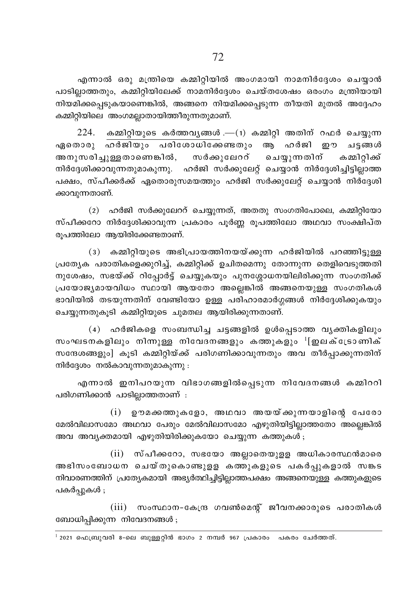എന്നാൽ ഒരു മന്ത്രിയെ കമ്മിറ്റിയിൽ അംഗമായി നാമനിർദ്ദേശം ചെയ്യാൻ പാടില്ലാത്തതും, കമ്മിറ്റിയിലേക്ക് നാമനിർദ്ദേശം ചെയ്തശേഷം ഒരംഗം മന്ത്രിയായി നിയമിക്കപ്പെടുകയാണെങ്കിൽ, അങ്ങനെ നിയമിക്കപ്പെടുന്ന തീയതി മുതൽ അദ്ദേഹം കമ്മിറ്റിയിലെ അംഗമല്ലാതായിത്തീരുന്നതുമാണ്.

 $224.$  കമ്മിറ്റിയുടെ കർത്തവൃങ്ങൾ . $-$ (1) കമ്മിറ്റി അതിന് റഫർ ചെയ്യുന്ന ഏതൊരു ഹർജിയും പരിശോധിക്കേണ്ടതും ആ ഹർജി ഈ ചടങ്ങൾ സർക്കുലേററ് ചെയ്യുന്നതിന് അനുസരിച്ചുള്ളതാണെങ്കിൽ, കമ്മിറിക്ക് നിർദ്ദേശിക്കാവുന്നതുമാകുന്നു. ഹർജി സർക്കുലേറ്റ് ചെയ്യാൻ നിർദ്ദേശിച്ചിട്ടില്ലാത്ത പക്ഷം, സ്പീക്കർക്ക് ഏതൊരുസമയത്തും ഹർജി സർക്കുലേറ്റ് ചെയ്യാൻ നിർദ്ദേശി ക്കാവുന്നതാണ്.

(2) ഹർജി സർക്കുലേററ് ചെയ്യുന്നത്, അതതു സംഗതിപോലെ, കമ്മിറ്റിയോ സ്പീക്കറോ നിർദ്ദേശിക്കാവുന്ന പ്രകാരം പൂർണ്ണ രൂപത്തിലോ അഥവാ സംക്ഷിപ്ത രുപത്തിലോ ആയിരിക്കേണ്ടതാണ്.

(3) കമ്മിറ്റിയുടെ അഭിപ്രായത്തിനയയ്ക്കുന്ന ഹർജിയിൽ പറഞ്ഞിട്ടുള്ള പ്രത്യേക പരാതികളെക്കുറിച്ച്, കമ്മിറ്റിക്ക് ഉചിതമെന്നു തോന്നുന്ന തെളിവെടുത്തതി നുശേഷം, സഭയ്ക്ക് റിപ്പോർട്ട് ചെയ്യുകയും പുനശ്ശോധനയിലിരിക്കുന്ന സംഗതിക്ക് പ്രയോജ്യമായവിധം സ്ഥായി ആയതോ അല്ലെങ്കിൽ അങ്ങനെയുള്ള സംഗതികൾ ഭാവിയിൽ തടയുന്നതിന് വേണ്ടിയോ ഉള്ള പരിഹാരമാർഗ്ഗങ്ങൾ നിർദ്ദേശിക്കുകയും ചെയ്യുന്നതുകൂടി കമ്മിറ്റിയുടെ ചുമതല ആയിരിക്കുന്നതാണ്.

(4) ഹർജികളെ സംബന്ധിച്ച ചട്ടങ്ങളിൽ ഉൾപ്പെടാത്ത വൃക്തികളിലും സംഘടനകളിലും നിന്നുള്ള നിവേദനങ്ങളും കത്തുകളും <sup>1</sup>[ഇലക്ട്രോണിക് സന്ദേശങ്ങളും] കൂടി കമ്മിറ്റിയ്ക്ക് പരിഗണിക്കാവുന്നതും അവ തീർപ്പാക്കുന്നതിന് നിർദ്ദേശം നൽകാവുന്നതുമാകുന്നു :

എന്നാൽ ഇനിപറയുന്ന വിഭാഗങ്ങളിൽപ്പെടുന്ന നിവേദനങ്ങൾ കമ്മിററി പരിഗണിക്കാൻ പാടില്ലാത്തതാണ് :

 $(i)$  ഉൗമക്കത്തുകളോ, അഥവാ അയയ്ക്കുന്നയാളിന്റെ പേരോ മേൽവിലാസമോ അഥവാ പേരും മേൽവിലാസമോ എഴുതിയിട്ടില്ലാത്തതോ അല്ലെങ്കിൽ അവ അവ്യക്തമായി എഴുതിയിരിക്കുകയോ ചെയ്യുന്ന കത്തുകൾ ;

(ii) സ്പീക്കറോ, സഭയോ അല്ലാതെയുളള അധികാരസ്ഥൻമാരെ അഭിസംബോധന ചെയ്തുകൊണ്ടുളള കത്തുകളുടെ പകർപ്പുകളാൽ സങ്കട നിവാരണത്തിന് പ്രത്യേകമായി അഭ്യർത്ഥിച്ചിട്ടില്ലാത്തപക്ഷം അങ്ങനെയുള്ള കത്തുകളുടെ പകർപ്പുകൾ ;

(iii) സംസ്ഥാന-കേന്ദ്ര ഗവൺമെന്റ് ജീവനക്കാരുടെ പരാതികൾ ബോധിപ്പിക്കുന്ന നിവേദനങ്ങൾ ;

 $^{-1}$  2021 ഫെബ്രുവരി 8-ലെ ബുള്ളറ്റിൻ ഭാഗം 2 നമ്പർ 967 പ്രകാരം പകരം ചേർത്തത്.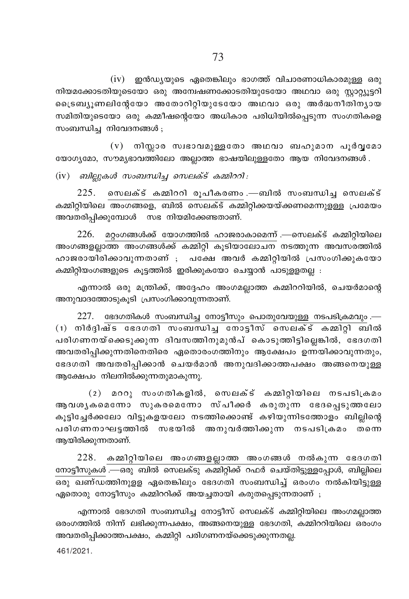$(iv)$  ഇൻഡ്യയുടെ ഏതെങ്കിലും ഭാഗത്ത് വിചാരണാധികാരമുള്ള ഒരു നിയമക്കോടതിയുടെയോ ഒരു അന്വേഷണക്കോടതിയുടേയോ അഥവാ ഒരു സ്റ്റാറ്റ്യൂട്ടറി ്രൈബ്യൂണലിന്റേയോ അതോറിറ്റിയുടേയോ അഥവാ ഒരു അർദ്ധനീതിന്യായ സമിതിയുടെയോ ഒരു കമ്മീഷന്റെയോ അധികാര പരിധിയിൽപ്പെടുന്ന സംഗതികളെ സംബന്ധിച്ച നിവേദനങ്ങൾ ;

 $(v)$  നിസ്സാര സ്വഭാവമുള്ളതോ അഥവാ ബഹുമാന പൂർവൂമോ യോഗ്യമോ, സൗമൃഭാവത്തിലോ അല്ലാത്ത ഭാഷയിലുള്ളതോ ആയ നിവേദനങ്ങൾ.

 $(iv)$  ബില്ലുകൾ സംബന്ധിച്ച സെലക്ട് കമ്മിററി:

 $225.$  സെലക്ട് കമ്മിററി രൂപീകരണം .—ബിൽ സംബന്ധിച്ച സെലക്ട് കമ്മിറ്റിയിലെ അംഗങ്ങളെ, ബിൽ സെലക്ട് കമ്മിറ്റിക്കയയ്ക്കണമെന്നുളള്ള പ്രമേയം അവതരിപ്പിക്കുമ്പോൾ സഭ നിയമിക്കേണ്ടതാണ്.

226. മറ്റംഗങ്ങൾക്ക് യോഗത്തിൽ ഹാജരാകാമെന്ന് .—സെലക്ട് കമ്മിറ്റിയിലെ അംഗങ്ങളല്ലാത്ത അംഗങ്ങൾക്ക് കമ്മിറ്റി കൂടിയാലോചന നടത്തുന്ന അവസരത്തിൽ ഹാജരായിരിക്കാവുന്നതാണ് ; പക്ഷേ അവർ കമ്മിറ്റിയിൽ പ്രസംഗിക്കുകയോ കമ്മിറ്റിയംഗങ്ങളുടെ കൂട്ടത്തിൽ ഇരിക്കുകയോ ചെയ്യാൻ പാടുള്ളതല്ല :

എന്നാൽ ഒരു മന്ത്രിക്ക്, അദ്ദേഹം അംഗമല്ലാത്ത കമ്മിററിയിൽ, ചെയർമാന്റെ അനുവാദത്തോടുകൂടി പ്രസംഗിക്കാവുന്നതാണ്.

 $227.$  ഭേദഗതികൾ സംബന്ധിച്ച നോട്ടീസും പൊതുവേയുള്ള നടപടിക്രമവും.—  $(1)$  നിർദിഷ്ട ഭേദഗതി സംബന്ധിച്ച നോട്ടീസ് സെലക്ട് കമ്മിറ്റി ബിൽ പരിഗണനയ്ക്കെടുക്കുന്ന ദിവസത്തിനുമുൻപ് കൊടുത്തിട്ടില്ലെങ്കിൽ, ഭേദഗതി അവതരിപ്പിക്കുന്നതിനെതിരെ ഏതൊരംഗത്തിനും ആക്ഷേപം ഉന്നയിക്കാവുന്നതും, ഭേദഗതി അവതരിപ്പിക്കാൻ ചെയർമാൻ അനുവദിക്കാത്തപക്ഷം അങ്ങനെയുള്ള ആക്ഷേപം നിലനിൽക്കുന്നതുമാകുന്നു.

(2) മററു സംഗതികളിൽ, സെലക്ട് കമ്മിറ്റിയിലെ നടപടിക്രമം ആവശൃകമെന്നോ സുകരമെന്നോ സ്പീക്കർ കരുതുന്ന ഭേദപ്പെടുത്തലോ കൂട്ടിച്ചേർക്കലോ വിട്ടുകളയലോ നടത്തിക്കൊണ്ട് കഴിയുന്നിടത്തോളം ബില്ലിന്റെ പരിഗണനാഘട്ടത്തിൽ സഭയിൽ അനുവർത്തിക്കുന്ന നടപടിക്രമം തന്നെ ആയിരിക്കുന്നതാണ്.

228. കമ്മിറ്റിയിലെ അംഗങ്ങളല്ലാത്ത അംഗങ്ങൾ നൽകുന്ന ഭേദഗതി നോട്ടീസുകൾ —ഒരു ബിൽ സെലക്ടു കമ്മിറ്റിക്ക് റഫർ ചെയ്തിട്ടുള്ളപ്പോൾ, ബില്ലിലെ ഏതൊരു നോട്ടീസും കമ്മിററിക്ക് അയച്ചതായി കരുതപ്പെടുന്നതാണ് ;

എന്നാൽ ഭേദഗതി സംബന്ധിച്ച നോട്ടീസ് സെലക്ട് കമ്മിറ്റിയിലെ അംഗമല്ലാത്ത ഒരംഗത്തിൽ നിന്ന് ലഭിക്കുന്നപക്ഷം, അങ്ങനെയുള്ള ഭേദഗതി, കമ്മിററിയിലെ ഒരംഗം അവതരിപ്പിക്കാത്തപക്ഷം, കമ്മിറ്റി പരിഗണനയ്ക്കെടുക്കുന്നതല്ല.

461/2021.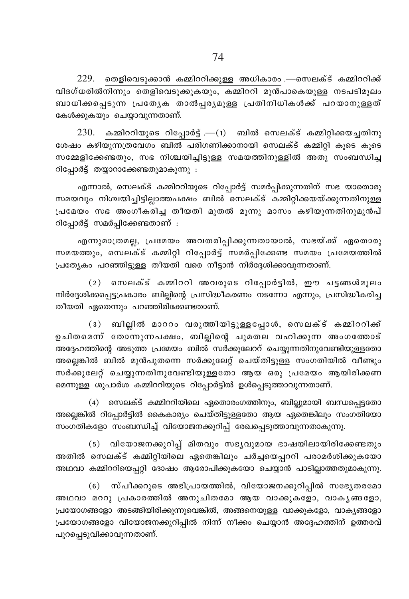$229$ . തെളിവെടുക്കാൻ കമ്മിററിക്കുള്ള അധികാരം —സെലക്ട് കമ്മിററിക്ക്  $n$ വിദഗ്ധരിൽനിന്നും തെളിവെടുക്കുകയും, കമ്മിററി മുൻപാകെയുള്ള നടപടിമൂലം ബാധിക്കപ്പെടുന്ന പ്രത്യേക താൽപ്പര്യമുള്ള പ്രതിനിധികൾക്ക് പറയാനുള്ളത് കേൾക്കുകയും ചെയ്യാവുന്നതാണ്.

 $230.$  കമ്മിററിയുടെ റിപ്പോർട്ട് .— $(1)$  ബിൽ സെലക്ട് കമ്മിറ്റിക്കയച്ചതിനു ശേഷം കഴിയുന്നത്രവേഗം ബിൽ പരിഗണിക്കാനായി സെലക്ട് കമ്മിറ്റി കുടെ കുടെ സമ്മേളിക്കേണ്ടതും, സഭ നിശ്ചയിച്ചിട്ടുള്ള സമയത്തിനുള്ളിൽ അതു സംബന്ധിച്ച  $\Omega$ പ്പോർട്ട് തയ്യാറാക്കേണ്ടതുമാകുന്നു :

എന്നാൽ, സെലക്ട് കമ്മിററിയുടെ റിപ്പോർട്ട് സമർപ്പിക്കുന്നതിന് സഭ യാതൊരു സമയവും നിശ്ചയിച്ചിട്ടില്ലാത്തപക്ഷം ബിൽ സെലക്ട് കമ്മിറ്റിക്കയയ്ക്കുന്നതിനുള്ള <sub>്</sub>പമേയം സഭ അംഗീകരിച്ച തീയതി മുതൽ മൂന്നു മാസം കഴിയുന്നതിനുമുൻപ് റിപ്പോർട്ട് സമർപ്പിക്കേണ്ടതാണ് :

എന്നുമാത്രമല്ല, പ്രമേയം അവതരിപ്പിക്കുന്നതായാൽ, സഭയ്ക്ക് ഏതൊരു സമയത്തും, സെലക്ട് കമ്മിറ്റി റിപ്പോർട്ട് സമർപ്പിക്കേണ്ട സമയം പ്രമേയത്തിൽ  ${L}$ ്രത്യേകം പറഞ്ഞിട്ടുള്ള തീയതി വരെ നീട്ടാൻ നിർദ്ദേശിക്കാവുന്നതാണ്.

 $(2)$  സെലക്ട് കമ്മിററി അവരുടെ റിപ്പോർട്ടിൽ, ഈ ചട്ടങ്ങൾമൂലം നിർദ്ദേശിക്കപ്പെട്ടപ്രകാരം ബില്ലിന്റെ പ്രസിദ്ധീകരണം നടന്നോ എന്നും, പ്രസിദ്ധീകരിച്ച തീയതി ഏതെന്നും പറഞ്ഞിരിക്കേണ്ടതാണ്.

 $(3)$  ബില്ലിൽ മാററം വരുത്തിയിട്ടുള്ളപ്പോൾ, സെലക്ട് കമ്മിററിക്ക് .<br>ഉചിതമെന്ന് തോന്നുന്നപക്ഷം, ബില്ലിന്റെ ചുമതല വഹിക്കുന്ന അംഗത്തോട് അദ്ദേഹത്തിന്റെ അടുത്ത പ്രമേയം ബിൽ സർക്കുലേററ് ചെയ്യുന്നതിനുവേണ്ടിയുള്ളതോ അല്ലെങ്കിൽ ബിൽ മുൻപുതന്നെ സർക്കുലേറ്റ് ചെയ്തി<u>ട്ടുള്ള</u> സംഗതിയിൽ വീണ്ടും സർക്കുലേറ്റ് ചെയ്യുന്നതിനുവേണ്ടിയുള്ളതോ ആയ ഒരു പ്രമേയം ആയിരിക്കണ മെന്നുള്ള ശുപാർശ കമ്മിററിയുടെ റിപ്പോർട്ടിൽ ഉൾപ്പെടുത്താവുന്നതാണ്.

 $(4)$  സെലക്ട് കമ്മിററിയിലെ ഏതൊരംഗത്തിനും, ബില്ലുമായി ബന്ധപ്പെട്ടതോ അല്ലെങ്കിൽ റിപ്പോർട്ടിൽ കൈകാര്യം ചെയ്തിട്ടുള്ളതോ ആയ ഏതെങ്കിലും സംഗതിയോ സംഗതികളോ സംബന്ധിച്ച് വിയോജനക്കുറിപ്പ് രേഖപ്പെടുത്താവുന്നതാകുന്നു.

(5) വിയോജനക്കുറിപ്പ് മിതവും സഭൃവുമായ ഭാഷയിലായിരിക്കേണ്ടതും അതിൽ സെലക്ട് കമ്മിറ്റിയിലെ ഏതെങ്കിലും ചർച്ചയെപ്പററി പരാമർശിക്കുകയോ അഥവാ കമ്മിററിയെപ്പറ്റി ദോഷം ആരോപിക്കുകയോ ചെയ്യാൻ പാടില്ലാത്തതുമാകുന്നു.

(6) സ്പീക്കറുടെ അഭിപ്രായത്തിൽ, വിയോജനക്കുറിപ്പിൽ സഭ്യേതരമോ അഥവാ മററു പ്രകാരത്തിൽ അനുചിതമോ ആയ വാക്കുകളോ, വാകൃങ്ങളോ,  ${t}_1$ യോഗങ്ങളോ അടങ്ങിയിരിക്കുന്നുവെങ്കിൽ, അങ്ങനെയുള്ള വാക്കുകളോ, വാകൃങ്ങളോ  ${t}_k$ പയോഗങ്ങളോ വിയോജനക്കുറിപ്പിൽ നിന്ന് നീക്കം ചെയ്യാൻ അദ്ദേഹത്തിന് ഉത്തരവ് പുറപ്പെടുവിക്കാവുന്നതാണ്.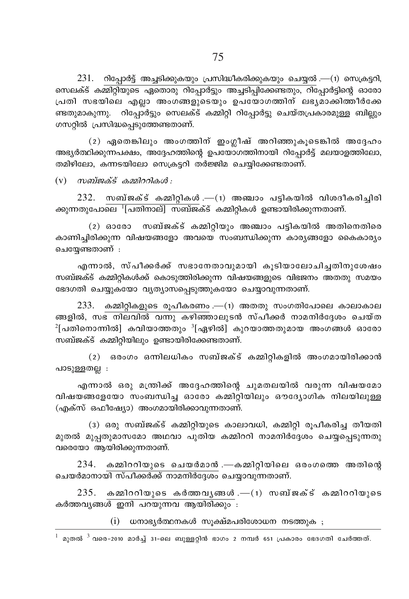ഗസറ്റിൽ പ്രസിദ്ധപ്പെടുത്തേണ്ടതാണ്. (2) ഏതെങ്കിലും അംഗത്തിന് ഇംഗ്ലീഷ് അറിഞ്ഞുകൂടെങ്കിൽ അദ്ദേഹം അഭ്യർത്ഥിക്കുന്നപക്ഷം, അദ്ദേഹത്തിന്റെ ഉപയോഗത്തിനായി റിപ്പോർട്ട് മലയാളത്തിലോ, തമിഴിലോ, കന്നടയിലോ സെക്രട്ടറി തർജ്ജിമ ചെയ്യിക്കേണ്ടതാണ്.

ണ്ടതുമാകുന്നു. റിപ്പോർട്ടും സെലക്ട് കമ്മിറ്റി റിപ്പോർട്ടു ചെയ്തപ്രകാരമുള്ള ബില്ലും

 $(v)$  സബ്ജക്ട് കമ്മിററികൾ :

 $232.$  സബ്ജക്ട് കമ്മിറ്റികൾ.— $(1)$  അഞ്ചാം പട്ടികയിൽ വിശദീകരിച്ചിരി ക്കുന്നതുപോലെ <sup>1</sup>[പതിനാല്] സബ്ജക്ട് കമ്മിറ്റികൾ ഉണ്ടായിരിക്കുന്നതാണ്.

(2) ഓരോ സബ്ജക്ട് കമ്മിറ്റിയും അഞ്ചാം പട്ടികയിൽ അതിനെതിരെ കാണിച്ചിരിക്കുന്ന വിഷയങ്ങളോ അവയെ സംബന്ധിക്കുന്ന കാര്യങ്ങളോ കൈകാര്യം ചെയ്യേണ്ടതാണ് :

എന്നാൽ, സ്പീക്കർക്ക് സഭാനേതാവുമായി കൂടിയാലോചിച്ചതിനുശേഷം സബ്ജക്ട് കമ്മിറ്റികൾക്ക് കൊടുത്തിരിക്കുന്ന വിഷയങ്ങളുടെ വിഭജനം അതതു സമയം ഭേദഗതി ചെയ്യുകയോ വ്യത്യാസപ്പെടുത്തുകയോ ചെയ്യാവുന്നതാണ്.

 $233.$  കമ്മിറ്റികളുടെ രൂപീകരണം .— $(1)$  അതതു സംഗതിപോലെ കാലാകാല ങ്ങളിൽ, സഭ നിലവിൽ വന്നു കഴിഞ്ഞാലുടൻ സ്പീക്കർ നാമനിർദ്ദേശം ചെയ്ത  $^2$ [പതിനൊന്നിൽ] കവിയാത്തതും  $^3$ [ഏഴിൽ] കുറയാത്തതുമായ അംഗങ്ങൾ ഓരോ സബ്ജക്ട് കമ്മിറ്റിയിലും ഉണ്ടായിരിക്കേണ്ടതാണ്.

(2) ഒരംഗം ഒന്നിലധികം സബ്ജക്ട് കമ്മിറ്റികളിൽ അംഗമായിരിക്കാൻ പാടുള്ളതല്ല :

എന്നാൽ ഒരു മന്ത്രിക്ക് അദ്ദേഹത്തിന്റെ ചുമതലയിൽ വരുന്ന വിഷയമോ വിഷയങ്ങളേയോ സംബന്ധിച്ച ഓരോ കമ്മിറ്റിയിലും ഔദ്യോഗിക നിലയിലുള്ള (എക്സ് ഒഫീഷ്യോ) അംഗമായിരിക്കാവുന്നതാണ്.

(3) ഒരു സബ്ജക്ട് കമ്മിറ്റിയുടെ കാലാവധി, കമ്മിറ്റി രൂപീകരിച്ച തീയതി മുതൽ മുപ്പതുമാസമോ അഥവാ പുതിയ കമ്മിററി നാമനിർദ്ദേശം ചെയ്യപ്പെടുന്നതു വരെയോ ആയിരിക്കുന്നതാണ്.

234. കമ്മിററിയുടെ ചെയർമാൻ .—കമ്മിറ്റിയിലെ ഒരംഗത്തെ അതിന്റെ ചെയർമാനായി സ്പീക്കർക്ക് നാമനിർദ്ദേശം ചെയ്യാവുന്നതാണ്.

 $235.$  കമ്മിററിയുടെ കർത്തവൃങ്ങൾ. $-(1)$  സബ്ജക്ട് കമ്മിററിയുടെ കർത്തവൃങ്ങൾ ഇനി പറയുന്നവ ആയിരിക്കും :

 $(i)$  ധനാഭൃർത്ഥനകൾ സുക്ഷ്മപരിശോധന നടത്തുക $;$ 

 $^{-1}$  മുതൽ  $^{-3}$  വരെ-2010 മാർച്ച് 31-ലെ ബുള്ളറ്റിൻ ഭാഗം 2 നമ്പർ 651 പ്രകാരം ഭേദഗതി ചേർത്തത്.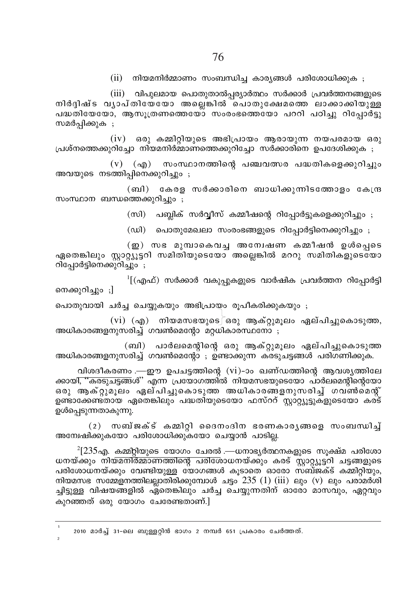(ii) നിയമനിർമ്മാണം സംബന്ധിച്ച കാര്യങ്ങൾ പരിശോധിക്കുക ;

(iii) വിപുലമായ പൊതുതാൽപ്പര്യാർത്ഥം സർക്കാർ പ്രവർത്തനങ്ങളുടെ നിർദിഷ്ട വ്യാപ്തിയേയോ അലെങ്കിൽ ചൊതുക്ഷേമത്തെ ലാക്കാക്കിയുള്ള പദ്ധതിയേയോ, ആസുത്രണത്തെയോ സംരംഭത്തെയോ പററി പഠിച്ചു റിപോർട്ടു സമർപ്പിക്കുക ;

 $(iv)$  ഒരു കമ്മിറ്റിയുടെ അഭിപ്രായം ആരായുന്ന നയപരമായ ഒരു പ്രശ്നത്തെക്കുറിച്ചോ നിയമനിർമ്മാണത്തെക്കുറിച്ചോ സർക്കാരിനെ ഉപദേശിക്കുക ;

 $(v)$  (എ) സംസ്ഥാനത്തിന്റെ പഞ്ചവത്സര പദ്ധതികളെക്കുറിച്ചും അവയുടെ നടത്തിപ്പിനെക്കുറിച്ചും ;

(ബി) കേരള സർക്കാരിനെ ബാധിക്കുന്നിടത്തോളം കേന്ദ്ര സംസ്ഥാന ബന്ധത്തെക്കുറിച്ചും ;

(സി) പബ്ലിക് സർവ്വീസ് കമ്മീഷന്റെ റിപ്പോർട്ടുകളെക്കുറിച്ചും ;

(ഡി) പൊതുമേഖലാ സംരംഭങ്ങളുടെ റിപ്പോർട്ടിനെക്കുറിച്ചും ;

 $\Omega$ ) സഭ മുമ്പാകെവച്ച അന്വേഷണ കമ്മീഷൻ ഉൾപെടെ ഏതെങ്കിലും സ്റ്റാറ്റ്യൂട്ടറി സമിതിയുടെയോ അല്ലെങ്കിൽ മററു സമിതികളുടെയോ റിപോർട്ടിനെക്കുറിച്ചും ;

'[(എഫ്) സർക്കാർ വകുപ്പുകളുടെ വാർഷിക പ്രവർത്തന റിപ്പോർട്ടി നെക്കുറിച്ചും ;]

പൊതുവായി ചർച്ച ചെയ്യുകയും അഭിപ്രായം രൂപീകരിക്കുകയും ;

(vi) (എ) നിയമസഭയുടെ $\bar{z}$ ഒരു ആക്റ്റുമൂലം ഏല്പിച്ചുകൊടുത്ത, അധികാരങ്ങളനുസരിച്ച് ഗവൺമെന്റോ മറ്റധികാരസ്ഥനോ ;

(ബി) പാർലമെന്റിന്റെ ഒരു ആക്റ്റുമൂലം ഏല്പിച്ചുകൊടുത്ത അധികാരങ്ങളനുസരിച്ച് ഗവൺമെന്റോ ; ഉണ്ടാക്കുന്ന കരടുചട്ടങ്ങൾ പരിഗണിക്കുക.

വിശദീകരണം .—ഈ ഉപചട്ടത്തിന്റെ (vi)-ാം ഖണ്ഡത്തിന്റെ ആവശ്യത്തിലേ ക്കായി<del>, ''കരടുചട്ടങ്</del>ങൾ'' എന്ന<sup>്</sup> പ്രയോഗത്തിൽ നിയമസഭയുടെയോ പാർലമെന്റിന്റെയോ ഒരു ആക്റ്റുമൂലം ഏല്പിച്ചുകൊടുത്ത അധികാരങ്ങളനുസരിച്ച് ഗവൺമെന്റ് ഉണ്ടാക്കേണ്ടതായ ഏതെങ്കിലും പദ്ധതിയുടെയോ ഫസ്ററ് സ്റ്റാറ്റ്യൂട്ടുകളുടെയോ കര്ട് ഉൾപ്പെടുന്നതാകുന്നു.

 $(2)$  സബ്ജക്ട് കമ്മിറ്റി ദൈനംദിന ഭരണകാരൃങ്ങളെ സംബന്ധിച്ച് അന്വേഷിക്കുകയോ പരിശോധിക്കുകയോ ചെയ്യാൻ പാടില്ല.

 $^{2}[235$ എ. കമ്മ്റ്റിയുടെ യോഗം ചേരൽ .—ധനാഭ്യർത്ഥനകളുടെ സൂക്ഷ്മ പരിശോ ധനയ്ക്കും നിയമനിർമ്മാണത്തിന്റെ പരിശോധനയ്ക്കും കരട് സ്റ്റാറ്റ്യൂട്ടറി ചട്ടങ്ങളുടെ പരിശോധനയ്ക്കും വേണ്ടിയുള്ള യോഗങ്ങൾ കൂടാതെ ഓരോ സബ്ജക്ട് കമ്മിറ്റിയും, നിയമസഭ സമ്മേളനത്തിലല്ലാതിരിക്കുമ്പോൾ ചട്ടം 235 (1) (iii) ലും (v) ലും പരാമർശി ച്ചിട്ടുള്ള വിഷയങ്ങളിൽ ഏതെങ്കിലും ചർച്ച ചെയ്യുന്നതിന് ഓരോ മാസവും, ഏറ്റവും കുറഞ്ഞത് ഒരു യോഗം ചേരേണ്ടതാണ്.]

2010 മാർച്ച് 31-ലെ ബുള്ളറ്റിൻ ഭാഗം 2 നമ്പർ 651 പ്രകാരം ചേർത്തത്.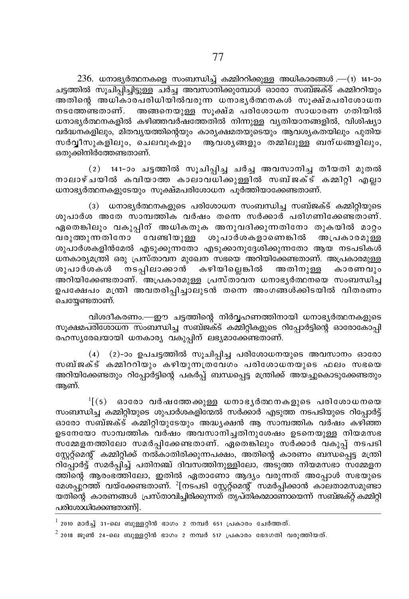$236$ . ധനാഭൃർത്ഥനകളെ സംബന്ധിച്ച് കമ്മിററിക്കുള്ള അധികാരങ്ങൾ .— $(1)$  141-ാം  $\frac{1}{\sqrt{2}}$ ചട്ടത്തിൽ സുചിപ്പിച്ചിട്ടുള്ള ചർച്ച അവസാനിക്കുമ്പോൾ ഓരോ സബ്ജക്ട് കമ്മിററിയും അതിനെ അധികാരപരിധിയിൽവരുന്ന ധനാഭ∖ർത്ഥനകൾ സുക്ഷ്മപരിശോധന  $\mathfrak m$ ടത്തേണ്ടതാണ്. അങ്ങനെയുള്ള സുക്ഷ്മ പരിശോധന സാധാരണ ഗതിയിൽ wനാഭൃർത്ഥനകളിൽ കഴിഞ്ഞവർഷത്തേതിൽ നിന്നുള്ള വൃതിയാനങ്ങളിൽ, വിശിഷ്യാ വർദ്ധനകളിലും, മിതവ്യയത്തിന്റെയും കാര്യക്ഷമതയുടെയും ആവശ്യകതയിലും പുതിയ സർവീസുകളിലും, ചെലവുകളും ആവശ്യങ്ങളും തമ്മിലുള്ള ബന്ധങ്ങളിലും, ഒതുക്കിനിർത്തേണ്ടതാണ്.

(2) 141-ാം ചട്ടത്തിൽ സൂചിപ്പിച്ച ചർച്ച അവസാനിച്ച തീയതി മുതൽ നാലാഴ്ചയിൽ കവിയാത്ത കാലാവധിക്കുളളിൽ സബ്ജക്ട് കമ്മിറി എലാ  $\omega$ നാഭ്യർത്ഥനകളുടേയും സുക്ഷ്മപരിശോധന പുർത്തിയാക്കേണ്ടതാണ്.

(3)  $\omega$ നാഭൃർത്ഥനകളുടെ പരിശോധന സംബന്ധിച്ച സബ്ജക്ട് കമ്മിറ്റിയുടെ ശുപാർശ അതേ സാമ്പത്തിക വർഷം തന്നെ സർക്കാർ പരിഗണിക്കേണ്ടതാണ്. .<br>ഏതെങ്കിലും വകുപിന് അധികതുക അനുവദിക്കുന്നതിനോ തുകയിൽ മാറ്റം വരുത്തുന്നതിനോ $\frac{1}{2}$ വേണ്ടിയുള്ള ശുപാർശകളാണെങ്കിൽ അപ്രകാരമുള്ള  $i$ തുപാർശകളിൻമേൽ എടുക്കുന്നതോ എടുക്കാനുദ്ദേശിക്കുന്നതോ ആയ നടപടികൾ  $\omega$ നകാര്യമന്ത്രി ഒരു പ്രസ്താവന മുഖേന സഭയെ അറിയിക്കേണ്ടതാണ്. അപ്രകാരമുള്ള ശുപാർശകൾ നടപ്പിലാക്കാൻ കഴിയില്ലെങ്കിൽ അതിനുള്ള കാരണവും അറിയിക്കേണ്ടതാണ്.  $\bar{a}$ അപ്രകാരമുള്ള പ്രസ്താവന ധനാഭൃർത്ഥനയെ സംബന്ധിച്ച ഉപക്ഷേപം മന്ത്രി അവതരിപ്പിച്ചാലുടൻ തന്നെ അംഗങ്ങൾക്കിടയിൽ വിതരണം ചെയ്യേണ്ടതാണ്.

വിശദീകരണം.—ഈ ചട്ടത്തിന്റെ നിർവ്വഹണത്തിനായി ധനാഭ്യർത്ഥനകളുടെ സുക്ഷമപരിശോധന സംബന്ധിച്ച സബ്ജക്ട് കമ്മിറ്റികളുടെ റിപ്പോർട്ടിന്റെ ഓരോകോപ്പി രഹസ്യരേഖയായി ധനകാര്യ വകുപ്പിന് ലഭ്യമാക്കേണ്ടതാണ്.

(4)  $(2)$ -ാം ഉപചട്ടത്തിൽ സുചിപ്പിച്ച പരിശോധനയുടെ അവസാനം ഓരോ സബ്ജക്ട് കമ്മിററിയും കഴിയുന്നത്രവേഗം പരിശോധനയുടെ ഫലം സഭയെ അറിയിക്കേണ്ടതും റിപ്പോർട്ടിന്റെ പകർപ്പ് ബന്ധപ്പെട്ട മന്ത്രിക്ക് അയച്ചുകൊടുക്കേണ്ടതും ആണ്.

 $\frac{1}{2}$  [(5) ഓരോ വർഷത്തേക്കുള്ള ധനാഭൃർത്ഥനകളുടെ പരിശോധനയെ സംബന്ധിച്ച കമ്മിറ്റിയുടെ ശുപാർശകളിന്മേൽ സർക്കാർ എടുത്ത നടപടിയുടെ റിപ്പോർട്ട് ഓരോ സബ്ജക്ട് കമ്മിറ്റിയുടേയും അദ്ധ്യക്ഷൻ ആ സാമ്പത്തിക വർഷം കഴിഞ്ഞ ഉടനേയോ സാമ്പത്തിക<sup>്</sup>വർഷം അവസാനിച്ചതിനുശേഷം ഉടനെയുള്ള നിയമസഭ  $\bar{\text{R}}$ സമ്മേളനത്തിലോ സമർപ്പിക്കേണ്ടതാണ്. ഏതെങ്കിലും സർക്കാർ വകുപ്പ് നടപടി സ്കേറ്റ്മെന്റ് കമ്മിറ്റിക്ക് നൽകാതിരിക്കുന്നപക്ഷം, അതിന്റെ കാരണം ബന്ധപ്പെട്ട മന്ത്രി  $\alpha$ ിപ്പോർട്ട് സമർപ്പിച്ച് പതിനഞ്ച് ദിവസത്തിനുള്ളിലോ, അടുത്ത നിയമസഭാ സമ്മേളന ത്തിന്റെ ആരംഭത്തിലോ, ഇതിൽ ഏതാണോ ആദ്യം വരുന്നത് അപ്പോൾ സഭയുടെ മേശപ്പുറത്ത് വയ്ക്കേണ്ടതാണ്. <sup>2</sup>[നടപടി സ്റ്റേറ്റ്മെന്റ് സമർപ്പിക്കാൻ കാലതാമസമുണ്ടാ \_<br>യതിന്റെ കാരണങ്ങൾ പ്രസ്താവിച്ചിരിക്കുന്നത്്തുപ്തികരമാണ്ോയെന്ന് സബ്ജക്റ്റ് കമ്മിറ്റി പരിശോധിക്കേണ്ടതാണ്].

 $^1$  2010 മാർച്ച് 31-ലെ ബുള്ളറ്റിൻ ഭാഗം 2 നമ്പർ 651 പ്രകാരം ചേർത്തത്.

 $^2$  2018 ജൂൺ 24-ലെ ബുള്ളറ്റിൻ ഭാഗം 2 നമ്പർ 517 പ്രകാരം ഭേദഗതി വരുത്തിയത്.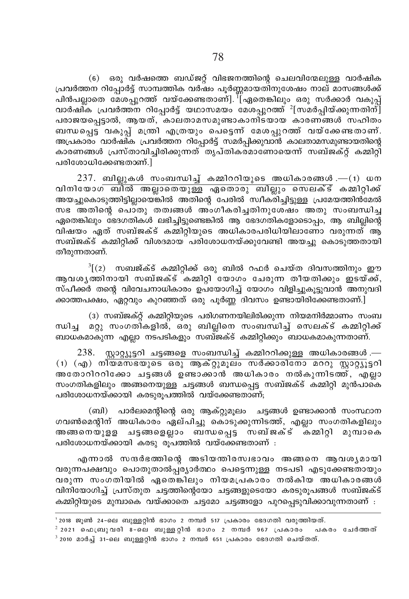(6) ഒരു വർഷത്തെ ബഡ്ജറ്റ് വിഭജനത്തിന്റെ ചെലവിന്മേലുള്ള വാർഷിക പ്രവർത്തന റിപ്പോർട്ട് സാമ്പത്തിക വർഷം പൂർണ്ണമായതിനുശേഷം നാല് മാസങ്ങൾക്ക് പിൻപല്ലാതെ മേശപ്പറത്ത് വയ്ക്കേണ്ടതാണ്]. <sup>"</sup>[ഏതെങ്കിലും ഒരു സർക്കാർ വകുപ്പ് വാർഷി്ക പ്രവർത്തന റിപ്പോർട്ട് യഥാസമയം മേശപ്പുറത്ത്  $^2$ [സമർപ്പിയ്ക്കുന്നതിന്] പരാജയപ്പെട്ടാൽ, ആയത്, കാലതാമസമുണ്ടാകാനിടയായ കാരണങ്ങൾ സഹിതം ബന്ധപ്പെട്ട വകുപ്പ് മന്ത്രി എത്രയും പെട്ടെന്ന് മേശപ്പുറത്ത് വയ്ക്കേണ്ടതാണ്. അപ്രകാരം വാർഷിക പ്രവർത്തന റിപ്പോർട്ട് സമർപ്പിക്കുവാൻ കാലതാമസമുണ്ടായതിന്റെ കാരണങ്ങൾ പ്രസ്താവിച്ചിരിക്കുന്നത് തൃപ്തികര്മാണോയെന്ന് സബ്ജക്റ്റ് കമ്മിറ്റി പരിശോധിക്കേണ്ടതാണ്.]

 $237.$  ബില്ലുകൾ സംബന്ധിച്ച് കമ്മിററിയുടെ അധികാരങ്ങൾ.— $(1)$  ധന വിനിയോഗ ബിൽ അല്ലാതെയുള്ള ഏതൊരു ബില്ലും സെലക്ട് കമ്മിറ്റിക്ക് അയച്ചുകൊടുത്തിട്ടില്ലായെങ്കിൽ അതിന്റെ പേരിൽ സ്ഥീക്രിച്ചിട്ടുള്ള പ്രമേയത്തിൻമേൽ സഭ അതിന്റെ പൊതു തത്വങ്ങൾ അംഗീകരിച്ചതിനുശേഷം അതു സംബന്ധിച്ച ഏതെങ്കിലും ഭേദഗതികൾ ലഭിച്ചിട്ടുണ്ടെങ്കിൽ ആ ഭേദഗതികളോടൊപ്പം, ആ ബില്ലിന്റെ വിഷയം ഏത് സബ്ജക്ട് കമ്മിറ്റിയുടെ അധികാരപരിധിയിലാണോ വരുന്നത് ആ സബ്ജക്ട് കമ്മിറ്റിക്ക് വിശദമായ പരിശോധനയ്ക്കുവേണ്ടി അയച്ചു കൊടുത്തതായി തീരുന്നതാണ്.

 $\frac{3}{2}$ (2) സബജ്ക്ട് കമ്മിറ്റിക്ക് ഒരു ബിൽ റഫർ ചെയ്ത ദിവസത്തിനും ഈ ആവശൃത്തിനായി സബ്ജക്ട് കമ്മിറ്റി യോഗം ചേരുന്ന തീയതിക്കും ഇടയ്ക്ക്, സ്പീക്കർ തന്റെ വിവേചനാധികാരം ഉപയോഗിച്ച് യോഗം വിളിച്ചുകൂട്ടുവാൻ അനുവദി ക്കാത്തപക്ഷം, ഏറ്റവും കുറഞ്ഞത് ഒരു പൂർണ്ണ ദിവസം ഉണ്ടായിരിക്കേണ്ടതാണ്.]

(3) സബ്ജക്റ്റ് കമ്മിറ്റിയുടെ പരിഗണനയിലിരിക്കുന്ന നിയമനിർമ്മാണം സംബ മറ്റു സംഗതികളിൽ, ഒരു ബില്ലിനെ സംബന്ധിച്ച് സെലക്ട് കമ്മിറ്റിക്ക് ന്ധിച ബാധകമാകുന്ന എല്ലാ നടപടികളും സബ്ജക്ട് കമ്മിറ്റിക്കും ബാധകമാകുന്നതാണ്.

 $238.$  സ്റ്റാറ്റ്യൂട്ടറി ചട്ടങ്ങളെ സംബന്ധിച്ച് കമ്മിററിക്കുള്ള അധികാരങ്ങൾ.—  $(1)$  (എ) നിയമസഭയുടെ ഒരു ആക്റ്റുമുലം സർക്കാരിനോ മററു സ്റ്റാറ്റ്യൂട്ടറി അതോറിററിക്കോ ചട്ടങ്ങൾ ഉണ്ടാക്കാൻ അധികാരം നൽകുന്നിടത്ത്, എല്ലാ സംഗതികളിലും അങ്ങനെയുള്ള ചട്ടങ്ങൾ ബന്ധപ്പെട്ട സബ്ജക്ട് കമ്മിറ്റി മുൻപാകെ പരിശോധനയ്ക്കായി കരടുരുപത്തിൽ വയ്ക്കേണ്ടതാണ്:

(ബി) പാർലമെന്റിന്റെ ഒരു ആക്റ്റുമുലം ചട്ടങ്ങൾ ഉണ്ടാക്കാൻ സംസ്ഥാന ഗവൺമെന്റിന് അധികാരം ഏല്പിച്ചു കൊടുക്കുന്നിടത്ത്, എല്ലാ സംഗതികളിലും അങ്ങനെയുളള ചട്ടങ്ങളെല്ലാം ബന്ധപ്പെട്ട സബ്ജക്ട് കമ്മിറ്റി മുമ്പാകെ പരിശോധനയ്ക്കായി കരടു രൂപത്തിൽ വയ്ക്കേണ്ടതാണ് :

എന്നാൽ സന്ദർഭത്തിന്റെ അടിയന്തിരസ്വഭാവം അങ്ങനെ ആവശൃമായി വരുന്നപക്ഷവും പൊതുതാൽപ്പര്യാർത്ഥം പെട്ടെന്നുള്ള നടപടി എടുക്കേണ്ടതായും വരുന്ന സംഗതിയിൽ ഏതെങ്കിലും നിയമപ്രകാരം നൽകിയ അധികാരങ്ങൾ വിനിയോഗിച്ച് പ്രസ്തുത ചട്ടത്തിന്റെയോ ചട്ടങ്ങളുടെയോ കരടുരൂപങ്ങൾ സബ്ജക്ട് കമ്മിറ്റിയുടെ മുമ്പാകെ വയ്ക്കാതെ ചട്ടമോ ചട്ടങ്ങളോ പുറപ്പെടുവിക്കാവുന്നതാണ് :

<sup>&#</sup>x27; 2018 ജൂൺ 24-ലെ ബുള്ളറ്റിൻ ഭാഗം 2 നമ്പർ 517 പ്രകാരം ഭേദഗതി വരുത്തിയത്.

 $^2$  2021 ഫെബ്രുവരി 8-ലെ ബുള്ളറ്റിൻ ഭാഗം 2 നമ്പർ 967 പ്രകാരം പകരം ചേർത്തത്  $3$  2010 മാർച്ച് 31-ലെ ബുള്ളറ്റിൻ ഭാഗം 2 നമ്പർ 651 പ്രകാരം ഭേദഗതി ചെയ്തത്.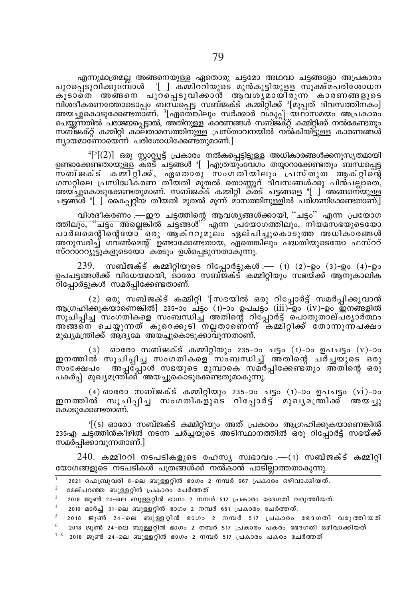എന്നുമാത്രമല്ല അങ്ങനെയുള്ള ഏതൊരു ചട്ടമോ അഥവാ ചട്ടങ്ങളോ അപ്രകാരം ്∣ി കമ്മിറ്റിയുടെ മുൻകൂട്ടിയുളള സൂക്ഷ്മപരിശോധന പുറപെടുവിക്കുമ്പോൾ കുടാതെ് അങ്ങനെ പുറപെടുവിക്കാൻ ആവശ്യമായിരുന്ന കാരണങ്ങളുടെ വിശദീകരണത്തോടൊപ്പം ബന്ധപ്പെട്ട സബ്ജക്ട് കമ്മിറ്റിക്ക് ദിമ്പ്പത് ദിവസത്തിന്കം] അയച്ചുകൊടുക്കേണ്ടതാണ്.ി ഏതെങ്കിലും സർക്കാർ വ്കുപ്പ് യഥാസമയം അപ്രകാരം ചെയ്യുന്നതിൽ പരാജയപ്പെട്ടാൽ, അതിനുള്ള കാരണങ്ങൾ സബ്ജക്റ്റ് കമ്മിറ്റിക്ക് നൽകേണ്ടതും സബ്ജക്റ്റ് കമ്മിറ്റി കാലതാമസത്തിനുള്ള പ്രസ്താവനയിൽ നൽകിയിട്ടുള്ള കാരണങ്ങൾ ന്യായമാണോയെന്ന് പരിശോധിക്കേണ്ടതുമാണ്.]

 $\frac{4}{3}$ [ $(2)$ ] ഒരു സ്റ്റാറ്റ്യൂട്ട് പ്രകാരം നൽകപ്പെട്ടിട്ടുള്ള അധികാരങ്ങൾക്കനുസൃതമായി ഉണ്ടാക്കേണ്ടതായുള്ള കര്ട് ചടങ്ങൾ '[ിഎത്രയ്ക്കവശം തയാറാക്കേണ്ടതും ബന്ധപെട സബ്ജക്ട് കമ്മിറ്റിക്ക്, ഏതൊരു സംഗതിയിലും പ്രസ്തുത ആക്റ്റിന്റെ ഗസറ്റിലെ പ്രസിദ്ധീകരണ തി്യതി മുതൽ തൊണ്ണൂറ് ദിവസങ്ങൾക്കു പിൻപല്ലാതെ്,<br>അയച്ചുകൊടുക്കേണ്ടതുമാണ്. സബ്ജക്ട് കമ്മിറ്റി കരട് ചട്ടങ്ങളെ '[ ] അങ്ങനെയുള്ള ചട്ടങ്ങൾ °[ ] കൈപറ്റിയ തീയതി മുതൽ മുന്ന് മാസത്തിനുള്ളിൽ പരിഗണിക്കേണ്ടതാണ്.]

വിശദീകരണം .—ഈ ചട്ടത്തിന്റെ ആവശ്യങ്ങൾക്കായി, ''ചട്ടം'' എന്ന പ്രയോഗ ത്തിലും, "ചട്ടം അല്ലെങ്കിൽ ചട്ടങ്ങൾ" എന്ന പ്രയോഗത്തിലും, നിയമസഭയുടെയോ പാർലമെന്റിന്റെയോ് ഒരു ആക്ററുമുലം ഏല്പിച്ചുകൊടുത്ത അധികാരങ്ങൾ അനുസരിച്ച് ഗവണിമെന്റ് ഉണ്ടാക്കേണ്ടതായ, ഏതെങ്കിലും പദ്ധതിയുടെയോ ഫസ്ററ് സ്ററാററ്യൂട്ടുകളുടെയോ്കരടും ഉൾപ്പെടുന്നതാകുന്നു.

239. സബ്ജക്ട് കമ്മിറ്റിയുടെ റിപ്പോർട്ടുകൾ .— (1) (2)-ഉം (3)-ഉം (4)-ഉം ഉപചട്ടങ്ങൾക്ക് വിധേയമായി, ഓരോ സബ്ജക്ട് കമ്മിറ്റിയും സഭയ്ക്ക് ആനുകാലിക റിപ്പോർട്ടുകൾ സമർപിക്കേണ്ടതാണ്.

(2) ഒരു സബ്ജക്ട് കമ്മിറ്റി '[സഭയിൽ ഒരു റിപ്പോർട്ട് സമർപ്പിക്കുവാൻ ആഗ്രഹിക്കുകയാണെങ്കിൽ] 235–ാം ച്ട്ടം (1)–ാം ഉപചട്ടം (iii)–്ഉം (iv)–ഉം ഇനങ്ങളിൽ സൂചിപ്പിച്ച സംഗതികളെ സംബന്ധിച്ച അതിന്റെ റിപ്പോർട്ട് പൊതുതാല്പര്യാർത്ഥം അങ്ങനെ ചെയ്യുന്നത് കുറെക്കൂടി നല്ലതാണെന്ന് കമ്മിറ്റിക്ക് തോന്നുന്പക്ഷം മുഖ്യമന്ത്രിക്ക് ആദ്യമേ അയച്ചുകൊടുക്കാവുന്നതാണ്.

(3) ഓരോ സബ്ജക്ട് കമ്മിറ്റിയും 235-ാം ചട്ടം (1)-ാം ഉപചട്ടം (v)-ാം ഇനത്തിൽ സൂചിപ്പിച്ച സംഗതികളെ സംബന്ധിച്ച് അതിന്റെ ചര്ച്ചയുടെ ഒരു സംക്ഷേപം അപ്പോൾ സഭയുടെ മുമ്പാകെ സമർപ്പിക്കേണ്ടതും അതിന്റെ ഒരു പകർപ്പ് മുഖ്യമന്ത്രിക്ക് അയച്ചുകൊടുക്കേണ്ടതുമാകുന്നു.

(4) ഓരോ സബ്ജക്ട് കമ്മിറ്റിയും 235-ാം ചട്ടം (1)-ാം ഉപചട്ടം (vi)-ാം ഇനത്തിൽ സൂചിപ്പിച്ച സംഗതികളുടെ റിപ്പോർട്ട് മുഖൃമത്രിക്ക് അയച്ചു കൊടുക്കേണ്ടതാണ്.

ീ(5) ഓരോ സബ്ജക്ട് കമ്മിറ്റിയും അത് പ്രകാരം ആഗ്രഹിക്കുകയാണെങ്കിൽ 235എ ചട്ടത്തിൻകീഴിൽ നടന്ന ചർച്ചയുടെ അടിസ്ഥാനത്തിൽ ഒരു റിപ്പോർട്ട് സഭയ്ക്ക് സമർപിക്കാവുന്നതാണ്.|

 $240.$  കമ്മിററി നടപടികളുടെ രഹസ്യ സ്വഭാവം .— $(1)$  സബ്ജക്ട് കമ്മിറ്റി യോഗങ്ങളുടെ നടപടികൾ പത്രങ്ങൾക്ക് നൽകാൻ പാടിലാത്തതാകുന്നു.

- 2021 ഫെബ്രുവരി 8-ലെ ബുള്ളറ്റിൻ ഭാഗം 2 നമ്പർ 967 പ്രകാരം ഒഴിവാക്കിയത്.
- $\overline{2}$ മേല്പറഞ്ഞ ബുള്ളറ്റിൻ പ്രകാരം ചേർത്തത്
- 2018 ജൂൺ 24-ലെ ബുള്ളറ്റിൻ ഭാഗം 2 നമ്പർ 517 പ്രകാരം ഭേദഗതി വരുത്തിയത്.
- 2010 മാർച്ച് 31-ലെ ബുള്ളറ്റിൻ ഭാഗം 2 നമ്പർ 651 പ്രകാരം ചേർത്തത്.
- $^5$  2018 ജൂൺ 24-ലെ ബുള്ളറ്റിൻ ഭാഗം 2 നമ്പർ 517 പ്രകാരം ഭേദഗതി വരുത്തിയത് 2018 ജൂൺ 24-ലെ ബുള്ളറ്റിൻ ഭാഗം 2 നമ്പർ 517 പ്രകാരം പകരം ഭേദഗതി ഒഴിവാക്കിയത്
- $7,8$  2018 ജൂൺ 24-ലെ ബുള്ളറ്റിൻ ഭാഗം 2 നമ്പർ 517 പ്രകാരം പകരം ചേർത്തത്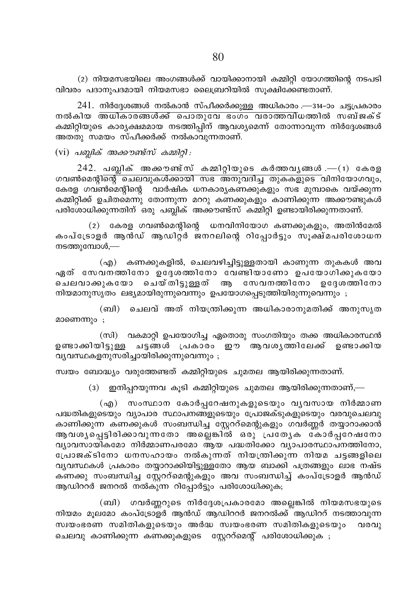(2) നിയമസഭയിലെ അംഗങ്ങൾക്ക് വായിക്കാനായി കമ്മിറ്റി യോഗത്തിന്റെ നടപടി വിവരം പദാനുപദമായി നിയമസഭാ ലൈബ്രറിയിൽ സൂക്ഷിക്കേണ്ടതാണ്.

241. നിർദ്ദേശങ്ങൾ നൽകാൻ സ്പീക്കർക്കുള്ള അധികാരം .—314-ാം ചട്ടപ്രകാരം നൽകിയ അധികാരങ്ങൾക്ക് പൊതുവേ ഭംഗം വരാത്തവിധത്തിൽ സബ്ജക്ട് കമ്മിറ്റിയുടെ കാര്യക്ഷമമായ നടത്തിപ്പിന് ആവശ്യമെന്ന് തോന്നാവുന്ന നിർദ്ദേശങ്ങൾ അതതു സമയം സ്പീക്കർക്ക് നൽകാവുന്നതാണ്.

 $(vi)$  പബ്ലിക് അക്കൗണ്ട്സ് കമ്മിറ്റി :

 $242.$  പബ്ലിക് അക്കൗണ്ട്സ് കമ്മിറ്റിയുടെ കർത്തവൃങ്ങൾ. $-$ (1) കേരള <u>ഗവൺമെന്റിന്റെ ചെലവുകൾക്കായി സഭ അനുവദിച്ച തുകകളുടെ വിനിയോഗവും, </u> കേരള ഗവൺമെന്റിന്റെ വാർഷിക ധനകാര്യകണക്കുകളും സഭ മുമ്പാകെ വയ്ക്കുന്ന കമ്മിറ്റിക്ക് ഉചിതമെന്നു തോന്നുന്ന മററു കണക്കുകളും കാണിക്കുന്ന അക്കൗണ്ടുകൾ പരിശോധിക്കുന്നതിന് ഒരു പബ്ലിക് അക്കൗണ്ട്സ് കമ്മിറ്റി ഉണ്ടായിരിക്കുന്നതാണ്.

 $(2)$  കേരള ഗവൺമെന്റിന്റെ ധനവിനിയോഗ കണക്കുകളും, അതിൻമേൽ കംപ്ട്രോളർ ആൻഡ് ആഡിറ്റർ ജനറലിന്റെ റിപ്പോർട്ടും സൂക്ഷ്മപരിശോധന നടത്തുമ്പോൾ, $-$ 

(എ) കണക്കുകളിൽ, ചെലവഴിച്ചിട്ടുള്ളതായി കാണുന്ന തുകകൾ അവ ഏത് സേവനത്തിനോ ഉദ്ദേശത്തിനോ വേണ്ടിയാണോ ഉപയോഗിക്കുകയോ ചെലവാക്കുകയോ ചെയ്തിട്ടുള്ളത് ആ സേവനത്തിനോ ഉദ്ദേശത്തിനോ നിയമാനുസൃതം ലഭ്യമായിരുന്നുവെന്നും ഉപയോഗപ്പെടുത്തിയിരുന്നുവെന്നും ;

(ബി) ചെലവ് അത് നിയന്ത്രിക്കുന്ന അധികാരാനുമതിക്ക് അനുസൃത മാണെന്നും ;

(സി) വകമാറ്റി ഉപയോഗിച്ച ഏതൊരു സംഗതിയും തക്ക അധികാരസ്ഥൻ ഉണ്ടാക്കിയിട്ടുള്ള ചട്ടങ്ങൾ പ്രകാരം ഈ ആവശ്യത്തിലേക്ക് ഉണ്ടാക്കിയ വ്യവസ്ഥകളനുസരിച്ചായിരിക്കുന്നുവെന്നും;

സ്വയം ബോദ്ധ്യം വരുത്തേണ്ടത് കമ്മിറ്റിയുടെ ചുമതല ആയിരിക്കുന്നതാണ്.

(3) ഇനിപ്പറയുന്നവ കൂടി കമ്മിറ്റിയുടെ ചുമതല ആയിരിക്കുന്നതാണ്,—

(എ) സംസ്ഥാന കോർപ്പറേഷനുകളുടെയും വൃവസായ നിർമ്മാണ പദ്ധതികളുടെയും വ്യാപാര സ്ഥാപനങ്ങളുടെയും പ്രോജക്ടുകളുടെയും വരവുചെലവു കാണിക്കുന്ന കണക്കുകൾ സംബന്ധിച്ച സ്റ്റേററ്മെന്റുകളും ഗവർണ്ണർ തയ്യാറാക്കാൻ ആ വശൃച്ചെട്ടിരിക്കാവുന്നതോ അല്ലെങ്കിൽ ഒരു പ്രത്യേക കോർപ്പ്റേഷനോ വ്യാവസായികമോ നിർമ്മാണപരമോ ആയ പദ്ധതിക്കോ വ്യാപാരസ്ഥാപനത്തിനോ, പ്രോജക്ടിനോ ധനസഹായം നൽകുന്നത് നിയന്ത്രിക്കുന്ന നിയമ ചട്ടങ്ങളിലെ വ്യവസ്ഥകൾ പ്രകാരം തയ്യാറാക്കിയിട്ടുള്ളതോ ആയ ബാക്കി പത്രങ്ങളും ലാഭ നഷ്ട കണക്കു സംബന്ധിച്ച സ്റ്റേററ്മെന്റുകളും അവ സംബന്ധിച്ച് കംപ്ട്രോളർ ആൻഡ് ആഡിററർ ജനറൽ നൽകുന്ന റിപ്പോർട്ടും പരിശോധിക്കുക;

ഗവർണ്ണറുടെ നിർദ്ദേശപ്രകാരമോ അല്ലെങ്കിൽ നിയമസഭയുടെ (ബി) നിയമം മൂലമോ കംപ്ട്രോളർ ആൻഡ് ആഡിററർ ജനറൽക്ക് ആഡിററ് നടത്താവുന്ന സ്വയംഭരണ സമിതികളുടെയും അർദ്ധ സ്വയംഭരണ സമിതികളുടെയും വരവു ചെലവു കാണിക്കുന്ന കണക്കുകളുടെ സ്റ്റേറ്മെന്റ് പരിശോധിക്കുക ;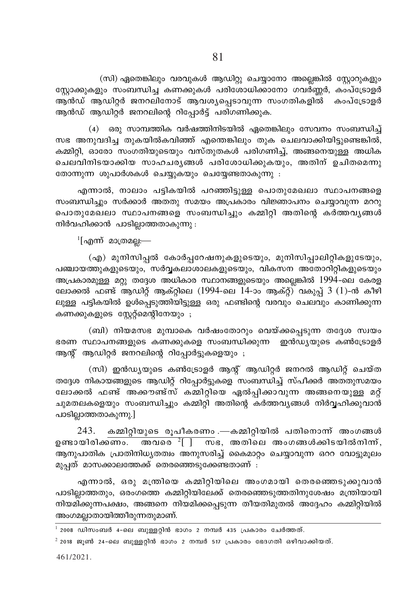(സി) ഏതെങ്കിലും വരവുകൾ ആഡിറ്റു ചെയ്യാനോ അല്ലെങ്കിൽ സ്റ്റോറുകളും സ്റ്റോക്കുകളും സംബന്ധിച്ച കണക്കുകൾ പരിശോധിക്കാനോ ഗവർണ്ണർ, കംപ്ട്രോളർ .<br>ആൻഡ് ആഡിറ്റർ ജനറലിനോട് ആവശ്യപ്പെടാവുന്ന സംഗതികളിൽ കംപ്ട്രോളർ ആൻഡ് ആഡിറ്റർ ജനറലിന്റെ റിപ്പോർട്ട് പരിഗണിക്കുക.

(4) ഒരു സാമ്പത്തിക വർഷത്തിനിടയിൽ ഏതെങ്കിലും സേവനം സംബന്ധിച് സഭ അനുവദിച്ച തുകയിൽകവിഞ്ഞ് എന്തെങ്കിലും തുക ചെലവാക്കിയിട്ടുണ്ടെങ്കിൽ, കമ്മിറ്റി, ഓരോ സംഗതിയുടെയും വസ്തുതകൾ പരിഗണിച്ച്, അങ്ങനെയുള്ള അധിക ചെലവിനിടയാക്കിയ സാഹചര്യങ്ങൾ പരിശോധിക്കുകയും, അതിന് ഉചിതമെന്നു തോന്നുന്ന ശുപാർശകൾ ചെയ്യുകയും ചെയ്യേണ്ടതാകുന്നു :

എന്നാൽ, നാലാം പട്ടികയിൽ പറഞ്ഞിട്ടുള്ള പൊതുമേഖലാ സ്ഥാപനങ്ങളെ സംബന്ധിച്ചും സർക്കാർ അതതു സമയം അപ്രകാരം വിജ്ഞാപനം ചെയ്യാവുന്ന മററു പൊതുമേഖലാ സ്ഥാപനങ്ങളെ സംബന്ധിച്ചും കമ്മിറ്റി അതിന്റെ കർത്തവൃങ്ങൾ നിർവഹിക്കാൻ പാടില്ലാത്തതാകുന്നു :

 $\frac{1}{2}$ [എന്ന് മാത്രമല:—

(എ) മുനിസിപ്പൽ കോർപ്പറേഷനുകളുടെയും, മുനിസിപ്പാലിറ്റികളുടേയും, പഞ്ചായത്തുകളുടെയും, സർവ്വകലാശാലകളുടെയും, വികസന അതോറിറ്റികളുടെയും അപ്രകാരമുള്ള മറ്റു തദ്ദേശ അധികാര സ്ഥാനങ്ങളുടെയും അല്ലെങ്കിൽ 1994-ലെ കേരള ലോക്കൽ ഫണ്ട് ആഡിറ്റ് ആക്റ്റിലെ (1994-ലെ 14-ാം ആക്റ്റ്) വകുപ്പ് 3 (1)-ൻ കീഴി ലുള്ള പട്ടികയിൽ ഉൾപ്പെടുത്തിയിട്ടുള്ള ഒരു ഫണ്ടിന്റെ വരവും ചെലവും കാണിക്കുന്ന കണക്കുകളുടെ സ്റ്റേറ്റ്മെന്റിനേയും ;

(ബി) നിയമസഭ മുമ്പാകെ വർഷംതോറും വെയ്ക്കപ്പെടുന്ന തദ്ദേശ സ്വയം ഭരണ സ്ഥാപനങ്ങളുടെ കണക്കുകളെ സംബന്ധിക്കുന്ന ഇൻഡ്യയുടെ കൺട്രോളർ ആന്റ് ആഡിറ്റർ ജനറലിന്റെ റിപ്പോർട്ടുകളെയും ;

(സി) ഇൻഡ്യയുടെ കൺട്രോളർ ആന്റ് ആഡിറ്റർ ജനറൽ ആഡിറ്റ് ചെയ്ത തദ്ദേശ നികായങ്ങളുടെ ആഡിറ്റ് റിപ്പോർട്ടുകളെ സംബന്ധിച്ച് സ്പീക്കർ അതതുസമയം ലോക്കൽ ഫണ്ട് അക്കൗണ്ട്സ് കമ്മിറ്റിയെ ഏൽപ്പിക്കാവുന്ന അങ്ങനെയുള്ള മറ്റ് ചുമതലകളെയും സംബന്ധിച്ചും കമ്മിറ്റി അതിന്റെ കർത്തവ്യങ്ങൾ നിർവ്വഹിക്കുവാൻ പാടില്ലാത്തതാകുന്നു.]

കമ്മിറ്റിയുടെ രൂപീകരണം .—കമ്മിറ്റിയിൽ പതിനൊന്ന് അംഗങ്ങൾ 243. ഉണ്ടായിരിക്കണം. അവരെ  $^{2}$ [ ] — സഭ, അതിലെ അംഗങ്ങൾക്കിടയിൽനിന്ന്, ആനുപാതിക പ്രാതിനിധ്യതത്വം അനുസരിച്ച് കൈമാറ്റം ചെയ്യാവുന്ന ഒററ വോട്ടുമൂലം മുപ്പത് മാസക്കാലത്തേക്ക് തെരഞ്ഞെടുക്കേണ്ടതാണ് :

എന്നാൽ, ഒരു മന്ത്രിയെ കമ്മിറ്റിയിലെ അംഗമായി തെരഞ്ഞെടുക്കുവാൻ പാടില്ലാത്തതും, ഒരംഗത്തെ കമ്മിറ്റിയിലേക്ക് തെരഞ്ഞെടുത്തതിനുശേഷം മന്ത്രിയായി നിയമിക്കുന്നപക്ഷം, അങ്ങനെ നിയമിക്കപ്പെടുന്ന തീയതിമുതൽ അദ്ദേഹം കമ്മിറ്റിയിൽ അംഗമല്ലാതായിത്തീരുന്നതുമാണ്.

 $^{\rm 1}$  2008 ഡിസംബർ 4–ലെ ബുള്ളറ്റിൻ ഭാഗം 2 നമ്പർ 435 പ്രകാരം ചേർത്തത്.

 $^{2}$  2018 ജൂൺ 24-ലെ ബുള്ളറ്റിൻ ഭാഗം 2 നമ്പർ 517 പ്രകാരം ഭേദഗതി ഒഴിവാക്കിയത്.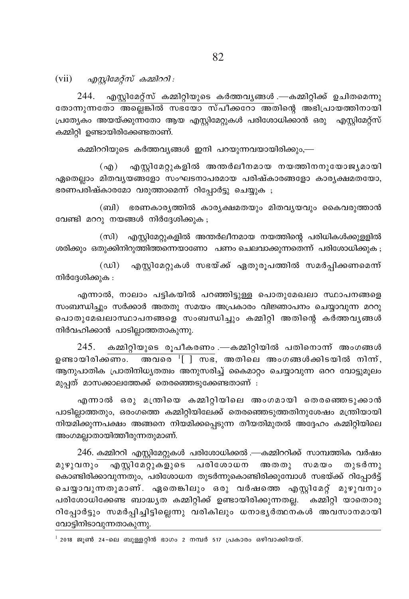(vii)  $\alpha$ ggyle ag and  $\alpha$  and  $\alpha$ ):

 $244.$  എസ്റ്റിമേറ്റ്സ് കമ്മിറ്റിയുടെ കർത്തവൃങ്ങൾ .—കമ്മിറ്റിക്ക് ഉചിതമെന്നു തോന്നുന്നതോ അല്ലെങ്കിൽ സഭയോ സ്പീക്കറോ അതിന്റെ അഭിപ്രായത്തിനായി പ്രത്യേകം അയയ്ക്കുന്നതോ ആയ എസ്ലിമേറ്റുകൾ പരിശോധിക്കാൻ ഒരു എസ്ലിമേറ്റ്സ് കമ്മിറി ഉണ്ടായിരിക്കേണ്ടതാണ്.

കമ്മിററിയുടെ കർത്തവ്യങ്ങൾ ഇനി പറയുന്നവയായിരിക്കും,—

എസ്റ്റിമേറ്റുകളിൽ അന്തർലീനമായ നയത്തിനനുയോജ്യമായി  $(\alpha$ ഏതെല്ലാം മിതവൃയങ്ങളോ സംഘടനാപരമായ പരിഷ്കാരങ്ങളോ കാരൃക്ഷമതയോ, ഭരണപരിഷ്കാരമോ വരുത്താമെന്ന് റിപ്പോർട്ടു ചെയ്യുക ;

(ബി) ഭരണകാര്യത്തിൽ കാര്യക്ഷമതയും മിതവ്യയവും കൈവരുത്താൻ വേണ്ടി മററു നയങ്ങൾ നിർദ്ദേശിക്കുക;

(സി) എസ്റ്റിമേറ്റുകളിൽ അന്തർലീനമായ നയത്തിന്റെ പരിധികൾക്കുളളിൽ ശരിക്കും ഒതുക്കിനിറുത്തിത്തന്നെയാണോ പണം ചെലവാക്കുന്നതെന്ന് പരിശോധിക്കുക ;

 $(\text{au})$ എസ്റ്റിമേറ്റുകൾ സഭയ്ക്ക് ഏതുരൂപത്തിൽ സമർപ്പിക്കണമെന്ന് നിർദ്ദേശിക്കുക :

എന്നാൽ, നാലാം പട്ടികയിൽ പറഞ്ഞിട്ടുള്ള പൊതുമേഖലാ സ്ഥാപനങ്ങളെ സംബന്ധിച്ചും സർക്കാർ അതതു സമയം അപ്രകാരം വിജ്ഞാപനം ചെയ്യാവുന്ന മററു പൊതുമേഖലാസ്ഥാപനങ്ങളെ സംബന്ധിച്ചും കമ്മിറ്റി അതിന്റെ കർത്തവൃങ്ങൾ നിർവഹിക്കാൻ പാടില്ലാത്തതാകുന്നു.

245. കമ്മിറ്റിയുടെ രൂപീകരണം .—കമ്മിറ്റിയിൽ പതിനൊന്ന് അംഗങ്ങൾ <mark>അവരെ  $\frac{1}{1}$  സഭ</mark>, അതിലെ അംഗങ്ങൾക്കിടയിൽ നിന്ന്, ഉണ്ടായിരിക്കണം. ആനുപാതിക പ്രാതിനിധ്യതത്വം അനുസരിച്ച് കൈമാറ്റം ചെയ്യാവുന്ന ഒററ വോട്ടുമൂലം മുപ്പത് മാസക്കാലത്തേക്ക് തെരഞ്ഞെടുക്കേണ്ടതാണ് :

എന്നാൽ ഒരു മന്ത്രിയെ കമ്മിറ്റിയിലെ അംഗമായി തെരഞ്ഞെടുക്കാൻ പാടില്ലാത്തതും, ഒരംഗത്തെ കമ്മിറ്റിയിലേക്ക് തെരഞ്ഞെടുത്തതിനുശേഷം മന്ത്രിയായി നിയമിക്കുന്നപക്ഷം അങ്ങനെ നിയമിക്കപ്പെടുന്ന തീയതിമുതൽ അദ്ദേഹം കമ്മിറ്റിയിലെ അംഗമല്ലാതായിത്തീരുന്നതുമാണ്.

246. കമ്മിററി എസ്റ്റിമേറ്റുകൾ പരിശോധിക്കൽ .—കമ്മിററിക്ക് സാമ്പത്തിക വർഷം മുഴുവനും എസ്റ്റിമേറ്റുകളുടെ പരിശോധന അതതു സമയം തുടർന്നു കൊണ്ടിരിക്കാവുന്നതും, പരിശോധന തുടർന്നുകൊണ്ടിരിക്കുമ്പോൾ സഭയ്ക്ക് റിപ്പോർട്ട് ചെയ്യാവുന്നതുമാണ്. ഏതെങ്കിലും ഒരു വർഷത്തെ എസ്റ്റിമേറ്റ് മുഴുവനും പരിശോധിക്കേണ്ട ബാദ്ധ്യത കമ്മിറ്റിക്ക് ഉണ്ടായിരിക്കുന്നതല്ല. കമ്മിറ്റി യാതൊരു റിപ്പോർട്ടും സമർപ്പിച്ചിട്ടില്ലെന്നു വരികിലും ധനാഭൃർത്ഥനകൾ അവസാനമായി വോട്ടിനിടാവുന്നതാകുന്നു.

 $^{-1}$  2018 ജൂൺ 24-ലെ ബുള്ളറ്റിൻ ഭാഗം 2 നമ്പർ 517 പ്രകാരം ഒഴിവാക്കിയത്.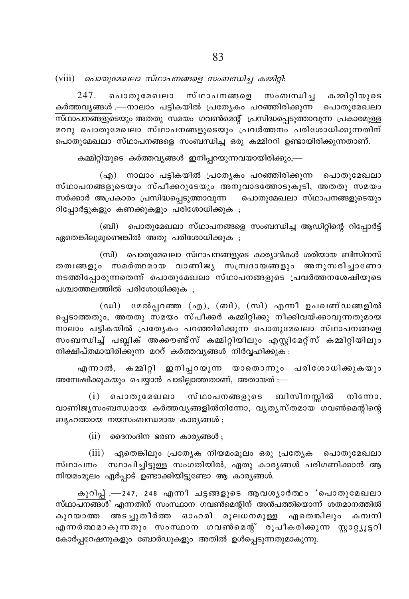$(viii)$  ചൊതുമേഖലാ സ്ഥാപനങ്ങളെ സംബന്ധിച്ച കമ്മിറ്റി:

247. പൊതുമേഖലാ സ്ഥാപനങ്ങളെ സംബന്ധിച്ച കമ്മിറ്റിയുടെ കർത്തവൃങ്ങൾ —നാലാം പട്ടികയിൽ പ്രത്യേകം പറഞ്ഞിരിക്കുന്ന പൊതുമേഖലാ സ്ഥാപനങ്ങളുടെയും അതതു സമയം ഗവൺമെന്റ് പ്രസിദ്ധപ്പെടുത്താവുന്ന പ്രകാരമുള്ള മററു പൊതുമേഖലാ സ്ഥാപനങ്ങളുടെയും പ്രവർത്തനം പരിശോധിക്കുന്നതിന് പൊതുമേഖലാ സ്ഥാപനങ്ങളെ സംബന്ധിച്ച ഒരു കമ്മിററി ഉണ്ടായിരിക്കുന്നതാണ്.

കമ്മിറ്റിയുടെ കർത്തവ്യങ്ങൾ ഇനിപ്പറയുന്നവയായിരിക്കും,—

(എ) നാലാം പട്ടികയിൽ പ്രത്യേകം പറഞ്ഞിരിക്കുന്ന പൊതുമേഖലാ സ്ഥാപനങ്ങളുടെയും സ്പീക്കറുടേയും അനുവാദത്തോടുകൂടി, അതതു സമയം സർക്കാർ അപ്രകാരം പ്രസിദ്ധപ്പെടുത്താവുന്ന പൊതുമേഖലാ സ്ഥാപനങ്ങളുടെയും റിപ്പോർട്ടുകളും കണക്കുകളും പരിശോധിക്കുക ;

(ബി) പൊതുമേഖലാ സ്ഥാപനങ്ങളെ സംബന്ധിച്ച ആഡിറ്റിന്റെ റിപ്പോർട്ട് ഏതെങ്കിലുമുണ്ടെങ്കിൽ അതു പരിശോധിക്കുക ;

(സി) പൊതുമേഖലാ സ്ഥാപനങ്ങളുടെ കാര്യാദികൾ ശരിയായ ബിസിനസ് തത്വങ്ങളും സമർത്ഥമായ വാണിജ്യ സമ്പ്രദായങ്ങളും അനുസരിച്ചാണോ നടത്തിപ്പോരുന്നതെന്ന് പൊതുമേഖലാ സ്ഥാപനങ്ങളുടെ പ്രവർത്തനശേഷിയുടെ പശ്ചാത്തലത്തിൽ പരിശോധിക്കുക :

(ഡി) മേൽപ്പറഞ്ഞ (എ), (ബി), (സി) എന്നീ ഉപഖണ്ഡങ്ങളിൽ പ്പെടാത്തതും, അതതു സമയം സ്പീക്കർ കമ്മിറ്റിക്കു നീക്കിവയ്ക്കാവുന്നതുമായ നാലാം പട്ടികയിൽ പ്രത്യേകം പറഞ്ഞിരിക്കുന്ന<sup>്</sup> പൊതുമേഖലാ സ്ഥാപനങ്ങളെ സംബന്ധിച്ച് പബ്ലിക് അക്കൗണ്ട്സ് കമ്മിറ്റിയിലും എസ്റ്റിമേറ്റ്സ് കമ്മിറ്റിയിലും നിക്ഷിപ്തമായിരിക്കുന്ന മററ് കർത്തവൃങ്ങൾ നിർവ്വഹിക്കുക :

എന്നാൽ, കമ്മിറ്റി ഇനിപ്പറയുന്ന യാതൊന്നും പരിശോധിക്കുകയും അമ്പേഷിക്കുകയും ചെയ്യാൻ പാടില്ലാത്തതാണ്, അതായത് :—

(i) പൊതുമേഖലാ സ്ഥാപനങ്ങളുടെ ബിസിനസ്സിൽ നിന്നോ, വാണിജ്യസംബന്ധമായ കർത്തവ്യങ്ങളിൽനിന്നോ, വ്യത്യസ്തമായ ഗവൺമെന്റിന്റെ ബൃഹത്തായ നയസംബന്ധമായ കാര്യങ്ങൾ;

 $(ii)$  മൈനംദിന ഭരണ കാര്യങ്ങൾ ;

(iii) ഏതെങ്കിലും പ്രത്യേക നിയമംമൂലം ഒരു പ്രത്യേക പൊതുമേഖലാ സ്ഥാപനം സ്ഥാപിച്ചിട്ടുള്ള സംഗതിയിൽ, ഏതു കാര്യങ്ങൾ പരിഗണിക്കാൻ ആ നിയമംമൂലം ഏർപ്പാട് ഉണ്ടാക്കിയിട്ടുണ്ടോ ആ കാര്യങ്ങൾ.

കുറിപ്പ് .—247, 248 എന്നീ ചട്ടങ്ങളുടെ ആവശ്യാർത്ഥം 'പൊതുമേഖലാ സ്ഥാപനങ്ങൾ' എന്നതിന് സംസ്ഥാന ഗവൺമെന്റിന് അൻപത്തിയൊന്ന് ശതമാനത്തിൽ കുറയാത്ത അടച്ചുതീർത്ത ഓഹരി മൂലധനമുള്ള ഏതെങ്കിലും കമ്പനി എന്നർത്ഥമാകുന്നതും സംസ്ഥാന ഗവൺമെന്റ് രൂപീകരിക്കുന്ന സ്റ്റാറ്റ്യൂട്ടറി കോർപ്പറേഷനുകളും ബോർഡുകളും അതിൽ ഉൾപ്പെടുന്നതുമാകുന്നു.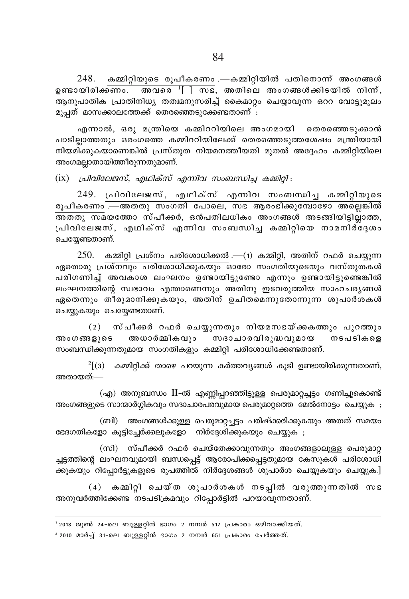248. കമ്മിറ്റിയുടെ രൂപീകരണം .—കമ്മിറ്റിയിൽ പതിനൊന്ന് അംഗങ്ങൾ ഉണ്ടായിരിക്ക<del>ണം. അവരെ '[ ] സ</del>ഭ, അതിലെ അംഗങ്ങൾക്കിടയിൽ നിന്ന്, ആനുപാതിക പ്രാതിനിധൃ തത്വമനുസരിച്ച് കൈമാറ്റം ചെയ്യാവുന്ന ഒററ വോട്ടുമുലം മൂപ്പത് മാസക്കാലത്തേക്ക് തെരഞ്ഞെടുക്കേണ്ടതാണ് :

എന്നാൽ, ഒരു മന്ത്രിയെ കമ്മിററിയിലെ അംഗമായി തെരഞ്ഞെടുക്കാൻ പാടിലാത്തതും ഒരംഗത്തെ കമ്മിററിയിലേക്ക് തെരഞ്ഞെടുത്തശേഷം മന്ത്രിയായി നിയമിക്കുകയാണെങ്കിൽ പ്രസ്തുത നിയമനത്തീയതി മുതൽ അദ്ദേഹം കമ്മിറിയിലെ അംഗമല്ലാതായിത്തീരുന്നതുമാണ്.

(ix) *പ്രിവിലേജസ്, എഥിക്സ് എന്നിവ സംബന്ധിച്ച കമ്മിറ്റി* :

249. പ്രിവിലേജസ്, എഥിക്സ് എന്നിവ സംബന്ധിച്ച കമ്മിറ്റിയുടെ രൂപീകരണം <del>.—അതതു സംഗതി പോലെ, സഭ ആരംഭിക്കുമ്പോഴോ അല്ലെങ്കിൽ</del> AXXp kabtØm kv]o°¿, H≥]Xne[nIw AwK߃ ASßnbn´n√mØ, <sub>്ര</sub>ിവിലേജസ്, എഥിക്സ് എന്നിവ സംബന്ധിച്ച കമ്മിറ്റിയെ നാമനിര്ദ്ദേശം ചെയ്യേണ്ടതാണ്.

 $250.$  കമ്മിറ്റി പ്രശ്നം പരിശോധിക്കൽ .— $(n)$  കമ്മിറ്റി, അതിന് റഫർ ചെയ്യുന്ന ഏതൊരു പ്രശ്നവും പരിശോധിക്കുകയും ഓരോ സംഗതിയുടെയും വസ്തുതകൾ പരിഗണിച്ച് അവകാശ ലംഘനം ഉണ്ടായിട്ടുണ്ടോ എന്നും ഉണ്ടായിട്ടുണ്ടെങ്കിൽ ലംഘനത്തിന്റെ സ്വഭാവം എന്താണെന്നും അതിനു ഇടവരുത്തിയ സാഹചര്യങ്ങൾ ഏതെന്നും തീരുമാനിക്കുകയും, അതിന് ഉചിതമെന്നുതോന്നുന്ന ശുപാർശകൾ ചെയ്യുകയും ചെയ്യേണ്ടതാണ്.

(2) സ്പീക്കർ റഫർ ചെയ്യുന്നതും നിയമസഭയ്ക്കകത്തും പുറത്തും<br>ദളുടെ അധാർമ്മികവും സദാചാരവിരുദ്ധവുമായ നടപടികളെ അംഗങ്ങളുടെ അധാർമ്മികവും സദാചാരവിരുദ്ധവുമായ നടപടികളെ സംബന്ധിക്കുന്നതുമായ സംഗതികളും കമ്മിറ്റി പരിശോധിക്കേണ്ടതാണ്.

 $^{2}$ [(3)  $\,$  കമ്മിറ്റിക്ക് താഴെ പറയുന്ന കർത്തവ്യങ്ങൾ കൂടി ഉണ്ടായിരിക്കുന്നതാണ്, അതായത്:—

 $\sigma$ (എ) അനുബന്ധം II-ൽ എണ്ണിപ്പറഞ്ഞിട്ടുള്ള പെരുമാറ്റച്ചട്ടം ഗണിച്ചുകൊണ്ട് അംഗങ്ങളുടെ സാന്മാർഗ്ഗികവും സദാചാരപരവുമായ പെരുമാറ്റത്തെ മേൽനോട്ടം ചെയ്യുക $\,$ ;

(ബി) അംഗങ്ങൾക്കുള്ള പെരുമാറ്റച്ചട്ടം പരിഷ്ക്കരിക്കുകയും അതത് സമയം ഭേദഗതികളോ കൂട്ടിച്ചേർക്കലുകളോ നിർദ്ദേശിക്കുകയും ചെയ്യുക ;

(സി) സ്പീക്കർ റഫർ ചെയ്തേക്കാവുന്നതും അംഗങ്ങളാലുള്ള പെരുമാറ്റ ച്ചട്ടത്തിന്റെ ലംഘനവുമായി ബന്ധപ്പെട്ട് ആരോപിക്കപ്പെട്ടതുമായ കേസുകൾ പരിശോധി ക്കുകയും റിപ്പോർട്ടുകളുടെ രൂപത്തിൽ നിർദ്ദേശങ്ങൾ ശുപാർശ ചെയ്യുകയും ചെയ്യുക.]

 $(4)$  കമ്മിറ്റി ചെയ്ത ശുപാർശകൾ നടപ്പിൽ വരുത്തുന്നതിൽ സഭ അനുവർത്തിക്കേണ്ട നടപടിക്രമവും റിപ്പോർട്ടിൽ പറയാവുന്നതാണ്.

' 2018 ജൂൺ 24-ലെ ബുള്ളറ്റിൻ ഭാഗം 2 നമ്പർ 517 പ്രകാരം ഒഴിവാക്കിയത്.  $^{\text{2}}$  2010 മാർച്ച് 31-ലെ ബുള്ളറ്റിൻ ഭാഗം 2 നമ്പർ 651 പ്രകാരം ചേർത്തത്.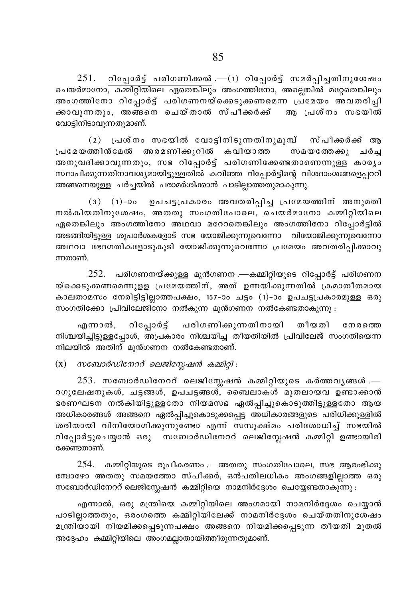$251.$  റിപ്പോർട്ട് പരിഗണിക്കൽ .— $(1)$  റിപ്പോർട്ട് സമർപ്പിച്ചതിനുശേഷം ചെയർമാനോ, കമ്മിറ്റിയിലെ ഏതെങ്കിലും അംഗത്തിനോ, അല്ലെങ്കിൽ മറ്റേതെങ്കിലും അംഗത്തിനോ റിപ്പോർട്ട് പരിഗണനയ്ക്കെടുക്കണമെന്ന പ്രമേയം അവതരിപ്പി ക്കാവുന്നതും, അങ്ങനെ ചെയ്താൽ സ്പീക്കർക്ക് ആ പ്രശ്നം സഭയിൽ വോട്ടിനിടാവുന്നതുമാണ്.

 $(2)$  പ്രശ്നം സഭയിൽ വോടിനിടുന്നതിനുമുമ്പ് സ്പീക്കർക്ക് ആ പ്രമേയത്തിൻമേൽ അരമണിക്കുറിൽ കവിയാത്ത സമയത്തേക്കു ചർച്ച അനുവദിക്കാവുന്നതും, സഭ റിപ്പോർട്ട് പരിഗണിക്കേണ്ടതാണെന്നുള്ള കാരൃം സ്ഥാപിക്കുന്നതിനാവശ്യമായിട്ടുള്ളതിൽ കവിഞ്ഞ റിപ്പോർട്ടിന്റെ വിശദാംശങ്ങളെപ്പററി അങ്ങനെയുള്ള ചർച്ചയിൽ പരാമർശിക്കാൻ പാടില്ലാത്തതുമാകുന്നു.

(3)  $(1)$ -ാം ഉപചട്ടപ്രകാരം അവതരിപ്പിച്ച പ്രമേയത്തിന് അനുമതി  $\overline{1}$ നൽകിയതിനുശേഷം, അതതു സംഗതിപോലെ, ചെയർമാനോ കമ്മിറ്റിയിലെ ഏതെങ്കിലും അംഗത്തിനോ അഥവാ മറേറതെങ്കിലും അംഗത്തിനോ റിപ്പോർട്ടിൽ അടങ്ങിയി<u>ട്ടുള്ള</u> ശുപാർശകളോട് സഭ യോജിക്കുന്നുവെന്നോ വിയോജിക്കുന്നുവെന്നോ അഥവാ ഭേദഗതികളോടുകൂടി യോജിക്കുന്നുവെന്നോ പ്രമേയം അവതരിപ്പിക്കാവു ന്നതാണ്.

 $252$ . പരിഗണനയ്ക്കുള്ള മുൻഗണന .—കമ്മിറ്റിയുടെ റിപ്പോർട്ട് പരിഗണന യ്കെെടുക്കണമെന്നുളള പ്രമേയത്തിന്, അത് ഉന്നയിക്കുന്നതിൽ ക്രമാതീതമായ കാലതാമസം നേരിട്ടിട്ടില്ലാത്തപക്ഷം, 157–ാം ചട്ടം (1)–ാം ഉപചട്ടപ്രകാരമുള്ള ഒരു സംഗതിക്കോ പ്രിവിലേജിനോ നൽകുന്ന മുൻഗണന നൽകേണ്ടതാകുന്നു :

എന്നാൽ, റിപ്പോർട്ട് പരിഗണിക്കുന്നതിനായി തീയതി നേരത്തെ നിശ്ചയിച്ചിട്ടുള്ളപ്പോൾ, അപ്രകാരം നിശ്ചയിച്ച തീയതിയിൽ പ്രിവിലേജ് സംഗതിയെന്ന നിലയിൽ അതിന് മുൻഗണന നൽകേണ്ടതാണ്.

(x) *постодаодстой пенедсарана влида!*:

 $253$ . സബോർഡിനേററ് ലെജിസ്ലേഷൻ കമ്മിറ്റിയുടെ കർത്തവൃങ്ങൾ .—  $\overline{\text{R}}$ രഗുലേഷനുകൾ, ചട്ടങ്ങൾ, ഉപചട്ടങ്ങൾ, ബൈലാകൾ മുതലായവ ഉണ്ടാക്കാൻ ഭരണഘടന നൽകിയിട്ടുള്ളതോ നിയമസഭ ഏൽപ്പിച്ചുകൊടുത്തിട്ടുള്ളതോ ആയ അധികാരങ്ങൾ അങ്ങനെ ഏൽപ്പിച്ചുകൊടുക്കപ്പെട്ട അധികാരങ്ങളുടെ പരിധിക്കുള്ളിൽ ശരിയായി വിനിയോഗിക്കുന്നുണ്ടോ എന്ന് സസൂക്ഷ്മം പരിശോധിച്ച് സഭയിൽ റിപ്പോർട്ടുചെയ്യാൻ ഒരു സബോർഡിനേററ് ലെജിസ്ലേഷൻ കമ്മിറ്റി ഉണ്ടായിരി ക്കേണ്ടതാണ്.

 $254$ . കമ്മിറ്റിയുടെ രൂപീകരണം .—അതതു സംഗതിപോലെ, സഭ ആരംഭിക്കു സ്ഥോഴോ അതതു സമയത്തോ സ്പീക്കർ, ഒൻപതിലധികം അംഗങ്ങളില്ലാത്ത ഒരു  $m$ ബോർഡിനേററ് ലെജിസ്സേഷൻ കമ്മിറ്റിയെ നാമനിർദ്ദേശം ചെയ്യേണ്ടതാകുന്നു :

എന്നാൽ, ഒരു മന്ത്രിയെ കമ്മിറ്റിയിലെ അംഗമായി നാമനിർദ്ദേശം ചെയ്യാൻ പാടില്ലാത്തതും, ഒരംഗത്തെ കമ്മിറ്റിയിലേക്ക് നാമനിർദ്ദേശം ചെയ്തതിനുശേഷം മന്ത്രിയായി നിയമിക്കപ്പെടുന്നപക്ഷം അങ്ങനെ നിയമിക്കപ്പെടുന്ന തീയതി മുതൽ അദ്ദേഹം കമ്മിറ്റിയിലെ അംഗമല്ലാതായിത്തീരുന്നതുമാണ്.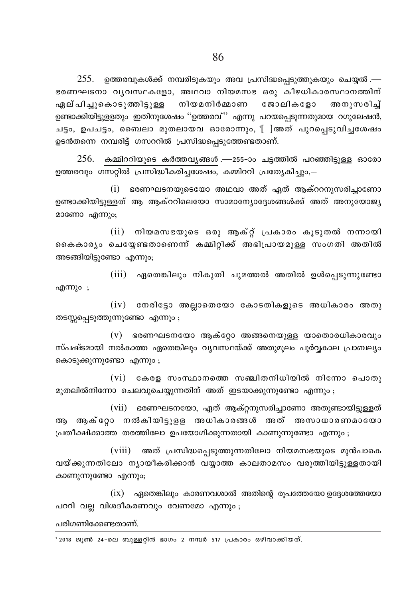$255$ . ഉത്തരവുകൾക്ക് നമ്പരിടുകയും അവ പ്രസിദ്ധപ്പെടുത്തുകയും ചെയ്യൽ.— ഭരണഘടനാ വൃവസ്ഥകളോ, അഥവാ നിയമസഭ ഒരു കീഴധികാരസ്ഥാനത്തിന് ഏല്പിച്ചുകൊടുത്തിട്ടുള്ള നിയമനിർമ്മാണ ജോലികളോ അനുസരിച് ഉണ്ടാക്കിയിട്ടുള്ളതും ഇതിനുശേഷം ''ഉത്തരവ്'' എന്നു പറയപ്പെടുന്നതുമായ റഗുലേഷൻ, ചട്ടം, ഉപചട്ടം, ബൈലാ മുതലായവ ഓരോന്നും, '[ിഅത് പുറപ്പെടുവിച്ചശേഷം ഉടൻതന്നെ നമ്പരിട്ട് ഗസററിൽ പ്രസിദ്ധപെടുത്തേണ്ടതാണ്.

 $256.$  കമ്മിററിയുടെ കർത്തവൃങ്ങൾ .—255-ാം ചട്ടത്തിൽ പറഞ്ഞിട്ടുള്ള ഓരോ ഉത്തരവും ഗസറ്റിൽ പ്രസിദ്ധീകരിച്ചശേഷം, കമ്മിററി പ്രത്യേകിച്ചും,–

(i) ഭരണഘടനയുടെയോ അഥവാ അത് ഏത് ആക്ററനുസരിച്ചാണോ ഉണ്ടാക്കിയിട്ടുള്ളത് ആ ആക്ററിലെയോ സാമാന്യോദ്ദേശങ്ങൾക്ക് അത് അനുയോജ്യ മാണോ എന്നും;

(ii) നിയമസഭയുടെ ഒരു ആക്റ്റ് പ്രകാരം കൂടുതൽ നന്നായി കൈകാര്യം ചെയ്യേണ്ടതാണെന്ന് കമ്മിറ്റിക്ക് അഭിപ്രായമുള്ള സംഗതി അതിൽ അടങ്ങിയിട്ടുണ്ടോ എന്നും;

(iii) ഏതെങ്കിലും നികുതി ചുമത്തൽ അതിൽ ഉൾപ്പെടുന്നുണ്ടോ എന്നും ;

 $(iv)$  നേരിട്ടോ അല്ലാതെയോ കോടതികളുടെ അധികാരം അതു തടസ്സപ്പെടുത്തുന്നുണ്ടോ എന്നും;

 $(v)$  ഭരണഘടനയോ ആക്റ്റോ അങ്ങനെയുള്ള യാതൊരധികാരവും സ്പഷ്ടമായി നൽകാത്ത ഏതെങ്കിലും വ്യവസ്ഥയ്ക്ക് അതുമൂലം പൂർവ്വകാല പ്രാബല്യം കൊടുക്കുന്നുണ്ടോ എന്നും ;

 $(vi)$  കേരള സംസ്ഥാനത്തെ സഞ്ചിതനിധിയിൽ നിന്നോ പൊതു മുതലിൽനിന്നോ ചെലവുചെയ്യുന്നതിന് അത് ഇടയാക്കുന്നുണ്ടോ എന്നും;

(vii) ഭരണഘടനയോ, ഏത് ആക്റ്റനുസരിച്ചാണോ അതുണ്ടായിട്ടുള്ളത് ആ ആക്റോ നൽകിയിട്ടുളള അധികാരങ്ങൾ അത് അസാധാരണമായോ പ്രതീക്ഷിക്കാത്ത തരത്തിലോ ഉപയോഗിക്കുന്നതായി കാണുന്നുണ്ടോ എന്നും ;

(viii) അത് പ്രസിദ്ധപ്പെടുത്തുന്നതിലോ നിയമസഭയുടെ മുൻപാകെ വയ്ക്കുന്നതിലോ ന്യായീകരിക്കാൻ വയ്യാത്ത കാലതാമസം വരുത്തിയിട്ടുള്ളതായി കാണുന്നുണ്ടോ എന്നും;

 $(ix)$  ഏതെങ്കിലും കാരണവശാൽ അതിന്റെ രൂപത്തേയോ ഉദ്ദേശത്തേയോ പററി വല്ല വിശദീകരണവും വേണമോ എന്നും;

പരിഗണിക്കേണ്ടതാണ്.

' 2018 ജൂൺ 24-ലെ ബുള്ളറ്റിൻ ഭാഗം 2 നമ്പർ 517 പ്രകാരം ഒഴിവാക്കിയത്.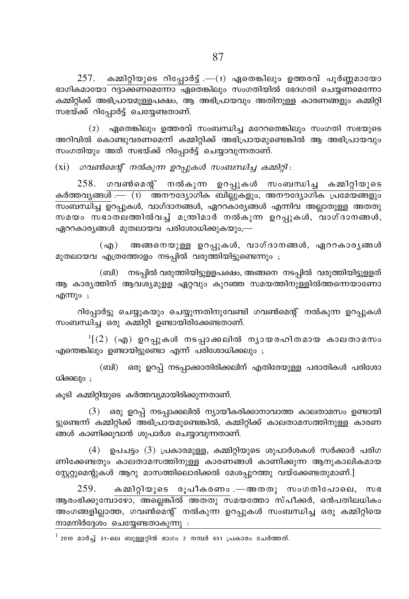$257$ . കമ്മിറ്റിയുടെ റിപ്പോർട്ട് .— $(1)$  ഏതെങ്കിലും ഉത്തരവ് പൂർണ്ണമായോ ഭാഗികമായോ <del>ക്ക്ണമെന്നോ ഏതെ</del>ങ്കിലും സംഗതിയിൽ ഭേദഗതി ചെയ്യണമെന്നോ കമ്മിറ്റിക്ക് അഭിപ്രായമുള്ളപക്ഷം, ആ അഭിപ്രായവും അതിനുള്ള കാരണങ്ങളും കമ്മിറ്റി സഭയ്ക്ക് റിപ്പോർട്ട് ചെയ്യേണ്ടതാണ്.

 $(2)$  ഏതെങ്കിലും ഉത്തരവ് സംബന്ധിച്ച മറേറതെങ്കിലും സംഗതി സഭയുടെ അറിവിൽ കൊണ്ടുവരണമെന്ന് കമ്മിറ്റിക്ക് അഭിപ്രായമുണ്ടെങ്കിൽ ആ അഭിപ്രായവും സംഗതിയും അത് സഭയ്ക്ക് റിപ്പോർട്ട് ചെയ്യാവുന്നതാണ്.

(xi) *ഗവൺമെന്റ് നൽകുന്ന ഉറപ്പുകൾ സംബന്ധിച്ച കമ്മിറ്റി* :

 $258.$  ഗവൺമെന്റ് നൽകുന്ന ഉറപ്പുകൾ സംബന്ധിച്ച കമ്മിറ്റിയുടെ കർത്തവൃങ്ങ $\overline{\vec{a} \cdot \!\!\! - \,\,$  (1)  $\overline{\vec{a} \text{non}}$ ൗദ്യോഗിക ബില്ലുകളും, അനൗദ്യോഗിക പ്രമേയങ്ങളും kw\_'n® Dd∏pIƒ, hmKvZm\߃, GddImcy߃ F∂nh A√mXp≈ AXXp സമയം സഭാതലത്തിൽവച്ച് മന്ത്രിമാർ നൽകുന്ന ഉറപ്പുകൾ, വാഗ്ദാനങ്ങൾ,  $q_0$ ററകാര്യങ്ങൾ മുതലായവ പരിശോധിക്കുകയും,—

 $\sf(af)$  അങ്ങനെയുള്ള ഉറപ്പുകൾ, വാഗ്ദാനങ്ങൾ, ഏററകാര്യങ്ങൾ മുതലായവ എത്രത്തോളം നടപ്പിൽ വരുത്തിയിട്ടുണ്ടെന്നും ;

(ബി) നടപ്പിൽ വരുത്തിയിട്ടുളളപക്ഷം, അങ്ങനെ നടപ്പിൽ വരുത്തിയിട്ടുളളത് ആ കാര്യത്തിന് ആവശ്യമുളള ഏറ്റവും കുറഞ്ഞ സമയത്തിനുള്ളിൽത്തന്നെയാണോ എന്നും;

റിപ്പോർട്ടു ചെയ്യുകയും ചെയ്യുന്നതിനുവേണ്ടി ഗവൺമെന്റ് നൽകുന്ന ഉറപ്പുകൾ സംബന്ധിച്ച ഒരു കമ്മിറ്റി ഉണ്ടായിരിക്കേണ്ടതാണ്.

<sup>ı</sup>[(2) (എ) ഉറപ്പുകൾ നടപ്പാക്കലിൽ നൃായരഹിതമായ കാലതാമസം എന്തെങ്കിലും ഉണ്ടായിട്ടുണ്ടൊ എന്ന് പരിശോധിക്കലും ;

(ബി) ഒരു ഉറപ്പ് നടപ്പാക്കാതിരിക്കലിന് എതിരേയുള്ള പരാതികൾ പരിശോ  $w$  $\rho$  $\rho$  ;

കൂടി കമ്മിറ്റിയുടെ കർത്തവ്യമായിരിക്കുന്നതാണ്.

 $(3)$  ഒരു ഉറപ്പ് നടപ്പാക്കലിൽ ന്യായീകരിക്കാനാവാത്ത കാലതാമസം ഉണ്ടായി ട്വണ്ടെന്ന് കമ്മിറ്റിക്ക് അഭിപ്രായമുണ്ടെങ്കിൽ, കമ്മിറ്റിക്ക് കാലതാമസത്തിനുള്ള കാരണ ങ്ങൾ കാണിക്കുവാൻ ശുപാർശ ചെയ്യാവുന്നതാണ്.

 $(4)$  ഉപചട്ടം  $(3)$  പ്രകാരമുള്ള, കമ്മിറ്റിയുടെ ശുപാർശകൾ സർക്കാർ പരിഗ ണിക്കേണ്ടതും കാലതാമസത്തിനുള്ള കാരണങ്ങൾ കാണിക്കുന്ന ആനുകാലികമായ ന്റ്റേറ്റുമെന്റുകൾ ആറു മാസത്തിലൊരിക്കൽ മേശപ്പുറത്തു വയ്ക്കേണ്ടതുമാണ്.]

 $259$ . കമ്മിറ്റിയുടെ രൂപീകരണം.—അതതു സംഗതിപോലെ, സഭ ആരംഭിക്കുമ്പോഴോ, അല്ലെങ്കിൽ അതതു സമയത്തോ സ്പീക്കർ, ഒൻപതിലധികം അംഗങ്ങളില്ലാത്ത, ഗവൺമെന്റ് നൽകുന്ന ഉറപ്പുകൾ സംബന്ധിച്ച ഒരു കമ്മിറ്റിയെ  $\mathsf{m}$ ാമനിർദ്ദേശം ചെയ്യേണ്ടതാകുന്നു $\mathsf{m}$ :

 $2010$  മാർച്ച് 31-ലെ ബുള്ളറ്റിൻ ഭാഗം 2 നമ്പർ 651 പ്രകാരം ചേർത്തത്.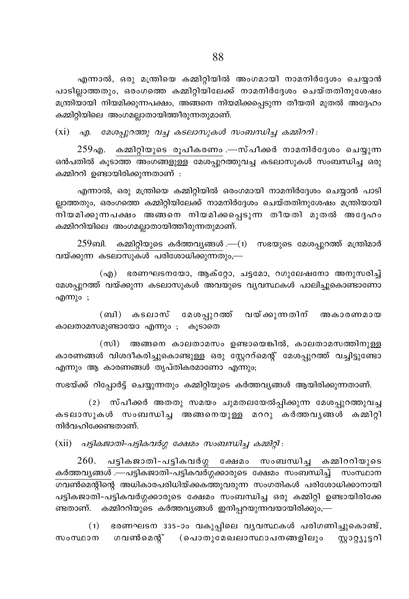എന്നാൽ, ഒരു മന്ത്രിയെ കമ്മിറ്റിയിൽ അംഗമായി നാമനിർദ്ദേശം ചെയ്യാൻ പാടില്ലാത്തതും, ഒരംഗത്തെ കമ്മിറ്റിയിലേക്ക് നാമനിർദ്ദേശം ചെയ്തതിനുശേഷം മന്ത്രിയായി നിയമിക്കുന്നപക്ഷം, അങ്ങനെ നിയമിക്കപ്പെടുന്ന തീയതി മുതൽ അദ്ദേഹം കമ്മിറ്റിയിലെ അംഗമല്ലാതായിത്തീരുന്നതുമാണ്.

 $(xi)$  എ. മേശപ്പുറത്തു വച്ച കടലാസുകൾ സംബന്ധിച്ച കമ്മിററി:

 $259<sub>9</sub>$ എ. കമ്മിറ്റിയുടെ രുപീകരണം .—സ്പീക്കർ നാമനിർദ്ദേശം ചെയ്യുന്ന ഒൻപതിൽ കൂടാത്ത അംഗങ്ങളുള്ള മേശപ്പുറത്തുവച്ച കടലാസുകൾ സംബന്ധിച്ച ഒരു കമ്മിററി ഉണ്ടായിരിക്കുന്നതാണ് :

എന്നാൽ, ഒരു മന്ത്രിയെ കമ്മിറ്റിയിൽ ഒരംഗമായി നാമനിർദ്ദേശം ചെയ്യാൻ പാടി ല്ലാത്തതും, ഒരംഗത്തെ കമ്മിറ്റിയിലേക്ക് നാമനിർദ്ദേശം ചെയ്തതിനുശേഷം മന്ത്രിയായി നിയമിക്കുന്നപക്ഷം അങ്ങനെ നിയമിക്കപ്പെടുന്ന തീയതി മുതൽ അദ്ദേഹം കമ്മിററിയിലെ അംഗമല്ലാതായിത്തീരുന്നതുമാണ്.

 $259$ ബി. കമ്മിറ്റിയുടെ കർത്തവ്യങ്ങൾ .— $(1)$  സഭയുടെ മേശപ്പുറത്ത് മന്ത്രിമാർ വയ്ക്കുന്ന കടലാസുകൾ പരിശോധിക്കുന്നതും,—

(എ) ഭരണഘടനയോ, ആക്റ്റോ, ചട്ടമോ, റഗുലേഷനോ അനുസരിച്ച് മേശപ്പുറത്ത് വയ്ക്കുന്ന കടലാസുകൾ അവയുടെ വ്യവസ്ഥകൾ പാലിച്ചുകൊണ്ടാണോ എന്നും ;

(ബി) കടലാസ് മേശപ്പുറത്ത് വയ്ക്കുന്നതിന് അകാരണമായ കാലതാമസമുണ്ടായോ എന്നും ; കൂടാതെ

(സി) അങ്ങനെ കാലതാമസം ഉണ്ടായെങ്കിൽ, കാലതാമസത്തിനുള്ള കാരണങ്ങൾ വിശദീകരിച്ചുകൊണ്ടുള്ള ഒരു സ്റ്റേററ്മെന്റ് മേശപ്പുറത്ത് വച്ചിട്ടുണ്ടോ എന്നും ആ കാരണങ്ങൾ തൃപ്തികരമാണോ എന്നും;

സഭയ്ക്ക് റിപ്പോർട്ട് ചെയ്യുന്നതും കമ്മിറ്റിയുടെ കർത്തവൃങ്ങൾ ആയിരിക്കുന്നതാണ്.

(2) സ്പീക്കർ അതതു സമയം ചുമതലയേൽപ്പിക്കുന്ന മേശപ്പുറത്തുവച്ച കടലാസുകൾ സംബന്ധിച്ച അങ്ങനെയുള്ള മററു കർത്തവൃങ്ങൾ കമ്മിറ്റി നിർവഹിക്കേണ്ടതാണ്.

 $(xii)$  പട്ടികജാതി-പട്ടികവർഗ്ഗ ക്ഷേമം സംബന്ധിച്ച കമ്മിറ്റി:

 $260.$  പട്ടികജാതി-പട്ടികവർഗ്ഗ ക്ഷേമം സംബന്ധിച്ച കമ്മിററിയുടെ കർത്തവൃങ്ങൾ .—പട്ടികജാതി-പട്ടികവർഗ്ഗക്കാരുടെ ക്ഷേമം സംബന്ധിച്ച് സംസ്ഥാന ഗവൺമെന്റിന്റെ അധികാരപരിധിയ്ക്കകത്തുവരുന്ന സംഗതികൾ പരിശോധിക്കാനായി പട്ടികജാതി-പട്ടികവർഗ്ഗക്കാരുടെ ക്ഷേമം സംബന്ധിച്ച ഒരു കമ്മിറ്റി ഉണ്ടായിരിക്കേ ണ്ടതാണ്. കമ്മിററിയുടെ കർത്തവ്യങ്ങൾ ഇനിപ്പറയുന്നവയായിരിക്കും,—

(1) ഭരണഘടന 335-ാം വകുപ്പിലെ വൃവസ്ഥകൾ പരിഗണിച്ചുകൊണ്ട്, സംസ്ഥാന ഗവൺമെന്റ് (പൊതുമേഖലാസ്ഥാപനങ്ങളിലും സ്റ്റാറ്റ്യൂട്ടറി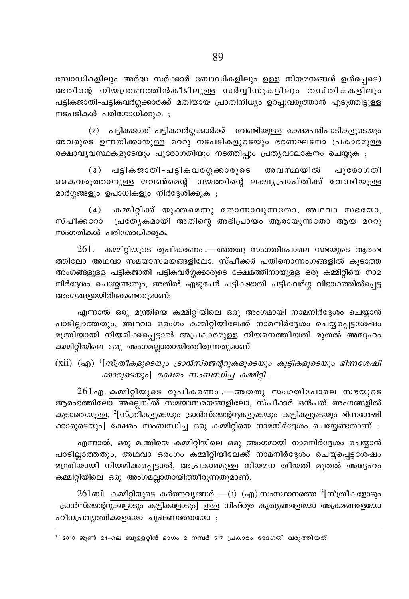ബോഡികളിലും അർദ്ധ സർക്കാർ ബോഡികളിലും ഉള്ള നിയമനങ്ങൾ ഉൾപ്പെടെ) അതിന്റെ നിയന്ത്രണത്തിൻകീഴിലുള്ള സർവീസുകളിലും തസ്തികകളിലും പട്ടികജാതി-പട്ടികവർഗ്ഗക്കാർക്ക് മതിയായ പ്രാതിനിധ്യം ഉറപുവരുത്താൻ എടുത്തിട്ടുള്ള നടപടികൾ പരിശോധിക്കുക :

(2) പട്ടികജാതി-പട്ടികവർഗ്ഗക്കാർക്ക് വേണ്ടിയുള്ള ക്ഷേമപരിപാടികളുടെയും അവരുടെ ഉന്നതിക്കായുള്ള മററു നടപടികളുടെയും ഭരണഘടനാ പ്രകാരമുള്ള രക്ഷാവൃവസ്ഥകളുടേയും പൂരോഗതിയും നടത്തിപും പ്രതൃവലോകനം ചെയ്യുക ;

(3) പട്ടികജാതി-പട്ടികവർഗ്ഗക്കാരുടെ അവസ്ഥയിൽ പുരോഗതി കൈവരുത്താനുള്ള ഗവൺമെന്റ് നയത്തിന്റെ ലക്ഷൃപ്രാപ്തിക്ക് വേണ്ടിയുള്ള മാർഗ്ഗങ്ങളും ഉപാധികളും നിർദ്ദേശിക്കുക ;

 $(4)$  കമ്മിറ്റിക്ക് യുക്തമെന്നു തോന്നാവുന്നതോ, അഥവാ സഭയോ, സ്പീക്കറോ പ്രത്യേകമായി അതിന്റെ അഭിപ്രായം ആരായുന്നതോ ആയ മററു സംഗതികൾ പരിശോധിക്കുക.

 $261.$  കമ്മിറ്റിയുടെ രൂപീകരണം .—അതതു സംഗതിപോലെ സഭയുടെ ആരംഭ ത്തിലോ അഥവാ സമയാസമയങ്ങളിലോ, സ്പീക്കർ പതിനൊന്നംഗങ്ങളിൽ കുടാത്ത അംഗങ്ങളുള്ള പട്ടികജാതി പട്ടികവർഗ്ഗക്കാരുടെ ക്ഷേമത്തിനായുള്ള ഒരു കമ്മിറ്റിയെ നാമ നിർദ്ദേശം ചെയ്യേണ്ടതും, അതിൽ ഏഴുപേർ പട്ടികജാതി പട്ടികവർഗ്ഗ വിഭാഗത്തിൽപ്പെട്ട അംഗങ്ങളായിരിക്കേണ്ടതുമാണ്:

എന്നാൽ ഒരു മന്ത്രിയെ കമ്മിറ്റിയിലെ ഒരു അംഗമായി നാമനിർദ്ദേശം ചെയ്യാൻ പാടില്ലാത്തതും, അഥവാ ഒരംഗം കമ്മിറ്റിയിലേക്ക് നാമനിർദ്ദേശം ചെയ്യപ്പെട്ടശേഷം .<br>മന്ത്രിയായി നിയമിക്കപ്പെട്ടാൽ അപ്രകാരമുള്ള നിയമനത്തീയതി മുതൽ അദേഹം കമ്മിറ്റിയിലെ ഒരു അംഗമല്ലാതായിത്തീരുന്നതുമാണ്.

(xii) (എ)  $\frac{1}{n}$ സ്ത്രീകളുടെയും ട്രാൻസ്ജെന്ററുകളുടെയും കുട്ടികളുടെയും ഭിന്നശേഷി ക്കാരുടെയും] ക്ഷേമം സംബന്ധിച്ച കമ്മിറ്റി:

 $261$ എ. കമ്മിറ്റിയുടെ രൂപീകരണം .—അതതു സംഗതിപോലെ സഭയുടെ ആരംഭത്തിലോ അല്ലെങ്കിൽ സമയാസമയങ്ങളിലോ, സ്പീക്കർ ഒൻപത് അംഗങ്ങളിൽ കൂടാതെയുള്ള, <sup>2</sup>[സ്ത്രീകളുടെയും ട്രാൻസ്ജെന്ററുകളുടെയും കുട്ടികളുടെയും ഭിന്നശേഷി ക്കാരുടെയും] ക്ഷേമം സംബന്ധിച്ച ഒരു കമ്മിറ്റിയെ നാമനിർദ്ദേശം ചെയ്യേണ്ടതാണ് :

എന്നാൽ, ഒരു മന്ത്രിയെ കമ്മിറ്റിയിലെ ഒരു അംഗമായി നാമനിർദ്ദേശം ചെയ്യാൻ പാടില്ലാത്തതും, അഥവാ ഒരംഗം കമ്മിറ്റിയിലേക്ക് നാമനിർദ്ദേശം ചെയ്യപ്പെട്ടശേഷം മന്ത്രിയായി നിയമിക്കപ്പെട്ടാൽ, അപ്രകാരമുള്ള നിയമന തീയതി മുതൽ അദ്ദേഹം കമ്മിറ്റിയിലെ ഒരു അംഗമല്ലാതായിത്തീരുന്നതുമാണ്.

 $261$ ബി. കമ്മിറ്റിയുടെ കർത്തവ്യങ്ങൾ — $(1)$  (എ) സംസ്ഥാനത്തെ  $^3$ [സ്ത്രീകളോടും ട്രാൻസ്ജെന്ററുകളോടും കുട്ടികളോടും] ഉള്ള നിഷ്ഠുര കൃത്യങ്ങളേയോ അക്രമങ്ങളേയോ ഹീനപ്രവൃത്തികളേയോ ചുഷണത്തേയോ ;

 $^{1-3}$  2018 ജൂൺ 24-ലെ ബുള്ളറ്റിൻ ഭാഗം 2 നമ്പർ 517 പ്രകാരം ഭേദഗതി വരുത്തിയത്.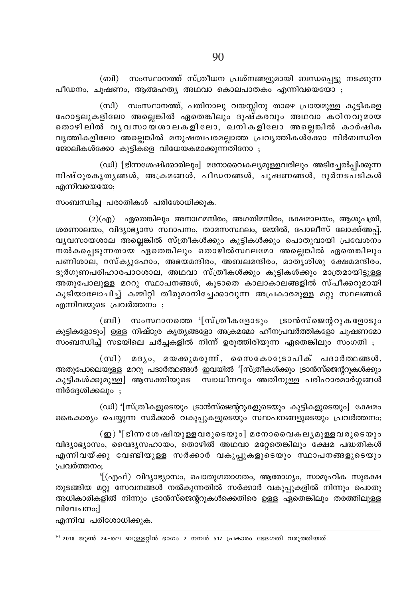(ബി) സംസ്ഥാനത്ത് സ്ത്രീധന പ്രശ്നങ്ങളുമായി ബന്ധപ്പെട്ടു നടക്കുന്ന പീഡനം, ചുഷണം, ആത്മഹത്യ അഥവാ കൊലപാതകം എന്നിവയെയോ ;

(സി) സംസ്ഥാനത്ത്, പതിനാലു വയസ്സിനു താഴെ പ്രായമുള്ള കുട്ടികളെ ഹോട്ടലുകളിലോ അല്ലെങ്കിൽ ഏതെങ്കിലും ദുഷ്കരവും അഥവാ കഠിനവുമായ തൊഴിലിൽ വൃവസായശാലകളിലോ, ഖനികളിലോ അല്ലെങ്കിൽ കാർഷിക വൃത്തികളിലോ അല്ലെങ്കിൽ മനുഷത്വപരമല്ലാത്ത പ്രവൃത്തികൾക്കോ നിർബന്ധിത ജോലികൾക്കോ കുട്ടികളെ വിധേയകമാക്കുന്നതിനോ ;

(ഡി) '[ഭിന്നശേഷിക്കാരിലും] മനോവൈകല്യമുളളവരിലും അടിച്ചേൽപിക്കുന്ന നിഷ്ഠൂരകൃതൃങ്ങൾ, അക്രമങ്ങൾ, പീഡനങ്ങൾ, ചൂഷണങ്ങൾ, ദുർനടപടികൾ എന്നിവയെയോ;

സംബന്ധിച്ച പരാതികൾ പരിശോധിക്കുക.

 $(2)(q_0)$  ഏതെങ്കിലും അനാഥമന്ദിരം, അഗതിമന്ദിരം, ക്ഷേമാലയം, ആശുപത്രി, ശരണാലയം, വിദ്യാഭ്യാസ സ്ഥാപനം, താമസസ്ഥലം, ജയിൽ, പോലീസ് ലോക്ക്അപ്പ്, വ്യവസായശാല അല്ലെങ്കിൽ സ്ത്രീകൾക്കും കുട്ടികൾക്കും പൊതുവായി പ്രവേശനം നൽകപ്പെടുന്നതായ ഏതെങ്കിലും തൊഴിൽസ്ഥലമോ അല്ലെങ്കിൽ ഏതെങ്കിലും പണിശാല, റസ്ക്യുഹോം, അഭയമന്ദിരം, അബലമന്ദിരം, മാതൃശിശു ക്ഷേമമന്ദിരം, ദുർഗുണപരിഹാരപാഠശാല, അഥവാ സ്ത്രീകൾക്കും കൂട്ടികൾക്കും മാത്രമായിട്ടുള്ള അതുപോലുള്ള മററു സ്ഥാപനങ്ങൾ, കൂടാതെ കാലാകാലങ്ങളിൽ സ്പീക്കറുമായി കൂടിയാലോചിച്ച് കമ്മിറ്റി തീരുമാനിച്ചേക്കാവുന്ന അപ്രകാരമുള്ള മറ്റു സ്ഥലങ്ങൾ എന്നിവയുടെ പ്രവർത്തനം ;

 $\sigma$  (ബി) സംസ്ഥാനത്തെ  $\sigma$ [സ്ത്രീകളോടും ട്രാൻസ്ജെന്ററുകളോടും കുട്ടികളോടും] ഉള്ള നിഷ്ഠൂര കൃത്യങ്ങളോ അക്രമമോ ഹീനപ്രവർത്തികളോ ചുഷണമോ സംബന്ധിച്ച് സഭയിലെ ചർച്ചകളിൽ നിന്ന് ഉരുത്തിരിയുന്ന ഏതെങ്കിലും സംഗതി ;

(സി) മദ്യം, മയക്കുമരുന്ന്, സൈകോട്രോപിക് പദാർത്ഥങ്ങൾ, അതുപോലെയുള്ള മററു പദാർത്ഥങ്ങൾ ഇവയിൽ <sup>ഃ</sup>[സ്ത്രീകൾക്കും ട്രാൻസ്ജെന്ററുകൾക്കും കുട്ടികൾക്കുമുള്ള] ആസക്തിയുടെ സ്വാധീനവും അതിനുള്ള പരിഹാരമാർഗ്ഗങ്ങൾ നിർദേശിക്കലും :

(ഡി) '[സ്ത്രീകളുടെയും ട്രാൻസ്ജെന്ററുകളുടെയും കുട്ടികളുടെയും] ക്ഷേമം കൈകാര്യം ചെയ്യുന്ന സർക്കാർ വകുപ്പുകളുടെയും സ്ഥാപനങ്ങളുടെയും പ്രവർത്തനം;

 $\mathfrak{g}$ ) '[ഭിന്ന ശേഷിയുള്ളവരുടെയും] മനോവൈകല്യമുള്ളവരുടെയും വിദ്യാഭ്യാസം, വൈദ്യസഹായം, തൊഴിൽ അഥവാ മറ്റേതെങ്കിലും ക്ഷേമ പദ്ധതികൾ എന്നിവയ്ക്കു വേണ്ടിയുള്ള സർക്കാർ വകുപ്പുകളുടെയും സ്ഥാപനങ്ങളുടെയും പ്രവർത്തനം;

<sup>6</sup>[(എഫ്) വിദ്യാഭ്യാസം, പൊതുഗതാഗതം, ആരോഗ്യം, സാമൂഹിക സുരക്ഷ തുടങ്ങിയ മറ്റു സേവനങ്ങൾ നൽകുന്നതിൽ സർക്കാർ വകുപ്പുകളിൽ നിന്നും പൊതു അധികാരികളിൽ നിന്നും ട്രാൻസ്ജെന്ററുകൾക്കെതിരെ ഉള്ള ഏതെങ്കിലും തരത്തിലുള്ള വിവേചനം;]

എന്നിവ പരിശോധിക്കുക.

<sup>&</sup>lt;sup>1-6</sup> 2018 ജൂൺ 24-ലെ ബുള്ളറ്റിൻ ഭാഗം 2 നമ്പർ 517 പ്രകാരം ഭേദഗതി വരുത്തിയത്.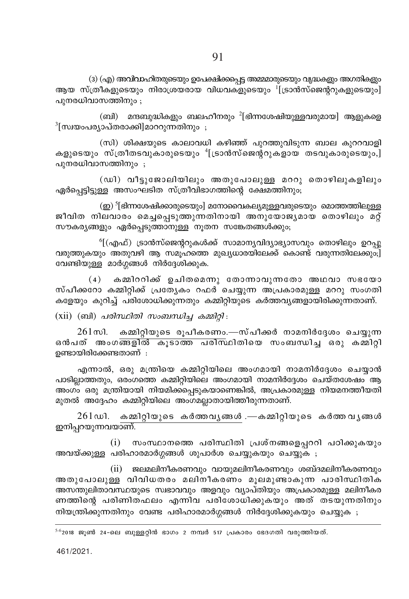(3) (എ) അവിവാഹിതരുടെയും ഉപേക്ഷിക്കപ്പെട്ട അമ്മമാരുടെയും വൃദ്ധകളും അഗതികളും ആയ സ്ത്രീകളുടെയും നിരാശ്രയരായ വിധവകളുടെയും  $^{1}$ [ട്രാൻസ്ജെന്ററുകളുടെയും] പുനരധിവാസത്തിനും ;

(ബി) മന്ദബുദ്ധികളും ബലഹീനരും  $^{2}$ [ഭിന്നശേഷിയുള്ളവരുമായ] ആളുകളെ <sup>3</sup>[സ്വയംപര്യാപ്തരാക്കി]മാററുന്നതിനും;

(സി) ശിക്ഷയുടെ കാലാവധി കഴിഞ്ഞ് പുറത്തുവിടുന്ന ബാല കുററവാളി കളുടെയും സ്ത്രീതടവുകാരുടെയും <sup>4</sup>[ട്രാൻസ്ജെന്ററുകളായ തടവുകാരുടെയും,] പുനരധിവാസത്തിനും ;

(ഡി) വീട്ടുജോലിയിലും അതുപോലുള്ള മററു തൊഴിലുകളിലും ഏർപ്പെട്ടിട്ടുള്ള അസംഘടിത സ്ത്രീവിഭാഗത്തിന്റെ ക്ഷേമത്തിനും;

(ഇ) <sup>5</sup>[ഭിന്നശേഷിക്കാരുടെയും] മനോവൈകല്യമുള്ളവരുടെയും മൊത്തത്തിലുള്ള ജീവിത നിലവാരം മെച്ചപ്പെടുത്തുന്നതിനായി അനുയോജ്യമായ തൊഴിലും മറ്റ് സൗകര്യങ്ങളും ഏർപ്പെടുത്താനുള്ള നുതന സങ്കേതങ്ങൾക്കും;

<sup>6</sup>[(എഫ്) ട്രാൻസ്ജെന്ററുകൾക്ക് സാമാന്യവിദ്യാഭ്യാസവും തൊഴിലും ഉറപ്പു വരുത്തുകയും അതുവഴി ആ സമുഹത്തെ മുഖ്യധാരയിലേക്ക് കൊണ്ട് വരുന്നതിലേക്കുപ്പി വേണ്ടിയുള്ള മാർഗ്ഗങ്ങൾ നിർദ്ദേശിക്കുക.

കമ്മിററിക്ക് ഉചിതമെന്നു തോന്നാവുന്നതോ അഥവാ സഭയോ  $(4)$ സ്പീക്കറോ കമ്മിറ്റിക്ക് പ്രത്യേകം റഫർ ചെയ്യുന്ന അപ്രകാരമുള്ള മററു സംഗതി കളേയും കുറിച്ച് പരിശോധിക്കുന്നതും കമ്മിറ്റിയുടെ കർത്തവൃങ്ങളായിരിക്കുന്നതാണ്.

 $(xii)$  (ബി) *പരിസ്ഥിതി സംബന്ധിച്ച കമ്മിറ്റി*:

 $261$ സി. കമ്മിറ്റിയുടെ രൂപീകരണം.—സ്പീക്കർ നാമനിർദ്ദേശം ചെയ്യുന്ന ഒൻപത് അംഗ<mark>ങ്ങളിൽ കൂടാത്ത പരിസ്</mark>ഥിതിയെ സംബന്ധിച്ച ഒരു കമ്മിറ്റി ഉണ്ടായിരിക്കേണ്ടതാണ് :

എന്നാൽ, ഒരു മന്ത്രിയെ കമ്മിറ്റിയിലെ അംഗമായി നാമനിർദ്ദേശം ചെയ്യാൻ പാടിലാത്തതും. ഒരംഗത്തെ കമ്മിറിയിലെ അംഗമായി നാമനിർദേശം ചെയ്തശേഷം ആ അംഗം ഒരു മന്ത്രിയായി നിയമിക്കപ്പെടുകയാണെങ്കിൽ, അപ്രകാരമുള്ള നിയമനത്തീയതി മുതൽ അദ്ദേഹം കമ്മിറ്റിയിലെ അംഗമല്ലാതായിത്തീരുന്നതാണ്.

261ഡി. കമ്മിറ്റിയുടെ കർത്തവൃങ്ങൾ.—കമ്മിറ്റിയുടെ കർത്തവൃങ്ങൾ ഇനിപ്പറയുന്നവയാണ്.

(i) സംസ്ഥാനത്തെ പരിസ്ഥിതി പ്രശ്നങ്ങളെപ്പററി പഠിക്കുകയും അവയ്ക്കുള്ള പരിഹാരമാർഗ്ഗങ്ങൾ ശുപാർശ ചെയ്യുകയും ചെയ്യുക ;

(ii) ജലമലിനീകരണവും വായുമലിനീകരണവും ശബ്ദമലിനീകരണവും അതുപോലുള്ള വിവിധതരം മലിനീകരണം മൂലമുണ്ടാകുന്ന പാരിസ്ഥിതിക അസന്തുലിതാവസ്ഥയുടെ സ്വഭാവവും അളവും വ്യാപ്തിയും അപ്രകാരമുള്ള മലിനീകര ണത്തിന്റെ പരിണിതഫലം എന്നിവ പരിശോധിക്കുകയും അത് തടയുന്നതിനും നിയന്ത്രിക്കുന്നതിനും വേണ്ട പരിഹാരമാർഗ്ഗങ്ങൾ നിർദ്ദേശിക്കുകയും ചെയ്യുക ;

 $5-6$ 2018 ജുൺ 24-ലെ ബുള്ളറ്റിൻ ഭാഗം 2 നമ്പർ 517 പ്രകാരം ഭേദഗതി വരുത്തിയത്.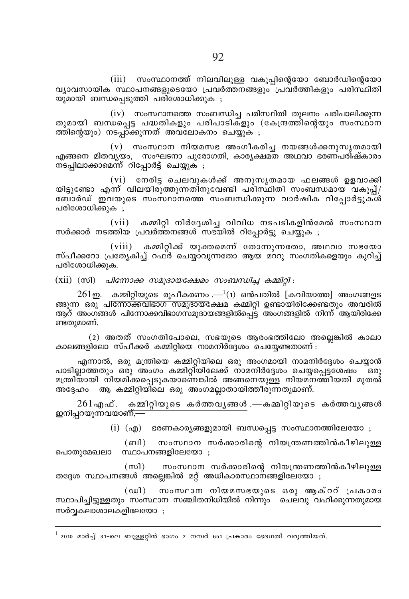(iii) സംസ്ഥാനത്ത് നിലവിലുള്ള വകുപ്പിന്റെയോ ബോർഡിന്റെയോ വ്യാവസായിക സ്ഥാപനങ്ങളുടെയോ പ്രവർത്തനങ്ങളും പ്രവരത്തികളും പരിസ്ഥിതി യുമായി ബന്ധപെടുത്തി പരിശോധിക്കുക ;

 $(iv)$  സംസ്ഥാനത്തെ സംബന്ധിച്ച പരിസ്ഥിതി തുലനം പരിപാലിക്കുന്ന തുമായി ബന്ധപ്പെട്ട പദ്ധതികളും പരിപാടികളും (കേന്ദ്രത്തിന്റെയും സംസ്ഥാന ത്തിന്റെയും) നടപ്പാക്കുന്നത് അവലോകനം ചെയ്യുക ;

 $(v)$  സംസ്ഥാന നിയമസഭ അംഗീകരിച്ച നയങ്ങൾക്കനുസൃതമായി എങ്ങനെ മിതവ്യയം, സംഘടനാ പുരോഗതി, കാര്യക്ഷമത അഥവാ ഭരണ്പരിഷ്കാരം ന്ടപിലാക്കാമെന്ന് റിപ്പോർട്ട് ചെയ്യുക ;

(vi) നേരിട്ട ചെലവുകൾക്ക് അനുസൃതമായ ഫലങ്ങൾ ഉളവാക്കി യിട്ടുണ്ടോ എന്ന് വിലയിരുത്തുന്നതിനുവേണ്ടി പരിസ്ഥിതി സംബന്ധമായ വകുപ്പ്/ ബോർഡ് ഇവയുടെ സംസ്ഥാനത്തെ സംബന്ധിക്കുന്ന വാർഷിക റിപ്പോർട്ടുക്ൾ പരിശോധിക്കുക :

 $(vii)$ കമ്മിറ്റി നിർദ്ദേശിച്ച വിവിധ നടപടികളിൻമേൽ സംസ്ഥാന സർക്കാർ നടത്തിയ പ്രവർത്തനങ്ങൾ സഭയിൽ റിപ്പോർട്ടു ചെയ്യുക ;

 $(viii)$  കമ്മിറ്റിക്ക് യുക്തമെന്ന് തോന്നുന്നതോ, അഥവാ സഭയോ സ്പീക്കറോ പ്രത്യേകിച്ച് റഫ്ർ ചെയ്യാവുന്നതോ ആയ മററു സംഗതികളെയും കുറിച്ച് പരിശോധിക്കുക.

 $(xii)$   $(m)$   $\Delta$   $\theta$   $(m)$   $\Delta \theta$   $m$   $\Delta y$   $\Delta y$   $\Delta y$   $\Delta y$   $\Delta y$   $\Delta y$   $\Delta y$   $\Delta z$   $\Delta y$   $\Delta z$   $\Delta y$   $\Delta z$ 

 $261$ ഇ. കമ്മിറ്റിയുടെ രൂപീകരണം .— $(1)$  ഒൻപതിൽ [കവിയാത്ത] അംഗങ്ങളട ങ്ങുന്ന ഒരു പിന്നോക്കവിഭാഗ സമുദായക്ഷേമ കമ്മിറ്റി ഉണ്ടായിരിക്കേണ്ടതും അവരിൽ ആറ് അംഗങ്ങൾ പിന്നോക്കവിഭാഗസമുദായങ്ങളിൽപ്പെട്ട അംഗങ്ങളിൽ നിന്ന് ആയിരിക്കേ ണ്ടതുമാണ്.

(2) അതത് സംഗതിപോലെ, സഭയുടെ ആരംഭത്തിലോ അലെങ്കിൽ കാലാ കാലങ്ങളിലോ സ്പീക്കർ കമ്മിറിയെ നാമനിർദേശം ചെയ്യേണ്ടതാണ് :

എന്നാൽ, ഒരു മന്ത്രിയെ കമ്മിറ്റിയിലെ ഒരു അംഗമായി നാമനിർദ്ദേശം ചെയ്യാൻ പാടില്ലാത്തതും ഒരു അംഗം കമ്മിറ്റിയിലേക്ക് നാമനിർദ്ദേശം ചെയ്യപ്പെട്ടശേഷം \_ ഒരു മന്ത്രിയായി നിയമിക്കപ്പെടുകയാണെങ്കിൽ അങ്ങനെയുള്ള നിയമനത്തീയതി മുതൽ അദ്ദേഹം ആ കമ്മിറ്റിയിലെ ഒരു അംഗമല്ലാതായിത്തീരുന്നതുമാണ്.

 $261$ എഫ്. കമ്മിറ്റിയുടെ കർത്തവൃങ്ങൾ.—കമ്മിറ്റിയുടെ കർത്തവൃങ്ങൾ ഇനിപറയുന്നവയാണ്—

(i) (എ) ഭരണകാര്യങ്ങളുമായി ബന്ധപ്പെട്ട സംസ്ഥാനത്തിലേയോ ;

(ബി) സംസ്ഥാന സർക്കാരിന്റെ നിയന്ത്രണത്തിൻകീഴിലുള്ള പൊതുമേഖലാ സ്ഥാപനങ്ങളിലേയോ :

സംസ്ഥാന സർക്കാരിന്റെ നിയന്ത്രണത്തിൻകീഴിലുള്ള  $(m)$ തദ്ദേശ സ്ഥാപനങ്ങൾ അല്ലെങ്കിൽ മറ്റ് അധികാരസ്ഥാനങ്ങളിലേയോ ;

 $(\omega)$ സംസ്ഥാന നിയമസഭയുടെ ഒരു ആക്ററ് പ്രകാരം സ്ഥാപിച്ചിട്ടുള്ളതും സംസ്ഥാന സഞ്ചിതനിധിയിൽ നിന്നും ചെലവു വഹിക്കുന്നതുമായ സർവ്വകലാശാലകളിലേയോ;

 $^{\rm l}$  2010 മാർച്ച് 31–ലെ ബുള്ളറ്റിൻ ഭാഗം 2 നമ്പർ 651 പ്രകാരം ഭേദഗതി വരുത്തിയത്.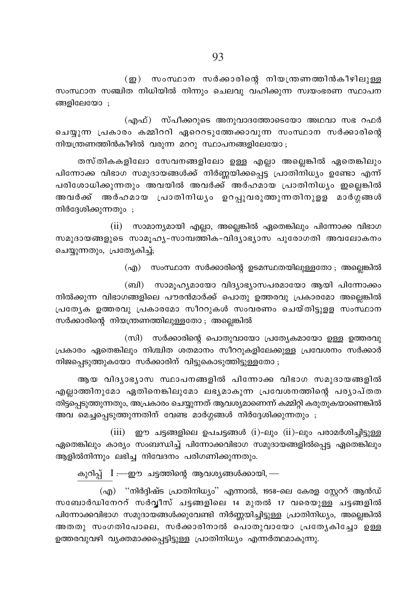(ഇ) സംസ്ഥാന സർക്കാരിന്റെ നിയന്ത്രണത്തിൻകീഴിലുള്ള സംസ്ഥാന സഞ്ചിത നിധിയിൽ നിന്നും ചെലവു വഹിക്കുന്ന സ്വയംഭരണ സ്ഥാപന ങ്ങളിലേയോ ;

(എഫ്) സ്പീക്കറുടെ അനുവാദത്തോടെയോ അഥവാ സഭ റഫർ ചെയ്യുന്ന പ്രകാരം കമ്മിററി ഏറെറടുത്തേക്കാവുന്ന സംസ്ഥാന സർക്കാരിന്റെ നിയന്ത്രണത്തിൻകീഴിൽ വരുന്ന മററു സ്ഥാപനങ്ങളിലേയോ;

തസ്തികകളിലോ സേവനങ്ങളിലോ ഉള്ള എല്ലാ അല്ലെങ്കിൽ ഏതെങ്കിലും പിന്നോക്ക വിഭാഗ സമുദായങ്ങൾക്ക് നിർണ്ണയിക്കപ്പെട്ട പ്രാതിനിധ്യം ഉണ്ടോ എന്ന് പരിശോധിക്കുന്നതും അവയിൽ അവർക്ക് അർഹമായ പ്രാതിനിധ്യം ഇലെങ്കിൽ അവർക്ക് അർഹമായ പ്രാതിനിധ്യം ഉറപ്പുവരുത്തുന്നതിനുളള മാർഗ്ഗങ്ങൾ നിർദ്ദേശിക്കുന്നതും ;

(ii) സാമാന്യമായി എല്ലാ, അല്ലെങ്കിൽ ഏതെങ്കിലും പിന്നോക്ക വിഭാഗ സമുദായങ്ങളുടെ സാമൂഹ്യ-സാമ്പത്തിക-വിദ്യാഭ്യാസ പുരോഗതി അവലോകനം ചെയ്യുന്നതും, പ്രത്യേകിച്ച്;

(എ) സംസ്ഥാന സർക്കാരിന്റെ ഉടമസ്ഥതയിലുള്ളതോ ; അല്ലെങ്കിൽ

(ബി) സാമൂഹ്യമായോ വിദ്യാഭ്യാസപരമായോ ആയി പിന്നോക്കം നിൽക്കുന്ന വിഭാഗങ്ങളിലെ പൗരൻമാർക്ക് പൊതു ഉത്തരവു പ്രകാരമോ അല്ലെങ്കിൽ പ്രത്യേക ഉത്തരവു പ്രകാരമോ സീററുകൾ സംവരണം ചെയ്തിട്ടുളള സംസ്ഥാന സർക്കാരിന്റെ നിയന്ത്രണത്തിലുള്ളതോ ; അല്ലെങ്കിൽ

(സി) സർക്കാരിന്റെ പൊതുവായോ പ്രത്യേകമായോ ഉള്ള ഉത്തരവു പ്രകാരം ഏതെങ്കിലും നിശ്ചിത ശതമാനം സീററുകളിലേക്കുള്ള പ്രവേശനം സർക്കാർ നിജപ്പെടുത്തുകയോ സർക്കാരിന് വിട്ടുകൊടുത്തിട്ടുള്ളതോ ;

ആയ വിദ്യാഭ്യാസ സ്ഥാപനങ്ങളിൽ പിന്നോക്ക വിഭാഗ സമുദായങ്ങളിൽ എല്ലാത്തിനുമോ ഏതിനെങ്കിലുമോ ലഭ്യമാകുന്ന പ്രവേശനത്തിന്റെ പര്യാപ്തത തിട്ടപ്പെടുത്തുന്നതും, അപ്രകാരം ചെയ്യുന്നത് ആവശ്യമാണെന്ന് കമ്മിറ്റി കരുതുകയാണെങ്കിൽ അവ മെച്ചപ്പെടുത്തുന്നതിന് വേണ്ട മാർഗ്ഗങ്ങൾ നിർദ്ദേശിക്കുന്നതും ;

 $(iii)$  ഈ ചട്ടങ്ങളിലെ ഉപചട്ടങ്ങൾ  $(i)$ -ലും  $(ii)$ -ലും പരാമർശിച്ചിട്ടുള്ള ഏതെങ്കിലും കാര്യം സംബന്ധിച്ച് പിന്നോക്കവിഭാഗ സമുദായങ്ങളിൽപ്പെട്ട ഏതെങ്കിലും ആളിൽനിന്നും ലഭിച്ച നിവേദനം പരിഗണിക്കുന്നതും.

കുറിപ്പ്  $I = 20$  ചട്ടത്തിന്റെ ആവശ്യങ്ങൾക്കായി,

(എ) "നിർദ്ദിഷ്ട പ്രാതിനിധ്യം" എന്നാൽ, 1958-ലെ കേരള സ്റ്റേററ് ആൻഡ് സബോർഡിനേററ് സർവ്വീസ് ചട്ടങ്ങളിലെ 14 മുതൽ 17 വരെയുള്ള ചട്ടങ്ങളിൽ പിന്നോക്കവിഭാഗ സമുദായങ്ങൾക്കുവേണ്ടി നിർണ്ണയിച്ചിട്ടുള്ള പ്രാതിനിധ്യം, അല്ലെങ്കിൽ അതതു സംഗതിപോലെ, സർക്കാരിനാൽ പൊതുവായോ പ്രത്യേകിച്ചോ ഉള്ള ഉത്തരവുവഴി വ്യക്തമാക്കപ്പെട്ടിട്ടുള്ള പ്രാതിനിധ്യം എന്നർത്ഥമാകുന്നു.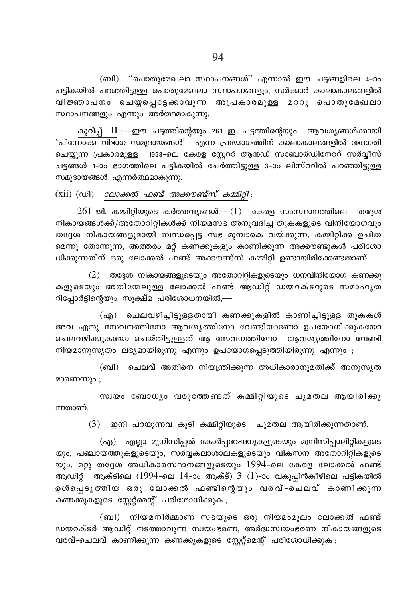(ബി) "പൊതുമേഖലാ സ്ഥാപനങ്ങൾ" എന്നാൽ ഈ ചട്ടങ്ങളിലെ 4-ാം പട്ടികയിൽ പറഞ്ഞിട്ടുള്ള പൊതുമേഖലാ സ്ഥാപനങ്ങളും, സർക്കാർ കാലാകാലങ്ങളിൽ വിജ്ഞാപനം ചെയ്പെട്ടേക്കാവുന്ന അപ്രകാരമുള്ള മററു പൊതുമേഖലാ സ്ഥാപനങ്ങളും എന്നും അർത്ഥമാകുന്നു.

കുറിപ്പ് II :—ഈ ചട്ടത്തിന്റെയും 261 ഇ. ചട്ടത്തിന്റെയും ആവശ്യങ്ങൾക്കായി 'പിന്നോക്ക വിഭാഗ സമുദായങ്ങൾ' എന്ന പ്രയോഗത്തിന് കാലാകാലങ്ങളിൽ ഭേദഗതി ചെയ്യുന്ന പ്രകാരമുള്ള 1958–ലെ കേരള സ്റ്റേററ് ആൻഡ് സബോർഡിനേററ് സർവ്വീസ് ചട്ടങ്ങൾ 1-ാം ഭാഗത്തിലെ പട്ടികയിൽ ചേർത്തിട്ടുള്ള 3-ാം ലിസ്ററിൽ പറഞ്ഞിട്ടുള്ള സമുദായങ്ങൾ എന്നർത്ഥമാകുന്നു.

 $(xii)$   $(wi)$  *ലോക്കൽ ഫണ്ട് അക്കൗണ്ട്സ് കമ്മിറ്റി* :

 $261$  ജി. കമ്മിറ്റിയുടെ കർത്തവ്യങ്ങൾ. $-(1)$  കേരള സംസ്ഥാനത്തിലെ തദ്ദേശ നികായങ്ങൾക്ക്/അതോറിറ്റികൾക്ക് നിയമസഭ അനുവദിച്ച തുകകളുടെ വിനിയോഗവും തദ്ദേശ നികായങ്ങളുമായി ബന്ധപ്പെട്ട് സഭ മുമ്പാകെ വയ്ക്കുന്ന, കമ്മിറ്റിക്ക് ഉചിത മെന്നു തോന്നുന്ന, അത്തരം മറ്റ് കണക്കുകളും കാണിക്കുന്ന അക്കൗണ്ടുകൾ പരിശോ ധിക്കുന്നതിന് ഒരു ലോക്കൽ ഫണ്ട് അക്കൗണ്ട്സ് കമ്മിറ്റി ഉണ്ടായിരിക്കേണ്ടതാണ്.

 $(2)$  തദ്ദേശ നികായങ്ങളുടെയും അതോറിറ്റികളുടെയും ധനവിനിയോഗ കണക്കു കളുടെയും അതിന്മേലുള്ള ലോക്കൽ ഫണ്ട് ആഡിറ്റ് ഡയറക്ടറുടെ സമാഹൃത റിപ്പോർട്ടിന്റെയും സൂക്ഷ്മ പരിശോധനയിൽ,—

(എ) ചെലവഴിച്ചിട്ടുള്ളതായി കണക്കുകളിൽ കാണിച്ചിട്ടുള്ള തുകകൾ അവ ഏതു സേവനത്തിനോ ആവശ്യത്തിനോ വേണ്ടിയാണോ ഉപയോഗിക്കുകയോ ചെലവഴിക്കുകയോ ചെയ്തിട്ടുള്ളത് ആ സേവനത്തിനോ ആവശ്യത്തിനോ വേണ്ടി നിയമാനുസൃതം ലഭ്യമായിരുന്നു എന്നും ഉപയോഗപ്പെടുത്തിയിരുന്നു എന്നും ;

(ബി) ചെലവ് അതിനെ നിയന്ത്രിക്കുന്ന അധികാരാനുമതിക്ക് അനുസൃത മാണെന്നും :

സ്വയം ബോധൃം വരുത്തേണ്ടത് കമ്മിറ്റിയുടെ ചുമതല ആയിരിക്കു ന്നതാണ്.

 $(3)$  ഇനി പറയുന്നവ കുടി കമ്മിറ്റിയുടെ ചുമതല ആയിരിക്കുന്നതാണ്.

(എ) എല്ലാ മുനിസിപ്പൽ കോർപ്പറേഷനുകളുടെയും മുനിസിപ്പാലിറ്റികളുടെ യും, പഞ്ചായത്തുകളുടെയും, സർവ്വകലാശാലകളുടെയും വികസന അതോറിറ്റികളുടെ യും, മറ്റു തദ്ദേശ അധികാരസ്ഥാനങ്ങളുടെയും 1994-ലെ കേരള ലോക്കൽ ഫണ്ട് ആഡിറ്റ് ആക്ടിലെ (1994-ലെ 14-ാം ആക്ട്) 3 (1)-ാം വകുപ്പിൻകീഴിലെ പട്ടികയിൽ ഉൾപ്പെടുത്തിയ ഒരു ലോക്കൽ ഫണ്ടിന്റെയും വരവ്-ചെലവ് കാണിക്കുന്ന കണക്കുകളുടെ സ്റ്റേറ്റ്മെന്റ് പരിശോധിക്കുക ;

(ബി) നിയമനിർമ്മാണ സഭയുടെ ഒരു നിയമംമൂലം ലോക്കൽ ഫണ്ട് ഡയറക്ടർ ആഡിറ്റ് നടത്താവുന്ന സ്വയംഭരണ, അർദ്ധസ്വയംഭരണ നികായങ്ങളുടെ വരവ്-ചെലവ് കാണിക്കുന്ന കണക്കുകളുടെ സ്റ്റേറ്റ്മെന്റ് പരിശോധിക്കുക ;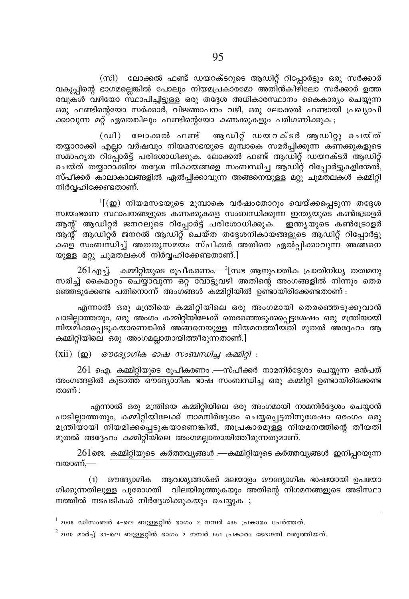(സി) ലോക്കൽ ഫണ്ട് ഡയറക്ടറുടെ ആഡിറ്റ് റിപ്പോർട്ടും ഒരു സർക്കാർ വകുപ്പിന്റെ ഭാഗമല്ലെങ്കിൽ പോലും നിയമപ്രകാരമോ അതിൻകീഴിലോ സർക്കാർ ഉത്ത രവുകൾ വഴിയോ സ്ഥാപിച്ചിട്ടുള്ള ഒരു തദ്ദേശ അധികാരസ്ഥാനം കൈകാര്യം ചെയ്യുന്ന ഒരു ഫണ്ടിന്റെയോ സർക്കാർ, വിജ്ഞാപനം വഴി, ഒരു ലോക്കൽ ഫണ്ടായി പ്രഖ്യാപി ക്കാവുന്ന മറ്റ് ഏതെങ്കിലും ഫണ്ടിന്റെയോ കണക്കുകളും പരിഗണിക്കുക<sub>;</sub>

(ഡി) ലോക്കൽ ഫണ്ട് ആഡിറ്റ് ഡയറക്ടർ ആഡിറ്റു ചെയ്ത് തയ്യാറാക്കി എല്ലാ വർഷവും നിയമസഭയുടെ മുമ്പാകെ സമർപ്പിക്കുന്ന കണക്കുകളുടെ സമാഹൃത റിപ്പോർട്ട് പരിശോധിക്കുക. ലോക്കൽ ഫണ്ട് ആഡിറ്റ് ഡയറക്ടർ ആഡിറ്റ് ചെയ്ത് തയ്യാറാക്കിയ തദ്ദേശ നികായങ്ങളെ സംബന്ധിച്ച ആഡിറ്റ് റിപ്പോർട്ടുകളിന്മേൽ, സ്പീക്കർ കാലാകാലങ്ങളിൽ ഏൽപ്പിക്കാവുന്ന അങ്ങനെയുള്ള മറ്റു ചുമതലകൾ കമ്മിറ്റി നിർവഹിക്കേണ്ടതാണ്.

 $^1$ [ $(\boldsymbol{\underline{\omega}})$  നിയമസഭയുടെ മുമ്പാകെ വർഷംതോറും വെയ്ക്കപ്പെടുന്ന തദ്ദേശ സ്വയംഭരണ സ്ഥാപനങ്ങളുടെ കണക്കുകളെ സംബന്ധിക്കുന്ന ഇന്ത്യയുടെ കൺട്രോളർ ആന്റ് ആഡിറ്റർ ജനറലുടെ റിപ്പോർട്ട് പരിശോധിക്കുക. ഇന്ത്യയുടെ കൺട്രോളർ ആന്റ് ആഡിറ്റ്ർ ജനറൽ ആഡിറ്റ് ചെയ്ത തദ്ദേശനികായങ്ങളുടെ ആഡിറ്റ് റിപ്പോർട്ടു കളെ സംബന്ധിച്ച് അതതുസമയം സ്പീക്കർ അതിനെ ഏൽപിക്കാവുന്ന അങ്ങനെ യുള്ള മറ്റു ചുമതലകൾ നിർവ്വഹിക്കേണ്ടതാണ്.]

 $261$ എച്ച്. കമ്മിറ്റിയുടെ രൂപീകരണം.— $^2$ [സഭ ആനുപാതിക പ്രാതിനിധ്യ തത്വമനു സരിച്ച് കൈമാറും ചെയ്യാവുന്ന ഒറ്റ വോട്ടുവഴി അതിന്റെ അംഗങ്ങളിൽ നിന്നും തെര്  $\widetilde{\mathsf{R}}$ ഞ്ഞെട്ട $\widetilde{\mathsf{R}}$ പതിനൊന്ന് $\widetilde{\mathsf{R}}$  അംഗങ്ങൾ കമ്മിറ്റിയിൽ ഉണ്ടായിരിക്കേണ്ടതാണ് :

എന്നാൽ ഒരു മന്ത്രിയെ കമ്മിറ്റിയിലെ ഒരു അംഗമായി തെരഞ്ഞെടുക്കുവാൻ പാടിലാത്തതും, ഒരു അംഗം കമ്മിറ്റിയിലേക്ക് തെരഞ്ഞെടുക്കപ്പെട്ടശേഷം ഒരു മന്ത്രിയായി നിയമിക്കപ്പെടുകയാണെങ്കിൽ അങ്ങനെയുള്ള നിയമനത്തീയതി മുതൽ അദ്ദേഹം ആ കമ്മിറ്റിയിലെ ഒരു അംഗമല്ലാതായിത്തീരുന്നതാണ്.]

(xii) (op) *ลๆ ตามอินด ลอลน กางถนกเป็น ออก*ปิด :

 $261$  ഐ. കമ്മിറ്റിയുടെ രൂപീകരണം .—സ്പീക്കർ നാമനിർദ്ദേശം ചെയ്യുന്ന ഒൻപത് അംഗങ്ങളിൽ കു<mark>ടാത്ത ഔദ്യോഗിക ഭാഷ</mark> സംബന്ധിച്ച ഒരു കമ്മിറ്റി ഉണ്ടായിരിക്കേണ്ട താണ് $:$ 

എന്നാൽ ഒരു മന്ത്രിയെ കമ്മിറ്റിയിലെ ഒരു അംഗമായി നാമനിർദ്ദേശം ചെയ്യാൻ പാടില്ലാത്തതും, കമ്മിറ്റിയിലേക്ക് നാമനിർദ്ദേശം ചെയ്യപ്പെട്ടതിനുശേഷം ഒരംഗം ഒരു മന്ത്രിയായി നിയമിക്കപ്പെടുകയാണെങ്കിൽ, അപ്രകാരമുള്ള നിയമനത്തിന്റെ തീയതി മുതൽ അദ്ദേഹം കമ്മിറ്റിയിലെ അംഗമല്ലാതായിത്തീരുന്നതുമാണ്.

 $261$ ജെ. കമ്മിറ്റിയുടെ കർത്തവ്യങ്ങൾ .—കമ്മിറ്റിയുടെ കർത്തവ്യങ്ങൾ ഇനിപ്പറയുന്ന വയാണ്. $-$ 

(1) ഔദ്യോഗിക ആവശ്യങ്ങൾക്ക് മലയാളം ഔദ്യോഗിക ഭാഷയായി ഉപയോ ഗിക്കുന്നതിലുള്ള പുരോഗതി വിലയിരുത്തുകയും അതിന്റെ നിഗമനങ്ങളുടെ അടിസ്ഥാ നത്തിൽ നടപടികൾ നിർദ്ദേശിക്കുകയും ചെയ്യുക $\;$ ;

 $^1$  2008 ഡിസംബർ 4–ലെ ബുള്ളറ്റിൻ ഭാഗം 2 നമ്പർ 435 പ്രകാരം ചേർത്തത്.

 $^2$  2010 മാർച്ച് 31-ലെ ബുള്ളറിൻ ഭാഗം 2 നമ്പർ 651 പ്രകാരം ഭേദഗതി വരുത്തിയത്.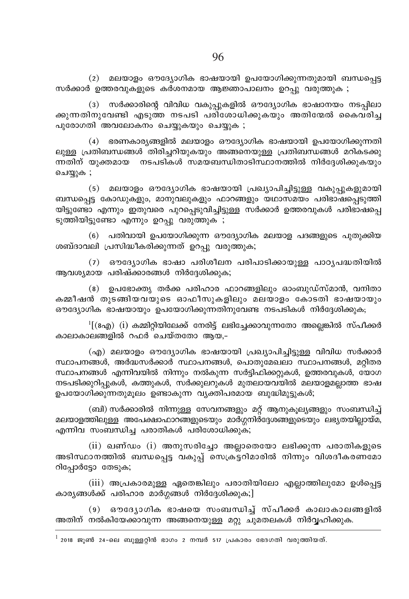(2) മലയാളം ഔദ്യോഗിക ഭാഷയായി ഉപയോഗിക്കുന്നതുമായി ബന്ധപ്പെട്ട സർക്കാർ ഉത്തരവുകളുടെ കർശനമായ ആജ്ഞാപാലനം ഉറപ്പു വരുത്തുക ;

(3) സർക്കാരിന്റെ വിവിധ വകുപ്പുകളിൽ ഔദ്യോഗിക ഭാഷാനയം നടപ്പിലാ ക്കുന്നതിനുവേണ്ടി എടുത്ത നടപടി പരിശോധിക്കുകയും അതിന്മേൽ കൈവരിച്ച പുരോഗതി അവലോകനം ചെയ്യുകയും ചെയ്യുക ;

(4) ഭരണകാര്യങ്ങളിൽ മലയാളം ഔദ്യോഗിക ഭാഷയായി ഉപയോഗിക്കുന്നതി ലുള്ള പ്രതിബന്ധങ്ങൾ തിരിച്ചറിയുകയും അങ്ങനെയുള്ള പ്രതിബന്ധങ്ങൾ മറികടക്കു ന്നതിന് യൂക്തമായ നടപടികൾ സമയബന്ധിതാടിസ്ഥാനത്തിൽ നിർദ്ദേശിക്കുകയും ചെയ്യുക ;

(5) മലയാളം ഔദ്യോഗിക ഭാഷയായി പ്രഖ്യാപിച്ചിട്ടുള്ള വകുപ്പുകളുമായി ബന്ധപ്പെട്ട കോഡുകളും, മാനുവലുകളും ഫാറങ്ങളും യഥാസമയം പരിഭാഷപ്പെടുത്തി യിട്ടുണ്ടോ എന്നും ഇതുവരെ പുറപ്പെടുവിച്ചിട്ടുള്ള സർക്കാർ ഉത്തരവുകൾ പരിഭാഷപ്പെ ടുത്തിയിട്ടുണ്ടോ എന്നും ഉറപ്പു വരുത്തുക ;

(6) പതിവായി ഉപയോഗിക്കുന്ന ഔദ്യോഗിക മലയാള പദങ്ങളുടെ പുതുക്കിയ ശബ്ദാവലി പ്രസിദ്ധീകരിക്കുന്നത് ഉറപ്പു വരുത്തുക;

(7) ഔദ്യോഗിക ഭാഷാ പരിശീലന പരിപാടിക്കായുള്ള പാഠ്യപദ്ധതിയിൽ ആവശ്യമായ പരിഷ്ക്കാരങ്ങൾ നിർദ്ദേശിക്കുക;

(8) ഉപഭോക്ത്യ തർക്ക പരിഹാര ഫാറങ്ങളിലും ഓംബുഡ്സ്മാൻ, വനിതാ കമ്മീഷൻ തുടങ്ങിയവയുടെ ഓഫീസുകളിലും മലയാളം കോടതി ഭാഷയായും ഔദ്യോഗിക ഭാഷയായും ഉപയോഗിക്കുന്നതിനുവേണ്ട നടപടികൾ നിർദ്ദേശിക്കുക;

 $\rm{^{1}}$ [(8എ) (i) കമ്മിറിയിലേക്ക് നേരിട്ട് ലഭിചേക്കാവുന്നതോ അലെങ്കിൽ സ്പീക്കർ കാലാകാലങ്ങളിൽ റഫർ ്ചെയ്തതോ ആയ.–

(എ) മലയാളം ഔദ്യോഗിക ഭാഷയായി പ്രഖ്യാപിച്ചിട്ടുള്ള വിവിധ സർക്കാർ സ്ഥാപനങ്ങൾ, അർദ്ധസർക്കാർ സ്ഥാപനങ്ങൾ, പൊതുമേഖലാ സ്ഥാപനങ്ങൾ, മറിതര സ്ഥാപനങ്ങൾ എന്നിവയിൽ നിന്നും നൽകുന്ന സർട്ടിഫിക്കറ്റുകൾ, ഉത്തരവുകൾ, യോഗ നടപടിക്കുറിപ്പുകൾ, കത്തുകൾ, സർക്കുലറുകൾ മുതലായവയിൽ മലയാളമല്ലാത്ത ഭാഷ ഉപയോഗിക്കുന്നതുമൂലം ഉണ്ടാകുന്ന വ്യക്തിപരമായ ബുദ്ധിമുട്ടുകൾ;

(ബി) സർക്കാരിൽ നിന്നുള്ള സേവനങ്ങളും മറ്റ് ആനുകൂല്യങ്ങളും സംബന്ധിച്ച് മലയാളത്തിലുള്ള അപേക്ഷാഫാറങ്ങളുടെയും മാർഗ്ഗനിർദ്ദേശങ്ങളുടെയും ലഭ്യതയില്ലായ്മ, എന്നിവ സംബന്ധിച്ച പരാതികൾ പരിശോധിക്കുക;

 $(ii)$  ഖണ്ഡം  $(i)$  അനുസരിച്ചോ അല്ലാതെയോ ലഭിക്കുന്ന പരാതികളുടെ അടിസ്ഥാനത്തിൽ ബന്ധപ്പെട്ട വകുപ്പ് സെക്രട്ടറിമാരിൽ നിന്നും വിശദീകരണമോ റിപ്പോർട്ടോ തേടുക;

(iii) അപ്രകാരമുള്ള ഏതെങ്കിലും പരാതിയിലോ എല്ലാത്തിലുമോ ഉൾപ്പെട്ട കാര്യങ്ങൾക്ക് പരിഹാര മാർഗ്ഗങ്ങൾ നിർദ്ദേശിക്കുക;]

(9) ഔദ്യോഗിക ഭാഷയെ സംബന്ധിച്ച് സ്പീക്കർ കാലാകാലങ്ങളിൽ അതിന് നൽകിയേക്കാവുന്ന അങ്ങനെയുള്ള മറ്റു ചുമതലകൾ നിർവ്വഹിക്കുക.

 $^{\rm l}$  2018 ജൂൺ 24-ലെ ബുള്ളറ്റിൻ ഭാഗം 2 നമ്പർ 517 പ്രകാരം ഭേദഗതി വരുത്തിയത്.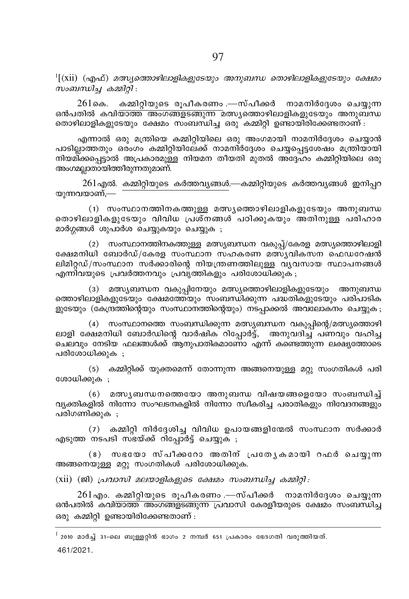$\rm{^{1}[(xii)}$  (എഫ്) മത്സ്യത്തൊഴിലാളികളുടേയും അനുബന്ധ തൊഴിലാളികളുടേയും ക്ഷേമം സംബന്ധിച്ച കമ്മിറ്റി:

കമ്മിറ്റിയുടെ രൂപീകരണം .—സ്പീക്കർ നാമനിർദ്ദേശം ചെയ്യുന്ന 261കെ. <u>ഒൻപതിൽ കവി<del>യാത്ത് അംഗങ്ങളടങ്ങുന്ന</del> മത്സ്യത്തൊഴിലാളികളുടേയും അനുബന്ധ</u> തൊഴിലാളികളുടേയും ക്ഷേമം സംബന്ധിച്ച ഒരു കമ്മിറ്റി ഉണ്ടായിരിക്കേണ്ടതാണ് :

എന്നാൽ ഒരു മന്ത്രിയെ കമ്മിറ്റിയിലെ ഒരു അംഗമായി നാമനിർദ്ദേശം ചെയ്യാൻ പാടില്ലാത്തതും ഒരംഗം കമ്മിറ്റിയിലേക്ക് നാമനിർദ്ദേശം ചെയ്യപ്പെട്ടശേഷം മന്ത്രിയായി നിയമിക്കപ്പെട്ടാൽ അപ്രകാരമുള്ള നിയമന തീയതി മുതൽ അദ്ദേഹം കമ്മിറ്റിയിലെ ഒരു അംഗമല്ലാതായിത്തീരുന്നതുമാണ്.

 $261$ എൽ. കമ്മിറ്റിയുടെ കർത്തവൃങ്ങൾ.—കമ്മിറ്റിയുടെ കർത്തവൃങ്ങൾ ഇനിപ്പറ യുന്നവയാണ്,—

(1) സംസ്ഥാനത്തിനകത്തുള്ള മത്സ്യത്തൊഴിലാളികളുടേയും അനുബന്ധ തൊഴിലാളികളുടേയും വിവിധ പ്രശ്നങ്ങൾ പഠിക്കുകയും അതിനുള്ള പരിഹാര മാർഗ്ഗങ്ങൾ ശുപാർശ ചെയ്യുകയും ചെയ്യുക ;

(2) സംസ്ഥാനത്തിനകത്തുള്ള മത്സ്യബന്ധന വകുപ്പ്/കേരള മത്സ്യത്തൊഴിലാളി ക്ഷേമനിധി ബോർഡ്/കേരള സംസ്ഥാന സഹകരണ മത്സ്യവികസന ഫെഡറേഷൻ ലിമിറ്റഡ്/സംസ്ഥാന സർക്കാരിന്റെ നിയന്ത്രണത്തിലുള്ള വ്യവസായ സ്ഥാപനങ്ങൾ എന്നിവയുടെ പ്രവർത്തനവും പ്രവൃത്തികളും പരിശോധിക്കുക ;

(3) മത്സ്യബന്ധന വകുപ്പിനേയും മത്സ്യത്തൊഴിലാളികളുടേയും അനുബന്ധ ത്തൊഴിലാളികളുടേയും ക്ഷേമത്തേയും സംബന്ധിക്കുന്ന പദ്ധതികളുടേയും പരിപാടിക ളുടേയും (കേന്ദ്രത്തിന്റെയും സംസ്ഥാനത്തിന്റെയും) നടപ്പാക്കൽ അവലോകനം ചെയ്യുക ;

(4) സംസ്ഥാനത്തെ സംബന്ധിക്കുന്ന മത്സ്യബന്ധന വകുപ്പിന്റെ/മത്സ്യത്തൊഴി ലാളി ക്ഷേമനിധി ബോർഡിന്റെ വാർഷിക റിപ്പോർട്ട്, അനുവദിച്ച് പണവും വഹിച്ച ചെലവും നേടിയ ഫലങ്ങൾക്ക് ആനുപാതികമാണോ എന്ന് കണ്ടെത്തുന്ന ലക്ഷ്യത്തോടെ പരിശോധിക്കുക :

(5) കമ്മിറ്റിക്ക് യുക്തമെന്ന് തോന്നുന്ന അങ്ങനെയുള്ള മറ്റു സംഗതികൾ പരി ശോധിക്കുക ;

(6) മത്സ്യബന്ധനത്തെയോ അനുബന്ധ വിഷയങ്ങളെയോ സംബന്ധിച്ച് വ്യക്തികളിൽ നിന്നോ സംഘടനകളിൽ നിന്നോ സ്വീകരിച്ച പരാതികളും നിവേദനങ്ങളും പരിഗണിക്കുക ;

 $(7)$  കമ്മിറ്റി നിർദ്ദേശിച്ച വിവിധ ഉപായങ്ങളിന്മേൽ സംസ്ഥാന സർക്കാർ എടുത്ത നടപടി സഭയ്ക്ക് റിപ്പോർട്ട് ചെയ്യുക ;

(8) സഭയോ സ്പീക്കറോ അതിന് പ്രത്യേകമായി റഫർ ചെയ്യുന്ന അങ്ങനെയുള്ള മറ്റു സംഗതികൾ പരിശോധിക്കുക.

 $(xii)$  (ജി) പ്രവാസി മലയാളികളുടെ ക്ഷേമം സംബന്ധിച്ച കമ്മിറ്റി:

 $261$ എം. കമ്മിറ്റിയുടെ രൂപീകരണം .—സ്പീക്കർ നാമനിർദ്ദേശം ചെയ്യുന്ന ഒൻപതിൽ കവി<del>യാത്ത് അംഗങ്ങളടങ്ങുന്ന പ്ര</del>വാസി കേരളീയരുടെ ക്ഷേമം സംബന്ധിച്ച ഒരു കമ്മിറ്റി ഉണ്ടായിരിക്കേണ്ടതാണ് :

 $^{\rm l}$  2010 മാർച്ച് 31-ലെ ബുള്ളറ്റിൻ ഭാഗം 2 നമ്പർ 651 പ്രകാരം ഭേദഗതി വരുത്തിയത്. 461/2021.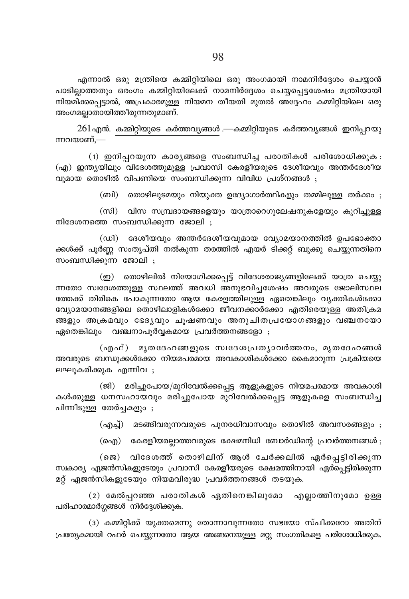$261$ എൻ. കമ്മിറ്റിയുടെ കർത്തവ്യങ്ങൾ .—കമ്മിറ്റിയുടെ കർത്തവ്യങ്ങൾ ഇനിപ്പറയു ന്നവയാണ്.—

(1) ഇനിപ്പറയുന്ന കാര്യങ്ങളെ സംബന്ധിച്ച പരാതികൾ പരിശോധിക്കുക: (എ) ഇന്ത്യയിലും വിദേശത്തുമുള്ള പ്രവാസി കേരളീയരുടെ ദേശീയവും അന്തർദേശീയ വുമായ തൊഴിൽ വിപണിയെ സംബന്ധിക്കുന്ന വിവിധ പ്രശ്നങ്ങൾ ;

(ബി) യൊഴിലുടമയും നിയുക്ത ഉദ്യോഗാർത്ഥികളും തമ്മിലുള്ള തർക്കം ;

(സി) വിസ സമ്പ്രദായങ്ങളെയും യാത്രാറെഗുലേഷനുകളേയും കുറിച്ചുള്ള നിദേശനത്തെ സംബന്ധിക്കുന്ന ജോലി ;

(ഡി) ദേശീയവും അന്തർദേശീയവുമായ വ്യോമയാനത്തിൽ ഉപഭോക്താ ക്കൾക്ക് പൂർണ്ണ സംതൃപ്തി നൽകുന്ന തരത്തിൽ എയർ ടിക്കറ്റ് ബുക്കു ചെയ്യുന്നതിനെ സംബന്ധിക്കുന്ന ജോലി ;

(ഇ) തൊഴിലിൽ നിയോഗിക്കപ്പെട്ട് വിദേശരാജ്യങ്ങളിലേക്ക് യാത്ര ചെയ്യു ന്നതോ സ്വദേശത്തുള്ള സ്ഥലത്ത് അവധി അനുഭവിച്ചശേഷം അവരുടെ ജോലിസ്ഥല ത്തേക്ക് തിരികെ പോകുന്നതോ ആയ കേരളത്തിലുള്ള ഏതെങ്കിലും വൃക്തികൾക്കോ വ്യോമയാനങ്ങളിലെ തൊഴിലാളികൾക്കോ ജീവനക്കാർക്കോ എതിരെയുള്ള അതിക്രമ ങ്ങളും അക്രമവും ഭേദൃവും ചുഷണവും അനുചിതപ്രയോഗങ്ങളും വഞ്ചനയോ ഏതെങ്കിലും വഞ്ചനാപൂർവ്വകമായ പ്രവർത്തനങ്ങളോ ;

(എഫ്) മൃതദേഹങ്ങളുടെ സ്വദേശപ്രത്യാവർത്തനം, മൃതദേഹങ്ങൾ അവരുടെ ബന്ധുക്കൾക്കോ നിയമപരമായ അവകാശികൾക്കോ കൈമാറുന്ന പ്രക്രിയയെ ലഘൂകരിക്കുക എന്നിവ ;

(ജി) മരിച്ചുപോയ/മുറിവേൽക്കപ്പെട്ട ആളുകളുടെ നിയമപരമായ അവകാശി കൾക്കുള്ള ധനസഹായവും മരിച്ചുപോയ മുറിവേൽക്കപ്പെട്ട ആളുകളെ സംബന്ധിച്ച പിന്നീടുള്ള തേർച്ചകളും ;

(എച്ച്) മടങ്ങിവരുന്നവരുടെ പുനരധിവാസവും തൊഴിൽ അവസരങ്ങളും ;

(ഐ) കേരളീയരല്ലാത്തവരുടെ ക്ഷേമനിധി ബോർഡിന്റെ പ്രവർത്തനങ്ങൾ;

(ജെ) വിദേശത്ത് തൊഴിലിന് ആൾ ചേർക്കലിൽ ഏർപ്പെട്ടിരിക്കുന്ന സ്വകാര്യ ഏജൻസികളുടേയും പ്രവാസി കേരളീയരുടെ ക്ഷേമത്തിനായി ഏർപ്പെട്ടിരിക്കുന്ന മറ്റ് ഏജൻസികളുടേയും നിയമവിരുദ്ധ പ്രവർത്തനങ്ങൾ തടയുക.

(2) മേൽപ്പറഞ്ഞ പരാതികൾ ഏതിനെങ്കിലുമോ എല്ലാത്തിനുമോ ഉള്ള പരിഹാരമാർഗ്ഗങ്ങൾ നിർദ്ദേശിക്കുക.

(3) കമ്മിറ്റിക്ക് യുക്തമെന്നു തോന്നാവുന്നതോ സഭയോ സ്പീക്കറോ അതിന് പ്രത്യേകമായി റഫർ ചെയ്യുന്നതോ ആയ അങ്ങനെയുള്ള മറ്റു സംഗതികളെ പരിശോധിക്കുക.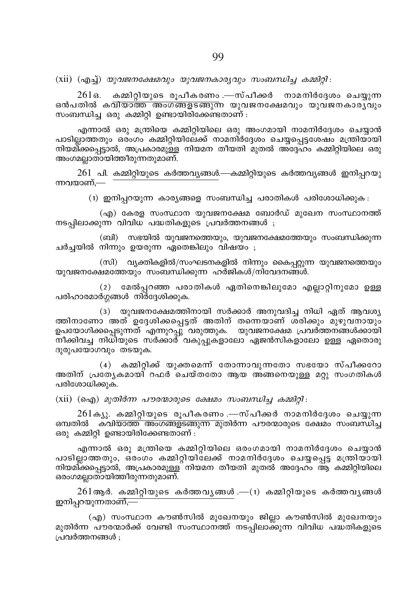$(xii)$   $(a\theta_1)$  യുവജനക്ഷേമവും യുവജനകാര്യവും സംബന്ധിച്ച കമ്മിറ്റി:

261ഒ. കമ്മിറിയുടെ രുപീകരണം —സ്പീക്കർ നാമനിർദേശം ചെയുന്ന ഒൻപതിൽ കവിയാത്ത<sup>്</sup>അംഗങ്ങളടങ്ങുന്ന യുവജനക്ഷേമവും യുവജനകാരപ്പും സംബന്ധിച്ച ഒരു കമ്മിറ്റി ഉണ്ടായിരിക്കേണ്ടതാണ് :

എന്നാൽ ഒരു മന്ത്രിയെ കമ്മിറ്റിയിലെ ഒരു അംഗമായി നാമനിർദ്ദേശം ചെയ്യാൻ പാടില്ലാത്തതും ഒര്ംഗം കമ്മിറ്റിയിലേക്ക് നാമനിർദ്ദേശം ചെയ്യപ്പെട്ടശേഷം മന്ത്രിയായി നിയമി്ക്കപ്പെട്ടാൽ, അപ്രകാരമുള്ള നിയമന തീയതി മുതൽ അദ്ദേഹം കമ്മിറ്റിയിലെ ഒരു അംഗമല്ലാതായിത്തീരുന്നതുമാണ്.

 $261$  പി. കമ്മിറ്റിയുടെ കർത്തവ്യങ്ങൾ.—കമ്മിറ്റിയുടെ കർത്തവ്യങ്ങൾ ഇനിപ്പറയു ന്നവയാണ്.—

(1) ഇനിപ്പറയുന്ന കാര്യങ്ങളെ സംബന്ധിച്ച പരാതികൾ പരിശോധിക്കുക :

(എ) കേരള സംസ്ഥാന യുവജനക്ഷേമ ബോർഡ് മുഖേന സംസ്ഥാനത്ത് നടപ്പിലാക്കുന്ന വിവിധ പദ്ധതികളുടെ പ്രവർത്തനങ്ങൾ ;

(ബി) സഭയിൽ യുവജനത്തെയും, യുവജനക്ഷേമത്തേയും സംബന്ധിക്കുന്ന ചർച്ചയിൽ നിന്നും ഉയരുന്ന ഏതെങ്കിലും വിഷയം ;

(സി) വ്യക്തികളിൽ/സംഘടനകളിൽ നിന്നും കൈപ്പറ്റുന്ന യുവജനത്തെയും യുവജനക്ഷേമത്തേയും സംബന്ധിക്കുന്ന ഹർജികൾ/നിവേദനങ്ങൾ.

(2) മേൽപ്പറഞ്ഞ പരാതികൾ ഏതിനെങ്കിലുമോ എല്ലാറ്റിനുമോ ഉള്ള പരിഹാരമാർഗ്ഗങ്ങൾ നിർദ്ദേശിക്കുക.

(3) യുവജനക്ഷേമത്തിനായി സർക്കാർ അനുവദിച്ച നിധി ഏത് ആവശ്യ ത്തിനാണോ അത് ഉദ്ദേശിക്കപ്പെട്ടത് അതിന് തന്നെയാണ് ശരിക്കും മുഴുവനായും ഉപയോഗിക്കപ്പെടുന്നത് എന്നുറപ്പു് വരുത്തുക. യുവജനക്ഷേമ പ്രവർത്തന്ങ്ങൾക്കായി നീക്കിവച്ച നിധിയുടെ സർക്കാര് വകുപുകളാലോ ഏജൻസികളാലോ ഉള്ള ഏതൊരു ദുരുപയോഗവും തടയുക.

(4) കമ്മിറ്റിക്ക് യുക്തമെന്ന് തോന്നാവുന്നതോ സഭയോ സ്പീക്കറോ അതിന് പ്രത്യേകമായി റഫർ ചെയ്തതോ ആയ അങ്ങനെയുള്ള മറു സംഗതികൾ പരിശോധിക്കുക.

 $(xii)$   $(\rho_{0}a)$  *മുതിർന്ന പൗരന്മാരുടെ ക്ഷേമം സംബന്ധിച്ച കമ്മിറ്റി*:

 $261$ ക്യു. കമ്മിറ്റിയുടെ രൂപീകരണം —സ്പീക്കർ നാമനിർദ്ദേശം ചെയ്യുന്ന ഒമ്പതിൽ കവി<del>യാത്ത അംഗങ്ങളടങ്ങുന്ന മു</del>തിർന്ന പൗരന്മാരുടെ ക്ഷേമം സംബന്ധിച്ച ഒരു കമ്മിറ്റി ഉണ്ടായിരിക്കേണ്ടതാണ് :

എന്നാൽ ഒരു മന്ത്രിയെ കമ്മിറ്റിയിലെ ഒരംഗമായി നാമനിർദ്ദേശം ചെയ്യാൻ പാടില്ലാത്തതും, ഒരംഗം കമ്മിറ്റിയിലേക്ക് നാമനിർദ്ദേശം ചെയ്യപ്പെട്ട മന്ത്രിയായി നിയമിക്കപ്പെട്ടാൽ, അപ്രകാരമുള്ള നിയമന തീയതി മുതൽ അദ്ദേഹം ആ കമ്മിറ്റിയിലെ ഒരംഗമല്ലാതായിത്തീരുന്നതുമാണ്.

 $261$ ആർ. കമ്മിറ്റിയുടെ കർത്തവൃങ്ങൾ . $-(1)$  കമ്മിറ്റിയുടെ കർത്തവൃങ്ങൾ ഇനിപ്പറയുന്നതാണ്,—

(എ) സംസ്ഥാന കൗൺസിൽ മുഖേനയും ജില്ലാ കൗൺസിൽ മുഖേനയും മുതിർന്ന പൗരന്മാർക്ക് വേണ്ടി സംസ്ഥാനത്ത് നടപ്പിലാക്കുന്ന വിവിധ പദ്ധതികളുടെ പ്രവർത്തനങ്ങൾ ;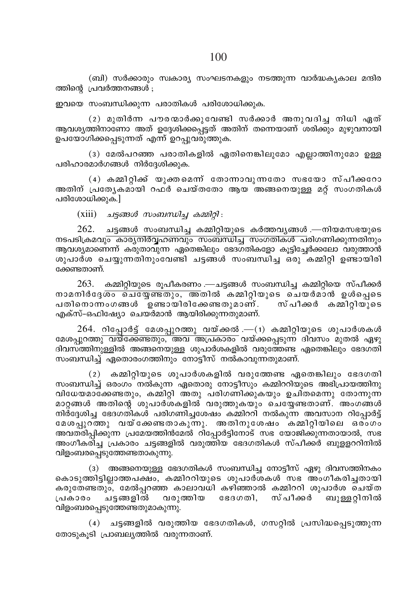(ബി) സർക്കാരും സ്വകാര്യ സംഘടനകളും നടത്തുന്ന വാർദ്ധകൃകാല മന്ദിര ത്തിന്റെ പ്രവർത്തനങ്ങൾ :

ഇവയെ സംബന്ധിക്കുന്ന പരാതികൾ പരിശോധിക്കുക.

(2) മുതിർന്ന പൗരന്മാർക്കുവേണ്ടി സർക്കാർ അനുവദിച്ച നിധി ഏത് ആവശ്യത്തിനാണോ അത് ഉദ്ദേശിക്കപ്പെട്ടത് അതിന് തന്നെയാണ് ശരിക്കും മുഴുവനായി ഉപയോഗിക്കപെടുന്നത് എന്ന് ഉറപുവരുത്തുക.

(3) മേൽപറഞ്ഞ പരാതികളിൽ ഏതിനെങ്കിലൂമോ എലാത്തിനുമോ ഉള്ള പരിഹാരമാർഗങ്ങൾ നിർദ്ദേശിക്കുക.

(4) കമ്മിറിക്ക് യുക്തമെന്ന് തോന്നാവുന്നതോ സഭയോ സ്പീക്കറോ അതിന് പ്രത്യേകമായി റഫ്ർ ചെയ്തതോ ആയ അങ്ങനെയുള്ള മറ് സംഗതികൾ പരിശോധിക്കുക.]

 $(xiii)$  ചട്ടങ്ങൾ സംബന്ധിച്ച കമ്മിറ്റി:

 $262.$  ചട്ടങ്ങൾ സംബന്ധിച്ച കമ്മിറ്റിയുടെ കർത്തവൃങ്ങൾ .—നിയമസഭയുടെ നടപടിക്രമവും കാര്യനിർവ്വഹണവും സംബന്ധിച്ച സംഗതികൾ പരിഗണിക്കുന്നതിനും ആവശ്യമാണെന്ന് കരുതാവുന്ന ഏതെങ്കിലും ഭേദഗതികളോ കൂട്ടിച്ചേർക്കലോ വരുത്താൻ ശുപാർശ ചെയ്യുന്നതിനുംവേണ്ടി ചട്ടങ്ങൾ സംബന്ധിച്ച ഒരു കമ്മിറ്റി ഉണ്ടായിരി ക്കേണ്ടതാണ്.

263. കമ്മിറ്റിയുടെ രുപീകരണം —ചട്ടങ്ങൾ സംബന്ധിച്ച കമ്മിറ്റിയെ സ്പീക്കർ നാമനിർദേശം ചെയ്യേണ്ടതും, അതിൽ കമ്മിറ്റിയുടെ ചെയർമാൻ ഉൾപ്പെടെ പതിനൊന്നംഗങ്ങൾ ഉണ്ടായിരിക്കേണ്ടതുമാണ്. സ്പീക്കർ കമ്മിറിയുടെ എക്സ്-ഒഫിഷ്യോ ചെയർമാൻ ആയിരിക്കുന്നതുമാണ്.

 $264.$  റിപ്പോർട്ട് മേശപ്പുറത്തു വയ്ക്കൽ.— $(1)$  കമ്മിറ്റിയുടെ ശുപാർശകൾ മേശപ്പുറത്ത<del>ു വയ്ക്കേണ്ടതും, അവ അപ്രകാരം </del>വയ്ക്കപ്പെടുന്ന ദിവസം മുതൽ ഏഴു ദിവസത്തിനുള്ളിൽ അങ്ങനെയുള്ള ശുപാർശകളിൽ വരുത്തേണ്ട ഏതെങ്കിലും ഭേദഗതി സംബന്ധിച്ച് ഏതൊരംഗത്തിനും നോട്ടീസ് നൽകാവുന്നതുമാണ്.

 $(2)$  കമ്മിറ്റിയുടെ ശുപാർശകളിൽ വരുത്തേണ്ട ഏതെങ്കിലും ഭേദഗതി സംബന്ധിച്ച് ഒരാഗം നൽകുന്ന ഏതൊരു നോട്ടീസും കമ്മിററിയുടെ അഭിപ്രായത്തിനു വിധേയമാക്കേണ്ടതും, കമ്മിറ്റി അതു പരിഗണിക്കുകയും ഉചിതമെന്നു തോന്നുന്ന മാറ്റങ്ങൾ അതിന്റെ ശുപാർശകളിൽ വരുത്തുകയും ചെയ്യേണ്ടതാണ്. അംഗങ്ങൾ നിർദ്ദേശിച്ച ഭേദഗതികൾ പരിഗണിച്ചശേഷം കമ്മിററി നൽകുന്ന അവസാന റിപ്പോർട്ട് മേശപുറത്തു വയ്ക്കേണ്ടതാകുന്നു. അതിനുശേഷം കമ്മിറ്റിയിലെ ഒരാഗം അവതരിപ്പിക്കുന്ന പ്രമേയത്തിൻമേൽ റിപ്പോർട്ടിനോട് സഭ യോജിക്കുന്നതായാൽ, സഭ അംഗീകരിച്ച പ്രകാരം ചട്ടങ്ങളിൽ വരുത്തിയ ഭേദഗതികൾ സ്പീക്കർ ബുള്ളററിനിൽ വിളംബരപ്പെടുത്തേണ്ടതാകുന്നു.

(3) അങ്ങനെയുള്ള ഭേദഗതികൾ സംബന്ധിച്ച നോട്ടീസ് ഏഴു ദിവസത്തിനകം കൊടുത്തിട്ടില്ലാത്തപക്ഷം, കമ്മിററിയുടെ ശുപാർശകൾ സഭ അംഗീകരിച്ചതായി കരുതേണ്ടതും, മേൽപറഞ്ഞ കാലാവധി കഴിഞ്ഞാൽ കമ്മിററി ശുപാർശ ചെയ്ത പ്രകാരം ചട്ടങ്ങളിൽ വരുത്തിയ ഭേദഗതി, സ്പീക്കർ ബുള്ളറ്റിനിൽ വിളംബരപ്പെടുത്തേണ്ടതുമാകുന്നു.

(4) ചട്ടങ്ങളിൽ വരുത്തിയ ഭേദഗതികൾ, ഗസറ്റിൽ പ്രസിദ്ധപ്പെടുത്തുന്ന തോടുകൂടി പ്രാബല്യത്തിൽ വരുന്നതാണ്.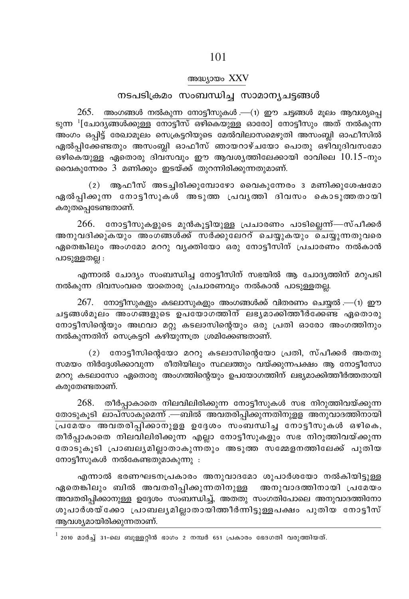#### അദ്ധ്യായം XXV

# നടപടിക്രമം സംബന്ധിച്ച സാമാന്യചട്ടങ്ങൾ

 $265.$  അംഗങ്ങൾ നൽകുന്ന നോട്ടീസുകൾ .—(1) ഈ ചട്ടങ്ങൾ മൂലം ആവശ്യപ്പെ <u>ടുന്ന <sup>1</sup>[ചോദ്യങ്ങൾക്കുള്ള നോട്ടീസ് ഒഴികെയുള്ള ഓരോ] നോട്ടീസും അത് നൽകുന്ന</u> അംഗം ഒപ്പിട്ട് രേഖാമുലം സെക്രട്ടറിയുടെ മേൽവിലാസമെഴുതി അസംബ്ലി ഓഫീസിൽ ഏൽപ്പിക്കേണ്ടതും അസംബ്ലി ഓഫീസ് ഞായറാഴ്ചയോ പൊതു ഒഴിവുദിവസമോ ഒഴികെയുള്ള ഏതൊരു ദിവസവും ഈ ആവശ്യത്തിലേക്കായി രാവിലെ  $10.15$ -നും വൈകുന്നേരം 3 മണിക്കും ഇടയ്ക്ക് തുറന്നിരിക്കുന്നതുമാണ്.

(2) ആഫീസ് അടചിരിക്കുമ്പോഴോ വൈകുന്നേരം 3 മണിക്കുശേഷമോ ഏൽപ്പിക്കുന്ന നോട്ടീസുകൾ അടുത്ത പ്രവൃത്തി ദിവസം കൊടുത്തതായി കരുതപ്പെടേണ്ടതാണ്.

266. നോട്ടീസുകളുടെ മുൻകൂട്ടിയുള്ള പ്രചാരണം പാടില്ലെന്ന്—സ്പീക്കർ അനുവദിക്കുകയും അംഗങ്ങൾക്ക് സർക്കുലേററ് ചെയ്യുകയും ചെയ്യുന്നതുവരെ ഏതെങ്കിലും അംഗമോ മററു വ്യക്തിയോ ഒരു നോട്ടീസിന് പ്രചാരണം നൽകാൻ പാടുള്ളതല്ല :

എന്നാൽ ചോദ്യം സംബന്ധിച്ച നോട്ടീസിന് സഭയിൽ ആ ചോദ്യത്തിന് മറുപടി നൽകുന്ന ദിവസംവരെ യാതൊരു പ്രചാരണവും നൽകാൻ പാടുള്ളതല്ല.

 $267.$  നോട്ടീസുകളും കടലാസുകളും അംഗങ്ങൾക്ക് വിതരണം ചെയ്യൽ.—(1) ഈ ചട്ടങ്ങൾമുലം അംഗങ്ങളുടെ ഉപയോഗത്തിന് ലഭ്യമാക്കിത്തീർക്കേണ്ട ഏതൊരു നോട്ടീസിന്റെയും അഥവാ മറ്റു കടലാസിന്റെയും ഒരു പ്രതി ഓരോ അംഗത്തിനും നൽകുന്നതിന് സെക്രട്ടറി കഴിയുന്നത്ര ശ്രമിക്കേണ്ടതാണ്.

(2) നോട്ടീസിന്റെയോ മററു കടലാസിന്റെയോ പ്രതി, സ്പീക്കർ അതതു സമയം നിർദ്ദേശിക്കാവുന്ന രീതിയിലും സ്ഥലത്തും വയ്ക്കുന്നപക്ഷം ആ നോട്ടീസോ മററു കടലാസോ ഏതൊരു അംഗത്തിന്റെയും ഉപയോഗത്തിന് ലഭ്യമാക്കിത്തീർത്തതായി കരുതേണ്ടതാണ്.

268. തീർപ്പാകാതെ നിലവിലിരിക്കുന്ന നോട്ടീസുകൾ സഭ നിറുത്തിവയ്ക്കുന്ന തോടുകൂടി ലാപ്സാകുമെന്ന് .—ബിൽ അവതരിപ്പിക്കുന്നതിനുള്ള അനുവാദത്തിനായി പ്രമേയം അവതരിപ്പിക്കാനുളള ഉദ്ദേശം സംബന്ധിച്ച നോട്ടീസുകൾ ഒഴികെ, തീർപ്പാകാതെ നിലവിലിരിക്കുന്ന എല്ലാ നോട്ടീസുകളും സഭ നിറുത്തിവയ്ക്കുന്ന തോടുകൂടി പ്രാബല്യമില്ലാതാകുന്നതും അടുത്ത സമ്മേളനത്തിലേക്ക് പുതിയ നോട്ടീസുകൾ നൽകേണ്ടതുമാകുന്നു :

എന്നാൽ ഭരണഘടനപ്രകാരം അനുവാദമോ ശുപാർശയോ നൽകിയിട്ടുള്ള ഏതെങ്കിലും ബിൽ അവതരിപ്പിക്കുന്നതിനുള്ള അനുവാദത്തിനായി പ്രമേയം അവതരിപ്പിക്കാനുള്ള ഉദ്ദേശം സംബന്ധിച്ച്, അതതു സംഗതിപോലെ അനുവാദത്തിനോ ശുപാർശയ്ക്കോ പ്രാബല്യമില്ലാതായിത്തീർന്നിട്ടുള്ളപക്ഷം പുതിയ നോട്ടീസ് ആവശ്യമായിരിക്കുന്നതാണ്.

 $^{\rm 1}$  2010 മാർച്ച് 31-ലെ ബുള്ളറ്റിൻ ഭാഗം 2 നമ്പർ 651 പ്രകാരം ഭേദഗതി വരുത്തിയത്.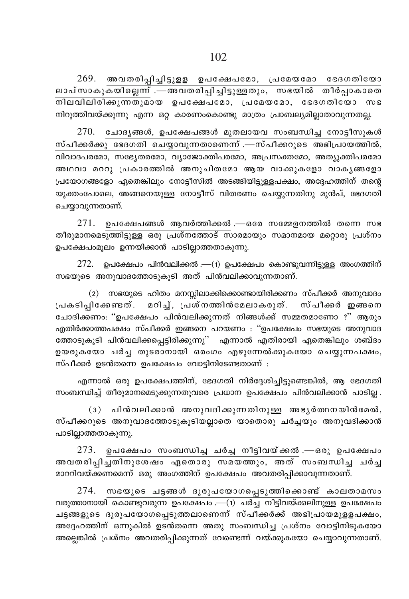$269.$  അവതരിപ്പിച്ചിട്ടുളള ഉപക്ഷേപമോ, പ്രമേയമോ ഭേദഗതിയോ ലാപ്സാകുകയില്ലെന്ന് .—അവതരിപ്പിച്ചിട്ടുള്ളതും, സഭയിൽ തീർപ്പാകാതെ നിലവിലിരിക്കുന്നതുമായ ഉപക്ഷേപമോ, പ്രമേയമോ, ഭേദഗതിയോ സഭ നിറുത്തിവയ്ക്കുന്നു എന്ന ഒറ കാരണംകൊണ്ടു മാത്രം പ്രാബല്യമിലാതാവുന്നതല്ല

270. ചോദ്യങ്ങൾ, ഉപക്ഷേപങ്ങൾ മുതലായവ സംബന്ധിച്ച നോട്ടീസുകൾ സ്പീക്കർക്കു ഭേദഗതി ചെയ്യാവുന്നതാണെന്ന് .—സ്പീക്കറുടെ അഭിപ്രായത്തിൽ, വിവാദപരമോ, സഭ്യേതരമോ, വ്യാജോക്തിപരമോ, അപ്രസക്തമോ, അത്യുക്തിപരമോ അഥവാ മററു പ്രകാരത്തിൽ അനുചിതമോ ആയ വാക്കുകളോ വാക<u>ൃ</u>ങ്ങളോ പ്രയോഗങ്ങളോ ഏതെങ്കിലും നോട്ടീസിൽ അടങ്ങിയിട്ടുള്ളപക്ഷം, അദ്ദേഹത്തിന് തന്റെ യുക്തംപോലെ, അങ്ങനെയുള്ള നോട്ടീസ് വിതരണം ചെയ്യുന്നതിനു മുൻപ്, ഭേദഗതി ചെയ്യാവുന്നതാണ്.

 $271.$  ഉപക്ഷേപങ്ങൾ ആവർത്തിക്കൽ .—ഒരേ സമ്മേളനത്തിൽ തന്നെ സഭ തീരുമാനമെടുത്തിട്ടുള്ള ഒരു പ്രശ്നത്തോട് സാരമായും സമാനമായ മറ്റൊരു പ്രശ്നം ഉപക്ഷേപംമൂലം ഉന്നയിക്കാൻ പാടില്ലാത്തതാകുന്നു.

 $272$ . ഉപക്ഷേപം പിൻവലിക്കൽ .—(1) ഉപക്ഷേപം കൊണ്ടുവന്നിട്ടുള്ള അംഗത്തിന് സഭയുടെ അനുവാദത്തോടുകൂടി അത് പിൻവലിക്കാവുന്നതാണ്.

(2) സഭയുടെ ഹിതം മനസ്സിലാക്കിക്കൊണ്ടായിരിക്കണം സ്പീക്കർ അനുവാദം പ്രകടിപിക്കേണ്ടത്. മറിച്, പ്രശ്നത്തിൻമേലാകരുത്. സ്പീക്കർ ഇങ്ങനെ ചോദിക്കണം: ''ഉപക്ഷേപം പിൻവലിക്കുന്നത് നിങ്ങൾക്ക് സമ്മതമാണോ ?'' ആരും എതിർക്കാത്തപക്ഷം സ്പീക്കർ ഇങ്ങനെ പറയണം : ''ഉപക്ഷേപം സഭയുടെ അനുവാദ ത്തോടുകൂടി പിൻവലിക്കപ്പെട്ടിരിക്കുന്നു'' എന്നാൽ എതിരായി ഏതെങ്കിലും ശബ്ദം ഉയരുകയോ ചർച്ച തുടരാനായി ഒരംഗം എഴുന്നേൽക്കുകയോ ചെയ്യുന്നപക്ഷം, സ്പീക്കർ ഉടൻതന്നെ ഉപക്ഷേപം വോട്ടിനിടേണ്ടതാണ് :

എന്നാൽ ഒരു ഉപക്ഷേപത്തിന്, ഭേദഗതി നിർദ്ദേശിച്ചിട്ടുണ്ടെങ്കിൽ, ആ ഭേദഗതി സംബന്ധിച്ച് തീരുമാനമെടുക്കുന്നതുവരെ പ്രധാന ഉപക്ഷേപം പിൻവലിക്കാൻ പാടില്ല .

(3) പിൻവലിക്കാൻ അനുവദിക്കുന്നതിനുള്ള അഭൃർത്ഥനയിൻമേൽ, സ്പീക്കറുടെ അനുവാദത്തോടുകൂടിയല്ലാതെ യാതൊരു ചർച്ചയും അനുവദിക്കാൻ പാടില്ലാത്തതാകുന്നു.

ഉപക്ഷേപം സംബന്ധിച്ച ചർച്ച നീട്ടിവയ്ക്കൽ .—ഒരു ഉപക്ഷേപം 273. അവതരിപ്പിച്ചതിനുശേഷം ഏതൊരു സമയത്തും, അത് സംബന്ധിച്ച ചർച്ച മാററിവയ്ക്കണമെന്ന് ഒരു അംഗത്തിന് ഉപക്ഷേപം അവതരിപ്പിക്കാവുന്നതാണ്.

274. സഭയുടെ ചട്ടങ്ങൾ ദുരുപയോഗപ്പെടുത്തിക്കൊണ്ട് കാലതാമസം വരുത്താനായി കൊണ്ടുവരുന്ന ഉപക്ഷേപം .—(1) ചർച്ച നീട്ടിവയ്ക്കലിനുള്ള ഉപക്ഷേപം ചട്ടങ്ങളുടെ ദുരുപയോഗപ്പെടുത്തലാണെന്ന് സ്പീക്കർക്ക് അഭിപ്രായമുളളപക്ഷം, അദ്ദേഹത്തിന് ഒന്നുകിൽ ഉടൻതന്നെ അതു സംബന്ധിച്ച പ്രശ്നം വോട്ടിനിടുകയോ അല്ലെങ്കിൽ പ്രശ്നം അവതരിപ്പിക്കുന്നത് വേണ്ടെന്ന് വയ്ക്കുകയോ ചെയ്യാവുന്നതാണ്.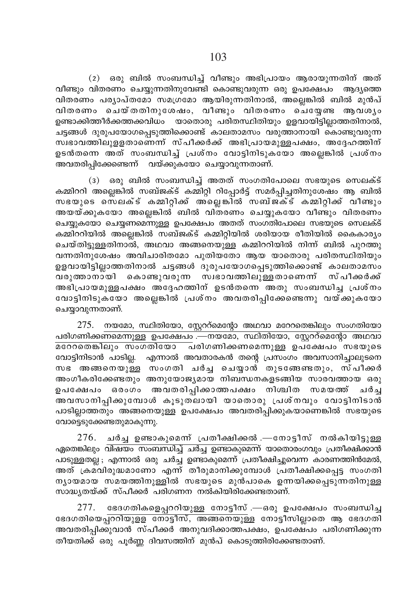(2) ഒരു ബിൽ സംബന്ധിച്ച് വീണ്ടും അഭിപ്രായം ആരായുന്നതിന് അത് വീണ്ടും വിതരണം ചെയ്യുന്നതിനുവേണ്ടി കൊണ്ടുവരുന്ന ഒരു ഉപക്ഷേപം ആദ്യത്തെ വിതരണം പര്യാപ്തമോ സമഗ്രമോ ആയിരുന്നതിനാൽ, അല്ലെങ്കിൽ ബിൽ മുൻപ് വിതരണം ചെയ്തതിനുശേഷം, വീണ്ടും വിതരണം ചെയ്യേണ്ട ആവശൃം ഉണ്ടാക്കിത്തീർക്കത്തക്കവിധം യാതൊരു പരിതസ്ഥിതിയും ഉളവായിട്ടില്ലാത്തതിനാൽ, ചട്ടങ്ങൾ ദുരുപയോഗപ്പെടുത്തിക്കൊണ്ട് കാലതാമസം വരുത്താനായി കൊണ്ടുവരുന്ന സ്ഥാവത്തിലുളളതാണെന്ന് സ്പീക്കർക്ക് അഭിപ്രായമുള്ളപക്ഷം, അദ്ദേഹത്തിന് ഉടൻതന്നെ അത് സംബന്ധിച്ച് പ്രശ്നം വോട്ടിനിടുകയോ അല്ലെങ്കിൽ പ്രശ്നം അവതരിപ്പിക്കേണ്ടെന്ന് വയ്ക്കുകയോ ചെയ്യാവുന്നതാണ്.

(3) ഒരു ബിൽ സംബന്ധിച്ച് അതത് സംഗതിപോലെ സഭയുടെ സെലക്ട് കമ്മിററി അല്ലെങ്കിൽ സബ്ജക്ട് കമ്മിറ്റി റിപ്പോർട്ട് സമർപ്പിച്ചതിനുശേഷം ആ ബിൽ സഭയുടെ സെലക്ട് കമ്മിറ്റിക്ക് അ്ലെങ്കിൽ സബ്ജക്ട് കമ്മിറ്റിക്ക് വീണ്ടും അയയ്ക്കുകയോ അല്ലെങ്കിൽ ബിൽ വിതരണം ചെയ്യുകയോ വീണ്ടും വിതരണം ചെയ്യുകയോ ചെയ്യണമെന്നുള്ള ഉപക്ഷേപം അതത് സംഗതിപോലെ സഭയുടെ സെലക്ട് കമ്മിററിയിൽ അല്ലെങ്കിൽ സബ്ജക്ട് കമ്മിറ്റിയിൽ ശരിയായ രീതിയിൽ കൈകാര്യം ചെയ്തിട്ടുള്ളതിനാൽ, അഥവാ അങ്ങനെയുള്ള കമ്മിററിയിൽ നിന്ന് ബിൽ പുറത്തു വന്നതിനുശേഷം അവിചാരിതമോ പുതിയതോ ആയ യാതൊരു പരിതസ്ഥിതിയും .<br>ഉളവായിട്ടില്ലാത്തതിനാൽ ചട്ടങ്ങൾ ദുരുപയോഗപ്പെടുത്തിക്കൊണ്ട് കാലതാമസം വരുത്താനാ്യി കൊണ്ടുവരുന്ന സ്ഥാവത്തിലുള്ളതാണെന്ന് സ്പീക്കർക്ക് .<br>അഭിപ്രായമുള്ളപക്ഷം അദ്ദേഹത്തിന് ഉടൻതന്നെ അതു സംബന്ധിച്ച പ്രശ്നം വോട്ടിനിടുകയോ അല്ലെങ്കിൽ പ്രശ്നം അവതരിപിക്കേണ്ടെന്നു വയ്ക്കുകയോ ചെയ്യാവുന്നതാണ്.

 $275.$  നയമോ, സ്ഥിതിയോ, സ്റ്റേററ്മെന്റോ അഥവാ മറേറതെങ്കിലും സംഗതിയോ പരിഗണിക്കണമെന്നുള്ള ഉപക്ഷേപം .—നയമോ, സ്ഥിതിയോ, സ്റ്റേററ്മെന്റോ അഥവാ വോട്ടിനിടാൻ പാടില്ല. എന്നാൽ അവതാരകൻ തന്റെ പ്രസംഗം അവസാനിച്ചാലുടനെ സഭ അങ്ങനെയുള്ള സംഗതി ചർച്ച ചെയ്യാൻ തുടങ്ങേണ്ടതും, സ്പീക്കർ അംഗീകരിക്കേണ്ടതും അനുയോജ്യമായ നിബന്ധനകളടങ്ങിയ സാരവത്തായ ഒരു ഉപക്ഷേപം ഒരംഗം അവതരിപ്പിക്കാത്തപക്ഷം നിശ്ചിത സമയത്ത് ചർച്ച അവസാനിപ്പിക്കുമ്പോൾ കൂടുതലായി യാതൊരു പ്രശ്നവും വോട്ടിനിടാൻ പാടില്ലാത്തതും അങ്ങനെയുള്ള ഉപക്ഷേപം അവതരിപ്പിക്കുകയാണെങ്കിൽ സഭയുടെ വോട്ടെടുക്കേണ്ടതുമാകുന്നു.

276. ചർച്ച ഉണ്ടാകുമെന്ന് പ്രതീക്ഷിക്കൽ .—നോട്ടീസ് നൽകിയിട്ടുള്ള ഏതെങ്കിലും <del>വിഷയം സംബന്ധിച്ച് ചർച്ച ഉണ്ടാകുമെന്ന്</del> യാതൊരംഗവും പ്രതീക്ഷിക്കാൻ പാടുള്ളതല്ല; എന്നാൽ ഒരു ചർച്ച ഉണ്ടാകുമെന്ന് പ്രതീക്ഷിച്ചുവെന്ന കാരണത്തിൻമേൽ, അത് ക്രമവിരുദ്ധമാണോ എന്ന് തീരുമാനിക്കുമ്പോൾ പ്രതീക്ഷിക്കപ്പെട്ട സംഗതി നൃായമായ സമയത്തിനുള്ളിൽ സഭയുടെ മുൻപാകെ ഉന്നയിക്കപ്പെടുന്നതിനുള്ള സാദ്ധ്യതയ്ക്ക് സ്പീക്കർ പരിഗണന നൽകിയിരിക്കേണ്ടതാണ്.

277. ഭേദഗതികളെപ്പററിയുള്ള നോട്ടീസ് .—ഒരു ഉപക്ഷേപം സംബന്ധിച്ച ഭേദഗതിയെപ്പററിയുളള നോട്ടീസ്, അങ്ങനെയുള്ള നോട്ടീസില്ലാതെ ആ ഭേദഗതി അവതരിപ്പിക്കുവാൻ സ്പീക്കർ അനുവദിക്കാത്തപക്ഷം, ഉപക്ഷേപം പരിഗണിക്കുന്ന തീയതിക്ക് ഒരു പൂർണ്ണ ദിവസത്തിന് മുൻപ് കൊടുത്തിരിക്കേണ്ടതാണ്.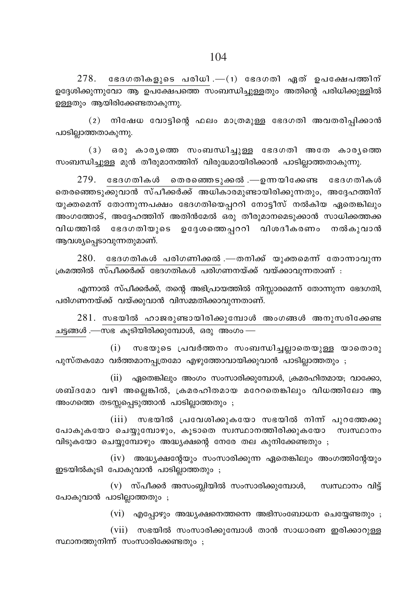$278.$  ഭേദഗതികളുടെ പരിധി $-$ (1) ഭേദഗതി ഏത് ഉപക്ഷേപത്തിന് ഉദേശിക്കുന്നു<mark>വോ ആ ഉപക്ഷേപത്തെ സംബന്ധിച</mark>്വാള്ളതും അതിന്റെ പരിധിക്കുള്ളിൽ ഉള്ളതും ആയിരിക്കേണ്ടതാകുന്നു.

(2) നിഷേധ വോട്ടിന്റെ ഫലം മാത്രമുള്ള ഭേദഗതി അവതരിപ്പിക്കാൻ പാടില്ലാത്തതാകുന്നു.

 $(3)$  ഒരു കാരൃത്തെ സംബന്ധിച്ചുള്ള ഭേദഗതി അതേ കാരൃത്തെ സംബന്ധിച്ചുള്ള മുൻ തീരുമാനത്തിന് വിരുദ്ധമായിരിക്കാൻ പാടില്ലാത്തതാകുന്നു.

 $279$ . ഭേദഗതികൾ തെരഞ്ഞെടുക്കൽ.—ഉന്നയിക്കേണ്ട ഭേദഗതികൾ തെരഞ്ഞെടുക്കുവാൻ സ്പീക്കർക്ക് അധികാരമുണ്ടായിരിക്കുന്നതും, അദ്ദേഹത്തിന് യുക്തമെന്ന് തോന്നുന്നപക്ഷം ഭേദഗതിയെപ്പററി നോട്ടീസ് നൽകിയ ഏതെങ്കിലും അംഗത്തോട്, അദ്ദേഹത്തിന് അതിൻമേൽ ഒരു തീരുമാനമെടുക്കാൻ സാധിക്കത്തക്ക വിധത്തിൽ ഭേദഗതിയുടെ ഉദ്ദേശത്തെപ്പററി വിശദീകരണം നൽകുവാൻ ആവശ്യപ്പെടാവുന്നതുമാണ്.

 $280$ . ഭേദഗതികൾ പരിഗണിക്കൽ .—തനിക്ക് യുക്തമെന്ന് തോന്നാവുന്ന ⊥കമത്തിൽ സ്പീക്കർക്ക് ഭേദഗതികൾ പരിഗണനയ്ക്ക് വയ്ക്കാവുന്നതാണ് :

എന്നാൽ സ്പീക്കർക്ക്, തന്റെ അഭിപ്രായത്തിൽ നിസ്സാരമെന്ന് തോന്നുന്ന ഭേദഗതി, പരിഗണനയ്ക്ക് വയ്ക്കുവാൻ വിസമ്മതിക്കാവുന്നതാണ്.

 $281$ . സഭയിൽ ഹാജരുണ്ടായിരിക്കുമ്പോൾ അംഗങ്ങൾ അനുസരിക്കേണ്ട ചട്ടങ്ങൾ .—സഭ കൂടിയിരിക്കുമ്പോൾ, ഒരു അംഗം —

 $(i)$  സഭയുടെ പ്രവർത്തനം സംബന്ധിച്ചല്ലാതെയുള്ള യാതൊരു പുസ്തകമോ വർത്തമാനപ്പത്രമോ എഴുത്തോവായിക്കുവാൻ പാടില്ലാത്തതും ;

 $(i)$  ഏതെങ്കിലും അംഗം സംസാരിക്കുമ്പോൾ, ക്രമരഹിതമായ; വാക്കോ, ശബ്ദമോ വഴി അല്ലെങ്കിൽ, ക്രമരഹിതമായ മറേറതെങ്കിലും വിധത്തിലോ ആ അംഗത്തെ തടസ്സപ്പെടുത്താൻ പാടില്ലാത്തതും ;

 $(iii)$  സഭയിൽ പ്രവേശിക്കുകയോ സഭയിൽ നിന്ന് പുറത്തേക്കു പോകുകയോ ചെയ്യുമ്പോഴും, കൂടാതെ സ്വസ്ഥാനത്തിരിക്കുകയോ സ്വസ്ഥാനം  $n\sin\theta$  വിടുകയോ ചെയ്യുമ്പോഴും അദ്ധ്യക്ഷന്റെ നേരേ തല കുനിക്കേണ്ടതും ;

(iv) അദ്ധ്യക്ഷന്റേയും സംസാരിക്കുന്ന ഏതെങ്കിലും അംഗത്തിന്റേയും ഇടയിൽകൂടി പോകുവാൻ പാടില്ലാത്തതും ;

 $(v)$  സ്പീക്കർ അസംബ്ലിയിൽ സംസാരിക്കുമ്പോൾ, സ്വസ്ഥാനം വിട്ട് പോകുവാൻ പാടില്ലാത്തതും ;

 $(vi)$  എപ്പോഴും അദ്ധ്യക്ഷനെത്തന്നെ അഭിസംബോധന ചെയ്യേണ്ടതും ;

 $(vii)$  സഭയിൽ സംസാരിക്കുമ്പോൾ താൻ സാധാരണ ഇരിക്കാറുള്ള സ്ഥാനത്തുനിന്ന് സംസാരിക്കേണ്ടതും $\,$ ;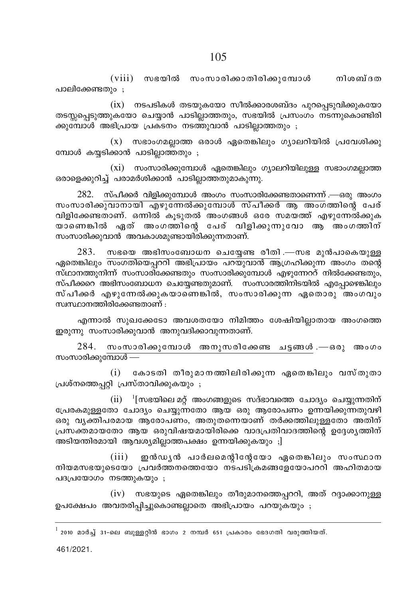$(viii)$  സഭയിൽ സംസാരിക്കാതിരിക്കുമ്പോൾ നിശബ്ദത പാലിക്കേണ്ടതും $;$ 

 $(ix)$  നടപടികൾ തടയുകയോ സീൽക്കാരശബ്ദം പുറപ്പെടുവിക്കുകയോ തടസ്സപ്പെടുത്തുകയോ ചെയ്യാൻ പാടില്ലാത്തതും, സഭയിൽ പ്രസംഗം നടന്നുകൊണ്ടിരി ക്കുമ്പോൾ അഭിപ്രായ പ്രകടനം നടത്തുവാൻ പാടില്ലാത്തതും ;

 $(x)$  സഭാംഗമല്ലാത്ത ഒരാൾ ഏതെങ്കിലും ഗ്യാലറിയിൽ പ്രവേശിക്കു മ്പോൾ കയ്യടിക്കാൻ പാടില്ലാത്തതും ;

 $(xi)$  സംസാരിക്കുമ്പോൾ ഏതെങ്കിലും ഗ്യാലറിയിലുള്ള സഭാംഗമല്ലാത്ത ഒരാളെക്കുറിച്ച് പരാമർശിക്കാൻ പാടില്ലാത്തതുമാകുന്നു.

 $282$ . സ്പീക്കർ വിളിക്കുമ്പോൾ അംഗം സംസാരിക്കേണ്ടതാണെന്ന് .—ഒരു അംഗം <u>സംസാരിക്കുവാനായി എഴുന്നേൽക്കുമ്പോൾ സ്പീക്കർ ആ അംഗ</u>ത്തിന്റെ പേര് വിളിക്കേണ്ടതാണ്. ഒന്നിൽ കൂടുതൽ അംഗങ്ങൾ ഒരേ സമയത്ത് എഴുന്നേൽക്കുക യാണെങ്കിൽ ഏത് അംഗത്തിന്റെ പേര് വിളിക്കുന്നുവോ ആ അംഗത്തിന് സംസാരിക്കുവാൻ അവകാശമുണ്ടായിരിക്കുന്നതാണ്.

 $283.$  സഭയെ അഭിസംബോധന ചെയ്യേണ്ട രീതി .—സഭ മുൻപാകെയുള്ള ഏതെങ്കിലും <mark>സംഗതിയെപ്പററി അഭിപ്രായം പറയുവാൻ ആ</mark>ഗ്രഹിക്കുന്ന അംഗം തന്റെ  $\tilde{\mathbf{w}}$ ഗ്ഥാനത്തുനിന്ന് സംസാരിക്കേണ്ടതും സംസാരിക്കുമ്പോൾ എഴുന്നേററ് നിൽക്കേണ്ടതും, സ്പീക്കറെ അഭിസംബോധന ചെയ്യേണ്ടതുമാണ്. സംസാരത്തിനിടയിൽ എപ്പോഴെങ്കിലും സ്പീക്കർ എഴുന്നേൽക്കുകയാണെങ്കിൽ, സംസാരിക്കുന്ന ഏതൊരു അംഗവും സ്വസ്ഥാനത്തിരിക്കേണ്ടതാണ് $\cdot$ 

എന്നാൽ സുഖക്കേടോ അവശതയോ നിമിത്തം ശേഷിയില്ലാതായ അംഗത്തെ ഇരുന്നു സംസാരിക്കുവാൻ അനുവദിക്കാവുന്നതാണ്.

 $284$ . സംസാരിക്കുമ്പോൾ അനുസരിക്കേണ്ട ചട്ടങ്ങൾ.—ഒരു അംഗം സംസാരിക്കുമ്പോൾ —

 $(i)$  കോടതി തീരുമാനത്തിലിരിക്കുന്ന ഏതെങ്കിലും വസ്തുതാ  ${[}$ പശ്നത്തെപ്പറ്റി  ${[}$ പസ്താവിക്കുകയും ;

 $(\mathrm{ii})^{-1}$ [സഭയിലെ മറ്റ് അംഗങ്ങളുടെ സദ്ഭാവത്തെ ചോദ്യം ചെയ്യുന്നതിന് ്പേരകമുള്ളതോ ചോദ്യം ചെയ്യുന്നതോ ആയ ഒരു ആരോപണം ഉന്നയിക്കുന്നതുവഴി ഒരു വ്യക്തിപരമായ ആരോപണം, അതുതന്നെയാണ് തർക്കത്തിലുള്ളതോ അതിന് പ്രസക്തമായതോ ആയ ഒരുവിഷയമായിരിക്കെ വാദപ്രതിവാദത്തിന്റെ ഉദ്ദേശ്യത്തിന് അടിയന്തിരമായി ആവശ്യമില്ലാത്തപക്ഷം ഉന്നയിക്കുകയും ;]

(iii) ഇൻഡൃൻ പാർലമെന്റിന്റേയോ ഏതെങ്കിലും സംസ്ഥാന നിയമസഭയുടെയോ പ്രവർത്തനത്തെയോ നടപടിക്രമങ്ങളേയോപററി അഹിതമായ പദപ്രയോഗം നടത്തുകയും $;$ 

 $(iv)$  സഭയുടെ ഏതെങ്കിലും തീരുമാനത്തെപ്പററി, അത് റദ്ദാക്കാനുള്ള ഉപക്ഷേപം അവതരിപ്പിച്ചുകൊണ്ടല്ലാതെ അഭിപ്രായം പറയുകയും ;

 $^1$  2010 മാർച്ച് 31-ലെ ബുള്ളറ്റിൻ ഭാഗം 2 നമ്പർ 651 പ്രകാരം ഭേദഗതി വരുത്തിയത്.

461/2021.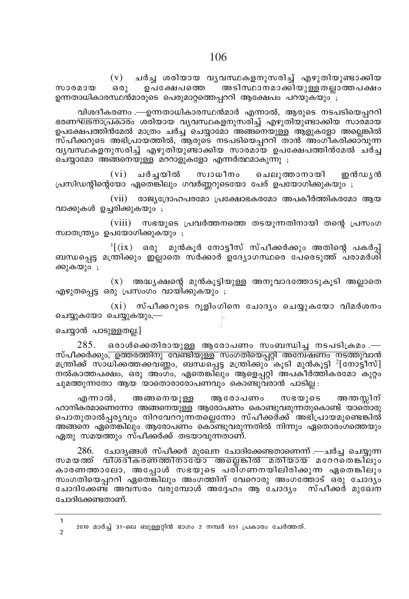(v) ചർച്ച ശരിയായ വൃവസ്ഥകളനുസരിച്ച് എഴുതിയുണ്ടാക്കിയ<br>ഒരു ഉപക്ഷേപത്തെ അടിസ്ഥാനമാക്കിയുള്ളതല്ലാത്തപക്ഷം സാരമായ ഒരു ഉപക്ഷേപത്തെ അടിസ്ഥാനമാക്കിയുള്ളതലാത്തപക്ഷം ഉന്നതാധികാരസ്ഥൻമാരുടെ പെരുമാറ്റത്തെപ്പററി ആക്ഷേപം പറയുകയും ;

വിശദീകരണം .—ഉന്നതാധികാരസ്ഥൻമാർ എന്നാൽ, ആരുടെ നടപടിയെപ്പററി ഭരണഘടനാപ്രകാരം ശരിയായ വൃവസ്ഥകളനുസരിച്ച് എഴുതിയുണ്ടാക്കിയ സാര്മായ ഉപക്ഷേപത്തിൻമേൽ മാത്രം ചർച്ച<sup>്</sup>ചെയ്യാമോ അങ്ങനെയുള്ള ആളുകളോ അല്ലെങ്കിൽ  $\tilde{\mathfrak{m}}$ പീക്കറുടെ അഭിപ്രായത്തിൽ, ആരുടെ നടപടിയെപ്പററി താൻ അംഗീകരിക്കാവുന്ന വൃവസ്ഥകളനുസരിച്ച് എഴുതിയുണ്ടാക്കിയ സാരമായ ഉപക്ഷേപത്തിൻമേൽ ചർച്ച  $\overline{\text{o}}$ ചയ്യാമോ അങ്ങനെയുള്ള മററാളുകളോ എന്നർത്ഥമാകുന്നു ;

(vi) ചർചയിൽ സ്വാധീനം ചെലുത്താനായി ഇൻഡ്യൻ  $\lambda$ പ്രസിഡന്റിന്റെയോ ഏതെങ്കിലും ഗവർണ്ണറുടെയോ പേര് ഉപയോഗിക്കുകയും ;

 $(vii)$  രാജ്യദ്രോഹപരമോ പ്രക്ഷോഭകരമോ അപകീർത്തികരമോ ആയ വാക്കുകൾ ഉച്ചരിക്കുകയും ;

(viii) സഭയുടെ പ്രവർത്തനത്തെ തടയുന്നതിനായി തന്റെ പ്രസംഗ സ്വാതന്ത്ര്യം ഉപയോഗിക്കുകയും ;

 $\frac{1}{1}$  $\left( \text{ix} \right)$  ഒരു മുൻകൂർ നോട്ടീസ് സ്പീക്കർക്കും അതിന്റെ പകർപ്പ് ്ബന്ധപ്പെട്ട മന്ത്രിക്കും ഇല്ലാതെ സർക്കാർ ഉദ്യോഗസ്ഥരെ പേരെടുത്ത് പരാമർശി ക്കുകയും ;

 $(x)$  അദ്ധ്യക്ഷന്റെ മുൻകൂട്ടിയുള്ള അനുവാദത്തോടുകൂടി അല്ലാതെ എഴുതപെട്ട ഒരു പ്രസംഗം വായിക്കുകയും ;

 $(xi)$  സ്പീക്കറുടെ റൂളിംഗിനെ ചോദ്യം ചെയ്യുകയോ വിമർശനം ചെയ്യുകയോ ചെയ്യുകയും,—

#### ചെയ്യാൻ പാടുള്ളതല്ല.]

 $285.$  ഒരാൾക്കെതിരായുള്ള ആരോപണം സംബന്ധിച്ച നടപടിക്രമം.— സ്പീക്കർക്കു<del>ം, ഉത്തരത്തിനു വേണ്ടിയുള്ള സംഗതിയെപ്പറ്റി അന്വേഷണം നടത്തു</del>വാൻ മന്ത്രിക്ക് സാധിക്കത്തക്കവണ്ണം, ബന്ധപ്പെട്ട മന്ത്രിക്കു**ടി മുൻകൂട്ടി <sup>2</sup>[നോട്ടീസ്]**  $\,$  നൽകാത്തപക്ഷം, ഒരു അംഗം, ഏതെങ്കിലും ആളെപ്പറ്റി അപകീർത്തികരമോ കുറ്റം ചുമത്തുന്നതോ ആയ യാതൊരാരോപണവും കൊണ്ടുവരാൻ പാടില്ല :

എന്നാൽ, അങ്ങനെയുള്ള ആരോപണം സഭയുടെ അനതസ്സിന് ഹാനികരമാണെന്നോ അങ്ങനെയുള്ള ആരോപണം കൊണ്ടുവരുന്നതുകൊണ്ട് യാതൊരു പൊതുതാൽപ്പരൃവും നിറവേററുന്നതല്ലെന്നോ സ്പീക്കർക്ക് അഭിപ്രായമുണ്ടെങ്കിൽ അങ്ങനെ ഏതെ്ങിലും ആരോപണം കൊ്ണ്ടുവരുന്നതിൽ നിന്നും ഏതൊരംഗത്തെയും ഏതു സമയത്തും സ്പീക്കർക്ക് തടയാവുന്നതാണ്.

286. ചോദൃങ്ങൾ സ്പീക്കർ മുഖേന ചോദിക്കേണ്ടതാണെന്ന് .—ചർച്ച ചെയ്യുന്ന സമയത്ത് വിശദീകരണത്തിനായോ അല്ലെങ്കിൽ മതിയായ മറേറതെങ്കിലും കാരണത്താലോ, അപ്പോൾ സഭയുടെ പരി്ഗണനയിലിരിക്കുന്ന ഏതെങ്കിലും സംഗതിയെപ്പററി ഏതെങ്കിലും അംഗത്തിന് വേറൊരു അംഗത്തോട് ഒരു ചോദ്യം ്ചോദിക്കേണ്ട് അവസരം വരുമ്പോൾ അദ്ദേഹം ആ ചോദ്യം സ്പീക്കർ മുഖേന ചോദിക്കേണ്ടതാണ്.

 $2010$  മാർച്ച് 31-ലെ ബുള്ളറ്റിൻ ഭാഗം 2 നമ്പർ 651 പ്രകാരം ചേർത്തത്. 1

 $\mathfrak{p}$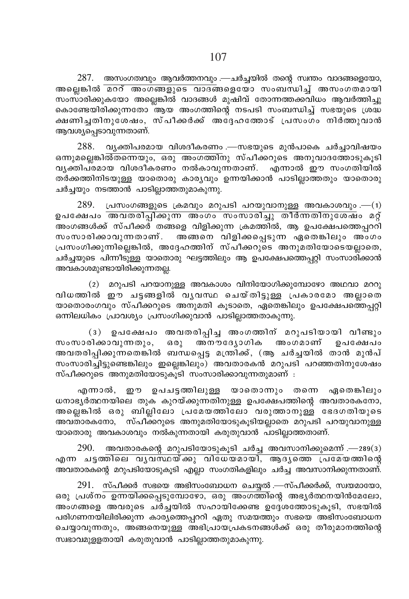$287.$  അസംഗത്വവും ആവർത്തനവും .—ചർച്ചയിൽ തന്റെ സ്ഥതം വാദങ്ങളെയോ, അല്ലെങ്കിൽ മററ് അംഗങ്ങളുടെ വാദങ്ങളെയോ സംബന്ധിച്ച് അസംഗതമായി സംസാരിക്കുകയോ അല്ലെങ്കിൽ വാദങ്ങൾ മുഷിവ് തോന്നത്തക്കവിധം ആവർത്തിച്ചു കൊണ്ടേയിരിക്കുന്നതോ ആയ അംഗത്തിന്റെ നടപടി സംബന്ധിച്ച് സഭയുടെ ശ്രദ്ധ ക്ഷണിച്ചതിനുശേഷം, സ്പീക്കർക്ക് അദ്ദേഹത്തോട് പ്രസംഗം നിർത്തുവാൻ ആവശ്യപ്പെടാവുന്നതാണ്.

വൃക്തിപരമായ വിശദീകരണം .—സഭയുടെ മുൻപാകെ ചർച്ചാവിഷയം 288. ഒന്നുമല്ലെങ്കിൽ്തന്നെയും, ഒരു അംഗത്തിനു സ്പീക്കറുടെ അനുവാദത്തോടുകൂടി വൃക്തിപ്രമായ വിശദീകരണം നൽകാവുന്നതാണ്. എന്നാൽ ഈ സംഗതിയിൽ തർക്കത്തിനിടയുള്ള യാതൊരു കാര്യവും ഉന്നയിക്കാൻ പാടില്ലാത്തതും യാതൊരു ചർച്ചയും നടത്താൻ പാടില്ലാത്തതുമാകുന്നു.

 $289.$  പ്രസംഗങ്ങളുടെ ക്രമവും മറുപടി പറയുവാനുള്ള അവകാശവും.—(1) ഉപക്ഷേപം അവതരിപ്പ്കുന്ന അംഗം സംസാരിച്ചു തീർന്നതിനുശേഷം മറ്റ് അംഗങ്ങൾക്ക് സ്പീക്കര് തങ്ങളെ വിളിക്കുന്ന ക്രമത്തിൽ, ആ ഉപക്ഷേപത്തെപ്പററി സംസാരിക്കാവുന്നതാണ്. അങ്ങനെ വിളിക്കപ്പെടുന്ന ഏതെങ്കിലും അംഗം പ്രസംഗിക്കുന്നില്ലെങ്കിൽ, അദ്ദേഹത്തിന് സ്പീക്കറുടെ അനുമതിയോടെയല്ലാതെ, ചർച്ചയുടെ പിന്നീടുള്ള യാതൊരു ഘട്ടത്തിലും ആ ഉപക്ഷേപത്തെപ്പറ്റി സംസാരിക്കാൻ അവകാശമുണ്ടായിരിക്കുന്നതല്ല.

 $(2)$  മറുപടി പറയാനുള്ള അവകാശം വിനിയോഗിക്കുമ്പോഴോ അഥവാ മററു വിധത്തിൽ ഈ ചട്ടങ്ങളിൽ വൃവസ്ഥ ചെയ്തിട്ടുള്ള പ്രകാരമോ അല്ലാതെ യാതൊരംഗവും സ്പീക്കറുടെ അനുമതി കൂടാതെ, ഏതെങ്കിലും ഉപക്ഷേപത്തെപ്പറ്റി ഒന്നിലധികം പ്രാവശ്യം പ്രസംഗിക്കുവാൻ പാടില്ലാത്തതാകുന്നു.

ഉപക്ഷേപം അവതരിപ്പിച്ച അംഗത്തിന് മറുപടിയായി വീണ്ടും  $(3)$ സംസാരിക്കാവുന്നതും, ഒരു അനൗദ്യോഗിക അംഗമാണ് ഉപക്ഷേപം അവതരിപ്പിക്കുന്നതെങ്കിൽ ബന്ധപ്പെട്ട മന്ത്രിക്ക്, (ആ ചർച്ചയിൽ താൻ മുൻപ് സംസാരിച്ചിട്ടുണ്ടെങ്കിലും ഇല്ലെങ്കിലും) അവതാരകൻ മറുപടി പറഞ്ഞതിനുശേഷം സ്പീക്കറുടെ അനുമതിയോടുകൂടി സംസാരിക്കാവുന്നതുമാണ് :

എന്നാൽ, ഈ ഉപചട്ടത്തിലുള്ള യാതൊന്നും തന്നെ ഏതെങ്കിലും ധനാഭ്യർത്ഥനയിലെ തുക കുറയ്ക്കുന്നതിനുള്ള ഉപക്ഷേപത്തിന്റെ അവതാരകനോ, അല്ലെങ്കിൽ ഒരു ബില്ലിലോ പ്രമേയത്തിലോ വരുത്താനുള്ള ഭേദഗതിയുടെ അവതാരകനോ, സ്പീക്കറുടെ അനുമതിയോടുകൂടിയല്ലാതെ മറുപടി പറയുവാനുള്ള യാതൊരു അവകാശവും നൽകുന്നതായി കരുതുവാൻ പാടില്ലാത്തതാണ്.

 $290.$  അവതാരകന്റെ മറുപടിയോടുകൂടി ചർച്ച അവസാനിക്കുമെന്ന് .— $289(3)$ എന്ന ചട്ടത്തിലെ വൃവസ്ഥയ്ക്കു വിധേയമായി, ആദൃത്തെ പ്രമേയത്തിന്റെ അവതാരകന്റെ മറുപടിയോടുകൂടി എല്ലാ സംഗതികളിലും ചർച്ച അവസാനിക്കുന്നതാണ്.

 $291.$  സ്പീക്കർ സഭയെ അഭിസംബോധന ചെയ്യൽ .—സ്പീക്കർക്ക്, സ്വയമായോ, ഒരു പ്രശ്ന<del>ം ഉന്നയിക്കപ്പെടുമ്പോഴോ, ഒരു അംഗത്തി</del>ന്റെ അഭൃർത്ഥനയിൻമേലോ, അംഗങ്ങളെ അവരുടെ ചർച്ചയിൽ സഹായിക്കേണ്ട ഉദ്ദേശത്തോടുകൂടി, സഭയിൽ പരിഗണനയിലിരിക്കുന്ന കാര്യത്തെപ്പററി ഏതു സമയത്തും സഭയെ അഭിസംബോധന ചെയ്യാവുന്നതും, അങ്ങനെയുള്ള അഭിപ്രായപ്രകടനങ്ങൾക്ക് ഒരു തീരുമാനത്തിന്റെ സ്വഭാവമുളളതായി കരുതുവാൻ പാടില്ലാത്തതുമാകുന്നു.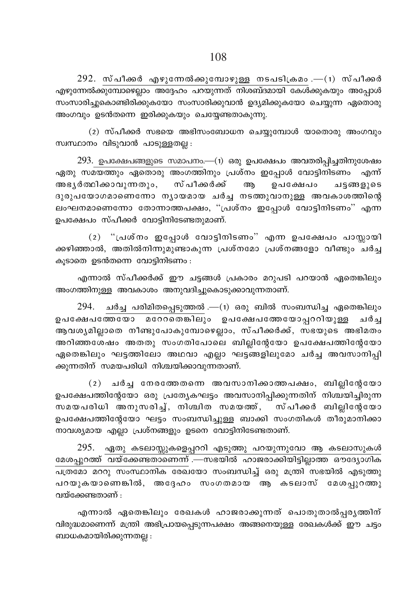$292.$  സ്പീക്കർ എഴുന്നേൽക്കുമ്പോഴുള്ള നടപടിക്രമം.— $(1)$  സ്പീക്കർ എഴുന്നേൽക്കുമ്പോഴെല്ലാം അദ്ദേഹം പറയുന്നത് നിശബ്ദമായി കേൾക്കുകയും അപ്പോൾ സംസാരിച്ചുകൊണ്ടിരിക്കുകയോ സംസാരിക്കുവാൻ ഉദ്യമിക്കുകയോ ചെയ്യുന്ന ഏതൊരു അംഗവും ഉടൻതന്നെ ഇരിക്കുകയും ചെയ്യേണ്ടതാകുന്നു.

 $(2)$  സ്പീക്കർ സഭയെ അഭിസംബോധന ചെയ്യുമ്പോൾ യാതൊരു അംഗവും സ്വസ്ഥാനം വിടുവാൻ പാടുള്ളതല്ല $:$ 

 $293.$  ഉപക്ഷേപങ്ങളുടെ സമാപനം.— $(n)$  ഒരു ഉപക്ഷേപം അവതരിപ്പിച്ചതിനുശേഷം  $\alpha$ എതു സമയത്തും ഏതൊരു അംഗത്തിനും പ്രശ്നം ഇപ്പോൾ വോട്ടിനിടണം എന്ന് അഭൃർത്ഥിക്കാവുന്നതും, സ്പീക്കർക്ക് ആ ഉപക്ഷേപം ചട്ടങ്ങളുടെ  $B(0)$ പയോഗമാണെന്നോ നൃായമായ ചർച്ച നടത്തുവാനുള്ള അവകാശത്തിന്റെ ലംഘനമാണെന്നോ തോന്നാത്തപക്ഷം, "പ്രശ്നം ഇപ്പോൾ വോട്ടിനിടണം" എന്ന ഉപക്ഷേപം സ്പീക്കർ വോട്ടിനിടേണ്ടതുമാണ്.

 $(2)$  "പ്രശ്നം ഇപ്പോൾ വോട്ടിനിടണം" എന്ന ഉപക്ഷേപം പാസ്സായി ക്കഴിഞ്ഞാൽ, അതിൽനിന്നുമുണ്ടാകുന്ന പ്രശ്നമോ പ്രശ്നങ്ങളോ വീണ്ടും ചർച്ച കൂടാതെ ഉടൻതന്നെ വോട്ടിനിടണം $:$ 

എന്നാൽ സ്പീക്കർക്ക് ഈ ചട്ടങ്ങൾ പ്രകാരം മറുപടി പറയാൻ ഏതെങ്കിലും അംഗത്തിനുള്ള അവകാശം അനുവദിച്ചുകൊടുക്കാവുന്നതാണ്.

 $294$ . ചർച്ച പരിമിതപ്പെടുത്തൽ .— $(n)$  ഒരു ബിൽ സംബന്ധിച്ച ഏതെങ്കിലും D]t£]tØtbm atddsX¶nepw D]t£]tØtbm∏ddnbp≈ N¿® ആവശൃമില്ലാതെ നീണ്ടുപോകുമ്പോഴെല്ലാം, സ്പീക്കർക്ക്, സഭയുടെ അഭിമതം അറിഞ്ഞശേഷം അതതു സംഗതിപോലെ ബില്ലിന്റേയോ ഉപക്ഷേപത്തിന്റേയോ ഏതെങ്കിലും ഘട്ടത്തിലോ അഥവാ എല്ലാ ഘട്ടങ്ങളിലുമോ ചർച്ച അവസാനിപ്പി ക്കുന്നതിന് സമയപരിധി നിശ്ചയിക്കാവുന്നതാണ്.

 $(2)$  ചർച്ച നേരത്തേതന്നെ അവസാനിക്കാത്തപക്ഷം, ബില്ലിന്റേയോ ഉപക്ഷേപത്തിന്റേയോ ഒരു പ്രത്യേകഘട്ടം അവസാനിപ്പിക്കുന്നതിന് നിശ്ചയിച്ചിരുന്ന സമയപരിധി അനുസരിച്ച്, നിശ്ചിത സമയത്ത്, സ്പീക്കർ ബില്ലിന്റേയോ ഉപക്ഷേപത്തിന്റേയോ ഘട്ടം സംബന്ധിച്ചുള്ള ബാക്കി സംഗതികൾ തീരുമാനിക്കാ  $\omega$  നാവശ്യമായ എല്ലാ പ്രശ്നങ്ങളും ഉടനെ വോട്ടിനിടേണ്ടതാണ്.

295. ഏതു കടലാസ്സുകളെപ്പററി എടുത്തു പറയുന്നുവോ ആ കടലാസുകൾ മേശപ്പുറത്ത് <del>വയ്ക്കേണ്ടതാണെന്ന് .—സഭയിൽ ഹാജരാക്കിയിട്ടില്ലാത്ത ഔദ്യോഗിക</del> പത്രമോ മററു സംസ്ഥാനിക രേഖയോ സംബന്ധിച്ച് ഒരു മന്ത്രി സഭയിൽ എടുത്തു പറയുകയാണെങ്കിൽ, അദ്ദേഹം സംഗതമായ ആ കടലാസ് മേശപ്പുറത്തു വയ്ക്കേണ്ടതാണ് $\cdot$ 

എന്നാൽ ഏതെങ്കിലും രേഖകൾ ഹാജരാക്കുന്നത് പൊതുതാൽപ്പരൃത്തിന് വിരുദ്ധമാണെന്ന് മന്ത്രി അഭിപ്രായപ്പെടുന്നപക്ഷം അങ്ങനെയുള്ള രേഖകൾക്ക് ഈ ചട്ടം ബാധകമായിരിക്കുന്നതല്ല $:$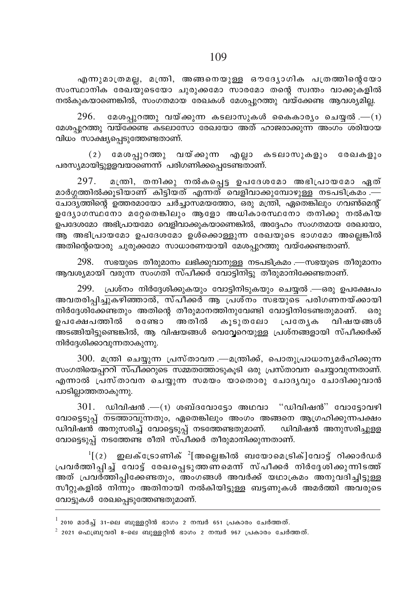എന്നുമാത്രമല്ല, മന്ത്രി, അങ്ങനെയുള്ള ഔദ്യോഗിക പത്രത്തിന്റെയോ സംസ്ഥാനിക രേഖയുടെയോ ചുരുക്കമോ സാരമോ തന്റെ സ്വന്തം വാക്കുകളിൽ  $\sim$ നൽകുകയാണെങ്കിൽ, സംഗതമായ രേഖകൾ മേശപുറത്തു വയ്ക്കേണ്ട ആവശ്യമില്ല.

 $296$ . മേശപ്പുറത്തു വയ്ക്കുന്ന കടലാസുകൾ കൈകാര്യം ചെയ്യൽ .— $(1)$ മേശപ്പുറത്തു <del>വയ്ക്കേണ്ട കടലാസോ രേഖയോ അത് ഹാജരാക്കുന്ന അംഗം ശ</del>രിയായ വിധം സാക്ഷ്യപ്പെടുത്തേണ്ടതാണ്.

(2) മേശപ്പുറത്തു വയ്ക്കുന്ന എല്ലാ കടലാസുകളും രേഖകളും പരസ്യമായിട്ടുള്ളവയാണെന്ന് പരിഗണിക്കപെടേണ്ടതാണ്.

297. മന്തി, തനിക്കു നൽകപ്പെട്ട ഉപദേശമോ അഭിപ്രായമോ ഏത് മാർഗ്ഗത്തിൽക്കുടിയാണ് കിട്ടിയത് എന്നത് വെളിവാക്കുമ്പോഴുള്ള നടപടിക്രമം .— <u>പോദ്യ</u>ത്തിന്റെ ഉത്തരമായോ ചർച്ചാസമയത്തോ, ഒരു മന്ത്രി, ഏതെങ്കിലും ഗവൺമെന്റ് ഉദ്യോഗസ്ഥനോ മറ്റേതെങ്കിലും ആളോ അധികാരസ്ഥനോ തനിക്കു നൽകിയ ഉപദേശമോ അഭിപ്രായമോ വെളിവാക്കുകയാണെങ്കിൽ, അദ്ദേഹം സംഗതമായ രേഖയോ, ആ അഭിപ്രായമോ ഉപദേശമോ ഉൾക്കൊള്ളുന്ന രേഖയുടെ ഭാഗമോ അല്ലെങ്കിൽ അതിന്റെയൊരു ചുരുക്കമോ സാധാരണയായി മേശപ്പുറത്തു വയ്ക്കേണ്ടതാണ്.

 $298.$  സഭയുടെ തീരുമാനം ലഭിക്കുവാനുള്ള നടപടിക്രമം .—സഭയുടെ തീരുമാനം ആവശ്യമായ<del>ി വരുന്ന സംഗ്തി സ്പീക്കര് വോട്ടിനിട്ടു ത</del>ീരുമാനിക്കേണ്ടതാണ്.

 $299$ . പ്രശ്നം നിർദ്ദേശിക്കുകയും വോട്ടിനിടുകയും ചെയ്യൽ .—ഒരു ഉപക്ഷേപം അവതരിപ്പിച്ചുകഴിഞ്ഞാൽ, സ്പീക്കർ ആ പ്രശ്നം സഭയുടെ പരിഗണനയ്ക്കായി നിർദ്ദേശിക്കേണ്ടതും അതിന്റെ തീരുമാനത്തിനുവേണ്ടി വോട്ടിനിടേണ്ടതുമാണ്. ഒരു<br>ഉപക്ഷേപത്തിൽ രണ്ടോ അതിൽ കുടുതലോ പ്രതേ∖ക വിഷയങ്ങൾ ഉപക്ഷേപത്തിൽ രണ്ടോ അതിൽ കൂടുതലോ പ്രത്യേക വിഷയങ്ങൾ അടങ്ങിയിട്ടുണ്ടെങ്കിൽ, ആ വിഷയങ്ങൾ വെവ്വേറെയുള്ള പ്രശ്നങ്ങളായി സ്പീക്കർക്ക്  $m$ ിർദ്ദേശിക്കാവുന്നതാകുന്നു.

 $300$ . മന്ത്രി ചെയ്യുന്ന പ്രസ്താവന .—മന്ത്രിക്ക്, പൊതുപ്രാധാനൃമർഹിക്കുന്ന സംഗതിയെപ്പററി സ്പീക്കറുടെ സമ്മതത്തോടുകൂടി ഒരു പ്രസ്താവന ചെയ്യാവുന്നതാണ്. എന്നാൽ പ്രസ്താവന ചെയ്യുന്ന സമയം യാതൊരു ചോദൃവും ചോദിക്കുവാൻ പാടില്ലാത്തതാകുന്നു.

 $301.$  ഡിവിഷൻ .—(1) ശബ്ദവോട്ടോ അഥവാ "ഡിവിഷൻ" വോട്ടോവഴി വോട്ടെടുപ്പ് <del>നടത്താവു</del>ന്നതും, ഏതെങ്കിലും അംഗം അങ്ങനെ ആഗ്രഹിക്കുന്നപക്ഷം ഡിവിഷൻ അനുസരിച്ച് വോട്ടെടുപ്പ് നടത്തേണ്ടതുമാണ്. ഡിവിഷൻ അനുസരിച്ചുളള വോട്ടെുപ്പ് നടത്തേണ്ട രീതി സ്പിക്കർ തീരുമാനിക്കുന്നതാണ്.

 $\frac{1}{2}$  $[ (2)$  ഇലക്ട്രോണിക്  $\frac{2}{2}$ [അല്ലെങ്കിൽ ബയോമെട്രിക്]വോട്ട് റിക്കാർഡർ ്പവർത്തിപ്പിച്ച് വോട്ട് രേഖപ്പെടുത്തണ്മെന്ന് സ്പീക്കർ നിർദ്ദേശിക്കുന്നിടത്ത് അത് പ്രവർത്തിപ്പിക്കേണ്ടതും, അംഗങ്ങൾ അവർക്ക് യഥാക്രമം അനുവദിച്ചിട്ടുള്ള സീറ്റുകളിൽ നിന്നും അതിനായി നൽകിയിട്ടുള്ള ബട്ടണുകൾ അമർത്തി അവരുടെ വോട്ടുകൾ രേഖപ്പെടുത്തേണ്ടതുമാണ്.

 $^{-1}$  2010 മാർച്ച് 31-ലെ ബുള്ളറ്റിൻ ഭാഗം 2 നമ്പർ 651 പ്രകാരം ചേർത്തത്.

 $^2$  2021 ഫെബ്രുവരി 8-ലെ ബുള്ളറ്റിൻ ഭാഗം 2 നമ്പർ 967 പ്രകാരം ചേർത്തത്.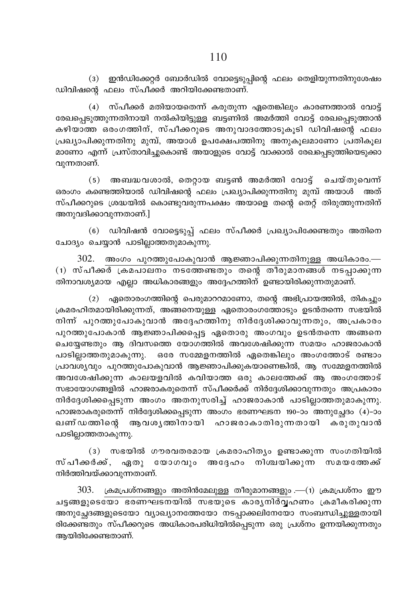(3) ഇൻഡിക്കേറ്റർ ബോർഡിൽ വോട്ടെടുപ്പിന്റെ ഫലം തെളിയുന്നതിനുശേഷം ഡിവിഷന്റെ ഫലം സ്പീക്കർ അറിയിക്കേണ്ടതാണ്.

(4) സ്പീക്കർ മതിയായതെന്ന് കരുതുന്ന ഏതെങ്കിലും കാരണത്താൽ വോട്ട് രേഖപ്പെടുത്തുന്നതിനായി നൽകിയിട്ടുള്ള ബട്ടണിൽ അമർത്തി വോട്ട് രേഖപ്പെടുത്താൻ കഴിയാത്ത ഒരംഗത്തിന്, സ്പീക്കറുടെ അനുവാദത്തോടുകൂടി ഡിവിഷന്റെ ഫലം പ്രഖ്യാപിക്കുന്നതിനു മുമ്പ്, അയാൾ ഉപക്ഷേപത്തിനു അനുകൂലമാണോ പ്രതികൂല മാണോ എന്ന് പ്രസ്താവിച്ചുകൊണ്ട് അയാളുടെ വോട്ട് വാക്കാൽ രേഖപ്പെടുത്തിയെടുക്കാ വുന്നതാണ്.

(5) അബദ്ധവശാൽ, തെറ്റായ ബട്ടൺ അമർത്തി വോട്ട് ചെയ്തുവെന്ന് ഒരംഗം കണ്ടെത്തിയാൽ ഡിവിഷന്റെ ഫലം പ്രഖ്യാപിക്കുന്നതിനു മുമ്പ് അയാൾ അത് സ്പീക്കറുടെ ശ്രദ്ധയിൽ കൊണ്ടുവരുന്നപക്ഷം അയാളെ തന്റെ തെറ്റ് തിരുത്തുന്നതിന് അനുവദിക്കാവുന്നതാണ്.]

(6) ഡിവിഷൻ വോട്ടെടുപ്പ് ഫലം സ്പീക്കർ പ്രഖ്യാപിക്കേണ്ടതും അതിനെ ചോദ്യം ചെയ്യാൻ പാടില്ലാത്തതുമാകുന്നു.

 $302$ . അംഗം പുറത്തുപോകുവാൻ ആജ്ഞാപിക്കുന്നതിനുള്ള അധികാരം.— (1) സ്പീക്കർ ക്രമപാലനം നടത്തേണ്ടതും തന്റെ തീരുമാനങ്ങൾ നടപ്പാക്കുന്ന തിനാവശ്യമായ എല്ലാ അധികാരങ്ങളും അദ്ദേഹത്തിന് ഉണ്ടായിരിക്കുന്നതുമാണ്.

(2) ഏതൊരംഗത്തിന്റെ പെരുമാററമാണോ, തന്റെ അഭിപ്രായത്തിൽ, തികച്ചും ക്രമരഹിതമായിരിക്കുന്നത്, അങ്ങനെയുള്ള ഏതൊരംഗത്തോടും ഉടൻതന്നെ സഭയിൽ നിന്ന് പുറത്തുപോകുവാൻ അദ്ദേഹത്തിനു നിർദ്ദേശിക്കാവുന്നതും, അപ്രകാരം പുറത്തുപോകാൻ ആജ്ഞാപിക്കപ്പെട്ട ഏതൊരു അംഗവും ഉടൻതന്നെ അങ്ങനെ ചെയ്യേണ്ടതും ആ ദിവസത്തെ യോഗത്തിൽ അവശേഷിക്കുന്ന സമയം ഹാജരാകാൻ പാടില്ലാത്തതുമാകുന്നു. ഒരേ സമ്മേളനത്തിൽ ഏതെങ്കിലും അംഗത്തോട് രണ്ടാം പ്രാവശ്യവും പുറത്തുപോകുവാൻ ആജ്ഞാപിക്കുകയാണെങ്കിൽ, ആ സമ്മേളനത്തിൽ അവശേഷിക്കുന്ന കാലയളവിൽ കവിയാത്ത ഒരു കാലത്തേക്ക് ആ അംഗത്തോട് സഭായോഗങ്ങളിൽ ഹാജരാകരുതെന്ന് സ്പീക്കർക്ക് നിർദ്ദേശിക്കാവുന്നതും അപ്രകാരം നിർദ്ദേശിക്കപ്പെടുന്ന അംഗം അതനുസരിച്ച് ഹാജരാകാൻ പാടില്ലാത്തതുമാകുന്നു. ഹാജരാകരുതെന്ന് നിർദ്ദേശിക്കപ്പെടുന്ന അംഗം ഭരണഘടന 190–ാം അനുച്ചേദം (4)–ാം ഖണ്ഡത്തിന്റെ ആവശൃത്തിനായി ഹാജരാകാതിരുന്നതായി കരുതുവാൻ പാടില്ലാത്തതാകുന്നു.

(3) സഭയിൽ ഗൗരവതരമായ ക്രമരാഹിത്യം ഉണ്ടാക്കുന്ന സംഗതിയിൽ സ്പീക്കർക്ക്, ഏതു യോഗവും അദ്ദേഹം നിശ്ചയിക്കുന്ന സമയത്തേക്ക് നിർത്തിവയ്ക്കാവുന്നതാണ്.

 $303.$  ക്രമപ്രശ്നങ്ങളും അതിൻമേലുള്ള തീരുമാനങ്ങളും .—(1) ക്രമപ്രശ്നം ഈ ചട്ടങ്ങളുടെയോ ഭരണഘടനയിൽ സഭയുടെ കാര്യനിർവ്വഹണം ക്രമീകരിക്കുന്ന അനുച്ഛേദങ്ങളുടെയോ വ്യാഖ്യാനത്തേയോ നടപ്പാക്കലിനേയോ സംബന്ധിച്ചുള്ളതായി രിക്കേണ്ടതും സ്പീക്കറുടെ അധികാരപരിധിയിൽപ്പെടുന്ന ഒരു പ്രശ്നം ഉന്നയിക്കുന്നതും ആയിരിക്കേണ്ടതാണ്.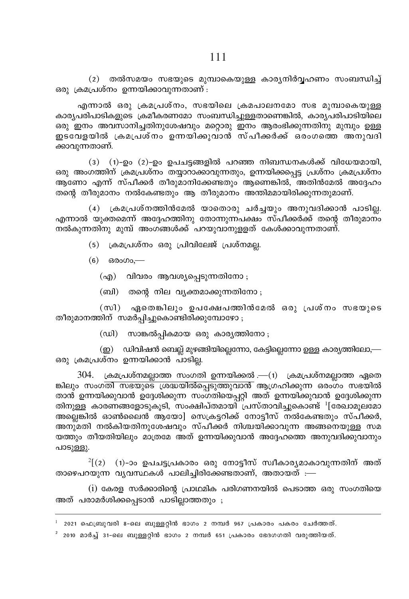(2) തൽസമയം സഭയുടെ മുമ്പാകെയുള്ള കാര്യനിർവ്വഹണം സംബന്ധിച്ച് ഒരു ക്രമപ്രശ്നം ഉന്നയിക്കാവുന്നതാണ് $\,$ :

എന്നാൽ ഒരു ക്രമപ്രശ്നം, സഭയിലെ ക്രമപാലനമോ സഭ മുമ്പാകെയുള്ള കാര്യപരിപാടികളുടെ ക്രമീകരണമോ സംബന്ധിച്ചുള്ളതാണെങ്കിൽ, കാര്യപരിപാടിയിലെ ക്കു ഇനം അവസാനിച്ചതിനുശേഷവും മറ്റൊരു ഇനം ആരംഭിക്കുന്നതിനു മുമ്പും ഉള്ള ഇടവേളയിൽ ക്രമപ്രശ്നം ഉന്നയിക്കുവാൻ സ്പീക്കർക്ക് ഒരംഗത്തെ അനുവദി ക്കാവുന്നതാണ്.

 $(3)$   $(1)$ –ഉം  $(2)$ –ഉം ഉപചട്ടങ്ങളിൽ പറഞ്ഞ നിബന്ധനകൾക്ക് വിധേയമായി. ഒരു അംഗത്തിന് ക്രമപ്രശ്നം തയ്യാറാക്കാവുന്നതും, ഉന്നയിക്കപ്പെട്ട പ്രശ്നം ക്രമപ്രശ്നം അ്ണോ എന്ന് സ്പീക്കർ തീരുമാനിക്കേണ്ടതും അണെങ്കിൽ. അതിൻമേൽ അദേഹം തന്റെ തീരുമാനം നൽകേണ്ടതും ആ തീരുമാനം അന്തിമമായിരിക്കുന്നതുമാണ്.

 $(4)$  ക്രമപ്രശ്നത്തിൻമേൽ യാതൊരു ചർച്ചയും അനുവദിക്കാൻ പാടില്ല. എന്നാൽ യുക്തമെന്ന് അദ്ദേഹത്തിനു തോന്നുന്നപക്ഷം സ്പീക്കർക്ക് തന്റെ തീരുമാന്ം നൽകുന്നതിനു മുമ്പ് അംഗങ്ങൾക്ക് പറയുവാനുളളത് കേൾക്കാവുന്നതാണ്.

- $(5)$  ക്രമപ്രശ്നം ഒരു പ്രിവിലേജ് പ്രശ്നമല്ല.
- $(6)$   $\theta$ <sub>0000</sub>,—
	- $(q)$  വിവരം ആവശ്യപ്പെടുന്നതിനോ
	- $(m)$  തന്റെ നില വൃക്തമാക്കുന്നതിനോ

(സി) ഏതെങ്കിലും ഉപക്ഷേപത്തിൻമേൽ ഒരു പ്രശ്നം സഭയുടെ തീരുമാനത്തിന് സമർപ്പിച്ചുകൊണ്ടിരിക്കുമ്പോഴോ;

 $(u)$  സാങ്കൽപികമായ ഒരു കാര്യത്തിനോ $:$ 

 $\Omega(\underline{\mathfrak{D}})$  ഡിവിഷൻ ബെല്ല് മുഴങ്ങിയില്ലെന്നോ, കേട്ടില്ലെന്നോ ഉള്ള കാരൃത്തിലോ,— ഒരു ക്രമപ്രശ്നം ഉന്നയിക്കാൻ പാടില്ല.

 $304$ . ക്രമപ്രശ്നമല്ലാത്ത സംഗതി ഉന്നയിക്കൽ .— $(1)$  ക്രമപ്രശ്നമല്ലാത്ത ഏതെ ങ്കിലും സംഗ<mark>തി സഭയുടെ് ശ്രദ്ധയിൽപ്പെടുത്തുവാൻ</mark> ആഗ്രഹിക്കുന്ന ഒരംഗം സഭയിൽ താൻ ഉന്നയിക്കുവാൻ ഉദ്ദേശിക്കുന്ന സംഗതിയെപ്പറ്റി അത് ഉന്നയിക്കുവാൻ ഉദ്ദേശിക്കുന്ന തിനുള്ള കാരണങ്ങളോടുകൂടി, സംക്ഷിപ്തമായി പ്രസ്താവിച്ചുകൊണ്ട് <sup>ப</sup>േര്ചാമൂലമോ അല്ലെങ്കിൽ ഓൺലൈൻ ആയോ] സെക്രട്ടറിക്ക് നോട്ടീസ് നൽകേണ്ടതും സ്പീക്കർ, അനുമതി നൽകിയതിനുശേഷവും സ്പീക്കർ നിശ്ചയിക്കാവുന്ന അങ്ങനെയുള്ള സമ യത്തും തീയതിയിലും മാത്രമേ അത് ഉന്നയിക്കുവാൻ അദ്ദേഹത്തെ അനുവദിക്കുവാനും പാടുള്ളു.

 $^{2}[(2)$  (1)-ാം ഉപചട്ടപ്രകാരം ഒരു നോട്ടീസ് സ്ഥകാര്യമാകാവുന്നതിന് അത് താഴെപറയുന്ന വൃവസ്ഥകൾ പാലിച്ചിരിക്കേണ്ടതാണ്, അതായത്  $:=$ 

 $(i)$  കേരള സർക്കാരിന്റെ പ്രാഥമിക പരിഗണനയിൽ പെടാത്ത ഒരു സംഗതിയെ അത് പരാമർശിക്കപ്പെടാൻ പാടില്ലാത്തതും ;

 $^{\text{2}}$  2010 മാർച്ച് 31-ലെ ബുള്ളറ്റിൻ ഭാഗം 2 നമ്പർ 651 പ്രകാരം ഭേദഗഗതി വരുത്തിയത്.

 $2021$  ഫെബ്രുവരി 8-ലെ ബുള്ളറ്റിൻ ഭാഗം 2 നമ്പർ 967 പ്രകാരം പകരം ചേർത്തത്.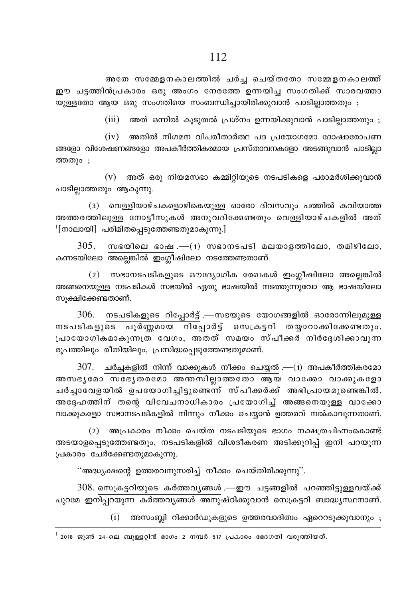അതേ സമ്മേളനകാലത്തിൽ ചർച്ച ചെയ്തതോ സമ്മേളനകാലത്ത് ഈ ചട്ടത്തിൻപ്രകാരം ഒരു അംഗം നേരത്തേ ഉന്നയിച്ച സംഗതിക്ക് സാരവത്താ യുള്ളതോ ആയ ഒരു സംഗതിയെ സംബന്ധിച്ചായിരിക്കുവാൻ പാടില്ലാത്തതും ;

 $(iii)$  അത് ഒന്നിൽ കുടുതൽ പ്രശ്നം ഉന്നയിക്കുവാൻ പാടിലാത്തതും :

 $(iv)$  അതിൽ നിഗമന വിപരീതാർത്ഥ പദ പ്രയോഗമോ ദോഷാരോപണ ങ്ങളോ വിശേഷണങ്ങളോ അപകീർത്തികരമായ പ്രസ്താവനകളോ അടങ്ങുവാൻ പാടില്ലാ ത്തതും ;

 $(v)$  അത് ഒരു നിയമസഭാ കമ്മിറ്റിയുടെ നടപടികളെ പരാമർശിക്കുവാൻ പാടില്ലാത്തതും ആകുന്നു.

(3) വെള്ളിയാഴ്ചകളൊഴികെയുള്ള ഓരോ ദിവസവും പത്തിൽ കവിയാത്ത അത്തരത്തിലുള്ള നോട്ടീസുകൾ അനുവദിക്കേണ്ടതും വെള്ളിയാഴ്ചകളിൽ അത്  $\frac{1}{2}$ [നാലായി] പരിമിതപ്പെടുത്തേണ്ടതുമാകുന്നു.]

 $305.$  സഭയിലെ ഭാഷ $-$ (1) സഭാനടപടി മലയാളത്തിലോ, തമിഴിലോ, കന്നടയിലോ അല്ലെങ്കിൽ ഇംഗ്ലീഷിലോ നടത്തേണ്ടതാണ്.

 $(2)$  സഭാനടപടികളുടെ ഔദ്യോഗിക രേഖകൾ ഇംഗ്ലീഷിലോ അല്ലെങ്കിൽ അങ്ങനെയുള്ള നടപടികൾ സഭയിൽ ഏതു ഭാഷയിൽ നടത്തുന്നുവോ ആ ഭാഷയിലോ സുക്ഷിക്കേണ്ടതാണ്.

 $306.$  നടപടികളുടെ റിപ്പോർട്ട് .—സഭയുടെ യോഗങ്ങളിൽ ഓരോന്നിലുമുള്ള നടപടികളുടെ പൂർണ്ണമായ റിപ്പോർട്ട് സെക്രട്ടറി തയ്യാറാക്കിക്കേണ്ടതും, പ്രായോഗികമാകുന്നത്ര വേഗം, അതത് സമയം സ്പീക്കർ നിർദ്ദേശിക്കാവുന്ന രൂപത്തിലും രീതിയിലും, പ്രസിദ്ധപ്പെടുത്തേണ്ടതുമാണ്.

 $307$ . ചർച്ചകളിൽ നിന്ന് വാക്കുകൾ നീക്കം ചെയ്യൽ .—(1) അപകീർത്തികരമോ അസഭൃമോ സഭേൃതരമോ അന്തസില്ലാത്തതോ ആയ വാക്കോ വാക്കുകളോ ചർച്ചാവേളയിൽ ഉപയോഗിച്ചിട്ടുണ്ടെന്ന് സ്പീക്കർക്ക് അഭിപ്രായമുണ്ടെങ്കിൽ, അദ്ദേഹത്തിന് തന്റെ വിവേചനാധികാരം പ്രയോഗിച്ച് അങ്ങനെയുള്ള വാക്കോ വാക്കുകളോ സഭാനടപടികളിൽ നിന്നും നീക്കം ചെയ്യാൻ ഉത്തരവ് നൽകാവുന്നതാണ്.

(2) അപ്രകാരം നീക്കം ചെയ്ത നടപടിയുടെ ഭാഗം നക്ഷത്രചിഹ്നംകൊണ്ട് അടയാളപ്പെടുത്തേണ്ടതും, നടപടികളിൽ വിശദീകരണ അടിക്കുറിപ്പ് ഇനി പറയുന്ന പ്രകാരം ചേർക്കേണ്ടതുമാകുന്നു.

''അദ്ധ്യക്ഷന്റെ ഉത്തരവനുസരിച്ച് നീക്കം ചെയ്തിരിക്കുന്നു''.

308. സെക്രട്ടറിയുടെ കർത്തവൃങ്ങൾ .—ഈ ചട്ടങ്ങളിൽ പറഞ്ഞിട്ടുള്ളവയ്ക്ക് പുറമേ ഇനിപ്പറയുന്ന കർത്തവൃങ്ങൾ അനുഷ്ഠിക്കുവാൻ സെക്രട്ടറി ബാദ്ധ്യസ്ഥനാണ്.

> $(i)$ അസംബ്ലി റിക്കാർഡുകളുടെ ഉത്തരവാദിത്വം ഏറെറടുക്കുവാനും ;

 $^{\rm l}$  2018 ജൂൺ 24-ലെ ബുള്ളറ്റിൻ ഭാഗം 2 നമ്പർ 517 പ്രകാരം ഭേദഗതി വരുത്തിയത്.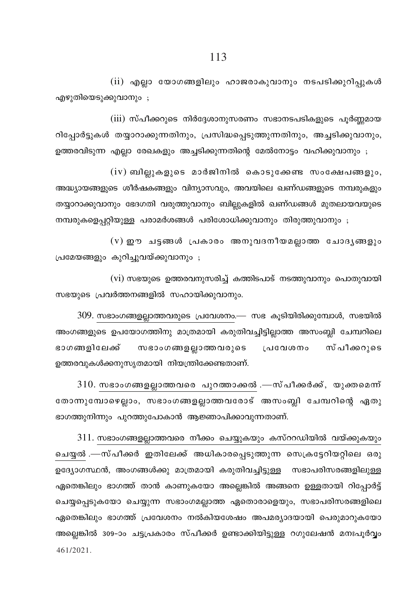$(iii)$  എല്ലാ യോഗങ്ങളിലും ഹാജരാകുവാനും നടപടിക്കുറിപ്പുകൾ എഴുതിയെടുക്കുവാനും;

 $(iii)$  സ്പീക്കറുടെ നിർദ്ദേശാനുസരണം സഭാനടപടികളുടെ പൂർണ്ണമായ റിപ്പോർട്ടുകൾ തയ്യാറാക്കുന്നതിനും, പ്രസിദ്ധപ്പെടുത്തുന്നതിനും, അച്ചടിക്കുവാനും, ഉത്തരവിടുന്ന എല്ലാ രേഖകളും അച്ചടിക്കുന്നതിന്റെ മേൽനോട്ടം വഹിക്കുവാനും ;

 $(iv)$  ബില്ലുകളുടെ മാർജിനിൽ കൊടുക്കേണ്ട സംക്ഷേപങ്ങളും, അദ്ധ്യായങ്ങളുടെ ശീർഷകങ്ങളും വിന്യാസവും, അവയിലെ ഖണ്ഡങ്ങളുടെ നമ്പരുകളും തയ്യാറാക്കുവാനും ഭേദഗതി വരുത്തുവാനും ബില്ലുകളിൽ ഖണ്ഡങ്ങൾ മുതലായവയുടെ നമ്പരുകളെപറ്റിയുള്ള പരാമർശങ്ങൾ പരിശോധിക്കുവാനും തിരുത്തുവാനും ;

 $(v)$  ഈ ചട്ടങ്ങൾ പ്രകാരം അനുവദനീയമല്ലാത്ത ചോദൃങ്ങളും (പമേയങ്ങളും കുറിച്ചുവയ്ക്കുവാനും ;

 $(vi)$  സഭയുടെ ഉത്തരവനുസരിച്ച് കത്തിടപാട് നടത്തുവാനും പൊതുവായി സഭയുടെ പ്രവർത്തനങ്ങളിൽ സഹായിക്കുവാനും.

 $309$ . സഭാംഗങ്ങളല്ലാത്തവരുടെ പ്രവേശനം.— സഭ കൂടിയിരിക്കുമ്പോൾ, സഭയിൽ അംഗങ്ങളുടെ ഉപയോഗത്തിനു മാത്രമായി കരുതിവച്ചിട്ടില്ലാത്ത അസംബ്ലി ചേമ്പറിലെ ഭാഗങ്ങളിലേക്ക് സഭാംഗങ്ങളല്ലാത്തവരുടെ പ്രവേശനം സ്പീക്കറുടെ ഉത്തരവുകൾക്കനുസ്യതമായി നിയന്ത്രിക്കേണ്ടതാണ്.

 $310$ . സഭാംഗങ്ങളല്ലാത്തവരെ പുറത്താക്കൽ .—സ്പീക്കർക്ക്, യുക്തമെന്ന് ്തോന്നുമ്പോഴെല്ലാം, സഭാംഗങ്ങളല്ലാത്തവരോട് അസംബ്ലി ചേമ്പറിന്റെ ഏതു ഭാഗത്തുനിന്നും പുറത്തുപോകാൻ ആജ്ഞാപിക്കാവുന്നതാണ്.

 $311$ . സഭാംഗങ്ങളല്ലാത്തവരെ നീക്കം ചെയ്യുകയും കസ്ററഡിയിൽ വയ്ക്കുകയും ചെയ്യൽ .—സ്പീക്കർ ഇതിലേക്ക് അധികാരപ്പെടുത്തുന്ന സെക്രട്ടേറിയറ്റിലെ ഒരു ഉദ്യോഗസ്ഥൻ, അംഗങ്ങൾക്കു മാത്രമായി കരുതിവച്ചിട്ടുള്ള സഭാപരിസരങ്ങളിലുള്ള ഏതെങ്കിലും ഭാഗത്ത് താൻ കാണുകയോ അല്ലെങ്കിൽ അങ്ങനെ ഉള്ളതായി റിപ്പോർട്ട് ചെയ്യപ്പെടുകയോ ചെയ്യുന്ന സഭാംഗമല്ലാത്ത ഏതൊരാളെയും, സഭാപരിസരങ്ങളിലെ ഏതെങ്കിലും ഭാഗത്ത് പ്രവേശനം നൽകിയശേഷം അപമര്യാദയായി പെരുമാറുകയോ അല്ലെങ്കിൽ 309-ാം ചട്ടപ്രകാരം സ്പീക്കർ ഉണ്ടാക്കിയിട്ടുള്ള റഗുലേഷൻ മനഃപൂർവ്വം 461/2021.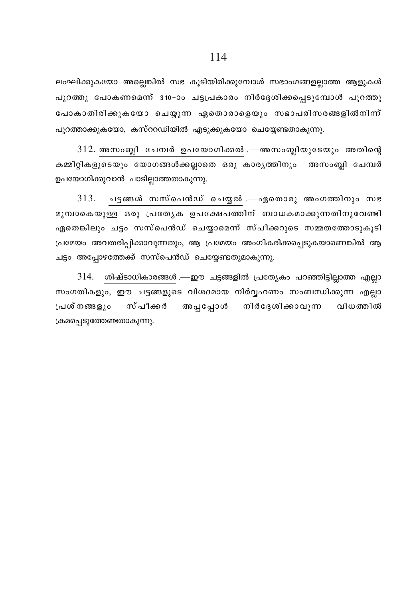ലംഘിക്കുകയോ അല്ലെങ്കിൽ സഭ കൂടിയിരിക്കുമ്പോൾ സഭാംഗങ്ങളല്ലാത്ത ആളുകൾ പുറത്തു പോകണമെന്ന് 310-ാം ചട്ടപ്രകാരം നിർദ്ദേശിക്കപ്പെടുമ്പോൾ പുറത്തു പോകാതിരിക്കുകയോ ചെയ്യുന്ന ഏതൊരാളെയും സഭാപരിസരങ്ങളിൽനിന്ന് പുറത്താക്കുകയോ, കസ്ററഡിയിൽ എടുക്കുകയോ ചെയ്യേണ്ടതാകുന്നു.

 $312$ . അസംബ്ലി ചേമ്പർ ഉപയോഗിക്കൽ .—അസംബ്ലിയുടേയും അതിന്റെ കമ്മിറ്റികളുടെയും യോഗങ്ങൾക്കല്ലാതെ ഒരു കാര്യത്തിനും അസംബ്ലി ചേമ്പർ ഉപയോഗിക്കുവാൻ പാടില്ലാത്തതാകുന്നു.

 $313.$  ചട്ടങ്ങൾ സസ്പെൻഡ് ചെയ്യൽ.—ഏതൊരു അംഗത്തിനും സഭ മുമ്പാകെയുള്ള ഒരു പ്രത്യേക ഉപക്ഷേപത്തിന് ബാധകമാക്കുന്നതിനുവേണ്ടി ഏതെങ്കിലും ചട്ടം സസ്പെൻഡ് ചെയ്യാമെന്ന് സ്പീക്കറുടെ സമ്മതത്തോടുകൂടി പ്രമേയം അവതരിപ്പിക്കാവുന്നതും, ആ പ്രമേയം അംഗീകരിക്കപ്പെടുകയാണെങ്കിൽ ആ ചട്ടം അപ്പോഴത്തേക്ക് സസ്പെൻഡ് ചെയ്യേണ്ടതുമാകുന്നു.

314. ശിഷ്ടാധികാരങ്ങൾ .—ഈ ചട്ടങ്ങളിൽ പ്രത്യേകം പറഞ്ഞിട്ടില്ലാത്ത എല്ലാ സംഗതികളും, ഈ ചട്ടങ്ങളുടെ വിശദമായ നിർവ്വഹണം സംബന്ധിക്കുന്ന എല്ലാ പ്രശ്നങ്ങളും സ് പീക്കർ അപ്പപ്പോൾ നിർദ്ദേശിക്കാവുന്ന വിധത്തിൽ ക്രമപ്പെടുത്തേണ്ടതാകുന്നു.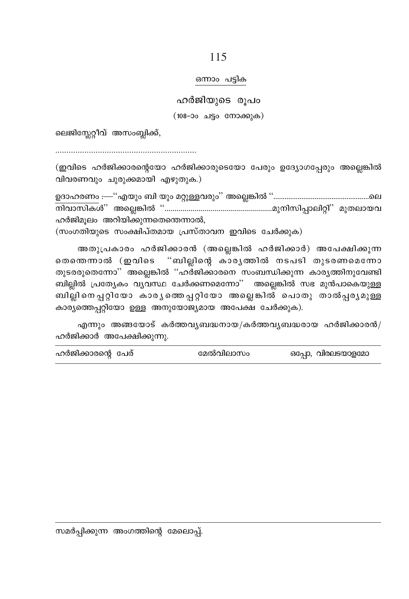#### ഒന്നാം പട്ടിക

ഹർജിയുടെ രൂപം

(108-ാം ചട്ടം നോക്കുക)

ലെജിസ്ലേറ്റീവ് അസംബ്ലിക്ക്,

(ഇവിടെ ഹർജിക്കാരന്റെയോ ഹർജിക്കാരുടെയോ പേരും ഉദ്യോഗപ്പേരും അല്ലെങ്കിൽ വിവരണവും ചുരുക്കമായി എഴുതുക.)

ഹർജിമൂലം അറിയിക്കുന്നതെന്തെന്നാൽ,

(സംഗതിയുടെ സംക്ഷിപ്തമായ പ്രസ്താവന ഇവിടെ ചേർക്കുക)

അതുപ്രകാരം ഹർജിക്കാരൻ (അല്ലെങ്കിൽ ഹർജിക്കാർ) അപേക്ഷിക്കുന്ന തെന്തെന്നാൽ (ഇവിടെ "ബില്ലിന്റെ കാരൃത്തിൽ നടപടി തുടരണമെന്നോ തുടരരുതെന്നോ" അല്ലെങ്കിൽ "ഹര്ജിക്കാരനെ സംബന്ധിക്കുന്ന കാര്യത്തിനുവേണ്ടി ബില്ലിൽ പ്രത്യേകം വ്യവസ്ഥ ചേർക്കണമെന്നോ'' അല്ലെങ്കിൽ സഭ മുൻപാകെയുള്ള ബില്ലിനെപ്പറ്റിയോ കാര്യത്തെപ്പറ്റിയോ അല്ലെങ്കിൽ പൊതു താൽപ്പര്യമുള്ള കാര്യത്തെപ്പറ്റിയോ ഉള്ള അനുയോജ്യമായ അപേക്ഷ ചേർക്കുക).

എന്നും അങ്ങയോട് കർത്തവൃബദ്ധനായ/കർത്തവൃബദ്ധരായ ഹർജിക്കാരൻ/ ഹർജിക്കാർ അപേക്ഷിക്കുന്നു.

| ഹർജിക്കാരന്റെ പേര് | മേൽവിലാസം | ഒപ്പോ, വിരലടയാളമോ |
|--------------------|-----------|-------------------|
|--------------------|-----------|-------------------|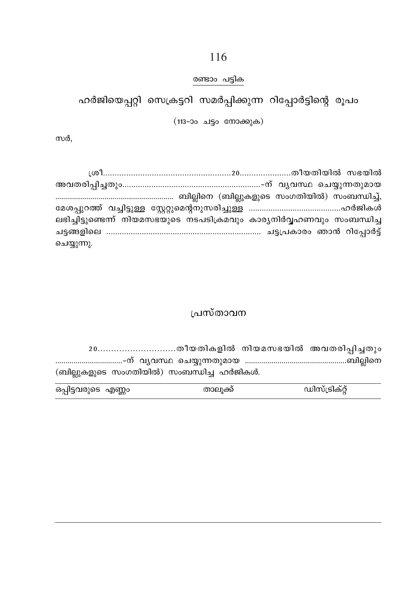# രണ്ടാം പട്ടിക

ഹർജിയെപ്പറ്റി സെക്രട്ടറി സമർപ്പിക്കുന്ന റിപ്പോർട്ടിന്റെ രൂപം

(113-ാം ചട്ടം നോക്കുക)

സർ.

| ലഭിച്ചിട്ടുണ്ടെന്ന് നിയമസഭയുടെ നടപടിക്രമവും കാര്യനിർവ്വഹണവും സംബന്ധിച്ച |  |  |
|-------------------------------------------------------------------------|--|--|
|                                                                         |  |  |
| ചെയ്യുന്നു.                                                             |  |  |

# പ്രസ്താവന

(ബില്ലുകളുടെ സംഗതിയിൽ) സംബന്ധിച്ച ഹർജികൾ.

| ഒപ്പിട്ടവരുടെ എണ്ണം | താലക്ക് | ഡിസ്ട്രിക്റ്റ് |
|---------------------|---------|----------------|
|                     |         |                |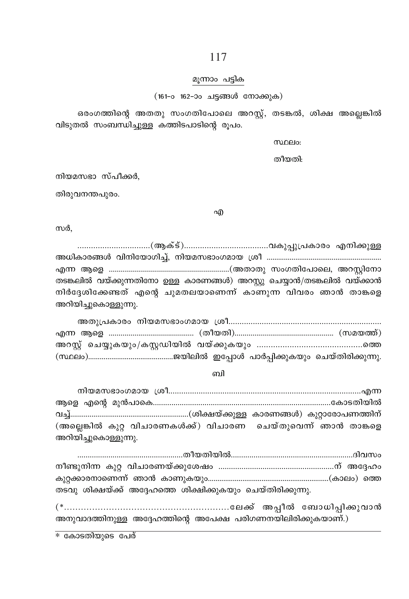#### മൂന്നാം പട്ടിക

(161-o 162-ാം ചട്ടങ്ങൾ നോക്കുക)

ഒരംഗത്തിന്റെ അതതു സംഗതിപോലെ അറസ്റ്റ്, തടങ്കൽ, ശിക്ഷ അല്ലെങ്കിൽ വിടുതൽ സംബന്ധിച്ചുള്ള കത്തിടപാടിന്റെ രൂപം.

mnelo:

തീയതി:

നിയമസഭാ സ്പീക്കർ.

തിരുവനന്തപുരം.

എ

സർ.

തടങ്കലിൽ വയ്ക്കുന്നതിനോ ഉള്ള കാരണങ്ങൾ) അറസ്റ്റു ചെയ്യാൻ/തടങ്കലിൽ വയ്ക്കാൻ നിർദ്ദേശിക്കേണ്ടത് എന്റെ ചുമതലയാണെന്ന് കാണുന്ന വിവരം ഞാൻ താങ്കളെ അറിയിച്ചുകൊള്ളുന്നു.

ബി

| (അല്ലെങ്കിൽ കുറ്റ വിചാരണകൾക്ക്) വിചാരണ ചെയ്തുവെന്ന് ഞാൻ താങ്കളെ |  |  |
|-----------------------------------------------------------------|--|--|
| അറിയിച്ചുകൊള്ളുന്നു.                                            |  |  |

| തടവു ശിക്ഷയ്ക്ക് അദ്ദേഹത്തെ ശിക്ഷിക്കുകയും ചെയ്തിരിക്കുന്നു. |  |  |
|--------------------------------------------------------------|--|--|

അനുവാദത്തിനുള്ള അദ്ദേഹത്തിന്റെ അപേക്ഷ പരിഗണനയിലിരിക്കുകയാണ്.)

\* കോടതിയുടെ പേര്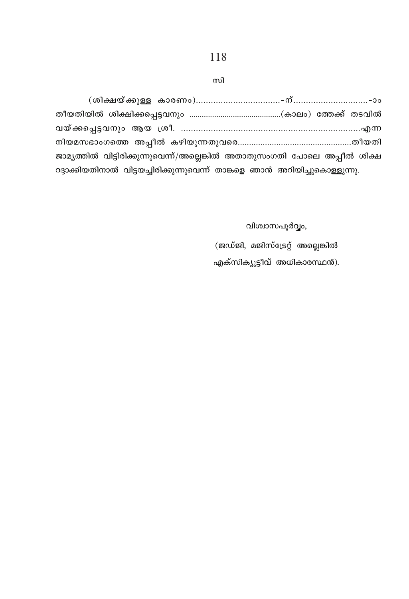| ജാമൃത്തിൽ വിട്ടിരിക്കുന്നുവെന്ന്/അല്ലെങ്കിൽ അതാതുസംഗതി പോലെ അപ്പീൽ ശിക്ഷ    |  |
|-----------------------------------------------------------------------------|--|
| റദ്ദാക്കിയതിനാൽ വിട്ടയച്ചിരിക്കുന്നുവെന്ന് താങ്കളെ ഞാൻ അറിയിച്ചുകൊള്ളുന്നു. |  |

വിശ്വാസപൂർവ്വം, (ജഡ്ജി, മജിസ്ട്രേറ്റ് അല്ലെങ്കിൽ എക്സിക്യൂട്ടീവ് അധികാരസ്ഥൻ).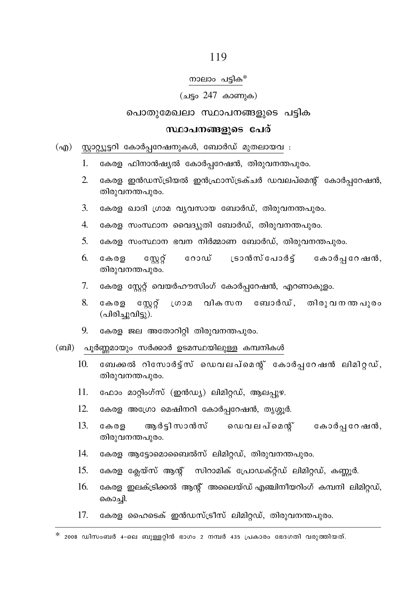#### നാലാം പട്ടിക\*

#### (ചട്ടം 247 കാണുക)

### പൊതുമേഖലാ സ്ഥാപനങ്ങളുടെ പട്ടിക

### സ്ഥാപനങ്ങളുടെ പേര്

# (എ) സ്റ്റാറ്റ്യൂട്ടറി കോർപ്പറേഷനുകൾ, ബോർഡ് മുതലായവ :

- 1. കേരള ഫിനാൻഷ്യൽ കോർപ്പറേഷൻ, തിരുവനന്തപുരം.
- $\mathfrak{D}$ കേരള ഇൻഡസ്ട്രിയൽ ഇൻഫ്രാസ്ട്രക്ചർ ഡവലപ്മെന്റ് കോർപറേഷൻ, തിരുവനന്തപുരം.
- 3. കേരള ഖാദി ഗ്രാമ വ്യവസായ ബോർഡ്, തിരുവനന്തപുരം.
- 4. കേരള സംസ്ഥാന വൈദ്യുതി ബോർഡ്, തിരുവനന്തപുരം.
- $5<sup>1</sup>$ കേരള സംസ്ഥാന ഭവന നിർമ്മാണ ബോർഡ്, തിരുവനന്തപുരം.
- ്രാൻസ് പോർട്ട് കോർപ്പറേഷൻ, 6 കേരള  $cm\breve{\sigma}$ റോഡ് തിരുവനന്തപുരം.
- 7. കേരള സ്റ്റേറ്റ് വെയർഹൗസിംഗ് കോർപ്പറേഷൻ, എറണാകുളം.
- 8. സേറ് ശ്രാമ വികസന ബോർഡ്, തിരുവനന്തപുരം കേരള (പിരിച്ചുവിട്ടു).
- 9. കേരള ജല അതോറിറ്റി തിരുവനന്തപുരം.

#### (ബി) പൂർണ്ണമായും സർക്കാർ ഉടമസ്ഥയിലുള്ള കമ്പനികൾ

- $10<sub>l</sub>$ ബേക്കൽ റിസോർട്ട്സ് ഡെവലപ്മെന്റ് കോർപറേഷൻ ലിമിറ്റഡ്, തിരുവനന്തപുരം.
- 11. ഫോം മാറ്റിംഗ്സ് (ഇൻഡ്യ) ലിമിറ്റഡ്, ആലപ്പുഴ.
- 12. കേരള അഗ്രോ മെഷിനറി കോർപ്പറേഷൻ, തൃശ്ശൂർ.
- $13.$ കേരള ആർടിസാൻസ് ഡെവലപ്മെന്റ് കോർപ്പ റേഷൻ, തിരുവനന്തപുരം.
- $14.$ കേരള ആട്ടോമൊബൈൽസ് ലിമിറ്റഡ്, തിരുവനന്തപുരം.
- $15.$ കേരള ക്ലേയ്സ് ആന്റ് സിറാമിക് പ്രോഡക്റ്റ്ഡ് ലിമിറ്റഡ്, കണ്ണൂർ.
- 16. കേരള ഇലക്ട്രിക്കൽ ആന്റ് അലൈയ്ഡ് എഞ്ചിനീയറിംഗ് കമ്പനി ലിമിറ്റഡ്, കൊച്ചി.
- $17.$ കേരള ഹൈടെക് ഇൻഡസ്ട്രീസ് ലിമിറ്റഡ്, തിരുവനന്തപുരം.

 $*$  2008 ഡിസംബർ 4-ലെ ബുള്ളറ്റിൻ ഭാഗം 2 നമ്പർ 435 പ്രകാരം ഭേദഗതി വരുത്തിയത്.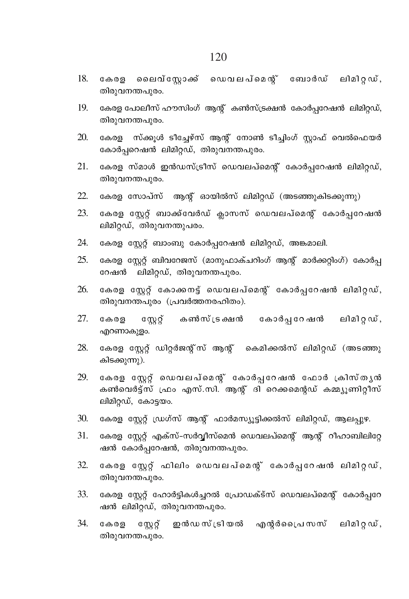- കേരള ലൈവ്സ്ലോക്ക് ഡെവലപ്മെന്റ് ബോർഡ് ലിമിറ്റഡ്, 18. തിരുവനന്തപുരം.
- കേരള പോലീസ് ഹൗസിംഗ് ആന്റ് കൺസ്ട്രക്ഷൻ കോർപ്പറേഷൻ ലിമിറ്റഡ്, 19. തിരുവനന്തപുരം.
- കേരള സ്ക്കുൾ ടീച്ചേഴ്സ് ആന്റ് നോൺ ടീച്ചിംഗ് സ്റ്റാഫ് വെൽഫെയർ 20. കോർപറെഷൻ ലിമിറ്റഡ്, തിരുവനന്തപുരം.
- 21. കേരള സ്മാൾ ഇൻഡസ്ട്രീസ് ഡെവലപ്മെന്റ് കോർപ്പറേഷൻ ലിമിറ്റഡ്, തിരുവനന്തപുരം.
- $22.$ കേരള സോപ്സ് ആന്റ് ഓയിൽസ് ലിമിറ്റഡ് (അടഞ്ഞുകിടക്കുന്നു)
- 23 കേരള സ്റ്റേറ്റ് ബാക്ക്വേർഡ് ക്ലാസസ് ഡെവലപ്മെന്റ് കോർപ്പറേഷൻ ലിമിറ്റഡ്, തിരുവനന്തുപരം.
- കേരള സ്റ്റേറ്റ് ബാംബു കോർപ്പറേഷൻ ലിമിറ്റഡ്, അങ്കമാലി. 24.
- 25. കേരള സ്റ്റേറ്റ് ബിവറേജസ് (മാനുഫാക്ചറിംഗ് ആന്റ് മാർക്കറ്റിംഗ്) കോർപ്പ റേഷൻ ലിമിറ്റഡ്, തിരുവനന്തപുരം.
- കേരള സ്റ്റേറ്റ് കോക്കനട്ട് ഡെവലപ്മെന്റ് കോർപ്പറേഷൻ ലിമിറ്റഡ്, 26. തിരുവനന്തപുരം (പ്രവർത്തനരഹിതം).
- സ്റ്റേറ്റ് കൺസ്ട്രക്ഷൻ കോർപ്പറേഷൻ 27. കേരള ലിമി റ്റഡ്, എറണാകുളം.
- കേരള സ്റ്റേറ്റ് ഡിറ്റർജന്റ്സ് ആന്റ് കെമിക്കൽസ് ലിമിറ്റഡ് (അടഞ്ഞു 28. കിടക്കുന്നു).
- കേരള സ്റ്റേറ്റ് ഡെവലപ്മെന്റ് കോർപ്പറേഷൻ ഫോർ ക്രിസ്തൃൻ 29. കൺവെർട്ട്സ് ഫ്രം എസ്.സി. ആന്റ് ദി റെക്കമെന്റഡ് കമ്മ്യൂണിറ്റീസ് ലിമിറ്റഡ്, കോട്ടയം.
- 30. കേരള സ്റ്റേറ്റ് ഡ്രഗ്സ് ആന്റ് ഫാർമസ്യൂട്ടിക്കൽസ് ലിമിറ്റഡ്, ആലപ്പുഴ.
- 31. കേരള സ്റ്റേറ്റ് എക്സ്-സർവ്വീസ്മെൻ ഡെവലപ്മെന്റ് ആന്റ് റീഹാബിലിറ്റേ ഷൻ കോർപ്പറേഷൻ, തിരുവനന്തപുരം.
- കേരള സ്റ്റേറ് ഫിലിം ഡെവലപ്മെന്റ് കോർപ്പറേഷൻ ലിമിറ്റഡ്,  $32<sub>1</sub>$ തിരുവനന്തപുരം.
- കേരള സ്റ്റേറ്റ് ഹോർട്ടികൾച്ചറൽ പ്രോഡക്ട്സ് ഡെവലപ്മെന്റ് കോർപ്പറേ 33. ഷൻ ലിമിറ്റഡ്, തിരുവനന്തപുരം.
- 34. സേറ് ഇൻഡസ്ട്രിയൽ എന്റർപ്രൈസസ് ലിമിറ്റഡ്, കേരള തിരുവനന്തപുരം.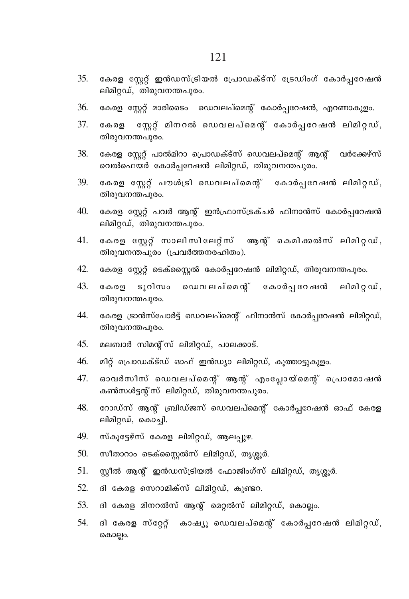- കേരള സ്റ്റേറ്റ് ഇൻഡസ്ട്രിയൽ പ്രോഡക്ട്സ് ട്രേഡിംഗ് കോർപ്പറേഷൻ 35. ലിമിറ്റഡ്, തിരുവനന്തപുരം.
- കേരള സ്റ്റേറ്റ് മാരിടൈം ഡെവലപ്മെന്റ് കോർപ്പറേഷൻ, എറണാകുളം. 36.
- 37. സേറ്റ് മിനറൽ ഡെവലപ്മെന്റ് കോർപറേഷൻ ലിമിറഡ്, കേരള തിരുവനന്തപുരം.
- 38. കേരള സേറ് പാൽമിറാ പ്രൊഡക്ട്സ് ഡെവലപ്മെന്റ് ആന് വർക്കേഴ്സ് വെൽഫെയർ കോർപ്പറേഷൻ ലിമിറ്റഡ്, തിരുവനന്തപുരം.
- 39. കേരള സ്റ്റേറ്റ് പൗശിട്രി ഡെവലപ്മെന്റ് കോർപ്പറേഷൻ ലിമിറ്റഡ്, തിരുവനന്തപുരം.
- $40<sub>l</sub>$ കേരള സ്റ്റേറ്റ് പവർ ആന്റ് ഇൻഫ്രാസ്ട്രക്ചർ ഫിനാൻസ് കോർപ്പറേഷൻ ലിമിറ്റഡ്, തിരുവനന്തപുരം.
- 41. കേരള സേറ് സാലിസിലേറ്സ് ആൻ് കെമിക്കൽസ് ലിമിറഡ്. തിരുവനന്തപുരം (പ്രവർത്തനരഹിതം).
- 42. കേരള സ്റ്റേറ്റ് ടെക്സ്റ്റൈൽ കോർപ്പറേഷൻ ലിമിറ്റഡ്, തിരുവനന്തപുരം.
- 43. ടുറിസം ഡെവലപ്മെന്റ് കോർപ്പറേഷൻ ലിമിറ്റഡ്, കേരള തിരുവനന്തപുരം.
- കേരള ട്രാൻസ്പോർട്ട് ഡെവലപ്മെന്റ് ഫിനാൻസ് കോർപ്പറേഷൻ ലിമിറ്റഡ്, 44. തിരുവനന്തപുരം.
- 45. മലബാർ സിമന്റ്സ് ലിമിറഡ്, പാലക്കാട്.
- $46.$ മീറ്റ് പ്രൊഡക്ട്ഡ് ഓഫ് ഇൻഡ്യാ ലിമിറ്റഡ്, കൂത്താട്ടുകുളം.
- 47. ഓവർസീസ് ഡെവലപ്മെന്റ് ആന്റ് എംപ്ലോയ്മെന്റ് പ്രൊമോഷൻ കൺസൾട്ടന്റ് സ് ലിമിറ്റഡ്, തിരുവനന്തപുരം.
- 48. റോഡ്സ് ആനു് ബ്രിഡ്ജസ് ഡെവലപ്മെന്റ് കോർപ്പറേഷൻ ഓഫ് കേരള ലിമിറ്റഡ്, കൊച്ചി.
- 49. സ്കൂട്ടേഴ്സ് കേരള ലിമിറ്റഡ്, ആലപ്പുഴ.
- $50.$ സീതാറാം ടെക്സ്ലൈൽസ് ലിമിറ്റഡ്, തൃശ്ശൂർ.
- 51. സ്റ്റീൽ ആന്റ് ഇൻഡസ്ട്രിയൽ ഫോജിംഗ്സ് ലിമിറ്റഡ്, തൃശ്ശൂർ.
- 52. ദി കേരള സെറാമിക്സ് ലിമിറ്റഡ്, കുണ്ടറ.
- ദി കേരള മിനറൽസ് ആന്റ് മെറ്റൽസ് ലിമിറ്റഡ്, കൊല്ലം. 53.
- 54. ദി കേരള സ്റ്റേറ്റ് കാഷ്യു ഡെവലപ്മെന്റ് കോർപ്പറേഷൻ ലിമിറ്റഡ്, കൊല്ലം.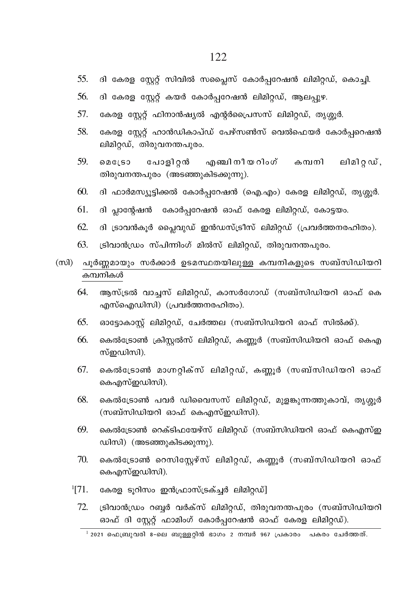- ദി കേരള സ്റ്റേറ്റ് സിവിൽ സപ്ലൈസ് കോർപ്പറേഷൻ ലിമിറ്റഡ്, കൊച്ചി. 55.
- ദി കേരള സ്റ്റേറ്റ് കയർ കോർപ്പറേഷൻ ലിമിറ്റഡ്, ആലപ്പുഴ. 56
- 57. കേരള സ്റ്റേറ്റ് ഫിനാൻഷ്യൽ എന്റർപ്രൈസസ് ലിമിറ്റഡ്, തൃശ്ശൂർ.
- 58. കേരള സ്റ്റേറ്റ് ഹാൻഡികാപ്ഡ് പേഴ്സൺസ് വെൽഫെയർ കോർപ്പറെഷൻ ലിമിറ്റഡ്, തിരുവനന്തപുരം.
- 59.  $00050$ പോളിറ്റൻ എഞ്ചി നീയ റിംഗ് കമ്പനി ലിമിറ്റഡ്, തിരുവനന്തപുരം (അടഞ്ഞുകിടക്കുന്നു).
- 60. ദി ഫാർമസ്യൂട്ടിക്കൽ കോർപ്പറേഷൻ (ഐ.എം) കേരള ലിമിറ്റഡ്, തൃശ്ശൂർ.
- 61. ദി പ്ലാന്റേഷൻ കോർപ്പറേഷൻ ഓഫ് കേരള ലിമിറ്റഡ്, കോട്ടയം.
- 62. ദി ട്രാവൻകൂർ പ്ലൈവുഡ് ഇൻഡസ്ട്രീസ് ലിമിറ്റഡ് (പ്രവർത്തനരഹിതം).
- 63. ട്രിവാൻഡ്രം സ്പിന്നിംഗ് മിൽസ് ലിമിറഡ്, തിരുവനന്തപുരം.
- (സി) പൂർണ്ണമായും സർക്കാർ ഉടമസ്ഥതയിലുള്ള കമ്പനികളുടെ സബ്സിഡിയറി കമ്പനികൾ
	- 64. ആസ്ട്രൽ വാച്ചസ് ലിമിറ്റഡ്, കാസർഗോഡ് (സബ്സിഡിയറി ഓഫ് കെ എസ്ഐഡിസി) (പ്രവർത്തനരഹിതം).
	- 65. ഓട്ടോകാസ്റ്റ് ലിമിറ്റഡ്, ചേർത്തല (സബ്സിഡിയറി ഓഫ് സിൽക്ക്).
	- 66. കെൽട്രോൺ ക്രിസ്റ്റൽസ് ലിമിറ്റഡ്, കണ്ണൂർ (സബ്സിഡിയറി ഓഫ് കെഎ സ്ഇഡിസി).
	- 67. കെൽട്രോൺ മാഗ്നറ്റിക്സ് ലിമിറ്റഡ്, കണ്ണൂർ (സബ്സിഡിയറി ഓഫ് കെഎസ്ഇഡിസി).
	- കെൽട്രോൺ പവർ ഡിവൈസസ് ലിമിറ്റഡ്, മുളങ്കുന്നത്തുകാവ്, തൃശ്ശൂർ 68. (സബ്സിഡിയറി ഓഫ് കെഎസ്ഇഡിസി).
	- കെൽട്രോൺ റെക്ടിഫയേഴ്സ് ലിമിറ്റഡ് (സബ്സിഡിയറി ഓഫ് കെഎസ്ഇ 69. ഡിസി) (അടഞ്ഞുകിടക്കുന്നു).
	- 70. കെൽട്രോൺ റെസിസ്റ്റേഴ്സ് ലിമിറ്റഡ്, കണ്ണൂർ (സബ്സിഡിയറി ഓഫ് കെഎസ്ഇഡിസി).
	- $^{1}[71.$ കേരള ടൂറിസം ഇൻഫ്രാസ്ട്രക്ച്ചർ ലിമിറ്റഡ്]
		- 72. ട്രിവാൻഡ്രം റബ്ബർ വർക്സ് ലിമിറ്റഡ്, തിരുവനന്തപുരം (സബ്സിഡിയറി ഓഫ് ദി സ്റ്റേറ്റ് ഫാമിംഗ് കോർപ്പറേഷൻ ഓഫ് കേരള ലിമിറ്റഡ്).

 $^{-1}$  2021 ഫെബ്രുവരി 8-ലെ ബുള്ളറ്റിൻ ഭാഗം 2 നമ്പർ 967 പ്രകാരം പകരം ചേർത്തത്.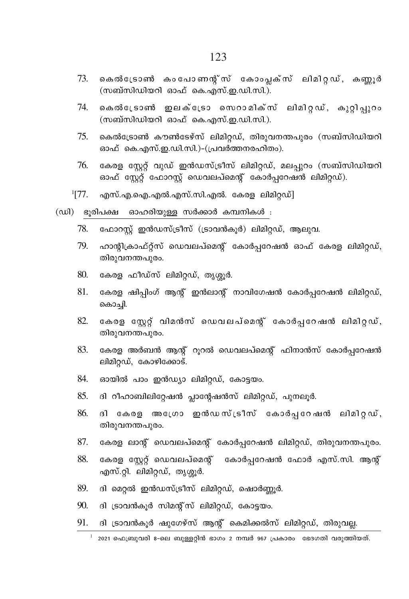- കെൽട്രോൺ കംപോണന്റ്സ് കോംപ്ലക്സ് ലിമിറ്റഡ്, കണ്ണൂർ 73. (സബ്സിഡിയറി ഓഫ് കെ.എസ്.ഇ.ഡി.സി.).
- കെൽട്രോൺ ഇലക്ട്രോ സെറാമിക്സ് ലിമിറ്റഡ്, കുറ്റിപ്പുറം 74. (സബ്സിഡിയറി ഓഫ് കെ.എസ്.ഇ.ഡി.സി.).
- 75. കെൽട്രോൺ കൗൺടേഴ്സ് ലിമിറ്റഡ്, തിരുവനന്തപുരം (സബ്സിഡിയറി ഓഫ് കെ.എസ്.ഇ.ഡി.സി.)-(പ്രവർത്തനരഹിതം).
- $76.$ കേരള സ്ലേറ്റ് വുഡ് ഇൻഡസ്ട്രീസ് ലിമിറ്റഡ്, മലപ്പുറം (സബ്സിഡിയറി ഓഫ് സേറ്റ് ഫോറസ്റ്റ് ഡെവലപ്മെന്റ് കോർപറേഷൻ ലിമിറ്റഡ്).
- $^{1}[77]$ . എസ്.എ.ഐ.എൽ.എസ്.സി.എൽ. കേരള ലിമിറ്റഡ്]
- (ഡി) ഭൂരിപക്ഷ ഓഹരിയുള്ള സർക്കാർ കമ്പനികൾ :
	- ഫോറസ്റ്റ് ഇൻഡസ്ട്രീസ് (ട്രാവൻകൂർ) ലിമിറ്റഡ്, ആലുവ. 78.
	- 79. ഹാന്റിക്രാഫ്റ്റ്സ് ഡെവലപ്മെന്റ് കോർപ്പറേഷൻ ഓഫ് കേരള ലിമിറ്റഡ്, തിരുവനന്തപുരം.
	- 80. കേരള ഫീഡ്സ് ലിമിറഡ്, തൃശൂർ,
	- 81. കേരള ഷിപ്പിംഗ് ആന്റ് ഇൻലാന്റ് നാവിഗേഷൻ കോർപ്പറേഷൻ ലിമിറ്റഡ്, കൊച്ചി.
	- 82. കേരള സേറ്റ് വിമൻസ് ഡെവലപ്മെന്റ് കോർപ്പറേഷൻ ലിമിറ്റഡ്, തിരുവനന്തപുരം.
	- 83. കേരള അർബൻ ആന്റ് റൂറൽ ഡെവലപ്മെന്റ് ഫിനാൻസ് കോർപ്പറേഷൻ ലിമിറ്റഡ്, കോഴിക്കോട്.
	- 84. ഓയിൽ പാം ഇൻഡ്യാ ലിമിറ്റഡ്, കോട്ടയം.
	- 85. ദി റീഹാബിലിറ്റേഷൻ പ്ലാന്റേഷൻസ് ലിമിറ്റഡ്, പുനലൂർ.
	- 86. ദി കേരള അംഗ്രോ ഇൻഡസ്ട്രീസ് കോർപ്പറേഷൻ ലിമിറ്റഡ്, തിരുവനന്തപുരം.
	- 87. കേരള ലാന്റ് ഡെവലപ്മെന്റ് കോർപ്പറേഷൻ ലിമിറ്റഡ്, തിരുവനന്തപുരം.
	- 88. കേരള സ്റ്റേറ്റ് ഡെവലപ്മെന്റ് കോർപ്പറേഷൻ ഫോർ എസ്.സി. ആന്റ് എസ്.റ്റി. ലിമിറ്റഡ്, തൃശ്ശൂർ.
	- 89. ദി മെറൽ ഇൻഡസ്ട്രീസ് ലിമിറഡ്, ഷൊർണ്വർ.
	- ദി ട്രാവൻകൂർ സിമന്റ്സ് ലിമിറ്റഡ്, കോട്ടയം. 90.
	- ദി ട്രാവൻകൂർ ഷുഗേഴ്സ് ആന്റ് കെമിക്കൽസ് ലിമിറ്റഡ്, തിരുവല്ല. 91.

 $^{-1}$  2021 ഫെബ്രുവരി 8-ലെ ബുള്ളറ്റിൻ ഭാഗം 2 നമ്പർ 967 പ്രകാരം ഭേദഗതി വരുത്തിയത്.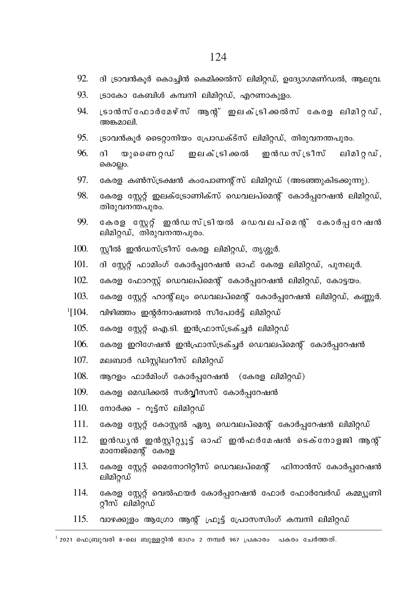- 92. ദി ട്രാവൻകൂർ കൊച്ചിൻ കെമിക്കൽസ് ലിമിറ്റഡ്, ഉദ്യോഗമണ്ഡൽ, ആലുവ.
- 93. ട്രാകോ കേബിൾ കമ്പനി ലിമിറഡ്. എറണാകുളം.
- .<br>ദാൻസ്ഫോർമേഴ്സ് ആനു് ഇലക്ട്രിക്കൽസ് കേരള ലിമിറ്റഡ്,  $Q_{\mathcal{A}}$ അങ്കമാലി.
- 95. ട്രാവൻകൂർ ടൈറ്റാനിയം പ്രോഡക്ട്സ് ലിമിറ്റഡ്, തിരുവനന്തപുരം.
- 96  $\beta$ യുണൈറഡ് ഇലക്ട്രിക്കൽ ഇൻഡസ് ട്രീസ് ലിമിറഡ്. കൊല്ലം.
- 97. കേരള കൺസ്ട്രക്ഷൻ കംപോണന്റ്സ് ലിമിറ്റഡ് (അടഞ്ഞുകിടക്കുന്നു).
- 98 കേരള സ്റ്റേറ്റ് ഇലക്ട്രോണിക്സ് ഡെവലപ്മെന്റ് കോർപ്പറേഷൻ ലിമിറ്റഡ്, തിരുവനന്തപുരം.
- 99. കേരള സ്റ്റേറ്റ് ഇൻഡസ്ട്രിയൽ ഡെവലപ്മെന്റ് കോർപ്പറേഷൻ ലിമിറ്റഡ്, തിരുവനന്തപുരം.
- $100.$ സീൽ ഇൻഡസ്ട്രീസ് കേരള ലിമിറഡ്, തൃശൂർ,
- $101.$ ദി സ്റ്റേറ്റ് ഫാമിംഗ് കോർപ്പറേഷൻ ഓഫ് കേരള ലിമിറ്റഡ്, പുനലൂർ.
- $102.$ കേരള ഫോറസ്റ്റ് ഡെവലപ്മെന്റ് കോർപ്പറേഷൻ ലിമിറ്റഡ്, കോട്ടയം.
- 103. കേരള സ്റ്റേറ്റ് ഹാന്റ്ലും ഡെവലപ്മെന്റ് കോർപ്പറേഷൻ ലിമിറ്റഡ്, കണ്ണൂർ.
- $1104.$ വിഴിഞ്ഞം ഇന്റർനാഷണൽ സീപോർട്ട് ലിമിറ്റഡ്
	- 105. കേരള സേറ്റ് ഐ.ടി. ഇൻഫ്രാസ്ട്രക്ച്ചർ ലിമിറ്റഡ്
	- $106 -$ കേരള ഇറിഗേഷൻ ഇൻഫ്രാസ്ട്രക്ചർ ഡെവലപ്മെൻ് കോർപറേഷൻ
	- 107 മലബാർ ഡിസിലറീസ് ലിമിറഡ്
	- 108. ആറളം ഫാർമിംഗ് കോർപറേഷൻ (കേരള ലിമിറ്റഡ്)
	- 109. കേരള മെഡിക്കൽ സർവ്വീസസ് കോർപറേഷൻ
	- 110. നോർക്ക - റുട്ട്സ് ലിമിറ്റഡ്
	- $111$ കേരള സ്റ്റേറ്റ് കോസ്റ്റൽ ഏര്യ ഡെവലപ്മെന്റ് കോർപ്പറേഷൻ ലിമിറ്റഡ്
	- 112. ഇൻഡ്യൻ ഇൻസ്റ്റിറ്റ്യൂട്ട് ഓഫ് ഇൻഫർമേഷൻ ടെക്നോളജി ആനു് മാനേജ്മെന്റ് കേരള
	- 113 കേരള സേറ് മൈനോറിറീസ് ഡെവലപ്മെന്റ് ഫിനാൻസ് കോർപറേഷൻ ലിമിറ്റഡ്
	- 114. കേരള സ്റ്റേറ്റ് വെൽഫയർ കോർപ്പറേഷൻ ഫോർ ഫോർവേർഡ് കമ്മ്യൂണി റീസ് ലിമിറ്ഡ്
	- 115. വാഴക്കുളം ആഗ്രോ ആന്റ് ഫ്രൂട്ട് പ്രോസസിംഗ് കമ്പനി ലിമിറ്റഡ്

 $^{-1}$  2021 ഫെബ്രുവരി 8-ലെ ബുള്ളറിൻ ഭാഗം 2 നമ്പർ 967 പ്രകാരം പകരം ചേർത്തത്.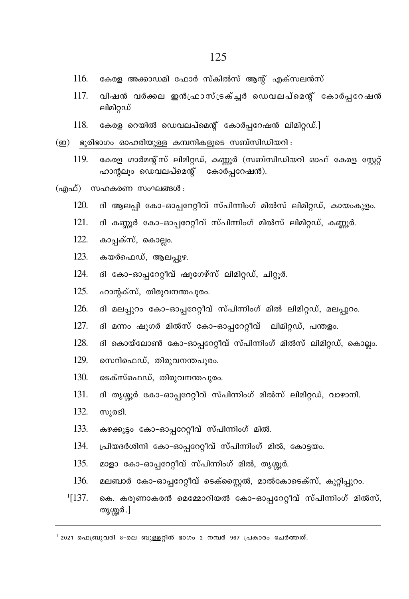- 116. കേരള അക്കാഡമി ഫോർ സ്കിൽസ് ആന്റ് എക്സലൻസ്
- 117. വിഷൻ വർക്കല ഇൻഫ്രാസ്ട്രക്ച് ഡെവലപ്മെന്റ് കോർപ്പറേഷൻ ലിമിറ്റഡ്
- 118. കേരള റെയിൽ ഡെവലപ്മെൻ് കോർപറേഷൻ ലിമിറഡ്.]
- (ഇ) ഭൂരിഭാഗം ഓഹരിയുള്ള കമ്പനികളുടെ സബ്സിഡിയറി:
	- കേരള ഗാർമന്റ്സ് ലിമിറ്റഡ്, കണ്ണൂർ (സബ്സിഡിയറി ഓഫ് കേരള സ്റ്റേറ്റ് 119. ഹാന്റലും ഡെവലപ്മെന്റ് കോർപ്പറേഷൻ).
- (എഫ്) സഹകരണ സംഘങ്ങൾ :
	- $120 -$ ദി ആലപ്പി കോ–ഓപ്പറേറ്റീവ് സ്പിന്നിംഗ് മിൽസ് ലിമിറ്റഡ്, കായംകുളം.
	- $121.$ ദി കണ്ണൂർ കോ-ഓപ്പറേറ്റീവ് സ്പിന്നിംഗ് മിൽസ് ലിമിറ്റഡ്, കണ്ണൂർ.
	- 122. കാപ്പക്സ്, കൊല്ലം.
	- 123. കയർഫെഡ്, ആലപ്പുഴ.
	- 124. ദി കോ-ഓപ്പറേറ്റീവ് ഷുഗേഴ്സ് ലിമിറ്റഡ്, ചിറ്റൂർ.
	- $125.$ ഹാന്റക്സ്, തിരുവനന്തപുരം.
	- 126. ദി മലപ്പുറം കോ-ഓപ്പറേറ്റീവ് സ്പിന്നിംഗ് മിൽ ലിമിറ്റഡ്, മലപ്പുറം.
	- $127$ ദി മന്നം ഷുഗർ മിൽസ് കോ-ഓപ്പറേറ്റീവ് ലിമിറ്റഡ്, പന്തളം.
	- 128. ദി കൊയ്ലോൺ കോ-ഓപ്പറേറ്റീവ് സ്പിന്നിംഗ് മിൽസ് ലിമിറ്റഡ്, കൊല്ലം.
	- 129 സെറിഫെഡ്, തിരുവനന്തപുരം.
	- $130.$ ടെക്സ്ഫെഡ്, തിരുവനന്തപുരം.
	- $131.$ ദി തൃശ്ശൂർ കോ–ഓപ്പറേറ്റീവ് സ്പിന്നിംഗ് മിൽസ് ലിമിറ്റഡ്, വാഴാനി.
	- $132.$ സുരഭി.
	- $133.$ കഴക്കുട്ടം കോ-ഓപ്പറേറ്റീവ് സ്പിന്നിംഗ് മിൽ.
	- 134. പ്രിയദർശിനി കോ-ഓപ്പറേറ്റീവ് സ്പിന്നിംഗ് മിൽ, കോട്ടയം.
	- $135.$ മാളാ കോ-ഓപ്പറേറ്റീവ് സ്പിന്നിംഗ് മിൽ, തൃശ്ശൂർ.
	- 136. മലബാർ കോ-ഓപ്പറേറ്റീവ് ടെക്സ്റ്റൈൽ, മാൽകോടെക്സ്, കുറ്റിപ്പുറം.
	- $1[137]$ കെ. കരുണാകരൻ മെമ്മോറിയൽ കോ-ഓപ്പറേറ്റീവ് സ്പിന്നിംഗ് മിൽസ്, തൃശ്ശൂർ .]

 $^1$  2021 ഫെബ്രുവരി 8-ലെ ബുള്ളറ്റിൻ ഭാഗം 2 നമ്പർ 967 പ്രകാരം ചേർത്തത്.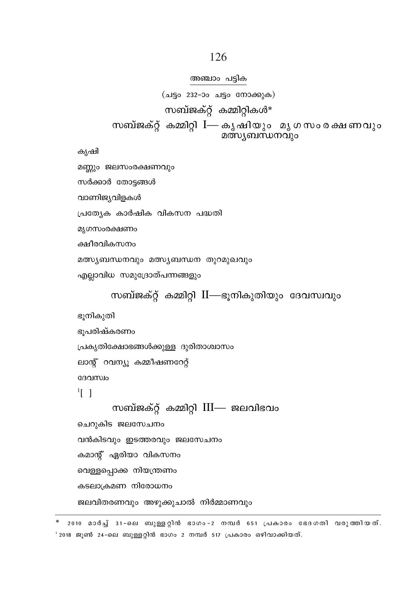സർക്കാർ തോട്ടങ്ങൾ വാണിജ്യവിളകൾ പ്രത്യേക കാർഷിക വികസന പദ്ധതി മൃഗസംരക്ഷണം ക്ഷീരവികസനം മത്സ്യബന്ധനവും മത്സ്യബന്ധന തുറമുഖവും എല്ലാവിധ സമുദ്രോത്പന്നങ്ങളും സബ്ജക്റ്റ് കമ്മിറ്റി II—ഭൂനികുതിയും ദേവസ്ഥ്യം ഭൂനികുതി ഭൂപരിഷ്കരണം പ്രകൃതിക്ഷോഭങ്ങൾക്കുള്ള ദുരിതാശ്വാസം ലാന്റ് റവന്യൂ കമ്മീഷണറേറ്റ് ദേവസ്വം  $\frac{1}{2}$  | സബ്ജക്റ്റ് കമ്മിറ്റി III— ജലവിഭവം ചെറുകിട ജലസേചനം വൻകിടവും ഇടത്തരവും ജലസേചനം കമാന്റ് ഏരിയാ വികസനം വെള്ളപ്പൊക്ക നിയന്ത്രണം കടലാക്രമണ നിരോധനം ജലവിതരണവും അഴുക്കുചാൽ നിർമ്മാണവും

അഞ്ചാം പട്ടിക (ചട്ടം 232-ാം ചട്ടം നോക്കുക) സബ്ജക്റ്റ് കമ്മിറ്റികൾ\* സബ്ജക്റ്റ് കമ്മിറ്റി I— കൃഷിയും മൃഗസംരക്ഷണവും മത്സ്യബന്ധനവും

കൃഷി

മണ്ണും ജലസംരക്ഷണവും

\* 2010 മാർച്ച് 31-ലെ ബുള്ളറ്റിൻ ഭാഗം-2 നമ്പർ 651 പ്രകാരം ഭേദഗതി വരുത്തിയത്. ' 2018 ജൂൺ 24-ലെ ബുള്ളറ്റിൻ ഭാഗം 2 നമ്പർ 517 പ്രകാരം ഒഴിവാക്കിയത്.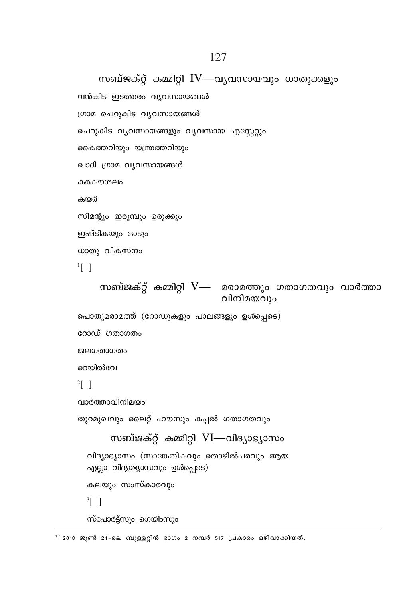<sup>1-3</sup> 2018 ജൂൺ 24-ലെ ബുള്ളറ്റിൻ ഭാഗം 2 നമ്പർ 517 പ്രകാരം ഒഴിവാക്കിയത്.

```
ഖാദി ഗ്രാമ വ്യവസായങ്ങൾ
കരകൗശലം
കയർ
സിമന്റും ഇരുമ്പും ഉരുക്കും
ഇഷ്ടികയും ഓടും
ധാതു വികസനം
\frac{1}{2} |
    സബ്ജക്റ്റ് കമ്മിറ്റി V— മരാമത്തും ഗതാഗതവും വാർത്താ
                               വിനിമയവും
പൊതുമരാമത്ത് (റോഡുകളും പാലങ്ങളും ഉൾപ്പെടെ)
റോഡ് ഗതാഗതം
ജലഗതാഗതം
റെയിൽവേ
2 \lceil \rceilവാർത്താവിനിമയം
തുറമുഖവും ലൈറ്റ് ഹൗസും കപ്പൽ ഗതാഗതവും
       സബ്ജക്റ്റ് കമ്മിറ്റി VI—വിദ്യാഭ്യാസം
  വിദ്യാഭ്യാസം (സാങ്കേതികവും തൊഴിൽപരവും ആയ
  എല്ലാ വിദ്യാഭ്യാസവും ഉൾപ്പെടെ)
  കലയും സംസ്കാരവും
  \frac{3}{1}സ്പോർട്ട്സും ഗെയിംസും
```
സബ്ജക്റ്റ് കമ്മിറ്റി IV—വ്യവസായവും ധാതുക്കളും

വൻകിട ഇടത്തരം വ്യവസായങ്ങൾ ഗ്രാമ ചെറുകിട വൃവസായങ്ങൾ

കൈത്തറിയും യന്ത്രത്തറിയും

ചെറുകിട വ്യവസായങ്ങളും വ്യവസായ എസ്റ്റേറ്റും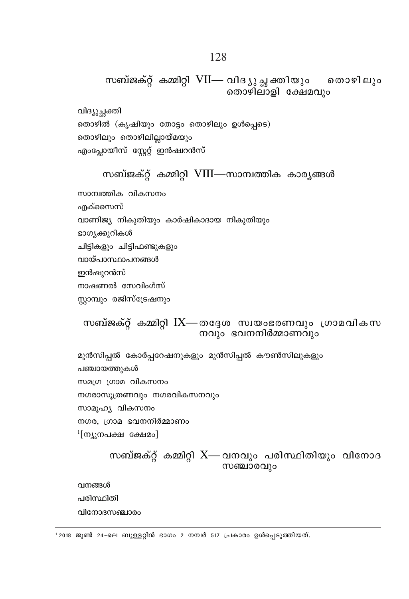സബ്ജക്റ്റ് കമ്മിറ്റി VII— വിദ്യൂച്ഛക്തിയും തൊഴിലും തൊഴിലാളി ക്ഷേമവും

വിദ്യൂച്ചക്തി തൊഴിൽ (കൃഷിയും തോട്ടം തൊഴിലും ഉൾപ്പെടെ) തൊഴിലും തൊഴിലില്ലായ്മയും എംപ്ലോയീസ് സ്റ്റേറ്റ് ഇൻഷ്വറൻസ്

# സബ്ജക്റ്റ് കമ്മിറ്റി VIII—സാമ്പത്തിക കാര്യങ്ങൾ

സാമ്പത്തിക വികസനം ൶ക്സൈസ് വാണിജ്യ നികുതിയും കാർഷികാദായ നികുതിയും ഭാഗ്യക്കുറികൾ ചിട്ടികളും ചിട്ടിഫണ്ടുകളും വായ്പാസ്ഥാപനങ്ങൾ ഇൻഷുറൻസ് നാഷണൽ സേവിംഗ്സ് സ്ലാമ്പും രജിസ്ട്രേഷനും

# സബ്ജക്റ്റ് കമ്മിറ്റി  $IX$ — തദ്ദേശ സ്വയംഭരണവും ഗ്രാമവികസ നവും ഭവനനിർമ്മാണവും

മുൻസിപ്പൽ കോർപ്പറേഷനുകളും മുൻസിപ്പൽ കൗൺസിലുകളും പഞ്ചായത്തുകൾ സമഗ്ര ഗ്രാമ വികസനം നഗരാസുത്രണവും നഗരവികസനവും സാമൂഹ്യ വികസനം നഗര, ഗ്രാമ ഭവനനിർമ്മാണം ്[ന്യുനപക്ഷ ക്ഷേമം]

# സബ്ജക്റ്റ് കമ്മിറ്റി  $X$ — വനവും പരിസ്ഥിതിയും വിനോദ സഞ്ചാരവും

വനങ്ങൾ പരിസ്ഥിതി വിനോദസഞ്ചാരം

' 2018 ജൂൺ 24-ലെ ബുള്ളറ്റിൻ ഭാഗം 2 നമ്പർ 517 പ്രകാരം ഉൾപ്പെടുത്തിയത്.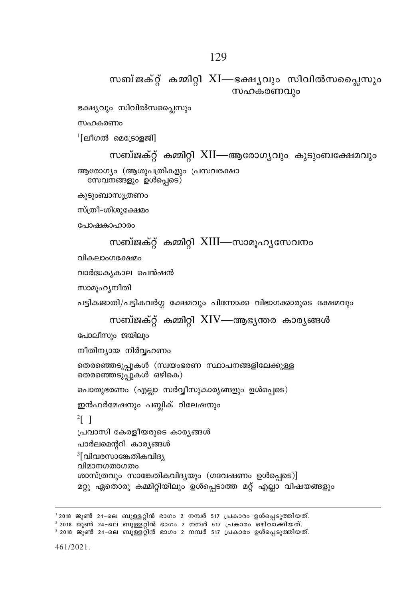' 2018 ജൂൺ 24-ലെ ബുള്ളറ്റിൻ ഭാഗം 2 നമ്പർ 517 പ്രകാരം ഉൾപ്പെടുത്തിയത്. ് 2018 ജൂൺ 24–ലെ ബുള്ളറ്റിൻ ഭാഗം 2 നമ്പർ 517 പ്രകാരം ഒഴിവാക്കിയത്.<br>ീ 2018 ജൂൺ 24–ലെ ബുള്ളറ്റിൻ ഭാഗം 2 നമ്പർ 517 പ്രകാരം ഉൾപ്പെടുത്തിയത്.

```
പോലീസും ജയിലും
നീതിന്യായ നിർവ്വഹണം
തെരഞ്ഞെടുപ്പുകൾ (സ്വയംഭരണ സ്ഥാപനങ്ങളിലേക്കുള്ള
തെരഞ്ഞെടുപ്പുകൾ ഒഴികെ)
പൊതുഭരണം (എല്ലാ സർവ്വീസുകാര്യങ്ങളും ഉൾപ്പെടെ)
ഇൻഫർമേഷനും പബ്ലിക് റിലേഷനും
2 \lceil \rceilപ്രവാസി കേരളീയരുടെ കാരൃങ്ങൾ
പാർലമെന്ററി കാര്യങ്ങൾ
3[വിവരസാങ്കേതികവിദ്യ
വിമാനഗതാഗതം
ശാസ്ത്രവും സാങ്കേതികവിദ്യയും (ഗവേഷണം ഉൾപ്പെടെ)]
മറ്റു ഏതൊരു കമ്മിറ്റിയിലും ഉൾപ്പെടാത്ത മറ്റ് എല്ലാ വിഷയങ്ങളും
```

```
സബ്ജക്റ്റ് കമ്മിറ്റി XIV—ആഭ്യന്തര കാര്യങ്ങൾ
```
സാമുഹ്യനീതി പട്ടികജാതി/പട്ടികവർഗ്ഗ ക്ഷേമവും പിന്നോക്ക വിഭാഗക്കാരുടെ ക്ഷേമവും

വാർദ്ധകൃകാല പെൻഷൻ

വികലാംഗക്ഷേമം

```
സബ്ജക്റ്റ് കമ്മിറ്റി XIII—സാമുഹൃസേവനം
```
പോഷകാഹാരം

സ്ത്രീ-ശിശുക്ഷേമം

കുടുംബാസൂത്രണം

ആരോഗ്യം (ആശുപത്രികളും പ്രസവരക്ഷാ സേവനങ്ങളും ഉൾപ്പെടെ)

```
സബ്ജക്റ്റ് കമ്മിറ്റി XII—ആരോഗ്യവും കുടുംബക്ഷേമവും
```
 $\frac{1}{2}$ [ലീഗൽ മെട്രോളജി]

സഹകരണം

```
ഭക്ഷ്യവും സിവിൽസപ്ലൈസും
```
സബ്ജക്റ് കമ്മിറ്റി  $XI$ —ഭക്ഷ്യവും സിവിൽസപ്പൈസും സഹകരണവും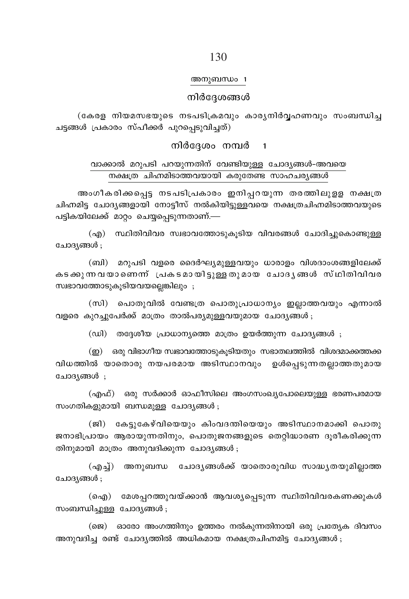### 130

#### അനുബന്ധം 1

#### നിർദേശങ്ങൾ

(കേരള നിയമസഭയുടെ നടപടിക്രമവും കാര്യനിർവ്വഹണവും സംബന്ധിച്ച ചട്ടങ്ങൾ പ്രകാരം സ്പീക്കർ പുറപെടുവിചത്)

### നിർദ്ദേശം നമ്പർ 1

# വാക്കാൽ മറുപടി പറയുന്നതിന് വേണ്ടിയുള്ള ചോദ്യങ്ങൾ-അവയെ നക്ഷത്ര ചിഹ്നമിടാത്തവയായി കരുതേണ്ട സാഹചര്യങ്ങൾ

അംഗീകരിക്കപ്പെട്ട നടപടിപ്രകാരം ഇനിപ്പറയുന്ന തരത്തിലുളള നക്ഷത്ര ചിഹ്നമിട്ട ചോദ്യങ്ങളായി നോട്ടീസ് നൽകിയിട്ടുളളവയെ നക്ഷത്രചിഹ്നമിടാത്തവയുടെ പട്ടികയിലേക്ക് മാറ്റം ചെയ്യപ്പെടുന്നതാണ്.—

(എ) സ്ഥിതിവിവര സ്വഭാവത്തോടുകൂടിയ വിവരങ്ങൾ ചോദിച്ചുകൊണ്ടുള്ള ചോദ്യങ്ങൾ :

(ബി) മറുപടി വളരെ ദൈർഘ്യമുള്ളവയും ധാരാളം വിശദാംശങ്ങളിലേക്ക് കടക്കുന്ന വയാണെന്ന് പ്രകടമായിട്ടുള്ള തുമായ ചോദൃങ്ങൾ സ്ഥിതിവിവര സ്വഭാവത്തോടുകൂടിയവയല്ലെങ്കിലും;

(സി) പൊതുവിൽ വേണ്ടത്ര പൊതുപ്രാധാന്യം ഇല്ലാത്തവയും എന്നാൽ വളരെ കുറച്ചുപേർക്ക് മാത്രം താൽപര്യമുള്ളവയുമായ ചോദ്യങ്ങൾ;

(ഡി) തദ്ദേശീയ പ്രാധാന്യത്തെ മാത്രം ഉയർത്തുന്ന ചോദ്യങ്ങൾ ;

(ഇ) ഒരു വിഭാഗീയ സ്വഭാവത്തോടുകൂടിയതും സഭാതലത്തിൽ വിശദമാക്കത്തക്ക വിധത്തിൽ യാതൊരു നയപരമായ അടിസ്ഥാനവും ഉൾപ്പെടുന്നതല്ലാത്തതുമായ ചോദ്യങ്ങൾ ;

(എഫ്) ഒരു സർക്കാർ ഓഫീസിലെ അംഗസംഖ്യപോലെയുള്ള ഭരണപരമായ സംഗതികളുമായി ബന്ധമുള്ള ചോദ്യങ്ങൾ;

(ജി) കേട്ടുകേഴ്വിയെയും കിംവദന്തിയെയും അടിസ്ഥാനമാക്കി പൊതു ജനാഭിപ്രായം ആരായുന്നതിനും, പൊതുജനങ്ങളുടെ തെറ്റിദ്ധാരണ ദൂരീകരിക്കുന്ന തിനുമായി മാത്രം അനുവദിക്കുന്ന ചോദ്യങ്ങൾ ;

(എച്ച്) അനുബന്ധ ചോദൃങ്ങൾക്ക് യാതൊരുവിധ സാദ്ധ്യതയുമില്ലാത്ത ചോദ്യങ്ങൾ ;

(ഐ) മേശപ്പറത്തുവയ്ക്കാൻ ആവശ്യപ്പെടുന്ന സ്ഥിതിവിവരകണക്കുകൾ സംബന്ധിച്ചുള്ള ചോദ്യങ്ങൾ;

(ജെ) ഓരോ അംഗത്തിനും ഉത്തരം നൽകുന്നതിനായി ഒരു പ്രത്യേക ദിവസം അനുവദിച്ച രണ്ട് ചോദൃത്തിൽ അധികമായ നക്ഷത്രചിഹ്നമിട്ട ചോദൃങ്ങൾ ;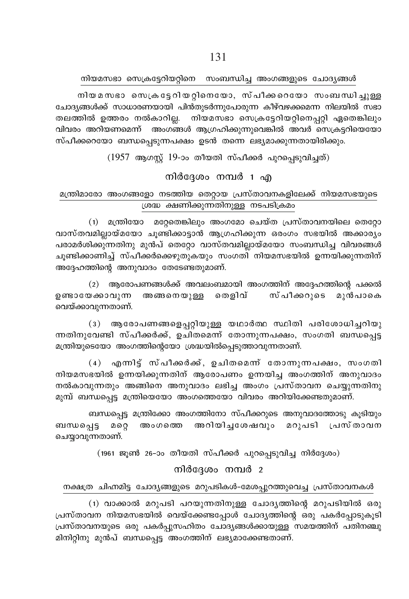#### നിയമസഭാ സെക്രട്ടേറിയറ്റിനെ സംബന്ധിച്ച അംഗങ്ങളുടെ ചോദ്യങ്ങൾ

നിയമസഭാ സെക്രട്ടേറിയറ്റിനെയോ, സ്പീക്കറെയോ സംബന്ധിച്ചുള്ള ചോദ്യങ്ങൾക്ക് സാധാരണയായി പിൻതുടർന്നുപോരുന്ന കീഴ്വഴക്കമെന്ന നിലയിൽ സഭാ തലത്തിൽ ഉത്തരം നൽകാറില്ല. നിയമസഭാ സെക്രട്ടേറിയറ്റിനെപ്പറ്റി ഏതെങ്കിലും വിവരം അറിയണമെന്ന് അംഗങ്ങൾ ആഗ്രഹിക്കുന്നുവെങ്കിൽ അവർ സെക്രട്ടറിയെയോ സ്പീക്കറെയോ ബന്ധപ്പെടുന്നപക്ഷം ഉടൻ തന്നെ ലഭ്യമാക്കുന്നതായിരിക്കും.

 $(1957$  ആഗസ്റ്റ് 19-ാം തീയതി സ്പീക്കർ പുറപ്പെടുവിച്ചത്)

### നിർദ്ദേശം നമ്പർ 1 എ

# മന്ത്രിമാരോ അംഗങ്ങളോ നടത്തിയ തെറ്റായ പ്രസ്താവനകളിലേക്ക് നിയമസഭയുടെ ശ്രദ്ധ ക്ഷണിക്കുന്നതിനുള്ള നടപടിക്രമം

(1) മന്ത്രിയോ മറ്റേതെങ്കിലും അംഗമോ ചെയ്ത പ്രസ്താവനയിലെ തെറ്റോ വാസ്തവമില്ലായ്മയോ ചുണ്ടിക്കാട്ടാൻ ആഗ്രഹിക്കുന്ന ഒരംഗം സഭയിൽ അക്കാര്യം പരാമർശിക്കുന്നതിനു മുൻപ് തെറ്റോ വാസ്തവമില്ലായ്മയോ സംബന്ധിച്ച വിവരങ്ങൾ ചുണ്ടിക്കാണിച്ച് സ്പീക്കർക്കെഴുതുകയും സംഗതി നിയമസഭയിൽ ഉന്നയിക്കുന്നതിന് അദ്ദേഹത്തിന്റെ അനുവാദം തേടേണ്ടതുമാണ്.

(2) ആരോപണങ്ങൾക്ക് അവലംബമായി അംഗത്തിന് അദ്ദേഹത്തിന്റെ പക്കൽ ഉണ്ടായേക്കാവുന്ന അങ്ങനെയുള്ള തെളിവ് സ്പീക്കറുടെ മുൻപാകെ വെയ്ക്കാവുന്നതാണ്.

(3) ആരോപണങ്ങളെപ്പറ്റിയുള്ള യഥാർത്ഥ സ്ഥിതി പരിശോധിച്ചറിയു ന്നതിനുവേണ്ടി സ്പീക്കർക്ക്, ഉചിതമെന്ന് തോന്നുന്നപക്ഷം, സംഗതി ബന്ധപ്പെട്ട മന്ത്രിയുടെയോ അംഗത്തിന്റെയോ ശ്രദ്ധയിൽപ്പെടുത്താവുന്നതാണ്.

(4) എന്നിട്ട് സ്പീക്കർക്ക്, ഉചിതമെന്ന് തോന്നുന്നപക്ഷം, സംഗതി നിയമസഭയിൽ ഉന്നയിക്കുന്നതിന് ആരോപണം ഉന്നയിച്ച അംഗത്തിന് അനുവാദം നൽകാവുന്നതും അങ്ങിനെ അനുവാദം ലഭിച്ച അംഗം പ്രസ്താവന ചെയ്യുന്നതിനു മുമ്പ് ബന്ധപ്പെട്ട മന്ത്രിയെയോ അംഗത്തെയോ വിവരം അറിയിക്കേണ്ടതുമാണ്.

ബന്ധപ്പെട്ട മന്ത്രിക്കോ അംഗത്തിനോ സ്പീക്കറുടെ അനുവാദത്തോടു കൂടിയും ബന്ധപ്പെട്ട അറിയിച്ചശേഷവും മറുപടി പ്രസ്താവന മറ്റെ അംഗത്തെ ചെയ്യാവുന്നതാണ്.

(1961 ജൂൺ 26-ാം തീയതി സ്പീക്കർ പുറപ്പെടുവിച്ച നിർദ്ദേശം)

# നിർദ്ദേശം നമ്പർ 2

### നക്ഷത്ര ചിഹ്നമിട്ട ചോദ്യങ്ങളുടെ മറുപടികൾ-മേശപ്പുറത്തുവെച്ച പ്രസ്താവനകൾ

(1) വാക്കാൽ മറുപടി പറയുന്നതിനുള്ള ചോദൃത്തിന്റെ മറുപടിയിൽ ഒരു പ്രസ്താവന നിയമസഭയിൽ വെയ്ക്കേണ്ടപ്പോൾ ചോദ്യത്തിന്റെ ഒരു പകർപ്പോടുകൂടി പ്രസ്താവനയുടെ ഒരു പകർപ്പുസഹിതം ചോദ്യങ്ങൾക്കായുള്ള സമയത്തിന് പതിനഞ്ചു മിനിറ്റിനു മുൻപ് ബന്ധപ്പെട്ട അംഗത്തിന് ലഭ്യമാക്കേണ്ടതാണ്.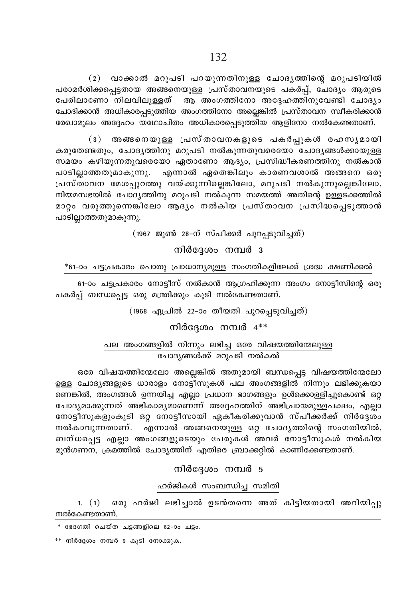(2) വാക്കാൽ മറുപടി പറയുന്നതിനുള്ള ചോദൃത്തിന്റെ മറുപടിയിൽ പരാമർശിക്കപ്പെട്ടതായ അങ്ങനെയുള്ള പ്രസ്താവനയുടെ പകർപ്പ്, ചോദ്യം ആരുടെ പേരിലാണോ നിലവിലുള്ളത് ആ അംഗത്തിനോ അദ്ദേഹത്തിനുവേണ്ടി ചോദ്യം ചോദിക്കാൻ അധികാരപ്പടുത്തിയ അംഗത്തിനോ അല്ലെങ്കിൽ പ്രസ്താവന സ്വീകരിക്കാൻ രേഖാമൂലം അദ്ദേഹം യഥോചിതം അധികാരപ്പെടുത്തിയ ആളിനോ നൽകേണ്ടതാണ്.

(3) അങ്ങനെയുള്ള പ്രസ്താവനകളുടെ പകർപ്പുകൾ രഹസൃമായി കരുതേണ്ടതും, ചോദൃത്തിനു മറുപടി നൽകുന്നതുവരെയോ ചോദൃങ്ങൾക്കായുള്ള സമയം കഴിയുന്നതുവരെയോ ഏതാണോ ആദ്യം, പ്രസിദ്ധീകരണത്തിനു നൽകാൻ പാടില്ലാത്തതുമാകുന്നു. എന്നാൽ ഏതെങ്കിലും കാരണവശാൽ അങ്ങനെ ഒരു പ്രസ്താവന മേശപ്പുറത്തു വയ്ക്കുന്നില്ലെങ്കിലോ, മറുപടി നൽകുന്നുല്ലെങ്കിലോ, നിയമസഭയിൽ ചോദ്യത്തിനു മറുപടി നൽകുന്ന സമയത്ത് അതിന്റെ ഉള്ളട്ക്കത്തിൽ മാറ്റം വരുത്തുന്നെങ്കിലോ ആദ്യം നൽകിയ പ്രസ്താവന പ്രസിദ്ധപ്പെടുത്താൻ പാടില്ലാത്തതുമാകുന്നു.

(1967 ജൂൺ 28-ന് സ്പീക്കർ പുറപ്പടുവിച്ചത്)

നിർദേശം നമ്പർ 3

\*61-ാം ചട്ടപ്രകാരം പൊതു പ്രാധാന്യമുള്ള സംഗതികളിലേക്ക് ശ്രദ്ധ ക്ഷണിക്കൽ

61-ാം ചട്ടപ്രകാരം നോട്ടീസ് നൽകാൻ ആഗ്രഹിക്കുന്ന അംഗം നോട്ടീസിന്റെ ഒരു പകർപ്പ് ബന്ധപ്പെട്ട ഒരു മന്ത്രിക്കും കൂടി നൽകേണ്ടതാണ്.

(1968 ഏപ്രിൽ 22-ാം തീയതി പുറപ്പെടുവിച്ചത്)

നിർദേശം നമ്പർ  $4**$ 

പല അംഗങ്ങളിൽ നിന്നും ലഭിച്ച ഒരേ വിഷയത്തിന്മേലുള്ള ചോദ്യങ്ങൾക്ക് മറുപടി നൽകൽ

ഒരേ വിഷയത്തിന്മേലോ അല്ലെങ്കിൽ അതുമായി ബന്ധപ്പെട്ട വിഷയത്തിന്മേലോ <u>ഉള്ള ചോദ്യങ്ങളുടെ ധാരാളം നോട്ടീസുകൾ പല അംഗങ്ങളിൽ നിന്നും ലഭിക്കുകയാ</u> ണെങ്കിൽ, അംഗങ്ങൾ ഉന്നയിച്ച എല്ലാ പ്രധാന ഭാഗങ്ങളും ഉൾക്കൊള്ളിച്ചുകൊണ്ട് ഒറ്റ ചോദൃമാക്കുന്നത് അഭികാമൃമാണെന്ന് അദ്ദേഹത്തിന് അഭിപ്രായമുള്ളപക്ഷം, എല്ലാ നോട്ടീസുകളുംകൂടി ഒറ്റ നോട്ടീസായി ഏകീകരിക്കുവാൻ സ്പീക്കർക്ക് നിർദ്ദേശം നൽകാവുന്നതാണ്. എന്നാൽ അങ്ങനെയുള്ള ഒറ്റ ചോദൃത്തിന്റെ സംഗതിയിൽ, ബന്ധപ്പെട്ട എല്ലാ അംഗങ്ങളുടെയും പേരുകൾ അവർ നോട്ടീസുകൾ നൽകിയ മുൻഗണന, ക്രമത്തിൽ ചോദ്യത്തിന് എതിരെ ബ്രാക്കറ്റിൽ കാണിക്കേണ്ടതാണ്.

നിർദേശം നമ്പർ 5

ഹർജികൾ സംബന്ധിച്ച സമിതി

1. (1) ഒരു ഹർജി ലഭിച്ചാൽ ഉടൻതന്നെ അത് കിട്ടിയതായി അറിയിപ്പു നൽകേണ്ടതാണ്.

<sup>\*</sup> ഭേദഗതി ചെയ്ത ചട്ടങ്ങളിലെ 62-ാം ചട്ടം.

<sup>\*\*</sup> നിർദ്ദേശം നമ്പർ 9 കൂടി നോക്കുക.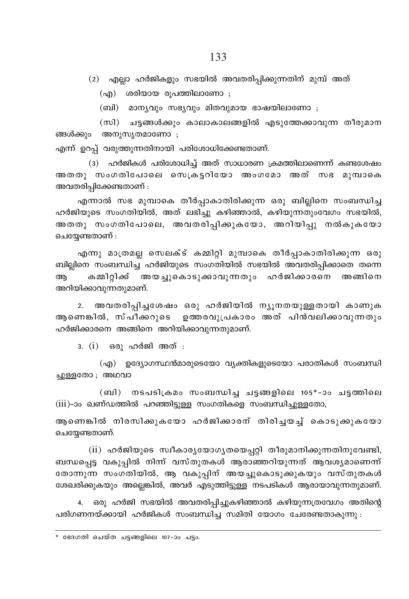(2) എല്ലാ ഹർജികളും സഭയിൽ അവതരിപ്പിക്കുന്നതിന് മുമ്പ് അത്

(എ) ശരിയായ രൂപത്തിലാണോ ;

(ബി) മാന്യവും സഭ്യവും മിതവുമായ ഭാഷയിലാണോ ;

(സി) ചട്ടങ്ങൾക്കും കാലാകാലങ്ങളിൽ എടുത്തേക്കാവുന്ന തീരുമാന ങ്ങൾക്കും അനുസ്യതമാണോ ;

എന്ന് ഉറപ്പ് വരുത്തുന്നതിനായി പരിശോധിക്കേണ്ടതാണ്.

(3) ഹർജികൾ പരിശോധിച്ച് അത് സാധാരണ ക്രമത്തിലാണെന്ന് കണ്ടശേഷം അതതു സംഗതിപോലെ സെക്രട്ടറിയോ അംഗമോ അത് സഭ മുമ്പാകെ അവതരിപ്പിക്കേണ്ടതാണ് :

എന്നാൽ സഭ മുമ്പാകെ തീർപ്പാകാതിരിക്കുന്ന ഒരു ബില്ലിനെ സംബന്ധിച്ച ഹർജിയുടെ സംഗതിയിൽ, അത് ലഭിച്ചു കഴിഞ്ഞാൽ, കഴിയുന്നതുംവേഗം സഭയിൽ, അതതു സംഗതിപോലെ, അവതരിപ്പിക്കുകയോ, അറിയിപ്പു നൽകുകയോ ചെയ്യേണ്ടതാണ് :

എന്നു മാത്രമല്ല സെലക്ട് കമ്മിറ്റി മുമ്പാകെ തീർപ്പാകാതിരിക്കുന്ന ഒരു ബില്ലിനെ സംബന്ധിച്ച ഹർജിയുടെ സംഗതിയിൽ സഭയിൽ അവതരിപ്പിക്കാതെ തന്നെ അ കമ്മിറ്റിക്ക് അയച്ചുകൊടുക്കാവുന്നതും ഹർജിക്കാരനെ അങ്ങിനെ അറിയിക്കാവുന്നതുമാണ്.

2. അവതരിപ്പിച്ചശേഷം ഒരു ഹർജിയിൽ ന്യൂനതയുള്ളതായി കാണുക ആണെങ്കിൽ, സ്പീക്കറുടെ ഉത്തരവുപ്രകാരം അത് പിൻവലിക്കാവുന്നതും ഹർജിക്കാരനെ അങ്ങിനെ അറിയിക്കാവുന്നതുമാണ്.

3. (i) ഒരു ഹർജി അത് :

(എ) ഉദ്യോഗസ്ഥൻമാരുടെയോ വ്യക്തികളുടെയോ പരാതികൾ സംബന്ധി ചുള്ളതോ ; അഥവാ

(ബി) നടപടിക്രമം സംബന്ധിച്ച ചട്ടങ്ങളിലെ 105\*-ാം ചട്ടത്തിലെ (iii)-ാം ഖണ്ഡത്തിൽ പറഞ്ഞിട്ടുള്ള സംഗതികളെ സംബന്ധിച്ചുള്ളതോ,

ആണെങ്കിൽ നിരസിക്കുകയോ ഹർജിക്കാരന് തിരിച്ചയച്ച് കൊടുകുകയോ ചെയേണ്ടതാണ്.

(ii) ഹർജിയുടെ സ്ഥീകാര്യയോഗ്യതയെപ്പറ്റി തീരുമാനിക്കുന്നതിനുവേണ്ടി, ബന്ധപ്പെട്ട വകുപ്പിൽ നിന്ന് വസ്തുതകൾ ആരാഞ്ഞറിയുന്നത് ആവശ്യമാണെന്ന് തോന്നുന്ന സംഗതിയിൽ, ആ വകുപ്പിന് അയച്ചുകൊടുക്കുകയും വസ്തുതകൾ ശേഖരിക്കുകയും അല്ലെങ്കിൽ, അവർ എടുത്തിട്ടുള്ള നടപടികൾ ആരായാവുന്നതുമാണ്.

ഒരു ഹർജി സഭയിൽ അവതരിപ്പിച്ചുകഴിഞ്ഞാൽ കഴിയുന്നത്രവേഗം അതിന്റെ  $4.$ പരിഗണനയ്ക്കായി ഹർജികൾ സംബന്ധിച്ച സമിതി യോഗം ചേരേണ്ടതാകുന്നു :

<sup>\*</sup> ഭേദഗതി ചെയ്ത ചട്ടങ്ങളിലെ 107-ാം ചട്ടം.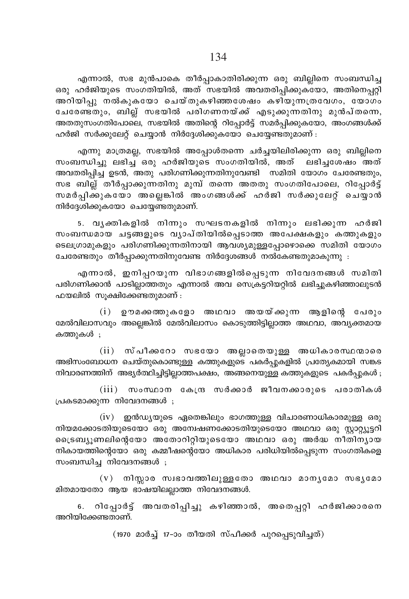എന്നാൽ, സഭ മുൻപാകെ തീർപ്പാകാതിരിക്കുന്ന ഒരു ബില്ലിനെ സംബന്ധിച്ച .<br>ഒരു ഹർജിയുടെ സംഗതിയിൽ, അത് സഭയിൽ അവതരിപ്പിക്കുകയോ, അതിനെപ്പറ്റി അറിയിപ്പു നൽകുകയോ ചെയ്തുകഴിഞ്ഞശേഷം കഴിയുന്നത്രവേഗം, യോഗം ചേരേണ്ടതും, ബില്ല് സഭയിൽ പരിഗണനയ്ക്ക് എടുക്കുന്നതിനു മുൻപ്തന്നെ, AXXpkwKXnt]mse, k`bn¬ AXns' dnt∏m¿´v ka¿∏n°pItbm, AwK߃°v ഹർജി സർക്കുലേറ്റ് ചെയ്യാൻ നിർദ്ദേശിക്കുകയോ ചെയ്യേണ്ടതുമാണ് $\colon$ 

എന്നു മാത്രമല്ല, സഭയിൽ അപ്പോൾതന്നെ ചർച്ചയിലിരിക്കുന്ന ഒരു ബില്ലിനെ സംബന്ധിച്ചു ലഭിച്ച് ഒരു ഹർജിയുടെ സംഗതിയിൽ, അത് ലഭിച്ചശേഷം അത് അവതരിപ്പിച്ച ഉടൻ, അതു പരിഗണിക്കുന്നതിനുവേണ്ടി സമിതി യോഗം ചേരേണ്ടതും, സഭ ബില്ല് തീർപ്പാക്കുന്നതിനു മുമ്പ് തന്നെ അതതു സംഗതിപോലെ, റിപ്പോർട്ട് സമർപ്പിക്കുകയോ അല്ലെങ്കിൽ അംഗങ്ങൾക്ക് ഹർജി സർക്കുലേറ്റ് ചെയ്യാൻ നിർദ്ദേശിക്കുകയോ ചെയ്യേണ്ടതുമാണ്.

5. വൃക്തികളിൽ നിന്നും സഘടനകളിൽ നിന്നും ലഭിക്കുന്ന ഹർജി സംബന്ധമായ ചട്ടങ്ങളുടെ വ്യാപ്തിയിൽപ്പെടാത്ത അപേക്ഷകളും കത്തുകളും ടെലഗ്രാമുകളും പരിഗണിക്കുന്നതിനായി ആവശ്യമുള്ളപ്പോഴൊക്കെ സമിതി യോഗം ചേരേണ്ടതും തീർപ്പാക്കുന്നതിനുവേണ്ട നിർദ്ദേശങ്ങൾ നൽകേണ്ടതുമാകുന്നു :

എന്നാൽ, ഇനിപ്പറയുന്ന വിഭാഗങ്ങളിൽപ്പെടുന്ന നിവേദനങ്ങൾ സമിതി പരിഗണിക്കാൻ പാടില്ലാത്തതും എന്നാൽ അവ സെക്രട്ടറിയറ്റിൽ ലഭിച്ചുകഴിഞ്ഞാലുടൻ  $\Delta$ ഹയലിൽ സുക്ഷിക്കേണ്ടതുമാണ് :

 $(i)$  ഉൗമക്കത്തുകളോ അഥവാ അയയ്ക്കുന്ന ആളിന്റെ പേരും മേൽവിലാസവും അല്ലെങ്കിൽ മേൽവിലാസം കൊടുത്തിട്ടില്ലാത്ത അഥവാ, അവൃക്തമായ കത്തുകൾ ;

 $(i)$  സ്പീകാറോ സഭയോ അല്ലാതെയുള്ള അധികാരസ്ഥന്മാരെ അഭിസംബോധന ചെയ്തുകൊണ്ടുള്ള കത്തുകളുടെ പകർപ്പുകളിൽ പ്രത്യേകമായി സങ്കട  $\rm m$ ിവാരണത്തിന് അഭ്യർത്ഥിച്ചിട്ടില്ലാത്തപക്ഷം, അങ്ങനെയുള്ള കത്തുകളുടെ പകർപ്പുകൾ ;

 $(iii)$  സംസ്ഥാന കേന്ദ്ര സർക്കാർ ജീവനക്കാരുടെ പരാതികൾ (പകടമാക്കുന്ന നിവേദനങ്ങൾ ;

 $(iv)$  ഇൻഡ്യയുടെ ഏതെങ്കിലും ഭാഗത്തുള്ള വിചാരണാധികാരമുള്ള ഒരു നിയമക്കോടതിയുടെയോ ഒരു അന്വേഷണക്കോടതിയുടെയോ അഥവാ ഒരു സ്റ്റാറ്റ്യൂട്ടറി ട്രൈബ്യൂണലിന്റെയോ അതോറിറ്റിയുടെയോ അഥവാ ഒരു അർദ്ധ നീതിന്യായ നികായത്തിന്റെയോ ഒരു കമ്മീഷന്റെയോ അധികാര പരിധിയിൽപ്പെടുന്ന സംഗതികളെ  $m$ ംബന്ധിച്ച നിവേദനങ്ങൾ;

 $(v)$  നിസ്സാര സ്വഭാവത്തിലുള്ളതോ അഥവാ മാനൃമോ സഭൃമോ മിതമായതോ ആയ ഭാഷയിലല്ലാത്ത നിവേദനങ്ങൾ.

6. റിപ്പോർട്ട് അവതരിപ്പിച്ചു കഴിഞ്ഞാൽ, അതെപ്പറ്റി ഹർജിക്കാരനെ അറിയിക്കേണ്ടതാണ്.

(1970 മാർച്ച് 17-ാം തീയതി സ്പീക്കർ പുറപ്പെടുവിച്ചത്)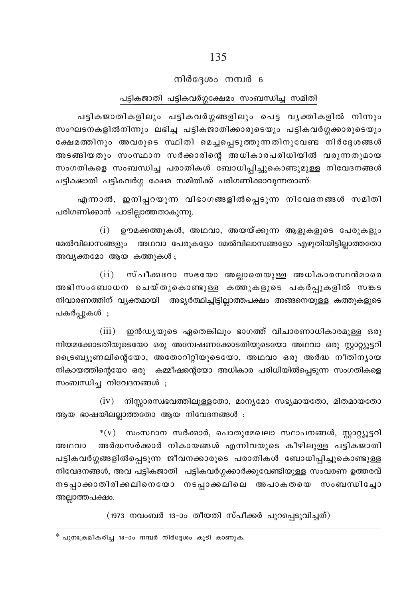### നിർദ്ദേശം നമ്പർ 6

#### പട്ടികജാതി പട്ടികവർഗ്ഗക്ഷേമം സംബന്ധിച്ച സമിതി

പട്ടികജാതികളിലും പട്ടികവർഗ്ഗങ്ങളിലും പെട്ട വൃക്തികളിൽ നിന്നും സംഘടനകളിൽനിന്നും ലഭിച്ച പട്ടികജാതിക്കാരുടെയും പട്ടികവർഗ്ഗക്കാരുടെയും ക്ഷേമത്തിനും അവരുടെ സ്ഥിതി മെച്ചപ്പെടുത്തുന്നതിനുവേണ്ട നിർദ്ദേശങ്ങൾ അടങ്ങിയതും സംസ്ഥാന സർക്കാരിന്റെ അധികാരപരിധിയിൽ വരുന്നതുമായ സംഗതികളെ സംബന്ധിച്ച പരാതികൾ ബോധിപ്പിച്ചുകൊണ്ടുമുള്ള നിവേദനങ്ങൾ പട്ടികജാതി പട്ടികവർഗ്ഗ ക്ഷേമ സമിതിക്ക് പരിഗണിക്കാവുന്നതാണ്:

എന്നാൽ, ഇനിപ്പറയുന്ന വിഭാഗങ്ങളിൽപ്പെടുന്ന നിവേദനങ്ങൾ സമിതി പരിഗണിക്കാൻ പാടില്ലാത്തതാകുന്നു.

 $(i)$  ഉൗമക്കത്തുകൾ, അഥവാ, അയയ്ക്കുന്ന ആളുകളുടെ പേരുകളും മേൽവിലാസങ്ങളും അഥവാ പേരുകളോ മേൽവിലാസങ്ങളോ എഴുതിയിട്ടില്ലാത്തതോ അവ്യക്തമോ ആയ കത്തുകൾ;

 $(ii)$ സ്പീക്കറോ സഭയോ അല്ലാതെയുള്ള അധികാരസ്ഥൻമാരെ അഭിസംബോധന ചെയ്തുകൊണ്ടുള്ള കത്തുകളുടെ പകർപ്പുകളിൽ സങ്കട നിവാരണത്തിന് വ്യക്തമായി അഭ്യർത്ഥിച്ചിട്ടില്ലാത്തപക്ഷം അങ്ങനെയുള്ള കത്തുകളുടെ പകർപ്പുകൾ ;

 $(iii)$ ഇൻഡ്യയുടെ ഏതെങ്കിലും ഭാഗത്ത് വിചാരണാധികാരമുള്ള ഒരു നിയമക്കോടതിയുടെയോ ഒരു അന്വേഷണക്കോടതിയുടെയോ അഥവാ ഒരു സ്റ്റാറ്റ്യൂട്ടറി ട്രൈബ്യൂണലിന്റെയോ, അതോറിറ്റിയുടെയോ, അഥവാ ഒരു അർദ്ധ നീതിന്യായ നികായത്തിന്റെയോ ഒരു കമ്മീഷന്റെയോ അധികാര പരിധിയിൽപ്പെടുന്ന സംഗതികളെ സംബന്ധിച്ച നിവേദനങ്ങൾ ;

 $(iv)$  നിസ്സാരസ്വഭവത്തിലുള്ളതോ, മാനൃമോ സഭ്യമായതോ, മിതമായതോ ആയ ഭാഷയിലല്ലാത്തതോ ആയ നിവേദനങ്ങൾ ;

 $*(v)$  സംസ്ഥാന സർക്കാർ, പൊതുമേഖലാ സ്ഥാപനങ്ങൾ, സ്റ്റാറ്റ്യൂട്ടറി അർദ്ധസർക്കാർ നികായങ്ങൾ എന്നിവയുടെ കീഴിലുള്ള പട്ടികജാതി അഥവാ പട്ടികവർഗ്ഗങ്ങളിൽപ്പെടുന്ന ജീവനക്കാരുടെ പരാതികൾ ബോധിപ്പിച്ചുകൊണ്ടുള്ള നിവേദനങ്ങൾ, അവ പട്ടികജാതി പട്ടികവർഗ്ഗക്കാർക്കുവേണ്ടിയുള്ള സംവരണ ഉത്തരവ് നടപ്പാക്കാതിരിക്കലിനെയോ നടപ്പാക്കലിലെ അപാകതയെ സംബന്ധിച്ചോ അല്ലാത്തപക്ഷം.

(1973 നവംബർ 13-ാം തീയതി സ്പീക്കർ പുറപ്പെടുവിച്ചത്)

 $*$  പുനഃക്രമീകരിച്ച 18-ാം നമ്പർ നിർദ്ദേശം കൂടി കാണുക.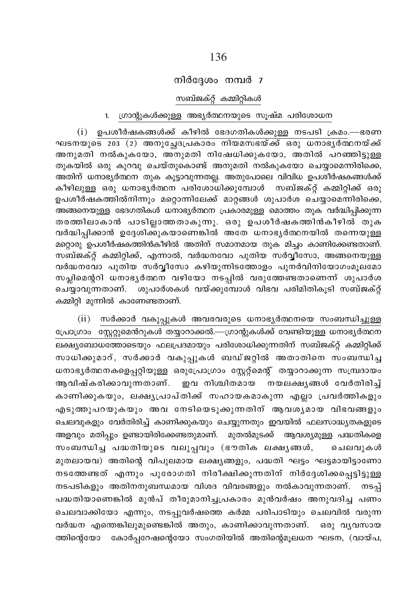### നിർദ്ദേശം നമ്പർ 7

#### സബ്ജക്റ് കമ്മിറ്റികൾ

# 1. ഗ്രാന്റുകൾക്കുള്ള അഭ്യർത്ഥനയുടെ സൂഷ്മ പരിശോധന

 $(i)$  ഉപശീർഷകങ്ങൾക്ക് കീഴിൽ ഭേദഗതികൾക്കുള്ള നടപടി ക്രമം.—ഭരണ ഘടനയുടെ 203 (2) അനുച്ഛേദപ്രകാരം നിയമസഭയ്ക്ക് ഒരു ധനാഭൃർത്ഥനയ്ക്ക് അനുമതി നൽകുകയോ, അനുമതി നിഷേധിക്കുകയോ, അതിൽ പറഞ്ഞിട്ടുള്ള തുകയിൽ ഒരു കുറവു ചെയ്തുകൊണ്ട് അനുമതി നൽകുകയോ ചെയ്യാമെന്നിരിക്കെ, അതിന് ധനാഭ്യർത്ഥന തുക കൂട്ടാവുന്നതല്ല. അതുപോലെ വിവിധ ഉപശീർഷകങ്ങൾക്ക് കീഴിലുള്ള ഒരു ധനാഭൃർത്ഥന പരിശോധിക്കുമ്പോൾ സബ്ജക്റ്റ് കമ്മിറ്റിക്ക് ഒരു ഉപശീർഷകത്തിൽനിന്നും മറ്റൊന്നിലേക്ക് മാറ്റങ്ങൾ ശുപാർശ ചെയ്യാമെന്നിരിക്കെ, അങ്ങനെയുള്ള ഭേദഗതികൾ ധനാഭ്യർത്ഥന പ്രകാരമുള്ള മൊത്തം തുക വർദ്ധിപ്പിക്കുന്ന തരത്തിലാകാൻ പാടില്ലാത്തതാകുന്നു. ഒരു ഉപശീർഷകത്തിൻകീഴിൽ തുക വർദ്ധിപിക്കാൻ ഉദ്ദേശിക്കുകയാണെങ്കിൽ അതേ ധനാഭൃർത്ഥനയിൽ തന്നെയുള്ള മറ്റൊരു ഉപശീർഷകത്തിൻകീഴിൽ അതിന് സമാനമായ തുക മിച്ചം കാണിക്കേണ്ടതാണ്. സബ്ജക്റ്റ് കമ്മിറ്റിക്ക്, എന്നാൽ, വർദ്ധനവോ പുതിയ സർവ്വീസോ, അങ്ങനെയുള്ള വർദ്ധനവോ പുതിയ സർവ്വീസോ കഴിയുന്നിടത്തോളം പുനർവിനിയോഗംമൂലമോ സപ്ലിമെന്ററി ധനാഭ്യർത്ഥന വഴിയോ നടപ്പിൽ വരുത്തേണ്ടതാണെന്ന് ശുപാർശ ചെയ്യാവുന്നതാണ്. ശുപാർശകൾ വയ്ക്കുമ്പോൾ വിഭവ പരിമിതികൂടി സബ്ജക്റ്റ് കമ്മിറ്റി മുന്നിൽ കാണേണ്ടതാണ്.

(ii) സർക്കാർ വകുപ്പുകൾ അവരവരുടെ ധനാഭൃർത്ഥനയെ സംബന്ധിച്ചുള്ള പ്രോഗ്രാം സ്റ്റേറ്റുമെൻറുകൾ തയ്യാറാക്കൽ.—ഗ്രാന്റുകൾക്ക് വേണ്ടിയുള്ള ധനാഭ്യർത്ഥന സാധിക്കുമാറ്, സർക്കാർ വകുപ്പുകൾ ബഡ്ജറ്റിൽ അതാതിനെ സംബന്ധിച്ച ധനാഭൃർത്ഥനകളെപ്പറ്റിയുള്ള ഒരുപ്രോഗ്രാം സ്റ്റേറ്റ്മെന്റ് തയ്യാറാക്കുന്ന സമ്പ്രദായം ആവിഷ്കരിക്കാവുന്നതാണ്. ഇവ നിശ്ചിതമായ നയലക്ഷ്യങ്ങൾ വേർതിരിച്ച് കാണിക്കുകയും, ലക്ഷൃപ്രാപ്തിക്ക് സഹായകമാകുന്ന എല്ലാ പ്രവർത്തികളും എടുത്തുപറയുകയും അവ നേടിയെടുക്കുന്നതിന് ആവശൃമായ വിഭവങ്ങളും ചെലവുകളും വേർതിരിച്ച് കാണിക്കുകയും ചെയ്യുന്നതും ഇവയിൽ ഫലസാദ്ധ്യതകളുടെ അളവും മതിപ്പും ഉണ്ടായിരിക്കേണ്ടതുമാണ്. മുതൽമുടക്ക് ആവശ്യമുള്ള പദ്ധതികളെ സംബന്ധിച്ച പദ്ധതിയുടെ വലുപ്പവും (ഭൗതിക ലക്ഷ്യങ്ങൾ, ചെലവുകൾ മുതലായവ) അതിന്റെ വിപുലമായ ലക്ഷ്യങ്ങളും, പദ്ധതി ഘട്ടം ഘട്ടമായിട്ടാണോ നടത്തേണ്ടത് എന്നും പുരോഗതി നിരീക്ഷിക്കുന്നതിന് നിർദ്ദേശിക്കപ്പെട്ടിട്ടുള്ള നടപടികളും അതിനനുബന്ധമായ വിശദ വിവരങ്ങളും നൽകാവുന്നതാണ്. നടപ്പ് പദ്ധതിയാണെങ്കിൽ മുൻപ് തീരുമാനിച്ചപ്രകാരം മുൻവർഷം അനുവദിച്ച പണം ചെലവാക്കിയോ എന്നും, നടപ്പുവർഷത്തെ കർമ്മ പരിപാടിയും ചെലവിൽ വരുന്ന വർദ്ധന എന്തെങ്കിലുമുണ്ടെങ്കിൽ അതും, കാണിക്കാവുന്നതാണ്. ഒരു വൃവസായ ത്തിന്റെയോ കോർപ്പറേഷന്റെയോ സംഗതിയിൽ അതിന്റെമൂലധന ഘടന, (വായ്പ,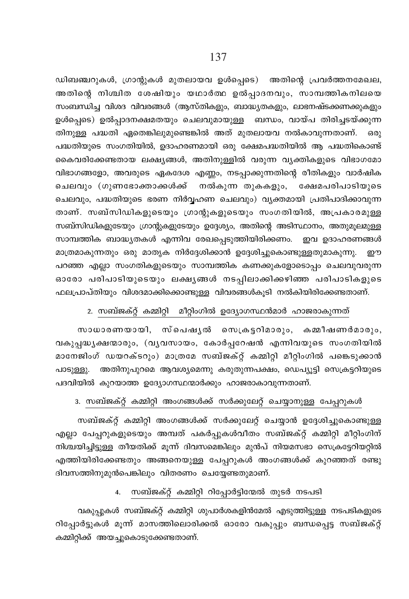ഡിബഞ്ചറുകൾ, ഗ്രാന്റുകൾ മുതലായവ ഉൾപ്പെടെ) അതിന്റെ പ്രവർത്തനമേഖല, അതിന്റെ നിശ്ചിത ശേഷിയും യഥാർത്ഥ ഉൽപ്പാദനവും, സാമ്പത്തികനിലയെ സംബന്ധിച്ച വിശദ വിവരങ്ങൾ (ആസ്തികളും, ബാദ്ധ്യതകളും, ലാഭനഷ്ടക്കണക്കുകളും ഉൾപ്പെടെ) ഉൽപ്പാദനക്ഷമതയും ചെലവുമായുള്ള ബന്ധം, വായ്പ തിരിച്ചടയ്ക്കുന്ന തിനുള്ള പദ്ധതി ഏതെങ്കിലുമുണ്ടെങ്കിൽ അത് മുതലായവ നൽകാവുന്നതാണ്. ഒരു പദ്ധതിയുടെ സംഗതിയിൽ, ഉദാഹരണമായി ഒരു ക്ഷേമപദ്ധതിയിൽ ആ പദ്ധതികൊണ്ട് കൈവരിക്കേണ്ടതായ ലക്ഷ്യങ്ങൾ, അതിനുള്ളിൽ വരുന്ന വ്യക്തികളുടെ വിഭാഗമോ വിഭാഗങ്ങളോ, അവരുടെ ഏകദേശ എണ്ണം, നടപ്പാക്കുന്നതിന്റെ രീതികളും വാർഷിക ചെലവും (ഗുണഭോക്താക്കൾക്ക് നൽകുന്ന തുകകളും, ക്ഷേമപരിപാടിയുടെ ചെലവും, പദ്ധതിയുടെ ഭരണ നിർവ്വഹണ ചെലവും) വ്യക്തമായി പ്രതിപാദിക്കാവുന്ന താണ്. സബ്സിഡികളുടെയും ഗ്രാന്റുകളുടെയും സംഗതിയിൽ, അപ്രകാരമുള്ള സബ്സിഡികളുടേയും ഗ്രാന്റുകളുടേയും ഉദ്ദേശ്യം, അതിന്റെ അടിസ്ഥാനം, അതുമൂലമുള്ള സാമ്പത്തിക ബാദ്ധ്യതകൾ എന്നിവ രേഖപ്പെടുത്തിയിരിക്കണം. ഇവ ഉദാഹരണങ്ങൾ മാത്രമാകുന്നതും ഒരു മാതൃക നിർദ്ദേശിക്കാൻ ഉദ്ദേശിച്ചുകൊണ്ടുള്ളതുമാകുന്നു. ഈ പറഞ്ഞ എല്ലാ സംഗതികളുടെയും സാമ്പത്തിക കണക്കുകളോടൊപ്പം ചെലവുവരുന്ന ഓരോ പരിപാടിയുടെയും ലക്ഷ്യങ്ങൾ നടപ്പിലാക്കിക്കഴിഞ്ഞ പരിപാടികളുടെ ഫലപ്രാപ്തിയും വിശദമാക്കിക്കൊണ്ടുള്ള വിവരങ്ങൾകൂടി നൽകിയിരിക്കേണ്ടതാണ്.

#### 2. സബ്ജക്റ്റ് കമ്മിറ്റി മീറ്റിംഗിൽ ഉദ്യോഗസ്ഥൻമാർ ഹാജരാകുന്നത്

സാധാരണയായി, സ്പെഷൃൽ സെക്രട്ടറിമാരും, കമ്മീഷണർമാരും, വകുപ്പദ്ധൃക്ഷന്മാരും, (വൃവസായം, കോർപ്പറേഷൻ എന്നിവയുടെ സംഗതിയിൽ മാനേജിംഗ് ഡയറക്ടറും) മാത്രമേ സബ്ജക്റ്റ് കമ്മിറ്റി മീറ്റിംഗിൽ പങ്കെടുക്കാൻ പാടുള്ളു. അതിനുപുറമെ ആവശ്യമെന്നു കരുതുന്നപക്ഷം, ഡെപ്യൂട്ടി സെക്രട്ടറിയുടെ പദവിയിൽ കുറയാത്ത ഉദ്യോഗസ്ഥന്മാർക്കും ഹാജരാകാവുന്നതാണ്.

# 3. സബ്ജക്റ്റ് കമ്മിറ്റി അംഗങ്ങൾക്ക് സർക്കുലേറ്റ് ചെയ്യാനുള്ള പേപ്പറുകൾ

സബ്ജക്റ്റ് കമ്മിറ്റി അംഗങ്ങൾക്ക് സർക്കുലേറ്റ് ചെയ്യാൻ ഉദ്ദേശിച്ചുകൊണ്ടുള്ള എല്ലാ പേപ്പറുകളുടെയും അമ്പത് പകർപ്പുകൾവീതം സബ്ജക്റ്റ് കമ്മിറ്റി മീറ്റിംഗിന് നിശ്ചയിച്ചിട്ടുള്ള തീയതിക്ക് മുന്ന് ദിവസമെങ്കിലും മുൻപ് നിയമസഭാ സെക്രട്ടേറിയറ്റിൽ എത്തിയിരിക്കേണ്ടതും അങ്ങനെയുള്ള പേപ്പറുകൾ അംഗങ്ങൾക്ക് കുറഞ്ഞത് രണ്ടു ദിവസത്തിനുമുൻപെങ്കിലും വിതരണം ചെയ്യേണ്ടതുമാണ്.

#### 4. സബ്ജക്റ്റ് കമ്മിറ്റി റിപ്പോർട്ടിന്മേൽ തുടർ നടപടി

വകുപ്പുകൾ സബ്ജക്റ്റ് കമ്മിറ്റി ശുപാർശകളിൻമേൽ എടുത്തിട്ടുള്ള നടപടികളുടെ റിപ്പോർട്ടുകൾ മൂന്ന് മാസത്തിലൊരിക്കൽ ഓരോ വകുപ്പും ബന്ധപ്പെട്ട സബ്ജക്റ്റ് കമ്മിറ്റിക്ക് അയച്ചുകൊടുക്കേണ്ടതാണ്.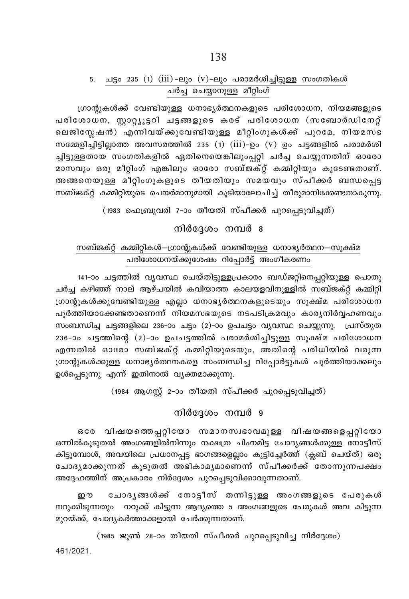# 5. ചട്ടം 235 (1) (iii) -ലും (v) -ലും പരാമർശിച്ചിട്ടുള്ള സംഗതികൾ <u>പർച്ച ചെയ്യാനുള്ള മീറ്റിംഗ്</u>

്രഗാന്റുകൾക്ക് വേണ്ടിയുള്ള ധനാഭൃർത്ഥനകളുടെ പരിശോധന, നിയമങ്ങളുടെ പരിശോധന, സ്റ്റാറ്റ്യൂട്ടറി ചട്ടങ്ങളുടെ കരട് പരിശോധന (സബോർഡിനേറ്റ് ലെജിസ്ലേഷൻ) എന്നിവയ്ക്കുവേണ്ടിയുള്ള മീറ്റിംഗുകൾക്ക് പുറമേ, നിയമസഭ സമ്മേളിച്ചിട്ടില്ലാത്ത അവസരത്തിൽ 235 (1)  $(iii)$ -ഉം  $(v)$  ഉം ചട്ടങ്ങളിൽ പരാമർശി ച്ചിട്ടുള്ളതായ സംഗതികളിൽ ഏതിനെയെങ്കിലുംപ്പറ്റി ചർച്ച ചെയ്യുന്നതിന് ഓരോ മാസവും ഒരു മീറ്റിംഗ് എങ്കിലും ഓരോ സബ്ജക്റ്റ് കമ്മിറ്റിയും കൂടേണ്ടതാണ്. അങ്ങനെയുള്ള മീറ്റിംഗുകളുടെ തീയതിയും സമയവും സ്പീക്കർ ബന്ധപ്പെട്ട  $\omega$ സബ്ജക്റ്റ് കമ്മിറ്റിയുടെ ചെയർമാനുമായി കൂടിയാലോചിച്ച് തീരുമാനിക്കേണ്ടതാകുന്നു.

 $(1983$  ഫെബ്രുവരി 7-ാം തീയതി സ്പീക്കർ പുറപ്പെടുവിച്ചത്)

 $m$ ിർദേശം നമ്പർ  $\bm{s}$ 

# സബ്ജക്റ്റ് കമ്മിറ്റികൾ—ഗ്രാന്റുകൾക്ക് വേണ്ടിയുള്ള ധനാഭൃർത്ഥന—സൂക്ഷ്മ പരിശോധനയ്ക്കുശേഷം റിപ്പോർട്ട് അംഗീകരണം

141-ാം ചട്ടത്തിൽ വ്യവസ്ഥ ചെയ്തിട്ടുള്ളപ്രകാരം ബഡ്ജറ്റിനെപ്പറ്റിയുള്ള പൊതു ചർച്ച കഴിഞ്ഞ് നാല് ആഴ്ചയിൽ കവിയാത്ത കാലയളവിനുള്ളിൽ സബ്ജക്റ്റ് കമ്മിറ്റി  $($ ഗാന്റുകൾക്കുവേണ്ടിയുള്ള എല്ലാ ധനാഭൃർത്ഥനകളുടെയും സുക്ഷ്മ പരിശോധന  $a_1$ ർത്തിയാക്കേണ്ടതാണെന്ന് നിയമസഭയുടെ നടപടിക്രമവും കാരൃനിർവ്വഹണവും സംബന്ധിച്ച ചട്ടങ്ങളിലെ 236–ാം ചട്ടം (2)–ാം ഉപചട്ടം വ്യവസ്ഥ ചെയ്യുന്നു.  $\mu$ പസ്തുത  $236$ -ാം ചട്ടത്തിന്റെ (2)-ാം ഉപചട്ടത്തിൽ പരാമർശിച്ചിട്ടുള്ള സൂക്ഷ്മ പരിശോധന എന്നതിൽ ഓരോ സബ്ജക്റ്റ് കമ്മിറ്റിയുടെയും, അതിന്റെ പരിധിയിൽ വരുന്ന  $($ ഗാന്റുകൾക്കുള്ള ധനാഭൃർത്ഥനകളെ സംബന്ധിച്ച റിപ്പോർട്ടുകൾ പൂർത്തിയാക്കലും ഉൾപ്പെടുന്നു എന്ന് ഇതിനാൽ വൃക്തമാക്കുന്നു.

 $(1984$  ആഗസ്റ്റ് 2-ാം തീയതി സ്പീക്കർ പുറപ്പെടുവിച്ചത്)

# നിർദേശം നമ്പർ  $9$

കരേ വിഷയത്തെപ്പറ്റിയോ സമാനസ്വഭാവമുള്ള വിഷയങ്ങളെപ്പറ്റിയോ .<br>ഒന്നിൽകൂടുതൽ അംഗങ്ങളിൽനിന്നും നക്ഷത്ര ചിഹ്നമിട്ട ചോദൃങ്ങൾക്കുള്ള നോട്ടീസ് കിട്ടുമ്പോൾ, അവയിലെ പ്രധാനപ്പട്ട ഭാഗങ്ങളെല്ലാം കൂട്ടിച്ചേർത്ത് (ക്ലബ് ചെയ്ത്) ഒരു ്ചോദൃമാക്കുന്നത് കൂടുതൽ അഭികാമൃമാണെന്ന് സ്പീക്കർക്ക് തോന്നുന്നപക്ഷ<mark>ം</mark> അദ്ദേഹത്തിന് അപ്രകാരം നിർദ്ദേശം പുറപ്പെടുവിക്കാവുന്നതാണ്.

ഈ ചോദൃങ്ങൾക്ക് നോട്ടീസ് തന്നിട്ടുള്ള അംഗങ്ങളുടെ പേരുകൾ  $\Omega$ നറുക്കിടുന്നതും  $\Omega$ നറുക്ക് കിട്ടുന്ന ആദ്യത്തെ 5 അംഗങ്ങളുടെ പേരുകൾ അവ കിട്ടുന്ന മുറയ്ക്ക്, ചോദൃകർത്താക്കളായി ചേർക്കുന്നതാണ്.

461/2021.  $(1985 \;$  ജൂൺ 28–ാം തീയതി സ്പീക്കർ പുറപ്പെടുവിച്ച നിർദ്ദേശം)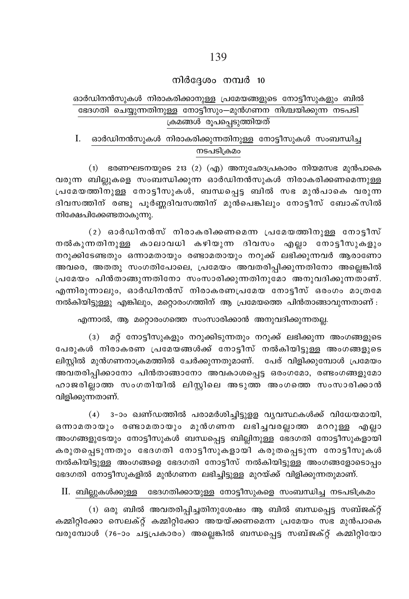#### $m$ ിർദ്ദേശം നമ്പർ 10

# ഓർഡിനൻസുകൾ നിരാകരിക്കാനുള്ള പ്രമേയങ്ങളുടെ നോട്ടീസുകളും ബിൽ ്ഭദഗതി ചെയ്യുന്നതിനുള്ള നോട്ടീസും—മൂൻഗണന നിശ്ചയിക്കുന്ന നടപടി <u>(കമങ്ങൾ രൂപപെടുത്തിയത്</u>

I. ഓർഡിനൻസുകൾ നിരാകരിക്കുന്നതിനുള്ള നോട്ടീസുകൾ സംബന്ധിച്ച നടപടിക്രമം

 $(1)$  ഭരണഘടനയുടെ 213  $(2)$   $(\alpha$ ്യ) അനുഛേദപ്രകാരം നിയമസഭ മുൻപാകെ വരുന്ന ബില്ലുകളെ സംബന്ധിക്കുന്ന ഓർഡിനൻസുകൾ നിരാകരിക്കണമെന്നുള്ള  ${1}$ പമേയത്തിനുള്ള നോട്ടീസുകൾ, ബന്ധപ്പെട്ട ബിൽ സഭ മുൻപാകെ വരുന്ന ദിവസത്തിന് രണ്ടു പൂർണ്ണദിവസത്തിന് മുൻപെങ്കിലും നോട്ടീസ് ബോക്സിൽ  $n\alpha$ ിക്ഷേപിക്കേണ്ടതാകുന്നു.

(2) ഓർഡിനൻസ് നിരാകരിക്കണമെന്ന പ്രമേയത്തിനുള്ള നോട്ടീസ് നൽകുന്നതിനുള്ള കാലാവധി കഴിയുന്ന ദിവസം എല്ലാ നോട്ടീസുകളും  $\alpha$ നറുക്കിടേണ്ടതും ഒന്നാമതായും രണ്ടാമതായും നറുക്ക് ലഭിക്കുന്നവർ ആരാണോ അവരെ, അതതു സംഗതിപോലെ, പ്രമേയം അവതരിപ്പിക്കുന്നതിനോ അല്ലെങ്കിൽ  ${a}$ പമേയം പിൻതാങ്ങുന്നതിനോ സംസാരിക്കുന്നതിനുമോ അനുവദിക്കുന്നതാണ്. എന്നിരുന്നാലും, ഓർഡിനൻസ് നിരാകരണപ്രമേയ നോട്ടീസ് ഒരംഗം മാത്രമേ  $\sim$ നൽകിയിട്ടുള്ളു എങ്കിലും, മറ്റൊരംഗത്തിന് ആ പ്രമേയത്തെ പിൻതാങ്ങാവുന്നതാണ് $\sim$ 

എന്നാൽ, ആ മറ്റൊരംഗത്തെ സംസാരിക്കാൻ അനുവദിക്കുന്നതല്ല.

(3) മറ്റ് നോട്ടീസുകളും നറുക്കിടുന്നതും നറുക്ക് ലഭിക്കുന്ന അംഗങ്ങളുടെ പേരുകൾ നിരാകരണ പ്രമേയങ്ങൾക്ക് നോട്ടീസ് നൽകിയിട്ടുള്ള അംഗങ്ങളുടെ ലിസ്റ്റിൽ മുൻഗണനാക്രമത്തിൽ ചേർക്കുന്നതുമാണ്. പേര് വിളിക്കുമ്പോൾ പ്രമേയം അവതരിപ്പിക്കാനോ പിൻതാങ്ങാനോ അവകാശപ്പെട്ട ഒരംഗമോ, രണ്ടംഗങ്ങളുമോ ഹാജരില്ലാത്ത സംഗതിയിൽ ലിസ്റ്റിലെ അടുത്ത അംഗതെെ സംസാരിക്കാൻ വിളിക്കുന്നതാണ്.

 $(4)$  3-ാം ഖണ്ഡത്തിൽ പരാമർശിച്ചിട്ടുളള വൃവസ്ഥകൾക്ക് വിധേയമായി, ഒന്നാമതായും രണ്ടാമതായും മൂൻഗണന ലഭിച്ചവരല്ലാത്ത മററുള്ള എല്ലാ അംഗങ്ങളുടേയും നോട്ടീസുകൾ ബന്ധപ്പെട്ട ബില്ലിനുള്ള ഭേദഗതി നോട്ടീസുകളായി കരുതപ്പെടുന്നതും ഭേദഗതി നോട്ടീസുകളായി കരുതപ്പെടുന്ന നോട്ടീസുകൾ നൽകിയി<u>ട്ടുള്ള</u> അംഗങ്ങളെ ഭേദഗതി നോട്ടീസ് നൽകിയിട്ടുള്ള അംഗങ്ങളോടൊപ്പം ഭേദഗതി നോട്ടീസുകളിൽ മുൻഗണന ലഭിച്ചിട്ടുള്ള മുറയ്ക്ക് വിളിക്കുന്നതുമാണ്.

#### $\rm II.$  ബില്ലുകൾക്കുള്ള ഭേദഗതിക്കായുള്ള നോട്ടീസുകളെ സംബന്ധിച്ച നടപടിക്രമം

 $(1)$  ഒരു ബിൽ അവതരിപ്പിച്ചതിനുശേഷം ആ ബിൽ ബന്ധപ്പെട്ട സബ്ജക്റ്റ് കമ്മിറ്റിക്കോ സെലക്റ്റ് കമ്മിറ്റിക്കോ അയയ്ക്കണമെന്ന പ്രമേയം സഭ മുൻപാകെ വരുമ്പോൾ (76-ാം ചട്ടപ്രകാരം) അല്ലെങ്കിൽ ബന്ധപ്പെട്ട സബ്ജക്റ്റ് കമ്മിറ്റിയോ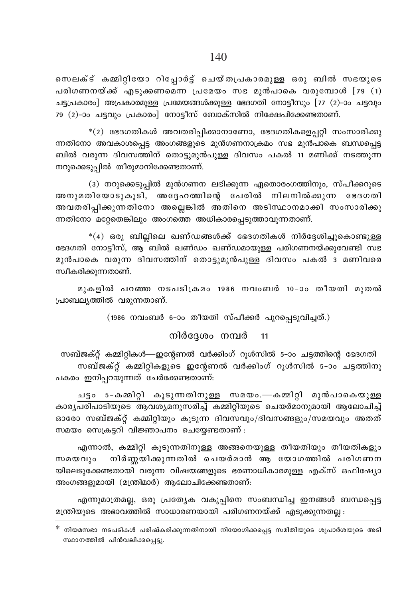സെലക്ട് കമ്മിറ്റിയോ റിപ്പോർട്ട് ചെയ്തപ്രകാരമുള്ള ഒരു ബിൽ സഭയുടെ പരിഗണനയ്ക്ക് എടുക്കണമെന്ന പ്രമേയം സഭ മുൻപാകെ വരുമ്പോൾ [79 (1) ചട്ടപ്രകാരം] അപ്രകാരമുള്ള പ്രമേയങ്ങൾക്കുള്ള ഭേദഗതി നോട്ടീസും [77 (2)-ാം ചട്ടവും 79 (2)-ാം ചടവും പ്രകാരം] നോട്ടീസ് ബോക്സിൽ നിക്ഷേപിക്കേണ്ടതാണ്.

 $*(2)$  ഭേദഗതികൾ അവതരിപ്പിക്കാനാണോ, ഭേദഗതികളെപ്പറ്റി സംസാരിക്കു ന്നതിനോ അവകാശപ്പെട്ട അംഗങ്ങളുടെ മുൻഗണനാക്രമം സഭ മുൻപാകെ ബന്ധപ്പെട്ട ബിൽ വരുന്ന ദിവസത്തിന് തൊട്ടുമുൻപുള്ള ദിവസം പകൽ 11 മണിക്ക് നടത്തുന്ന നറുക്കെടുപ്പിൽ തീരുമാനിക്കേണ്ടതാണ്.

(3) നറുക്കെടുപ്പിൽ മുൻഗണന ലഭിക്കുന്ന ഏതൊരംഗത്തിനും, സ്പീക്കറുടെ അനുമതിയോടുകൂടി, അദ്ദേഹത്തിന്റെ പേരിൽ നിലനിൽക്കുന്ന ഭേദഗതി അവതരിപ്പിക്കുന്നതിനോ അല്ലെങ്കിൽ അതിനെ അടിസ്ഥാനമാക്കി സംസാരിക്കു ന്നതിനോ മറ്റേതെങ്കിലും അംഗത്തെ അധികാരപ്പെടുത്താവുന്നതാണ്.

 $*(4)$  ഒരു ബില്ലിലെ ഖണ്ഡങ്ങൾക്ക് ഭേദഗതികൾ നിർദ്ദേശിച്ചുകൊണ്ടുള്ള ഭേദഗതി നോട്ടീസ്, ആ ബിൽ ഖണ്ഡം ഖണ്ഡമായുള്ള പരിഗണനയ്ക്കുവേണ്ടി സഭ മുൻപാകെ വരുന്ന ദിവസത്തിന് തൊട്ടുമുൻപുള്ള ദിവസം പകൽ 3 മണിവരെ സ്വീകരിക്കുന്നതാണ്.

മുകളിൽ പറഞ്ഞ നടപടിക്രമം 1986 നവംബർ 10-ാം തീയതി മുതൽ പ്രാബല്യത്തിൽ വരുന്നതാണ്.

(1986 നവംബർ 6-ാം തീയതി സ്പീക്കർ പുറപ്പെടുവിച്ചത്.)

നിർദ്ദേശം നമ്പർ 11

സബ്ജക്റ്റ് കമ്മിറ്റികൾ—ഇന്റേണൽ വർക്കിംഗ് റൂൾസിൽ 5-ാം ചട്ടത്തിന്റെ ഭേദഗതി <del>— സബ്ജക്റ്റ് കമ്മിറ്റികളുടെ ഇന്റേണൽ വർക്കിംഗ് റൂൾസിൽ 5-ാം ചട്ടത്തി</del>നു പകരം ഇനിപ്പറയുന്നത് ചേർക്കേണ്ടതാണ്:

ചട്ടം 5-കമ്മിറ്റി കൂടുന്നതിനുള്ള സമയം.—കമ്മിറ്റി മുൻപാകെയുള്ള കാര്യ<mark>പരിപാടിയുടെ ആവശ്യമനുസരിച്ച് കമ്മിറ്റിയുടെ</mark> ചെയർമാനുമായി ആലോചിച്ച് ഓരോ സബ്ജക്റ്റ് കമ്മിറ്റിയും കുടുന്ന ദിവസവും/ദിവസങ്ങളും/സമയവും അതത് സമയം സെക്രട്ടറി വിജ്ഞാപനം ചെയ്യേണ്ടതാണ് :

എന്നാൽ, കമ്മിറ്റി കൂടുന്നതിനുള്ള അങ്ങനെയുള്ള തീയതിയും തീയതികളും നിർണ്ണയിക്കുന്നതിൽ ചെയർമാൻ ആ യോഗത്തിൽ പരിഗണന സമയവും യിലെടുക്കേണ്ടതായി വരുന്ന വിഷയങ്ങളുടെ ഭരണാധികാരമുള്ള എക്സ് ഒഫിഷ്യോ അംഗങ്ങളുമായി (മന്ത്രിമാർ) ആലോചിക്കേണ്ടതാണ്:

എന്നുമാത്രമല്ല, ഒരു പ്രത്യേക വകുപ്പിനെ സംബന്ധിച്ച ഇനങ്ങൾ ബന്ധപ്പെട്ട മന്ത്രിയുടെ അഭാവത്തിൽ സാധാരണയായി പരിഗണനയ്ക്ക് എടുക്കുന്നതല്ല :

<sup>&</sup>lt;sup>്റ</sup> നിയമസഭാ നടപടികൾ പരിഷ്കരിക്കുന്നതിനായി നിയോഗിക്കപ്പെട്ട സമിതിയുടെ ശുപാർശയുടെ അടി സ്ഥാനത്തിൽ പിൻവലിക്കപ്പെട്ടു.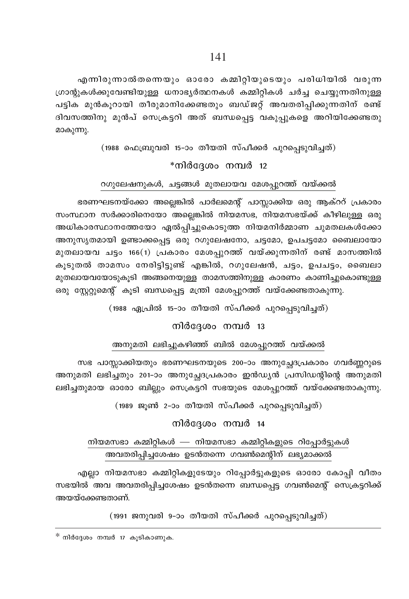എന്നിരുന്നാൽതന്നെയും ഓരോ കമ്മിറ്റിയുടെയും പരിധിയിൽ വരുന്ന ്ധാന്റുകൾക്കുവേണ്ടിയുള്ള ധനാഭൃർത്ഥനകൾ കമ്മിറ്റികൾ ചർച്ച ചെയ്യുന്നതിനുള്ള പട്ടിക മുൻകൂറായി തീരുമാനിക്കേണ്ടതും ബഡ്ജറ്റ് അവതരിപ്പിക്കുന്നതിന് രണ്ട് ദിവസത്തിനു മുൻപ് സെക്രട്ടറി അത് ബന്ധപ്പെട്ട വകുപ്പുകളെ അറിയിക്കേണ്ടതു മാകൂന്നു.

 $(1988$  ഫെബ്രുവരി 15-ാം തീയതി സ്പീക്കർ പുറപ്പെടുവിച്ചത്)

# $*$ നിർദ്ദേശം നമ്പർ 12

# oഗുലേഷനുകൾ, ചട്ടങ്ങൾ മുതലായവ മേശപ്പുറത്ത് വയ്ക്കൽ

ഭരണഘടനയ്ക്കോ അല്ലെങ്കിൽ പാർലമെന്റ് പാസ്സാക്കിയ ഒരു ആക്ററ് പ്രകാരം സംസ്ഥാന സർക്കാരിനെയോ അല്ലെങ്കിൽ നിയമസഭ, നിയമസഭയ്ക്ക് കീഴിലുള്ള ഒരു അധികാരസ്ഥാനത്തേയോ ഏൽപ്പിച്ചുകൊടുത്ത നിയമനിർമ്മാണ ചുമതലകൾക്കോ അനുസൃതമായി ഉണ്ടാക്കപ്പെട്ട ഒരു റഗുലേഷനോ, ചട്ടമോ, ഉപചട്ടമോ ബൈലായോ മുതലായവ ചട്ടം 166(1) പ്രകാരം മേശപ്പുറത്ത് വയ്ക്കുന്നതിന് രണ്ട് മാസത്തിൽ കൂടുതൽ താമസം നേരിട്ടിട്ടുണ്ട് എങ്കിൽ, റഗുലേഷൻ, ചട്ടം, ഉപചട്ടം, ബൈലാ മുതലായവയോടുകൂടി അങ്ങനെയുള്ള താമസത്തിനുള്ള കാരണം കാണിച്ചുകൊണ്ടുള്ള കരു സ്റ്റേറ്റുമെന്റ് കൂടി ബന്ധപ്പെട്ട മന്ത്രി മേശപ്പുറത്ത് വയ്ക്കേണ്ടതാകുന്നു.

(1988 ഏപ്രിൽ 15-ാം തീയതി സ്പീക്കർ പുറപ്പെടുവിച്ചത്)

### $m$ ിർദേശം നമ്പർ 13

#### അനുമതി ലഭിച്ചുകഴിഞ്ഞ് ബിൽ മേശപ്പുറത്ത് വയ്ക്കൽ

സഭ പാസ്സാക്കിയതും ഭരണഘടനയുടെ 200-ാം അനുച്ചേദപ്രകാരം ഗവർണ്ണറുടെ അനുമതി ലഭിച്ചതും 201-ാം അനുച്ഛേദപ്രകാരം ഇൻഡ്യൻ പ്രസിഡന്റിന്റെ അനുമതി ലഭിച്ചതുമായ ഓരോ ബില്ലും സെക്രട്ടറി സഭയുടെ മേശപ്പുറത്ത് വയ്ക്കേണ്ടതാകൂന്നു.

(1989 ജൂൺ 2-ാം തീയതി സ്പീക്കർ പുറപ്പെടുവിച്ചത്)

### $m$ ിർദ്ദേശം നമ്പർ 14

# $\dot{m}$ ിയമസഭാ കമ്മിറ്റികൾ — നിയമസഭാ കമ്മിറ്റികളുടെ റിപ്പോർട്ടുകൾ അവതരിപ്പിച്ചശേഷം ഉടൻതന്നെ ഗവൺമെന്റിന് ലഭ്യമാക്കൽ

എല്ലാ നിയമസഭാ കമ്മിറ്റികളുടേയും റിപ്പോർട്ടുകളുടെ ഓരോ കോപ്പി വീതം സഭയിൽ അവ അവതരിപ്പിച്ചശേഷം ഉടൻതന്നെ ബന്ധപ്പെട്ട ഗവൺമെന്റ് സെക്രട്ടറിക്ക് അയയ്ക്കേണ്ടതാണ്.

 $(1991$  ജനുവരി 9-ാം തീയതി സ്പീക്കർ പുറപ്പെടുവിച്ചത്)

 $*$  നിർദ്ദേശം നമ്പർ 17 കൂടികാണുക.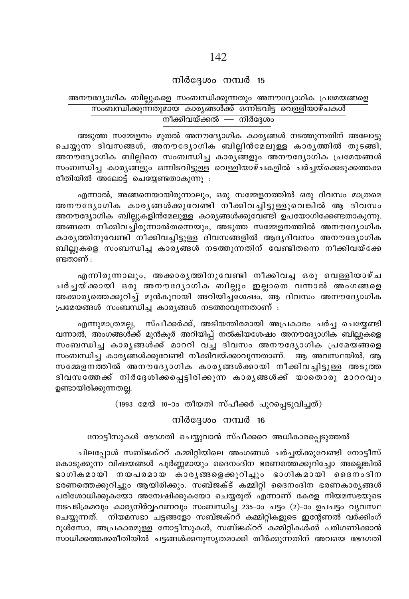# $m$ ിർദ്ദേശം നമ്പർ 15

### അനൗദ്യോഗിക ബില്ലുകളെ സംബന്ധിക്കുന്നതും അനൗദ്യോഗിക പ്രമേയങ്ങളെ സംബന്ധിക്കുന്നതുമായ കാര്യങ്ങൾക്ക് ഒന്നിടവിട്ട വെള്ളിയാഴ്ചകൾ നീക്കിവയ്ക്കൽ — നിർദേശം

അടുത്ത സമ്മേളനം മുതൽ അനൗദ്യോഗിക കാര്യങ്ങൾ നടത്തുന്നതിന് അലോട്ടു ചെയ്യുന്ന ദിവസങ്ങൾ, അനൗദ്യോഗിക ബില്ലിൻമേലുള്ള കാരൃത്തിൽ തുടങ്ങി, അനൗദ്യോഗിക ബില്ലിനെ സംബന്ധിച്ച കാര്യങ്ങളും അനൗദ്യോഗിക പ്രമേയങ്ങൾ സംബന്ധിച്ച കാര്യങ്ങളും ഒന്നിടവിട്ടുള്ള വെള്ളിയാഴ്ചകളിൽ ചർച്ചയ്ക്കെടുക്കത്തക്ക രീതിയിൽ അലോട്ട് ചെയ്യേണ്ടതാകുന്നു :

എന്നാൽ, അങ്ങനെയായിരുന്നാലും, ഒരു സമ്മേളനത്തിൽ ഒരു ദിവസം മാത്രമെ അനൗദ്യോഗിക കാരൃങ്ങൾക്കുവേണ്ടി നീക്കിവച്ചിട്ടുള്ളുവെങ്കിൽ ആ ദിവസം അനൗദ്യോഗിക ബില്ലുകളിൻമേലുള്ള കാര്യങ്ങൾക്കുവേണ്ടി ഉപയോഗിക്കേണ്ടതാകുന്നു. അങ്ങനെ നീക്കിവച്ചിരുന്നാൽതന്നെയും, അടുത്ത സമ്മേളനത്തിൽ അനൗദ്യോഗിക കാര്യത്തിനുവേണ്ടി നീക്കിവച്ചിട്ടുള്ള ദിവസങ്ങളിൽ ആദ്യദിവസം അനൗദ്യോഗിക ബില്ലുകളെ സംബന്ധിച്ച കാര്യങ്ങൾ നടത്തുന്നതിന് വേണ്ടിതന്നെ നീക്കിവയ്ക്കേ ണ്ടതാണ്  $:$ 

എന്നിരുന്നാലും, അക്കാരൃത്തിനുവേണ്ടി നീക്കിവച്ച ഒരു വെള്ളിയാഴ്ച ചർച്ചയ്ക്കായി ഒരു അനൗദ്യോഗിക ബില്ലും ഇല്ലാതെ വന്നാൽ അംഗങ്ങളെ അക്കാരൃത്തെക്കുറിച്ച് മുൻകൂറായി അറിയിച്ചശേഷം, ആ ദിവസം അനൗദ്യോഗിക പ്രമേയങ്ങൾ സംബന്ധിച്ച കാര്യങ്ങൾ നടത്താവുന്നതാണ് :

എന്നുമാത്രമല്ല, സ്പീക്കർക്ക്, അടിയന്തിരമായി അപ്രകാരം ചർച്ച ചെയ്യേണ്ടി വന്നാൽ, അംഗങ്ങൾക്ക് മുൻകൂർ അറിയിപ്പ് നൽകിയശേഷം അനൗദ്യോഗിക ബില്ലുകളെ സംബന്ധിച്ച കാരൃങ്ങൾക്ക് മാററി വച്ച ദിവസം അനൗദ്യോഗിക പ്രമേയങ്ങളെ സംബന്ധിച്ച കാര്യങ്ങൾക്കുവേണ്ടി നീക്കിവയ്ക്കാവുന്നതാണ്. ആ അവസ്ഥയിൽ, ആ സമ്മേളനത്തിൽ അനൗദ്യോഗിക കാര്യങ്ങൾക്കായി നീക്കിവച്ചിട്ടുള്ള അടുത്ത ദിവസത്തേക്ക് നിർദ്ദേശിക്കപ്പെട്ടിരിക്കുന്ന കാര്യങ്ങൾക്ക് യാതൊരു മാററവും ഉണ്ടായിരിക്കുന്നതല്ല.

(1993 മേയ് 10-ാം തീയതി സ്പീക്കർ പുറപ്പെടുവിച്ചത്)

നിർദേശം നമ്പർ 16

#### നോട്ടീസുകൾ ഭേദഗതി ചെയ്യുവാൻ സ്പീക്കറെ അധികാരപ്പെടുത്തൽ

ചിലപ്പോൾ സബ്ജക്ററ് കമ്മിറ്റിയിലെ അംഗങ്ങൾ ചർച്ചയ്ക്കുവേണ്ടി നോട്ടീസ് കൊടുക്കുന്ന് വിഷയങ്ങൾ പൂർണ്ണമായും ദൈനംദിന ഭരണത്തെക്കുറിച്ചോ അല്ലെങ്കിൽ ഭാഗികമായി നയപരമായ കാരൃങ്ങളെക്കുറിച്ചും ഭാഗികമായി ദൈനംദിന ഭരണത്തെക്കുറിച്ചും ആയിരിക്കും. സബ്ജക്ട് കമ്മിറ്റി ദൈനംദിന ഭരണകാര്യങ്ങൾ പരിശോധിക്കുകയോ അന്വേഷിക്കുകയോ ചെയ്യരുത് എന്നാണ് കേരള നിയമസഭയുടെ നടപടിക്രമവും കാര്യനിർവ്വഹണവും സംബന്ധിച്ച 235-ാം ചട്ടം (2)-ാം ഉപചട്ടം വ്യവസ്ഥ ചെയ്യുന്നത്. നിയമസഭാ ചട്ടങ്ങളോ സബ്ജക്ററ് കമ്മിറ്റികളുടെ ഇന്റേണൽ വർക്കിംഗ് റുൾസോ, അപ്രകാരമുള്ള നോട്ടീസുകൾ, സബ്ജക്ററ്്കമ്മിറ്റികൾക്ക് പരിഗണിക്കാൻ സാധിക്കത്തക്കരീതിയിൽ ചട്ടങ്ങൾക്കനുസൃതമാക്കി തീർക്കുന്നതിന് അവയെ ഭേദഗതി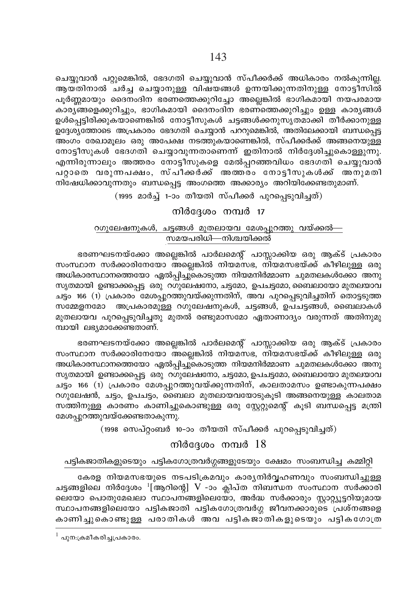ചെയ്യുവാൻ പറ്റുമെങ്കിൽ, ഭേദഗതി ചെയ്യുവാൻ സ്പീക്കർക്ക് അധികാരം നൽകുന്നി<u>ല്ല</u>. ആയതിനാൽ ചർച്ച ചെയ്യാനുള്ള വിഷയങ്ങൾ ഉന്നയിക്കുന്നതിനുള്ള നോട്ടീസിൽ പൂർണ്ണമായും ദൈനംദിന ഭരണത്തെക്കുറിച്ചോ അല്ലെങ്കിൽ ഭാഗികമായി നയപരമായ കാര്യങ്ങളെക്കുറിച്ചും, ഭാഗികമായി ദൈനംദിന ഭരണത്തെക്കുറിച്ചും ഉള്ള കാര്യങ്ങൾ ഉൾപ്പെട്ടിരിക്കുകയാണെങ്കിൽ നോട്ടീസുകൾ ചട്ടങ്ങൾക്കനുസൃതമാക്കി തീർക്കാനുള്ള  $\overline{D}$ ദ്ദേശ $\overline{J}$ ത്തോടെ അപ്രകാരം ഭേദഗതി ചെയ്യാൻ പററുമെങ്കിൽ, അതിലേക്കായി ബന്ധപ്പെട്ട . അംഗം രേഖാമൂലം ഒരു അപേക്ഷ നടത്തുകയാണെങ്കിൽ, സ്പീക്കർക്ക് അങ്ങനെയുള്ള നോട്ടീസുകൾ ഭേദഗതി ചെയ്യാവുന്നതാണെന്ന് ഇതിനാൽ നിർദ്ദേശിച്ചുകൊള്ളുന്നു. എന്നിരുന്നാലും അത്തരം നോട്ടീസുകളെ മേൽപ്പറഞ്ഞവിധം ഭേദഗതി ചെയ്യുവാൻ പറ്റാതെ വരുന്നപക്ഷം, സ്പീക്കർക്ക് അത്തരം നോട്ടീസുകൾക്ക് അനുമതി നിഷേധിക്കാവുന്നതും ബന്ധപ്പെട്ട അംഗത്തെ അക്കാര്യം അറിയിക്കേണ്ടതുമാണ്.

(1995 മാർച്ച് 1-ാം തീയതി സ്പീക്കർ പുറപ്പെടുവിച്ചത്)

#### $m$ ിർദ്ദേശം നമ്പർ 17

# oഗുലേഷനുകൾ, ചട്ടങ്ങൾ മുതലായവ മേശപുറത്തു വയ്ക്കൽ— സമയപരിധി—നിശ്ചയിക്കൽ

ഭരണഘടനയ്ക്കോ അല്ലെങ്കിൽ പാർലമെന്റ് പാസ്സാക്കിയ ഒരു ആക്ട് പ്രകാരം സംസ്ഥാന സർക്കാരിനേയോ അല്ലെങ്കിൽ നിയമസഭ, നിയമസഭയ്ക്ക് കീഴിലുള്ള ഒരു അധികാരസ്ഥാനത്തെയോ ഏൽപ്പിച്ചു്കൊടുത്ത നിയമനിർമ്മാണ ചുമതലകൾക്കോ അനു സൃതമായി ഉണ്ടാക്കപ്പെട്ട ഒരു റഗുലേഷനോ, ചട്ടമോ, ഉപചട്ടമോ, ബൈലായോ മുതലയാവ ചട്ടം 166 (1) പ്രകാരം മേശപ്പുറത്തുവയ്ക്കുന്നതിന്, അവ പുറപ്പെടുവിച്ചതിന് തൊട്ടടുത്ത സമ്മേളനമോ അപ്രകാരമുള്ള റഗുലേഷനുകൾ, ചട്ടങ്ങൾ, ഉപചട്ടങ്ങൾ, ബൈലാകൾ മുതലായവ പുറപ്പെടുവിച്ചതു മുതൽ രണ്ടുമാസമോ ഏതാണാദ്യം വരുന്നത് അതിനുമു ന്ധായി ലഭ്യമാക്കേണ്ടതാണ്.

ഭരണഘടനയ്ക്കോ അല്ലെങ്കിൽ പാർലമെന്റ് പാസ്സാക്കിയ ഒരു ആക്ട് പ്രകാരം സംസ്ഥാന സർക്കാരിനേയോ അല്ലെങ്കിൽ നിയമസഭ, നിയമസഭയ്ക്ക് കീഴിലുള്ള ഒരു അധികാരസ്ഥാനത്തെയോ ഏൽപ്പിച്ചുകൊടുത്ത നിയമനിർമ്മാണ ചുമതലകൾക്കോ അനു സൃതമായി ഉണ്ടാക്കപ്പെട്ട ഒരു റഗുലേഷനോ, ചട്ടമോ, ഉപചട്ടമോ, ബൈലായോ മുതലയാവ ചട്ടം 166 (1) പ്രകാരം മേശപ്പുറത്തുവയ്ക്കുന്നതിന്, കാലതാമസം ഉണ്ടാകുന്നപക്ഷം oഗുലേഷൻ, ചട്ടം, ഉപചട്ടം, ബൈലാ മുതലായവയോടുകൂടി അങ്ങനെയുള്ള കാലതാമ സത്തിനുള്ള കാരണം കാണിച്ചുകൊണ്ടുള്ള ഒരു സ്റ്റേറ്റുമെന്റ് കൂടി ബന്ധപ്പെട്ട മന്ത്രി മേശപുറത്തുവയ്ക്കേണ്ടതാകുന്നു.

 $(1998 \, \text{om} \, \text{m} \, \text{m} \, \text{m} \, \text{m} \, \text{m} \, \text{m} \, \text{m} \, \text{m} \, \text{m} \, \text{m} \, \text{m} \, \text{m} \, \text{m} \, \text{m} \, \text{m} \, \text{m} \, \text{m} \, \text{m} \, \text{m} \, \text{m} \, \text{m} \, \text{m} \, \text{m} \, \text{m} \, \text{m} \, \text{m} \, \text{m} \, \text{m} \, \text{m} \, \text$ 

### നിർദ്ദേശം നമ്പർ  $18$

#### പട്ടികജാതികളുടെയും പട്ടികഗോത്രവർഗ്ഗങ്ങളുടേയും ക്ഷേമം സംബന്ധിച്ച കമ്മിറ്റി

കേരള നിയമസഭയുടെ നടപടിക്രമവും കാര്യനിർവ്വഹണവും സംബന്ധിച്ചുള്ള ചട്ടങ്ങളിലെ നിർദ്ദേശം <sup>1</sup>[ആറിന്റെ] V -ാം ക്ലിപ്ത നിബന്ധന സംസ്ഥാന സർക്കാരി ലെയോ പൊതുമേഖലാ സ്ഥാപനങ്ങളിലെയോ, അർദ്ധ സർക്കാരും സ്റ്റാറ്റ്യൂട്ടറിയുമായ  $\mu$ ഹാപനങ്ങളിലെയോ പട്ടികജാതി പട്ടികഗോത്രവർഗ്ഗ ജീവനക്കാരുടെ പ്രശ്നങ്ങളെ കാണിച്ചുകൊണ്ടുള്ള പരാതികൾ അവ പട്ടികജാതികളുടെയും പട്ടികഗോത്ര

 $^{\rm l}$  പുന:ക്രമീകരിച്ചപ്രകാരം.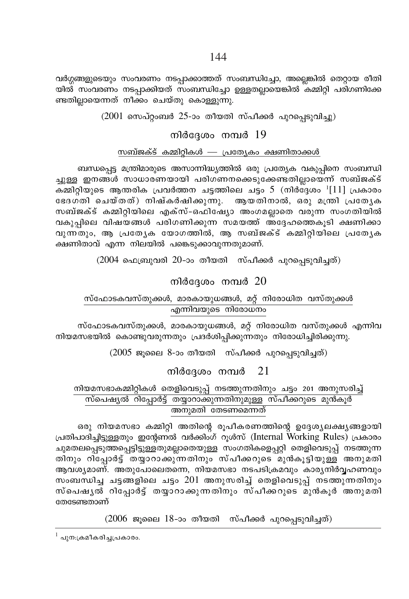വർഗ്ഗങ്ങളുടെയും സംവരണം നടപ്പാക്കാത്തത് സംബന്ധിച്ചോ, അല്ലെങ്കിൽ തെറ്റായ രീതി യിൽ സംവരണം നടപ്പാക്കിയത് സംബന്ധിച്ചോ ഉള്ളതല്ലായെങ്കിൽ കമ്മിറ്റി പരിഗണിക്കേ ണ്ടതില്ലായെന്നത് നീക്കം ചെയ്തു കൊള്ളുന്നു.

 $(2001)$  സെപ്റ്റംബർ 25-ാം തീയതി സ്പീക്കർ പുറപ്പെടുവിച്ചു)

# നിർദേശം നമ്പർ  $19$

#### സബ്ജക്ട് കമ്മിറ്റികൾ — പ്രത്യേകം ക്ഷണിതാക്കൾ

ബന്ധപ്പെട്ട മന്ത്രിമാരുടെ അസാന്നിദ്ധ്യത്തിൽ ഒരു പ്രത്യേക വകുപ്പിനെ സംബന്ധി ച്ചുള്ള ഇനങ്ങൾ സാധാരണയായി പരിഗണനക്കെടുക്കേണ്ടതില്ലായെന്ന് സബ്ജക്ട് കമ്മിറ്റിയുടെ ആന്തരിക പ്രവർത്തന ചട്ടത്തിലെ ചട്ടം 5 (നിർദ്ദേശം  $1[11]$  പ്രകാരം ഭേദഗതി ചെയ്തത്) നിഷ്കർഷിക്കുന്നു. ആയതിനാൽ, ഒരു മന്ത്രി പ്രത്യേക സബ്ജക്ട് കമ്മിറ്റിയിലെ എക്സ്-ഒഫിഷ്യോ അംഗമല്ലാതെ വരുന്ന സംഗതിയിൽ വകുപ്പിലെ വിഷയങ്ങൾ പരിഗണിക്കുന്ന സമയത്ത് അദ്ദേഹത്തെകുടി ക്ഷണിക്കാ വുന്നതും, ആ പ്രത്യേക യോഗത്തിൽ, ആ സബ്ജക്ട് കമ്മിറ്റിയിലെ പ്രത്യേക ക്ഷണിതാവ് എന്ന നിലയിൽ പങ്കെടുക്കാവുന്നതുമാണ്.

 $(2004$  ഫെബ്രുവരി 20-ാം തീയതി സ്പീക്കർ പുറപ്പെടുവിച്ചത്)

# നിർദേശം നമ്പർ  $20$

# സ്ഫോടകവസ്തുക്കൾ, മാരകായുധങ്ങൾ, മറ്റ് നിരോധിത വസ്തുക്കൾ എന്നിവയുടെ നിരോധനം

സ്ഫോടകവസ്തുക്കൾ, മാരകായുധങ്ങൾ, മറ്റ് നിരോധിത വസ്തുക്കൾ എന്നിവ നിയമസഭയിൽ കൊണ്ടുവരുന്നതും പ്രദർശിപ്പിക്കുന്നതും നിരോധിച്ചിരിക്കുന്നു.

 $(2005)$  ജൂലൈ 8-ാം തീയതി സ്പീക്കർ പുറപ്പെടുവിച്ചത്)

#### നിർദ്ദേശം നമ്പർ 21

# നിയമസഭാകമ്മിറ്റികൾ തെളിവെടുപ്പ് നടത്തുന്നതിനും ചട്ടം 201 അനുസരിച്ച് സ്പെഷ്യൽ റിപ്പോർട്ട് തയ്യാറാക്കുന്നതിനുമുള്ള സ്പീക്കറുടെ മുൻകൂർ അനുമതി തേടണമെന്നത്

ഒരു നിയമസഭാ കമ്മിറ്റി അതിന്റെ രൂപീകരണത്തിന്റെ ഉദ്ദേശ്യലക്ഷ്യങ്ങളായി പ്രതിപാദിച്ചിട്ടുള്ളതും ഇന്റേണൽ വർക്കിംഗ് റൂൾസ് (Internal Working Rules) പ്രകാരം ചുമതലപ്പെടുത്തപ്പെട്ടിട്ടുള്ളതുമല്ലാതെയുള്ള സംഗതികളെപ്പറ്റി തെളിവെടുപ്പ് നടത്തുന്ന തിനും റിപ്പോർട്ട് തയ്യാറാക്കുന്നതിനും സ്പീക്കറുടെ മുൻകൂട്ടിയുള്ള അനുമതി ആവശ്യമാണ്. അതുപോലെതന്നെ, നിയമസഭാ നടപടിക്രമവും കാര്യനിർവ്വഹണവും സംബന്ധിച്ച ചട്ടങ്ങളിലെ ചട്ടം  $201$  അനുസരിച്ച് തെളിവെടുപ്പ് നടത്തുന്നതിനും സ്പെഷൃൽ റിപ്പോർട്ട് തയ്യാറാക്കുന്നതിനും സ്പീക്കറുടെ മുൻകൂർ അനുമതി തേടേണ്ടതാണ്

 $(2006)$  ജൂലൈ 18-ാം തീയതി സ്പീക്കർ പുറപ്പെടുവിച്ചത്)

 $^{\rm l}$  പുന:ക്രമീകരിച്ചപ്രകാരം.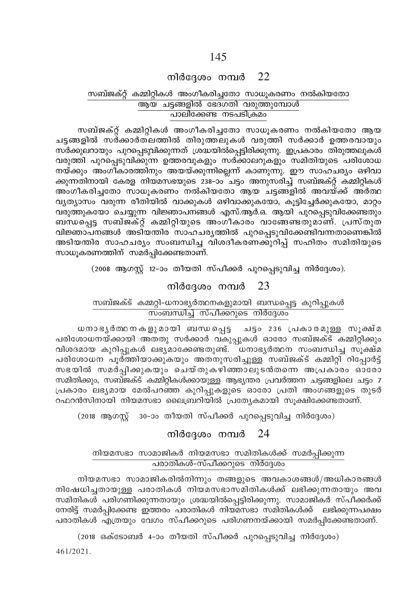# നിർദ്ദേശം നമ്പർ  $22$

### സബ്ജക്റ്റ് കമ്മിറ്റികൾ അംഗീകരിച്ചതോ സാധുകരണം നൽകിയതോ ആയ ചട്ടങ്ങളിൽ ഭേദഗതി വരുത്തുമ്പോൾ <u>പാലിക്കേണ്ട നടപടിക്രമം</u>

സബ്ജക്റ്റ് കമ്മിറ്റികൾ അംഗീകരിച്ചതോ സാധൂകരണം നൽകിയതോ ആയ ചട്ടങ്ങളിൽ സർക്കാർതലത്തിൽ തിരുത്തലുകൾ വരുത്തി സർക്കാർ ഉത്തരവായും സർക്കുലറായും പുറപ്പെടുവിക്കുന്നത് ശ്രദ്ധയിൽപ്പെട്ടിരിക്കുന്നു. ഇപ്രകാരം തിരുത്തലുകൾ വരുത്തി പുറപ്പെടുവിക്കുന്ന ഉത്തരവുകളും സർക്കാലറുകളും സമിതിയുടെ പരിശോധ നയ്ക്കും അംഗീകാരത്തിനും അയയ്ക്കുന്നില്ലെന്ന് കാണുന്നു. ഈ സാഹചര്യം ഒഴിവാ ക്കുന്നതിനായി കേരള നിയമസഭയുടെ 238–ാം ചട്ടം അനുസരിച്ച് സബ്ജക്റ്റ് കമ്മിറ്റികൾ അംഗീകരിച്ചതോ സാധൂകരണം നൽകിയതോ ആയ ചട്ടങ്ങളിൽ അവയ്ക്ക് അർത്ഥ വ്യത്യാസം വരുന്ന രീതിയിൽ വാക്കുകൾ ഒഴിവാക്കുകയോ, കൂട്ടിച്ചേർക്കുകയോ, മാറ്റം വരുത്തുകയോ ചെയ്യുന്ന വിജ്ഞാപനങ്ങൾ എസ്.ആർ.ഒ. ആയി പുറപ്പെടുവിക്കേണ്ടതും ബന്ധപ്പെട്ട സബ്ജക്റ്റ് കമ്മിറ്റിയുടെ അംഗീകാരം വാങ്ങേണ്ടതുമാണ്. പ്രസ്തുത വിജ്ഞാപനങ്ങൾ അടിയന്തിര സാഹചര്യത്തിൽ പുറപ്പെടുവിക്കേണ്ടിവന്നതാണെങ്കിൽ അടിയത്തിര സാഹചര്യം സംബന്ധിച്ച വിശദീകരണക്കുറിപ്പ് സഹിതം സമിതിയുടെ സാധുകരണത്തിന് സമർപിക്കേണ്ടതാണ്.

(2008 ആഗസ്റ്റ് 12-ാം തീയതി സ്പീക്കർ പുറപ്പെടുവിച്ച നിർദ്ദേശം).

# നിർദ്ദേശം നമ്പർ  $23$

#### സബ്ജക്ട് കമ്മറ്റി-ധനാഭ്യർത്ഥനകളുമായി ബന്ധപ്പെട്ട കുറിപ്പുകൾ <u>സംബന്ധിച്ച് സ്പീക്കറുടെ നിർദ്ദേശം</u>

ചട്ടം 236 പ്രകാരമുള്ള സൂക്ഷ്മ ധനാഭൃർത്ഥനകളുമായി ബന്ധപ്പെട്ട പരിശോധനയ്ക്കായി അതതു സർക്കാർ വകുപ്പുകൾ ഓരോ സബ്ജക്ട് കമ്മിറ്റിക്കും വിശദമായ കുറിപ്പുകൾ ലഭ്യമാക്കേണ്ടതുണ്ട്. ധനാഭ്യർത്ഥന സംബന്ധിച്ച സൂക്ഷ്മ പരിശോധന പൂർത്തിയാക്കുകയും അതനുസരിച്ചുള്ള സബ്ജക്ട് കമ്മിറ്റി റിപ്പോർട്ട് സഭയിൽ സമർപ്പിക്കുകയും ചെയ്തുകഴിഞ്ഞാലുടൻതന്നെ അപ്രകാരം ഓരോ സമിതിക്കും, സബ്ജക്ട് കമ്മിറ്റികൾക്കായുള്ള ആഭ്യന്തര പ്രവർത്തന ചട്ടങ്ങളിലെ ചട്ടം 7 പ്രകാരം ലഭ്യമായ മേൽപറഞ്ഞ കുറിപ്പുകളുടെ ഓരോ പ്രതി അംഗങ്ങളുടെ തുടർ റഫറൻസിനായി നിയമസഭാ ലൈബ്രറിയിൽ പ്രത്യേകമായി സൂക്ഷിക്കേണ്ടതാണ്.

(2018 ആഗസ്റ്റ് 30-ാം തീയതി സ്പീക്കർ പുറപ്പെടുവിച്ച നിർദ്ദേശം)

### നിർദ്ദേശം നമ്പർ  $24$

#### നിയമസഭാ സാമാജികർ നിയമസഭാ സമിതികൾക്ക് സമർപ്പിക്കുന്ന പരാതികൾ–സ്പീക്കറുടെ നിർദ്ദേശം

നിയമസഭാ സാമാജികരിൽനിന്നും തങ്ങളുടെ അവകാശങ്ങൾ/അധികാരങ്ങൾ നിഷേധിച്ചതായുള്ള പരാതികൾ നിയമസഭാസമിതികൾക്ക് ലഭിക്കുന്നതായും അവ സമിതികൾ പരിഗണിക്കുന്നതായും ശ്രദ്ധയിൽപ്പെട്ടിരിക്കുന്നു. സാമാജികർ സ്പീക്കർക്ക് നേരിട്ട് സമർപ്പിക്കേണ്ട ഇത്തരം പരാതികൾ നിയമസഭാ സമിതികൾക്ക് ലഭിക്കുന്നപക്ഷം പരാതികൾ എത്രയും വേഗം സ്പീക്കറുടെ പരിഗണനയ്ക്കായി സമർപ്പിക്കേണ്ടതാണ്.

(2018 ഒക്ടോബർ 4-ാം തീയതി സ്പീക്കർ പുറപ്പെടുവിച്ച നിർദ്ദേശം)

461/2021.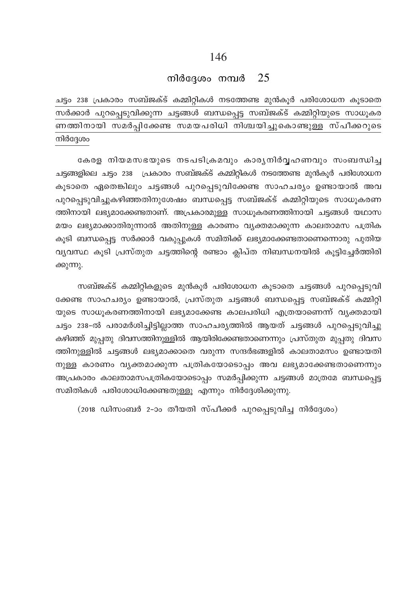# നിർദ്ദേശം നമ്പർ  $25$

ചട്ടം 238 പ്രകാരം സബ്ജക്ട് കമ്മിറ്റികൾ നടത്തേണ്ട മുൻകൂർ പരിശോധന കൂടാതെ സർക്കാർ പുറപ്പെടുവിക്കുന്ന ചട്ടങ്ങൾ ബന്ധപ്പെട്ട സബ്ജക്ട് കമ്മിറ്റിയുടെ സാധൂകര ണത്തിനായി സമർപ്പിക്കേണ്ട സമയപരിധി നിശ്ചയിച്ചുകൊണ്ടുള്ള സ്പീക്കറുടെ നിർദേശം

കേരള നിയമസഭയുടെ നടപടിക്രമവും കാര്യനിർവ്വഹണവും സംബന്ധിച്ച ചട്ടങ്ങളിലെ ചട്ടം 238 പ്രകാരം സബ്ജക്ട് കമ്മിറ്റികൾ നടത്തേണ്ട മുൻകൂർ പരിശോധന കുടാതെ ഏതെങ്കിലും ചട്ടങ്ങൾ പുറപ്പെടുവിക്കേണ്ട സാഹചര്യം ഉണ്ടായാൽ അവ പുറപ്പെടുവിച്ചുകഴിഞ്ഞതിനുശേഷം ബന്ധപ്പെട്ട സബ്ജക്ട് കമ്മിറ്റിയുടെ സാധൂകരണ ത്തിനായി ലഭ്യമാക്കേണ്ടതാണ്. അപ്രകാരമുള്ള സാധൂകരണത്തിനായി ചട്ടങ്ങൾ യഥാസ മയം ലഭ്യമാക്കാതിരുന്നാൽ അതിനുള്ള കാരണം വ്യക്തമാക്കുന്ന കാലതാമസ പത്രിക കുടി ബന്ധപ്പെട്ട സർക്കാർ വകുപ്പുകൾ സമിതിക്ക് ലഭ്യമാക്കേണ്ടതാണെന്നൊരു പുതിയ വ്യവസ്ഥ കൂടി പ്രസ്തുത ചട്ടത്തിന്റെ രണ്ടാം ക്ലിപ്ത നിബന്ധനയിൽ കൂട്ടിച്ചേർത്തിരി ക്കുന്നു.

സബ്ജക്ട് കമ്മിറ്റികളുടെ മുൻകൂർ പരിശോധന കൂടാതെ ചട്ടങ്ങൾ പുറപ്പെടുവി ക്കേണ്ട സാഹചര്യം ഉണ്ടായാൽ, പ്രസ്തുത ചട്ടങ്ങൾ ബന്ധപ്പെട്ട സബ്ജക്ട് കമ്മിറ്റി യുടെ സാധുകരണത്തിനായി ലഭ്യമാക്കേണ്ട കാലപരിധി എത്രയാണെന്ന് വ്യക്തമായി ചട്ടം 238-ൽ പരാമർശിച്ചിട്ടില്ലാത്ത സാഹചര്യത്തിൽ ആയത് ചട്ടങ്ങൾ പുറപ്പെടുവിച്ചു കഴിഞ്ഞ് മുപ്പതു ദിവസത്തിനുള്ളിൽ ആയിരിക്കേണ്ടതാണെന്നും പ്രസ്തുത മുപ്പതു ദിവസ ത്തിനുള്ളിൽ ചട്ടങ്ങൾ ലഭ്യമാക്കാതെ വരുന്ന സന്ദർഭങ്ങളിൽ കാലതാമസം ഉണ്ടായതി നുള്ള കാരണം വൃക്തമാക്കുന്ന പത്രികയോടൊപ്പം അവ ലഭ്യമാക്കേണ്ടതാണെന്നും അപ്രകാരം കാലതാമസപത്രികയോടൊപ്പം സമർപ്പിക്കുന്ന ചട്ടങ്ങൾ മാത്രമേ ബന്ധപ്പെട്ട സമിതികൾ പരിശോധിക്കേണ്ടതുള്ളു എന്നും നിർദ്ദേശിക്കുന്നു.

(2018 ഡിസംബർ 2-ാം തീയതി സ്പീക്കർ പുറപ്പെടുവിച്ച നിർദ്ദേശം)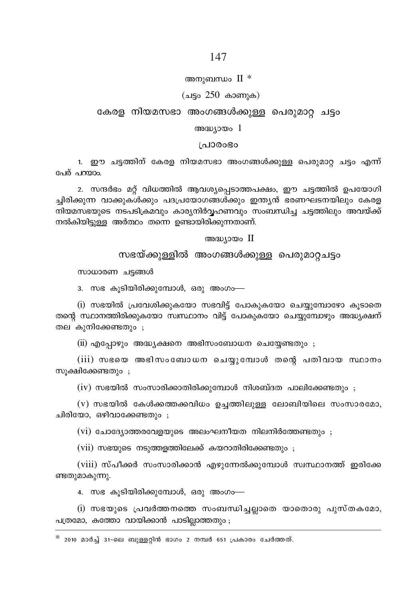### 147

#### അനുബന്ധം  $II *$

#### (ചട്ടം  $250$  കാണുക)

### കേരള നിയമസഭാ അംഗങ്ങൾക്കുള്ള പെരുമാറ്റ ചട്ടം

#### അദ്ധ്യായം  $1$

#### ിപാരാഭാ

1. ഈ ചട്ടത്തിന് കേരള നിയമസഭാ അംഗങ്ങൾക്കുള്ള പെരുമാറ് ചട്ടം എന്ന് പേര് പറയാം.

2. സന്ദർഭം മറ്റ് വിധത്തിൽ ആവശ്യപ്പെടാത്തപക്ഷം, ഈ ചട്ടത്തിൽ ഉപയോഗി ച്ചിരിക്കുന്ന വാക്കുകൾക്കും പദപ്രയോഗങ്ങൾക്കും ഇന്ത്യൻ ഭരണഘടനയിലും കേരള നിയമസഭയുടെ നടപടിക്രമവും കാര്യനിർവ്വഹണവും സംബന്ധിച്ച ചട്ടത്തിലും അവയ്ക്ക് നൽകിയിട്ടുള്ള അർത്ഥം തന്നെ ഉണ്ടായിരിക്കുന്നതാണ്.

#### അദ്ധ്യായം II

# സഭയ്ക്കുള്ളിൽ അംഗങ്ങൾക്കുള്ള പെരുമാറ്റചട്ടം

സാധാരണ ചട്ടങ്ങൾ

3. സഭ കൂടിയിരിക്കുമ്പോൾ, ഒരു അംഗം—

(i) സഭയിൽ പ്രവേശിക്കുകയോ സഭവിട്ട് പോകുകയോ ചെയ്യമ്പോഴോ കൂടാതെ തന്റെ സ്ഥാനത്തിരിക്കുകയോ സ്വസ്ഥാനം വിട്ട് പോകുകയോ ചെയ്യുമ്പോഴും അദ്ധ്യക്ഷന് തല കുനിക്കേണ്ടതും ;

(ii) എപ്പോഴും അദ്ധ്യക്ഷനെ അഭിസംബോധന ചെയ്യേണ്ടതും ;

(iii) സഭയെ അഭിസംബോധന ചെയ്യുമ്പോൾ തന്റെ പതിവായ സ്ഥാനം സുക്ഷിക്കേണ്ടതും ;

 $(iv)$  സഭയിൽ സംസാരിക്കാതിരിക്കുമ്പോൾ നിശബ്ദത പാലിക്കേണ്ടതും ;

 $(v)$  സഭയിൽ കേൾക്കത്തക്കവിധം ഉച്ചത്തിലുള്ള ലോബിയിലെ സംസാരമോ, ചിരിയോ, ഒഴിവാക്കേണ്ടതും ;

 $(vi)$  ചോദ്യോത്തരവേളയുടെ അലംഘനീയത നിലനിർത്തേണ്ടതും

 $(vii)$  സഭയുടെ നടുത്തളത്തിലേക്ക് കയറാതിരിക്കേണ്ടതും;

(viii) സ്പീക്കർ സംസാരിക്കാൻ എഴുന്നേൽക്കുമ്പോൾ സ്വസ്ഥാനത്ത് ഇരിക്കേ ണ്ടതുമാകുന്നു.

4. സഭ കുടിയിരിക്കുമ്പോൾ, ഒരു അംഗം—

(i) സഭയുടെ പ്രവർത്തനത്തെ സംബന്ധിച്ചല്ലാതെ യാതൊരു പുസ്തകമോ, പത്രമോ, കത്തോ വായിക്കാൻ പാടില്ലാത്തതും;

 $^*$  2010 മാർച്ച് 31-ലെ ബുള്ളറ്റിൻ ഭാഗം 2 നമ്പർ 651 പ്രകാരം ചേർത്തത്.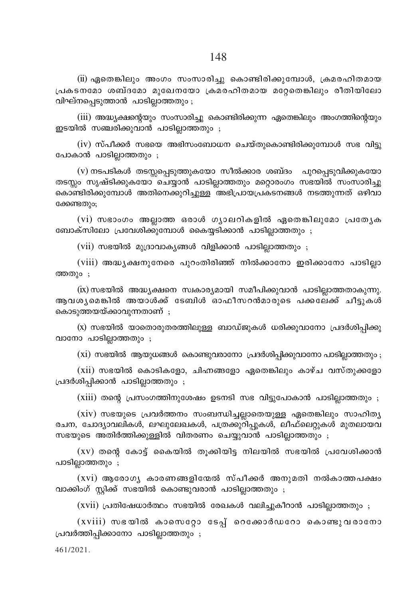$(iii)$  ഏതെങ്കിലും അംഗം സംസാരിച്ചു കൊണ്ടിരിക്കുമ്പോൾ, ക്രമരഹിതമായ (പകടനമോ ശബ്ദമോ മുഖേനയോ ക്രമരഹിതമായ മറ്റേതെങ്കിലും രീതിയിലോ വിഘ്നപ്പെടുത്താൻ പാടില്ലാത്തതും ;

(iii) അദ്ധ്യക്ഷന്റെയും സംസാരിച്ചു കൊണ്ടിരിക്കുന്ന ഏതെങ്കിലും അംഗത്തിന്റെയും ഇടയിൽ സഞ്ചരിക്കുവാൻ പാടില്ലാത്തതും ;

 $(iv)$  സ്പീക്കർ സഭയെ അഭിസംബോധന ചെയ്തുകൊണ്ടിരിക്കുമ്പോൾ സഭ വിട്ടു പോകാൻ പാടില്ലാത്തതും ;

 $(v)$  നടപടികൾ തടസ്സപ്പെടുത്തുകയോ സീൽക്കാര ശബ്ദം പുറപ്പെടുവിക്കുകയോ തടസ്സം സൃഷ്ടിക്കുകയോ ചെയ്യാൻ പാടില്ലാത്തതും മറ്റൊരംഗം സഭയിൽ സംസാരിച്ചു കൊണ്ടിരിക്കുമ്പോൾ അതിനെക്കുറിച്ചുള്ള<sup>്</sup>അഭിപ്രായപ്രകടനങ്ങൾ നടത്തുന്നത് ഒഴിവാ ക്കേണ്ടത<u>ും</u>;

 $(vi)$  സഭാംഗം അല്ലാത്ത ഒരാൾ ഗൃാലറികളിൽ ഏതെങ്കിലുമോ പ്രത്യേക ബോക്സിലോ പ്രവേശിക്കുമ്പോൾ കൈയ്യടിക്കാൻ പാടില്ലാത്തതും ;

 $(vii)$  സഭയിൽ മുദ്രാവാകൃങ്ങൾ വിളിക്കാൻ പാടില്ലാത്തതും ;

 $(viii)$  അദ്ധ്യക്ഷനുനേരെ പുറംതിരിഞ്ഞ് നിൽക്കാനോ ഇരിക്കാനോ പാടില്ലാ ത്തത $_{10}$ :

 $f(x)$  സഭയിൽ അദ്ധ്യക്ഷനെ സ്വകാര്യമായി സമീപിക്കുവാൻ പാടില്ലാത്തതാകുന്നു. ആവശ ശമങ്കിൽ അയാൾക്ക് ടേബിൾ ഓഫീസറൻമാരുടെ പക്കലേക്ക് ചീടുകൾ കൊടുത്തയയ്ക്കാവുന്നതാണ്;

 $(x)$  സഭയിൽ യാതൊരുതരത്തിലുള്ള ബാഡ്ജുകൾ ധരിക്കുവാനോ പ്രദർശിപ്പിക്കു വാനോ പാടില്ലാത്തതും;

 $(xi)$  സഭയിൽ ആയുധങ്ങൾ കൊണ്ടുവരാനോ പ്രദർശിപ്പിക്കുവാനോ പാടില്ലാത്തതും ;

 $(xii)$  സഭയിൽ കൊടികളോ, ചിഹ്നങ്ങളോ ഏതെങ്കിലും കാഴ്ച വസ്തുക്കളോ  $[$ പദർശിപ്പിക്കാൻ പാടില്ലാത്തതും ;

 $(xiii)$  തന്റെ പ്രസംഗത്തിനുശേഷം ഉടനടി സഭ വിട്ടുപോകാൻ പാടില്ലാത്തതും ;

 $(xiv)$  സഭയുടെ പ്രവർത്തനം സംബന്ധിച്ചല്ലാതെയുള്ള ഏതെങ്കിലും സാഹിതൃ രചന, ചോദ്യാവലികൾ, ലഘുലേഖകൾ, പത്രക്കുറിപ്പുകൾ, ലീഫ്ലെറ്റുകൾ മുതലായവ സഭയുടെ അതിർത്തിക്കുള്ളിൽ വിതരണം ചെയ്യുവാൻ പാടില്ലാത്തതും ;

 $(xv)$  തന്റെ കോട്ട് കൈയിൽ തൂക്കിയിട്ട നിലയിൽ സഭയിൽ പ്രവേശിക്കാൻ പാടില്ലാത്തതും $\,$ ;

 $(xvi)$  ആരോഗ്യ കാരണങ്ങളിന്മേൽ സ്പീക്കർ അനുമതി നൽകാത്തപക്ഷം വാക്കിംഗ് സ്റ്റിക്ക് സഭയിൽ കൊണ്ടുവരാൻ പാടില്ലാത്തതും ;

 $(xvii)$  പ്രതിഷേധാർത്ഥം സഭയിൽ രേഖകൾ വലിച്ചുകീറാൻ പാടില്ലാത്തതും ;

 $(xviii)$  സഭയിൽ കാസെറ്റോ ടേപ്പ് റെക്കോർഡറോ കൊണ്ടുവരാനോ  $\mu$ വവർത്തിപ്പിക്കാനോ പാടില്ലാത്തതും ;

461/2021.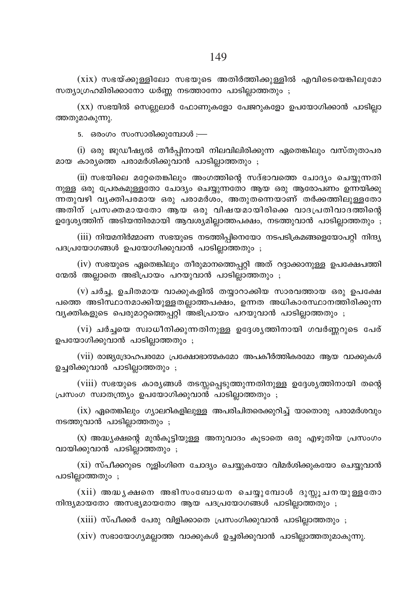$(xix)$  സഭയ്ക്കുള്ളിലോ സഭയുടെ അതിർത്തിക്കുള്ളിൽ എവിടെയെങ്കിലുമോ സത്യാഗ്രഹമിരിക്കാനോ ധർണ്ണ നടത്താനോ പാടില്ലാത്തതും ;

 $(xx)$  സഭയിൽ സെല്ലുലാർ ഫോണുകളോ പേജറുകളോ ഉപയോഗിക്കാൻ പാടില്ലാ ത്തതുമാകുന്നു.

5. ഒരംഗം സംസാരിക്കുമ്പോൾ :—

(i) ഒരു ജുഡീഷ്യൽ തീർപ്പിനായി നിലവിലിരിക്കുന്ന ഏതെങ്കിലും വസ്തുതാപര മായ കാര്യത്തെ പരാമർശിക്കുവാൻ പാടില്ലാത്തതും ;

(ii) സഭയിലെ മറ്റേതെങ്കിലും അംഗത്തിന്റെ സദ്ഭാവത്തെ ചോദ്യം ചെയ്യുന്നതി നുള്ള ഒരു പ്രേരകമുള്ളതോ ചോദ്യം ചെയ്യുന്നതോ ആയ ഒരു ആരോപണം ഉന്നയിക്കു ന്നതുവഴി വൃക്തിപരമായ ഒരു പരാമർശം, അതുതന്നെയാണ് തർക്കത്തിലുള്ളതോ അതിന് പ്രസക്തമായതോ ആയ ഒരു വിഷയമായിരിക്കെ വാദപ്രതിവാദത്തിന്റെ ഉദ്ദേശ്യത്തിന് അടിയന്തിരമായി ആവശ്യമില്ലാത്തപക്ഷം, നടത്തുവാൻ പാടില്ലാത്തതും ;

(iii) നിയമനിർമ്മാണ സഭയുടെ നടത്തിപ്പിനെയോ നടപടിക്രമങ്ങളെയോപറ്റി നിന്ദ്യ പദപ്രയോഗങ്ങൾ ഉപയോഗിക്കുവാൻ പാടില്ലാത്തതും ;

(iv) സഭയുടെ ഏതെങ്കിലും തീരുമാനത്തെപ്പറ്റി അത് റദ്ദാക്കാനുള്ള ഉപക്ഷേപത്തി ന്മേൽ അല്ലാതെ അഭിപ്രായം പറയുവാൻ പാടില്ലാത്തതും ;

 $(v)$  ചർച്ച, ഉചിതമായ വാക്കുകളിൽ തയ്യാറാക്കിയ സാരവത്തായ ഒരു ഉപക്ഷേ പത്തെ അടിസ്ഥാനമാക്കിയുള്ളതല്ലാത്തപക്ഷം, ഉന്നത അധികാരസ്ഥാനത്തിരിക്കുന്ന വൃക്തികളുടെ പെരുമാറ്റത്തെപ്പറ്റി അഭിപ്രായം പറയുവാൻ പാടില്ലാത്തതും ;

(vi) ചർച്ചയെ സ്വാധീനിക്കുന്നതിനുള്ള ഉദ്ദേശൃത്തിനായി ഗവർണ്ണറുടെ പേര് ഉപയോഗിക്കുവാൻ പാടില്ലാത്തതും ;

(vii) രാജ്യദ്രോഹപരമോ പ്രക്ഷോഭാത്മകമോ അപകീർത്തികരമോ ആയ വാക്കുകൾ ഉച്ചരിക്കുവാൻ പാടില്ലാത്തതും ;

(viii) സഭയുടെ കാര്യങ്ങൾ തടസ്സപ്പെടുത്തുന്നതിനുള്ള ഉദ്ദേശ്യത്തിനായി തന്റെ പ്രസംഗ സ്വാതന്ത്ര്യം ഉപയോഗിക്കുവാൻ പാടില്ലാത്തതും ;

(ix) ഏതെങ്കിലും ഗ്യാലറികളിലുള്ള അപരിചിതരെക്കുറിച്ച് യാതൊരു പരാമർശവും നടത്തുവാൻ പാടില്ലാത്തതും;

(x) അദ്ധ്യക്ഷന്റെ മുൻകുട്ടിയുള്ള അനുവാദം കൂടാതെ ഒരു എഴുതിയ പ്രസംഗം വായിക്കുവാൻ പാടില്ലാത്തതും ;

(xi) സ്പീക്കറുടെ റൂളിംഗിനെ ചോദ്യം ചെയ്യുകയോ വിമർശിക്കുകയോ ചെയ്യുവാൻ പാടില്ലാത്തതും ;

(xii) അദ്ധ്യക്ഷനെ അഭിസംബോധന ചെയ്യുമ്പോൾ ദുസ്സൂചനയുള്ളതോ നിന്ദ്യമായതോ അസഭ്യമായതോ ആയ പദപ്രയോഗങ്ങൾ പാടില്ലാത്തതും ;

(xiii) സ്പീക്കർ പേരു വിളിക്കാതെ പ്രസംഗിക്കുവാൻ പാടില്ലാത്തതും ;

(xiv) സഭായോഗ്യമല്ലാത്ത വാക്കുകൾ ഉച്ചരിക്കുവാൻ പാടില്ലാത്തതുമാകുന്നു.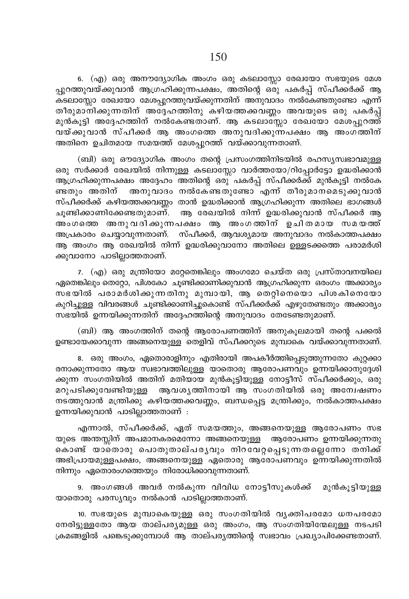6. (എ) ഒരു അനൗദ്യോഗിക അംഗം ഒരു കടലാസ്സോ രേഖയോ സഭയുടെ മേശ പ്പുറത്തുവയ്ക്കുവാൻ ആഗ്രഹിക്കുന്നപക്ഷം, അതിന്റെ ഒരു പകർപ്പ് സ്പീക്കർക്ക് ആ കടലാസ്സോ രേഖയോ മേശപ്പറത്തുവയ്ക്കുന്നതിന് അനുവാദം നൽകേണ്ടതുണ്ടോ എന്ന് തീരുമാനിക്കുന്നതിന് അദ്ദഹത്തിനു കഴിയത്തക്കവണ്ണം അവയുടെ ഒരു പകർപ്പ് മുൻകൂട്ടി അദ്ദേഹത്തിന് നൽകേണ്ടതാണ്. ആ കടലാസ്ലോ രേഖയോ മേശപ്പുറത്ത് വയ്ക്കുവാൻ സ്പീക്കർ ആ അംഗത്തെ അനുവദിക്കുന്നപക്ഷം ആ അംഗത്തിന് അതിനെ ഉചിതമായ സമയത്ത് മേശപ്പുറത്ത് വയ്ക്കാവുന്നതാണ്.

(ബി) ഒരു ഔദ്യോഗിക അംഗം തന്റെ പ്രസംഗത്തിനിടയിൽ രഹസ്യസ്വഭാവമുള്ള ഒരു സർക്കാർ രേഖയിൽ നിന്നുള്ള കടലാസ്സോ വാർത്തയോ/റിപ്പോർട്ടോ ഉദ്ധരിക്കാൻ ആഗ്രഹിക്കുന്നപക്ഷം അദ്ദേഹം അതിന്റെ ഒരു പകർപ്പ് സ്പീക്കർക്ക് മുൻകൂട്ടി നൽകേ ണ്ടതും അതിന് അനുവാദം നൽകേണ്ടതുണ്ടോ എന്ന് തീരുമാനമെടുക്കുവാൻ സ്പീക്കർക്ക് കഴിയത്തക്കവണ്ണം താൻ ഉദ്ധരിക്കാൻ ആഗ്രഹിക്കുന്ന അതിലെ ഭാഗങ്ങൾ ചുണ്ടിക്കാണിക്കേണ്ടതുമാണ്. ആ രേഖയിൽ നിന്ന് ഉദ്ധരിക്കുവാൻ സ്പീക്കർ ആ അംഗത്തെ അനുവദിക്കുന്നപക്ഷം ആം അംഗത്തിന് ഉചിതമായ സമയത്ത് അപ്രകാരം ചെയ്യാവുന്നതാണ്. സ്പീക്കർ, ആവശ്യമായ അനുവാദം നൽകാത്തപക്ഷം ആ അംഗം ആ രേഖയിൽ നിന്ന് ഉദ്ധരിക്കുവാനോ അതിലെ ഉള്ളടക്കത്തെ പരാമർശി ക്കുവാനോ പാടില്ലാത്തതാണ്.

7. (എ) ഒരു മന്ത്രിയോ മറ്റേതെങ്കിലും അംഗമോ ചെയ്ത ഒരു പ്രസ്താവനയിലെ ഏതെങ്കിലും തെറ്റോ, പിശകോ ചൂണ്ടിക്കാണിക്കുവാൻ ആഗ്രഹിക്കുന്ന ഒരംഗം അക്കാര്യം സഭയിൽ പരാമർശിക്കുന്നതിനു മുമ്പായി, ആ തെറ്റിനെയൊ പിശകിനെയോ കുറിച്ചുള്ള വിവരങ്ങൾ ചൂണ്ടിക്കാണിച്ചുകൊണ്ട് സ്പീക്കർക്ക് എഴുതേണ്ടതും അക്കാര്യം സഭയിൽ ഉന്നയിക്കുന്നതിന് അദ്ദേഹത്തിന്റെ അനുവാദം തേടേണ്ടതുമാണ്.

(ബി) ആ അംഗത്തിന് തന്റെ ആരോപണത്തിന് അനുകൂലമായി തന്റെ പക്കൽ \_<br>ഉണ്ടായേക്കാവുന്ന അങ്ങനെയുള്ള<sup>്</sup>തെളിവ് സ്പീക്കറുടെ മുമ്പാകെ വയ്ക്കാവുന്നതാണ്.

8. ഒരു അംഗം, ഏതൊരാളിനും എതിരായി അപകീർത്തിപ്പെടുത്തുന്നതോ കുറ്റക്കാ രനാക്കുന്നതോ ആയ സ്വഭാവത്തിലുള്ള യാതൊരു ആരോപണവും ഉന്നയിക്കാനുദ്ദേശി ക്കുന്ന സംഗതിയിൽ അതിന് മതിയായ മുൻകൂട്ടിയുള്ള നോട്ടീസ് സ്പീക്കർക്കും, ഒരു മറുപടിക്കുവേണ്ടിയുള്ള ആവശൃത്തിനായി ആ സംഗതിയിൽ ഒരു അന്വേഷണ<mark>ം</mark> നടത്തുവാൻ മന്ത്രിക്കു കഴിയത്തക്കവണ്ണം, ബന്ധപ്പെട്ട മന്ത്രിക്കും, നൽകാത്തപക്ഷം ഉന്നയിക്കുവാൻ പാടില്ലാത്തതാണ് :

എന്നാൽ, സ്പീക്കർക്ക്, ഏത് സമയത്തും, അങ്ങനെയുള്ള ആരോപണം സഭ യുടെ അന്തസ്സിന് അപമാനകരമെന്നോ അങ്ങനെയുള്ള ആരോപണം ഉന്നയിക്കുന്നതു കൊണ്ട് യാതൊരു പൊതുതാല്പരൃവും നിറവേറ്റപ്പെടുന്നതല്ലെന്നോ തനിക്ക് അഭിപ്രായമുള്ളപക്ഷം, അങ്ങനെയുള്ള ഏതൊരു ആരോപണവും ഉന്നയിക്കുന്നതിൽ  $\Omega$ നിന്നും ഏതൊരംഗത്തെയും നിരോധിക്കാവുന്നതാണ്.

9. അംഗങ്ങൾ അവർ നൽകുന്ന വിവിധ നോട്ടീസുകൾക്ക് മുൻകൂട്ടിയുള്ള യാതൊരു പരസൃവും നൽകാൻ പാടില്ലാത്തതാണ്.

10. സഭയുടെ മുമ്പാകെയുള്ള ഒരു സംഗതിയിൽ വൃക്തിപരമോ ധനപരമോ നേരിട്ടുള്ളതോ ആയ താല്പര്യമുള്ള ഒരു അംഗം, ആ സംഗതിയിന്മേലുള്ള നടപടി ക്രമങ്ങളിൽ പങ്കെടുക്കുമ്പോൾ ആ താല്പര്യത്തിന്റെ സ്വഭാവം പ്രഖ്യാപിക്കേണ്ടതാണ്.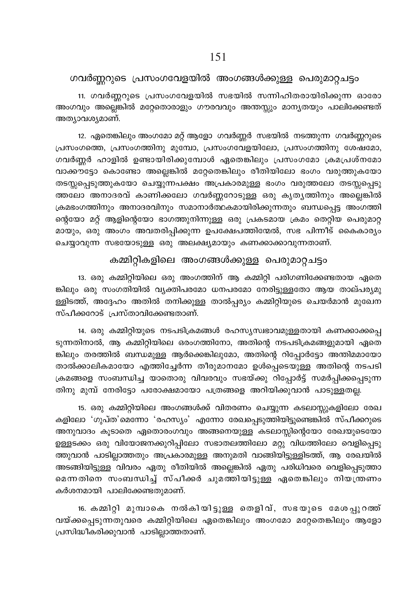11. ഗവർണ്ണറുടെ പ്രസംഗവേളയിൽ സഭയിൽ സന്നിഹിതരായിരിക്കുന്ന ഓരോ അംഗവും അല്ലെങ്കിൽ മറ്റേതൊരാളും ഗൗരവവും അന്തസ്സും മാന്യതയും പാലിക്കേണ്ടത് അത്യാവശ്യമാണ്.

12. ഏതെങ്കിലും അംഗമോ മറ്റ് ആളോ ഗവർണ്ണർ സഭയിൽ നടത്തുന്ന ഗവർണ്ണറുടെ പ്രസംഗത്തെ, പ്രസംഗത്തിനു മുമ്പോ, പ്രസംഗവേളയിലോ, പ്രസംഗത്തിനു ശേഷമോ, ഗവർണ്ണർ ഹാളിൽ ഉണ്ടായിരിക്കുമ്പോൾ ഏതെങ്കിലും പ്രസംഗമോ ക്രമപ്രശ്നമോ വാക്കൗട്ടോ കൊണ്ടോ അല്ലെങ്കിൽ മറ്റേതെങ്കിലും രീതിയിലോ ഭംഗം വരുത്തുകയോ തടസ്സപ്പെടുത്തുകയോ ചെയ്യുന്നപക്ഷം അപ്രകാരമുള്ള ഭംഗം വരുത്തലോ തടസ്സപ്പെടു ത്തലോ അനാദരവ് കാണിക്കലോ ഗവർണ്ണറോടുള്ള ഒരു കൃതൃത്തിനും അല്ലെങ്കിൽ ്രകമഭംഗത്തിനും അനാദരവിനും സമാനാർത്ഥകമായിരിക്കുന്നതും ബന്ധപ്പെട്ട അംഗത്തി ന്റെയോ മറ്റ് ആളിന്റെയോ ഭാഗത്തുനിന്നുള്ള ഒരു പ്രകടമായ ക്രമം തെറ്റിയ പെരുമാറ്റ മായും, ഒരു അംഗം അവതരിപ്പിക്കുന്ന ഉപക്ഷേപത്തിന്മേൽ, സഭ പിന്നീട് കൈകാര്യം ചെയ്യാവുന്ന സഭയോടുള്ള ഒരു അലക്ഷ്യമായും കണക്കാക്കാവുന്നതാണ്.

കമ്മിറ്റികളിലെ അംഗങ്ങൾക്കുള്ള പെരുമാറ്റചട്ടം

13. ഒരു കമ്മിറ്റിയിലെ ഒരു അംഗത്തിന് ആ കമ്മിറ്റി പരിഗണിക്കേണ്ടതായ ഏതെ ങ്കിലും ഒരു സംഗതിയിൽ വ്യക്തിപരമോ ധനപരമോ നേരിട്ടുള്ളതോ ആയ താല്പര്യമു ള്ളിടത്ത്, അദ്ദേഹം അതിൽ തനിക്കുള്ള താൽപ്പര്യം കമ്മിറ്റിയുടെ ചെയർമാൻ മുഖേന  $m$ ്പീക്കറോട് പ്രസ്താവിക്കേണ്ടതാണ്.

14. ഒരു കമ്മിറ്റിയുടെ നടപടിക്രമങ്ങൾ രഹസ്യസ്വഭാവമുള്ളതായി കണക്കാക്കപ്പെ ടുന്നതിനാൽ, ആ കമ്മിറ്റിയിലെ ഒരംഗത്തിനോ, അതിന്റെ നടപടിക്രമങ്ങളുമായി ഏതെ ങ്കിലും തരത്തിൽ ബന്ധമുള്ള ആർക്കെങ്കിലുമോ, അതിന്റെ റിപ്പോർട്ടോ അന്തിമമായോ താൽക്കാലികമായോ എത്തിച്ചേർന്ന തീരുമാനമോ ഉൾപ്പെടെയുള്ള അതിന്റെ നടപടി  $\epsilon$ കമങ്ങളെ സംബന്ധിച്ച യാതൊരു വിവരവും സഭയ്ക്കു റിപ്പോർട്ട് സമർപ്പിക്കപ്പെടുന്ന തിനു മുമ്പ് നേരിട്ടോ പരോക്ഷമായോ പത്രങ്ങളെ അറിയിക്കുവാൻ പാടുള്ളതല്ല.

15. ഒരു കമ്മിറ്റിയിലെ അംഗങ്ങൾക്ക് വിതരണം ചെയ്യുന്ന കടലാസ്സുകളിലോ രേഖ കളിലോ 'ഗുപ്ത'മെന്നോ 'രഹസ്യം' എന്നോ രേഖപ്പെടുത്തിയിട്ടുണ്ടെങ്കിൽ സ്പീക്കറുടെ അനുവാദം കൂടാതെ ഏതൊരംഗവും അങ്ങനെയുള്ള കടലാസ്സിന്റെയോ രേഖയുടെയോ \_<br>ഉള്ളടക്കം ഒരു വിയോജനക്കുറിപ്പിലോ സഭാതലത്തിലോ മറ്റു വിധത്തിലോ വെളിപ്പെടു ത്തുവാൻ പാടില്ലാത്തതും അപ്രകാരമുള്ള അനുമതി വാങ്ങിയിട്ടുള്ളിടത്ത്, ആ രേഖയിൽ AS-ßn-bn-´p≈ hnhcw GXp coXnbn¬ As√¶n¬ GXp ]cn-[n-hsc shfn-s∏-Sp-Øm-മെന്നതിനെ സംബന്ധിച്ച് സ്പീക്കർ ചുമത്തിയിട്ടുള്ള ഏതെങ്കിലും നിയന്ത്രണം കർശനമായി പാലിക്കേണ്ടതുമാണ്.

16. കമ്മിറ്റി മുമ്പാകെ നൽകിയിട്ടുള്ള തെളിവ്, സഭയുടെ മേശപ്പുറത്ത് ിവയ്ക്കപ്പെടുന്നതുവരെ കമ്മിറ്റിയിലെ ഏതെങ്കിലും അംഗമോ മറ്റേതെങ്കിലും ആളോ (പസിദ്ധീകരിക്കുവാൻ പാടില്ലാത്തതാണ്.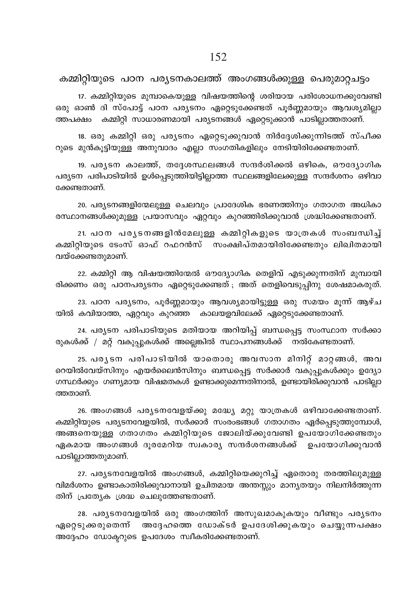17. കമ്മിറ്റിയുടെ മുമ്പാകെയുള്ള വിഷയത്തിന്റെ ശരിയായ പരിശോധനക്കുവേണ്ടി ഒരു ഓൺ ദി സ്പോട്ട് പഠന പര്യടനം ഏറ്റെടുക്കേണ്ടത് പൂർണ്ണമായും ആവശ്യമില്ലാ ത്തപക്ഷം കമ്മിറ്റി സാധാരണമായി പര്യടനങ്ങൾ ഏറ്റെടുക്കാൻ പാടില്ലാത്തതാണ്.

18. ഒരു കമ്മിറ്റി ഒരു പര്യടനം ഏറ്റെടുക്കുവാൻ നിർദ്ദേശിക്കുന്നിടത്ത് സ്പീക്ക റുടെ മുൻകുട്ടിയുള്ള അനുവാദം എല്ലാ സംഗതികളിലും നേടിയിരിക്കേണ്ടതാണ്.

19. പര്യടന കാലത്ത്, തദ്ദേശസ്ഥലങ്ങൾ സന്ദർശിക്കൽ ഒഴികെ, ഔദ്യോഗിക പര്യടന പരിപാടിയിൽ ഉൾപ്പെടുത്തിയിട്ടില്ലാത്ത സ്ഥലങ്ങളിലേക്കുള്ള സന്ദർശനം ഒഴിവാ ക്കേണ്ടതാണ്.

20. പര്യടനങ്ങളിന്മേലുള്ള ചെലവും പ്രാദേശിക ഭരണത്തിനും ഗതാഗത അധികാ രസ്ഥാനങ്ങൾക്കുമുള്ള പ്രയാസവും ഏറ്റവും കുറഞ്ഞിരിക്കുവാൻ ശ്രദ്ധിക്കേണ്ടതാണ്.

21. പഠന പര്യടനങ്ങളിൻമേലുള്ള കമ്മിറ്റികളുടെ യാത്രകൾ സംബന്ധിച്ച് കമ്മിറ്റിയുടെ ടേംസ് ഓഫ് റഫറൻസ് സംക്ഷിപ്തമായിരിക്കേണ്ടതും ലിഖിതമായി വയ്ക്കേണ്ടതുമാണ്.

22. കമ്മിറ്റി ആ വിഷയത്തിന്മേൽ ഔദ്യോഗിക തെളിവ് എടുക്കുന്നതിന് മുമ്പായി രിക്കണം ഒരു പഠനപര്യടനം ഏറ്റെടുക്കേണ്ടത്; അത് തെളിവെടുപ്പിനു ശേഷമാകരുത്.

23. പഠന പര്യടനം, പൂർണ്ണമായും ആവശ്യമായിട്ടുള്ള ഒരു സമയം മൂന്ന് ആഴ്ച യിൽ കവിയാത്ത, ഏറ്റവും കുറഞ്ഞ കാലയളവിലേക്ക് ഏറ്റെടുക്കേണ്ടതാണ്.

24. പര്യടന പരിപാടിയുടെ മതിയായ അറിയിപ്പ് ബന്ധപ്പെട്ട സംസ്ഥാന സർക്കാ രുകൾക്ക് / മറ്റ് വകുപ്പുകൾക്ക് അല്ലെങ്കിൽ സ്ഥാപനങ്ങൾക്ക് നൽകേണ്ടതാണ്.

25. പര്യടന പരിപാടിയിൽ യാതൊരു അവസാന മിനിറ്റ് മാറ്റങ്ങൾ, അവ റെയിൽവേയ്സിനും എയർലൈൻസിനും ബന്ധപ്പെട്ട സർക്കാർ വകുപ്പുകൾക്കും ഉദ്യോ ഗസ്ഥർക്കും ഗണ്യമായ വിഷമതകൾ ഉണ്ടാക്കുമെന്നതിനാൽ, ഉണ്ടായിരിക്കുവാൻ പാടില്ലാ ത്തതാണ്.

26. അംഗങ്ങൾ പര്യടനവേളയ്ക്കു മദ്ധ്യേ മറ്റു യാത്രകൾ ഒഴിവാക്കേണ്ടതാണ്. കമ്മിറ്റിയുടെ പര്യടനവേളയിൽ, സർക്കാർ സംരംഭങ്ങൾ ഗതാഗതം ഏർപ്പെടുത്തുമ്പോൾ, അങ്ങനെയുള്ള ഗതാഗതം കമ്മിറ്റിയുടെ ജോലിയ്ക്കുവേണ്ടി ഉപയോഗിക്കേണ്ടതും ഏകമായ അംഗങ്ങൾ ദൂരമേറിയ സ്വകാര്യ സന്ദർശനങ്ങൾക്ക് ഉപയോഗിക്കുവാൻ പാടില്ലാത്തതുമാണ്.

27. പര്യടനവേളയിൽ അംഗങ്ങൾ, കമ്മിറ്റിയെക്കുറിച്ച് ഏതൊരു തരത്തിലുമുള്ള വിമർശനം ഉണ്ടാകാതിരിക്കുവാനായി ഉചിതമായ അന്തസ്സും മാന്യതയും നിലനിർത്തുന്ന തിന് പ്രത്യേക ശ്രദ്ധ ചെലുത്തേണ്ടതാണ്.

28. പര്യടനവേളയിൽ ഒരു അംഗത്തിന് അസുഖമാകുകയും വീണ്ടും പര്യടനം ഏറ്റെടുക്കരുതെന്ന് അദ്ദേഹത്തെ ഡോക്ടർ ഉപദേശിക്കുകയും ചെയ്യുന്നപക്ഷം അദ്ദേഹം ഡോക്ടറുടെ ഉപദേശം സ്വീകരിക്കേണ്ടതാണ്.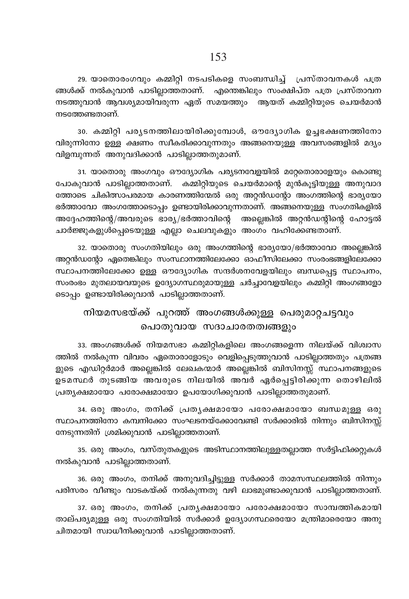29. യാതൊരംഗവും കമ്മിറ്റി നടപടികളെ സംബന്ധിച്ച് പ്രസ്താവനകൾ പത്ര ങ്ങൾക്ക് നൽകുവാൻ പാടില്ലാത്തതാണ്. എന്തെങ്കിലും സംക്ഷിപ്ത പത്ര പ്രസ്താവന നടത്തുവാൻ ആവശ്യമായിവരുന്ന ഏത് സമയത്തും ആയത് കമ്മിറ്റിയുടെ ചെയർമാൻ നടത്തേണ്ടതാണ്.

30. കമ്മിറ്റി പര്യടനത്തിലായിരിക്കുമ്പോൾ, ഔദ്യോഗിക ഉച്ചഭക്ഷണത്തിനോ വിരുന്നിനോ ഉള്ള ക്ഷണം സ്ഥീകരിക്കാവുന്നതും അങ്ങനെയുള്ള അവസരങ്ങളിൽ മദ്യം .<br>വിളമ്പുന്നത് അനുവദിക്കാൻ പാടില്ലാത്തതുമാണ്.

31. യാതൊരു അംഗവും ഔദ്യോഗിക പര്യടനവേളയിൽ മറ്റേതൊരാളേയും കൊണ്ടു പോകുവാൻ പാടില്ലാത്തതാണ്. കമ്മിറ്റിയുടെ ചെയർമാന്റെ മുൻകൂട്ടിയുള്ള അനുവാദ ത്തോടെ ചികിത്സാപരമായ കാരണത്തിന്മേൽ ഒരു അറ്റൻഡന്റോ അംഗത്തിന്റെ ഭാര്യയോ ഭർത്താവോ അംഗത്തോടൊപ്പം ഉണ്ടായിരിക്കാവുന്നതാണ്. അങ്ങനെയുള്ള സംഗതികളിൽ അദ്ദേഹത്തിന്റെ/അവരുടെ ഭാര്യ/ഭർത്താവിന്റെ അല്ലെങ്കിൽ അറ്റൻഡന്റിന്റെ ഹോട്ടൽ ചാർജ്ജുകളുൾപ്പെടെയുള്ള എല്ലാ ചെലവുകളും അംഗം വഹിക്കേണ്ടതാണ്.

32. യാതൊരു സംഗതിയിലും ഒരു അംഗത്തിന്റെ ഭാര്യയോ/ഭർത്താവോ അല്ലെങ്കിൽ അറ്റൻഡന്റോ ഏതെങ്കിലും സംസ്ഥാനത്തിലേക്കോ ഓഫീസിലേക്കാ സംരംഭങ്ങളിലേക്കോ സ്ഥാപനത്തിലേക്കോ ഉള്ള ഔദ്യോഗിക സന്ദർശനവേളയിലും ബന്ധപ്പെട്ട സ്ഥാപനം, സംരംഭം മുതലായവയുടെ ഉദ്യോഗസ്ഥരുമായുള്ള ചർച്ചാവേളയിലും കമ്മിറ്റി അംഗങ്ങളോ ടൊപ്പം ഉണ്ടായിരിക്കുവാൻ പാടില്ലാത്തതാണ്.

# നിയമസഭയ്ക്ക് പുറത്ത് അംഗങ്ങൾക്കുള്ള പെരുമാറ്റചട്ടവും പൊതുവായ സദാചാരതത്വങ്ങളും

33. അംഗങ്ങൾക്ക് നിയമസഭാ കമ്മിറ്റികളിലെ അംഗങ്ങളെന്ന നിലയ്ക്ക് വിശ്വാസ ത്തിൽ നൽകുന്ന വിവരം ഏതൊരാളോടും വെളിപ്പെടുത്തുവാൻ പാടില്ലാത്തതും പത്രങ്ങ ളുടെ എഡിറ്റർമാർ അല്ലെങ്കിൽ ലേഖകന്മാർ അല്ലെങ്കിൽ ബിസിനസ്സ് സ്ഥാപനങ്ങളുടെ ഉടമസ്ഥർ തുടങ്ങിയ അവരുടെ നിലയിൽ അവർ ഏർപ്പെട്ടിരിക്കുന്ന തൊഴിലിൽ പ്രത്യക്ഷമായോ പരോക്ഷമായോ ഉപയോഗിക്കുവാൻ പാടില്ലാത്തതുമാണ്.

34. ഒരു അംഗം, തനിക്ക് പ്രതൃക്ഷമായോ പരോക്ഷമായോ ബന്ധമുള്ള ഒരു സ്ഥാപനത്തിനോ കമ്പനിക്കോ സംഘടനയ്ക്കോവേണ്ടി സർക്കാരിൽ നിന്നും ബിസിനസ്സ് നേടുന്നതിന് ശ്രമിക്കുവാൻ പാടില്ലാത്തതാണ്.

35. ഒരു അംഗം, വസ്തുതകളുടെ അടിസ്ഥാനത്തിലുള്ളതല്ലാത്ത സർട്ടിഫിക്കറ്റുകൾ നൽകുവാൻ പാടില്ലാത്തതാണ്.

36. ഒരു അംഗം, തനിക്ക് അനുവദിച്ചിട്ടുള്ള സർക്കാർ താമസസ്ഥലത്തിൽ നിന്നും പരിസരം വീണ്ടും വാടകയ്ക്ക് നൽകുന്നതു വഴി ലാഭമുണ്ടാക്കുവാൻ പാടില്ലാത്തതാണ്.

37. ഒരു അംഗം, തനിക്ക് പ്രതൃക്ഷമായോ പരോക്ഷമായോ സാമ്പത്തികമായി താല്പര്യമുള്ള ഒരു സംഗതിയിൽ സർക്കാർ ഉദ്യോഗസ്ഥരെയോ മന്ത്രിമാരെയോ അനു ചിതമായി സ്വാധീനിക്കുവാൻ പാടില്ലാത്തതാണ്.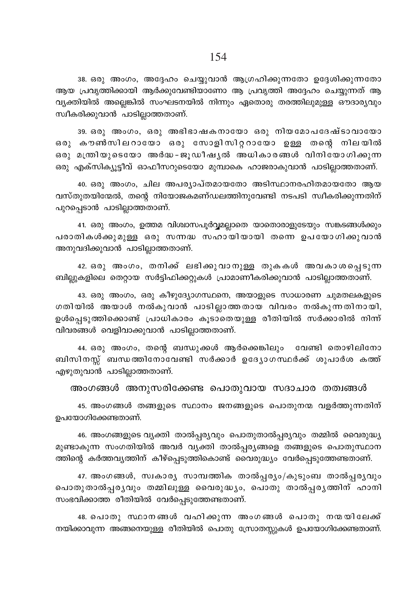38. ഒരു അംഗം, അദ്ദേഹം ചെയ്യുവാൻ ആഗ്രഹിക്കുന്നതോ ഉദ്ദേശിക്കുന്നതോ ആയ പ്രവൃത്തിക്കായി ആർക്കുവേണ്ടിയാണോ ആ പ്രവൃത്തി അദ്ദേഹം ചെയ്യുന്നത് ആ വൃക്തിയിൽ അല്ലെങ്കിൽ സംഘടനയിൽ നിന്നും ഏതൊരു തരത്തിലുമുള്ള ഔദാരൃവും സ്വീകരിക്കുവാൻ പാടില്ലാത്തതാണ്.

39. ഒരു അംഗം, ഒരു അഭിഭാഷകനായോ ഒരു നിയമോപദേഷ്ടാവായോ ഒരു കൗൺസിലറായോ ഒരു സോളിസിറ്ററായോ ഉള്ള തന്റെ നിലയിൽ ഒരു മന്ത്രിയുടെയോ അർദ്ധ-ജൂഡീഷൃൽ അധികാരങ്ങൾ വിനിയോഗിക്കുന്ന ഒരു എക്സിക്യൂട്ടീവ് ഓഫീസറുടെയോ മുമ്പാകെ ഹാജരാകുവാൻ പാടില്ലാത്തതാണ്.

40. ഒരു അംഗം, ചില അപര്യാപ്തമായതോ അടിസ്ഥാനരഹിതമായതോ ആയ  $\Delta$ സ്തുതയിന്മേൽ, തന്റെ നിയോജകമണ്ഡലത്തിനുവേണ്ടി നടപടി സ്ഥീകരിക്കുന്നതിന് പുറപ്പെടാൻ പാടില്ലാത്തതാണ്.

41. ഒരു അംഗം, ഉത്തമ വിശ്വാസപൂർവ്വമല്ലാതെ യാതൊരാളുടേയും സങ്കടങ്ങൾക്കും പരാതികൾക്കുമുള്ള ഒരു സന്നദ്ധ സഹായിയായി തന്നെ ഉപയോഗിക്കുവാൻ അനുവദിക്കുവാൻ പാടില്ലാത്തതാണ്.

42. ഒരു അംഗം, തനിക്ക് ലഭിക്കുവാനുള്ള തുകകൾ അവകാശപ്പെടുന്ന .<br>ബില്ലുകളിലെ തെറ്റായ സർട്ടിഫിക്കറ്റുകൾ പ്രാമാണീകരിക്കുവാൻ പാടില്ലാത്തതാണ്.

43. ഒരു അംഗം, ഒരു കീഴുദ്യോഗസ്ഥനെ, അയാളുടെ സാധാരണ ചുമതലകളുടെ ഗതിയിൽ അയാൾ നൽകുവാൻ പാടില്ലാത്തതായ വിവരം നൽകുന്നതിനായി, ഉൾപ്പെടുത്തിക്കൊണ്ട് പ്രാധികാരം കൂടാതെയുള്ള രീതിയിൽ സർക്കാരിൽ നിന്ന് വിവരങ്ങൾ വെളിവാക്കുവാൻ പാടില്ലാത്തതാണ്.

44. ഒരു അംഗം, തന്റെ ബന്ധുക്കൾ ആർക്കെങ്കിലും വേണ്ടി തൊഴിലിനോ ബിസിനസ്സ് ബന്ധത്തിനോവേണ്ടി സർക്കാർ ഉദ്യോഗസ്ഥർക്ക് ശുപാർശ കത്ത് എഴുതുവാൻ പാടില്ലാത്തതാണ്.

അംഗങ്ങൾ അനുസരിക്കേണ്ട പൊതുവായ സദാചാര തത്വങ്ങൾ

45. അംഗങ്ങൾ തങ്ങളുടെ സ്ഥാനം ജനങ്ങളുടെ പൊതുനന്മ വളർത്തുന്നതിന് ഉപയോഗിക്കേണ്ടതാണ്.

46. അംഗങ്ങളുടെ വൃക്തി താൽപ്പരൃവും പൊതുതാൽപ്പരൃവും തമ്മിൽ വൈരുദ്ധൃ മുണ്ടാകുന്ന സംഗതിയിൽ അവർ വ്യക്തി താൽപ്പരൃങ്ങളെ തങ്ങളുടെ പൊതുസ്ഥാന ത്തിന്റെ കർത്തവൃത്തിന് കീഴ്പ്പെടുത്തികൊണ്ട് വൈരുദ്ധ്യം വേർപ്പെടുത്തേണ്ടതാണ്.

47. അംഗങ്ങൾ, സ്വകാര്യ സാമ്പത്തിക താൽപ്പര്യം/കൂടുംബ താൽപ്പര്യവും പൊതുതാൽപ്പരൃവും തമ്മിലുള്ള വൈരുദ്ധൃം, പൊതു താൽപ്പരൃത്തിന് ഹാനി സംഭവിക്കാത്ത രീതിയിൽ വേർപ്പെടുത്തേണ്ടതാണ്.

48. പൊതു സ്ഥാനങ്ങൾ വഹിക്കുന്ന അംഗങ്ങൾ പൊതു നന്മയിലേക്ക്  $\bm{v}$ നയിക്കാവുന്ന അങ്ങനെയുള്ള രീതിയിൽ പൊതു സ്രോതസ്സുകൾ ഉപയോഗിക്കേണ്ടതാണ്.